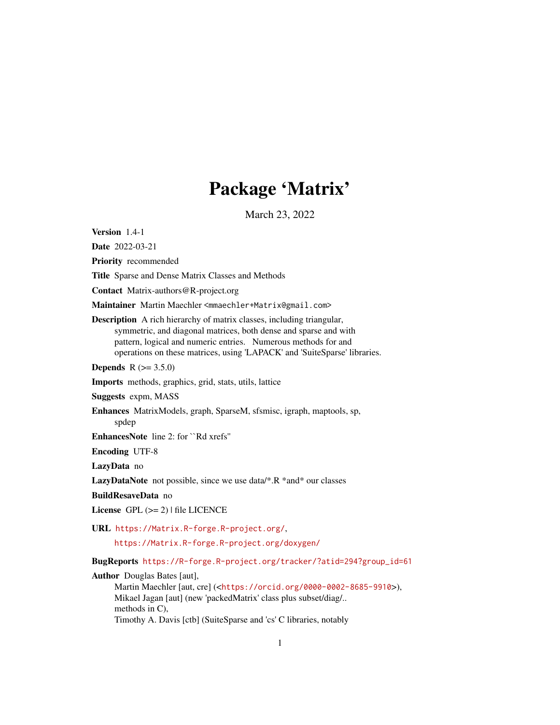# Package 'Matrix'

March 23, 2022

<span id="page-0-0"></span>Version 1.4-1

Date 2022-03-21

Priority recommended

Title Sparse and Dense Matrix Classes and Methods

Contact Matrix-authors@R-project.org

Maintainer Martin Maechler <mmaechler+Matrix@gmail.com>

Description A rich hierarchy of matrix classes, including triangular, symmetric, and diagonal matrices, both dense and sparse and with pattern, logical and numeric entries. Numerous methods for and operations on these matrices, using 'LAPACK' and 'SuiteSparse' libraries.

**Depends** R  $(>= 3.5.0)$ 

Imports methods, graphics, grid, stats, utils, lattice

Suggests expm, MASS

Enhances MatrixModels, graph, SparseM, sfsmisc, igraph, maptools, sp, spdep

EnhancesNote line 2: for ``Rd xrefs''

Encoding UTF-8

LazyData no

LazyDataNote not possible, since we use data/\*.R \*and\* our classes

BuildResaveData no

License  $GPL (= 2)$  | file LICENCE

URL <https://Matrix.R-forge.R-project.org/>,

<https://Matrix.R-forge.R-project.org/doxygen/>

BugReports [https://R-forge.R-project.org/tracker/?atid=294?group\\_id=61](https://R-forge.R-project.org/tracker/?atid=294?group_id=61)

Author Douglas Bates [aut],

Martin Maechler [aut, cre] (<<https://orcid.org/0000-0002-8685-9910>>), Mikael Jagan [aut] (new 'packedMatrix' class plus subset/diag/.. methods in C), Timothy A. Davis [ctb] (SuiteSparse and 'cs' C libraries, notably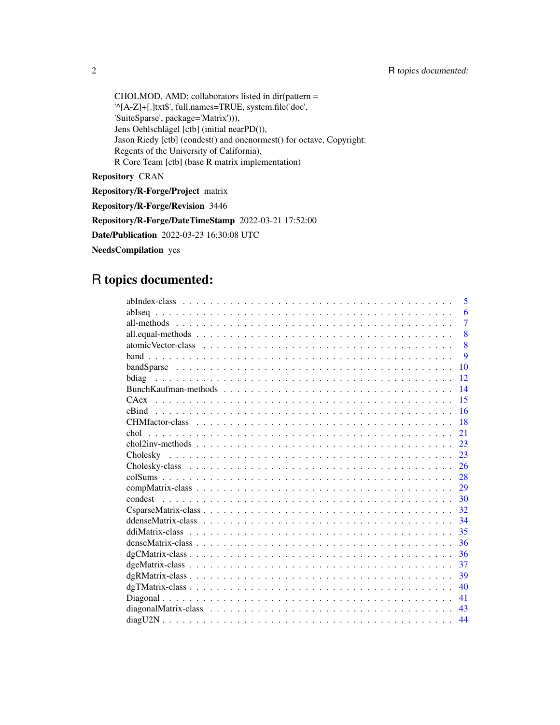CHOLMOD, AMD; collaborators listed in dir(pattern = '^[A-Z]+[.]txt\$', full.names=TRUE, system.file('doc', 'SuiteSparse', package='Matrix'))), Jens Oehlschlägel [ctb] (initial nearPD()), Jason Riedy [ctb] (condest() and onenormest() for octave, Copyright: Regents of the University of California), R Core Team [ctb] (base R matrix implementation)

Repository CRAN

Repository/R-Forge/Project matrix

Repository/R-Forge/Revision 3446

Repository/R-Forge/DateTimeStamp 2022-03-21 17:52:00

Date/Publication 2022-03-23 16:30:08 UTC

NeedsCompilation yes

# R topics documented:

| 5              |
|----------------|
| 6              |
| $\overline{7}$ |
| 8              |
| 8              |
| 9              |
| 10             |
| 12             |
| 14             |
| 15             |
| 16             |
| 18             |
| 21<br>chol     |
| 23             |
| 23             |
| 26             |
| 28             |
| 29             |
| 30             |
| 32             |
| 34             |
| 35             |
| 36             |
| 36             |
| 37             |
| 39             |
| 40             |
| 41             |
| 43             |
| 44             |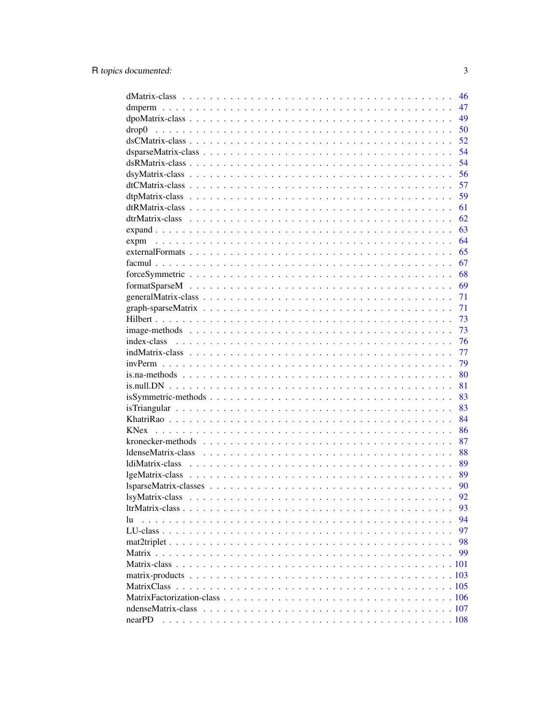|                                                                                                                  | 46 |
|------------------------------------------------------------------------------------------------------------------|----|
|                                                                                                                  | 47 |
|                                                                                                                  | 49 |
| drop0                                                                                                            | 50 |
|                                                                                                                  | 52 |
|                                                                                                                  | 54 |
|                                                                                                                  | 54 |
|                                                                                                                  | 56 |
|                                                                                                                  | 57 |
|                                                                                                                  | 59 |
|                                                                                                                  | 61 |
|                                                                                                                  | 62 |
|                                                                                                                  | 63 |
|                                                                                                                  | 64 |
|                                                                                                                  | 65 |
|                                                                                                                  | 67 |
|                                                                                                                  | 68 |
| $format SparseM \dots \dots \dots \dots \dots \dots \dots \dots \dots \dots \dots \dots \dots \dots \dots \dots$ | 69 |
|                                                                                                                  | 71 |
|                                                                                                                  | 71 |
|                                                                                                                  | 73 |
|                                                                                                                  | 73 |
|                                                                                                                  | 76 |
|                                                                                                                  | 77 |
|                                                                                                                  | 79 |
|                                                                                                                  | 80 |
|                                                                                                                  | 81 |
|                                                                                                                  | 83 |
|                                                                                                                  | 83 |
|                                                                                                                  | 84 |
|                                                                                                                  | 86 |
|                                                                                                                  | 87 |
|                                                                                                                  | 88 |
|                                                                                                                  | 89 |
|                                                                                                                  | 89 |
|                                                                                                                  | 90 |
|                                                                                                                  | 92 |
|                                                                                                                  | 93 |
| lu                                                                                                               | 94 |
|                                                                                                                  | 97 |
|                                                                                                                  | 98 |
|                                                                                                                  | 99 |
|                                                                                                                  |    |
|                                                                                                                  |    |
| matrix-products                                                                                                  |    |
| MatrixClass                                                                                                      |    |
|                                                                                                                  |    |
|                                                                                                                  |    |
| nearPD                                                                                                           |    |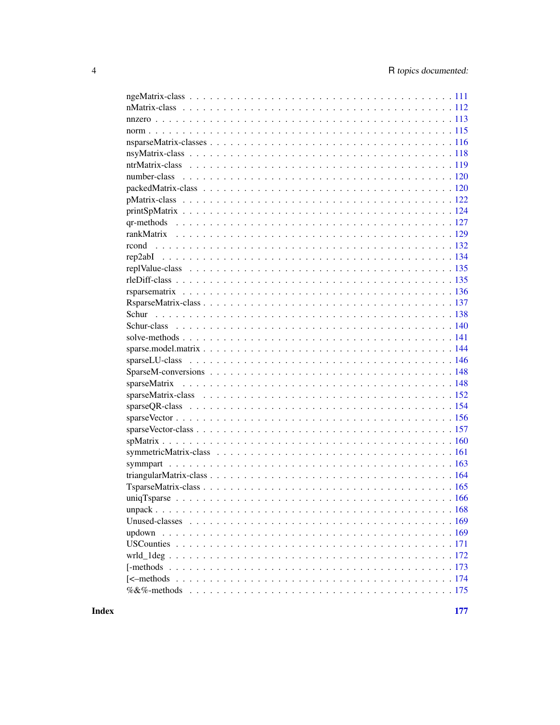| uniqTsparse |
|-------------|
|             |
|             |
|             |
|             |
|             |
|             |
|             |
|             |
|             |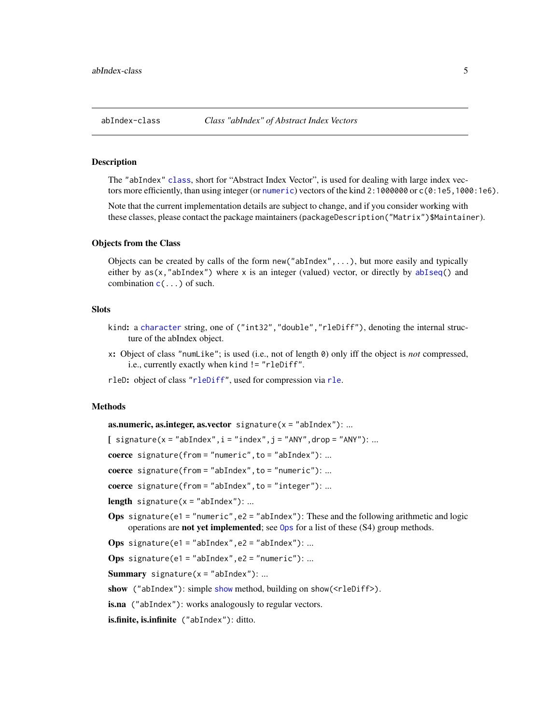<span id="page-4-1"></span><span id="page-4-0"></span>

### Description

The "abIndex" [class](#page-0-0), short for "Abstract Index Vector", is used for dealing with large index vectors more efficiently, than using integer (or [numeric](#page-0-0)) vectors of the kind 2:1000000 or c(0:1e5,1000:1e6).

Note that the current implementation details are subject to change, and if you consider working with these classes, please contact the package maintainers (packageDescription("Matrix")\$Maintainer).

#### Objects from the Class

Objects can be created by calls of the form new("abIndex",...), but more easily and typically either by as(x,"abIndex") where x is an integer (valued) vector, or directly by [abIseq\(](#page-5-1)) and combination  $c(\ldots)$  $c(\ldots)$  of such.

#### **Slots**

- kind: a [character](#page-0-0) string, one of ("int32","double","rleDiff"), denoting the internal structure of the abIndex object.
- x: Object of class "numLike"; is used (i.e., not of length 0) only iff the object is *not* compressed, i.e., currently exactly when kind != "rleDiff".
- rleD: object of class ["rleDiff"](#page-134-1), used for compression via [rle](#page-0-0).

#### Methods

as.numeric, as.integer, as.vector signature( $x = "abIndex")$ : ...

 $\left[$  signature(x = "abIndex", i = "index", j = "ANY", drop = "ANY"): ...

coerce signature(from = "numeric", to = "abIndex"): ...

coerce signature(from = "abIndex", to = "numeric"): ...

coerce signature(from = "abIndex", to = "integer"): ...

**length** signature( $x = "abIndex")$ : ...

**Ops** signature(e1 = "numeric", e2 = "abIndex"): These and the following arithmetic and logic operations are not yet implemented; see [Ops](#page-0-0) for a list of these (S4) group methods.

Ops signature(e1 = "abIndex", e2 = "abIndex"): ...

Ops signature(e1 = "abIndex", e2 = "numeric"): ...

**Summary** signature( $x = "abIndex")$ : ...

[show](#page-0-0) ("abIndex"): simple show method, building on show(<rleDiff>).

is.na ("abIndex"): works analogously to regular vectors.

is.finite, is.infinite ("abIndex"): ditto.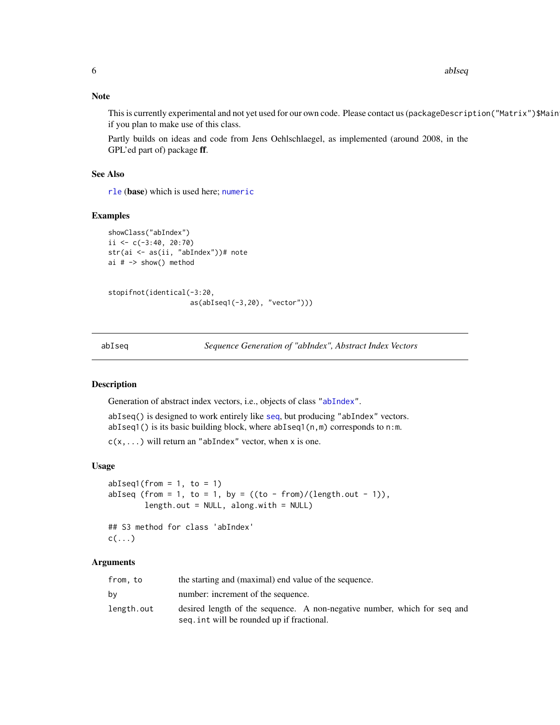6 abIseq and the contract of the contract of the contract of the contract of the contract of the contract of the contract of the contract of the contract of the contract of the contract of the contract of the contract of t

#### Note

This is currently experimental and not yet used for our own code. Please contact us (packageDescription("Matrix")\$Main if you plan to make use of this class.

Partly builds on ideas and code from Jens Oehlschlaegel, as implemented (around 2008, in the GPL'ed part of) package ff.

#### See Also

[rle](#page-0-0) (base) which is used here; [numeric](#page-0-0)

# Examples

```
showClass("abIndex")
ii <- c(-3:40, 20:70)
str(ai <- as(ii, "abIndex"))# note
ai # -> show() method
```

```
stopifnot(identical(-3:20,
                    as(abIseq1(-3,20), "vector")))
```
<span id="page-5-1"></span>abIseq *Sequence Generation of "abIndex", Abstract Index Vectors*

# Description

Generation of abstract index vectors, i.e., objects of class ["abIndex"](#page-4-1).

abIseq() is designed to work entirely like [seq](#page-0-0), but producing "abIndex" vectors. abIseq1() is its basic building block, where abIseq1(n,m) corresponds to n:m.

 $c(x,...)$  will return an "abIndex" vector, when x is one.

#### Usage

```
abIseq1(from = 1, to = 1)abIseq (from = 1, to = 1, by = ((to - from)/(length.out - 1)),length.out = NULL, along with = NULL)## S3 method for class 'abIndex'
c(\ldots)
```
#### Arguments

| from, to   | the starting and (maximal) end value of the sequence.                                                                  |
|------------|------------------------------------------------------------------------------------------------------------------------|
| bv         | number: increment of the sequence.                                                                                     |
| length.out | desired length of the sequence. A non-negative number, which for seq and<br>seq. int will be rounded up if fractional. |

<span id="page-5-0"></span>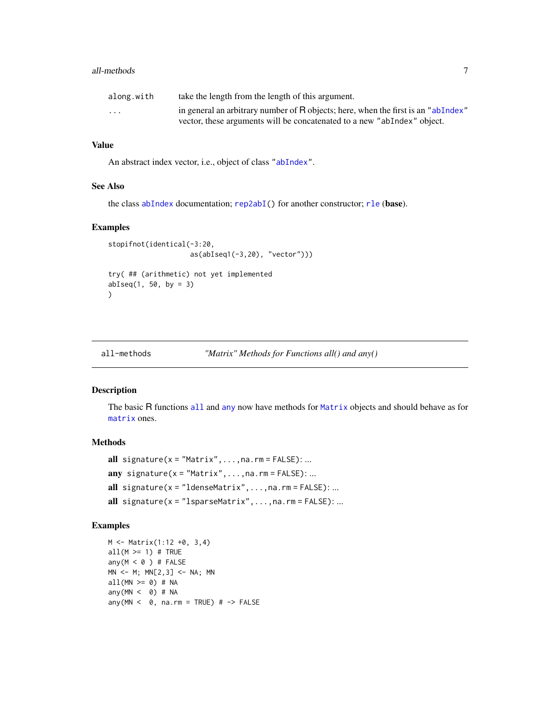#### <span id="page-6-0"></span>all-methods **7**

| along.with              | take the length from the length of this argument.                                 |
|-------------------------|-----------------------------------------------------------------------------------|
| $\cdot$ $\cdot$ $\cdot$ | in general an arbitrary number of R objects; here, when the first is an "abIndex" |
|                         | vector, these arguments will be concatenated to a new "abIndex" object.           |

# Value

An abstract index vector, i.e., object of class ["abIndex"](#page-4-1).

# See Also

the class [abIndex](#page-4-1) documentation; [rep2abI\(](#page-133-1)) for another constructor; [rle](#page-0-0) (base).

#### Examples

```
stopifnot(identical(-3:20,
                    as(abIseq1(-3,20), "vector")))
try( ## (arithmetic) not yet implemented
abIseq(1, 50, by = 3))
```
all-methods *"Matrix" Methods for Functions all() and any()*

#### Description

The basic R functions [all](#page-0-0) and [any](#page-0-0) now have methods for [Matrix](#page-100-1) objects and should behave as for [matrix](#page-0-0) ones.

# Methods

```
all signature(x = "Matrix", \ldots, na.\nrm = FALSE): ...any signature(x = "Matrix", \ldots, na. rm = FALSE): ...
all signature(x = "ldenseMatrix", \ldots, na, rm = FALSE): ...all signature(x ="lsparseMatrix",...,na.rm = FALSE):...
```

```
M <- Matrix(1:12 +0, 3,4)
all(M \geq 1) # TRUE
any(M < 0) # FALSE
MN <- M; MN[2,3] <- NA; MN
all(MN >= 0) # NA
any(MN < 0) # NA
any(MN < \theta, na.rm = TRUE) # -> FALSE
```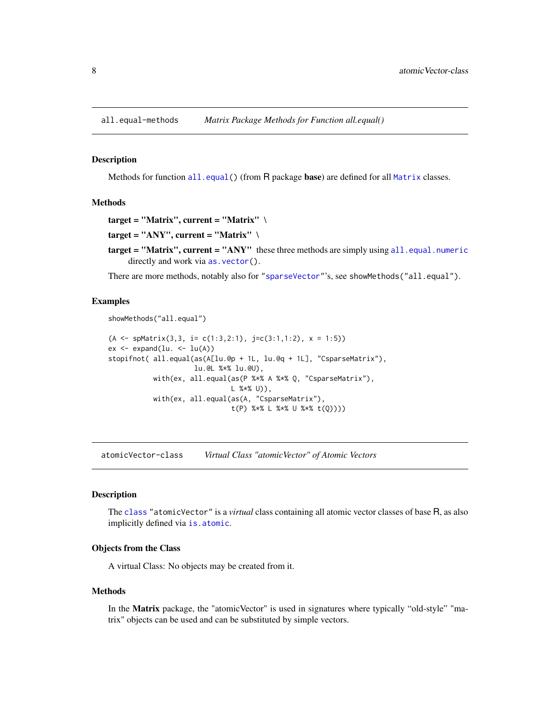<span id="page-7-0"></span>all.equal-methods *Matrix Package Methods for Function all.equal()*

# Description

Methods for function [all.equal\(](#page-0-0)) (from R package base) are defined for all [Matrix](#page-100-1) classes.

#### Methods

```
target = "Matrix", current = "Matrix" \setminus
```

```
target = "ANY", current = "Matrix" \setminus
```
target = "Matrix", current = "ANY" these three methods are simply using [all.equal.numeric](#page-0-0) directly and work via as. vector().

There are more methods, notably also for ["sparseVector"](#page-156-1)'s, see showMethods("all.equal").

#### Examples

showMethods("all.equal")

```
(A \leq spMatrix(3,3, i= c(1:3,2:1), j=c(3:1,1:2), x = 1:5))
ex < - expand(lu. <- lu(A))
stopifnot( all.equal(as(A[lu.@p + 1L, lu.@q + 1L], "CsparseMatrix"),
                     lu.@L %*% lu.@U),
           with(ex, all.equal(as(P %*% A %*% Q, "CsparseMatrix"),
                              L %*% U)),
           with(ex, all.equal(as(A, "CsparseMatrix"),
                              t(P) %*% L %*% U %*% t(Q))))
```
atomicVector-class *Virtual Class "atomicVector" of Atomic Vectors*

# **Description**

The [class](#page-0-0) "atomicVector" is a *virtual* class containing all atomic vector classes of base R, as also implicitly defined via [is.atomic](#page-0-0).

#### Objects from the Class

A virtual Class: No objects may be created from it.

#### Methods

In the Matrix package, the "atomicVector" is used in signatures where typically "old-style" "matrix" objects can be used and can be substituted by simple vectors.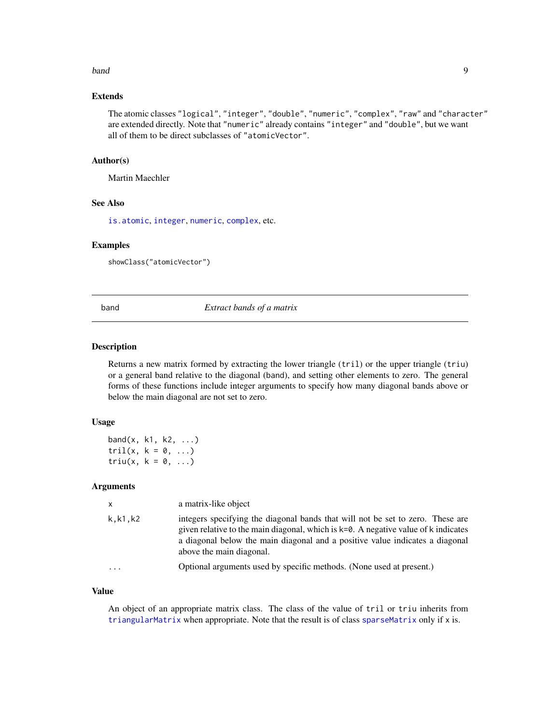#### <span id="page-8-0"></span>band 9 and 9 and 9 and 9 and 9 and 9 and 9 and 9 and 9 and 9 and 9 and 9 and 9 and 9 and 9 and 9 and 9 and 9 and 9 and 9 and 9 and 9 and 9 and 9 and 9 and 9 and 9 and 9 and 9 and 9 and 9 and 9 and 9 and 9 and 9 and 9 and 9

# Extends

The atomic classes "logical", "integer", "double", "numeric", "complex", "raw" and "character" are extended directly. Note that "numeric" already contains "integer" and "double", but we want all of them to be direct subclasses of "atomicVector".

# Author(s)

Martin Maechler

#### See Also

[is.atomic](#page-0-0), [integer](#page-0-0), [numeric](#page-0-0), [complex](#page-0-0), etc.

#### Examples

showClass("atomicVector")

<span id="page-8-1"></span>

band *Extract bands of a matrix*

#### Description

Returns a new matrix formed by extracting the lower triangle (tril) or the upper triangle (triu) or a general band relative to the diagonal (band), and setting other elements to zero. The general forms of these functions include integer arguments to specify how many diagonal bands above or below the main diagonal are not set to zero.

#### Usage

band $(x, k1, k2, \ldots)$ tril(x,  $k = 0, \ldots$ ) triu(x,  $k = 0, \ldots$ )

#### Arguments

| $\mathsf{x}$            | a matrix-like object                                                                                                                                                                                                                                                             |
|-------------------------|----------------------------------------------------------------------------------------------------------------------------------------------------------------------------------------------------------------------------------------------------------------------------------|
| k,k1,k2                 | integers specifying the diagonal bands that will not be set to zero. These are<br>given relative to the main diagonal, which is k=0. A negative value of k indicates<br>a diagonal below the main diagonal and a positive value indicates a diagonal<br>above the main diagonal. |
| $\cdot$ $\cdot$ $\cdot$ | Optional arguments used by specific methods. (None used at present.)                                                                                                                                                                                                             |

#### Value

An object of an appropriate matrix class. The class of the value of tril or triu inherits from [triangularMatrix](#page-163-1) when appropriate. Note that the result is of class [sparseMatrix](#page-151-1) only if x is.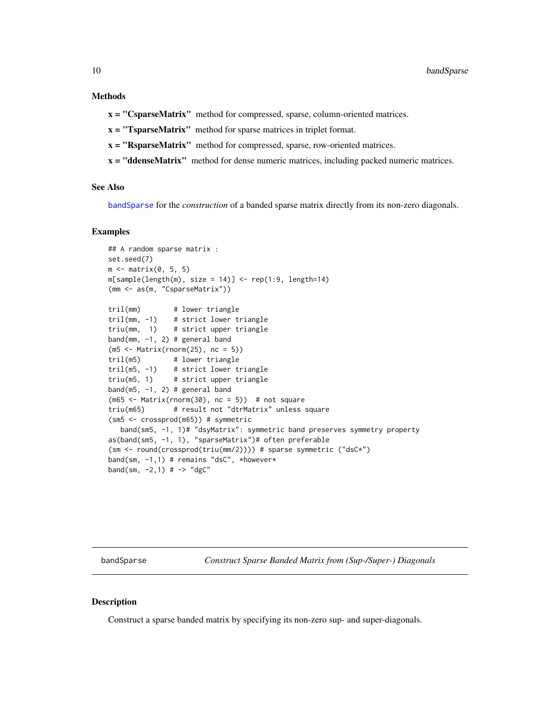# <span id="page-9-0"></span>Methods

x = "CsparseMatrix" method for compressed, sparse, column-oriented matrices.

x = "TsparseMatrix" method for sparse matrices in triplet format.

- x = "RsparseMatrix" method for compressed, sparse, row-oriented matrices.
- x = "ddenseMatrix" method for dense numeric matrices, including packed numeric matrices.

# See Also

[bandSparse](#page-9-1) for the *construction* of a banded sparse matrix directly from its non-zero diagonals.

#### Examples

```
## A random sparse matrix :
set.seed(7)
m \leftarrow matrix(0, 5, 5)m[sample(length(m), size = 14)] \leftarrow rep(1:9, length=14)(mm <- as(m, "CsparseMatrix"))
tril(mm) # lower triangle
tril(mm, -1) # strict lower triangle
triu(mm, 1) # strict upper triangle
band(mm, -1, 2) # general band
(m5 <- Matrix(rnorm(25), nc = 5))
tril(m5) # lower triangle
tril(m5, -1) # strict lower triangle
triu(m5, 1) # strict upper triangle
band(m5, -1, 2) # general band
(m65 < - Matrix(rnorm(30), nc = 5)) # not square
triu(m65) # result not "dtrMatrix" unless square
(sm5 <- crossprod(m65)) # symmetric
   band(sm5, -1, 1)# "dsyMatrix": symmetric band preserves symmetry property
as(band(sm5, -1, 1), "sparseMatrix")# often preferable
(sm <- round(crossprod(triu(mm/2)))) # sparse symmetric ("dsC*")
band(sm, -1,1) # remains "dsC", *however*
band(sm, -2, 1) # - \rightarrow "dgC"
```
<span id="page-9-1"></span>bandSparse *Construct Sparse Banded Matrix from (Sup-/Super-) Diagonals*

#### **Description**

Construct a sparse banded matrix by specifying its non-zero sup- and super-diagonals.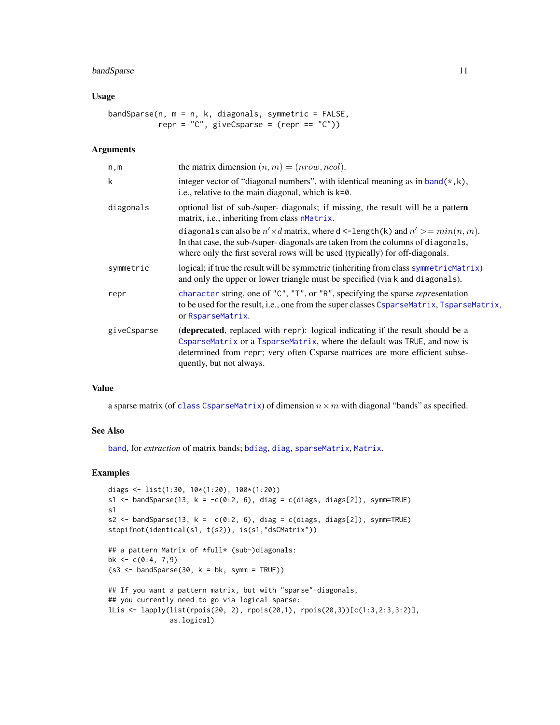# bandSparse 11

# Usage

```
bandSparse(n, m = n, k, diagonals, symmetric = FALSE,
          repr = "C", giveCsparse = (repr == "C"))
```
#### Arguments

| n,m         | the matrix dimension $(n, m) = (nrow, ncol)$ .                                                                                                                                                                                                                                                                                                                                                    |
|-------------|---------------------------------------------------------------------------------------------------------------------------------------------------------------------------------------------------------------------------------------------------------------------------------------------------------------------------------------------------------------------------------------------------|
| k           | integer vector of "diagonal numbers", with identical meaning as in $band(*, k)$ ,<br>i.e., relative to the main diagonal, which is k=0.                                                                                                                                                                                                                                                           |
| diagonals   | optional list of sub-/super- diagonals; if missing, the result will be a pattern<br>matrix, i.e., inheriting from class nMatrix.<br>diagonals can also be $n' \times d$ matrix, where d <-length(k) and $n' \geq min(n, m)$ .<br>In that case, the sub-/super-diagonals are taken from the columns of diagonals,<br>where only the first several rows will be used (typically) for off-diagonals. |
| symmetric   | logical; if true the result will be symmetric (inheriting from class symmetricMatrix)<br>and only the upper or lower triangle must be specified (via k and diagonals).                                                                                                                                                                                                                            |
| repr        | character string, one of "C", "T", or "R", specifying the sparse representation<br>to be used for the result, i.e., one from the super classes CsparseMatrix, TsparseMatrix,<br>or RsparseMatrix.                                                                                                                                                                                                 |
| giveCsparse | (deprecated, replaced with repr): logical indicating if the result should be a<br>CsparseMatrix or a TsparseMatrix, where the default was TRUE, and now is<br>determined from repr; very often Csparse matrices are more efficient subse-<br>quently, but not always.                                                                                                                             |

# Value

a sparse matrix (of [class](#page-0-0) [CsparseMatrix](#page-31-1)) of dimension  $n \times m$  with diagonal "bands" as specified.

# See Also

[band](#page-8-1), for *extraction* of matrix bands; [bdiag](#page-11-1), [diag](#page-0-0), [sparseMatrix](#page-147-1), [Matrix](#page-98-1).

```
diags <- list(1:30, 10*(1:20), 100*(1:20))
s1 <- bandSparse(13, k = -c(0:2, 6), diag = c(diags, diags[2]), symm=TRUE)
s1
s2 <- bandSparse(13, k = c(0:2, 6), diag = c(diags, diags[2]), symm=TRUE)
stopifnot(identical(s1, t(s2)), is(s1,"dsCMatrix"))
## a pattern Matrix of *full* (sub-)diagonals:
bk \leq c(0:4, 7, 9)(s3 \leq - bandSparse(30, k = bk, symm = TRUE))
## If you want a pattern matrix, but with "sparse"-diagonals,
## you currently need to go via logical sparse:
lLis <- lapply(list(rpois(20, 2), rpois(20,1), rpois(20,3))[c(1:3,2:3,3:2)],
               as.logical)
```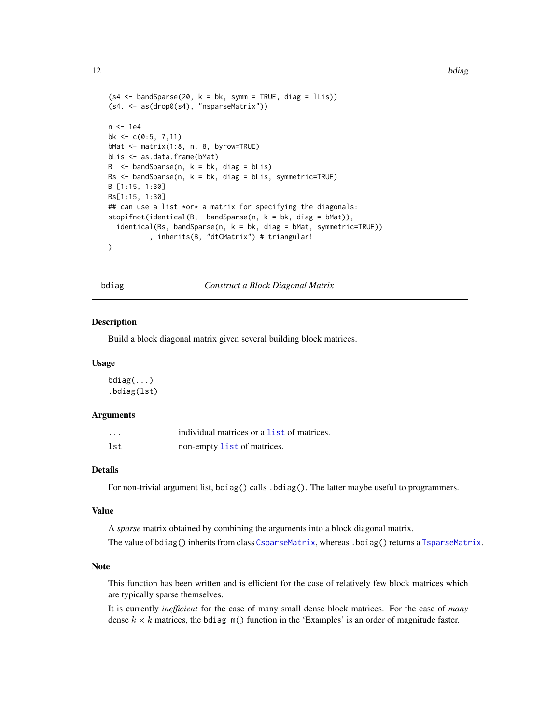```
(s4 \leq bandSparse(20, k = bk, symm = TRUE, diag = lLis))
(s4. <- as(drop0(s4), "nsparseMatrix"))
n < - 1e4bk \leq -c(0:5, 7, 11)bMat <- matrix(1:8, n, 8, byrow=TRUE)
bLis <- as.data.frame(bMat)
B \le - bandSparse(n, k = bk, diag = bLis)
Bs <- bandSparse(n, k = bk, diag = bLis, symmetric=TRUE)
B [1:15, 1:30]
Bs[1:15, 1:30]
## can use a list *or* a matrix for specifying the diagonals:
stopifnot(identical(B, bandSparse(n, k = bk, diag = bMat)),
  identical(Bs, bandSparse(n, k = bk, diag = bMat, symmetric=TRUE)), inherits(B, "dtCMatrix") # triangular!
)
```
bdiag *Construct a Block Diagonal Matrix*

#### Description

Build a block diagonal matrix given several building block matrices.

#### Usage

bdiag(...) .bdiag(lst)

# Arguments

| .   | individual matrices or a list of matrices. |
|-----|--------------------------------------------|
| lst | non-empty list of matrices.                |

# Details

For non-trivial argument list, bdiag() calls .bdiag(). The latter maybe useful to programmers.

#### Value

A *sparse* matrix obtained by combining the arguments into a block diagonal matrix.

The value of bdiag() inherits from class [CsparseMatrix](#page-31-1), whereas .bdiag() returns a [TsparseMatrix](#page-164-1).

# Note

This function has been written and is efficient for the case of relatively few block matrices which are typically sparse themselves.

It is currently *inefficient* for the case of many small dense block matrices. For the case of *many* dense  $k \times k$  matrices, the bdiag\_m() function in the 'Examples' is an order of magnitude faster.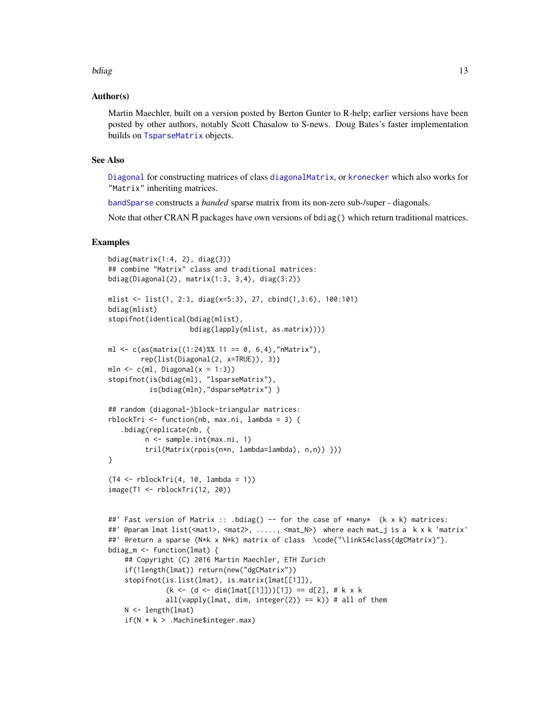#### bdiag and the state of the state of the state of the state of the state of the state of the state of the state of the state of the state of the state of the state of the state of the state of the state of the state of the

### Author(s)

Martin Maechler, built on a version posted by Berton Gunter to R-help; earlier versions have been posted by other authors, notably Scott Chasalow to S-news. Doug Bates's faster implementation builds on [TsparseMatrix](#page-164-1) objects.

# See Also

[Diagonal](#page-40-1) for constructing matrices of class [diagonalMatrix](#page-42-1), or [kronecker](#page-0-0) which also works for "Matrix" inheriting matrices.

[bandSparse](#page-9-1) constructs a *banded* sparse matrix from its non-zero sub-/super - diagonals.

Note that other CRAN R packages have own versions of bdiag() which return traditional matrices.

```
bdiag(matrix(1:4, 2), diag(3))
## combine "Matrix" class and traditional matrices:
bdiag(Diagonal(2), matrix(1:3, 3,4), diag(3:2))
mlist <- list(1, 2:3, diag(x=5:3), 27, cbind(1,3:6), 100:101)
bdiag(mlist)
stopifnot(identical(bdiag(mlist),
                    bdiag(lapply(mlist, as.matrix))))
ml \leq c(as(matrix((1:24)%% 11 == 0, 6,4),"nMatrix"),
        rep(list(Diagonal(2, x=TRUE)), 3))
mln \leq c(ml, Diagonal(x = 1:3))
stopifnot(is(bdiag(ml), "lsparseMatrix"),
          is(bdiag(mln),"dsparseMatrix") )
## random (diagonal-)block-triangular matrices:
rblockTri \leq function(nb, max.ni, lambda = 3) {
   .bdiag(replicate(nb, {
         n <- sample.int(max.ni, 1)
         tril(Matrix(rpois(n*n, lambda=lambda), n,n)) }))
}
(T4 <- rblockTri(4, 10, lambda = 1))
image(T1 <- rblockTri(12, 20))
##' Fast version of Matrix :: .bdiag() -- for the case of *many* (k x k) matrices:
##' @param lmat list(<mat1>, <mat2>, ....., <mat_N>) where each mat_j is a k x k 'matrix'
##' @return a sparse (N*k x N*k) matrix of class \code{"\linkS4class{dgCMatrix}"}.
bdiag_m <- function(lmat) {
    ## Copyright (C) 2016 Martin Maechler, ETH Zurich
    if(!length(lmat)) return(new("dgCMatrix"))
    stopifnot(is.list(lmat), is.matrix(lmat[[1]]),
              (k \le -(d \le dim(lmat[[1]]))[1]) == d[2], # k x kall(vapply(lmat, dim, integer(2)) == k)) # all of them
    N <- length(lmat)
    if(N * k > .Machine$integer.max)
```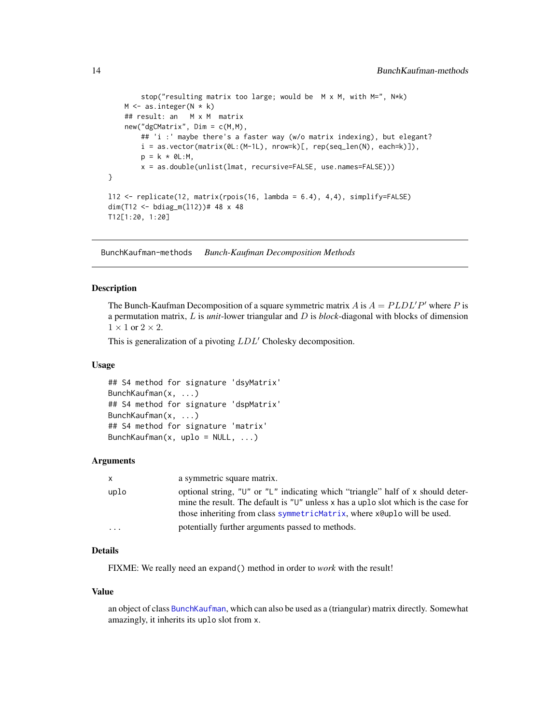```
stop("resulting matrix too large; would be M x M, with M=", N*k)
    M \leftarrow as.integer(N * k)## result: an M x M matrix
    new("dgCMatrix", Dim = c(M,M),
        ## 'i :' maybe there's a faster way (w/o matrix indexing), but elegant?
        i = as.vector(matrix(0L:(M-1L), nrow=k)[, rep(seq\_len(N), each=k)],
        p = k * 0L:M,
        x = as.double(unlist(lmat, recursive=FALSE, use.names=FALSE)))
}
l12 <- replicate(12, matrix(rpois(16, lambda = 6.4), 4,4), simplify=FALSE)
dim(T12 <- bdiag_m(l12))# 48 x 48
T12[1:20, 1:20]
```
BunchKaufman-methods *Bunch-Kaufman Decomposition Methods*

#### <span id="page-13-1"></span>**Description**

The Bunch-Kaufman Decomposition of a square symmetric matrix A is  $A = PLDL'P'$  where P is a permutation matrix, L is *unit*-lower triangular and D is *block*-diagonal with blocks of dimension  $1 \times 1$  or  $2 \times 2$ .

This is generalization of a pivoting  $LDL'$  Cholesky decomposition.

#### Usage

```
## S4 method for signature 'dsyMatrix'
BunchKaufman(x, ...)
## S4 method for signature 'dspMatrix'
BunchKaufman(x, ...)
## S4 method for signature 'matrix'
BunchKaufman(x, uplo = NULL, ...)
```
#### Arguments

| X    | a symmetric square matrix.                                                                                                                                                                                                                           |
|------|------------------------------------------------------------------------------------------------------------------------------------------------------------------------------------------------------------------------------------------------------|
| uplo | optional string, "U" or "L" indicating which "triangle" half of x should deter-<br>mine the result. The default is " $U$ " unless x has a uplo slot which is the case for<br>those inheriting from class symmetricMatrix, where xeuplo will be used. |
| .    | potentially further arguments passed to methods.                                                                                                                                                                                                     |

# Details

FIXME: We really need an expand() method in order to *work* with the result!

#### Value

an object of class [BunchKaufman](#page-25-1), which can also be used as a (triangular) matrix directly. Somewhat amazingly, it inherits its uplo slot from x.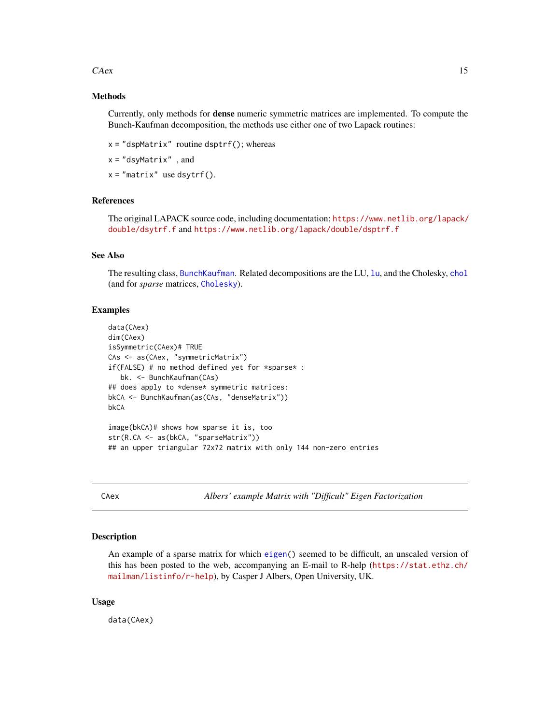#### <span id="page-14-0"></span> $CAex$  15

# Methods

Currently, only methods for dense numeric symmetric matrices are implemented. To compute the Bunch-Kaufman decomposition, the methods use either one of two Lapack routines:

 $x = "dspMatrix"$  routine dsptrf(); whereas

 $x = "dsyMatrix"$ , and

 $x = "matrix"$  use dsytrf().

# References

The original LAPACK source code, including documentation; [https://www.netlib.org/lapack/](https://www.netlib.org/lapack/double/dsytrf.f) [double/dsytrf.f](https://www.netlib.org/lapack/double/dsytrf.f) and <https://www.netlib.org/lapack/double/dsptrf.f>

### See Also

The resulting class, [BunchKaufman](#page-25-1). Related decompositions are the LU, [lu](#page-93-1), and the Cholesky, [chol](#page-20-1) (and for *sparse* matrices, [Cholesky](#page-22-1)).

#### Examples

```
data(CAex)
dim(CAex)
isSymmetric(CAex)# TRUE
CAs <- as(CAex, "symmetricMatrix")
if(FALSE) # no method defined yet for *sparse* :
  bk. <- BunchKaufman(CAs)
## does apply to *dense* symmetric matrices:
bkCA <- BunchKaufman(as(CAs, "denseMatrix"))
bkCA
image(bkCA)# shows how sparse it is, too
str(R.CA <- as(bkCA, "sparseMatrix"))
## an upper triangular 72x72 matrix with only 144 non-zero entries
```
CAex *Albers' example Matrix with "Difficult" Eigen Factorization*

#### Description

An example of a sparse matrix for which [eigen\(](#page-0-0)) seemed to be difficult, an unscaled version of this has been posted to the web, accompanying an E-mail to R-help ([https://stat.ethz.ch/](https://stat.ethz.ch/mailman/listinfo/r-help) [mailman/listinfo/r-help](https://stat.ethz.ch/mailman/listinfo/r-help)), by Casper J Albers, Open University, UK.

#### Usage

data(CAex)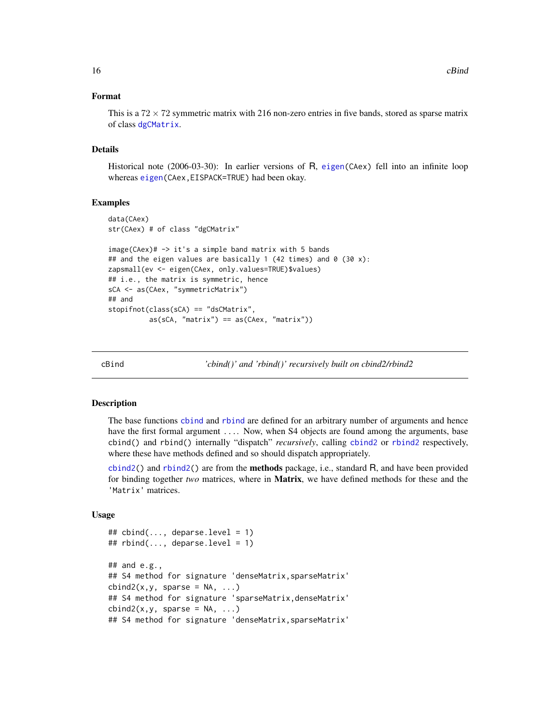# <span id="page-15-0"></span>Format

This is a  $72 \times 72$  symmetric matrix with 216 non-zero entries in five bands, stored as sparse matrix of class [dgCMatrix](#page-35-1).

#### Details

Historical note (2006-03-30): In earlier versions of R, [eigen\(](#page-0-0)CAex) fell into an infinite loop whereas [eigen\(](#page-0-0)CAex,EISPACK=TRUE) had been okay.

#### Examples

```
data(CAex)
str(CAex) # of class "dgCMatrix"
image(CAex)# \rightarrow it's a simple band matrix with 5 bands
## and the eigen values are basically 1 (42 times) and 0 (30 x):
zapsmall(ev <- eigen(CAex, only.values=TRUE)$values)
## i.e., the matrix is symmetric, hence
sCA <- as(CAex, "symmetricMatrix")
## and
stopifnot(class(sCA) == "dsCMatrix",
          as(sCA, "matrix") == as(CAex, "matrix"))
```
cBind *'cbind()' and 'rbind()' recursively built on cbind2/rbind2*

# Description

The base functions [cbind](#page-0-0) and [rbind](#page-0-0) are defined for an arbitrary number of arguments and hence have the first formal argument .... Now, when S4 objects are found among the arguments, base cbind() and rbind() internally "dispatch" *recursively*, calling [cbind2](#page-0-0) or [rbind2](#page-0-0) respectively, where these have methods defined and so should dispatch appropriately.

[cbind2\(](#page-0-0)) and [rbind2\(](#page-0-0)) are from the **methods** package, i.e., standard R, and have been provided for binding together *two* matrices, where in Matrix, we have defined methods for these and the 'Matrix' matrices.

#### Usage

```
## cbind(..., deparse.level = 1)## rbind(..., deparse. level = 1)\## and e.g.,
## S4 method for signature 'denseMatrix, sparseMatrix'
cbind2(x,y, sparse = NA, ...)## S4 method for signature 'sparseMatrix, denseMatrix'
cbind2(x,y, sparse = NA, ...)## S4 method for signature 'denseMatrix,sparseMatrix'
```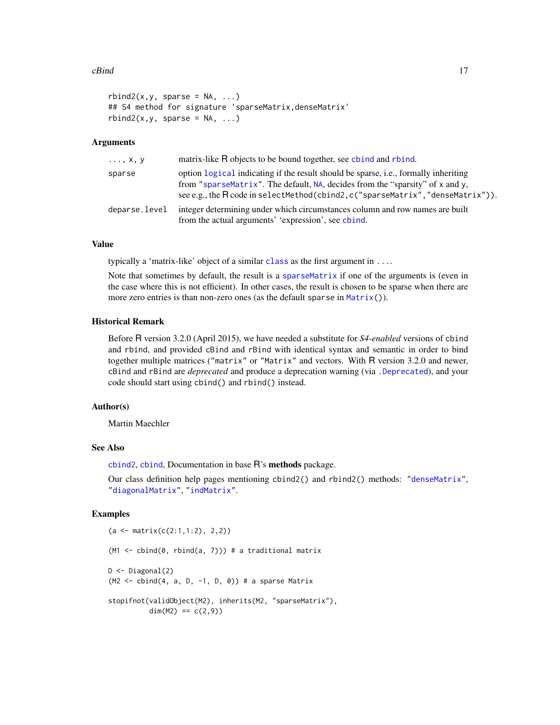#### $cBind$  17

```
rbind2(x, y, sparse = NA, ...)## S4 method for signature 'sparseMatrix, denseMatrix'
rbind2(x, y, sparse = NA, ...)
```
### Arguments

| $\ldots, x, y$ | matrix-like R objects to be bound together, see chind and rhind.                                                                                                                                                                                        |
|----------------|---------------------------------------------------------------------------------------------------------------------------------------------------------------------------------------------------------------------------------------------------------|
| sparse         | option logical indicating if the result should be sparse, i.e., formally inheriting<br>from "sparseMatrix". The default, NA, decides from the "sparsity" of x and y,<br>see e.g., the R code in selectMethod(cbind2, c("sparseMatrix", "denseMatrix")). |
| deparse.level  | integer determining under which circumstances column and row names are built<br>from the actual arguments' 'expression', see chind.                                                                                                                     |

### Value

typically a 'matrix-like' object of a similar [class](#page-0-0) as the first argument in  $\dots$ 

Note that sometimes by default, the result is a [sparseMatrix](#page-151-1) if one of the arguments is (even in the case where this is not efficient). In other cases, the result is chosen to be sparse when there are more zero entries is than non-zero ones (as the default sparse in [Matrix\(](#page-98-1))).

# Historical Remark

Before R version 3.2.0 (April 2015), we have needed a substitute for *S4-enabled* versions of cbind and rbind, and provided cBind and rBind with identical syntax and semantic in order to bind together multiple matrices ("matrix" or "Matrix" and vectors. With R version 3.2.0 and newer, cBind and rBind are *deprecated* and produce a deprecation warning (via [.Deprecated](#page-0-0)), and your code should start using cbind() and rbind() instead.

# Author(s)

Martin Maechler

# See Also

[cbind2](#page-0-0), [cbind](#page-0-0), Documentation in base R's methods package.

Our class definition help pages mentioning cbind2() and rbind2() methods: ["denseMatrix"](#page-35-2), ["diagonalMatrix"](#page-42-1), ["indMatrix"](#page-76-1).

```
(a <- matrix(c(2:1,1:2), 2,2))
(M1 \leq - \text{cbind}(0, \text{rbind}(a, 7))) # a traditional matrix
D \leftarrow Diagonal(2)(M2 \le - \text{cbind}(4, a, D, -1, D, \emptyset)) # a sparse Matrix
stopifnot(validObject(M2), inherits(M2, "sparseMatrix"),
           dim(M2) == c(2,9))
```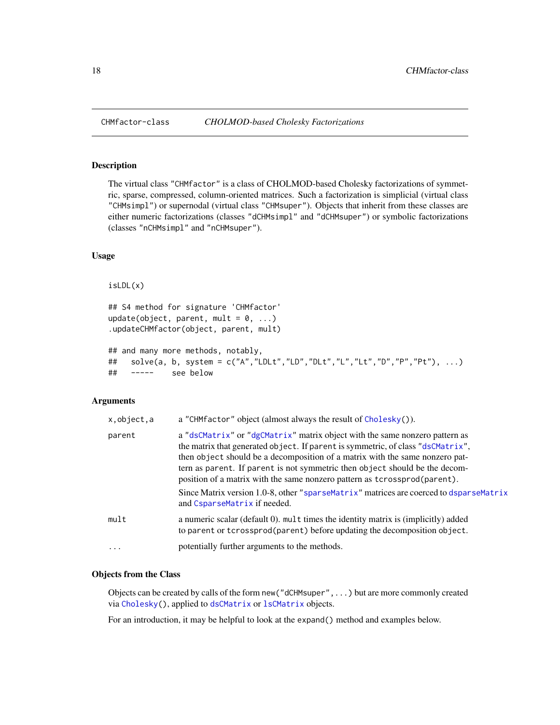# <span id="page-17-2"></span>Description

The virtual class "CHMfactor" is a class of CHOLMOD-based Cholesky factorizations of symmetric, sparse, compressed, column-oriented matrices. Such a factorization is simplicial (virtual class "CHMsimpl") or supernodal (virtual class "CHMsuper"). Objects that inherit from these classes are either numeric factorizations (classes "dCHMsimpl" and "dCHMsuper") or symbolic factorizations (classes "nCHMsimpl" and "nCHMsuper").

#### Usage

```
isLDL(x)
```

```
## S4 method for signature 'CHMfactor'
update(object, parent, mult = 0, ...)
.updateCHMfactor(object, parent, mult)
## and many more methods, notably,
```

```
## solve(a, b, system = c("A","LDLt","LD","DLt","L","Lt","D","P","Pt"), ...)
## ----- see below
```
#### Arguments

| x, object, a | a "CHMfactor" object (almost always the result of Cholesky()).                                                                                                                                                                                                                                                                                                                                             |
|--------------|------------------------------------------------------------------------------------------------------------------------------------------------------------------------------------------------------------------------------------------------------------------------------------------------------------------------------------------------------------------------------------------------------------|
| parent       | a "dsCMatrix" or "dgCMatrix" matrix object with the same nonzero pattern as<br>the matrix that generated object. If parent is symmetric, of class "dsCMatrix",<br>then object should be a decomposition of a matrix with the same nonzero pat-<br>tern as parent. If parent is not symmetric then object should be the decom-<br>position of a matrix with the same nonzero pattern as tcrossprod(parent). |
|              | Since Matrix version 1.0-8, other "sparseMatrix" matrices are coerced to dsparseMatrix<br>and CsparseMatrix if needed.                                                                                                                                                                                                                                                                                     |
| mult         | a numeric scalar (default 0), mult times the identity matrix is (implicitly) added<br>to parent or tcrossprod(parent) before updating the decomposition object.                                                                                                                                                                                                                                            |
| $\ddotsc$    | potentially further arguments to the methods.                                                                                                                                                                                                                                                                                                                                                              |

#### Objects from the Class

Objects can be created by calls of the form new("dCHMsuper",...) but are more commonly created via [Cholesky\(](#page-22-1)), applied to [dsCMatrix](#page-51-1) or [lsCMatrix](#page-89-1) objects.

For an introduction, it may be helpful to look at the expand() method and examples below.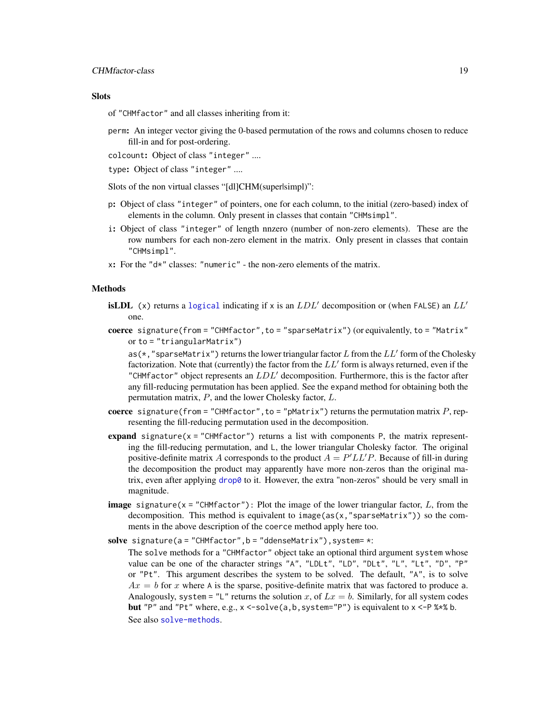# **Slots**

of "CHMfactor" and all classes inheriting from it:

perm: An integer vector giving the 0-based permutation of the rows and columns chosen to reduce fill-in and for post-ordering.

colcount: Object of class "integer" ....

type: Object of class "integer" ....

Slots of the non virtual classes "[dl]CHM(super|simpl)":

- p: Object of class "integer" of pointers, one for each column, to the initial (zero-based) index of elements in the column. Only present in classes that contain "CHMsimpl".
- i: Object of class "integer" of length nnzero (number of non-zero elements). These are the row numbers for each non-zero element in the matrix. Only present in classes that contain "CHMsimpl".
- x: For the "d\*" classes: "numeric" the non-zero elements of the matrix.

#### Methods

- **isLDL** (x) returns a [logical](#page-0-0) indicating if x is an  $LDL'$  decomposition or (when FALSE) an  $LL'$ one.
- coerce signature(from = "CHMfactor",to = "sparseMatrix") (or equivalently, to = "Matrix" or to = "triangularMatrix")

as(\*,"sparseMatrix") returns the lower triangular factor L from the  $LL'$  form of the Cholesky factorization. Note that (currently) the factor from the  $LL'$  form is always returned, even if the "CHMfactor" object represents an  $LDL'$  decomposition. Furthermore, this is the factor after any fill-reducing permutation has been applied. See the expand method for obtaining both the permutation matrix, P, and the lower Cholesky factor, L.

- coerce signature(from = "CHMfactor", to = "pMatrix") returns the permutation matrix  $P$ , representing the fill-reducing permutation used in the decomposition.
- expand signature( $x =$  "CHMfactor") returns a list with components P, the matrix representing the fill-reducing permutation, and L, the lower triangular Cholesky factor. The original positive-definite matrix A corresponds to the product  $A = P' L L' P$ . Because of fill-in during the decomposition the product may apparently have more non-zeros than the original matrix, even after applying [drop0](#page-49-1) to it. However, the extra "non-zeros" should be very small in magnitude.
- **image** signature( $x =$ "CHMfactor"): Plot the image of the lower triangular factor, L, from the decomposition. This method is equivalent to image( $as(x, "sparsematrix"))$ ) so the comments in the above description of the coerce method apply here too.
- solve signature( $a = "CHMfactor", b = "ddenseMatrix"), system = *:$ 
	- The solve methods for a "CHMfactor" object take an optional third argument system whose value can be one of the character strings "A", "LDLt", "LD", "DLt", "L", "Lt", "D", "P" or "Pt". This argument describes the system to be solved. The default, "A", is to solve  $Ax = b$  for x where A is the sparse, positive-definite matrix that was factored to produce a. Analogously, system = "L" returns the solution x, of  $Lx = b$ . Similarly, for all system codes but "P" and "Pt" where, e.g.,  $x < -solve(a, b, system='P")$  is equivalent to  $x < -P$ %\*% b. See also [solve-methods](#page-140-1).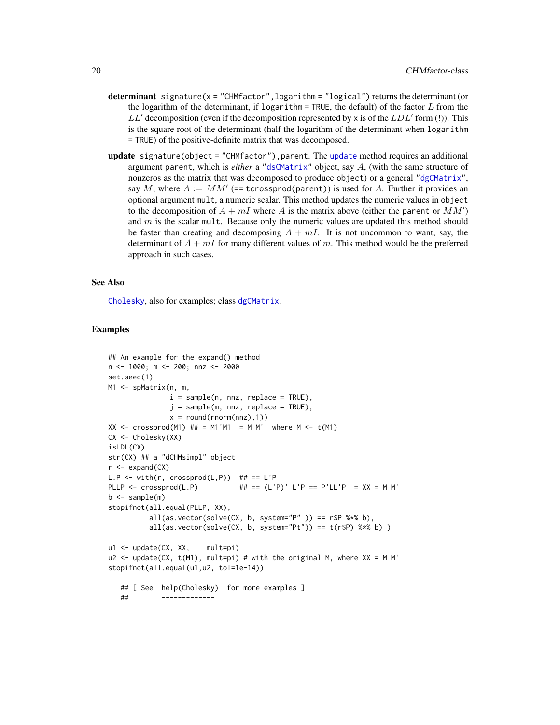- determinant signature( $x =$ "CHMfactor", logarithm = "logical") returns the determinant (or the logarithm of the determinant, if logarithm = TRUE, the default) of the factor  $L$  from the  $LL'$  decomposition (even if the decomposition represented by x is of the  $LDL'$  form (!)). This is the square root of the determinant (half the logarithm of the determinant when logarithm = TRUE) of the positive-definite matrix that was decomposed.
- [update](#page-0-0) signature(object = "CHMfactor"), parent. The update method requires an additional argument parent, which is *either* a ["dsCMatrix"](#page-51-1) object, say A, (with the same structure of nonzeros as the matrix that was decomposed to produce object) or a general ["dgCMatrix"](#page-35-1), say M, where  $A := MM'$  (== tcrossprod(parent)) is used for A. Further it provides an optional argument mult, a numeric scalar. This method updates the numeric values in object to the decomposition of  $A + mI$  where A is the matrix above (either the parent or  $MM'$ ) and  $m$  is the scalar mult. Because only the numeric values are updated this method should be faster than creating and decomposing  $A + mI$ . It is not uncommon to want, say, the determinant of  $A + mI$  for many different values of m. This method would be the preferred approach in such cases.

### See Also

[Cholesky](#page-22-1), also for examples; class [dgCMatrix](#page-35-1).

```
## An example for the expand() method
n <- 1000; m <- 200; nnz <- 2000
set.seed(1)
M1 <- spMatrix(n, m,
               i = sample(n, nnz, replace = TRUE),
               j = sample(m, nnz, replace = TRUE),x = round(rnorm(nnz),1))
XX \le crossprod(M1) ## = M1'M1 = M M' where M \le t(M1)
CX <- Cholesky(XX)
isLDL(CX)
str(CX) ## a "dCHMsimpl" object
r <- expand(CX)
L.P \leftarrow with(r, crossprod(L, P)) ## == L'PPLLP \leq crossprod(L.P) ## == (L'P)' L'P == P'LL'P = XX = M M'
b \leq - sample(m)
stopifnot(all.equal(PLLP, XX),
          all(as.vector(solve(CX, b, system="P" )) == r$P %*% b),
          all(as.vector(solve(CX, b, system="Pt")) == t(r$P) %*% b) )
u1 <- update(CX, XX, mult=pi)
u2 \leq update(CX, t(M1), mult=pi) # with the original M, where XX = M M'
stopifnot(all.equal(u1,u2, tol=1e-14))
   ## [ See help(Cholesky) for more examples ]
   ## -------------
```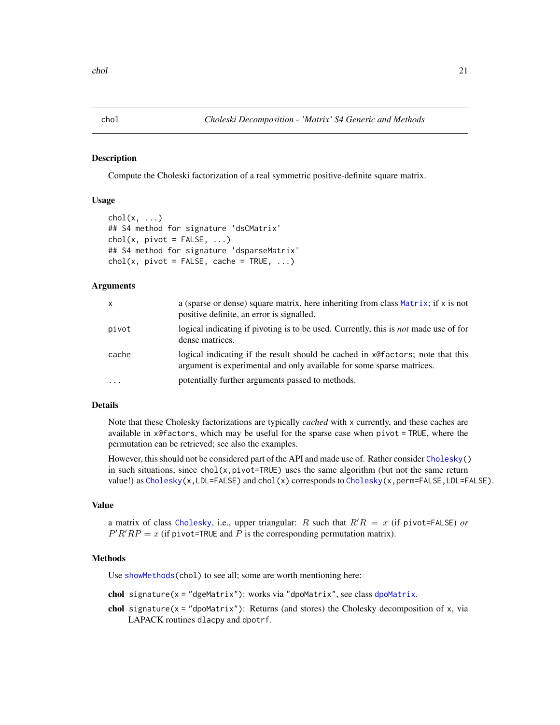#### <span id="page-20-1"></span><span id="page-20-0"></span>Description

Compute the Choleski factorization of a real symmetric positive-definite square matrix.

# Usage

```
chol(x, \ldots)## S4 method for signature 'dsCMatrix'
chol(x, pivot = FALSE, ...)## S4 method for signature 'dsparseMatrix'
chol(x, pivot = FALSE, cache = TRUE, ...)
```
# Arguments

| X         | a (sparse or dense) square matrix, here inheriting from class Matrix; if x is not<br>positive definite, an error is signalled.                          |
|-----------|---------------------------------------------------------------------------------------------------------------------------------------------------------|
| pivot     | logical indicating if pivoting is to be used. Currently, this is <i>not</i> made use of for<br>dense matrices.                                          |
| cache     | logical indicating if the result should be cached in x@factors; note that this<br>argument is experimental and only available for some sparse matrices. |
| $\ddotsc$ | potentially further arguments passed to methods.                                                                                                        |

# Details

Note that these Cholesky factorizations are typically *cached* with x currently, and these caches are available in x@factors, which may be useful for the sparse case when pivot = TRUE, where the permutation can be retrieved; see also the examples.

However, this should not be considered part of the API and made use of. Rather consider [Cholesky\(](#page-22-1)) in such situations, since  $\text{chol}(x, \text{pivot=TRUE})$  uses the same algorithm (but not the same return value!) as  $Cholesky(x, LDL=FALSE)$  $Cholesky(x, LDL=FALSE)$  and  $chol(x)$  corresponds to  $Cholesky(x,perm=FALSE, LDL=FALSE)$ .

# Value

a matrix of class [Cholesky](#page-25-2), i.e., upper triangular: R such that  $R'R = x$  (if pivot=FALSE) *or*  $P'R'RP = x$  (if pivot=TRUE and P is the corresponding permutation matrix).

# Methods

Use [showMethods\(](#page-0-0)chol) to see all; some are worth mentioning here:

chol signature( $x = "d$ geMatrix"): works via "[dpoMatrix](#page-48-1)", see class dpoMatrix.

chol signature( $x =$  "dpoMatrix"): Returns (and stores) the Cholesky decomposition of  $x$ , via LAPACK routines dlacpy and dpotrf.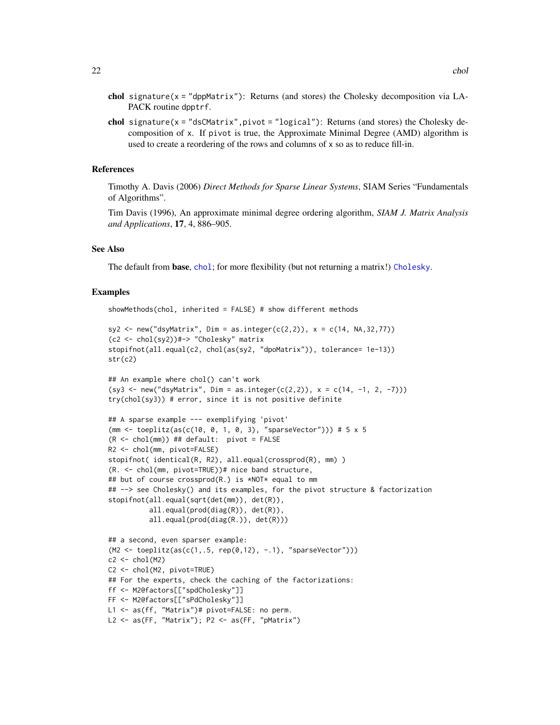- chol signature( $x =$ "dppMatrix"): Returns (and stores) the Cholesky decomposition via LA-PACK routine dpptrf.
- chol signature( $x =$ "dsCMatrix", pivot = "logical"): Returns (and stores) the Cholesky decomposition of x. If pivot is true, the Approximate Minimal Degree (AMD) algorithm is used to create a reordering of the rows and columns of x so as to reduce fill-in.

#### References

Timothy A. Davis (2006) *Direct Methods for Sparse Linear Systems*, SIAM Series "Fundamentals of Algorithms".

Tim Davis (1996), An approximate minimal degree ordering algorithm, *SIAM J. Matrix Analysis and Applications*, 17, 4, 886–905.

#### See Also

The default from base, [chol](#page-20-1); for more flexibility (but not returning a matrix!) [Cholesky](#page-22-1).

```
showMethods(chol, inherited = FALSE) # show different methods
```

```
sy2 \le - new('dsyMatrix', \text{Dim} = as.integer(c(2,2)), x = c(14, NA, 32, 77))(c2 <- chol(sy2))#-> "Cholesky" matrix
stopifnot(all.equal(c2, chol(as(sy2, "dpoMatrix")), tolerance= 1e-13))
str(c2)
```

```
## An example where chol() can't work
(sy3 \leq new("dsyMatrix", Dim = as.integer(c(2,2)), x = c(14, -1, 2, -7)))try(chol(sy3)) # error, since it is not positive definite
```

```
## A sparse example --- exemplifying 'pivot'
(mm <- toeplitz(as(c(10, 0, 1, 0, 3), "sparseVector"))) # 5 x 5
(R < - chol(mm)) ## default: pivot = FALSE
R2 <- chol(mm, pivot=FALSE)
stopifnot( identical(R, R2), all.equal(crossprod(R), mm) )
(R. <- chol(mm, pivot=TRUE))# nice band structure,
## but of course crossprod(R.) is *NOT* equal to mm
## --> see Cholesky() and its examples, for the pivot structure & factorization
stopifnot(all.equal(sqrt(det(mm)), det(R)),
          all.equal(prod(diag(R)), det(R)),
          all.equal(prod(diag(R.)), det(R)))
```

```
## a second, even sparser example:
(M2 \leq t \text{ceptitz}(as(c(1,.5, rep(0,12), -.1), "sparseVector"))c2 \leftarrow chol(M2)C2 <- chol(M2, pivot=TRUE)
## For the experts, check the caching of the factorizations:
ff <- M2@factors[["spdCholesky"]]
FF <- M2@factors[["sPdCholesky"]]
L1 <- as(ff, "Matrix")# pivot=FALSE: no perm.
L2 <- as(FF, "Matrix"); P2 <- as(FF, "pMatrix")
```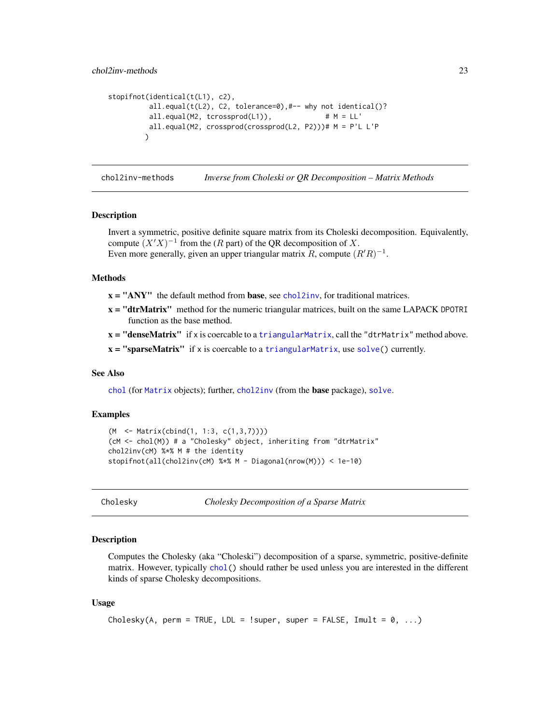```
stopifnot(identical(t(L1), c2),
         all.equal(t(L2), C2, tolerance=0),#-- why not identical()?
         all.equal(M2, tcrossprod(L1)), \# M = LL'all.equal(M2, crossprod(crossprod(L2, P2)))# M = P'L L'P
        )
```
chol2inv-methods *Inverse from Choleski or QR Decomposition – Matrix Methods*

# Description

Invert a symmetric, positive definite square matrix from its Choleski decomposition. Equivalently, compute  $(X'X)^{-1}$  from the (R part) of the QR decomposition of X. Even more generally, given an upper triangular matrix R, compute  $(R'R)^{-1}$ .

# Methods

- $x = "ANY"$  the default method from **base**, see [chol2inv](#page-0-0), for traditional matrices.
- $x = "dtrMatrix"$  method for the numeric triangular matrices, built on the same LAPACK DPOTRI function as the base method.
- $x = "denseMatrix"$  if x is coercable to a triangular Matrix, call the "dtrMatrix" method above.
- $x =$  "sparseMatrix" if x is coercable to a [triangularMatrix](#page-163-1), use [solve\(](#page-140-2)) currently.

# See Also

[chol](#page-20-1) (for [Matrix](#page-100-1) objects); further, [chol2inv](#page-0-0) (from the base package), [solve](#page-140-2).

# Examples

```
(M <- Matrix(cbind(1, 1:3, c(1,3,7))))
(cM <- chol(M)) # a "Cholesky" object, inheriting from "dtrMatrix"
chol2inv(cM) %*% M # the identity
stopifnot(all(chol2inv(cM) %*% M - Diagonal(nrow(M))) < 1e-10)
```
<span id="page-22-1"></span>Cholesky *Cholesky Decomposition of a Sparse Matrix*

#### Description

Computes the Cholesky (aka "Choleski") decomposition of a sparse, symmetric, positive-definite matrix. However, typically [chol\(](#page-20-1)) should rather be used unless you are interested in the different kinds of sparse Cholesky decompositions.

#### Usage

```
Cholesky(A, perm = TRUE, LDL = !super, super = FALSE, Imult = 0, ...)
```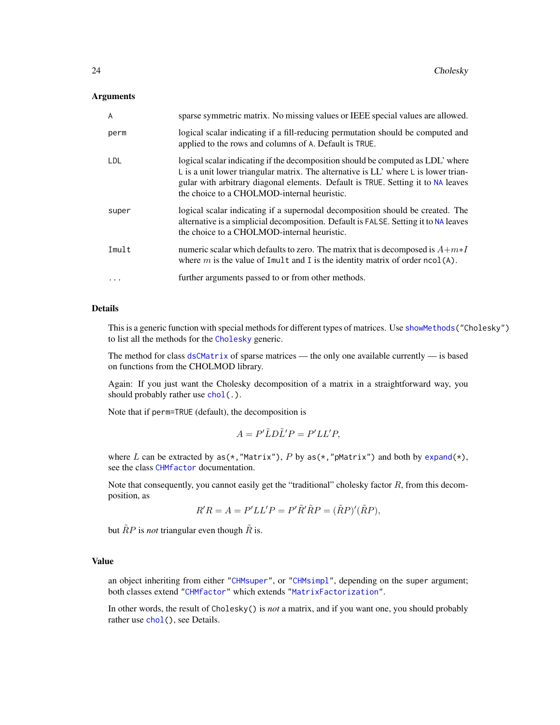#### **Arguments**

| A          | sparse symmetric matrix. No missing values or IEEE special values are allowed.                                                                                                                                                                                                                                                  |
|------------|---------------------------------------------------------------------------------------------------------------------------------------------------------------------------------------------------------------------------------------------------------------------------------------------------------------------------------|
| perm       | logical scalar indicating if a fill-reducing permutation should be computed and<br>applied to the rows and columns of A. Default is TRUE.                                                                                                                                                                                       |
| <b>LDL</b> | logical scalar indicating if the decomposition should be computed as LDL' where<br>$\mathsf{L}$ is a unit lower triangular matrix. The alternative is LL' where $\mathsf{L}$ is lower trian-<br>gular with arbitrary diagonal elements. Default is TRUE. Setting it to NA leaves<br>the choice to a CHOLMOD-internal heuristic. |
| super      | logical scalar indicating if a supernodal decomposition should be created. The<br>alternative is a simplicial decomposition. Default is FALSE. Setting it to NA leaves<br>the choice to a CHOLMOD-internal heuristic.                                                                                                           |
| Imult      | numeric scalar which defaults to zero. The matrix that is decomposed is $A+m*I$<br>where $m$ is the value of Imult and I is the identity matrix of order $ncol(A)$ .                                                                                                                                                            |
| $\ddots$ . | further arguments passed to or from other methods.                                                                                                                                                                                                                                                                              |

# Details

This is a generic function with special methods for different types of matrices. Use [showMethods\(](#page-0-0)"Cholesky") to list all the methods for the [Cholesky](#page-22-1) generic.

The method for class [dsCMatrix](#page-51-1) of sparse matrices — the only one available currently — is based on functions from the CHOLMOD library.

Again: If you just want the Cholesky decomposition of a matrix in a straightforward way, you should probably rather use [chol\(](#page-20-1).).

Note that if perm=TRUE (default), the decomposition is

$$
A = P'\tilde{L}D\tilde{L}'P = P'LL'P,
$$

where L can be extracted by  $as(*, "Matrix"), P$  by  $as(*, "pMatrix")$  and both by expand $(*),$ see the class [CHMfactor](#page-17-1) documentation.

Note that consequently, you cannot easily get the "traditional" cholesky factor  $R$ , from this decomposition, as

 $R'R = A = P'LL'P = P'\tilde{R}'\tilde{R}P = (\tilde{R}P)'(\tilde{R}P),$ 

but  $\tilde{R}P$  is *not* triangular even though  $\tilde{R}$  is.

# Value

an object inheriting from either ["CHMsuper"](#page-17-2), or ["CHMsimpl"](#page-17-2), depending on the super argument; both classes extend ["CHMfactor"](#page-17-1) which extends ["MatrixFactorization"](#page-105-1).

In other words, the result of Cholesky() is *not* a matrix, and if you want one, you should probably rather use [chol\(](#page-20-1)), see Details.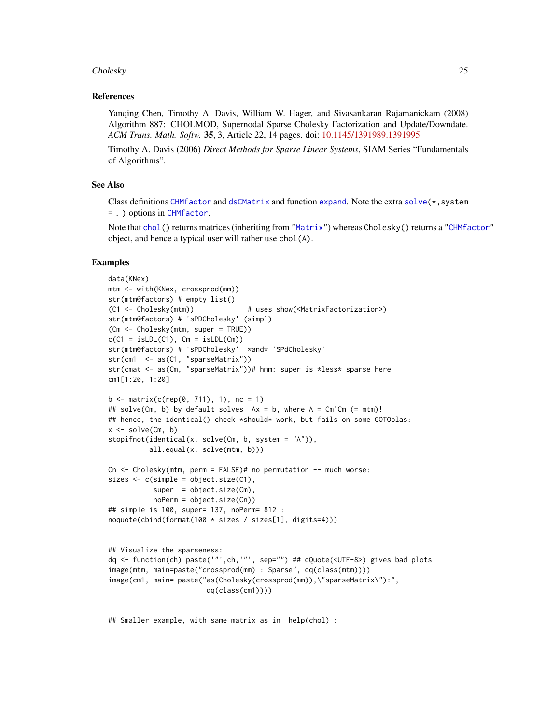#### Cholesky 25

### References

Yanqing Chen, Timothy A. Davis, William W. Hager, and Sivasankaran Rajamanickam (2008) Algorithm 887: CHOLMOD, Supernodal Sparse Cholesky Factorization and Update/Downdate. *ACM Trans. Math. Softw.* 35, 3, Article 22, 14 pages. doi: [10.1145/1391989.1391995](https://doi.org/10.1145/1391989.1391995)

Timothy A. Davis (2006) *Direct Methods for Sparse Linear Systems*, SIAM Series "Fundamentals of Algorithms".

# See Also

Class definitions [CHMfactor](#page-17-1) and [dsCMatrix](#page-51-1) and function [expand](#page-62-1). Note the extra solve $(*,$ system = . ) options in [CHMfactor](#page-17-1).

Note that [chol\(](#page-20-1)) returns matrices (inheriting from ["Matrix"](#page-100-1)) whereas Cholesky() returns a ["CHMfactor"](#page-17-1) object, and hence a typical user will rather use chol(A).

# Examples

```
data(KNex)
mtm <- with(KNex, crossprod(mm))
str(mtm@factors) # empty list()
(C1 <- Cholesky(mtm)) # uses show(<MatrixFactorization>)
str(mtm@factors) # 'sPDCholesky' (simpl)
(Cm <- Cholesky(mtm, super = TRUE))
c(C1 = isLDL(C1), Cm = isLDL(Cm))str(mtm@factors) # 'sPDCholesky' *and* 'SPdCholesky'
str(cm1 <- as(C1, "sparseMatrix"))
str(cmat <- as(Cm, "sparseMatrix"))# hmm: super is *less* sparse here
cm1[1:20, 1:20]
b \le matrix(c(rep(0, 711), 1), nc = 1)
## solve(Cm, b) by default solves Ax = b, where A = Cm'Cm (= mtm)!
## hence, the identical() check *should* work, but fails on some GOTOblas:
x \le -\text{solve}(Cm, b)stopifnot(identical(x, solve(Cm, b, system = "A")),
          all.equal(x, solve(mtm, b)))
Cn \leq Cholesky(mtm, perm = FALSE)# no permutation - much worse:
sizes \leq c(simple = object.size(C1),
           super = object.size(Cm),
           noPerm = object.size(Cn))
## simple is 100, super= 137, noPerm= 812 :
noquote(cbind(format(100 * sizes / sizes[1], digits=4)))
## Visualize the sparseness:
dq <- function(ch) paste('"',ch,'"', sep="") ## dQuote(<UTF-8>) gives bad plots
image(mtm, main=paste("crossprod(mm) : Sparse", dq(class(mtm))))
image(cm1, main= paste("as(Cholesky(crossprod(mm)),\"sparseMatrix\"):",
                        dq(class(cm1))))
```
## Smaller example, with same matrix as in help(chol) :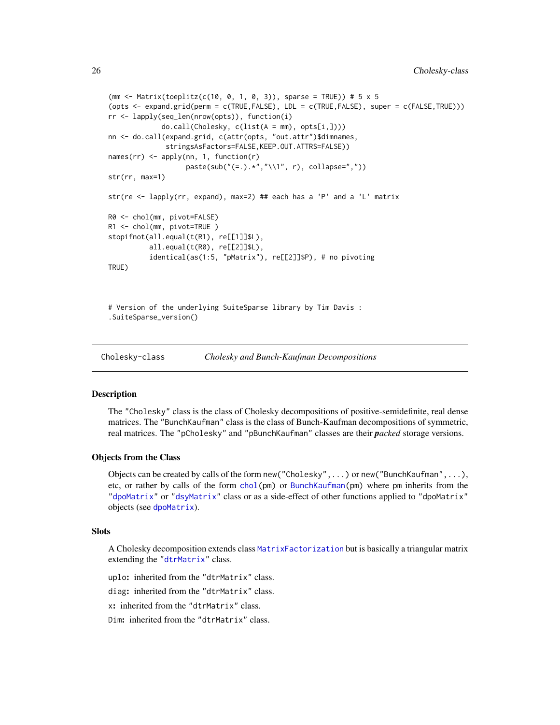```
(mm <- Matrix(toeplitz(c(10, 0, 1, 0, 3)), sparse = TRUE)) # 5 x 5
(opts <- expand.grid(perm = c(TRUE,FALSE), LDL = c(TRUE,FALSE), super = c(FALSE,TRUE)))
rr <- lapply(seq_len(nrow(opts)), function(i)
             do.call(Cholesky, c(list(A = mm), opts[i,])))
nn <- do.call(expand.grid, c(attr(opts, "out.attr")$dimnames,
              stringsAsFactors=FALSE,KEEP.OUT.ATTRS=FALSE))
names(rr) <- apply(nn, 1, function(r)
                   paste(sub("(=.).*","\\1", r), collapse=","))
str(rr, max=1)
str(re <- lapply(rr, expand), max=2) ## each has a 'P' and a 'L' matrix
R0 <- chol(mm, pivot=FALSE)
R1 <- chol(mm, pivot=TRUE )
stopifnot(all.equal(t(R1), re[[1]]$L),
          all.equal(t(R0), re[[2]]$L),
          identical(as(1:5, "pMatrix"), re[[2]]$P), # no pivoting
TRUE)
# Version of the underlying SuiteSparse library by Tim Davis :
```

```
.SuiteSparse_version()
```
<span id="page-25-2"></span>Cholesky-class *Cholesky and Bunch-Kaufman Decompositions*

#### <span id="page-25-1"></span>Description

The "Cholesky" class is the class of Cholesky decompositions of positive-semidefinite, real dense matrices. The "BunchKaufman" class is the class of Bunch-Kaufman decompositions of symmetric, real matrices. The "pCholesky" and "pBunchKaufman" classes are their *packed* storage versions.

#### Objects from the Class

Objects can be created by calls of the form new ("Cholesky", ...) or new ("BunchKaufman", ...), etc, or rather by calls of the form [chol\(](#page-20-1)pm) or [BunchKaufman\(](#page-13-1)pm) where pm inherits from the ["dpoMatrix"](#page-48-1) or ["dsyMatrix"](#page-55-1) class or as a side-effect of other functions applied to "dpoMatrix" objects (see [dpoMatrix](#page-48-1)).

#### **Slots**

A Cholesky decomposition extends class [MatrixFactorization](#page-105-1) but is basically a triangular matrix extending the ["dtrMatrix"](#page-61-1) class.

uplo: inherited from the "dtrMatrix" class.

diag: inherited from the "dtrMatrix" class.

x: inherited from the "dtrMatrix" class.

Dim: inherited from the "dtrMatrix" class.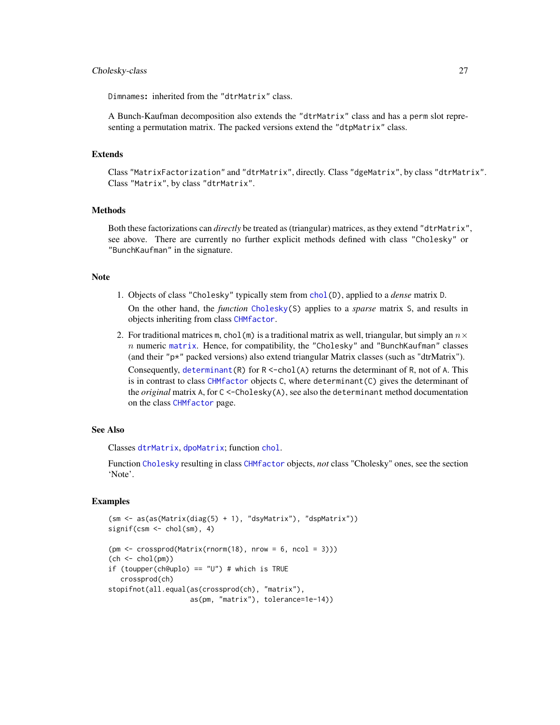#### Cholesky-class 27

Dimnames: inherited from the "dtrMatrix" class.

A Bunch-Kaufman decomposition also extends the "dtrMatrix" class and has a perm slot representing a permutation matrix. The packed versions extend the "dtpMatrix" class.

#### Extends

Class "MatrixFactorization" and "dtrMatrix", directly. Class "dgeMatrix", by class "dtrMatrix". Class "Matrix", by class "dtrMatrix".

# Methods

Both these factorizations can *directly* be treated as (triangular) matrices, as they extend "dtrMatrix", see above. There are currently no further explicit methods defined with class "Cholesky" or "BunchKaufman" in the signature.

# Note

- 1. Objects of class "Cholesky" typically stem from [chol\(](#page-20-1)D), applied to a *dense* matrix D. On the other hand, the *function* [Cholesky\(](#page-22-1)S) applies to a *sparse* matrix S, and results in objects inheriting from class [CHMfactor](#page-17-1).
- 2. For traditional matrices m, chol(m) is a traditional matrix as well, triangular, but simply an  $n \times$  $n$  numeric [matrix](#page-0-0). Hence, for compatibility, the "Cholesky" and "BunchKaufman" classes (and their "p\*" packed versions) also extend triangular Matrix classes (such as "dtrMatrix"). Consequently, [determinant\(](#page-0-0)R) for  $R < -$ chol(A) returns the determinant of R, not of A. This is in contrast to class [CHMfactor](#page-17-1) objects C, where determinant(C) gives the determinant of the *original* matrix A, for C <-Cholesky(A), see also the determinant method documentation on the class [CHMfactor](#page-17-1) page.

#### See Also

Classes [dtrMatrix](#page-61-1), [dpoMatrix](#page-48-1); function [chol](#page-20-1).

Function [Cholesky](#page-22-1) resulting in class [CHMfactor](#page-17-1) objects, *not* class "Cholesky" ones, see the section 'Note'.

```
(sm <- as(as(Matrix(diag(5) + 1), "dsyMatrix"), "dspMatrix"))
signif(csm <- chol(sm), 4)
(pm \leq c \text{rossprod}(\text{Matrix}(rnorm(18), nrow = 6, ncol = 3)))(ch \leftarrow chol(pm))if (toupper(ch@uplo) == "U") # which is TRUE
   crossprod(ch)
stopifnot(all.equal(as(crossprod(ch), "matrix"),
                     as(pm, "matrix"), tolerance=1e-14))
```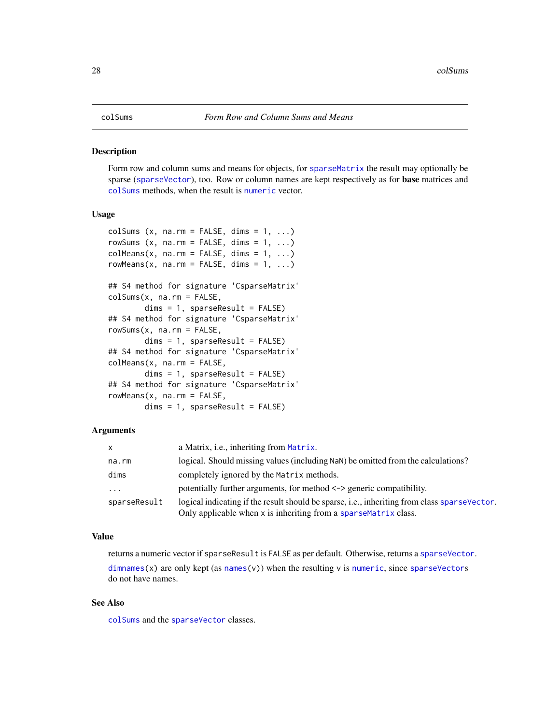#### <span id="page-27-1"></span><span id="page-27-0"></span>Description

Form row and column sums and means for objects, for [sparseMatrix](#page-151-1) the result may optionally be sparse ([sparseVector](#page-156-1)), too. Row or column names are kept respectively as for base matrices and [colSums](#page-27-1) methods, when the result is [numeric](#page-0-0) vector.

#### Usage

```
colSums (x, na.rm = FALSE, dims = 1, ...)rowSums (x, na.rm = FALSE, dims = 1, ...)colMeans(x, na.rm = FALSE, dims = 1, ...)rowMeans(x, na.rm = FALSE, dims = 1, ...)
## S4 method for signature 'CsparseMatrix'
colSums(x, na.rm = FALSE,
       dims = 1, sparseResult = FALSE)
## S4 method for signature 'CsparseMatrix'
rowSums(x, na.rm = FALSE,
       dims = 1, sparseResult = FALSE)
## S4 method for signature 'CsparseMatrix'
colMeans(x, na.rm = FALSE,
       dims = 1, sparseResult = FALSE)
## S4 method for signature 'CsparseMatrix'
rowMeans(x, na.rm = FALSE,
       dims = 1, sparseResult = FALSE)
```
# Arguments

| $\mathsf{x}$ | a Matrix, <i>i.e.</i> , inheriting from Matrix.                                                       |
|--------------|-------------------------------------------------------------------------------------------------------|
| na.rm        | logical. Should missing values (including NaN) be omitted from the calculations?                      |
| dims         | completely ignored by the Matrix methods.                                                             |
| $\cdot$      | potentially further arguments, for method $\le$ -> generic compatibility.                             |
| sparseResult | logical indicating if the result should be sparse, <i>i.e.</i> , inheriting from class sparse Vector. |
|              | Only applicable when x is inheriting from a sparseMatrix class.                                       |

#### Value

returns a numeric vector if sparseResult is FALSE as per default. Otherwise, returns a [sparseVector](#page-156-1).

 $dimnames(x)$  $dimnames(x)$  are only kept (as [names\(](#page-0-0)v)) when the resulting v is [numeric](#page-0-0), since [sparseVector](#page-155-1)s do not have names.

# See Also

[colSums](#page-27-1) and the [sparseVector](#page-156-1) classes.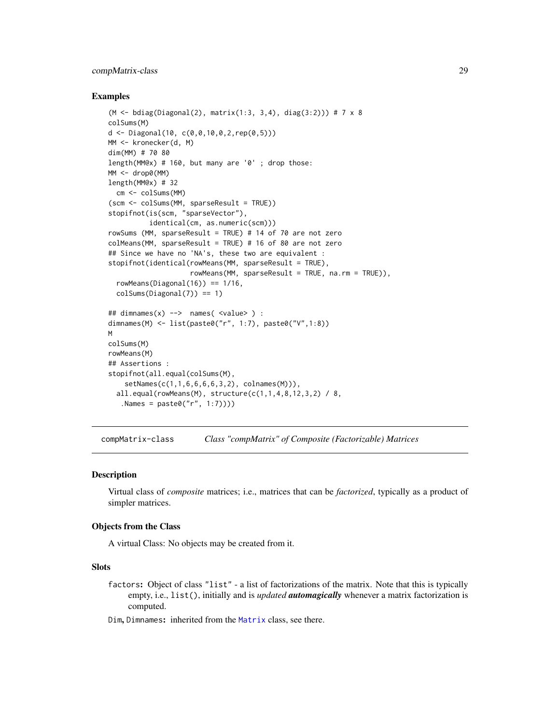# <span id="page-28-0"></span>compMatrix-class 29

#### Examples

```
(M <- bdiag(Diagonal(2), matrix(1:3, 3,4), diag(3:2))) # 7 x 8
colSums(M)
d \leq Diagonal(10, c(0, 0, 10, 0, 2, rep(0, 5)))MM <- kronecker(d, M)
dim(MM) # 70 80
length(MM@x) # 160, but many are '0' ; drop those:
MM <- drop0(MM)
length(MM@x) # 32
  cm <- colSums(MM)
(scm <- colSums(MM, sparseResult = TRUE))
stopifnot(is(scm, "sparseVector"),
          identical(cm, as.numeric(scm)))
rowSums (MM, sparseResult = TRUE) # 14 of 70 are not zero
colMeans(MM, sparseResult = TRUE) # 16 of 80 are not zero
## Since we have no 'NA's, these two are equivalent :
stopifnot(identical(rowMeans(MM, sparseResult = TRUE),
                    rowMeans(MM, sparseResult = TRUE, na.rm = TRUE)),
  rowMeans(Diagonal(16)) == 1/16,
  colSums(Diagonal(7)) == 1)
## dimnames(x) --> names( <value> ) :
dimnames(M) <- list(paste0("r", 1:7), paste0("V",1:8))
M
colSums(M)
rowMeans(M)
## Assertions :
stopifnot(all.equal(colSums(M),
    setNames(c(1,1,6,6,6,6,3,2), colnames(M))),
  all.equal(rowMeans(M), structure(c(1,1,4,8,12,3,2) / 8,
   .Names = paste0("r", 1:7))))
```
compMatrix-class *Class "compMatrix" of Composite (Factorizable) Matrices*

#### Description

Virtual class of *composite* matrices; i.e., matrices that can be *factorized*, typically as a product of simpler matrices.

#### Objects from the Class

A virtual Class: No objects may be created from it.

#### Slots

factors: Object of class "list" - a list of factorizations of the matrix. Note that this is typically empty, i.e., list(), initially and is *updated automagically* whenever a matrix factorization is computed.

Dim, Dimnames: inherited from the [Matrix](#page-100-1) class, see there.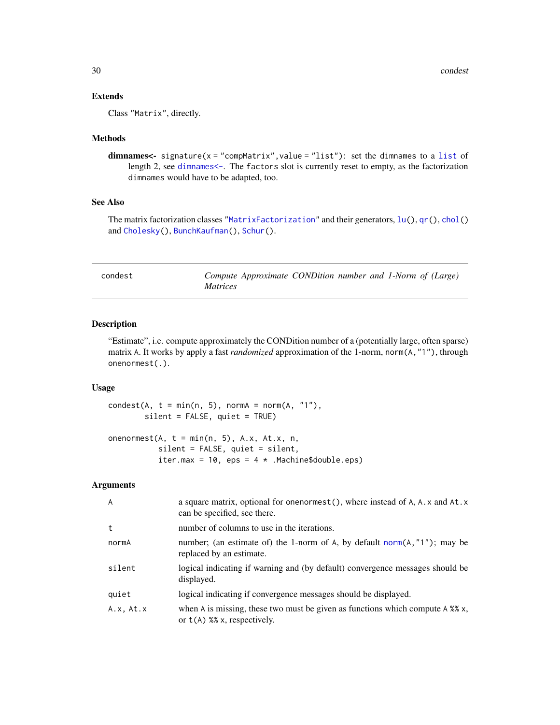# <span id="page-29-0"></span>Extends

Class "Matrix", directly.

# Methods

dimnames<- signature(x = "compMatrix",value = "list"): set the dimnames to a [list](#page-0-0) of length 2, see [dimnames<-](#page-0-0). The factors slot is currently reset to empty, as the factorization dimnames would have to be adapted, too.

# See Also

The matrix factorization classes ["MatrixFactorization"](#page-105-1) and their generators,  $lu()$  $lu()$ ,  $qr()$  $qr()$ ,  $chol()$  $chol()$ and [Cholesky\(](#page-22-1)), [BunchKaufman\(](#page-13-1)), [Schur\(](#page-137-1)).

<span id="page-29-1"></span>

| condest |                 | Compute Approximate CONDition number and 1-Norm of (Large) |  |  |  |
|---------|-----------------|------------------------------------------------------------|--|--|--|
|         | <i>Matrices</i> |                                                            |  |  |  |

# Description

"Estimate", i.e. compute approximately the CONDition number of a (potentially large, often sparse) matrix A. It works by apply a fast *randomized* approximation of the 1-norm, norm(A,"1"), through onenormest(.).

# Usage

 $condest(A, t = min(n, 5), normA = norm(A, "1"),$ silent = FALSE, quiet = TRUE)

onenormest( $A$ ,  $t = min(n, 5)$ ,  $A.x$ ,  $At.x$ ,  $n$ , silent = FALSE, quiet = silent, iter.max = 10, eps =  $4 *$  .Machine\$double.eps)

# Arguments

| $\overline{A}$ | a square matrix, optional for one normest (), where instead of A, A. x and At. x<br>can be specified, see there.          |
|----------------|---------------------------------------------------------------------------------------------------------------------------|
| t              | number of columns to use in the iterations.                                                                               |
| normA          | number; (an estimate of) the 1-norm of A, by default norm( $A$ , "1"); may be<br>replaced by an estimate.                 |
| silent         | logical indicating if warning and (by default) convergence messages should be<br>displayed.                               |
| quiet          | logical indicating if convergence messages should be displayed.                                                           |
| A.x, At.x      | when A is missing, these two must be given as functions which compute A $\frac{8}{3}$ x,<br>or $t(A)$ %% x, respectively. |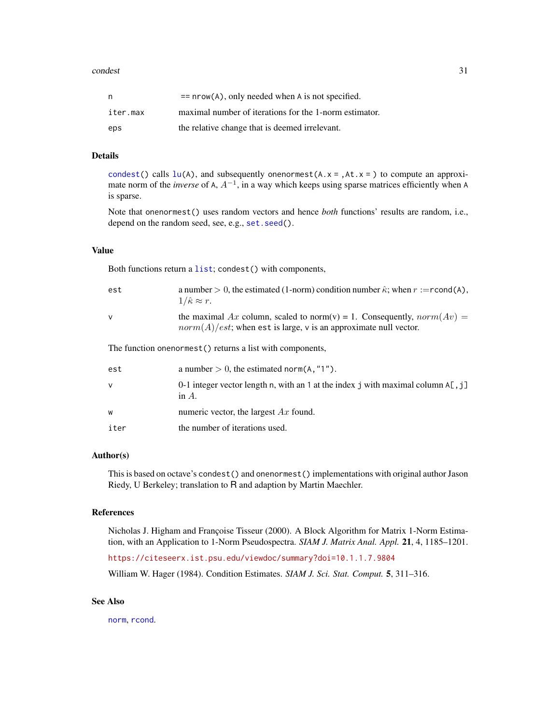| n        | $=$ nrow(A), only needed when A is not specified.      |
|----------|--------------------------------------------------------|
| iter.max | maximal number of iterations for the 1-norm estimator. |
| eps      | the relative change that is deemed irrelevant.         |

# Details

[condest\(](#page-29-1)) calls  $lu(A)$  $lu(A)$ , and subsequently onenormest( $A$ .  $x =$ , $At$ .  $x =$ ) to compute an approximate norm of the *inverse* of A, A−<sup>1</sup> , in a way which keeps using sparse matrices efficiently when A is sparse.

Note that onenormest() uses random vectors and hence *both* functions' results are random, i.e., depend on the random seed, see, e.g., set. seed().

#### Value

Both functions return a [list](#page-0-0); condest() with components,

| est    | a number > 0, the estimated (1-norm) condition number $\hat{\kappa}$ ; when $r := \text{rcond}(A)$ ,<br>$1/\hat{\kappa} \approx r$ .            |
|--------|-------------------------------------------------------------------------------------------------------------------------------------------------|
| $\vee$ | the maximal Ax column, scaled to norm(v) = 1. Consequently, $norm(Av)$ =<br>$norm(A)/est$ ; when est is large, v is an approximate null vector. |
|        | The function onenormest () returns a list with components,                                                                                      |
| est    | a number $> 0$ , the estimated norm(A, "1").                                                                                                    |
| $\vee$ | 0-1 integer vector length n, with an 1 at the index j with maximal column $A[, \exists$<br>in $A$ .                                             |
| W      | numeric vector, the largest $Ax$ found.                                                                                                         |

iter the number of iterations used.

#### Author(s)

This is based on octave's condest() and onenormest() implementations with original author Jason Riedy, U Berkeley; translation to R and adaption by Martin Maechler.

# References

Nicholas J. Higham and Françoise Tisseur (2000). A Block Algorithm for Matrix 1-Norm Estimation, with an Application to 1-Norm Pseudospectra. *SIAM J. Matrix Anal. Appl.* 21, 4, 1185–1201.

<https://citeseerx.ist.psu.edu/viewdoc/summary?doi=10.1.1.7.9804>

William W. Hager (1984). Condition Estimates. *SIAM J. Sci. Stat. Comput.* 5, 311–316.

#### See Also

[norm](#page-114-1), [rcond](#page-131-1).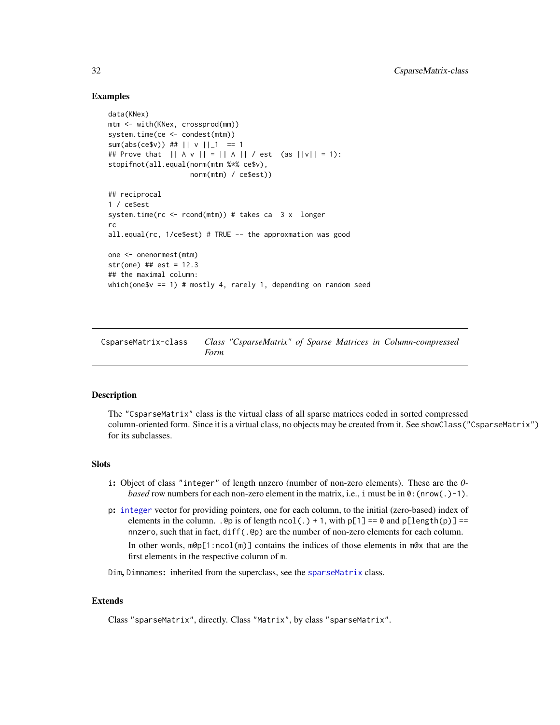# <span id="page-31-0"></span>Examples

```
data(KNex)
mtm <- with(KNex, crossprod(mm))
system.time(ce <- condest(mtm))
sum(abs(ce$v)) ## || v ||_1 = 1 == 1
## Prove that || A v || = || A || / est (as ||v|| = 1):stopifnot(all.equal(norm(mtm %*% ce$v),
                    norm(mtm) / ce$est))
## reciprocal
1 / ce$est
system.time(rc <- rcond(mtm)) # takes ca 3 x longer
rc
all.equal(rc, 1/ce$est) # TRUE -- the approxmation was good
one <- onenormest(mtm)
str(one) ## est = 12.3
## the maximal column:
which(one$v == 1) # mostly 4, rarely 1, depending on random seed
```
<span id="page-31-1"></span>CsparseMatrix-class *Class "CsparseMatrix" of Sparse Matrices in Column-compressed Form*

# Description

The "CsparseMatrix" class is the virtual class of all sparse matrices coded in sorted compressed column-oriented form. Since it is a virtual class, no objects may be created from it. See showClass("CsparseMatrix") for its subclasses.

#### **Slots**

- i: Object of class "integer" of length nnzero (number of non-zero elements). These are the *0 based* row numbers for each non-zero element in the matrix, i.e., i must be in  $0:$  (nrow(.)-1).
- p: [integer](#page-0-0) vector for providing pointers, one for each column, to the initial (zero-based) index of elements in the column. .@p is of length  $ncol(.) + 1$ , with  $p[1] == 0$  and  $p[length(p)] ==$ nnzero, such that in fact, diff(.@p) are the number of non-zero elements for each column. In other words,  $m\Theta_{\text{p}}[1\text{!} \text{ }n\text{!} \text{ }m]$  contains the indices of those elements in  $m\Theta_{\text{X}}$  that are the first elements in the respective column of m.
- Dim, Dimnames: inherited from the superclass, see the [sparseMatrix](#page-151-1) class.

#### Extends

Class "sparseMatrix", directly. Class "Matrix", by class "sparseMatrix".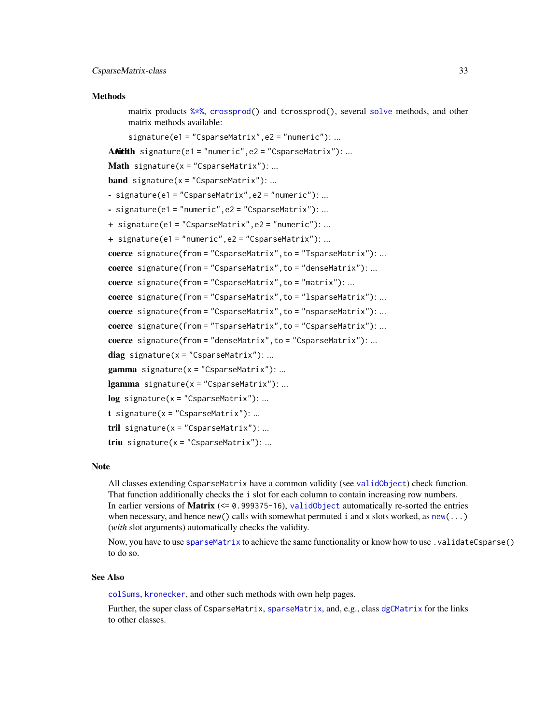#### **Methods**

matrix products [%\\*%](#page-102-1), [crossprod\(](#page-102-1)) and tcrossprod(), several [solve](#page-140-2) methods, and other matrix methods available:

signature(e1 = "CsparseMatrix",e2 = "numeric"): ...

A**Nith Signature(e1 = "numeric",e2 = "CsparseMatrix"):** ...

```
Math signature(x ="CsparseMatrix"): ...
```
**band** signature( $x =$ "CsparseMatrix"): ...

- signature(e1 = "CsparseMatrix",e2 = "numeric"): ...
- signature(e1 = "numeric",e2 = "CsparseMatrix"): ...
- + signature(e1 = "CsparseMatrix",e2 = "numeric"): ...

```
+ signature(e1 = "numeric",e2 = "CsparseMatrix"): ...
```

```
coerce signature(from = "CsparseMatrix",to = "TsparseMatrix"): ...
```

```
coerce signature(from = "CsparseMatrix",to = "denseMatrix"): ...
```

```
coerce signature(from = "CsparseMatrix",to = "matrix"): ...
```

```
coerce signature(from = "CsparseMatrix", to = "lsparseMatrix"): ...
```

```
coerce signature(from = "CsparseMatrix", to = "nsparseMatrix"): ...
```

```
coerce signature(from = "TsparseMatrix",to = "CsparseMatrix"): ...
```

```
coerce signature(from = "denseMatrix",to = "CsparseMatrix"): ...
```

```
diag signature(x = "CsparseMatrix"): ...
```
 $gamma$  signature( $x =$  "CsparseMatrix"): ...

**lgamma** signature( $x =$ "CsparseMatrix"): ...

 $log$  signature(x = "CsparseMatrix"): ...

```
t signature(x = "CsparseMatrix"): ...
```

```
tril signature(x ="CsparseMatrix"): ...
```
triu signature( $x =$  "CsparseMatrix"): ...

#### **Note**

All classes extending CsparseMatrix have a common validity (see [validObject](#page-0-0)) check function. That function additionally checks the i slot for each column to contain increasing row numbers. In earlier versions of **Matrix**  $(\leq 0.999375 - 16)$ , [validObject](#page-0-0) automatically re-sorted the entries when necessary, and hence [new\(](#page-0-0)) calls with somewhat permuted i and x slots worked, as new( $\dots$ ) (*with* slot arguments) automatically checks the validity.

Now, you have to use [sparseMatrix](#page-147-1) to achieve the same functionality or know how to use .validateCsparse() to do so.

#### See Also

[colSums](#page-27-1), [kronecker](#page-0-0), and other such methods with own help pages.

Further, the super class of C[sparseMatrix](#page-151-1), sparseMatrix, and, e.g., class [dgCMatrix](#page-35-1) for the links to other classes.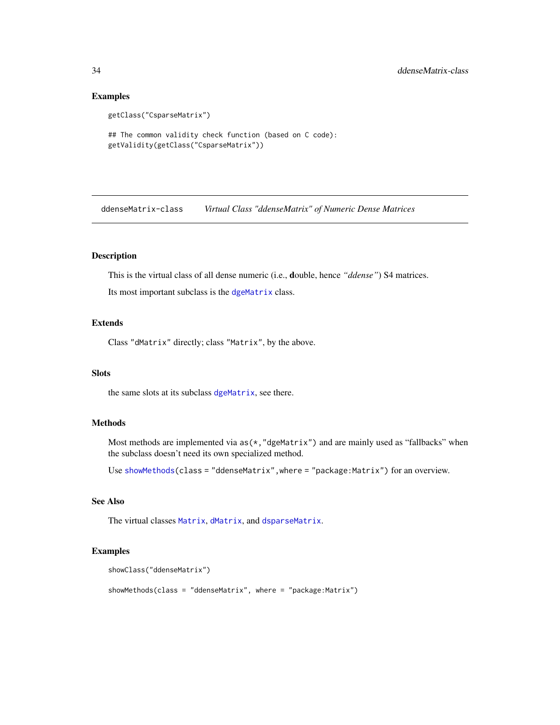# Examples

```
getClass("CsparseMatrix")
```

```
## The common validity check function (based on C code):
getValidity(getClass("CsparseMatrix"))
```
<span id="page-33-1"></span>ddenseMatrix-class *Virtual Class "ddenseMatrix" of Numeric Dense Matrices*

# Description

This is the virtual class of all dense numeric (i.e., double, hence *"ddense"*) S4 matrices.

Its most important subclass is the [dgeMatrix](#page-36-1) class.

# Extends

Class "dMatrix" directly; class "Matrix", by the above.

# Slots

the same slots at its subclass [dgeMatrix](#page-36-1), see there.

# Methods

Most methods are implemented via  $as(*, "dgeMatrix")$  and are mainly used as "fallbacks" when the subclass doesn't need its own specialized method.

Use [showMethods\(](#page-0-0)class = "ddenseMatrix",where = "package:Matrix") for an overview.

# See Also

The virtual classes [Matrix](#page-100-1), [dMatrix](#page-45-1), and [dsparseMatrix](#page-53-1).

```
showClass("ddenseMatrix")
showMethods(class = "ddenseMatrix", where = "package:Matrix")
```
<span id="page-33-0"></span>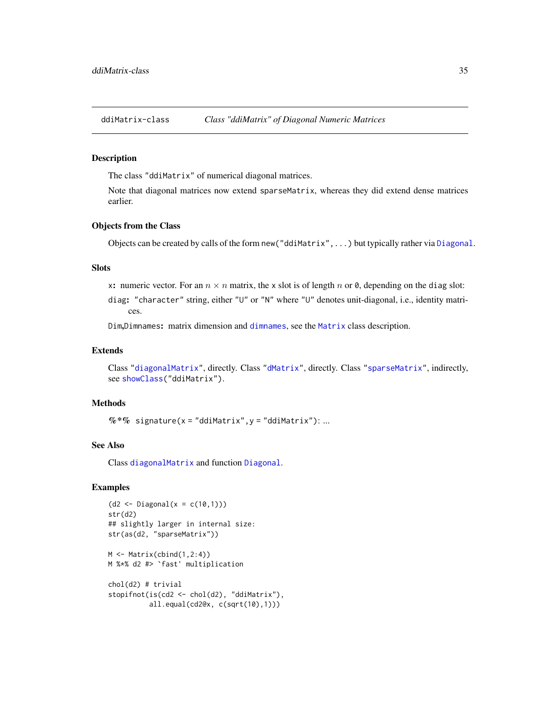<span id="page-34-0"></span>ddiMatrix-class *Class "ddiMatrix" of Diagonal Numeric Matrices*

#### **Description**

The class "ddiMatrix" of numerical diagonal matrices.

Note that diagonal matrices now extend sparseMatrix, whereas they did extend dense matrices earlier.

# Objects from the Class

Objects can be created by calls of the form new("ddiMatrix",...) but typically rather via [Diagonal](#page-40-1).

#### Slots

x: numeric vector. For an  $n \times n$  matrix, the x slot is of length n or 0, depending on the diag slot:

diag: "character" string, either "U" or "N" where "U" denotes unit-diagonal, i.e., identity matrices.

Dim,Dimnames: matrix dimension and [dimnames](#page-0-0), see the [Matrix](#page-100-1) class description.

#### Extends

Class ["diagonalMatrix"](#page-42-1), directly. Class ["dMatrix"](#page-45-1), directly. Class ["sparseMatrix"](#page-151-1), indirectly, see [showClass\(](#page-0-0)"ddiMatrix").

# Methods

 $%$  \*% signature(x = "ddiMatrix", y = "ddiMatrix"): ...

#### See Also

Class [diagonalMatrix](#page-42-1) and function [Diagonal](#page-40-1).

# Examples

```
(d2 \leq - \text{Diagonal}(x = c(10,1)))str(d2)
## slightly larger in internal size:
str(as(d2, "sparseMatrix"))
```
M <- Matrix(cbind(1,2:4)) M %\*% d2 #> `fast' multiplication

```
chol(d2) # trivial
stopifnot(is(cd2 <- chol(d2), "ddiMatrix"),
          all.equal(cd2@x, c(sqrt(10),1)))
```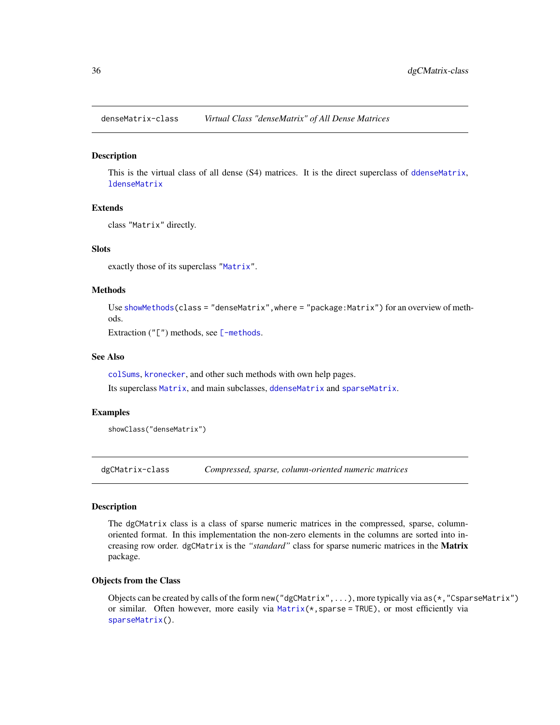<span id="page-35-2"></span><span id="page-35-0"></span>denseMatrix-class *Virtual Class "denseMatrix" of All Dense Matrices*

# **Description**

This is the virtual class of all dense (S4) matrices. It is the direct superclass of [ddenseMatrix](#page-33-1), **[ldenseMatrix](#page-87-1)** 

#### Extends

class "Matrix" directly.

#### **Slots**

exactly those of its superclass ["Matrix"](#page-100-1).

#### Methods

Use [showMethods\(](#page-0-0)class = "denseMatrix", where = "package:Matrix") for an overview of methods.

Extraction ("[") methods, see [\[-methods](#page-172-1).

# See Also

[colSums](#page-27-1), [kronecker](#page-0-0), and other such methods with own help pages.

Its superclass [Matrix](#page-100-1), and main subclasses, [ddenseMatrix](#page-33-1) and [sparseMatrix](#page-151-1).

# Examples

showClass("denseMatrix")

<span id="page-35-1"></span>dgCMatrix-class *Compressed, sparse, column-oriented numeric matrices*

# Description

The dgCMatrix class is a class of sparse numeric matrices in the compressed, sparse, columnoriented format. In this implementation the non-zero elements in the columns are sorted into increasing row order. dgCMatrix is the *"standard"* class for sparse numeric matrices in the Matrix package.

#### Objects from the Class

Objects can be created by calls of the form new("dgCMatrix",...), more typically via as(\*,"CsparseMatrix") or similar. Often however, more easily via [Matrix\(](#page-98-1)\*,sparse = TRUE), or most efficiently via [sparseMatrix\(](#page-147-1)).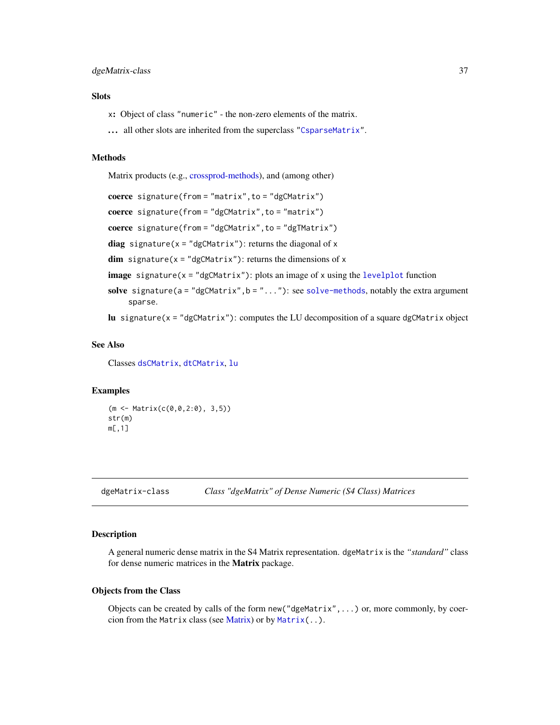# dgeMatrix-class 37

## **Slots**

- x: Object of class "numeric" the non-zero elements of the matrix.
- ... all other slots are inherited from the superclass ["CsparseMatrix"](#page-31-0).

## Methods

Matrix products (e.g., [crossprod-methods\)](#page-102-0), and (among other)

```
coerce signature(from = "matrix", to = "dgCMatrix")
coerce signature(from = "dgCMatrix", to = "matrix")
coerce signature(from = "dgCMatrix", to = "dgTMatrix")
diag signature(x = "dgCMatrix"): returns the diagonal of x
dim signature(x = "dgCMatrix"): returns the dimensions of x
image signature(x =levelplot function
solve signature(a = "dgCMatrix", b = ". . . . .solve-methods, notably the extra argument
    sparse.
```
lu signature( $x =$  "dgCMatrix"): computes the LU decomposition of a square dgCMatrix object

### See Also

Classes [dsCMatrix](#page-51-0), [dtCMatrix](#page-56-0), [lu](#page-93-0)

### Examples

```
(m <- Matrix(c(0,0,2:0), 3,5))
str(m)
m[,1]
```
<span id="page-36-0"></span>dgeMatrix-class *Class "dgeMatrix" of Dense Numeric (S4 Class) Matrices*

### Description

A general numeric dense matrix in the S4 Matrix representation. dgeMatrix is the *"standard"* class for dense numeric matrices in the Matrix package.

#### Objects from the Class

Objects can be created by calls of the form new("dgeMatrix",...) or, more commonly, by coercion from the Matrix class (see [Matrix\)](#page-100-0) or by [Matrix\(](#page-98-0)..).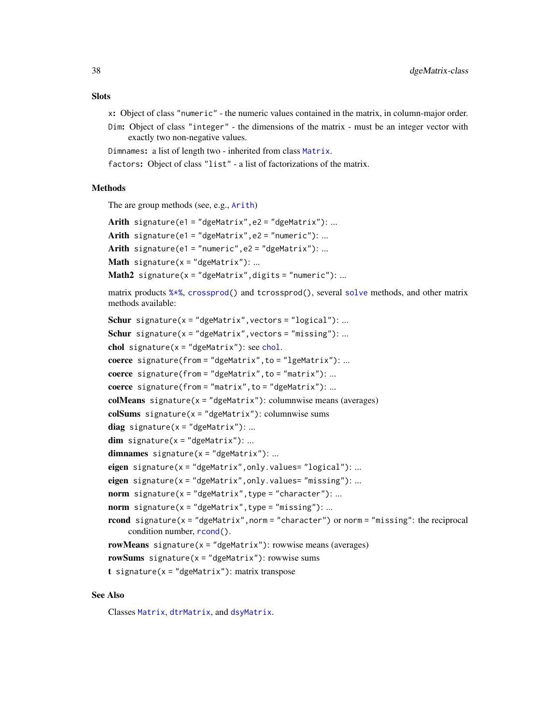# **Slots**

- x: Object of class "numeric" the numeric values contained in the matrix, in column-major order.
- Dim: Object of class "integer" the dimensions of the matrix must be an integer vector with exactly two non-negative values.
- Dimnames: a list of length two inherited from class [Matrix](#page-100-0).
- factors: Object of class "list" a list of factorizations of the matrix.

### Methods

The are group methods (see, e.g., [Arith](#page-0-0))

```
Arith signature(e1 = "dgeMatrix", e2 = "dgeMatrix"): ...
Arith signature(e1 = "dgeMatrix", e2 = "numeric"): ...
Arith signature(e1 = "numeric", e2 = "dgeMatrix"): ...
Math signature(x = "dgeMatrix"): ...
Math2 signature(x = "dgeMatrix",digits = "numeric"): ...
```
matrix products [%\\*%](#page-102-0), [crossprod\(](#page-102-0)) and tcrossprod(), several [solve](#page-140-1) methods, and other matrix methods available:

```
Schur signature(x = "dgeMatrix", vectors = "logical"): ...
Schur signature(x = "dgeMatrix", vectors = "missing"): ...
chol signature(x ="dgeMatrix"): see chol.
coerce signature(from = "dgeMatrix",to = "lgeMatrix"): ...
coerce signature(from = "dgeMatrix",to = "matrix"): ...
coerce signature(from = "matrix", to = "dgeMatrix"): ...
colMeans signature(x = "dgeMatrix"): columnwise means (averages)
colSums signature(x ="dgeMatrix"): columnwise sums
diag signature(x ="dgeMatrix"): ...
dim signature(x = "dgeMatrix"): ...
dimnames signature(x = "dgeMatrix"): ...
eigen signature(x = "dgeMatrix", only.values= "logical"): ...
eigen signature(x = "dgeMatrix", only.values= "missing"): ...
norm signature(x = "dgeMatrix", type = "character"): ...
norm signature(x ="dgeMatrix",type = "missing"): ...
rcond signature(x = "dgeMatrix", norm = "character") or norm = "missing": the reciprocal
    condition number, rcond().
rowMeans signature(x = "dgematrix"): rowwise means (averages)
rowSums signature(x = "dgeMatrix"): rowwise sums
t signature(x = "dgeMatrix"): matrix transpose
```
#### See Also

Classes [Matrix](#page-100-0), [dtrMatrix](#page-61-0), and [dsyMatrix](#page-55-0).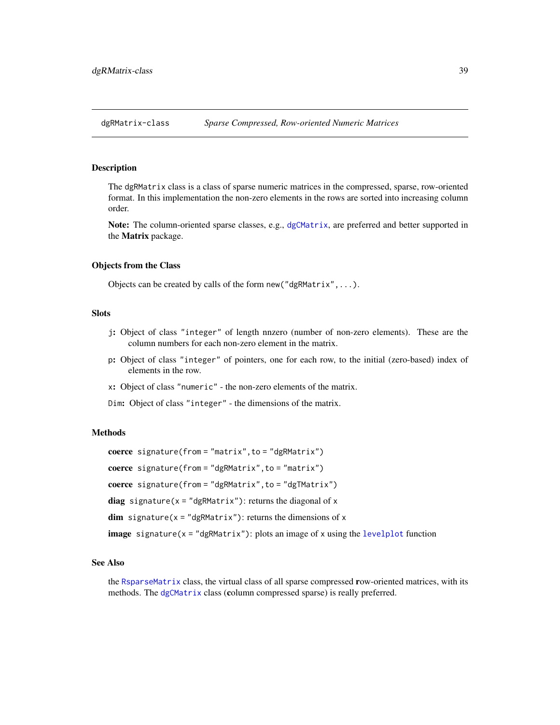<span id="page-38-0"></span>dgRMatrix-class *Sparse Compressed, Row-oriented Numeric Matrices*

#### Description

The dgRMatrix class is a class of sparse numeric matrices in the compressed, sparse, row-oriented format. In this implementation the non-zero elements in the rows are sorted into increasing column order.

Note: The column-oriented sparse classes, e.g., [dgCMatrix](#page-35-0), are preferred and better supported in the Matrix package.

#### Objects from the Class

Objects can be created by calls of the form new("dgRMatrix",...).

### Slots

- j: Object of class "integer" of length nnzero (number of non-zero elements). These are the column numbers for each non-zero element in the matrix.
- p: Object of class "integer" of pointers, one for each row, to the initial (zero-based) index of elements in the row.
- x: Object of class "numeric" the non-zero elements of the matrix.
- Dim: Object of class "integer" the dimensions of the matrix.

# Methods

```
coerce signature(from = "matrix", to = "dgRMatrix")
```
coerce signature(from = "dgRMatrix", to = "matrix")

coerce signature(from = "dgRMatrix", to = "dgTMatrix")

diag signature( $x =$  "dgRMatrix"): returns the diagonal of  $x$ 

 $dim$  signature( $x = "dgRMatrix")$ : returns the dimensions of  $x$ 

**image** signature( $x = "dgRMatrix")$ : plots an image of  $x$  using the [levelplot](#page-0-0) function

#### See Also

the [RsparseMatrix](#page-136-0) class, the virtual class of all sparse compressed row-oriented matrices, with its methods. The [dgCMatrix](#page-35-0) class (column compressed sparse) is really preferred.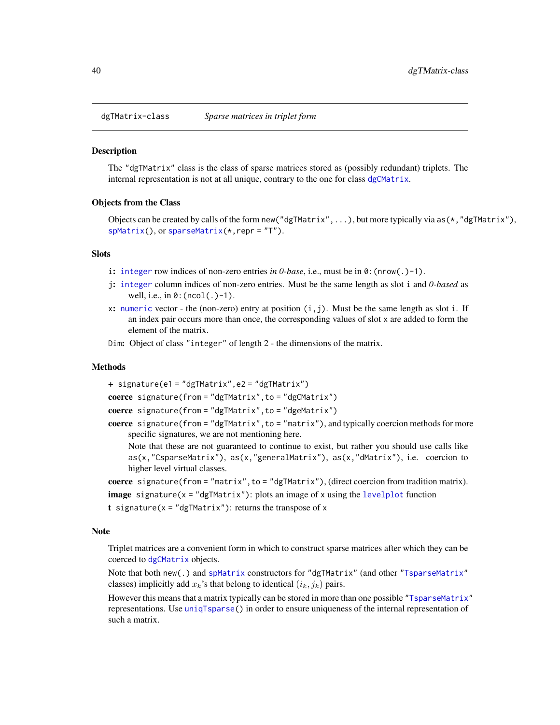<span id="page-39-0"></span>dgTMatrix-class *Sparse matrices in triplet form*

### Description

The "dgTMatrix" class is the class of sparse matrices stored as (possibly redundant) triplets. The internal representation is not at all unique, contrary to the one for class [dgCMatrix](#page-35-0).

#### Objects from the Class

Objects can be created by calls of the form new ("dgTMatrix",...), but more typically via as  $(*, "dgThatrix",$ [spMatrix\(](#page-159-0)), or [sparseMatrix\(](#page-147-0)\*,repr = "T").

### **Slots**

- i: [integer](#page-0-0) row indices of non-zero entries *in 0-base*, i.e., must be in 0:(nrow(.)-1).
- j: [integer](#page-0-0) column indices of non-zero entries. Must be the same length as slot i and *0-based* as well, i.e., in  $\theta$ : (ncol(.)-1).
- x: [numeric](#page-0-0) vector the (non-zero) entry at position  $(i, j)$ . Must be the same length as slot i. If an index pair occurs more than once, the corresponding values of slot x are added to form the element of the matrix.
- Dim: Object of class "integer" of length 2 the dimensions of the matrix.

### Methods

+ signature(e1 = "dgTMatrix",e2 = "dgTMatrix")

coerce signature(from = "dgTMatrix", to = "dgCMatrix")

coerce signature(from = "dgTMatrix", to = "dgeMatrix")

coerce signature(from = "dgTMatrix", to = "matrix"), and typically coercion methods for more specific signatures, we are not mentioning here.

Note that these are not guaranteed to continue to exist, but rather you should use calls like as(x,"CsparseMatrix"), as(x,"generalMatrix"), as(x,"dMatrix"), i.e. coercion to higher level virtual classes.

coerce signature(from = "matrix",to = "dgTMatrix"), (direct coercion from tradition matrix).

- **image** signature( $x = "dgTMatrix")$ : plots an image of x using the [levelplot](#page-0-0) function
- t signature( $x = "dgTMatrix")$ : returns the transpose of x

#### Note

Triplet matrices are a convenient form in which to construct sparse matrices after which they can be coerced to [dgCMatrix](#page-35-0) objects.

Note that both new(.) and [spMatrix](#page-159-0) constructors for "dgTMatrix" (and other ["TsparseMatrix"](#page-164-0) classes) implicitly add  $x_k$ 's that belong to identical  $(i_k, j_k)$  pairs.

However this means that a matrix typically can be stored in more than one possible ["TsparseMatrix"](#page-164-0) representations. Use [uniqTsparse\(](#page-165-0)) in order to ensure uniqueness of the internal representation of such a matrix.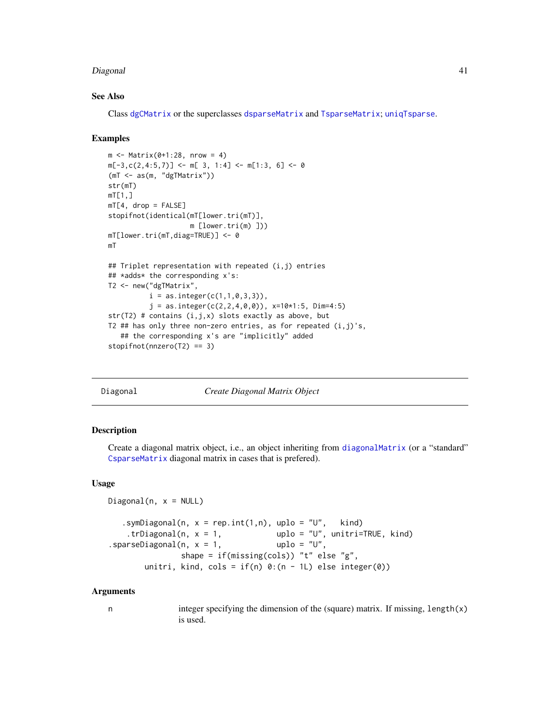#### Diagonal 41

# See Also

Class [dgCMatrix](#page-35-0) or the superclasses [dsparseMatrix](#page-53-0) and [TsparseMatrix](#page-164-0); [uniqTsparse](#page-165-0).

### Examples

```
m <- Matrix(0+1:28, nrow = 4)
m[-3, c(2, 4:5, 7)] <- m[3, 1:4] <- m[1:3, 6] <- 0
(mT <- as(m, "dgTMatrix"))
str(mT)
mT[1,]mT[4, drop = FALSE]stopifnot(identical(mT[lower.tri(mT)],
                    m [lower.tri(m) ]))
mT[lower.tri(mT,diag=TRUE)] <- 0
mT
## Triplet representation with repeated (i,j) entries
## *adds* the corresponding x's:
T2 <- new("dgTMatrix",
          i = as.integer(c(1,1,0,3,3)),j = as.integer(c(2, 2, 4, 0, 0)), x=10*1:5, Dim=4:5)str(T2) # contains (i,j,x) slots exactly as above, but
T2 ## has only three non-zero entries, as for repeated (i,j)'s,
   ## the corresponding x's are "implicitly" added
stopifnot(nnzero(T2) == 3)
```
<span id="page-40-0"></span>Diagonal *Create Diagonal Matrix Object*

### Description

Create a diagonal matrix object, i.e., an object inheriting from [diagonalMatrix](#page-42-0) (or a "standard" [CsparseMatrix](#page-31-0) diagonal matrix in cases that is prefered).

## Usage

```
Diagonal(n, x = NULL)
   .symDiagonal(n, x = rep.int(1, n), uplo = "U", kind)
   .trDiagonal(n, x = 1, uplo = "U", unitri=TRUE, kind)
\square.sparseDiagonal(n, x = 1, uplo = "U",
               shape = if(missing(cols)) "t" else "g",
       unitri, kind, cols = if(n) 0:(n - 1L) else integer(0))
```
#### Arguments

| integer specifying the dimension of the (square) matrix. If missing, $length(x)$ |
|----------------------------------------------------------------------------------|
| is used.                                                                         |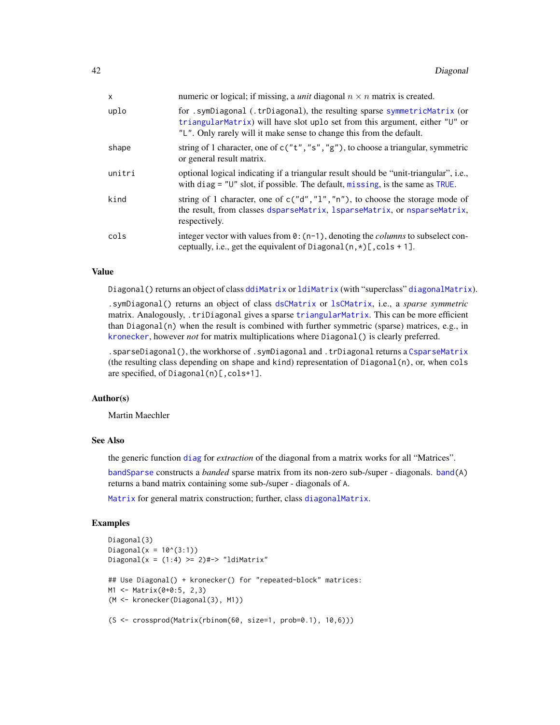| x      | numeric or logical; if missing, a <i>unit</i> diagonal $n \times n$ matrix is created.                                                                                                                                          |
|--------|---------------------------------------------------------------------------------------------------------------------------------------------------------------------------------------------------------------------------------|
| uplo   | for sympliagonal (.trDiagonal), the resulting sparse symmetricMatrix (or<br>triangularMatrix) will have slot uplo set from this argument, either "U" or<br>"L". Only rarely will it make sense to change this from the default. |
| shape  | string of 1 character, one of $c("t", "s", "g")$ , to choose a triangular, symmetric<br>or general result matrix.                                                                                                               |
| unitri | optional logical indicating if a triangular result should be "unit-triangular", i.e.,<br>with diag = $"U"$ slot, if possible. The default, missing, is the same as TRUE.                                                        |
| kind   | string of 1 character, one of $c("d", "1", "n")$ , to choose the storage mode of<br>the result, from classes dsparseMatrix, 1sparseMatrix, or nsparseMatrix,<br>respectively.                                                   |
| cols   | integer vector with values from $\theta$ : (n-1), denoting the <i>columns</i> to subselect con-<br>ceptually, i.e., get the equivalent of Diagonal $(n, \star)$ [, cols + 1].                                                   |

# Value

Diagonal() returns an object of class [ddiMatrix](#page-34-0) or [ldiMatrix](#page-88-0) (with "superclass" [diagonalMatrix](#page-42-0)).

.symDiagonal() returns an object of class [dsCMatrix](#page-51-0) or [lsCMatrix](#page-89-0), i.e., a *sparse symmetric* matrix. Analogously, .triDiagonal gives a sparse [triangularMatrix](#page-163-0). This can be more efficient than Diagonal(n) when the result is combined with further symmetric (sparse) matrices, e.g., in [kronecker](#page-0-0), however *not* for matrix multiplications where Diagonal() is clearly preferred.

.sparseDiagonal(), the workhorse of .symDiagonal and .trDiagonal returns a [CsparseMatrix](#page-31-0) (the resulting class depending on shape and kind) representation of  $Diagonal(n)$ , or, when cols are specified, of Diagonal(n)[,cols+1].

## Author(s)

Martin Maechler

### See Also

the generic function [diag](#page-0-0) for *extraction* of the diagonal from a matrix works for all "Matrices".

[bandSparse](#page-9-0) constructs a *banded* sparse matrix from its non-zero sub-/super - diagonals. [band\(](#page-8-0)A) returns a band matrix containing some sub-/super - diagonals of A.

[Matrix](#page-98-0) for general matrix construction; further, class [diagonalMatrix](#page-42-0).

```
Diagonal(3)
Diagonal(x = 10^(3:1))
Diagonal(x = (1:4) \ge 2)#-> "ldiMatrix"
## Use Diagonal() + kronecker() for "repeated-block" matrices:
M1 <- Matrix(0+0:5, 2,3)
(M <- kronecker(Diagonal(3), M1))
(S <- crossprod(Matrix(rbinom(60, size=1, prob=0.1), 10,6)))
```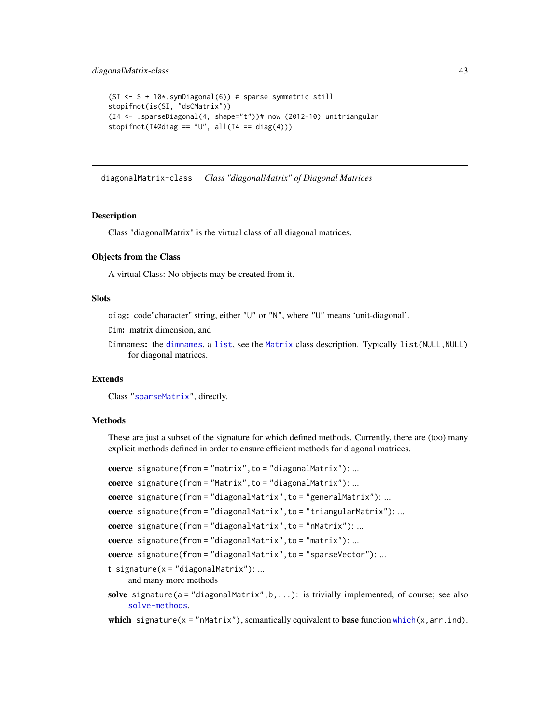```
(SI <- S + 10*.symDiagonal(6)) # sparse symmetric still
stopifnot(is(SI, "dsCMatrix"))
(I4 <- .sparseDiagonal(4, shape="t"))# now (2012-10) unitriangular
stopifnot(I4@diag == "U", all(I4 == diag(4)))
```
<span id="page-42-0"></span>diagonalMatrix-class *Class "diagonalMatrix" of Diagonal Matrices*

### Description

Class "diagonalMatrix" is the virtual class of all diagonal matrices.

### Objects from the Class

A virtual Class: No objects may be created from it.

# Slots

diag: code"character" string, either "U" or "N", where "U" means 'unit-diagonal'.

Dim: matrix dimension, and

Dimnames: the [dimnames](#page-0-0), a [list](#page-0-0), see the [Matrix](#page-100-0) class description. Typically list(NULL,NULL) for diagonal matrices.

### Extends

Class ["sparseMatrix"](#page-151-0), directly.

### Methods

These are just a subset of the signature for which defined methods. Currently, there are (too) many explicit methods defined in order to ensure efficient methods for diagonal matrices.

```
coerce signature(from = "matrix", to = "diagonalMatrix"): ...
coerce signature(from = "Matrix", to = "diagonalMatrix"): ...
coerce signature(from = "diagonalMatrix", to = "generalMatrix"): ...
coerce signature(from = "diagonalMatrix",to = "triangularMatrix"): ...
coerce signature(from = "diagonalMatrix", to = "nMatrix"): ...
coerce signature(from = "diagonalMatrix", to = "matrix"): ...
coerce signature(from = "diagonalMatrix", to = "sparseVector"): ...
t signature(x = "diagonalMatrix"): ...
    and many more methods
solve signature(a = "diagonalMatrix", b, \ldots): is trivially implemented, of course; see also
     solve-methods.
```
which signature( $x = "nMatrix"$ ), semantically equivalent to base function [which\(](#page-0-0) $x, arr.ind$ ).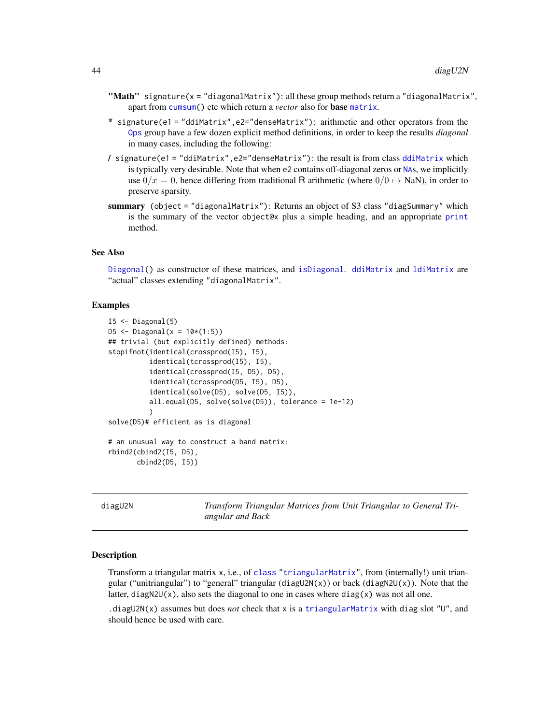- "Math" signature( $x =$  "diagonalMatrix"): all these group methods return a "diagonalMatrix", apart from [cumsum\(](#page-0-0)) etc which return a *vector* also for base [matrix](#page-0-0).
- \* signature(e1 = "ddiMatrix",e2="denseMatrix"): arithmetic and other operators from the [Ops](#page-0-0) group have a few dozen explicit method definitions, in order to keep the results *diagonal* in many cases, including the following:
- / signature(e1 = "ddiMatrix",e2="denseMatrix"): the result is from class [ddiMatrix](#page-34-0) which is typically very desirable. Note that when e2 contains off-diagonal zeros or [NA](#page-0-0)s, we implicitly use  $0/x = 0$ , hence differing from traditional R arithmetic (where  $0/0 \rightarrow$  NaN), in order to preserve sparsity.
- summary (object = "diagonalMatrix"): Returns an object of S3 class "diagSummary" which is the summary of the vector object@x plus a simple heading, and an appropriate [print](#page-0-0) method.

#### See Also

[Diagonal\(](#page-40-0)) as constructor of these matrices, and [isDiagonal](#page-82-0). [ddiMatrix](#page-34-0) and [ldiMatrix](#page-88-0) are "actual" classes extending "diagonalMatrix".

### Examples

```
I5 \leftarrow Diagonal(5)D5 <- Diagonal(x = 10*(1:5))
## trivial (but explicitly defined) methods:
stopifnot(identical(crossprod(I5), I5),
          identical(tcrossprod(I5), I5),
          identical(crossprod(I5, D5), D5),
          identical(tcrossprod(D5, I5), D5),
          identical(solve(D5), solve(D5, I5)),
          all.equal(D5, solve(solve(D5)), tolerance = 1e-12)
          \mathcal{L}solve(D5)# efficient as is diagonal
# an unusual way to construct a band matrix:
rbind2(cbind2(I5, D5),
       cbind2(D5, I5))
```
diagU2N *Transform Triangular Matrices from Unit Triangular to General Triangular and Back*

#### **Description**

Transform a triangular matrix x, i.e., of [class](#page-0-0) ["triangularMatrix"](#page-163-0), from (internally!) unit triangular ("unitriangular") to "general" triangular (diagU2N(x)) or back (diagN2U(x)). Note that the latter, diagN2U(x), also sets the diagonal to one in cases where  $diag(x)$  was not all one.

.diagU2N(x) assumes but does *not* check that x is a [triangularMatrix](#page-163-0) with diag slot "U", and should hence be used with care.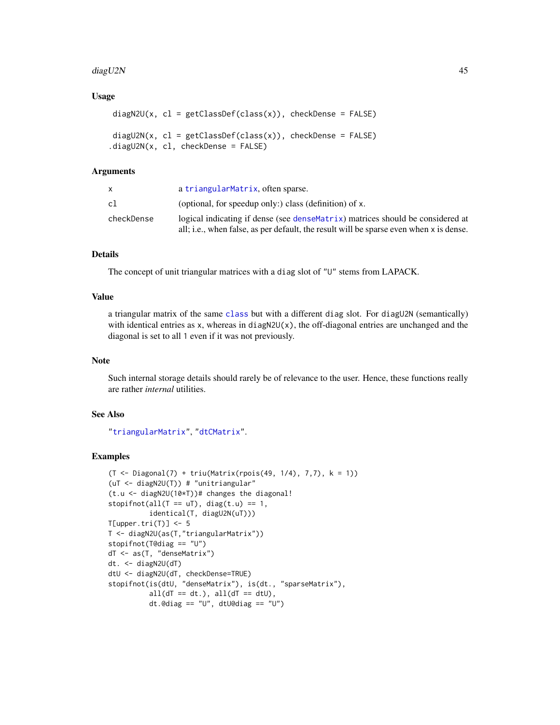### diagU2N 45

## Usage

```
diagN2U(x, cl = getClassDef(class(x)), checkDense = FALSE)diagU2N(x, cl = getClassDef(class(x)), checkDense = FALSE)
.diagU2N(x, cl, checkDense = FALSE)
```
# Arguments

|            | a triangularMatrix, often sparse.                                                      |
|------------|----------------------------------------------------------------------------------------|
| cl         | (optional, for speedup only:) class (definition) of x.                                 |
| checkDense | logical indicating if dense (see dense Matrix) matrices should be considered at        |
|            | all; i.e., when false, as per default, the result will be sparse even when x is dense. |

# **Details**

The concept of unit triangular matrices with a diag slot of "U" stems from LAPACK.

# Value

a triangular matrix of the same [class](#page-0-0) but with a different diag slot. For diagU2N (semantically) with identical entries as  $x$ , whereas in diagN2U( $x$ ), the off-diagonal entries are unchanged and the diagonal is set to all 1 even if it was not previously.

## Note

Such internal storage details should rarely be of relevance to the user. Hence, these functions really are rather *internal* utilities.

# See Also

["triangularMatrix"](#page-163-0), ["dtCMatrix"](#page-56-0).

```
(T <- Diagonal(7) + triu(Matrix(rpois(49, 1/4), 7,7), k = 1))
(uT <- diagN2U(T)) # "unitriangular"
(t.u <- diagN2U(10*T))# changes the diagonal!
stopifnot(all(T == uT), diag(t.u) == 1,
          identical(T, diagU2N(uT)))
T[upper.tri(T)] \leftarrow 5T <- diagN2U(as(T,"triangularMatrix"))
stopifnot(T@diag == "U")
dT <- as(T, "denseMatrix")
dt. <- diagN2U(dT)
dtU <- diagN2U(dT, checkDense=TRUE)
stopifnot(is(dtU, "denseMatrix"), is(dt., "sparseMatrix"),
          all(dT == dt.), all(dT == dtU),dt.@diag == "U", dtU@diag == "U")
```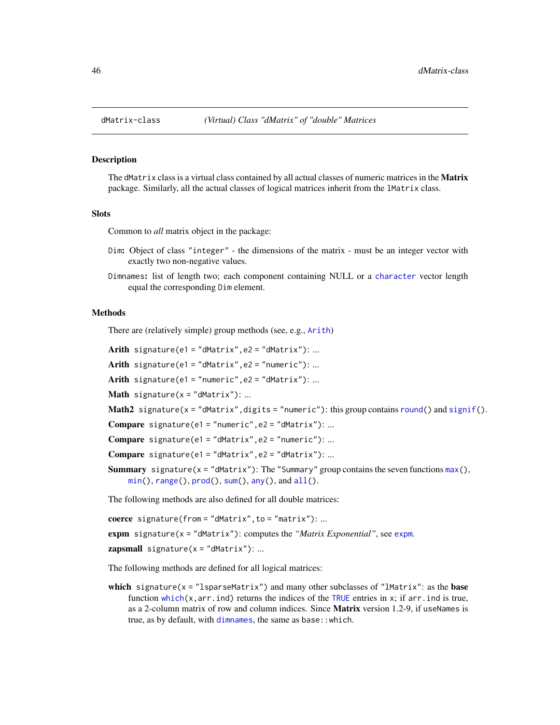<span id="page-45-0"></span>

### Description

The dMatrix class is a virtual class contained by all actual classes of numeric matrices in the **Matrix** package. Similarly, all the actual classes of logical matrices inherit from the lMatrix class.

#### **Slots**

Common to *all* matrix object in the package:

- Dim: Object of class "integer" the dimensions of the matrix must be an integer vector with exactly two non-negative values.
- Dimnames: list of length two; each component containing NULL or a [character](#page-0-0) vector length equal the corresponding Dim element.

# Methods

There are (relatively simple) group methods (see, e.g., [Arith](#page-0-0))

Arith signature(e1 = "dMatrix", e2 = "dMatrix"): ... Arith signature(e1 = "dMatrix", e2 = "numeric"): ... Arith signature(e1 = "numeric",  $e2 = "dMatrix")$ : ... **Math** signature( $x =$ "dMatrix"): ... Math2 signature( $x = "dMatrix"$ , digits = "numeric"): this group contains [round\(](#page-0-0)) and [signif\(](#page-0-0)). **Compare** signature(e1 = "numeric",  $e2 =$  "dMatrix"): ... Compare signature(e1 = "dMatrix",  $e2 =$  "numeric"): ... Compare signature(e1 = "dMatrix", e2 = "dMatrix"): ... **Summary** signature( $x = "dMatrix"$ ): The "Summary" group contains the seven functions  $max()$  $max()$ .  $min(), range(), prod(), sum(), any(), and all().$  $min(), range(), prod(), sum(), any(), and all().$  $min(), range(), prod(), sum(), any(), and all().$  $min(), range(), prod(), sum(), any(), and all().$  $min(), range(), prod(), sum(), any(), and all().$  $min(), range(), prod(), sum(), any(), and all().$  $min(), range(), prod(), sum(), any(), and all().$  $min(), range(), prod(), sum(), any(), and all().$  $min(), range(), prod(), sum(), any(), and all().$  $min(), range(), prod(), sum(), any(), and all().$  $min(), range(), prod(), sum(), any(), and all().$  $min(), range(), prod(), sum(), any(), and all().$ 

The following methods are also defined for all double matrices:

coerce signature(from = "dMatrix",to = "matrix"): ...

expm signature(x = "dMatrix"): computes the *"Matrix Exponential"*, see [expm](#page-63-0).

 $zapsmall$  signature( $x = "dMatrix")$ : ...

The following methods are defined for all logical matrices:

which signature( $x =$ "lsparseMatrix") and many other subclasses of "lMatrix": as the base function [which\(](#page-0-0)x,arr.ind) returns the indices of the [TRUE](#page-0-0) entries in x; if arr.ind is true, as a 2-column matrix of row and column indices. Since Matrix version 1.2-9, if useNames is true, as by default, with [dimnames](#page-0-0), the same as base::which.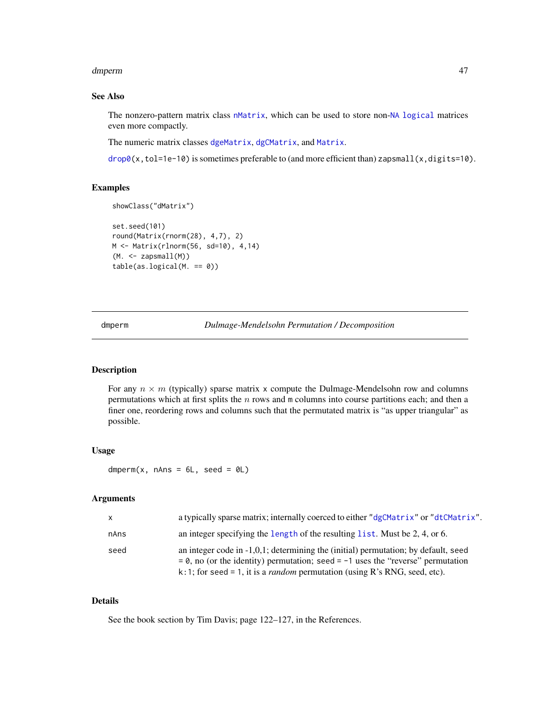#### dmperm and the contract of the contract of the contract of the contract of the contract of the contract of the contract of the contract of the contract of the contract of the contract of the contract of the contract of the

# See Also

The nonzero-pattern matrix class [nMatrix](#page-111-0), which can be used to store non-[NA](#page-0-0) [logical](#page-0-0) matrices even more compactly.

The numeric matrix classes [dgeMatrix](#page-36-0), [dgCMatrix](#page-35-0), and [Matrix](#page-100-0).

 $drop0(x, tol=1e-10)$  $drop0(x, tol=1e-10)$  is sometimes preferable to (and more efficient than) zapsmall(x,digits=10).

### Examples

```
showClass("dMatrix")
```

```
set.seed(101)
round(Matrix(rnorm(28), 4,7), 2)
M <- Matrix(rlnorm(56, sd=10), 4,14)
(M. <- zapsmall(M))
table(as.logical(M. == 0))
```
dmperm *Dulmage-Mendelsohn Permutation / Decomposition*

### Description

For any  $n \times m$  (typically) sparse matrix x compute the Dulmage-Mendelsohn row and columns permutations which at first splits the  $n$  rows and m columns into course partitions each; and then a finer one, reordering rows and columns such that the permutated matrix is "as upper triangular" as possible.

## Usage

dmperm(x, nAns =  $6L$ , seed =  $0L$ )

# Arguments

| $\mathsf{X}$ | a typically sparse matrix; internally coerced to either "dgCMatrix" or "dtCMatrix".                                                                                                                                                                               |
|--------------|-------------------------------------------------------------------------------------------------------------------------------------------------------------------------------------------------------------------------------------------------------------------|
| nAns         | an integer specifying the length of the resulting list. Must be 2, 4, or 6.                                                                                                                                                                                       |
| seed         | an integer code in $-1,0,1$ ; determining the (initial) permutation; by default, seed<br>$= 0$ , no (or the identity) permutation; seed $= -1$ uses the "reverse" permutation<br>k:1; for seed = 1, it is a <i>random</i> permutation (using R's RNG, seed, etc). |

## Details

See the book section by Tim Davis; page 122–127, in the References.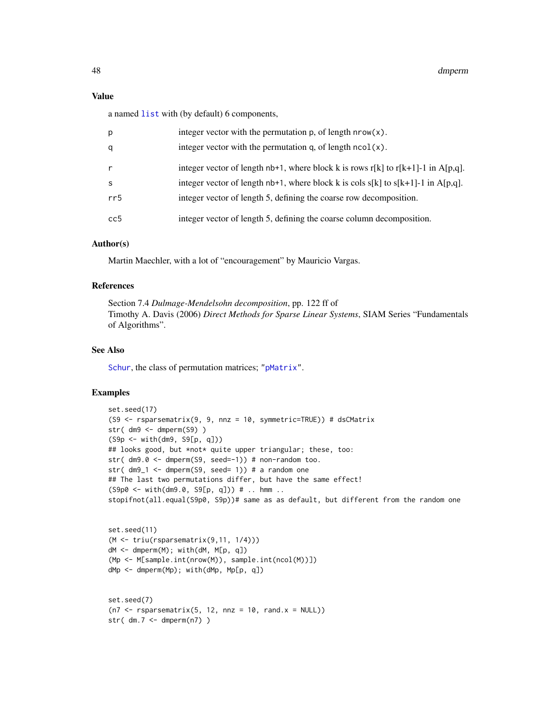# Value

a named [list](#page-0-0) with (by default) 6 components,

| р   | integer vector with the permutation $p$ , of length $nrow(x)$ .                     |
|-----|-------------------------------------------------------------------------------------|
| q   | integer vector with the permutation q, of length $ncol(x)$ .                        |
| r   | integer vector of length $nb+1$ , where block k is rows r[k] to r[k+1]-1 in A[p,q]. |
| S   | integer vector of length $nb+1$ , where block k is cols s[k] to s[k+1]-1 in A[p,q]. |
| rr5 | integer vector of length 5, defining the coarse row decomposition.                  |
| cc5 | integer vector of length 5, defining the coarse column decomposition.               |

## Author(s)

Martin Maechler, with a lot of "encouragement" by Mauricio Vargas.

# References

Section 7.4 *Dulmage-Mendelsohn decomposition*, pp. 122 ff of Timothy A. Davis (2006) *Direct Methods for Sparse Linear Systems*, SIAM Series "Fundamentals of Algorithms".

### See Also

[Schur](#page-137-0), the class of permutation matrices; ["pMatrix"](#page-121-0).

```
set.seed(17)
(S9 <- rsparsematrix(9, 9, nnz = 10, symmetric=TRUE)) # dsCMatrix
str( dm9 <- dmperm(S9) )
(S9p <- with(dm9, S9[p, q]))
## looks good, but *not* quite upper triangular; these, too:
str( dm9.0 <- dmperm(S9, seed=-1)) # non-random too.
str(dm9_1 \leftarrow dmperm(S9, seed= 1)) # a random one
## The last two permutations differ, but have the same effect!
(S9p0 \leq with(dm9.0, S9[p, q])) # ... <br>stopifnot(all.equal(S9p0, S9p))# same as as default, but different from the random one
```

```
set.seed(11)
(M <- triu(rsparsematrix(9,11, 1/4)))
dM <- dmperm(M); with(dM, M[p, q])
(Mp <- M[sample.int(nrow(M)), sample.int(ncol(M))])
dMp <- dmperm(Mp); with(dMp, Mp[p, q])
```

```
set.seed(7)
(n7 < - rsparsematrix(5, 12, nnz = 10, rand.x = NULL))
str(dm.7 < -dmperm(n7))
```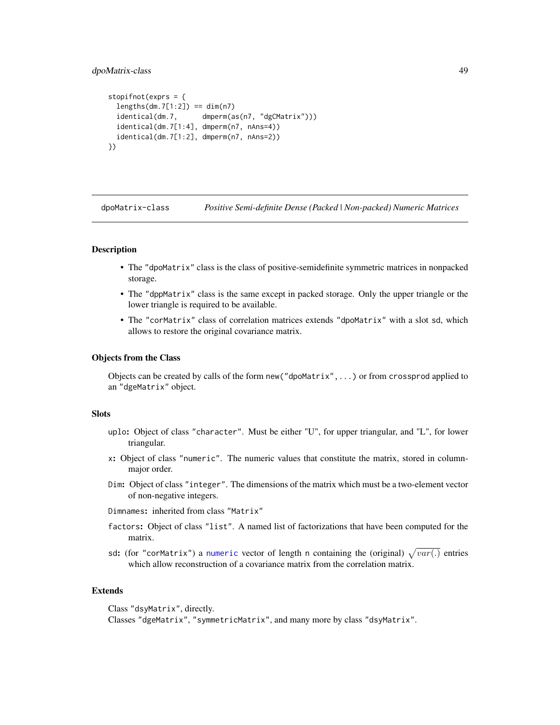# dpoMatrix-class 49

```
stopifnot(exprs = {
 lengths(dm.7[1:2]) == dim(n7)identical(dm.7, dmperm(as(n7, "dgCMatrix")))
 identical(dm.7[1:4], dmperm(n7, nAns=4))
 identical(dm.7[1:2], dmperm(n7, nAns=2))
})
```
<span id="page-48-0"></span>dpoMatrix-class *Positive Semi-definite Dense (Packed | Non-packed) Numeric Matrices*

### <span id="page-48-1"></span>Description

- The "dpoMatrix" class is the class of positive-semidefinite symmetric matrices in nonpacked storage.
- The "dppMatrix" class is the same except in packed storage. Only the upper triangle or the lower triangle is required to be available.
- The "corMatrix" class of correlation matrices extends "dpoMatrix" with a slot sd, which allows to restore the original covariance matrix.

# Objects from the Class

Objects can be created by calls of the form new("dpoMatrix",...) or from crossprod applied to an "dgeMatrix" object.

# **Slots**

- uplo: Object of class "character". Must be either "U", for upper triangular, and "L", for lower triangular.
- x: Object of class "numeric". The numeric values that constitute the matrix, stored in columnmajor order.
- Dim: Object of class "integer". The dimensions of the matrix which must be a two-element vector of non-negative integers.

Dimnames: inherited from class "Matrix"

- factors: Object of class "list". A named list of factorizations that have been computed for the matrix.
- sd: (for "corMatrix") a [numeric](#page-0-0) vector of length n containing the (original)  $\sqrt{var(.)}$  entries which allow reconstruction of a covariance matrix from the correlation matrix.

### Extends

Class "dsyMatrix", directly. Classes "dgeMatrix", "symmetricMatrix", and many more by class "dsyMatrix".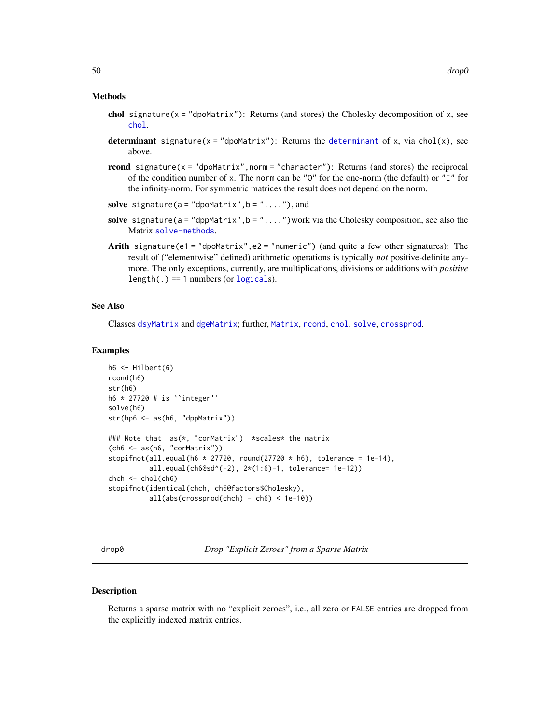#### Methods

- chol signature( $x =$ "dpoMatrix"): Returns (and stores) the Cholesky decomposition of  $x$ , see [chol](#page-20-0).
- [determinant](#page-0-0) signature( $x =$ "dpoMatrix"): Returns the determinant of x, via chol(x), see above.
- rcond signature( $x =$  "dpoMatrix", norm = "character"): Returns (and stores) the reciprocal of the condition number of x. The norm can be " $0$ " for the one-norm (the default) or "I" for the infinity-norm. For symmetric matrices the result does not depend on the norm.
- solve signature( $a = "dpomatrix", b = "...".$ ), and
- solve signature( $a = "dppMatrix", b = "...".$ ) work via the Cholesky composition, see also the Matrix [solve-methods](#page-140-0).
- Arith signature(e1 = "dpoMatrix", e2 = "numeric") (and quite a few other signatures): The result of ("elementwise" defined) arithmetic operations is typically *not* positive-definite anymore. The only exceptions, currently, are multiplications, divisions or additions with *positive*  $length(.) == 1$  numbers (or  $logicals$  $logicals$ ).

### See Also

Classes [dsyMatrix](#page-55-0) and [dgeMatrix](#page-36-0); further, [Matrix](#page-98-0), [rcond](#page-131-0), [chol](#page-20-0), [solve](#page-140-1), [crossprod](#page-102-0).

### Examples

```
h6 \leftarrow Hilbert(6)rcond(h6)
str(h6)
h6 * 27720 # is ``integer''
solve(h6)
str(hp6 <- as(h6, "dppMatrix"))
### Note that as(*, "corMatrix") *scales* the matrix
(ch6 <- as(h6, "corMatrix"))
stopifnot(all.equal(h6 * 27720, round(27720 * h6), tolerance = 1e-14),
          all.equal(ch6@sd^(-2), 2*(1:6)-1, tolerance= 1e-12))
chch < - chol(ch6)stopifnot(identical(chch, ch6@factors$Cholesky),
          all(abs(crossprod(chch) - ch6) < 1e-10))
```
<span id="page-49-0"></span>drop0 *Drop "Explicit Zeroes" from a Sparse Matrix*

#### Description

Returns a sparse matrix with no "explicit zeroes", i.e., all zero or FALSE entries are dropped from the explicitly indexed matrix entries.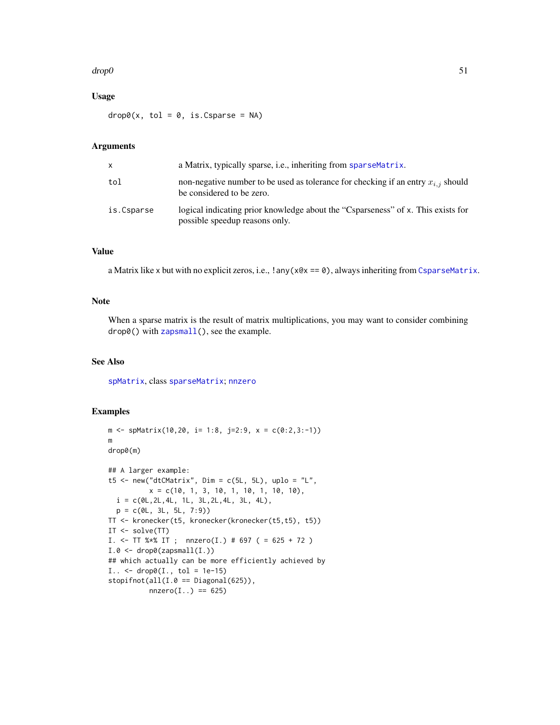#### $\alpha$  51

# Usage

 $drop@(x, tol = 0, is.Csparse = NA)$ 

# Arguments

| x          | a Matrix, typically sparse, i.e., inheriting from sparse Matrix.                                                   |
|------------|--------------------------------------------------------------------------------------------------------------------|
| tol        | non-negative number to be used as tolerance for checking if an entry $x_{i,j}$ should<br>be considered to be zero. |
| is.Csparse | logical indicating prior knowledge about the "Csparseness" of x. This exists for<br>possible speedup reasons only. |

# Value

a Matrix like x but with no explicit zeros, i.e.,  $\tan(x) = 0$ , always inheriting from [CsparseMatrix](#page-31-0).

# Note

When a sparse matrix is the result of matrix multiplications, you may want to consider combining drop0() with [zapsmall\(](#page-0-0)), see the example.

# See Also

[spMatrix](#page-159-0), class [sparseMatrix](#page-151-0); [nnzero](#page-112-0)

```
m \leq - spMatrix(10,20, i= 1:8, j=2:9, x = c(0:2,3:-1))
m
drop0(m)
## A larger example:
t5 <- new("dtCMatrix", Dim = c(5L, 5L), uplo = "L",
          x = c(10, 1, 3, 10, 1, 10, 1, 10, 10),
 i = c(0L, 2L, 4L, 1L, 3L, 2L, 4L, 3L, 4L),p = c(0L, 3L, 5L, 7:9)TT <- kronecker(t5, kronecker(kronecker(t5,t5), t5))
IT <- solve(TT)
I. <- TT %*% IT ; nnzero(I.) # 697 ( = 625 + 72 )
I.0 \leq J drop\Theta(zapsmall(I.))
## which actually can be more efficiently achieved by
I.. \le drop\theta(I., tol = 1e-15)stopifnot(all(I.0 == Diagonal(625)),nnzero(I..) = 625)
```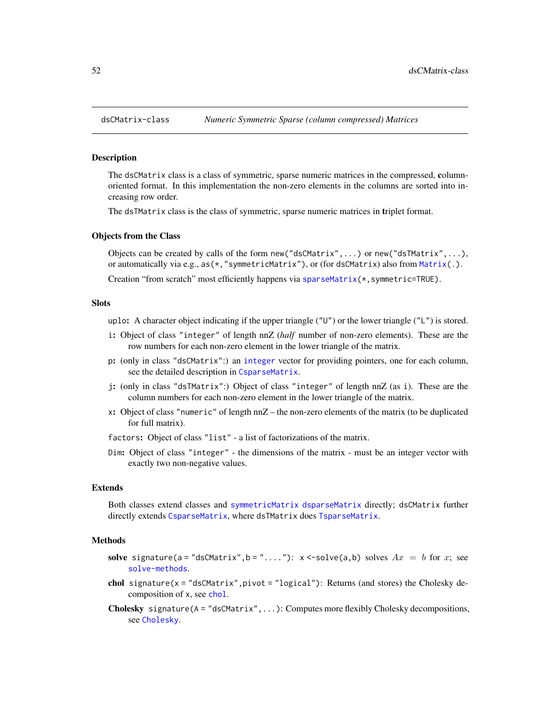<span id="page-51-0"></span>

### Description

The dsCMatrix class is a class of symmetric, sparse numeric matrices in the compressed, columnoriented format. In this implementation the non-zero elements in the columns are sorted into increasing row order.

The dsTMatrix class is the class of symmetric, sparse numeric matrices in triplet format.

#### Objects from the Class

Objects can be created by calls of the form new ("dsCMatrix",...) or new ("dsTMatrix",...), or automatically via e.g., as(\*,"symmetricMatrix"), or (for dsCMatrix) also from [Matrix\(](#page-98-0).).

Creation "from scratch" most efficiently happens via [sparseMatrix\(](#page-147-0)\*, symmetric=TRUE).

### **Slots**

uplo: A character object indicating if the upper triangle ("U") or the lower triangle ("L") is stored.

- i: Object of class "integer" of length nnZ (*half* number of non-zero elements). These are the row numbers for each non-zero element in the lower triangle of the matrix.
- p: (only in class "dsCMatrix":) an [integer](#page-0-0) vector for providing pointers, one for each column, see the detailed description in [CsparseMatrix](#page-31-0).
- j: (only in class "dsTMatrix":) Object of class "integer" of length nnZ (as i). These are the column numbers for each non-zero element in the lower triangle of the matrix.
- x: Object of class "numeric" of length nnZ the non-zero elements of the matrix (to be duplicated for full matrix).

factors: Object of class "list" - a list of factorizations of the matrix.

Dim: Object of class "integer" - the dimensions of the matrix - must be an integer vector with exactly two non-negative values.

#### Extends

Both classes extend classes and [symmetricMatrix](#page-160-0) [dsparseMatrix](#page-53-0) directly; dsCMatrix further directly extends [CsparseMatrix](#page-31-0), where dsTMatrix does [TsparseMatrix](#page-164-0).

#### Methods

- solve signature(a = "dsCMatrix", b = "...."):  $x < -solve(a, b)$  solves  $Ax = b$  for x; see [solve-methods](#page-140-0).
- chol signature( $x =$ "dsCMatrix", pivot = "logical"): Returns (and stores) the Cholesky decomposition of x, see [chol](#page-20-0).
- Cholesky signature(A = "dsCMatrix",...): Computes more flexibly Cholesky decompositions, see [Cholesky](#page-22-0).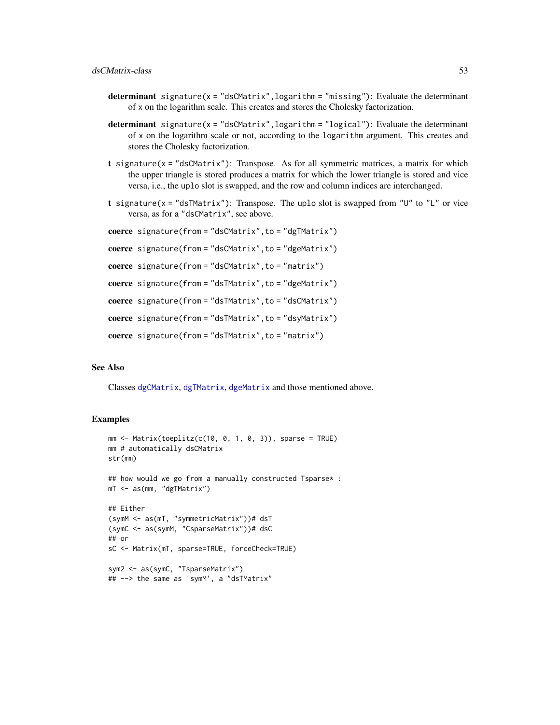- determinant signature( $x = "dsCMatrix", logarithm = "missing");$  Evaluate the determinant of x on the logarithm scale. This creates and stores the Cholesky factorization.
- **determinant** signature( $x = "dsCMatrix", logarithm = "logical");$  Evaluate the determinant of x on the logarithm scale or not, according to the logarithm argument. This creates and stores the Cholesky factorization.
- **t** signature( $x =$ "dsCMatrix"): Transpose. As for all symmetric matrices, a matrix for which the upper triangle is stored produces a matrix for which the lower triangle is stored and vice versa, i.e., the uplo slot is swapped, and the row and column indices are interchanged.
- t signature( $x =$  "dsTMatrix"): Transpose. The uplo slot is swapped from "U" to "L" or vice versa, as for a "dsCMatrix", see above.

```
coerce signature(from = "dsCMatrix",to = "dgTMatrix")
```

```
coerce signature(from = "dsCMatrix", to = "dgeMatrix")
```

```
coerce signature(from = "dsCMatrix", to = "matrix")
```
coerce signature(from = "dsTMatrix", to = "dgeMatrix")

```
coerce signature(from = "dsTMatrix", to = "dsCMatrix")
```
coerce signature(from = "dsTMatrix", to = "dsyMatrix")

```
coerce signature(from = "dsTMatrix",to = "matrix")
```
# See Also

Classes [dgCMatrix](#page-35-0), [dgTMatrix](#page-39-0), [dgeMatrix](#page-36-0) and those mentioned above.

```
mm <- Matrix(toeplitz(c(10, 0, 1, 0, 3)), sparse = TRUE)
mm # automatically dsCMatrix
str(mm)
## how would we go from a manually constructed Tsparse* :
mT <- as(mm, "dgTMatrix")
## Either
(symM <- as(mT, "symmetricMatrix"))# dsT
(symC <- as(symM, "CsparseMatrix"))# dsC
## or
sC <- Matrix(mT, sparse=TRUE, forceCheck=TRUE)
sym2 <- as(symC, "TsparseMatrix")
## --> the same as 'symM', a "dsTMatrix"
```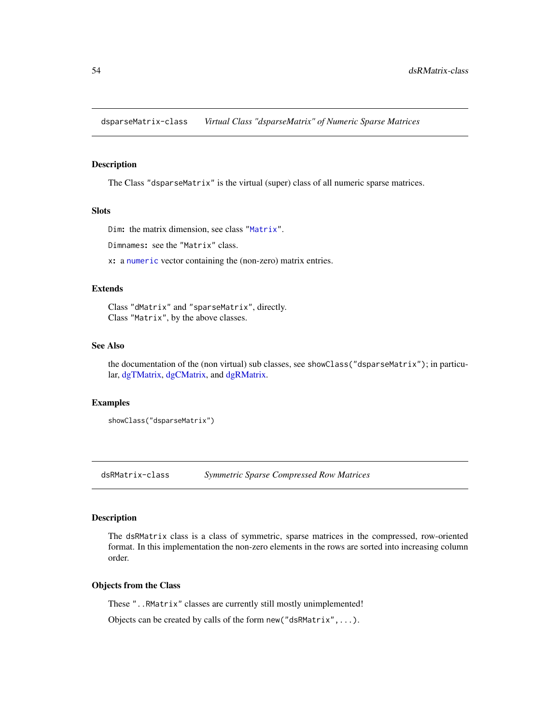<span id="page-53-0"></span>dsparseMatrix-class *Virtual Class "dsparseMatrix" of Numeric Sparse Matrices*

#### Description

The Class "dsparseMatrix" is the virtual (super) class of all numeric sparse matrices.

# **Slots**

```
Dim: the matrix dimension, see class "Matrix".
```
Dimnames: see the "Matrix" class.

x: a [numeric](#page-0-0) vector containing the (non-zero) matrix entries.

## Extends

Class "dMatrix" and "sparseMatrix", directly. Class "Matrix", by the above classes.

### See Also

the documentation of the (non virtual) sub classes, see showClass("dsparseMatrix"); in particular, [dgTMatrix,](#page-39-0) [dgCMatrix,](#page-35-0) and [dgRMatrix.](#page-38-0)

#### Examples

```
showClass("dsparseMatrix")
```
dsRMatrix-class *Symmetric Sparse Compressed Row Matrices*

### Description

The dsRMatrix class is a class of symmetric, sparse matrices in the compressed, row-oriented format. In this implementation the non-zero elements in the rows are sorted into increasing column order.

# Objects from the Class

These "..RMatrix" classes are currently still mostly unimplemented!

Objects can be created by calls of the form new("dsRMatrix",...).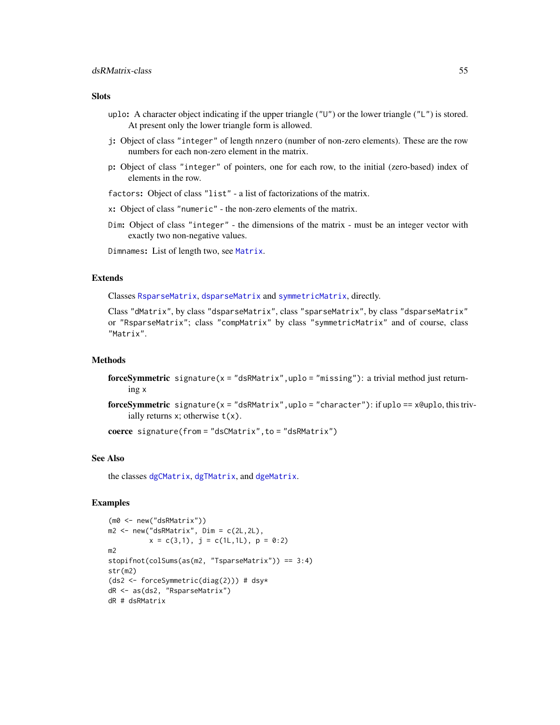### **Slots**

- uplo: A character object indicating if the upper triangle ("U") or the lower triangle ("L") is stored. At present only the lower triangle form is allowed.
- j: Object of class "integer" of length nnzero (number of non-zero elements). These are the row numbers for each non-zero element in the matrix.
- p: Object of class "integer" of pointers, one for each row, to the initial (zero-based) index of elements in the row.
- factors: Object of class "list" a list of factorizations of the matrix.
- x: Object of class "numeric" the non-zero elements of the matrix.
- Dim: Object of class "integer" the dimensions of the matrix must be an integer vector with exactly two non-negative values.

Dimnames: List of length two, see [Matrix](#page-98-0).

### Extends

Classes [RsparseMatrix](#page-136-0), [dsparseMatrix](#page-53-0) and [symmetricMatrix](#page-160-0), directly.

Class "dMatrix", by class "dsparseMatrix", class "sparseMatrix", by class "dsparseMatrix" or "RsparseMatrix"; class "compMatrix" by class "symmetricMatrix" and of course, class "Matrix".

### Methods

- forceSymmetric signature(x = "dsRMatrix", uplo = "missing"): a trivial method just returning x
- forceSymmetric signature( $x = "dsRMatrix", uplo = "character")$ : if uplo ==  $x@uplo, this triv$ ially returns x; otherwise  $t(x)$ .

coerce signature(from = "dsCMatrix", to = "dsRMatrix")

### See Also

the classes [dgCMatrix](#page-35-0), [dgTMatrix](#page-39-0), and [dgeMatrix](#page-36-0).

```
(m0 <- new("dsRMatrix"))
m2 < -new("dsnMatrix", Dim = c(2L, 2L),x = c(3,1), j = c(1L,1L), p = 0:2m2
stopifnot(colSums(as(m2, "TsparseMatrix")) == 3:4)
str(m2)
(ds2 <- forceSymmetric(diag(2))) # dsy*
dR <- as(ds2, "RsparseMatrix")
dR # dsRMatrix
```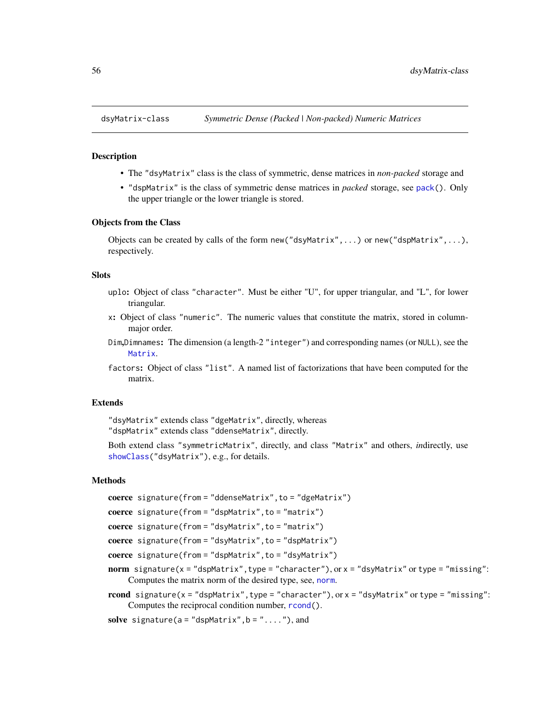<span id="page-55-0"></span>

## Description

- The "dsyMatrix" class is the class of symmetric, dense matrices in *non-packed* storage and
- "dspMatrix" is the class of symmetric dense matrices in *packed* storage, see [pack\(](#page-167-0)). Only the upper triangle or the lower triangle is stored.

### Objects from the Class

Objects can be created by calls of the form new("dsyMatrix",...) or new("dspMatrix",...), respectively.

#### Slots

- uplo: Object of class "character". Must be either "U", for upper triangular, and "L", for lower triangular.
- x: Object of class "numeric". The numeric values that constitute the matrix, stored in columnmajor order.
- Dim,Dimnames: The dimension (a length-2 "integer") and corresponding names (or NULL), see the [Matrix](#page-100-0).
- factors: Object of class "list". A named list of factorizations that have been computed for the matrix.

### Extends

"dsyMatrix" extends class "dgeMatrix", directly, whereas "dspMatrix" extends class "ddenseMatrix", directly.

Both extend class "symmetricMatrix", directly, and class "Matrix" and others, *in*directly, use [showClass\(](#page-0-0)"dsyMatrix"), e.g., for details.

#### Methods

```
coerce signature(from = "ddenseMatrix",to = "dgeMatrix")
```

```
coerce signature(from = "dspMatrix", to = "matrix")
```

```
coerce signature(from = "dsyMatrix",to = "matrix")
```

```
coerce signature(from = "dsyMatrix", to = "dspMatrix")
```
coerce signature(from = "dspMatrix", to = "dsyMatrix")

- norm signature( $x =$  "dspMatrix", type = "character"), or  $x =$  "dsyMatrix" or type = "missing": Computes the matrix norm of the desired type, see, [norm](#page-114-0).
- rcond signature( $x =$  "dspMatrix", type = "character"), or  $x =$  "dsyMatrix" or type = "missing": Computes the reciprocal condition number, [rcond\(](#page-131-0)).

```
solve signature(a = "dspMatrix", b = "..."), and
```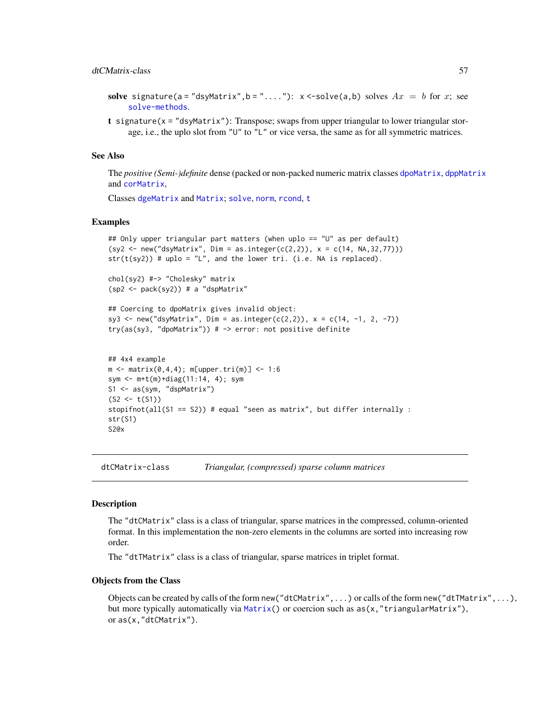### dtCMatrix-class 57

- solve signature(a = "dsyMatrix", b = "...."):  $x < -solve(a, b)$  solves  $Ax = b$  for x; see [solve-methods](#page-140-0).
- t signature(x = "dsyMatrix"): Transpose; swaps from upper triangular to lower triangular storage, i.e., the uplo slot from "U" to "L" or vice versa, the same as for all symmetric matrices.

## See Also

The *positive (Semi-)definite* dense (packed or non-packed numeric matrix classes [dpoMatrix](#page-48-0), [dppMatrix](#page-48-1) and [corMatrix](#page-48-1),

Classes [dgeMatrix](#page-36-0) and [Matrix](#page-100-0); [solve](#page-140-1), [norm](#page-114-0), [rcond](#page-131-0), [t](#page-0-0)

### Examples

```
## Only upper triangular part matters (when uplo == "U" as per default)
(sy2 \le new('dsyMatrix", Dim = as.integer(c(2,2)), x = c(14, NA, 32, 77)))str(t(sy2)) # uplo = "L", and the lower tri. (i.e. NA is replaced).
```

```
chol(sy2) #-> "Cholesky" matrix
(sp2 <- pack(sy2)) # a "dspMatrix"
```

```
## Coercing to dpoMatrix gives invalid object:
sy3 <- new("dsyMatrix", Dim = as.integer(c(2,2)), x = c(14, -1, 2, -7))
try(as(sy3, "dpomatrix")) # -> error: not positive definite
```

```
## 4x4 example
m <- matrix(0,4,4); m[upper.tri(m)] <- 1:6
sym <- m+t(m)+diag(11:14, 4); sym
S1 <- as(sym, "dspMatrix")
(S2 < -t(S1))stopifnot(all(S1 == S2)) # equal "seen as matrix", but differ internally :
str(S1)
S2@x
```
<span id="page-56-0"></span>dtCMatrix-class *Triangular, (compressed) sparse column matrices*

### Description

The "dtCMatrix" class is a class of triangular, sparse matrices in the compressed, column-oriented format. In this implementation the non-zero elements in the columns are sorted into increasing row order.

The "dtTMatrix" class is a class of triangular, sparse matrices in triplet format.

#### Objects from the Class

Objects can be created by calls of the form new("dtCMatrix",...) or calls of the form new("dtTMatrix",...), but more typically automatically via [Matrix\(](#page-98-0)) or coercion such as  $as(x, "triangularMatrix"),$ or as(x,"dtCMatrix").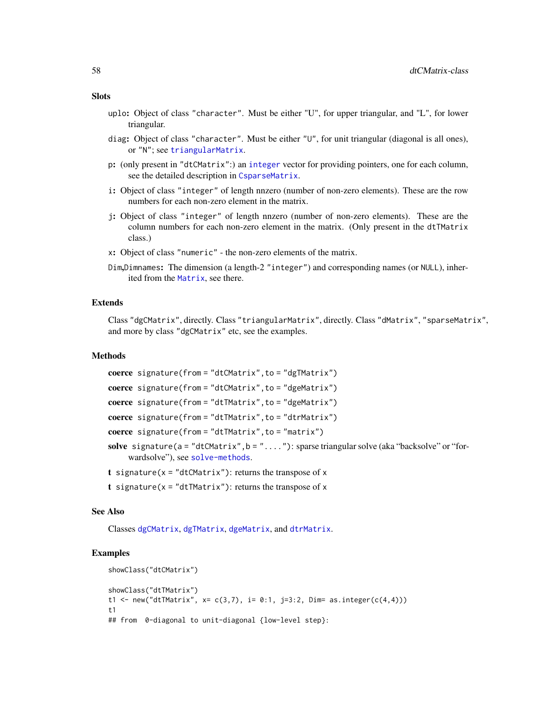- **Slots** 
	- uplo: Object of class "character". Must be either "U", for upper triangular, and "L", for lower triangular.
	- diag: Object of class "character". Must be either "U", for unit triangular (diagonal is all ones), or "N"; see [triangularMatrix](#page-163-0).
	- p: (only present in "dtCMatrix":) an [integer](#page-0-0) vector for providing pointers, one for each column, see the detailed description in [CsparseMatrix](#page-31-0).
	- i: Object of class "integer" of length nnzero (number of non-zero elements). These are the row numbers for each non-zero element in the matrix.
	- j: Object of class "integer" of length nnzero (number of non-zero elements). These are the column numbers for each non-zero element in the matrix. (Only present in the dtTMatrix class.)
	- x: Object of class "numeric" the non-zero elements of the matrix.
	- Dim,Dimnames: The dimension (a length-2 "integer") and corresponding names (or NULL), inherited from the [Matrix](#page-100-0), see there.

### Extends

Class "dgCMatrix", directly. Class "triangularMatrix", directly. Class "dMatrix", "sparseMatrix", and more by class "dgCMatrix" etc, see the examples.

#### Methods

```
coerce signature(from = "dtCMatrix", to = "dgTMatrix")
coerce signature(from = "dtCMatrix", to = "dgeMatrix")
coerce signature(from = "dtTMatrix", to = "dgeMatrix")
coerce signature(from = "dtTMatrix", to = "dtrMatrix")
coerce signature(from = "dtTMatrix", to = "matrix")
solve signature(a = "dtCMatrix", b = "...".): sparse triangular solve (aka "backsolve" or "for-
     wardsolve"), see solve-methods.
t signature(x = "dtCMatrix"): returns the transpose of x
```
- 
- t signature( $x = "d$ tTMatrix"): returns the transpose of x

# See Also

Classes [dgCMatrix](#page-35-0), [dgTMatrix](#page-39-0), [dgeMatrix](#page-36-0), and [dtrMatrix](#page-61-0).

```
showClass("dtCMatrix")
showClass("dtTMatrix")
t1 <- new("dtTMatrix", x= c(3,7), i= 0:1, j=3:2, Dim= as.integer(c(4,4)))
t1
## from 0-diagonal to unit-diagonal {low-level step}:
```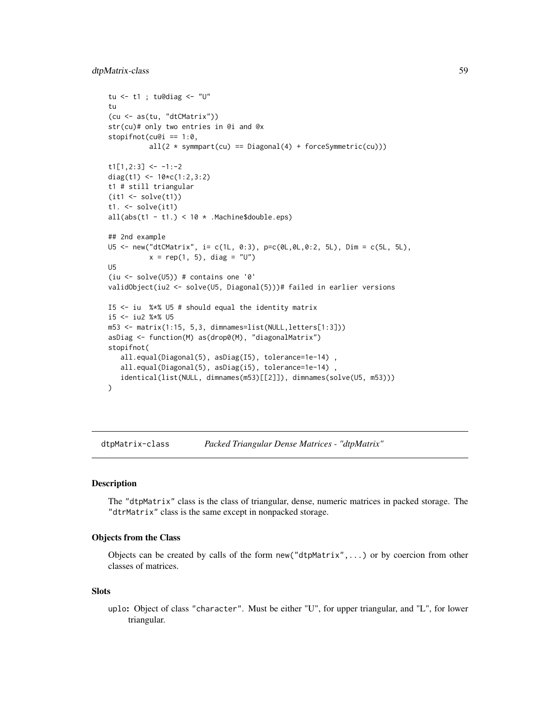```
tu \leq - t1 ; tu@diag \leq - "U"
tu
(cu <- as(tu, "dtCMatrix"))
str(cu)# only two entries in @i and @x
stopifnot(cu@i == 1:0,
          all(2 * symmpart(cu) == Diagonal(4) + forceSymmetric(cu)))
t1[1,2:3] <- -1:-2diag(t1) <- 10*c(1:2,3:2)t1 # still triangular
(it1 < -solve(t1))t1. <- solve(it1)
all(abs(t1 - t1.) < 10 * .MachineSdouble.eps)## 2nd example
U5 <- new("dtCMatrix", i= c(1L, 0:3), p=c(0L,0L,0:2, 5L), Dim = c(5L, 5L),
          x = rep(1, 5), diag = "U")U5
(iu \le solve(U5)) # contains one '0'
validObject(iu2 <- solve(U5, Diagonal(5)))# failed in earlier versions
I5 <- iu %*% U5 # should equal the identity matrix
i5 <- iu2 %*% U5
m53 <- matrix(1:15, 5,3, dimnames=list(NULL,letters[1:3]))
asDiag <- function(M) as(drop0(M), "diagonalMatrix")
stopifnot(
   all.equal(Diagonal(5), asDiag(I5), tolerance=1e-14) ,
   all.equal(Diagonal(5), asDiag(i5), tolerance=1e-14)
   identical(list(NULL, dimnames(m53)[[2]]), dimnames(solve(U5, m53)))
\mathcal{L}
```
<span id="page-58-0"></span>dtpMatrix-class *Packed Triangular Dense Matrices - "dtpMatrix"*

## **Description**

The "dtpMatrix" class is the class of triangular, dense, numeric matrices in packed storage. The "dtrMatrix" class is the same except in nonpacked storage.

### Objects from the Class

Objects can be created by calls of the form new("dtpMatrix",...) or by coercion from other classes of matrices.

#### Slots

uplo: Object of class "character". Must be either "U", for upper triangular, and "L", for lower triangular.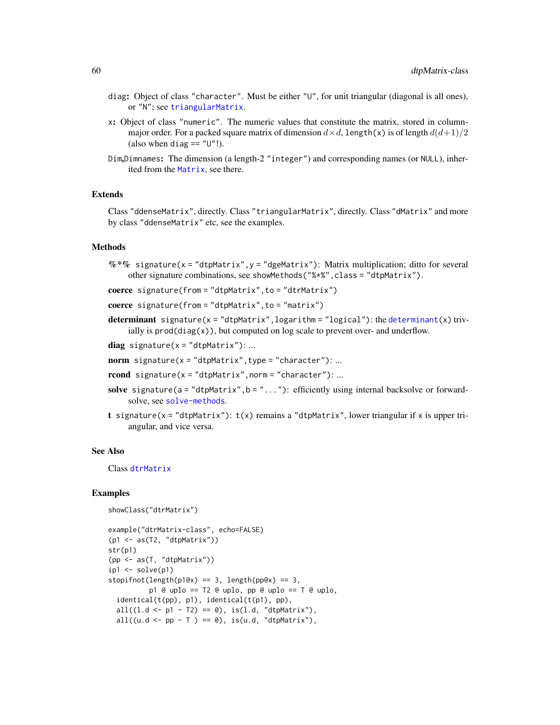- diag: Object of class "character". Must be either "U", for unit triangular (diagonal is all ones), or "N"; see [triangularMatrix](#page-163-0).
- x: Object of class "numeric". The numeric values that constitute the matrix, stored in columnmajor order. For a packed square matrix of dimension  $d \times d$ , length(x) is of length  $d(d+1)/2$ (also when diag  $== "U"$ !).
- Dim,Dimnames: The dimension (a length-2 "integer") and corresponding names (or NULL), inherited from the [Matrix](#page-100-0), see there.

### Extends

Class "ddenseMatrix", directly. Class "triangularMatrix", directly. Class "dMatrix" and more by class "ddenseMatrix" etc, see the examples.

# **Methods**

 $\%*\%$  signature(x = "dtpMatrix", y = "dgeMatrix"): Matrix multiplication; ditto for several other signature combinations, see showMethods("%\*%",class = "dtpMatrix").

```
coerce signature(from = "dtpMatrix", to = "dtrMatrix")
```
coerce signature(from = "dtpMatrix", to = "matrix")

determinant signature( $x = "dtpMatrix", logarithm = "logical");$  the [determinant\(](#page-0-0)x) trivially is  $\text{prod}(diag(x))$ , but computed on log scale to prevent over- and underflow.

 $diag$  signature(x = "dtpMatrix"): ...

- norm signature( $x =$ "dtpMatrix", type = "character"): ...
- $rcond$  signature(x = "dtpMatrix", norm = "character"): ...
- solve signature(a = "dtpMatrix", b = "..."): efficiently using internal backsolve or forwardsolve, see [solve-methods](#page-140-0).
- t signature(x = "dtpMatrix"):  $t(x)$  remains a "dtpMatrix", lower triangular if x is upper triangular, and vice versa.

#### See Also

Class [dtrMatrix](#page-61-0)

```
showClass("dtrMatrix")
```

```
example("dtrMatrix-class", echo=FALSE)
(p1 <- as(T2, "dtpMatrix"))
str(p1)
(pp <- as(T, "dtpMatrix"))
ip1 \leftarrow solve(p1)stopifnot(length(p1@x) == 3, length(pp@x) == 3,
          p1 @ uplo == T2 @ uplo, pp @ uplo == T @ uplo,
 identical(t(pp), pl), identical(t(p1), pp),all(l.d <- p1 - T2) == 0), is(l.d, "dtpMatrix"),
 all((u.d \le pp - T) == \emptyset), is(u.d, "dtpMatrix"),
```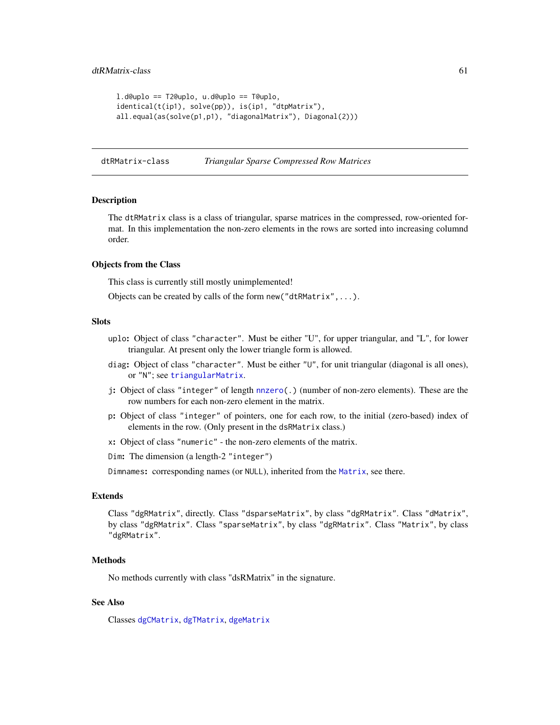```
l.d@uplo == T2@uplo, u.d@uplo == T@uplo,
identical(t(ip1), solve(pp)), is(ip1, "dtpMatrix"),
all.equal(as(solve(p1,p1), "diagonalMatrix"), Diagonal(2)))
```
dtRMatrix-class *Triangular Sparse Compressed Row Matrices*

### Description

The dtRMatrix class is a class of triangular, sparse matrices in the compressed, row-oriented format. In this implementation the non-zero elements in the rows are sorted into increasing columnd order.

#### Objects from the Class

This class is currently still mostly unimplemented!

Objects can be created by calls of the form new("dtRMatrix",...).

#### **Slots**

- uplo: Object of class "character". Must be either "U", for upper triangular, and "L", for lower triangular. At present only the lower triangle form is allowed.
- diag: Object of class "character". Must be either "U", for unit triangular (diagonal is all ones), or "N"; see [triangularMatrix](#page-163-0).
- j: Object of class "integer" of length [nnzero\(](#page-112-0).) (number of non-zero elements). These are the row numbers for each non-zero element in the matrix.
- p: Object of class "integer" of pointers, one for each row, to the initial (zero-based) index of elements in the row. (Only present in the dsRMatrix class.)
- x: Object of class "numeric" the non-zero elements of the matrix.
- Dim: The dimension (a length-2 "integer")

Dimnames: corresponding names (or NULL), inherited from the [Matrix](#page-100-0), see there.

## Extends

Class "dgRMatrix", directly. Class "dsparseMatrix", by class "dgRMatrix". Class "dMatrix", by class "dgRMatrix". Class "sparseMatrix", by class "dgRMatrix". Class "Matrix", by class "dgRMatrix".

#### **Methods**

No methods currently with class "dsRMatrix" in the signature.

## See Also

Classes [dgCMatrix](#page-35-0), [dgTMatrix](#page-39-0), [dgeMatrix](#page-36-0)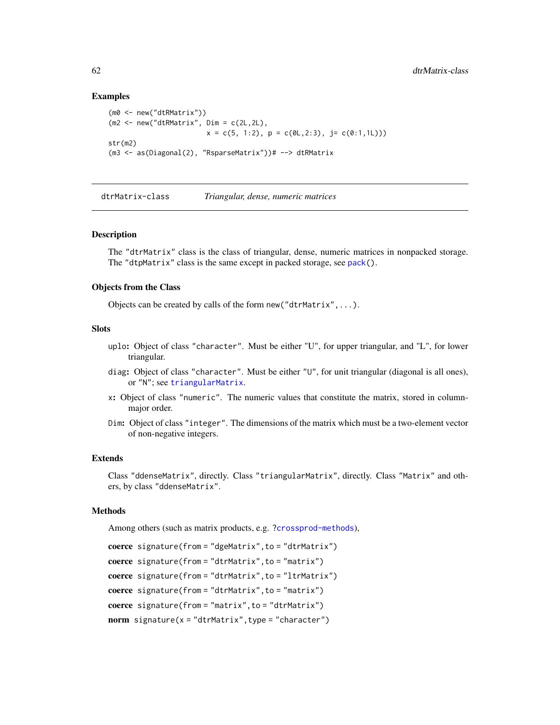### Examples

```
(m0 <- new("dtRMatrix"))
(m2 \le -\text{new("dthMatrix", Dim = c(2L, 2L)),
                         x = c(5, 1:2), p = c(0L, 2:3), j = c(0:1, 1L))str(m2)
(m3 <- as(Diagonal(2), "RsparseMatrix"))# --> dtRMatrix
```
<span id="page-61-0"></span>dtrMatrix-class *Triangular, dense, numeric matrices*

### Description

The "dtrMatrix" class is the class of triangular, dense, numeric matrices in nonpacked storage. The "dtpMatrix" class is the same except in packed storage, see [pack\(](#page-167-0)).

### Objects from the Class

Objects can be created by calls of the form new("dtrMatrix",...).

#### **Slots**

- uplo: Object of class "character". Must be either "U", for upper triangular, and "L", for lower triangular.
- diag: Object of class "character". Must be either "U", for unit triangular (diagonal is all ones), or "N"; see [triangularMatrix](#page-163-0).
- x: Object of class "numeric". The numeric values that constitute the matrix, stored in columnmajor order.
- Dim: Object of class "integer". The dimensions of the matrix which must be a two-element vector of non-negative integers.

#### Extends

Class "ddenseMatrix", directly. Class "triangularMatrix", directly. Class "Matrix" and others, by class "ddenseMatrix".

#### Methods

Among others (such as matrix products, e.g. [?crossprod-methods](#page-102-0)),

```
coerce signature(from = "dgeMatrix", to = "dtrMatrix")
coerce signature(from = "dtrMatrix", to = "matrix")
coerce signature(from = "dtrMatrix", to = "ltrMatrix")
coerce signature(from = "dtrMatrix", to = "matrix")
coerce signature(from = "matrix", to = "dtrMatrix")
norm signature(x = "dtrMatrix", type = "character")
```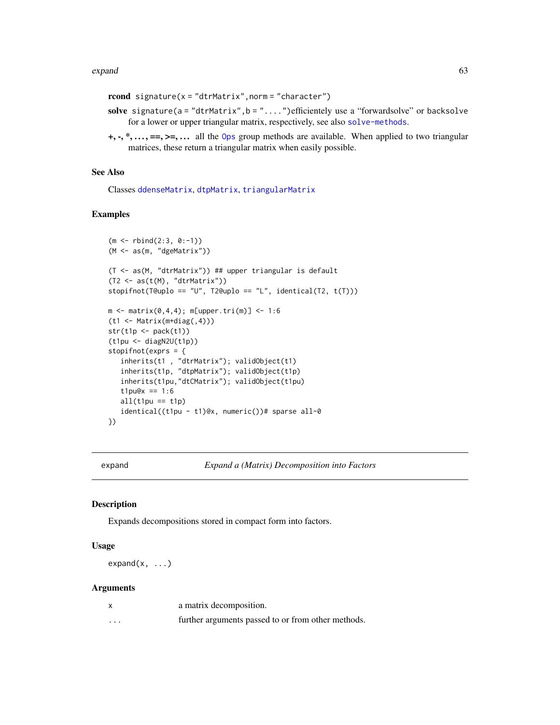#### expand 63

```
rcond signature(x = "dtrMatrix", norm = "character")
```
- solve signature(a = "dtrMatrix", b = "....") efficientely use a "forwardsolve" or backsolve for a lower or upper triangular matrix, respectively, see also [solve-methods](#page-140-0).
- $+, \cdot, *, \ldots, ==, >=, \ldots$  all the [Ops](#page-0-0) group methods are available. When applied to two triangular matrices, these return a triangular matrix when easily possible.

# See Also

Classes [ddenseMatrix](#page-33-0), [dtpMatrix](#page-58-0), [triangularMatrix](#page-163-0)

# Examples

```
(m <- rbind(2:3, 0:-1))
(M <- as(m, "dgeMatrix"))
(T <- as(M, "dtrMatrix")) ## upper triangular is default
(T2 \leq as(t(M), "dtrMatrix"))stopifnot(T@uplo == "U", T2@uplo == "L", identical(T2, t(T)))
m \le - matrix(0, 4, 4); m[upper.tri(m)] \le -1.6(t1 <- Matrix(m+diag(,4)))
str(t1p \leftarrow pack(t1))(t1pu <- diagN2U(t1p))
stopifnot(exprs = {
   inherits(t1 , "dtrMatrix"); validObject(t1)
  inherits(t1p, "dtpMatrix"); validObject(t1p)
  inherits(t1pu,"dtCMatrix"); validObject(t1pu)
  t1pu@x = 1:6all(t1pu == t1p)identical((t1pu - t1)@x, numeric())# sparse all-0
})
```
expand *Expand a (Matrix) Decomposition into Factors*

#### Description

Expands decompositions stored in compact form into factors.

#### Usage

 $expand(x, \ldots)$ 

## Arguments

|         | a matrix decomposition.                            |
|---------|----------------------------------------------------|
| $\cdot$ | further arguments passed to or from other methods. |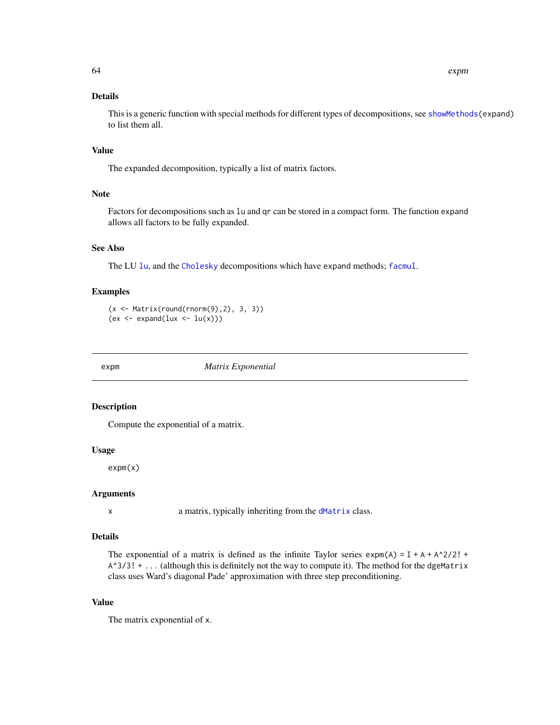# Details

This is a generic function with special methods for different types of decompositions, see [showMethods\(](#page-0-0)expand) to list them all.

# Value

The expanded decomposition, typically a list of matrix factors.

### Note

Factors for decompositions such as lu and qr can be stored in a compact form. The function expand allows all factors to be fully expanded.

### See Also

The LU [lu](#page-93-0), and the [Cholesky](#page-22-0) decompositions which have expand methods; [facmul](#page-66-0).

## Examples

(x <- Matrix(round(rnorm(9),2), 3, 3))  $(ex < - expand(lux < - lu(x)))$ 

<span id="page-63-0"></span>

expm *Matrix Exponential*

# Description

Compute the exponential of a matrix.

## Usage

expm(x)

# Arguments

x a matrix, typically inheriting from the [dMatrix](#page-45-0) class.

### Details

The exponential of a matrix is defined as the infinite Taylor series  $exp(\mathbf{A}) = \mathbf{I} + \mathbf{A} + \mathbf{A}^2/2! + \mathbf{A}^2/2!$  $A^3/3! + \ldots$  (although this is definitely not the way to compute it). The method for the dgeMatrix class uses Ward's diagonal Pade' approximation with three step preconditioning.

### Value

The matrix exponential of x.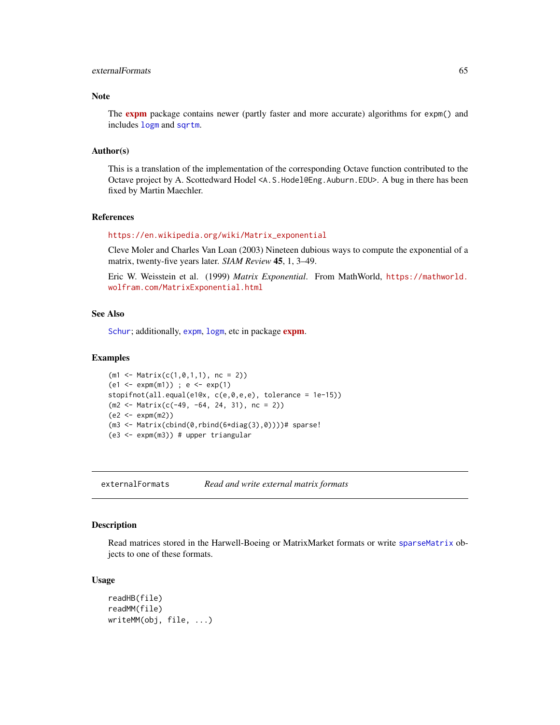## externalFormats 65

## Note

The **[expm](https://CRAN.R-project.org/package=expm)** package contains newer (partly faster and more accurate) algorithms for expm() and includes [logm](#page-0-0) and [sqrtm](#page-0-0).

#### Author(s)

This is a translation of the implementation of the corresponding Octave function contributed to the Octave project by A. Scottedward Hodel <A.S.Hodel@Eng.Auburn.EDU>. A bug in there has been fixed by Martin Maechler.

### References

#### [https://en.wikipedia.org/wiki/Matrix\\_exponential](https://en.wikipedia.org/wiki/Matrix_exponential)

Cleve Moler and Charles Van Loan (2003) Nineteen dubious ways to compute the exponential of a matrix, twenty-five years later. *SIAM Review* 45, 1, 3–49.

Eric W. Weisstein et al. (1999) *Matrix Exponential*. From MathWorld, [https://mathworld.](https://mathworld.wolfram.com/MatrixExponential.html) [wolfram.com/MatrixExponential.html](https://mathworld.wolfram.com/MatrixExponential.html)

## See Also

[Schur](#page-137-0); additionally, [expm](https://CRAN.R-project.org/package=expm), [logm](#page-0-0), etc in package expm.

#### Examples

```
(m1 < - Matrix(c(1,0,1,1), nc = 2))
(e1 \le - \exp(m1)); e \le - \exp(1)stopifnot(all.equal(e1@x, c(e,0,e,e), tolerance = 1e-15))
(m2 <- Matrix(c(-49, -64, 24, 31), nc = 2))
(e2 <- expm(m2))
(m3 \leq Matrix (cbind(0,rbind(6*diag(3),0))))# sparse!
(e3 <- expm(m3)) # upper triangular
```
externalFormats *Read and write external matrix formats*

#### Description

Read matrices stored in the Harwell-Boeing or MatrixMarket formats or write [sparseMatrix](#page-151-0) objects to one of these formats.

#### Usage

```
readHB(file)
readMM(file)
writeMM(obj, file, ...)
```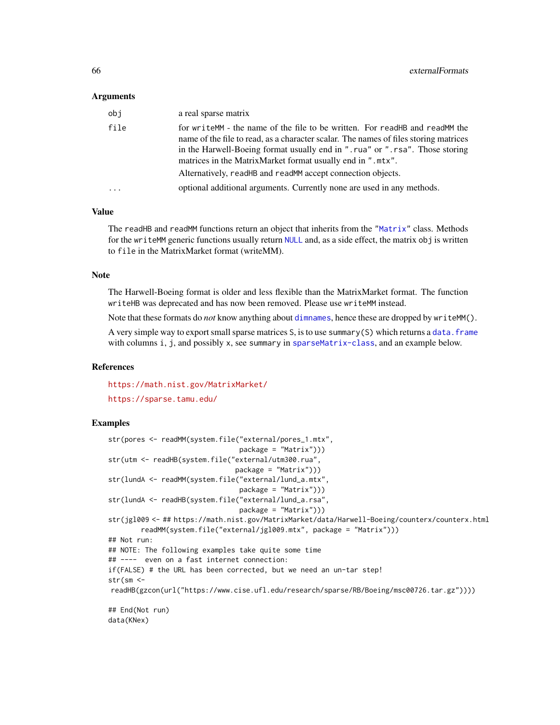#### Arguments

| obi     | a real sparse matrix                                                                                                                                                                                                                                                                                                                                                            |
|---------|---------------------------------------------------------------------------------------------------------------------------------------------------------------------------------------------------------------------------------------------------------------------------------------------------------------------------------------------------------------------------------|
| file    | for writeMM - the name of the file to be written. For readHB and readMM the<br>name of the file to read, as a character scalar. The names of files storing matrices<br>in the Harwell-Boeing format usually end in ".rua" or ".rsa". Those storing<br>matrices in the MatrixMarket format usually end in ".mtx".<br>Alternatively, readHB and readMM accept connection objects. |
| $\cdot$ | optional additional arguments. Currently none are used in any methods.                                                                                                                                                                                                                                                                                                          |

## Value

The readHB and readMM functions return an object that inherits from the ["Matrix"](#page-100-0) class. Methods for the writeMM generic functions usually return [NULL](#page-0-0) and, as a side effect, the matrix obj is written to file in the MatrixMarket format (writeMM).

#### Note

The Harwell-Boeing format is older and less flexible than the MatrixMarket format. The function writeHB was deprecated and has now been removed. Please use writeMM instead.

Note that these formats do *not* know anything about [dimnames](#page-0-0), hence these are dropped by writeMM().

A very simple way to export small sparse matrices S, is to use summary(S) which returns a data. frame with columns i, j, and possibly x, see summary in [sparseMatrix-class](#page-151-0), and an example below.

### References

<https://math.nist.gov/MatrixMarket/>

<https://sparse.tamu.edu/>

```
str(pores <- readMM(system.file("external/pores_1.mtx",
                                package = "Matrix")))
str(utm <- readHB(system.file("external/utm300.rua",
                               package = "Matrix")))
str(lundA <- readMM(system.file("external/lund_a.mtx",
                                package = "Matrix")))
str(lundA <- readHB(system.file("external/lund_a.rsa",
                                package = "Matrix")))
str(jgl009 <- ## https://math.nist.gov/MatrixMarket/data/Harwell-Boeing/counterx/counterx.html
       readMM(system.file("external/jgl009.mtx", package = "Matrix")))
## Not run:
## NOTE: The following examples take quite some time
## ---- even on a fast internet connection:
if(FALSE) # the URL has been corrected, but we need an un-tar step!
str(sm <-
readHB(gzcon(url("https://www.cise.ufl.edu/research/sparse/RB/Boeing/msc00726.tar.gz"))))
## End(Not run)
data(KNex)
```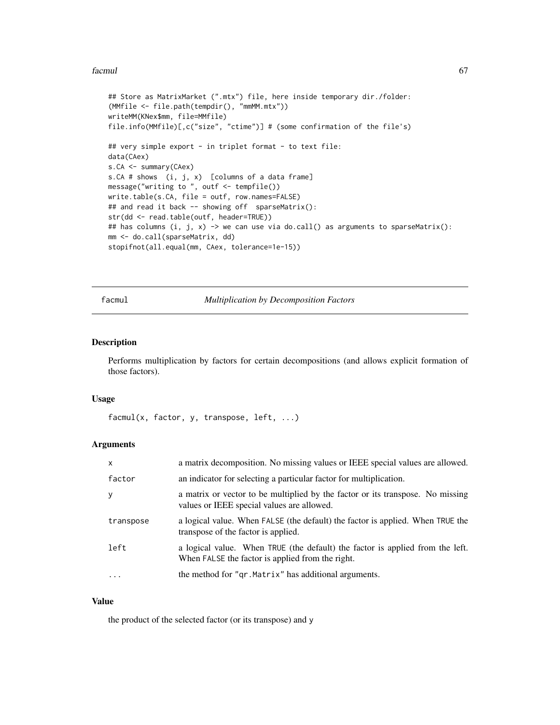### facmulation of the contract of the contract of the contract of the contract of the contract of the contract of the contract of the contract of the contract of the contract of the contract of the contract of the contract of

```
## Store as MatrixMarket (".mtx") file, here inside temporary dir./folder:
(MMfile <- file.path(tempdir(), "mmMM.mtx"))
writeMM(KNex$mm, file=MMfile)
file.info(MMfile)[,c("size", "ctime")] # (some confirmation of the file's)
## very simple export - in triplet format - to text file:
data(CAex)
s.CA <- summary(CAex)
s.CA # shows (i, j, x) [columns of a data frame]
message("writing to ", outf <- tempfile())
write.table(s.CA, file = outf, row.names=FALSE)
## and read it back -- showing off sparseMatrix():
str(dd <- read.table(outf, header=TRUE))
## has columns (i, j, x) -> we can use via do.call() as arguments to sparseMatrix():
mm <- do.call(sparseMatrix, dd)
stopifnot(all.equal(mm, CAex, tolerance=1e-15))
```
<span id="page-66-0"></span>facmul *Multiplication by Decomposition Factors*

# Description

Performs multiplication by factors for certain decompositions (and allows explicit formation of those factors).

#### Usage

```
facmul(x, factor, y, transpose, left, ...)
```
## Arguments

| $\mathsf{x}$ | a matrix decomposition. No missing values or IEEE special values are allowed.                                                     |
|--------------|-----------------------------------------------------------------------------------------------------------------------------------|
| factor       | an indicator for selecting a particular factor for multiplication.                                                                |
| y            | a matrix or vector to be multiplied by the factor or its transpose. No missing<br>values or IEEE special values are allowed.      |
| transpose    | a logical value. When FALSE (the default) the factor is applied. When TRUE the<br>transpose of the factor is applied.             |
| left         | a logical value. When TRUE (the default) the factor is applied from the left.<br>When FALSE the factor is applied from the right. |
| $\ddotsc$    | the method for "qr. Matrix" has additional arguments.                                                                             |

#### Value

the product of the selected factor (or its transpose) and y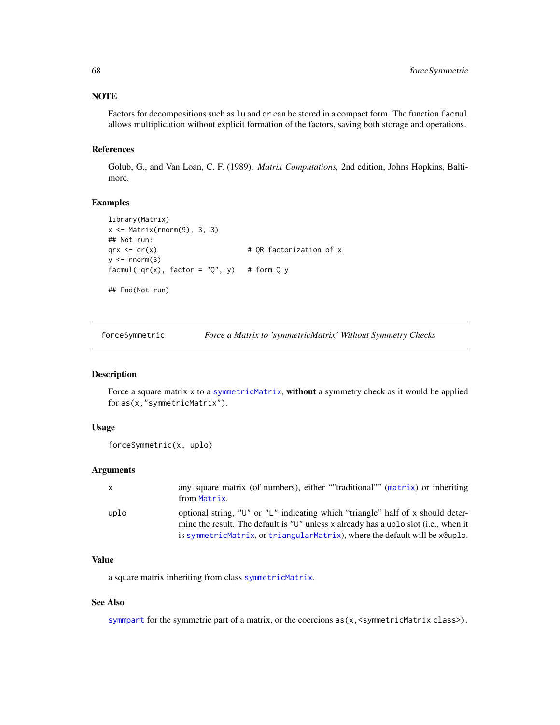# **NOTE**

Factors for decompositions such as lu and qr can be stored in a compact form. The function facmul allows multiplication without explicit formation of the factors, saving both storage and operations.

### References

Golub, G., and Van Loan, C. F. (1989). *Matrix Computations,* 2nd edition, Johns Hopkins, Baltimore.

## Examples

```
library(Matrix)
x \leftarrow Matrix(rnorm(9), 3, 3)
## Not run:
qrx < -qr(x) # QR factorization of x
y \leftarrow \text{norm}(3)facmul( qr(x), factor = "Q", y) # form Q y
## End(Not run)
```
forceSymmetric *Force a Matrix to 'symmetricMatrix' Without Symmetry Checks*

## Description

Force a square matrix x to a [symmetricMatrix](#page-160-0), without a symmetry check as it would be applied for as(x,"symmetricMatrix").

# Usage

```
forceSymmetric(x, uplo)
```
#### Arguments

|      | any square matrix (of numbers), either ""traditional"" (matrix) or inheriting<br>from Matrix.                                                                                                                                                                     |
|------|-------------------------------------------------------------------------------------------------------------------------------------------------------------------------------------------------------------------------------------------------------------------|
| uplo | optional string, " $U''$ or " $L''$ indicating which "triangle" half of x should deter-<br>mine the result. The default is " $U$ " unless x already has a uplo slot (i.e., when it<br>is symmetricMatrix, or triangularMatrix), where the default will be xeuplo. |

# Value

a square matrix inheriting from class [symmetricMatrix](#page-160-0).

# See Also

[symmpart](#page-162-0) for the symmetric part of a matrix, or the coercions  $as(x, \text{&symmetricMatrix class}>).$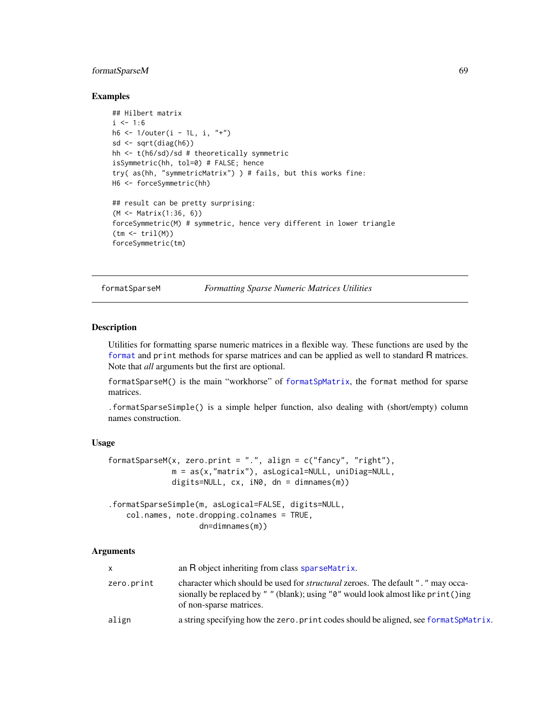# formatSparseM 69

### Examples

```
## Hilbert matrix
i \le -1:6h6 <- 1/outer(i - 1L, i, "+")
sd \leq sqrt(diag(h6))
hh <- t(h6/sd)/sd # theoretically symmetric
isSymmetric(hh, tol=0) # FALSE; hence
try( as(hh, "symmetricMatrix") ) # fails, but this works fine:
H6 <- forceSymmetric(hh)
## result can be pretty surprising:
(M <- Matrix(1:36, 6))
forceSymmetric(M) # symmetric, hence very different in lower triangle
(tm <- tril(M))
forceSymmetric(tm)
```
formatSparseM *Formatting Sparse Numeric Matrices Utilities*

### Description

Utilities for formatting sparse numeric matrices in a flexible way. These functions are used by the [format](#page-0-0) and print methods for sparse matrices and can be applied as well to standard R matrices. Note that *all* arguments but the first are optional.

formatSparseM() is the main "workhorse" of [formatSpMatrix](#page-123-0), the format method for sparse matrices.

.formatSparseSimple() is a simple helper function, also dealing with (short/empty) column names construction.

# Usage

```
formatSparseM(x, zero.print = ".", align = c("fancy", "right"),m = as(x, "matrix"), asLogical=NULL, unibiag=NULL,digits=NULL, cx, iN0, dn = dimnames(m))
.formatSparseSimple(m, asLogical=FALSE, digits=NULL,
```

```
col.names, note.dropping.colnames = TRUE,
                dn=dimnames(m))
```
## Arguments

| X.         | an R object inheriting from class sparse Matrix.                                                                                                                                                                 |
|------------|------------------------------------------------------------------------------------------------------------------------------------------------------------------------------------------------------------------|
| zero.print | character which should be used for <i>structural</i> zeroes. The default ". " may occa-<br>sionally be replaced by " " (blank); using " $\theta$ " would look almost like print ()ing<br>of non-sparse matrices. |
| align      | a string specifying how the zero. print codes should be aligned, see format SpMatrix.                                                                                                                            |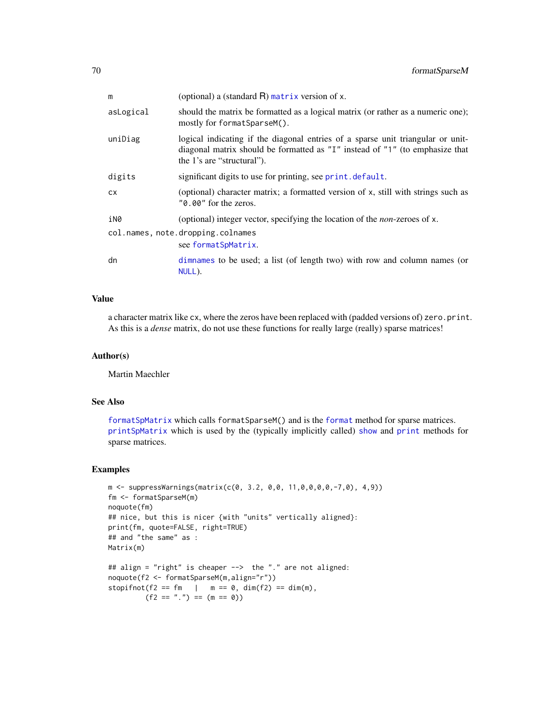| m         | (optional) a (standard $R$ ) matrix version of x.                                                                                                                                             |
|-----------|-----------------------------------------------------------------------------------------------------------------------------------------------------------------------------------------------|
| asLogical | should the matrix be formatted as a logical matrix (or rather as a numeric one);<br>mostly for format SparseM().                                                                              |
| uniDiag   | logical indicating if the diagonal entries of a sparse unit triangular or unit-<br>diagonal matrix should be formatted as "I" instead of "1" (to emphasize that<br>the 1's are "structural"). |
| digits    | significant digits to use for printing, see print. default.                                                                                                                                   |
| <b>CX</b> | (optional) character matrix; a formatted version of x, still with strings such as<br>"0.00" for the zeros.                                                                                    |
| iN0       | (optional) integer vector, specifying the location of the <i>non</i> -zeroes of x.                                                                                                            |
|           | col.names, note.dropping.colnames<br>see formatSpMatrix.                                                                                                                                      |
| dn        | dimnames to be used; a list (of length two) with row and column names (or<br>NULL).                                                                                                           |

## Value

a character matrix like cx, where the zeros have been replaced with (padded versions of) zero.print. As this is a *dense* matrix, do not use these functions for really large (really) sparse matrices!

## Author(s)

Martin Maechler

#### See Also

[formatSpMatrix](#page-123-0) which calls [format](#page-0-0)SparseM() and is the format method for sparse matrices. [printSpMatrix](#page-123-1) which is used by the (typically implicitly called) [show](#page-0-0) and [print](#page-0-0) methods for sparse matrices.

```
m \le suppressWarnings(matrix(c(0, 3.2, 0,0, 11,0,0,0,0,-7,0), 4,9))
fm <- formatSparseM(m)
noquote(fm)
## nice, but this is nicer {with "units" vertically aligned}:
print(fm, quote=FALSE, right=TRUE)
## and "the same" as :
Matrix(m)
## align = "right" is cheaper --> the "." are not aligned:
noquote(f2 <- formatSparseM(m,align="r"))
stopifnot(f2 == fm | m == 0, dim(f2) == dim(m),
        (f2 == "." ) == (m == 0)
```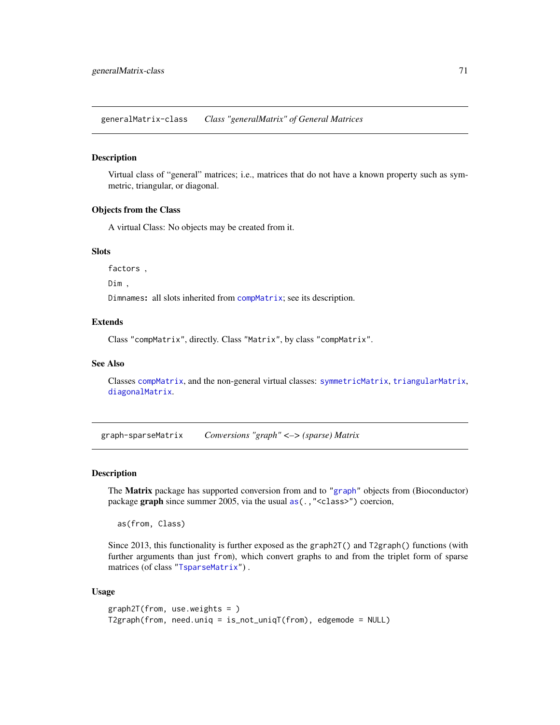generalMatrix-class *Class "generalMatrix" of General Matrices*

### Description

Virtual class of "general" matrices; i.e., matrices that do not have a known property such as symmetric, triangular, or diagonal.

#### Objects from the Class

A virtual Class: No objects may be created from it.

# **Slots**

factors ,

Dim ,

Dimnames: all slots inherited from [compMatrix](#page-28-0); see its description.

# Extends

Class "compMatrix", directly. Class "Matrix", by class "compMatrix".

#### See Also

Classes [compMatrix](#page-28-0), and the non-general virtual classes: [symmetricMatrix](#page-160-0), [triangularMatrix](#page-163-0), [diagonalMatrix](#page-42-0).

graph-sparseMatrix *Conversions "graph" <–> (sparse) Matrix*

#### Description

The Matrix package has supported conversion from and to ["graph"](#page-0-0) objects from (Bioconductor) package graph since summer 2005, via the usual as (., "<class>") coercion,

as(from, Class)

Since 2013, this functionality is further exposed as the graph2T() and T2graph() functions (with further arguments than just from), which convert graphs to and from the triplet form of sparse matrices (of class ["TsparseMatrix"](#page-164-0)) .

#### Usage

```
graph2T(from, use.weights = )
T2graph(from, need.uniq = is_not_uniqT(from), edgemode = NULL)
```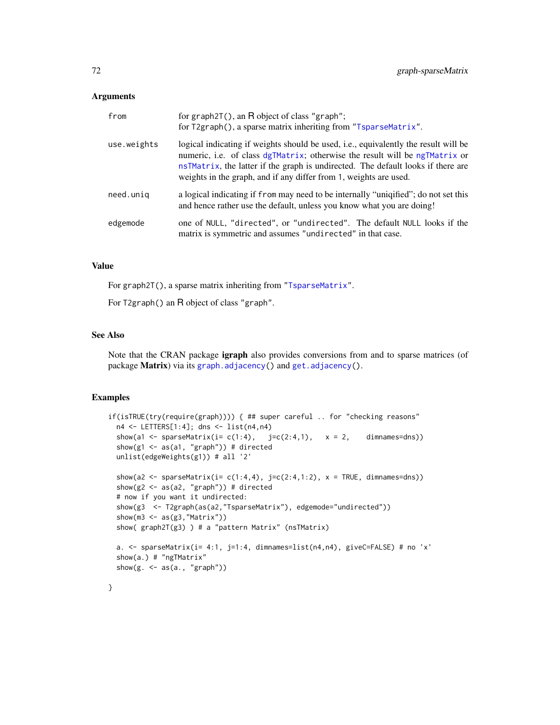### Arguments

| from        | for graph $2T()$ , an R object of class "graph";<br>for T2graph(), a sparse matrix inheriting from "TsparseMatrix".                                                                                                                                                                                                                 |
|-------------|-------------------------------------------------------------------------------------------------------------------------------------------------------------------------------------------------------------------------------------------------------------------------------------------------------------------------------------|
| use.weights | logical indicating if weights should be used, <i>i.e.</i> , equivalently the result will be<br>numeric, i.e. of class dgTMatrix; otherwise the result will be ngTMatrix or<br>nsTMatrix, the latter if the graph is undirected. The default looks if there are<br>weights in the graph, and if any differ from 1, weights are used. |
| need.unig   | a logical indicating if from may need to be internally "uniqified"; do not set this<br>and hence rather use the default, unless you know what you are doing!                                                                                                                                                                        |
| edgemode    | one of NULL, "directed", or "undirected". The default NULL looks if the<br>matrix is symmetric and assumes "undirected" in that case.                                                                                                                                                                                               |

## Value

For graph2T(), a sparse matrix inheriting from ["TsparseMatrix"](#page-164-0).

For T2graph() an R object of class "graph".

# See Also

Note that the CRAN package **igraph** also provides conversions from and to sparse matrices (of package Matrix) via its [graph.adjacency\(](#page-0-0)) and [get.adjacency\(](#page-0-0)).

# Examples

}

```
if(isTRUE(try(require(graph)))) { ## super careful .. for "checking reasons"
 n4 <- LETTERS[1:4]; dns <- list(n4,n4)
 show(a1 <- sparseMatrix(i= c(1:4), j=c(2:4,1), x = 2, dimnames=dns))
 show(g1 \leq -as(a1, "graph")) # directed
 unlist(edgeWeights(g1)) # all '2'
 show(a2 <- sparseMatrix(i= c(1:4,4), j=c(2:4,1:2), x = TRUE, dimnames=dns))
 show(g2 <- as(a2, "graph")) # directed
 # now if you want it undirected:
 show(g3 <- T2graph(as(a2,"TsparseMatrix"), edgemode="undirected"))
 show(m3 \leftarrow as(g3,"Matrix"))
 show( graph2T(g3) ) # a "pattern Matrix" (nsTMatrix)
 a. <- sparseMatrix(i= 4:1, j=1:4, dimnames=list(n4,n4), giveC=FALSE) # no 'x'
 show(a.) # "ngTMatrix"
 show(g. \leq as(a., "graph"))
```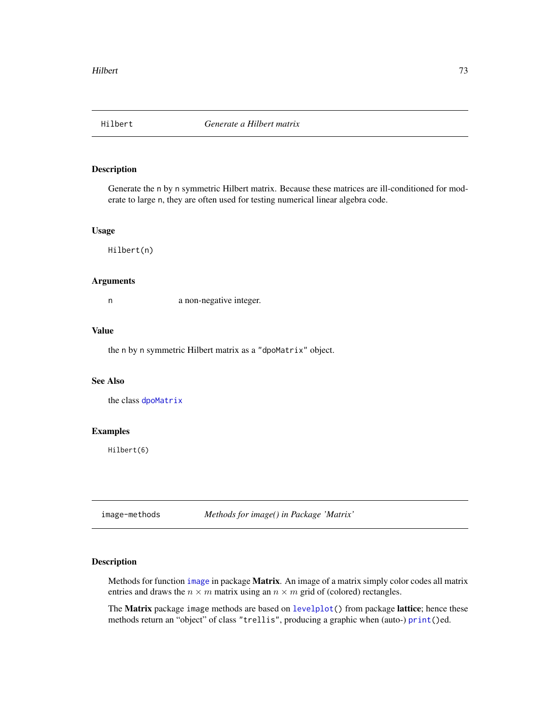### Description

Generate the n by n symmetric Hilbert matrix. Because these matrices are ill-conditioned for moderate to large n, they are often used for testing numerical linear algebra code.

# Usage

Hilbert(n)

### Arguments

n a non-negative integer.

## Value

the n by n symmetric Hilbert matrix as a "dpoMatrix" object.

### See Also

the class [dpoMatrix](#page-48-0)

#### Examples

Hilbert(6)

image-methods *Methods for image() in Package 'Matrix'*

# Description

Methods for function [image](#page-0-0) in package **Matrix**. An image of a matrix simply color codes all matrix entries and draws the  $n \times m$  matrix using an  $n \times m$  grid of (colored) rectangles.

The Matrix package image methods are based on [levelplot\(](#page-0-0)) from package lattice; hence these methods return an "object" of class "trellis", producing a graphic when (auto-) [print\(](#page-0-0))ed.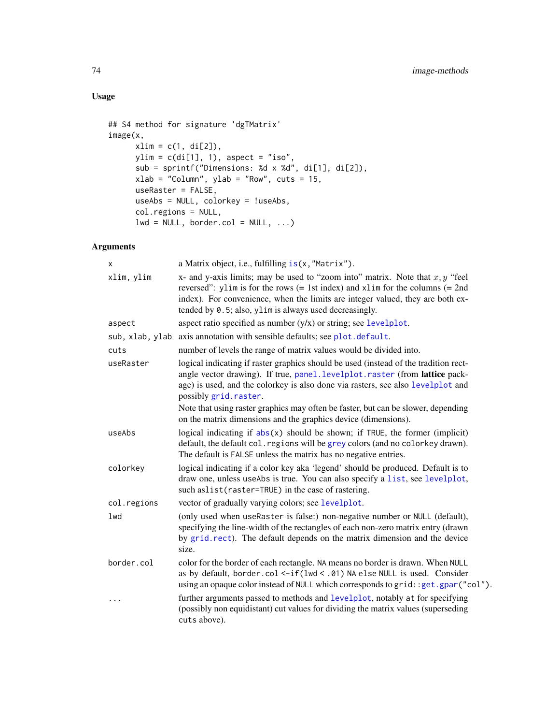# Usage

```
## S4 method for signature 'dgTMatrix'
image(x,
     xlim = c(1, di[2]),ylim = c(di[1], 1), aspect = "iso",sub = sprintf("Dimensions: %d x %d", di[1], di[2]),
     xlab = "Column", ylab = "Row", cuts = 15,useRaster = FALSE,
     useAbs = NULL, colorkey = !useAbs,
     col.regions = NULL,
     lwd = NULL, border.col = NULL, ...)
```
# Arguments

| х               | a Matrix object, i.e., fulfilling is(x, "Matrix").                                                                                                                                                                                                                                                               |
|-----------------|------------------------------------------------------------------------------------------------------------------------------------------------------------------------------------------------------------------------------------------------------------------------------------------------------------------|
| xlim, ylim      | x- and y-axis limits; may be used to "zoom into" matrix. Note that $x, y$ "feel<br>reversed": ylim is for the rows $(= 1st$ index) and xlim for the columns $(= 2nd$<br>index). For convenience, when the limits are integer valued, they are both ex-<br>tended by 0.5; also, ylim is always used decreasingly. |
|                 | aspect ratio specified as number $(y/x)$ or string; see levelplot.                                                                                                                                                                                                                                               |
| aspect          |                                                                                                                                                                                                                                                                                                                  |
| sub, xlab, ylab | axis annotation with sensible defaults; see plot.default.                                                                                                                                                                                                                                                        |
| cuts            | number of levels the range of matrix values would be divided into.                                                                                                                                                                                                                                               |
| useRaster       | logical indicating if raster graphics should be used (instead of the tradition rect-<br>angle vector drawing). If true, panel.levelplot.raster (from lattice pack-<br>age) is used, and the colorkey is also done via rasters, see also levelplot and<br>possibly grid.raster.                                   |
|                 | Note that using raster graphics may often be faster, but can be slower, depending<br>on the matrix dimensions and the graphics device (dimensions).                                                                                                                                                              |
| useAbs          | logical indicating if $abs(x)$ should be shown; if TRUE, the former (implicit)<br>default, the default col. regions will be grey colors (and no colorkey drawn).<br>The default is FALSE unless the matrix has no negative entries.                                                                              |
| colorkey        | logical indicating if a color key aka 'legend' should be produced. Default is to<br>draw one, unless useAbs is true. You can also specify a list, see levelplot,<br>such aslist (raster=TRUE) in the case of rastering.                                                                                          |
| col.regions     | vector of gradually varying colors; see levelplot.                                                                                                                                                                                                                                                               |
| lwd             | (only used when useRaster is false:) non-negative number or NULL (default),<br>specifying the line-width of the rectangles of each non-zero matrix entry (drawn<br>by grid.rect). The default depends on the matrix dimension and the device<br>size.                                                            |
| border.col      | color for the border of each rectangle. NA means no border is drawn. When NULL<br>as by default, border.col <-if(lwd < .01) NA else NULL is used. Consider<br>using an opaque color instead of NULL which corresponds to grid: : get.gpar("col").                                                                |
| $\cdots$        | further arguments passed to methods and levelplot, notably at for specifying<br>(possibly non equidistant) cut values for dividing the matrix values (superseding<br>cuts above).                                                                                                                                |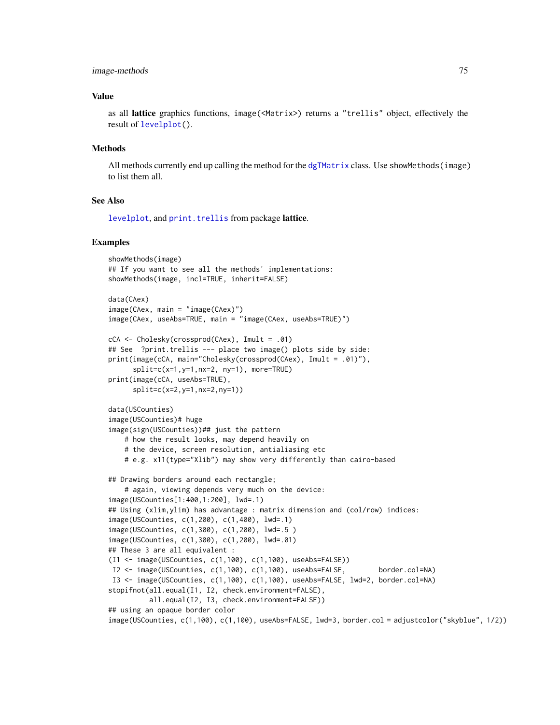#### image-methods 75

### Value

as all lattice graphics functions, image(<Matrix>) returns a "trellis" object, effectively the result of [levelplot\(](#page-0-0)).

#### Methods

All methods currently end up calling the method for the [dgTMatrix](#page-39-0) class. Use showMethods(image) to list them all.

# See Also

[levelplot](#page-0-0), and [print.trellis](#page-0-0) from package lattice.

```
showMethods(image)
## If you want to see all the methods' implementations:
showMethods(image, incl=TRUE, inherit=FALSE)
data(CAex)
image(CAex, main = "image(CAex)")
image(CAex, useAbs=TRUE, main = "image(CAex, useAbs=TRUE)")
cCA <- Cholesky(crossprod(CAex), Imult = .01)
## See ?print.trellis --- place two image() plots side by side:
print(image(cCA, main="Cholesky(crossprod(CAex), Imult = .01)"),
     split=c(x=1,y=1,nx=2, ny=1), more=TRUE)
print(image(cCA, useAbs=TRUE),
      split=c(x=2,y=1,nx=2,ny=1))
data(USCounties)
image(USCounties)# huge
image(sign(USCounties))## just the pattern
    # how the result looks, may depend heavily on
    # the device, screen resolution, antialiasing etc
    # e.g. x11(type="Xlib") may show very differently than cairo-based
## Drawing borders around each rectangle;
    # again, viewing depends very much on the device:
image(USCounties[1:400,1:200], lwd=.1)
## Using (xlim,ylim) has advantage : matrix dimension and (col/row) indices:
image(USCounties, c(1,200), c(1,400), lwd=.1)
image(USCounties, c(1,300), c(1,200), lwd=.5 )
image(USCounties, c(1,300), c(1,200), lwd=.01)
## These 3 are all equivalent :
(I1 <- image(USCounties, c(1,100), c(1,100), useAbs=FALSE))
I2 <- image(USCounties, c(1,100), c(1,100), useAbs=FALSE, border.col=NA)
I3 <- image(USCounties, c(1,100), c(1,100), useAbs=FALSE, lwd=2, border.col=NA)
stopifnot(all.equal(I1, I2, check.environment=FALSE),
         all.equal(I2, I3, check.environment=FALSE))
## using an opaque border color
image(USCounties, c(1,100), c(1,100), useAbs=FALSE, lwd=3, border.col = adjustcolor("skyblue", 1/2))
```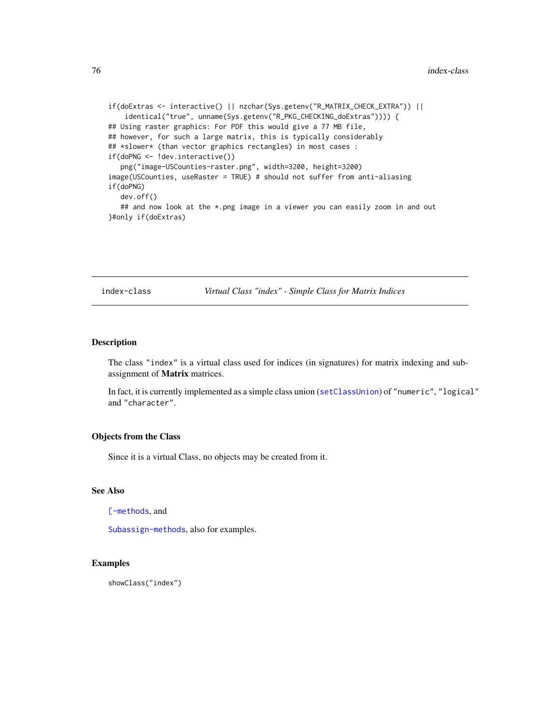```
if(doExtras <- interactive() || nzchar(Sys.getenv("R_MATRIX_CHECK_EXTRA")) ||
    identical("true", unname(Sys.getenv("R_PKG_CHECKING_doExtras")))) {
## Using raster graphics: For PDF this would give a 77 MB file,
## however, for such a large matrix, this is typically considerably
## *slower* (than vector graphics rectangles) in most cases :
if(doPNG <- !dev.interactive())
  png("image-USCounties-raster.png", width=3200, height=3200)
image(USCounties, useRaster = TRUE) # should not suffer from anti-aliasing
if(doPNG)
  dev.off()
   ## and now look at the *.png image in a viewer you can easily zoom in and out
}#only if(doExtras)
```
index-class *Virtual Class "index" - Simple Class for Matrix Indices*

## Description

The class "index" is a virtual class used for indices (in signatures) for matrix indexing and subassignment of Matrix matrices.

In fact, it is currently implemented as a simple class union ([setClassUnion](#page-0-0)) of "numeric", "logical" and "character".

### Objects from the Class

Since it is a virtual Class, no objects may be created from it.

### See Also

[\[-methods](#page-172-0), and

[Subassign-methods](#page-173-0), also for examples.

## Examples

showClass("index")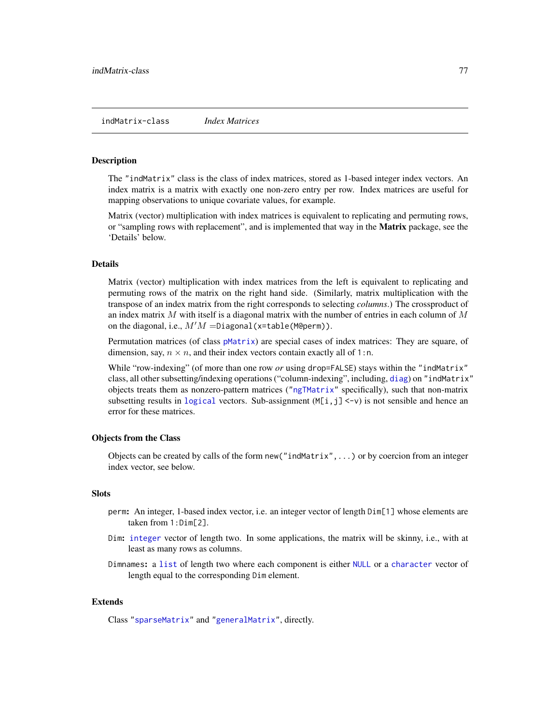### indMatrix-class *Index Matrices*

# Description

The "indMatrix" class is the class of index matrices, stored as 1-based integer index vectors. An index matrix is a matrix with exactly one non-zero entry per row. Index matrices are useful for mapping observations to unique covariate values, for example.

Matrix (vector) multiplication with index matrices is equivalent to replicating and permuting rows, or "sampling rows with replacement", and is implemented that way in the **Matrix** package, see the 'Details' below.

### **Details**

Matrix (vector) multiplication with index matrices from the left is equivalent to replicating and permuting rows of the matrix on the right hand side. (Similarly, matrix multiplication with the transpose of an index matrix from the right corresponds to selecting *columns*.) The crossproduct of an index matrix  $M$  with itself is a diagonal matrix with the number of entries in each column of  $M$ on the diagonal, i.e.,  $M'M =$ Diagonal(x=table(M@perm)).

Permutation matrices (of class [pMatrix](#page-121-0)) are special cases of index matrices: They are square, of dimension, say,  $n \times n$ , and their index vectors contain exactly all of 1:n.

While "row-indexing" (of more than one row *or* using drop=FALSE) stays within the "indMatrix" class, all other subsetting/indexing operations ("column-indexing", including, [diag](#page-0-0)) on "indMatrix" objects treats them as nonzero-pattern matrices (["ngTMatrix"](#page-115-0) specifically), such that non-matrix subsetting results in [logical](#page-0-0) vectors. Sub-assignment  $(M[i,j] < -v)$  is not sensible and hence an error for these matrices.

## Objects from the Class

Objects can be created by calls of the form new("indMatrix",...) or by coercion from an integer index vector, see below.

## Slots

- perm: An integer, 1-based index vector, i.e. an integer vector of length Dim[1] whose elements are taken from 1:Dim[2].
- Dim: [integer](#page-0-0) vector of length two. In some applications, the matrix will be skinny, i.e., with at least as many rows as columns.
- Dimnames: a [list](#page-0-0) of length two where each component is either [NULL](#page-0-0) or a [character](#page-0-0) vector of length equal to the corresponding Dim element.

### Extends

Class ["sparseMatrix"](#page-151-0) and ["generalMatrix"](#page-70-0), directly.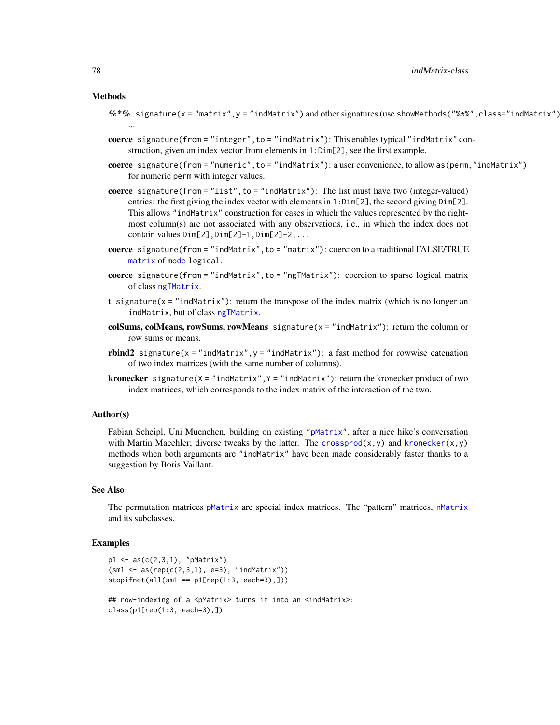### Methods

- $\%*\%$  signature(x = "matrix",y = "indMatrix") and other signatures (use showMethods("%\*%",class="indMatrix") ...
- coerce signature(from = "integer", to = "indMatrix"): This enables typical "indMatrix" construction, given an index vector from elements in 1:Dim[2], see the first example.
- coerce signature(from = "numeric",to = "indMatrix"): a user convenience, to allow as(perm,"indMatrix") for numeric perm with integer values.
- coerce signature(from = "list", to = "indMatrix"): The list must have two (integer-valued) entries: the first giving the index vector with elements in 1:Dim[2], the second giving Dim[2]. This allows "indMatrix" construction for cases in which the values represented by the rightmost column(s) are not associated with any observations, i.e., in which the index does not contain values  $Dim[2],Dim[2]-1,Dim[2]-2,...$
- coerce signature(from = "indMatrix",to = "matrix"): coercion to a traditional FALSE/TRUE [matrix](#page-0-0) of [mode](#page-0-0) logical.
- coerce signature(from = "indMatrix",to = "ngTMatrix"): coercion to sparse logical matrix of class [ngTMatrix](#page-115-0).
- t signature( $x =$  "indMatrix"): return the transpose of the index matrix (which is no longer an indMatrix, but of class [ngTMatrix](#page-115-0).
- colSums, colMeans, rowSums, rowMeans signature(x = "indMatrix"): return the column or row sums or means.
- rbind2 signature( $x =$ "indMatrix",  $y =$ "indMatrix"): a fast method for rowwise catenation of two index matrices (with the same number of columns).
- **kronecker** signature( $X = "indMatrix", Y = "indMatrix")$ : return the kronecker product of two index matrices, which corresponds to the index matrix of the interaction of the two.

### Author(s)

Fabian Scheipl, Uni Muenchen, building on existing ["pMatrix"](#page-121-0), after a nice hike's conversation with Martin Maechler; diverse tweaks by the latter. The crossprod $(x, y)$  and kronecker $(x, y)$ methods when both arguments are "indMatrix" have been made considerably faster thanks to a suggestion by Boris Vaillant.

### See Also

The permutation matrices [pMatrix](#page-121-0) are special index matrices. The "pattern" matrices, [nMatrix](#page-111-0) and its subclasses.

```
p1 \leq -as(c(2,3,1), "pMatrix")(sm1 \leq a s(rep(c(2,3,1), e=3), 'indMatrix'))stopifnot(all(sm1 == p1[rep(1:3, each=3), ]))## row-indexing of a <pMatrix> turns it into an <indMatrix>:
class(p1[rep(1:3, each=3),])
```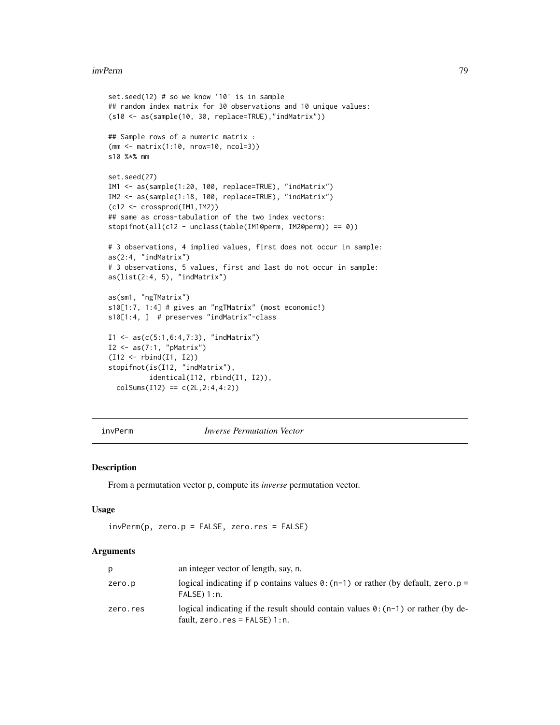#### invPerm 79

```
set.seed(12) # so we know '10' is in sample
## random index matrix for 30 observations and 10 unique values:
(s10 <- as(sample(10, 30, replace=TRUE),"indMatrix"))
## Sample rows of a numeric matrix :
(mm <- matrix(1:10, nrow=10, ncol=3))
s10 %*% mm
set.seed(27)
IM1 <- as(sample(1:20, 100, replace=TRUE), "indMatrix")
IM2 <- as(sample(1:18, 100, replace=TRUE), "indMatrix")
(c12 <- crossprod(IM1,IM2))
## same as cross-tabulation of the two index vectors:
stopifnot(all(c12 - unclass(table(IM1@perm, IM2@perm)) == 0))
# 3 observations, 4 implied values, first does not occur in sample:
as(2:4, "indMatrix")
# 3 observations, 5 values, first and last do not occur in sample:
as(list(2:4, 5), "indMatrix")
as(sm1, "ngTMatrix")
s10[1:7, 1:4] # gives an "ngTMatrix" (most economic!)
s10[1:4, ] # preserves "indMatrix"-class
I1 \leftarrow as(c(5:1, 6:4, 7:3), 'indMatrix')I2 \leftarrow as(7:1, "pMatrix")(I12 <- rbind(I1, I2))
stopifnot(is(I12, "indMatrix"),
         identical(I12, rbind(I1, I2)),
  colSums(112) == c(2L, 2:4, 4:2)
```
## invPerm *Inverse Permutation Vector*

# Description

From a permutation vector p, compute its *inverse* permutation vector.

### Usage

```
invPerm(p, zero.p = FALSE, zero.res = FALSE)
```
#### **Arguments**

| р        | an integer vector of length, say, n.                                                                                          |
|----------|-------------------------------------------------------------------------------------------------------------------------------|
| zero.p   | logical indicating if p contains values $\theta$ : (n-1) or rather (by default, zero. p =<br>FALSE) 1:n.                      |
| zero.res | logical indicating if the result should contain values $\theta$ : (n-1) or rather (by de-<br>fault, zero. $res$ = FALSE) 1:n. |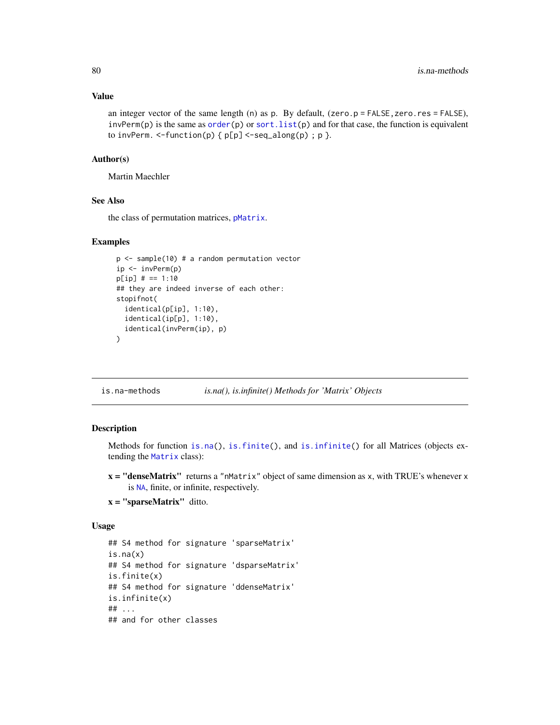an integer vector of the same length (n) as p. By default,  $(zero.p = FALSE, zero,res = FALSE)$ , invPerm(p) is the same as  $order(p)$  $order(p)$  or sort. list(p) and for that case, the function is equivalent to invPerm.  $\le$ -function(p) {  $p[p] \le$ -seq\_along(p) ;  $p$  }.

#### Author(s)

Martin Maechler

# See Also

the class of permutation matrices, [pMatrix](#page-121-0).

# Examples

```
p \le - sample(10) # a random permutation vector
ip \leftarrow invPerm(p)p[ip] # == 1:10
## they are indeed inverse of each other:
stopifnot(
  identical(p[ip], 1:10),
  identical(ip[p], 1:10),
  identical(invPerm(ip), p)
\lambda
```
is.na-methods *is.na(), is.infinite() Methods for 'Matrix' Objects*

## Description

Methods for function [is.na\(](#page-0-0)), [is.finite\(](#page-0-0)), and [is.infinite\(](#page-0-0)) for all Matrices (objects extending the [Matrix](#page-100-0) class):

- $x =$  "denseMatrix" returns a "nMatrix" object of same dimension as x, with TRUE's whenever x is [NA](#page-0-0), finite, or infinite, respectively.
- $x =$ "sparseMatrix" ditto.

## Usage

```
## S4 method for signature 'sparseMatrix'
is.na(x)
## S4 method for signature 'dsparseMatrix'
is.finite(x)
## S4 method for signature 'ddenseMatrix'
is.infinite(x)
## ...
## and for other classes
```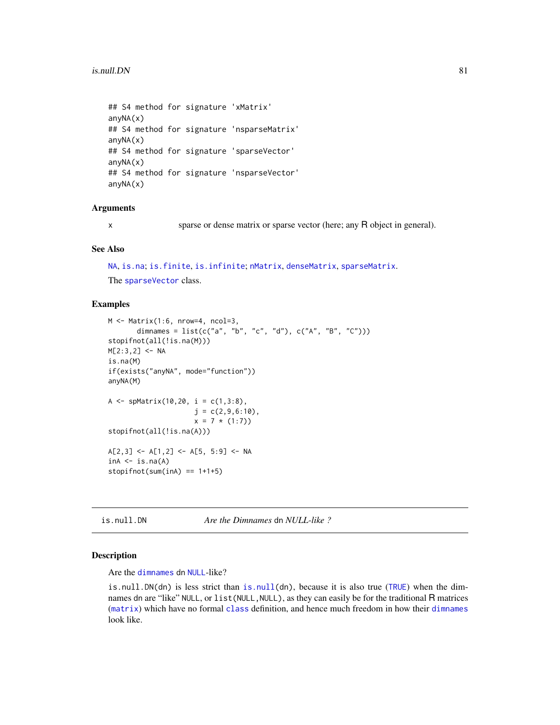```
## S4 method for signature 'xMatrix'
anyNA(x)## S4 method for signature 'nsparseMatrix'
anyNA(x)
## S4 method for signature 'sparseVector'
anyNA(x)
## S4 method for signature 'nsparseVector'
anyNA(x)
```
## Arguments

x sparse or dense matrix or sparse vector (here; any R object in general).

### See Also

[NA](#page-0-0), [is.na](#page-0-0); [is.finite](#page-0-0), [is.infinite](#page-0-0); [nMatrix](#page-111-0), [denseMatrix](#page-35-0), [sparseMatrix](#page-151-0).

The [sparseVector](#page-156-0) class.

## Examples

```
M \leq M \text{Matrix}(1:6, nrow=4, ncol=3,dimnames = list(c("a", "b", "c", "d"), c("A", "B", "C"))stopifnot(all(!is.na(M)))
M[2:3,2] <- NA
is.na(M)
if(exists("anyNA", mode="function"))
anyNA(M)
A <- spMatrix(10,20, i = c(1,3:8),
                     j = c(2, 9, 6:10),
                     x = 7 * (1:7)stopifnot(all(!is.na(A)))
A[2,3] <- A[1,2] <- A[5, 5:9] <- NA
inA < -is, na(A)stopifnot(sum(inA) == 1+1+5)
```
is.null.DN *Are the Dimnames* dn *NULL-like ?*

#### Description

Are the [dimnames](#page-0-0) dn [NULL](#page-0-0)-like?

is.null.DN(dn) is less strict than [is.null\(](#page-0-0)dn), because it is also true ([TRUE](#page-0-0)) when the dimnames dn are "like" NULL, or list (NULL, NULL), as they can easily be for the traditional R matrices ([matrix](#page-0-0)) which have no formal [class](#page-0-0) definition, and hence much freedom in how their [dimnames](#page-0-0) look like.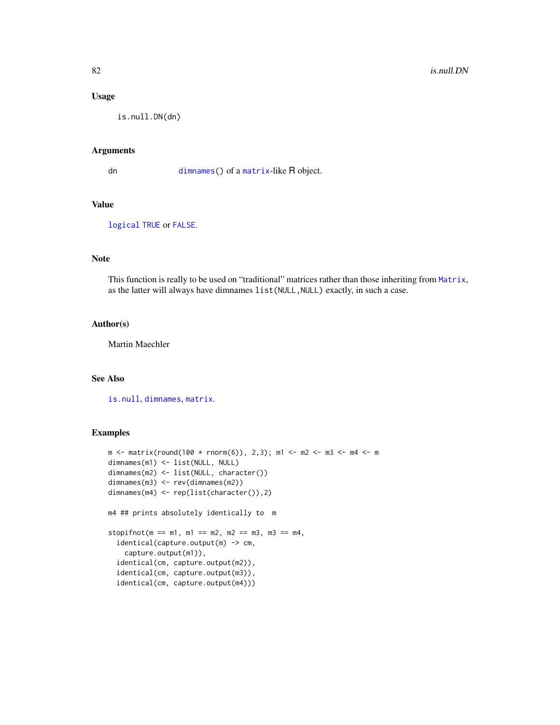## Usage

is.null.DN(dn)

## Arguments

dn [dimnames\(](#page-0-0)) of a [matrix](#page-0-0)-like R object.

# Value

[logical](#page-0-0) [TRUE](#page-0-0) or [FALSE](#page-0-0).

# Note

This function is really to be used on "traditional" matrices rather than those inheriting from [Matrix](#page-100-0), as the latter will always have dimnames list(NULL, NULL) exactly, in such a case.

## Author(s)

Martin Maechler

## See Also

[is.null](#page-0-0), [dimnames](#page-0-0), [matrix](#page-0-0).

```
m <- matrix(round(100 * rnorm(6)), 2,3); m1 <- m2 <- m3 <- m4 <- m
dimnames(m1) <- list(NULL, NULL)
dimnames(m2) <- list(NULL, character())
dimnames(m3) <- rev(dimnames(m2))
dimnames(m4) <- rep(list(character()),2)
m4 ## prints absolutely identically to m
stopifnot(m == m1, m1 == m2, m2 == m3, m3 == m4,
  identical(capture.output(m) -> cm,
   capture.output(m1)),
  identical(cm, capture.output(m2)),
  identical(cm, capture.output(m3)),
  identical(cm, capture.output(m4)))
```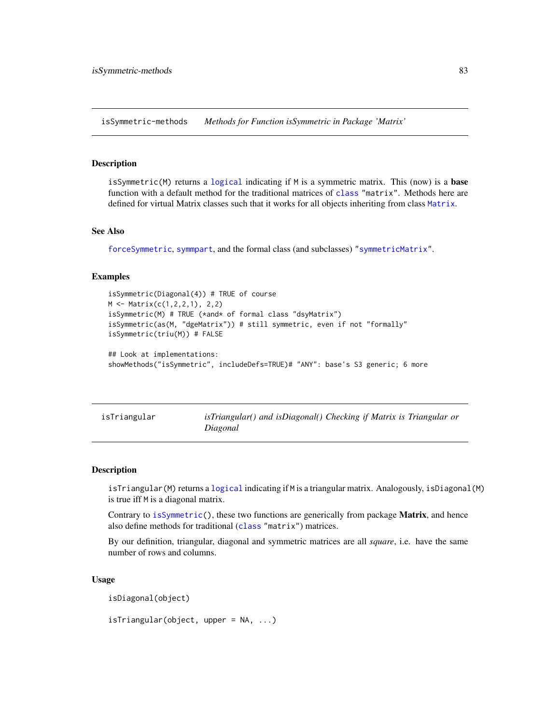isSymmetric-methods *Methods for Function isSymmetric in Package 'Matrix'*

### **Description**

isSymmetric(M) returns a [logical](#page-0-0) indicating if M is a symmetric matrix. This (now) is a **base** function with a default method for the traditional matrices of [class](#page-0-0) "matrix". Methods here are defined for virtual Matrix classes such that it works for all objects inheriting from class [Matrix](#page-100-0).

#### See Also

[forceSymmetric](#page-67-0), [symmpart](#page-162-0), and the formal class (and subclasses) ["symmetricMatrix"](#page-160-0).

# Examples

```
isSymmetric(Diagonal(4)) # TRUE of course
M <- Matrix(c(1,2,2,1), 2,2)
isSymmetric(M) # TRUE (*and* of formal class "dsyMatrix")
isSymmetric(as(M, "dgeMatrix")) # still symmetric, even if not "formally"
isSymmetric(triu(M)) # FALSE
## Look at implementations:
showMethods("isSymmetric", includeDefs=TRUE)# "ANY": base's S3 generic; 6 more
```

|  | isTriangular |  |
|--|--------------|--|
|  |              |  |

isTriangular() and *isDiagonal*() Checking if Matrix is Triangular or *Diagonal*

## Description

isTriangular(M) returns a [logical](#page-0-0) indicating if M is a triangular matrix. Analogously, isDiagonal(M) is true iff M is a diagonal matrix.

Contrary to [isSymmetric\(](#page-0-0)), these two functions are generically from package **Matrix**, and hence also define methods for traditional ([class](#page-0-0) "matrix") matrices.

By our definition, triangular, diagonal and symmetric matrices are all *square*, i.e. have the same number of rows and columns.

#### Usage

isDiagonal(object)

isTriangular(object, upper = NA, ...)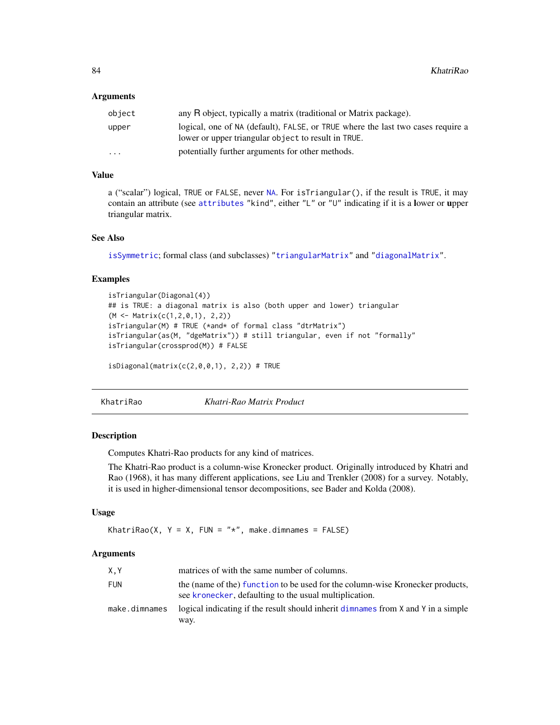### **Arguments**

| object | any R object, typically a matrix (traditional or Matrix package).                                                                      |
|--------|----------------------------------------------------------------------------------------------------------------------------------------|
| upper  | logical, one of NA (default), FALSE, or TRUE where the last two cases require a<br>lower or upper triangular object to result in TRUE. |
| .      | potentially further arguments for other methods.                                                                                       |

# Value

a ("scalar") logical, TRUE or FALSE, never [NA](#page-0-0). For isTriangular(), if the result is TRUE, it may contain an attribute (see [attributes](#page-0-0) "kind", either "L" or "U" indicating if it is a lower or upper triangular matrix.

# See Also

[isSymmetric](#page-0-0); formal class (and subclasses) ["triangularMatrix"](#page-163-0) and ["diagonalMatrix"](#page-42-0).

### Examples

```
isTriangular(Diagonal(4))
## is TRUE: a diagonal matrix is also (both upper and lower) triangular
(M <- Matrix(c(1,2,0,1), 2,2))
isTriangular(M) # TRUE (*and* of formal class "dtrMatrix")
isTriangular(as(M, "dgeMatrix")) # still triangular, even if not "formally"
isTriangular(crossprod(M)) # FALSE
```
 $isDiagonal(matrix(c(2,0,0,1), 2,2))$  # TRUE

KhatriRao *Khatri-Rao Matrix Product*

### Description

Computes Khatri-Rao products for any kind of matrices.

The Khatri-Rao product is a column-wise Kronecker product. Originally introduced by Khatri and Rao (1968), it has many different applications, see Liu and Trenkler (2008) for a survey. Notably, it is used in higher-dimensional tensor decompositions, see Bader and Kolda (2008).

# Usage

KhatriRao(X, Y = X, FUN = "\*", make.dimnames = FALSE)

## Arguments

| X.Y           | matrices of with the same number of columns.                                                                                            |
|---------------|-----------------------------------------------------------------------------------------------------------------------------------------|
| <b>FUN</b>    | the (name of the) function to be used for the column-wise Kronecker products,<br>see kronecker, defaulting to the usual multiplication. |
| make.dimnames | logical indicating if the result should inherit dimnames from X and Y in a simple<br>way.                                               |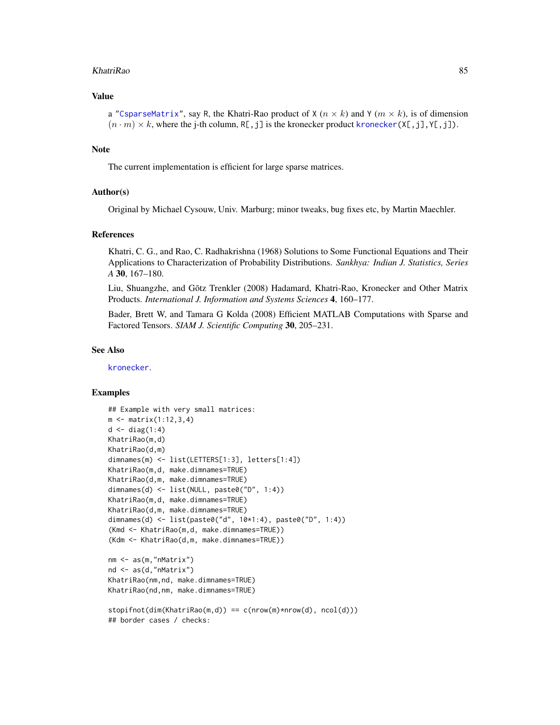#### KhatriRao 85

# Value

a ["CsparseMatrix"](#page-31-0), say R, the Khatri-Rao product of  $X$  ( $n \times k$ ) and  $Y$  ( $m \times k$ ), is of dimension  $(n \cdot m) \times k$ , where the j-th column, R[,j] is the kronecker product [kronecker\(](#page-0-0)X[,j],Y[,j]).

## **Note**

The current implementation is efficient for large sparse matrices.

## Author(s)

Original by Michael Cysouw, Univ. Marburg; minor tweaks, bug fixes etc, by Martin Maechler.

### References

Khatri, C. G., and Rao, C. Radhakrishna (1968) Solutions to Some Functional Equations and Their Applications to Characterization of Probability Distributions. *Sankhya: Indian J. Statistics, Series A* 30, 167–180.

Liu, Shuangzhe, and Gõtz Trenkler (2008) Hadamard, Khatri-Rao, Kronecker and Other Matrix Products. *International J. Information and Systems Sciences* 4, 160–177.

Bader, Brett W, and Tamara G Kolda (2008) Efficient MATLAB Computations with Sparse and Factored Tensors. *SIAM J. Scientific Computing* 30, 205–231.

### See Also

[kronecker](#page-0-0).

```
## Example with very small matrices:
m \le - matrix(1:12,3,4)d \leftarrow diag(1:4)KhatriRao(m,d)
KhatriRao(d,m)
dimnames(m) <- list(LETTERS[1:3], letters[1:4])
KhatriRao(m,d, make.dimnames=TRUE)
KhatriRao(d,m, make.dimnames=TRUE)
dimnames(d) <- list(NULL, paste0("D", 1:4))
KhatriRao(m,d, make.dimnames=TRUE)
KhatriRao(d,m, make.dimnames=TRUE)
dimnames(d) <- list(paste0("d", 10*1:4), paste0("D", 1:4))
(Kmd <- KhatriRao(m,d, make.dimnames=TRUE))
(Kdm <- KhatriRao(d,m, make.dimnames=TRUE))
nm <- as(m,"nMatrix")
nd <- as(d,"nMatrix")
KhatriRao(nm,nd, make.dimnames=TRUE)
KhatriRao(nd,nm, make.dimnames=TRUE)
stopifnot(dim(KhatriRao(m,d)) == c(nrow(m)*nrow(d), ncol(d)))
## border cases / checks:
```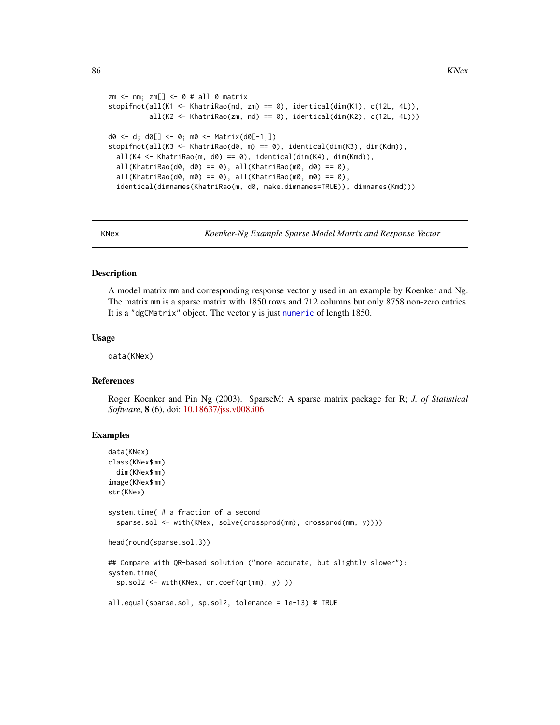```
zm < - nm; zm[] < -0 # all 0 matrix
stopifnot(all(K1 <- KhatriRao(nd, zm) == 0), identical(dim(K1), c(12L, 4L)),
          all(K2 <- KhatriRao(zm, nd) == 0), identical(dim(K2), c(12L, 4L)))
d0 <- d; d0[] <- 0; m0 <- Matrix(d0[-1,])
stopifnot(all(K3 <- KhatriRao(d0, m) == 0), identical(dim(K3), dim(Kdm)),
 all(K4 \leq KhatriRao(m, d0) == 0), identical(dim(K4), dim(Kmd)),all(KhatriRao(d0, d0) == 0), all(KhatriRao(m0, d0) == 0),
 all(KhatriRao(d0, m0) == 0), all(KhatriRao(m0, m0) == 0),
 identical(dimnames(KhatriRao(m, d0, make.dimnames=TRUE)), dimnames(Kmd)))
```
KNex *Koenker-Ng Example Sparse Model Matrix and Response Vector*

#### **Description**

A model matrix mm and corresponding response vector y used in an example by Koenker and Ng. The matrix mm is a sparse matrix with 1850 rows and 712 columns but only 8758 non-zero entries. It is a "dgCMatrix" object. The vector y is just [numeric](#page-0-0) of length 1850.

### Usage

data(KNex)

## References

Roger Koenker and Pin Ng (2003). SparseM: A sparse matrix package for R; *J. of Statistical Software*, 8 (6), doi: [10.18637/jss.v008.i06](https://doi.org/10.18637/jss.v008.i06)

```
data(KNex)
class(KNex$mm)
 dim(KNex$mm)
image(KNex$mm)
str(KNex)
system.time( # a fraction of a second
 sparse.sol <- with(KNex, solve(crossprod(mm), crossprod(mm, y))))
head(round(sparse.sol,3))
## Compare with QR-based solution ("more accurate, but slightly slower"):
system.time(
 sp.sol2 <- with(KNex, qr.coef(qr(mm), y) ))
all.equal(sparse.sol, sp.sol2, tolerance = 1e-13) # TRUE
```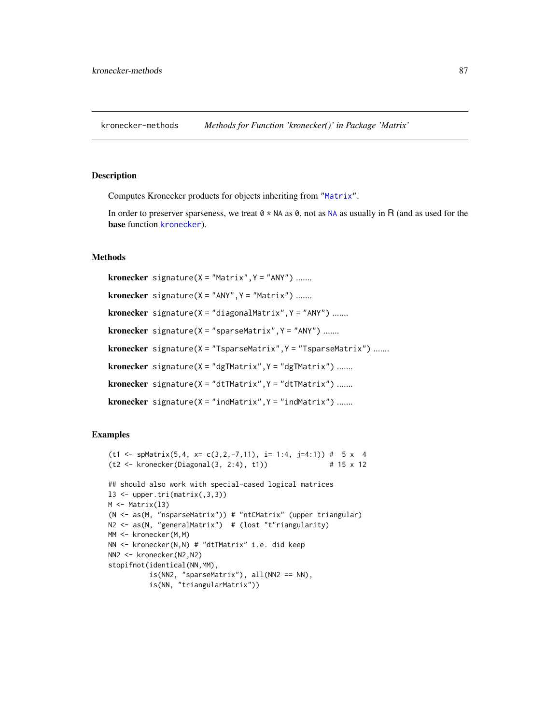<span id="page-86-0"></span>kronecker-methods *Methods for Function 'kronecker()' in Package 'Matrix'*

### Description

Computes Kronecker products for objects inheriting from ["Matrix"](#page-100-0).

In order to preserver sparseness, we treat  $0 \times NA$  $0 \times NA$  as 0, not as NA as usually in R (and as used for the base function [kronecker](#page-0-0)).

# Methods

**kronecker** signature( $X = "Matrix", Y = "ANY")$  ....... kronecker signature( $X = "ANY", Y = "Matrix")$  ....... **kronecker** signature( $X = "diagonalMatrix", Y = "ANY")$  ....... **kronecker** signature( $X = "sparseMatrix", Y = "ANY")$  ....... kronecker signature(X = "TsparseMatrix", Y = "TsparseMatrix") ....... kronecker signature(X = "dgTMatrix", Y = "dgTMatrix") ....... **kronecker** signature( $X = "dtTMatrix", Y = "dtTMatrix")$  ....... kronecker signature(X = "indMatrix", Y = "indMatrix") .......

```
(t1 \leq -5)Matrix(5,4, x= c(3,2,-7,11), i= 1:4, j=4:1)) # 5 x 4
(t2 \leq K \text{ronecker}(Diagonal(3, 2:4), t1)) # 15 x 12
## should also work with special-cased logical matrices
13 \le upper.tri(matrix(,3,3))
M \leftarrow Matrix(13)
(N <- as(M, "nsparseMatrix")) # "ntCMatrix" (upper triangular)
N2 <- as(N, "generalMatrix") # (lost "t"riangularity)
MM <- kronecker(M,M)
NN <- kronecker(N,N) # "dtTMatrix" i.e. did keep
NN2 <- kronecker(N2,N2)
stopifnot(identical(NN,MM),
          is(NN2, "sparseMatrix"), all(NN2 == NN),
          is(NN, "triangularMatrix"))
```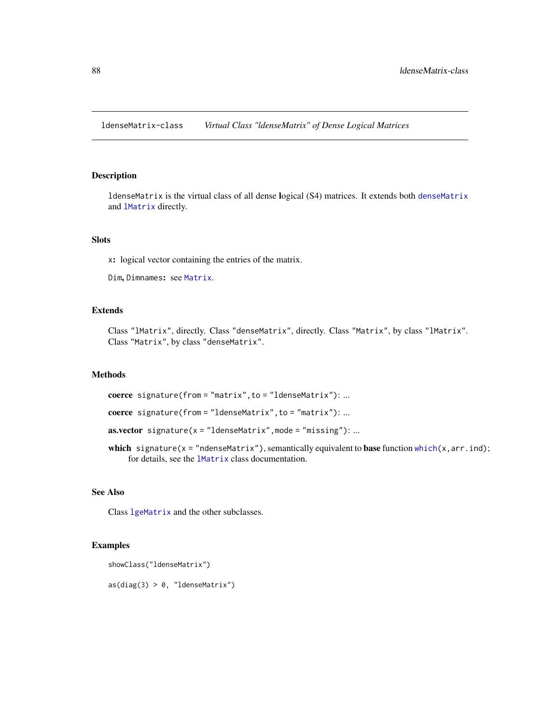<span id="page-87-0"></span>ldenseMatrix-class *Virtual Class "ldenseMatrix" of Dense Logical Matrices*

## Description

ldenseMatrix is the virtual class of all dense logical (S4) matrices. It extends both [denseMatrix](#page-35-0) and [lMatrix](#page-45-0) directly.

# Slots

x: logical vector containing the entries of the matrix.

Dim, Dimnames: see [Matrix](#page-100-0).

## Extends

Class "lMatrix", directly. Class "denseMatrix", directly. Class "Matrix", by class "lMatrix". Class "Matrix", by class "denseMatrix".

## Methods

coerce signature(from = "matrix",to = "ldenseMatrix"): ...

coerce signature(from = "ldenseMatrix",to = "matrix"): ...

**as.vector** signature( $x = "IdenseMatrix", mode = "missing"); ...$ 

which signature( $x = "ndenseMatrix")$ , semantically equivalent to base function [which\(](#page-0-0) $x, arr.ind$ ); for details, see the [lMatrix](#page-45-0) class documentation.

# See Also

Class [lgeMatrix](#page-88-0) and the other subclasses.

# Examples

showClass("ldenseMatrix")

 $as(diag(3) > 0, "IdenseMatrix")$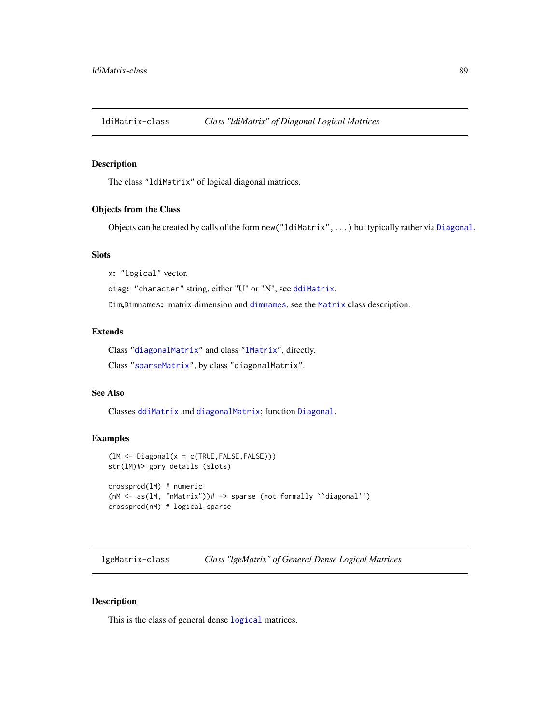ldiMatrix-class *Class "ldiMatrix" of Diagonal Logical Matrices*

## Description

The class "ldiMatrix" of logical diagonal matrices.

## Objects from the Class

Objects can be created by calls of the form new("ldiMatrix",...) but typically rather via [Diagonal](#page-40-0).

# Slots

x: "logical" vector.

diag: "character" string, either "U" or "N", see [ddiMatrix](#page-34-0).

Dim,Dimnames: matrix dimension and [dimnames](#page-0-0), see the [Matrix](#page-100-0) class description.

# Extends

Class ["diagonalMatrix"](#page-42-0) and class ["lMatrix"](#page-45-0), directly.

Class ["sparseMatrix"](#page-151-0), by class "diagonalMatrix".

# See Also

Classes [ddiMatrix](#page-34-0) and [diagonalMatrix](#page-42-0); function [Diagonal](#page-40-0).

## Examples

```
(lM <- Diagonal(x = c(TRUE,FALSE,FALSE)))
str(lM)#> gory details (slots)
crossprod(lM) # numeric
(nM <- as(lM, "nMatrix"))# -> sparse (not formally ``diagonal'')
crossprod(nM) # logical sparse
```
<span id="page-88-0"></span>lgeMatrix-class *Class "lgeMatrix" of General Dense Logical Matrices*

### Description

This is the class of general dense [logical](#page-0-0) matrices.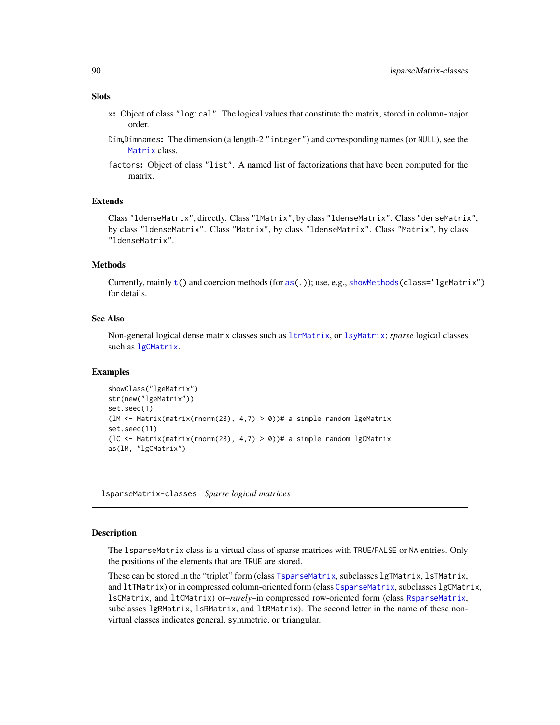### **Slots**

- x: Object of class "logical". The logical values that constitute the matrix, stored in column-major order.
- Dim,Dimnames: The dimension (a length-2 "integer") and corresponding names (or NULL), see the [Matrix](#page-100-0) class.
- factors: Object of class "list". A named list of factorizations that have been computed for the matrix.

# Extends

Class "ldenseMatrix", directly. Class "lMatrix", by class "ldenseMatrix". Class "denseMatrix", by class "ldenseMatrix". Class "Matrix", by class "ldenseMatrix". Class "Matrix", by class "ldenseMatrix".

## Methods

Currently, mainly [t\(](#page-0-0)) and coercion methods (for [as\(](#page-0-0).)); use, e.g., [showMethods\(](#page-0-0)class="lgeMatrix") for details.

# See Also

Non-general logical dense matrix classes such as [ltrMatrix](#page-92-0), or [lsyMatrix](#page-91-0); *sparse* logical classes such as [lgCMatrix](#page-89-0).

### Examples

```
showClass("lgeMatrix")
str(new("lgeMatrix"))
set.seed(1)
(1M \leq Matrix(matrix(rnorm(28), 4,7) > 0))# a simple random lgeMatrix
set.seed(11)
(IC <- Matrix(matrix(rnorm(28), 4,7) > 0))# a simple random lgCMatrix
as(lM, "lgCMatrix")
```
lsparseMatrix-classes *Sparse logical matrices*

### <span id="page-89-0"></span>Description

The lsparseMatrix class is a virtual class of sparse matrices with TRUE/FALSE or NA entries. Only the positions of the elements that are TRUE are stored.

These can be stored in the "triplet" form (class [TsparseMatrix](#page-164-0), subclasses lgTMatrix, lsTMatrix, and ltTMatrix) or in compressed column-oriented form (class [CsparseMatrix](#page-31-0), subclasses lgCMatrix, lsCMatrix, and ltCMatrix) or–*rarely*–in compressed row-oriented form (class [RsparseMatrix](#page-136-0), subclasses lgRMatrix, lsRMatrix, and ltRMatrix). The second letter in the name of these nonvirtual classes indicates general, symmetric, or triangular.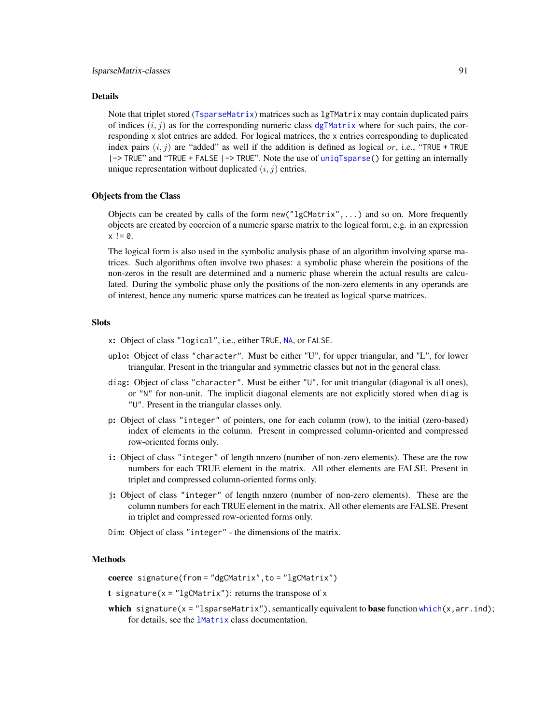### Details

Note that triplet stored ([TsparseMatrix](#page-164-0)) matrices such as lgTMatrix may contain duplicated pairs of indices  $(i, j)$  as for the corresponding numeric class [dgTMatrix](#page-39-0) where for such pairs, the corresponding x slot entries are added. For logical matrices, the x entries corresponding to duplicated index pairs  $(i, j)$  are "added" as well if the addition is defined as logical or, i.e., "TRUE + TRUE |-> TRUE" and "TRUE + FALSE |-> TRUE". Note the use of [uniqTsparse\(](#page-165-0)) for getting an internally unique representation without duplicated  $(i, j)$  entries.

### Objects from the Class

Objects can be created by calls of the form new("lgCMatrix",...) and so on. More frequently objects are created by coercion of a numeric sparse matrix to the logical form, e.g. in an expression  $x := 0$ .

The logical form is also used in the symbolic analysis phase of an algorithm involving sparse matrices. Such algorithms often involve two phases: a symbolic phase wherein the positions of the non-zeros in the result are determined and a numeric phase wherein the actual results are calculated. During the symbolic phase only the positions of the non-zero elements in any operands are of interest, hence any numeric sparse matrices can be treated as logical sparse matrices.

# **Slots**

- x: Object of class "logical", i.e., either TRUE, [NA](#page-0-0), or FALSE.
- uplo: Object of class "character". Must be either "U", for upper triangular, and "L", for lower triangular. Present in the triangular and symmetric classes but not in the general class.
- diag: Object of class "character". Must be either "U", for unit triangular (diagonal is all ones), or "N" for non-unit. The implicit diagonal elements are not explicitly stored when diag is "U". Present in the triangular classes only.
- p: Object of class "integer" of pointers, one for each column (row), to the initial (zero-based) index of elements in the column. Present in compressed column-oriented and compressed row-oriented forms only.
- i: Object of class "integer" of length nnzero (number of non-zero elements). These are the row numbers for each TRUE element in the matrix. All other elements are FALSE. Present in triplet and compressed column-oriented forms only.
- j: Object of class "integer" of length nnzero (number of non-zero elements). These are the column numbers for each TRUE element in the matrix. All other elements are FALSE. Present in triplet and compressed row-oriented forms only.
- Dim: Object of class "integer" the dimensions of the matrix.

## Methods

coerce signature(from = "dgCMatrix", to = "lgCMatrix")

t signature( $x =$ "lgCMatrix"): returns the transpose of  $x$ 

which signature(x = "lsparseMatrix"), semantically equivalent to base function [which\(](#page-0-0)x, arr.ind); for details, see the [lMatrix](#page-45-0) class documentation.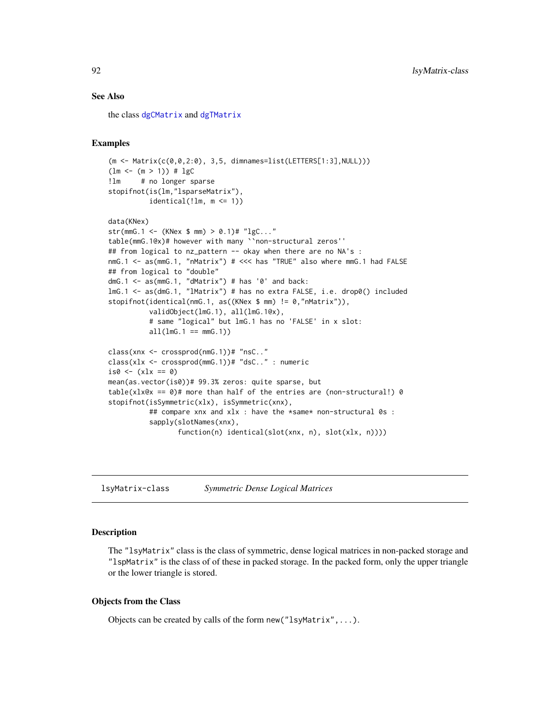## See Also

the class [dgCMatrix](#page-35-1) and [dgTMatrix](#page-39-0)

### Examples

```
(m <- Matrix(c(0,0,2:0), 3,5, dimnames=list(LETTERS[1:3],NULL)))
(lm < - (m > 1)) # lgC!lm # no longer sparse
stopifnot(is(lm,"lsparseMatrix"),
          identical(!lm, m <= 1))
data(KNex)
str(mmG.1 <- (KNex $ mm) > 0.1)# "lgC..."
table(mmG.1@x)# however with many ``non-structural zeros''
## from logical to nz_pattern -- okay when there are no NA's :
nmG.1 <- as(mmG.1, "nMatrix") # <<< has "TRUE" also where mmG.1 had FALSE
## from logical to "double"
dmG.1 \leq -as(mmG.1, "dMatrix") # has '0' and back:lmG.1 <- as(dmG.1, "lMatrix") # has no extra FALSE, i.e. drop0() included
stopifnot(identical(nmG.1, as((KNex $ mm) != 0,"nMatrix")),
          validObject(lmG.1), all(lmG.1@x),
          # same "logical" but lmG.1 has no 'FALSE' in x slot:
          all(lmG.1 == mmG.1))class(xnx <- crossprod(nmG.1))# "nsC.."
class(xlx <- crossprod(mmG.1))# "dsC.." : numeric
is0 \leftarrow (x \& x == 0)mean(as.vector(is0))# 99.3% zeros: quite sparse, but
table(xlx@x == 0)# more than half of the entries are (non-structural!) 0
stopifnot(isSymmetric(xlx), isSymmetric(xnx),
          ## compare xnx and xlx : have the *same* non-structural 0s :
          sapply(slotNames(xnx),
                 function(n) identical(slot(xnx, n), slot(xlx, n))))
```
<span id="page-91-0"></span>lsyMatrix-class *Symmetric Dense Logical Matrices*

## Description

The "lsyMatrix" class is the class of symmetric, dense logical matrices in non-packed storage and "lspMatrix" is the class of of these in packed storage. In the packed form, only the upper triangle or the lower triangle is stored.

#### Objects from the Class

Objects can be created by calls of the form new("lsyMatrix",...).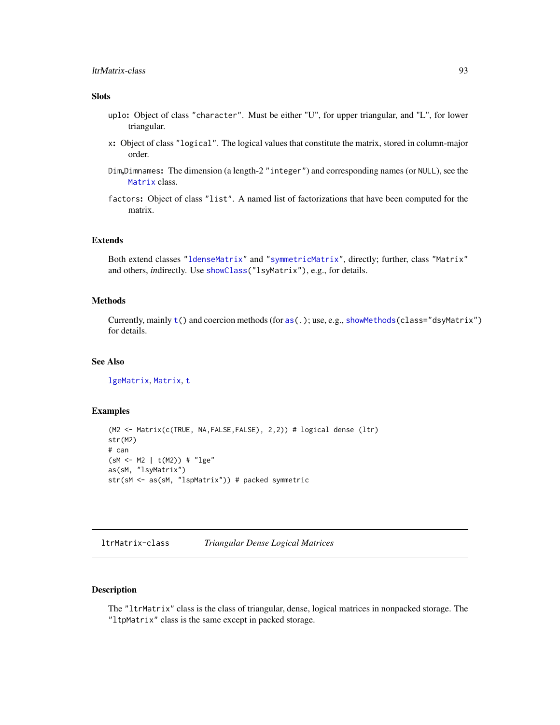## Slots

- uplo: Object of class "character". Must be either "U", for upper triangular, and "L", for lower triangular.
- x: Object of class "logical". The logical values that constitute the matrix, stored in column-major order.
- Dim,Dimnames: The dimension (a length-2 "integer") and corresponding names (or NULL), see the [Matrix](#page-100-0) class.
- factors: Object of class "list". A named list of factorizations that have been computed for the matrix.

# Extends

Both extend classes ["ldenseMatrix"](#page-87-0) and ["symmetricMatrix"](#page-160-0), directly; further, class "Matrix" and others, *in*directly. Use [showClass\(](#page-0-0)"lsyMatrix"), e.g., for details.

## Methods

Currently, mainly [t\(](#page-0-0)) and coercion methods (for [as\(](#page-0-0).); use, e.g., [showMethods\(](#page-0-0)class="dsyMatrix") for details.

# See Also

[lgeMatrix](#page-88-0), [Matrix](#page-100-0), [t](#page-0-0)

## Examples

```
(M2 <- Matrix(c(TRUE, NA,FALSE,FALSE), 2,2)) # logical dense (ltr)
str(M2)
# can
(sM <- M2 | t(M2)) # "lge"
as(sM, "lsyMatrix")
str(sM <- as(sM, "lspMatrix")) # packed symmetric
```
<span id="page-92-0"></span>ltrMatrix-class *Triangular Dense Logical Matrices*

# **Description**

The "ltrMatrix" class is the class of triangular, dense, logical matrices in nonpacked storage. The "ltpMatrix" class is the same except in packed storage.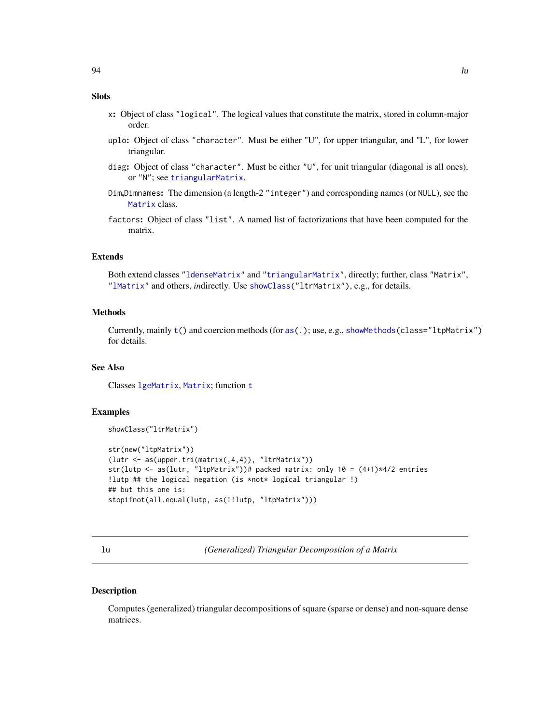# **Slots**

- x: Object of class "logical". The logical values that constitute the matrix, stored in column-major order.
- uplo: Object of class "character". Must be either "U", for upper triangular, and "L", for lower triangular.
- diag: Object of class "character". Must be either "U", for unit triangular (diagonal is all ones), or "N"; see [triangularMatrix](#page-163-0).
- Dim,Dimnames: The dimension (a length-2 "integer") and corresponding names (or NULL), see the [Matrix](#page-100-0) class.
- factors: Object of class "list". A named list of factorizations that have been computed for the matrix.

## Extends

Both extend classes ["ldenseMatrix"](#page-87-0) and ["triangularMatrix"](#page-163-0), directly; further, class "Matrix", ["lMatrix"](#page-45-0) and others, *in*directly. Use [showClass\(](#page-0-0)"ltrMatrix"), e.g., for details.

# Methods

Currently, mainly [t\(](#page-0-0)) and coercion methods (for [as\(](#page-0-0).); use, e.g., [showMethods\(](#page-0-0)class="ltpMatrix") for details.

# See Also

Classes [lgeMatrix](#page-88-0), [Matrix](#page-100-0); function [t](#page-0-0)

## Examples

```
showClass("ltrMatrix")
```

```
str(new("ltpMatrix"))
(lutr <- as(upper.tri(matrix(,4,4)), "ltrMatrix"))
str(lutp <- as(lutr, "ltpMatrix"))# packed matrix: only 10 = (4+1)*4/2 entries
!lutp ## the logical negation (is *not* logical triangular !)
## but this one is:
stopifnot(all.equal(lutp, as(!!lutp, "ltpMatrix")))
```
<span id="page-93-0"></span>lu *(Generalized) Triangular Decomposition of a Matrix*

### Description

Computes (generalized) triangular decompositions of square (sparse or dense) and non-square dense matrices.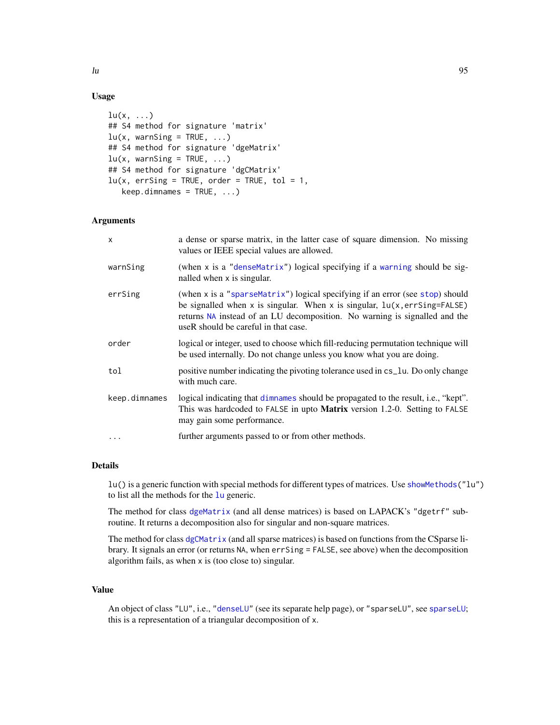# Usage

```
lu(x, \ldots)## S4 method for signature 'matrix'
lu(x, warnSing = TRUE, \dots)
## S4 method for signature 'dgeMatrix'
lu(x, warnSing = TRUE, \dots)
## S4 method for signature 'dgCMatrix'
lu(x, errSing = TRUE, order = TRUE, tol = 1,keep.dimames = TRUE, ...)
```
# Arguments

| $\mathsf{x}$  | a dense or sparse matrix, in the latter case of square dimension. No missing<br>values or IEEE special values are allowed.                                                                                                                                                           |
|---------------|--------------------------------------------------------------------------------------------------------------------------------------------------------------------------------------------------------------------------------------------------------------------------------------|
| warnSing      | (when x is a "denseMatrix") logical specifying if a warning should be sig-<br>nalled when x is singular.                                                                                                                                                                             |
| errSing       | (when x is a "sparseMatrix") logical specifying if an error (see stop) should<br>be signalled when x is singular. When x is singular, $lu(x, errSing = FALSE)$<br>returns NA instead of an LU decomposition. No warning is signalled and the<br>useR should be careful in that case. |
| order         | logical or integer, used to choose which fill-reducing permutation technique will<br>be used internally. Do not change unless you know what you are doing.                                                                                                                           |
| tol           | positive number indicating the pivoting tolerance used in cs_1u. Do only change<br>with much care.                                                                                                                                                                                   |
| keep.dimnames | logical indicating that dimnames should be propagated to the result, i.e., "kept".<br>This was hardcoded to FALSE in upto Matrix version 1.2-0. Setting to FALSE<br>may gain some performance.                                                                                       |
| $\ddots$ .    | further arguments passed to or from other methods.                                                                                                                                                                                                                                   |

# Details

lu() is a generic function with special methods for different types of matrices. Use [showMethods\(](#page-0-0)"lu") to list all the methods for the [lu](#page-93-0) generic.

The method for class [dgeMatrix](#page-36-0) (and all dense matrices) is based on LAPACK's "dgetrf" subroutine. It returns a decomposition also for singular and non-square matrices.

The method for class [dgCMatrix](#page-35-1) (and all sparse matrices) is based on functions from the CSparse library. It signals an error (or returns NA, when errSing = FALSE, see above) when the decomposition algorithm fails, as when x is (too close to) singular.

# Value

An object of class "LU", i.e., ["denseLU"](#page-96-0) (see its separate help page), or "sparseLU", see [sparseLU](#page-145-0); this is a representation of a triangular decomposition of x.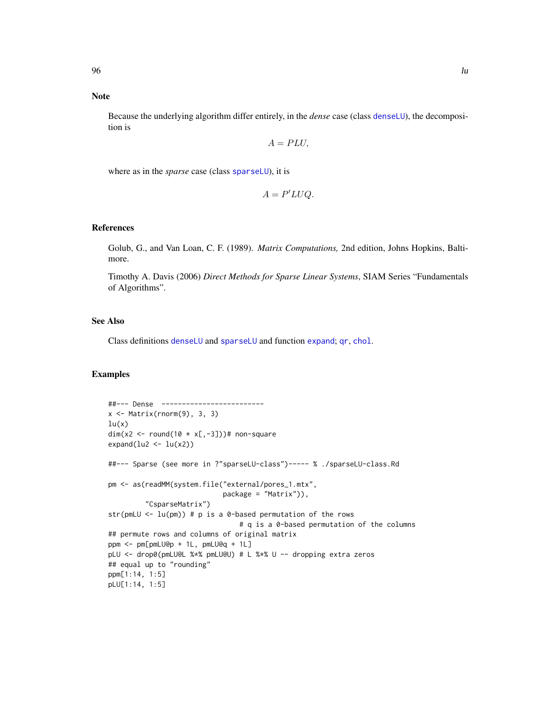## Note

Because the underlying algorithm differ entirely, in the *dense* case (class [denseLU](#page-96-0)), the decomposition is

$$
A = PLU,
$$

where as in the *sparse* case (class [sparseLU](#page-145-0)), it is

$$
A = P'LUQ.
$$

## References

Golub, G., and Van Loan, C. F. (1989). *Matrix Computations,* 2nd edition, Johns Hopkins, Baltimore.

Timothy A. Davis (2006) *Direct Methods for Sparse Linear Systems*, SIAM Series "Fundamentals of Algorithms".

### See Also

Class definitions [denseLU](#page-96-0) and [sparseLU](#page-145-0) and function [expand](#page-62-0); [qr](#page-126-0), [chol](#page-20-0).

```
##--- Dense -------------------------
x \leftarrow Matrix(rnorm(9), 3, 3)
lu(x)dim(x2 <- round(10 * x[-3]))# non-square
expand(lu2 < -lu(x2))
##--- Sparse (see more in ?"sparseLU-class")----- % ./sparseLU-class.Rd
pm <- as(readMM(system.file("external/pores_1.mtx",
                            package = "Matrix")),
         "CsparseMatrix")
str(pmLU \leq lu(pm)) # p is a 0-based permutation of the rows
                                # q is a 0-based permutation of the columns
## permute rows and columns of original matrix
ppm <- pm[pmLU@p + 1L, pmLU@q + 1L]
pLU <- drop0(pmLU@L %*% pmLU@U) # L %*% U -- dropping extra zeros
## equal up to "rounding"
ppm[1:14, 1:5]
pLU[1:14, 1:5]
```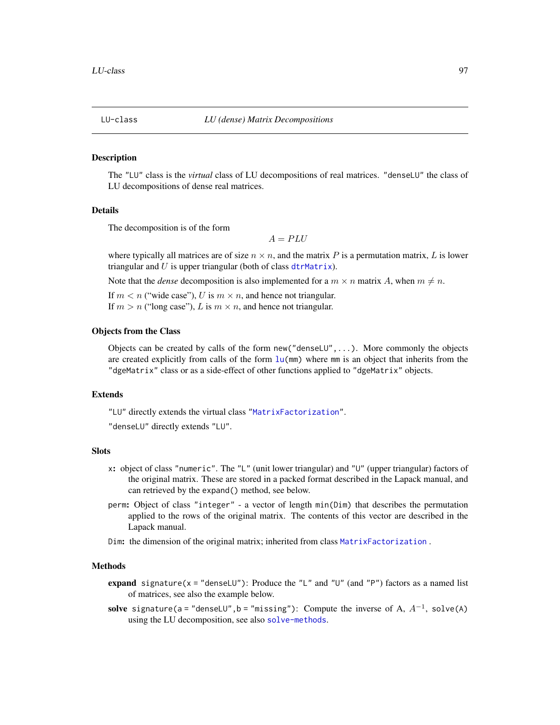<span id="page-96-1"></span>

#### <span id="page-96-0"></span>**Description**

The "LU" class is the *virtual* class of LU decompositions of real matrices. "denseLU" the class of LU decompositions of dense real matrices.

## Details

The decomposition is of the form

 $A = PLU$ 

where typically all matrices are of size  $n \times n$ , and the matrix P is a permutation matrix, L is lower triangular and  $U$  is upper triangular (both of class [dtrMatrix](#page-61-0)).

Note that the *dense* decomposition is also implemented for a  $m \times n$  matrix A, when  $m \neq n$ .

If  $m < n$  ("wide case"), U is  $m \times n$ , and hence not triangular. If  $m > n$  ("long case"), L is  $m \times n$ , and hence not triangular.

## Objects from the Class

Objects can be created by calls of the form  $new("denseLU", \ldots)$ . More commonly the objects are created explicitly from calls of the form  $\ln(\text{mm})$  where mm is an object that inherits from the "dgeMatrix" class or as a side-effect of other functions applied to "dgeMatrix" objects.

## Extends

"LU" directly extends the virtual class ["MatrixFactorization"](#page-105-0).

"denseLU" directly extends "LU".

### Slots

- x: object of class "numeric". The "L" (unit lower triangular) and "U" (upper triangular) factors of the original matrix. These are stored in a packed format described in the Lapack manual, and can retrieved by the expand() method, see below.
- perm: Object of class "integer" a vector of length min(Dim) that describes the permutation applied to the rows of the original matrix. The contents of this vector are described in the Lapack manual.
- Dim: the dimension of the original matrix; inherited from class [MatrixFactorization](#page-105-0) .

# **Methods**

- expand signature( $x =$  "denseLU"): Produce the "L" and "U" (and "P") factors as a named list of matrices, see also the example below.
- solve signature(a="denseLU",b="missing"): Compute the inverse of A,  $A^{-1}$ , solve(A) using the LU decomposition, see also [solve-methods](#page-140-0).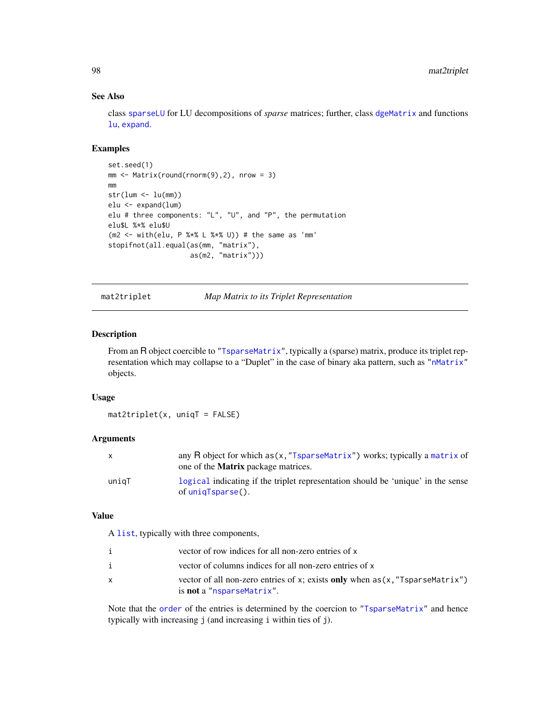# See Also

class [sparseLU](#page-145-0) for LU decompositions of *sparse* matrices; further, class [dgeMatrix](#page-36-0) and functions [lu](#page-93-0), [expand](#page-62-0).

### Examples

```
set.seed(1)
mm <- Matrix(round(rnorm(9),2), nrow = 3)
mm
str(lum < -lu(mm))elu <- expand(lum)
elu # three components: "L", "U", and "P", the permutation
elu$L %*% elu$U
(m2 <- with(elu, P %*% L %*% U)) # the same as 'mm'
stopifnot(all.equal(as(mm, "matrix"),
                    as(m2, "matrix")))
```
mat2triplet *Map Matrix to its Triplet Representation*

## Description

From an R object coercible to ["TsparseMatrix"](#page-164-0), typically a (sparse) matrix, produce its triplet rep-resentation which may collapse to a "Duplet" in the case of binary aka pattern, such as ["nMatrix"](#page-111-0) objects.

## Usage

 $mat2triplet(x, uniqT = FALSE)$ 

# Arguments

|       | any R object for which as (x, "TsparseMatrix") works; typically a matrix of<br>one of the <b>Matrix</b> package matrices. |
|-------|---------------------------------------------------------------------------------------------------------------------------|
| uniaT | logical indicating if the triplet representation should be 'unique' in the sense<br>of uniqTsparse().                     |

## Value

A [list](#page-0-0), typically with three components,

|   | vector of row indices for all non-zero entries of x                                                                |
|---|--------------------------------------------------------------------------------------------------------------------|
|   | vector of columns indices for all non-zero entries of x                                                            |
| x | vector of all non-zero entries of x; exists only when $as(x, "Tsparsematrix")$<br>is <b>not</b> a "nsparseMatrix". |

Note that the [order](#page-0-0) of the entries is determined by the coercion to ["TsparseMatrix"](#page-164-0) and hence typically with increasing j (and increasing i within ties of j).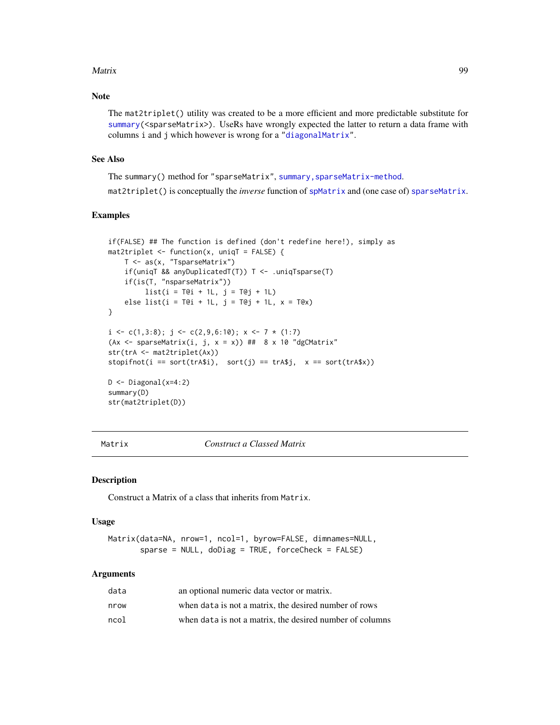#### Matrix 2008 **Matrix** 99

# Note

The mat2triplet() utility was created to be a more efficient and more predictable substitute for [summary\(](#page-0-0)<sparseMatrix>). UseRs have wrongly expected the latter to return a data frame with columns i and j which however is wrong for a ["diagonalMatrix"](#page-42-0).

### See Also

The summary() method for "sparseMatrix", [summary,sparseMatrix-method](#page-0-0).

mat2triplet() is conceptually the *inverse* function of [spMatrix](#page-159-0) and (one case of) [sparseMatrix](#page-147-0).

## Examples

```
if(FALSE) ## The function is defined (don't redefine here!), simply as
mat2triplet \leftarrow function(x, uniqT = FALSE) {
   T <- as(x, "TsparseMatrix")
    if(uniqT && anyDuplicatedT(T)) T <- .uniqTsparse(T)
    if(is(T, "nsparseMatrix"))
         list(i = T@i + 1L, j = T@j + 1L)else list(i = T@i + 1L, j = T@j + 1L, x = T@x)
}
i \leftarrow c(1,3:8); j \leftarrow c(2,9,6:10); x \leftarrow 7 * (1:7)(Ax \le sparseMatrix(i, j, x = x)) ## 8 x 10 "dgCMatrix"
str(trA <- mat2triplet(Ax))
stopifnot(i == sort(trA$i), sort(j) == trA$j, x == sort(trA$x))D <- Diagonal(x=4:2)
summary(D)
str(mat2triplet(D))
```
<span id="page-98-0"></span>Matrix *Construct a Classed Matrix*

### Description

Construct a Matrix of a class that inherits from Matrix.

#### Usage

```
Matrix(data=NA, nrow=1, ncol=1, byrow=FALSE, dimnames=NULL,
       sparse = NULL, doDiag = TRUE, forceCheck = FALSE)
```
## Arguments

| data | an optional numeric data vector or matrix.               |
|------|----------------------------------------------------------|
| nrow | when data is not a matrix, the desired number of rows    |
| ncol | when data is not a matrix, the desired number of columns |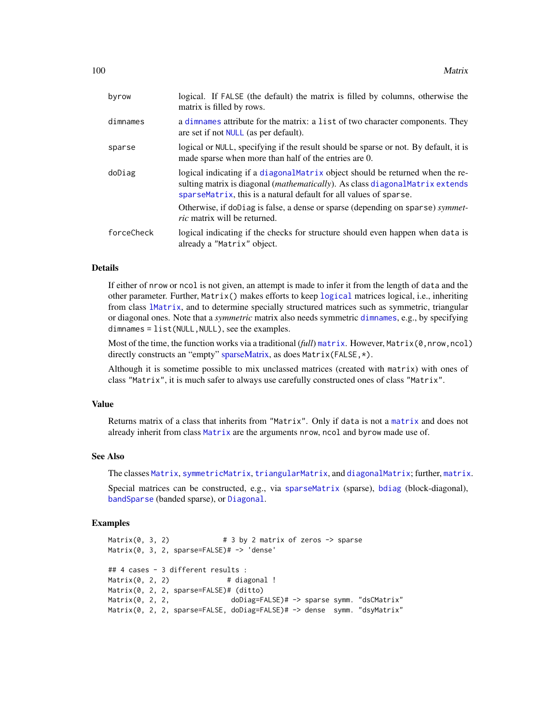| byrow      | logical. If FALSE (the default) the matrix is filled by columns, otherwise the<br>matrix is filled by rows.                                                                                                                                   |
|------------|-----------------------------------------------------------------------------------------------------------------------------------------------------------------------------------------------------------------------------------------------|
| dimnames   | a dimnames attribute for the matrix: a list of two character components. They<br>are set if not <b>NULL</b> (as per default).                                                                                                                 |
| sparse     | logical or NULL, specifying if the result should be sparse or not. By default, it is<br>made sparse when more than half of the entries are 0.                                                                                                 |
| doDiag     | logical indicating if a diagonal Matrix object should be returned when the re-<br>sulting matrix is diagonal <i>(mathematically)</i> . As class diagonal Matrix extends<br>sparse Matrix, this is a natural default for all values of sparse. |
|            | Otherwise, if doDiag is false, a dense or sparse (depending on sparse) symmet-<br><i>ric</i> matrix will be returned.                                                                                                                         |
| forceCheck | logical indicating if the checks for structure should even happen when data is<br>already a "Matrix" object.                                                                                                                                  |

### Details

If either of nrow or ncol is not given, an attempt is made to infer it from the length of data and the other parameter. Further, Matrix() makes efforts to keep [logical](#page-0-0) matrices logical, i.e., inheriting from class [lMatrix](#page-45-0), and to determine specially structured matrices such as symmetric, triangular or diagonal ones. Note that a *symmetric* matrix also needs symmetric [dimnames](#page-0-0), e.g., by specifying dimnames = list(NULL,NULL), see the examples.

Most of the time, the function works via a traditional (*full*) [matrix](#page-0-0). However, Matrix(0,nrow,ncol) directly constructs an "empty" [sparseMatrix,](#page-151-0) as does Matrix(FALSE, \*).

Although it is sometime possible to mix unclassed matrices (created with matrix) with ones of class "Matrix", it is much safer to always use carefully constructed ones of class "Matrix".

## Value

Returns matrix of a class that inherits from "Matrix". Only if data is not a [matrix](#page-0-0) and does not already inherit from class [Matrix](#page-100-0) are the arguments nrow, ncol and byrow made use of.

#### See Also

The classes [Matrix](#page-100-0), [symmetricMatrix](#page-160-0), [triangularMatrix](#page-163-0), and [diagonalMatrix](#page-42-0); further, [matrix](#page-0-0).

Special matrices can be constructed, e.g., via [sparseMatrix](#page-147-0) (sparse), [bdiag](#page-11-0) (block-diagonal), [bandSparse](#page-9-0) (banded sparse), or [Diagonal](#page-40-0).

```
Matrix(0, 3, 2) # 3 by 2 matrix of zeros <math>-</math> sparseMatrix(0, 3, 2, sparse=FALSE)# -> 'dense'
## 4 cases - 3 different results :
Matrix(0, 2, 2) # diagonal !
Matrix(0, 2, 2, sparse=FALSE)# (ditto)
Matrix(0, 2, 2, doDiag=FALSE)# -> sparse symm. "dsCMatrix"
Matrix(0, 2, 2, sparse=FALSE, doDiag=FALSE)# -> dense symm. "dsyMatrix"
```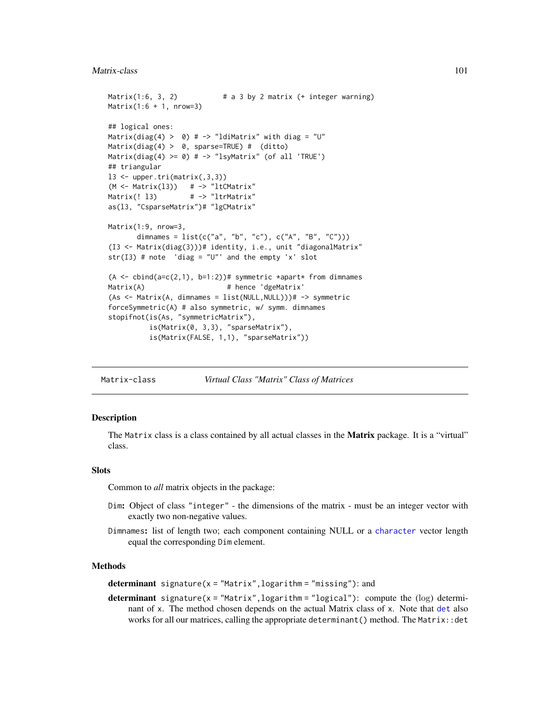#### Matrix-class 101

```
Matrix(1:6, 3, 2) # a 3 by 2 matrix (+ integer warning)Matrix(1:6 + 1, nrow=3)## logical ones:
Matrix(diag(4) > 0) # -> "ldiMatrix" with diag = "U"
Matrix(diag(4) > 0, sparse=TRUE) # (ditto)
Matrix(diag(4) >= 0) # \rightarrow "lsyMatrix" (of all 'TRUE')
## triangular
13 \leq upper.tri(matrix(,3,3))
(M \leq Matrix(13)) # -> "ltCMatrix"
Matrix(! 13) # -> "ltrMatrix"
as(l3, "CsparseMatrix")# "lgCMatrix"
Matrix(1:9, nrow=3,
      dimnames = list(c("a", "b", "c"), c("A", "B", "C"))(I3 <- Matrix(diag(3)))# identity, i.e., unit "diagonalMatrix"
str(I3) # note 'diag = "U"' and the empty 'x' slot
(A \leq - \text{cbind}(a=c(2,1), b=1:2))# symmetric *apart* from dimnames
Matrix(A) # hence 'dgeMatrix'
(As <- Matrix(A, dimnames = list(NULL,NULL)))# -> symmetric
forceSymmetric(A) # also symmetric, w/ symm. dimnames
stopifnot(is(As, "symmetricMatrix"),
          is(Matrix(0, 3,3), "sparseMatrix"),
          is(Matrix(FALSE, 1,1), "sparseMatrix"))
```
<span id="page-100-0"></span>Matrix-class *Virtual Class "Matrix" Class of Matrices*

### <span id="page-100-1"></span>Description

The Matrix class is a class contained by all actual classes in the **Matrix** package. It is a "virtual" class.

## **Slots**

Common to *all* matrix objects in the package:

- Dim: Object of class "integer" the dimensions of the matrix must be an integer vector with exactly two non-negative values.
- Dimnames: list of length two; each component containing NULL or a [character](#page-0-0) vector length equal the corresponding Dim element.

#### **Methods**

determinant signature( $x = "Matrix", logarithm = "missing");$  and

**determinant** signature( $x = "Matrix", logarithm = "logical");$  compute the (log) determinant of x. The method chosen depends on the actual Matrix class of x. Note that [det](#page-100-1) also works for all our matrices, calling the appropriate determinant() method. The Matrix::det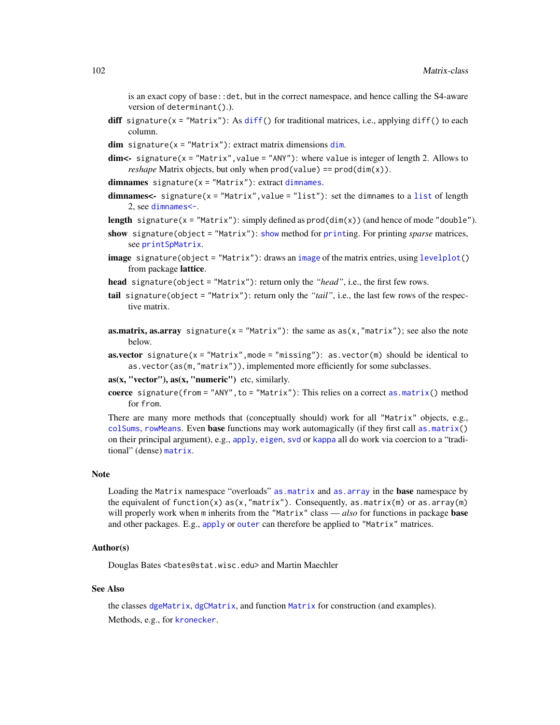is an exact copy of base::det, but in the correct namespace, and hence calling the S4-aware version of determinant().).

- diff signature( $x =$  "Matrix"): As [diff\(](#page-0-0)) for traditional matrices, i.e., applying diff() to each column.
- $dim$  signature(x = "Matrix"): extract matrix dimensions  $dim$ .
- $dim < -$  signature(x = "Matrix", value = "ANY"): where value is integer of length 2. Allows to *reshape* Matrix objects, but only when prod(value) == prod(dim(x)).
- $dimnames$  signature( $x = "Matrix"$ ): extract dimnames.
- dimnames<- signature( $x = "Matrix", value = "list");$  $x = "Matrix", value = "list");$  $x = "Matrix", value = "list");$  set the dimnames to a list of length 2, see [dimnames<-](#page-0-0).
- **length** signature( $x = "Matrix"$ ): simply defined as  $prod(im(x))$  (and hence of mode "double").
- show signature(object = "Matrix"): [show](#page-0-0) method for [print](#page-0-0)ing. For printing *sparse* matrices, see [printSpMatrix](#page-123-0).
- [image](#page-0-0) signature(object = "Matrix"): draws an image of the matrix entries, using [levelplot\(](#page-0-0)) from package lattice.
- head signature(object = "Matrix"): return only the *"head"*, i.e., the first few rows.
- tail signature(object = "Matrix"): return only the *"tail"*, i.e., the last few rows of the respective matrix.
- **as.matrix, as.array** signature( $x = "Matrix"$ ): the same as  $as(x, "matrix")$ ; see also the note below.
- **as.vector** signature( $x = "Matrix", mode = "missing"}$ ): as.vector(m) should be identical to as.vector(as(m,"matrix")), implemented more efficiently for some subclasses.
- $as(x, "vector"), as(x, "numeric") etc, similarly.$
- coerce signature(from = "ANY", to = "Matrix"): This relies on a correct as.  $matrix()$  method for from.

There are many more methods that (conceptually should) work for all "Matrix" objects, e.g., [colSums](#page-27-0), [rowMeans](#page-27-1). Even base functions may work automagically (if they first call as .matrix() on their principal argument), e.g., [apply](#page-0-0), [eigen](#page-0-0), [svd](#page-0-0) or [kappa](#page-0-0) all do work via coercion to a "traditional" (dense) [matrix](#page-0-0).

#### Note

Loading the Matrix namespace "overloads" as matrix and as array in the **base** namespace by the equivalent of function(x)  $as(x, "matrix")$ . Consequently,  $as.matrix(m)$  or  $as.array(m)$ will properly work when m inherits from the "Matrix" class — *also* for functions in package **base** and other packages. E.g., [apply](#page-0-0) or [outer](#page-0-0) can therefore be applied to "Matrix" matrices.

### Author(s)

Douglas Bates <bates@stat.wisc.edu> and Martin Maechler

# See Also

the classes [dgeMatrix](#page-36-0), [dgCMatrix](#page-35-1), and function [Matrix](#page-98-0) for construction (and examples). Methods, e.g., for [kronecker](#page-86-0).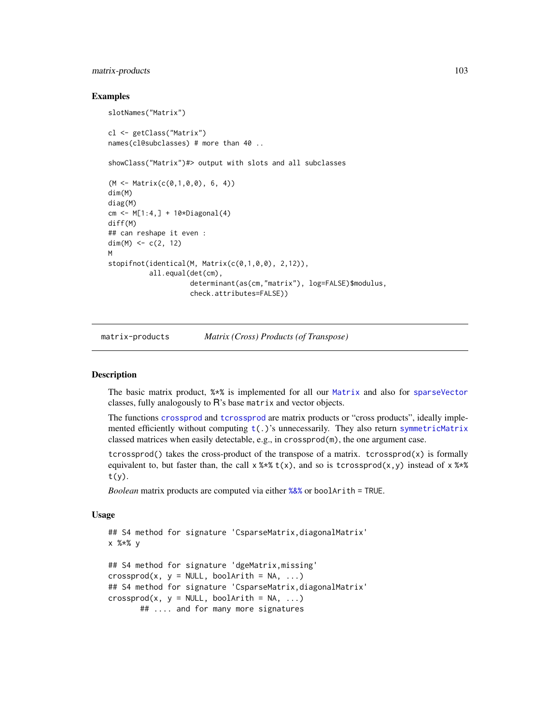# matrix-products 103

### Examples

```
slotNames("Matrix")
cl <- getClass("Matrix")
names(cl@subclasses) # more than 40 ..
showClass("Matrix")#> output with slots and all subclasses
(M <- Matrix(c(0,1,0,0), 6, 4))
dim(M)
diag(M)
cm < - M[1:4, ] + 10*Diagonal(4)diff(M)
## can reshape it even :
dim(M) <-c(2, 12)M
stopifnot(identical(M, Matrix(c(0,1,0,0), 2,12)),
          all.equal(det(cm),
                    determinant(as(cm,"matrix"), log=FALSE)$modulus,
                    check.attributes=FALSE))
```
matrix-products *Matrix (Cross) Products (of Transpose)*

#### <span id="page-102-0"></span>**Description**

The basic matrix product, %\*% is implemented for all our [Matrix](#page-100-0) and also for [sparseVector](#page-156-0) classes, fully analogously to R's base matrix and vector objects.

The functions [crossprod](#page-102-0) and [tcrossprod](#page-102-0) are matrix products or "cross products", ideally implemented efficiently without computing  $t(.)$  $t(.)$ 's unnecessarily. They also return [symmetricMatrix](#page-160-0) classed matrices when easily detectable, e.g., in crossprod(m), the one argument case.

tcrossprod() takes the cross-product of the transpose of a matrix. tcrossprod(x) is formally equivalent to, but faster than, the call  $x$  %\*  $t(x)$ , and so is tcrossprod(x,y) instead of  $x$  %\* t(y).

*Boolean* matrix products are computed via either [%&%](#page-174-0) or boolArith = TRUE.

### Usage

```
## S4 method for signature 'CsparseMatrix,diagonalMatrix'
x %*% y
## S4 method for signature 'dgeMatrix,missing'
crossprod(x, y = NULL, booleanWith = NA, ...)## S4 method for signature 'CsparseMatrix,diagonalMatrix'
crossprod(x, y = NULL, booleanWith = NA, ...)## .... and for many more signatures
```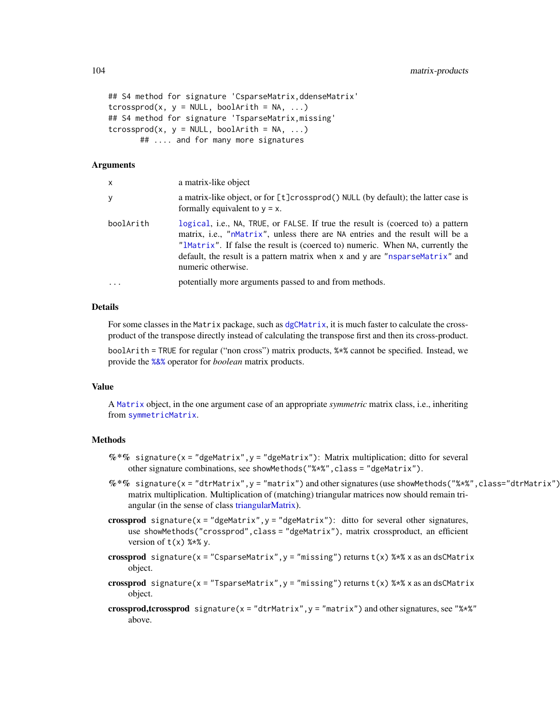```
## S4 method for signature 'CsparseMatrix,ddenseMatrix'
tcrossprod(x, y = NULL, booleanWith = NA, ...)## S4 method for signature 'TsparseMatrix,missing'
tcrossprod(x, y = NULL, booleanWith = NA, ...)## .... and for many more signatures
```
## Arguments

| x          | a matrix-like object                                                                                                                                                                                                                                                                                                                                     |
|------------|----------------------------------------------------------------------------------------------------------------------------------------------------------------------------------------------------------------------------------------------------------------------------------------------------------------------------------------------------------|
| У          | a matrix-like object, or for [t]crossprod() NULL (by default); the latter case is<br>formally equivalent to $y = x$ .                                                                                                                                                                                                                                    |
| boolArith  | logical, i.e., NA, TRUE, or FALSE. If true the result is (coerced to) a pattern<br>matrix, i.e., "nMatrix", unless there are NA entries and the result will be a<br>"IMatrix". If false the result is (coerced to) numeric. When NA, currently the<br>default, the result is a pattern matrix when x and y are "nsparseMatrix" and<br>numeric otherwise. |
| $\ddots$ . | potentially more arguments passed to and from methods.                                                                                                                                                                                                                                                                                                   |

# Details

For some classes in the Matrix package, such as [dgCMatrix](#page-35-1), it is much faster to calculate the crossproduct of the transpose directly instead of calculating the transpose first and then its cross-product.

boolArith = TRUE for regular ("non cross") matrix products, %\*% cannot be specified. Instead, we provide the [%&%](#page-174-0) operator for *boolean* matrix products.

## Value

A [Matrix](#page-100-0) object, in the one argument case of an appropriate *symmetric* matrix class, i.e., inheriting from [symmetricMatrix](#page-160-0).

### Methods

- %\*% signature(x = "dgeMatrix", y = "dgeMatrix"): Matrix multiplication; ditto for several other signature combinations, see showMethods("%\*%",class = "dgeMatrix").
- $\%*\%$  signature(x = "dtrMatrix", y = "matrix") and other signatures (use showMethods("%\*%", class="dtrMatrix") matrix multiplication. Multiplication of (matching) triangular matrices now should remain triangular (in the sense of class [triangularMatrix\)](#page-163-0).
- crossprod signature( $x =$  "dgeMatrix",  $y =$  "dgeMatrix"): ditto for several other signatures, use showMethods("crossprod", class = "dgeMatrix"), matrix crossproduct, an efficient version of  $t(x)$  %\*% y.
- crossprod signature(x = "CsparseMatrix", y = "missing") returns  $t(x)$  %\*% x as an dsCMatrix object.
- crossprod signature(x = "TsparseMatrix", y = "missing") returns  $t(x)$  %\*% x as an dsCMatrix object.
- crossprod,tcrossprod signature( $x = "dtrMatrix", y = "matrix")$  and other signatures, see " $x \cdot x$ " above.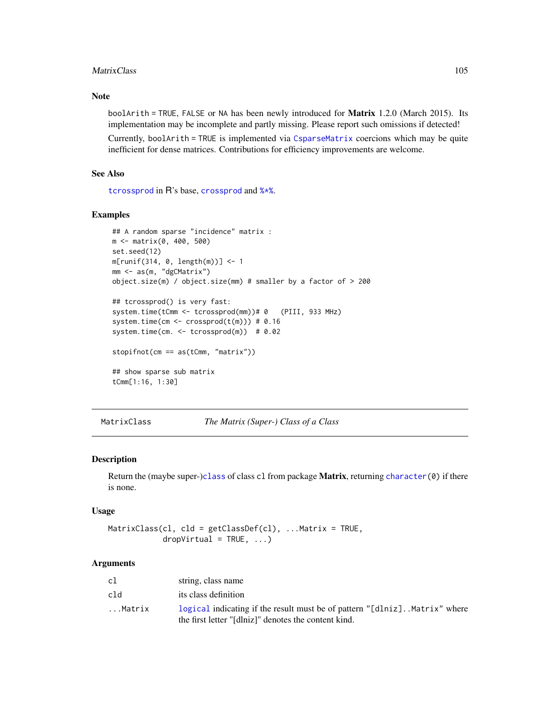#### MatrixClass 105

## Note

boolArith = TRUE, FALSE or NA has been newly introduced for Matrix 1.2.0 (March 2015). Its implementation may be incomplete and partly missing. Please report such omissions if detected!

Currently, boolArith = TRUE is implemented via [CsparseMatrix](#page-31-0) coercions which may be quite inefficient for dense matrices. Contributions for efficiency improvements are welcome.

### See Also

[tcrossprod](#page-102-0) in R's base, [crossprod](#page-102-0) and [%\\*%](#page-102-0).

## Examples

```
## A random sparse "incidence" matrix :
m <- matrix(0, 400, 500)
set.seed(12)
m[runif(314, 0, length(m))] <- 1
mm <- as(m, "dgCMatrix")
object.size(m) / object.size(mm) # smaller by a factor of > 200
## tcrossprod() is very fast:
system.time(tCmm <- tcrossprod(mm))# 0 (PIII, 933 MHz)
system.time(cm \leq crossprod(t(m))) # 0.16
system.time(cm. <- tcrossprod(m)) # 0.02
stopifnot(cm == as(tCmm, "matrix"))
## show sparse sub matrix
tCmm[1:16, 1:30]
```
MatrixClass *The Matrix (Super-) Class of a Class*

## **Description**

Return the (maybe super-)[class](#page-0-0) of class cl from package **Matrix**, returning [character\(](#page-0-0)0) if there is none.

### Usage

```
MatrixClass(cl, cld = getClassDef(cl), ...Matrix = TRUE,
           dropVirtual = TRUE, ...)
```
# Arguments

| cl     | string, class name                                                                                                                  |
|--------|-------------------------------------------------------------------------------------------------------------------------------------|
| cld    | its class definition                                                                                                                |
| Matrix | logical indicating if the result must be of pattern "[dlniz]. Matrix" where<br>the first letter "[dlniz]" denotes the content kind. |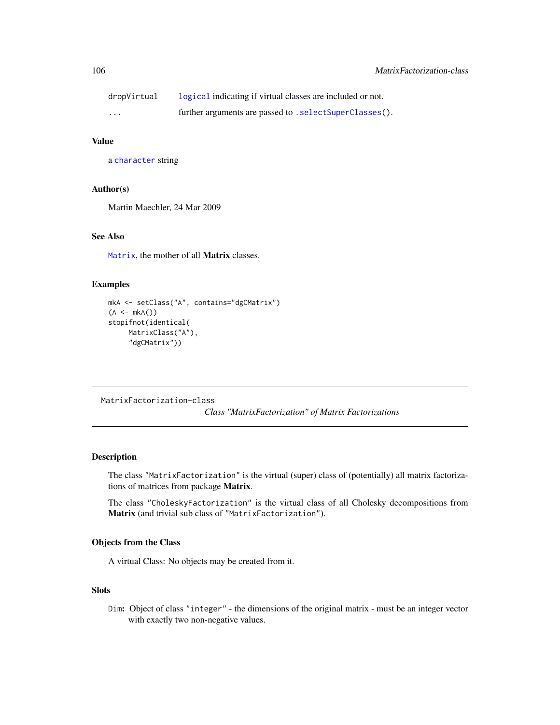| dropVirtual | logical indicating if virtual classes are included or not. |
|-------------|------------------------------------------------------------|
| $\cdots$    | further arguments are passed to . selectSuperClasses().    |

# Value

a [character](#page-0-0) string

### Author(s)

Martin Maechler, 24 Mar 2009

# See Also

[Matrix](#page-100-0), the mother of all Matrix classes.

# Examples

```
mkA <- setClass("A", contains="dgCMatrix")
(A \leq mKA()stopifnot(identical(
    MatrixClass("A"),
     "dgCMatrix"))
```
<span id="page-105-0"></span>MatrixFactorization-class

*Class "MatrixFactorization" of Matrix Factorizations*

# Description

The class "MatrixFactorization" is the virtual (super) class of (potentially) all matrix factorizations of matrices from package Matrix.

The class "CholeskyFactorization" is the virtual class of all Cholesky decompositions from Matrix (and trivial sub class of "MatrixFactorization").

# Objects from the Class

A virtual Class: No objects may be created from it.

# Slots

Dim: Object of class "integer" - the dimensions of the original matrix - must be an integer vector with exactly two non-negative values.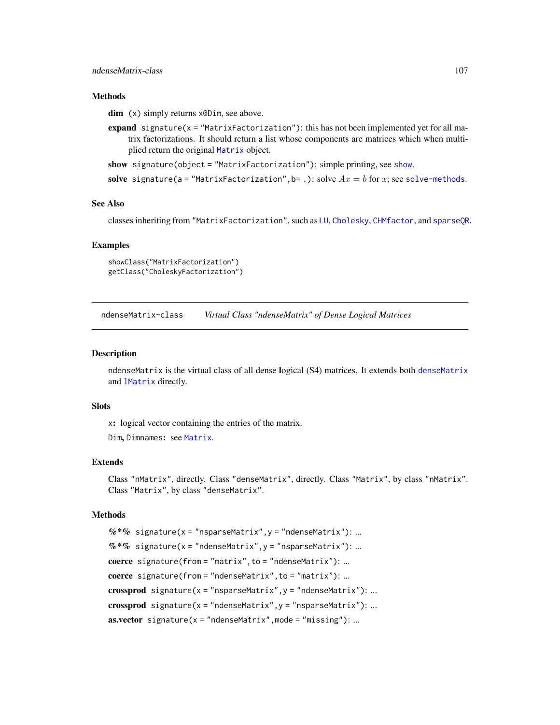## ndenseMatrix-class 107

### **Methods**

dim (x) simply returns x@Dim, see above.

- expand signature( $x =$  "MatrixFactorization"): this has not been implemented yet for all matrix factorizations. It should return a list whose components are matrices which when multiplied return the original [Matrix](#page-100-0) object.
- [show](#page-0-0) signature(object = "MatrixFactorization"): simple printing, see show.
- solve signature(a = "MatrixFactorization", b= .): solve  $Ax = b$  for x; see [solve-methods](#page-140-0).

### See Also

classes inheriting from "MatrixFactorization", such as [LU](#page-96-1), [Cholesky](#page-25-0), [CHMfactor](#page-17-0), and [sparseQR](#page-153-0).

## Examples

```
showClass("MatrixFactorization")
getClass("CholeskyFactorization")
```
ndenseMatrix-class *Virtual Class "ndenseMatrix" of Dense Logical Matrices*

### **Description**

n[denseMatrix](#page-35-0) is the virtual class of all dense logical (S4) matrices. It extends both denseMatrix and [lMatrix](#page-45-0) directly.

#### **Slots**

x: logical vector containing the entries of the matrix.

Dim, Dimnames: see [Matrix](#page-100-0).

# Extends

Class "nMatrix", directly. Class "denseMatrix", directly. Class "Matrix", by class "nMatrix". Class "Matrix", by class "denseMatrix".

### Methods

 $%$  \*% signature(x = "nsparseMatrix", y = "ndenseMatrix"): ...  $%$  \*% signature(x = "ndenseMatrix", y = "nsparseMatrix"): ... coerce signature(from = "matrix", to = "ndenseMatrix"): ... coerce signature(from = "ndenseMatrix", to = "matrix"): ... crossprod signature( $x = "nsparsematrix", y = "ndenseMatrix"); ...$ crossprod signature( $x = "ndenseMatrix", y = "nsparseMatrix"$ ): ...  $\textbf{a}s.\textbf{vector} \textbf{signature}(x = "ndenseMatrix", \text{mode} = "missing");...$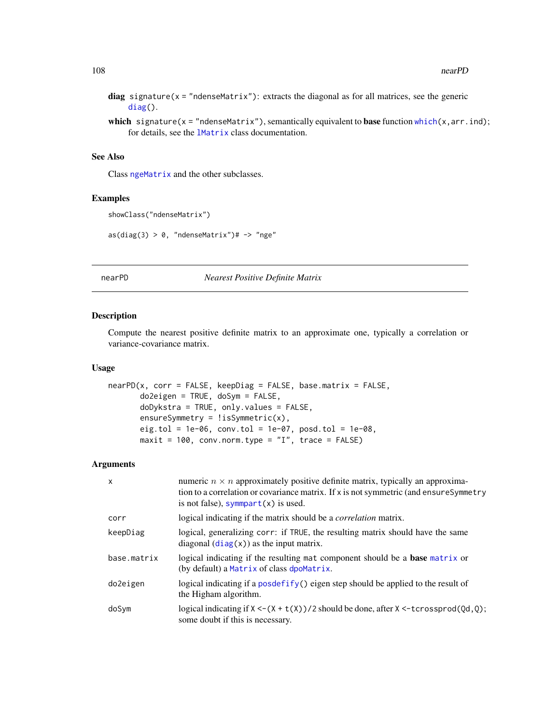diag signature( $x =$  "ndenseMatrix"): extracts the diagonal as for all matrices, see the generic [diag\(](#page-0-0)).

which signature( $x = "n$ denseMatrix"), semantically equivalent to base function [which\(](#page-0-0) $x, arr.ind$ ); for details, see the [lMatrix](#page-45-0) class documentation.

### See Also

Class [ngeMatrix](#page-110-0) and the other subclasses.

#### Examples

```
showClass("ndenseMatrix")
```
 $as(diag(3) > 0, "ndenseMatrix")$ # -> "nge"

### nearPD *Nearest Positive Definite Matrix*

## Description

Compute the nearest positive definite matrix to an approximate one, typically a correlation or variance-covariance matrix.

## Usage

```
nearPD(x, corr = FALSE, keepDiag = FALSE, base_matrix = FALSE,do2eigen = TRUE, doSym = FALSE,
      doDykstra = TRUE, only.values = FALSE,
      ensureSymmetry = !issymmetric(x),eig.tol = 1e-06, conv.tol = 1e-07, posd.tol = 1e-08,
      maxit = 100, conv.norm.type = "I", trace = FALSE)
```
### Arguments

| $\mathsf{x}$ | numeric $n \times n$ approximately positive definite matrix, typically an approxima-<br>tion to a correlation or covariance matrix. If x is not symmetric (and ensureSymmetry<br>is not false), symmpart $(x)$ is used. |
|--------------|-------------------------------------------------------------------------------------------------------------------------------------------------------------------------------------------------------------------------|
| corr         | logical indicating if the matrix should be a <i>correlation</i> matrix.                                                                                                                                                 |
| keepDiag     | logical, generalizing corr: if TRUE, the resulting matrix should have the same<br>diagonal $(\text{diag}(x))$ as the input matrix.                                                                                      |
| base.matrix  | logical indicating if the resulting mat component should be a <b>base</b> matrix or<br>(by default) a Matrix of class dpoMatrix.                                                                                        |
| do2eigen     | logical indicating if a posdefify() eigen step should be applied to the result of<br>the Higham algorithm.                                                                                                              |
| doSym        | logical indicating if $X < - (X + t(X))$ /2 should be done, after $X < -t$ crossprod(Qd,Q);<br>some doubt if this is necessary.                                                                                         |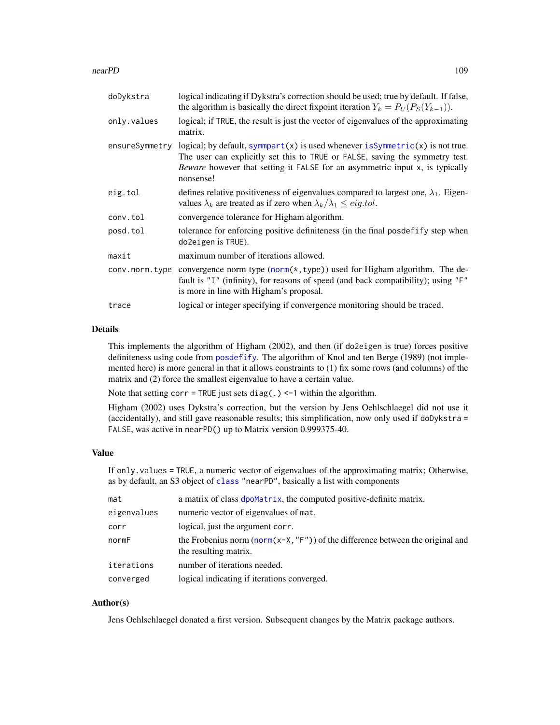#### nearPD 109

| doDykstra      | logical indicating if Dykstra's correction should be used; true by default. If false,<br>the algorithm is basically the direct fixpoint iteration $Y_k = P_U(P_S(Y_{k-1}))$ .                                                                               |  |
|----------------|-------------------------------------------------------------------------------------------------------------------------------------------------------------------------------------------------------------------------------------------------------------|--|
| only.values    | logical; if TRUE, the result is just the vector of eigenvalues of the approximating<br>matrix.                                                                                                                                                              |  |
| ensureSymmetry | logical; by default, symmpart(x) is used whenever is Symmetric(x) is not true.<br>The user can explicitly set this to TRUE or FALSE, saving the symmetry test.<br>Beware however that setting it FALSE for an asymmetric input x, is typically<br>nonsense! |  |
| eig.tol        | defines relative positiveness of eigenvalues compared to largest one, $\lambda_1$ . Eigen-<br>values $\lambda_k$ are treated as if zero when $\lambda_k/\lambda_1 \le eig.tol$ .                                                                            |  |
| conv.tol       | convergence tolerance for Higham algorithm.                                                                                                                                                                                                                 |  |
| posd.tol       | tolerance for enforcing positive definiteness (in the final posdefify step when<br>do2eigen is TRUE).                                                                                                                                                       |  |
| maxit          | maximum number of iterations allowed.                                                                                                                                                                                                                       |  |
| conv.norm.type | convergence norm type (norm(*, type)) used for Higham algorithm. The de-<br>fault is "I" (infinity), for reasons of speed (and back compatibility); using "F"<br>is more in line with Higham's proposal.                                                    |  |
| trace          | logical or integer specifying if convergence monitoring should be traced.                                                                                                                                                                                   |  |

## Details

This implements the algorithm of Higham (2002), and then (if do2eigen is true) forces positive definiteness using code from [posdefify](#page-0-0). The algorithm of Knol and ten Berge (1989) (not implemented here) is more general in that it allows constraints to (1) fix some rows (and columns) of the matrix and (2) force the smallest eigenvalue to have a certain value.

Note that setting corr = TRUE just sets diag(.)  $\le$  -1 within the algorithm.

Higham (2002) uses Dykstra's correction, but the version by Jens Oehlschlaegel did not use it (accidentally), and still gave reasonable results; this simplification, now only used if doDykstra = FALSE, was active in nearPD() up to Matrix version 0.999375-40.

# Value

If only.values = TRUE, a numeric vector of eigenvalues of the approximating matrix; Otherwise, as by default, an S3 object of [class](#page-0-0) "nearPD", basically a list with components

| mat         | a matrix of class dpoMatrix, the computed positive-definite matrix.                                             |  |
|-------------|-----------------------------------------------------------------------------------------------------------------|--|
| eigenvalues | numeric vector of eigenvalues of mat.                                                                           |  |
| corr        | logical, just the argument corr.                                                                                |  |
| normF       | the Frobenius norm (norm( $x-X$ , " $F''$ ) of the difference between the original and<br>the resulting matrix. |  |
| iterations  | number of iterations needed.                                                                                    |  |
| converged   | logical indicating if iterations converged.                                                                     |  |

# Author(s)

Jens Oehlschlaegel donated a first version. Subsequent changes by the Matrix package authors.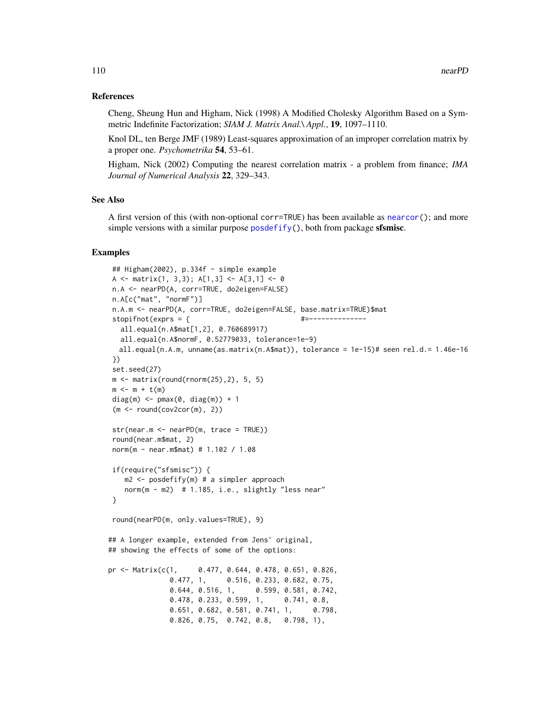## References

Cheng, Sheung Hun and Higham, Nick (1998) A Modified Cholesky Algorithm Based on a Symmetric Indefinite Factorization; *SIAM J. Matrix Anal.\ Appl.*, 19, 1097–1110.

Knol DL, ten Berge JMF (1989) Least-squares approximation of an improper correlation matrix by a proper one. *Psychometrika* 54, 53–61.

Higham, Nick (2002) Computing the nearest correlation matrix - a problem from finance; *IMA Journal of Numerical Analysis* 22, 329–343.

## See Also

A first version of this (with non-optional corr=TRUE) has been available as [nearcor\(](#page-0-0)); and more simple versions with a similar purpose [posdefify\(](#page-0-0)), both from package sfsmisc.

```
## Higham(2002), p.334f - simple example
A <- matrix(1, 3,3); A[1,3] <- A[3,1] <- 0
n.A <- nearPD(A, corr=TRUE, do2eigen=FALSE)
n.A[c("mat", "normF")]
n.A.m <- nearPD(A, corr=TRUE, do2eigen=FALSE, base.matrix=TRUE)$mat
stopifnot(exprs = { \#all.equal(n.A$mat[1,2], 0.760689917)
  all.equal(n.A$normF, 0.52779033, tolerance=1e-9)
  all.equal(n.A.m, unname(as.matrix(n.A$mat)), tolerance = 1e-15)# seen rel.d.= 1.46e-16
})
set.seed(27)
m \le - matrix(round(rnorm(25), 2), 5, 5)
m < - m + t(m)diag(m) \leq pmax(0, diag(m)) + 1
(m < - round(cov2cor(m), 2))
str(near.m <- nearPD(m, trace = TRUE))
round(near.m$mat, 2)
norm(m - near.m$mat) # 1.102 / 1.08
if(require("sfsmisc")) {
   m2 <- posdefify(m) # a simpler approach
   norm(m - m2) # 1.185, i.e., slightly "less near"
}
round(nearPD(m, only.values=TRUE), 9)
## A longer example, extended from Jens' original,
## showing the effects of some of the options:
pr <- Matrix(c(1, 0.477, 0.644, 0.478, 0.651, 0.826,
              0.477, 1, 0.516, 0.233, 0.682, 0.75,
              0.644, 0.516, 1, 0.599, 0.581, 0.742,
              0.478, 0.233, 0.599, 1, 0.741, 0.8,
              0.651, 0.682, 0.581, 0.741, 1, 0.798,
              0.826, 0.75, 0.742, 0.8, 0.798, 1),
```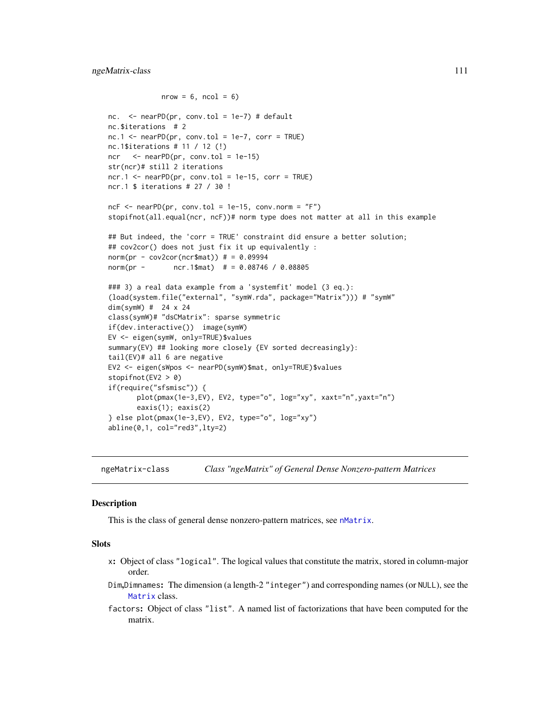# ngeMatrix-class 111

```
nrow = 6, ncol = 6nc. \leq nearPD(pr, conv.tol = 1e-7) # default
nc.$iterations # 2
nc.1 \leq nearPD(pr, conv.tol = 1e-7, corr = TRUE)nc.1$iterations # 11 / 12 (!)
ncr <- nearPD(pr, conv.tol = 1e-15)
str(ncr)# still 2 iterations
ncr.1 \leq nearPD(pr, conv.tol = 1e-15, corr = TRUE)
ncr.1 $ iterations # 27 / 30 !
ncF \leq -nearPD(pr, conv.tol = 1e-15, conv.norm = "F")stopifnot(all.equal(ncr, ncF))# norm type does not matter at all in this example
## But indeed, the 'corr = TRUE' constraint did ensure a better solution;
## cov2cor() does not just fix it up equivalently :
norm(pr - cov2cor(ncr$mat)) # = 0.09994
norm(pr - ncr.1$mat) # = 0.08746 / 0.08805
### 3) a real data example from a 'systemfit' model (3 eq.):
(load(system.file("external", "symW.rda", package="Matrix"))) # "symW"
dim(symW) # 24 x 24
class(symW)# "dsCMatrix": sparse symmetric
if(dev.interactive()) image(symW)
EV <- eigen(symW, only=TRUE)$values
summary(EV) ## looking more closely {EV sorted decreasingly}:
tail(EV)# all 6 are negative
EV2 <- eigen(sWpos <- nearPD(symW)$mat, only=TRUE)$values
stopifnot(EV2 > 0)
if(require("sfsmisc")) {
       plot(pmax(1e-3,EV), EV2, type="o", log="xy", xaxt="n",yaxt="n")
       eaxis(1); eaxis(2)
} else plot(pmax(1e-3,EV), EV2, type="o", log="xy")
abline(0,1, col="red3",lty=2)
```
<span id="page-110-0"></span>ngeMatrix-class *Class "ngeMatrix" of General Dense Nonzero-pattern Matrices*

#### Description

This is the class of general dense nonzero-pattern matrices, see [nMatrix](#page-111-0).

## **Slots**

- x: Object of class "logical". The logical values that constitute the matrix, stored in column-major order.
- Dim,Dimnames: The dimension (a length-2 "integer") and corresponding names (or NULL), see the [Matrix](#page-100-0) class.
- factors: Object of class "list". A named list of factorizations that have been computed for the matrix.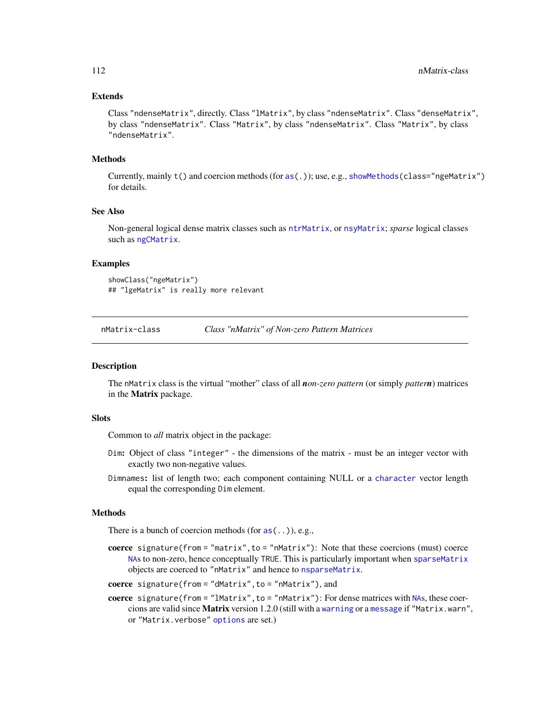## Extends

Class "ndenseMatrix", directly. Class "lMatrix", by class "ndenseMatrix". Class "denseMatrix", by class "ndenseMatrix". Class "Matrix", by class "ndenseMatrix". Class "Matrix", by class "ndenseMatrix".

#### Methods

Currently, mainly [t\(](#page-0-0)) and coercion methods (for [as\(](#page-0-0).)); use, e.g., [showMethods\(](#page-0-0)class="ngeMatrix") for details.

# See Also

Non-general logical dense matrix classes such as [ntrMatrix](#page-118-0), or [nsyMatrix](#page-117-0); *sparse* logical classes such as [ngCMatrix](#page-115-0).

## Examples

showClass("ngeMatrix") ## "lgeMatrix" is really more relevant

<span id="page-111-0"></span>

nMatrix-class *Class "nMatrix" of Non-zero Pattern Matrices*

#### Description

The nMatrix class is the virtual "mother" class of all *non-zero pattern* (or simply *pattern*) matrices in the Matrix package.

#### Slots

Common to *all* matrix object in the package:

- Dim: Object of class "integer" the dimensions of the matrix must be an integer vector with exactly two non-negative values.
- Dimnames: list of length two; each component containing NULL or a [character](#page-0-0) vector length equal the corresponding Dim element.

# Methods

There is a bunch of coercion methods (for  $as(\ldots)$  $as(\ldots)$ ), e.g.,

coerce signature(from = "matrix",to = "nMatrix"): Note that these coercions (must) coerce [NA](#page-0-0)s to non-zero, hence conceptually TRUE. This is particularly important when [sparseMatrix](#page-151-0) objects are coerced to "nMatrix" and hence to [nsparseMatrix](#page-115-0).

coerce signature(from = "dMatrix",to = "nMatrix"), and

coerce signature(from  $=$  "lMatrix", to  $=$  "nMatrix"): For dense matrices with [NA](#page-0-0)s, these coercions are valid since Matrix version 1.2.0 (still with a [warning](#page-0-0) or a [message](#page-0-0) if "Matrix.warn", or "Matrix.verbose" [options](#page-0-0) are set.)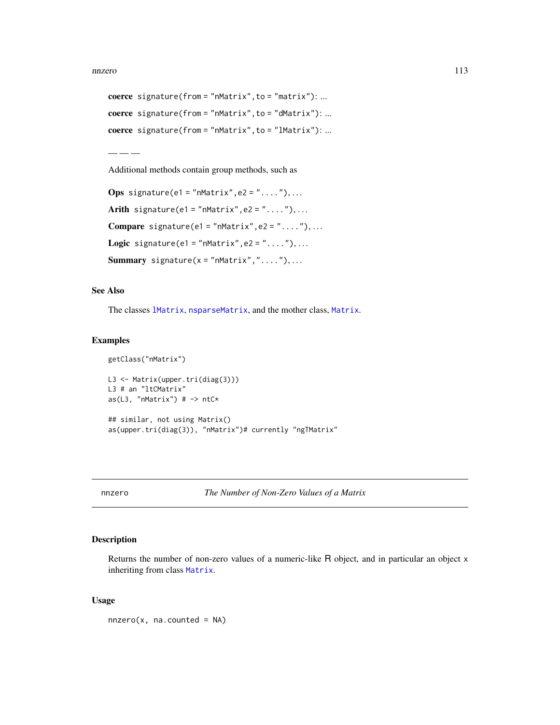```
coerce signature(from = "nMatrix",to = "matrix"): ...
coerce signature(from = "nMatrix",to = "dMatrix"): ...
coerce signature(from = "nMatrix", to = "lMatrix"): ...
```
— — —

Additional methods contain group methods, such as

```
Ops signature(e1 = "nMatrix", e2 = "...."), ...
Arith signature(e1 = "nMatrix", e2 = "..."), ...
Compare signature(e1 = "nMatrix", e2 = "...."), ...
Logic signature(e1 = "nMatrix", e2 = "...."), ...
Summary signature(x = "mMatrix", "...".),...
```
## See Also

The classes [lMatrix](#page-45-0), [nsparseMatrix](#page-115-0), and the mother class, [Matrix](#page-100-0).

#### Examples

```
getClass("nMatrix")
L3 <- Matrix(upper.tri(diag(3)))
L3 # an "ltCMatrix"
as(L3, "nMatrix") # \rightarrow ntC*## similar, not using Matrix()
as(upper.tri(diag(3)), "nMatrix")# currently "ngTMatrix"
```
<span id="page-112-0"></span>nnzero *The Number of Non-Zero Values of a Matrix*

# Description

Returns the number of non-zero values of a numeric-like R object, and in particular an object x inheriting from class [Matrix](#page-100-0).

## Usage

 $nnzero(x, na.counted = NA)$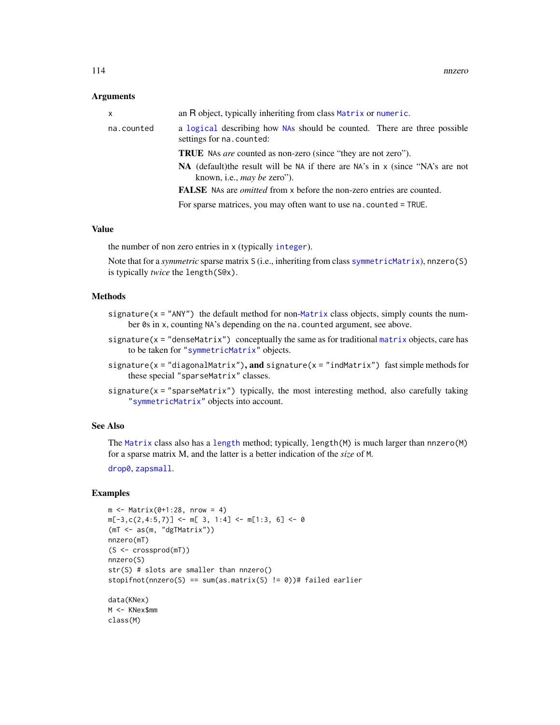## **Arguments**

| x          | an R object, typically inheriting from class Matrix or numeric.                                                                |
|------------|--------------------------------------------------------------------------------------------------------------------------------|
| na.counted | a logical describing how NAs should be counted. There are three possible<br>settings for na. counted:                          |
|            | <b>TRUE</b> NAs are counted as non-zero (since "they are not zero").                                                           |
|            | <b>NA</b> (default) the result will be NA if there are NA's in $x$ (since "NA's are not<br>known, i.e., <i>may be zero</i> "). |
|            | <b>FALSE</b> NAs are <i>omitted</i> from x before the non-zero entries are counted.                                            |
|            | For sparse matrices, you may often want to use na. counted = TRUE.                                                             |
|            |                                                                                                                                |

#### Value

the number of non zero entries in x (typically [integer](#page-0-0)).

Note that for a *symmetric* sparse matrix S (i.e., inheriting from class [symmetricMatrix](#page-160-0)), nnzero(S) is typically *twice* the length(S@x).

# Methods

- signature( $x = "ANY"$ ) the default method for non-[Matrix](#page-100-0) class objects, simply counts the number 0s in x, counting NA's depending on the na.counted argument, see above.
- signature(x = "denseMatrix") conceptually the same as for traditional [matrix](#page-0-0) objects, care has to be taken for ["symmetricMatrix"](#page-160-0) objects.
- signature( $x =$  "diagonalMatrix"), and signature( $x =$  "indMatrix") fast simple methods for these special "sparseMatrix" classes.
- signature( $x =$  "sparseMatrix") typically, the most interesting method, also carefully taking ["symmetricMatrix"](#page-160-0) objects into account.

## See Also

The [Matrix](#page-100-0) class also has a [length](#page-0-0) method; typically, length(M) is much larger than nnzero(M) for a sparse matrix M, and the latter is a better indication of the *size* of M.

[drop0](#page-49-0), [zapsmall](#page-0-0).

### Examples

class(M)

```
m \leq - Matrix(0+1:28, nrow = 4)
m[-3, c(2, 4:5, 7)] <- m[3, 1:4] <- m[1:3, 6] <- 0
(mT <- as(m, "dgTMatrix"))
nnzero(mT)
(S <- crossprod(mT))
nnzero(S)
str(S) # slots are smaller than nnzero()
stopifnot(nnzero(S) == sum(as.matrix(S) != 0))# failed earlier
data(KNex)
M <- KNex$mm
```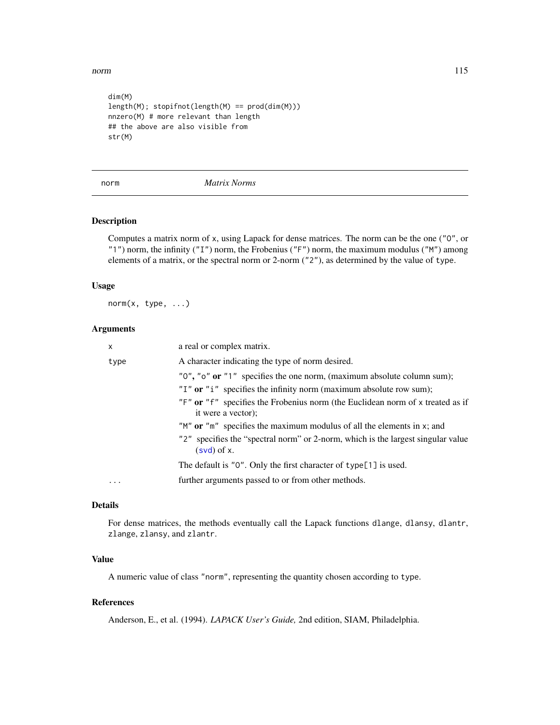norm and the contract of the contract of the contract of the contract of the contract of the contract of the contract of the contract of the contract of the contract of the contract of the contract of the contract of the c

```
dim(M)
length(M); stopifnot(length(M) == prod(dim(M)))
nnzero(M) # more relevant than length
## the above are also visible from
str(M)
```
<span id="page-114-0"></span>norm *Matrix Norms*

# Description

Computes a matrix norm of x, using Lapack for dense matrices. The norm can be the one ("O", or "1") norm, the infinity ("I") norm, the Frobenius ("F") norm, the maximum modulus ("M") among elements of a matrix, or the spectral norm or 2-norm ("2"), as determined by the value of type.

# Usage

norm(x, type, ...)

# Arguments

| X                 | a real or complex matrix.                                                                                                                                                                                                                                |
|-------------------|----------------------------------------------------------------------------------------------------------------------------------------------------------------------------------------------------------------------------------------------------------|
| type              | A character indicating the type of norm desired.                                                                                                                                                                                                         |
|                   | "0", "o" or "1" specifies the one norm, (maximum absolute column sum);<br>"I" or " $i$ " specifies the infinity norm (maximum absolute row sum);<br>"F" or "f" specifies the Frobenius norm (the Euclidean norm of x treated as if<br>it were a vector); |
|                   | " $M$ " or " $m$ " specifies the maximum modulus of all the elements in x; and<br>"2" specifies the "spectral norm" or 2-norm, which is the largest singular value<br>$(svd)$ of x.                                                                      |
|                   | The default is "0". Only the first character of type[1] is used.                                                                                                                                                                                         |
| $\cdot\cdot\cdot$ | further arguments passed to or from other methods.                                                                                                                                                                                                       |

# Details

For dense matrices, the methods eventually call the Lapack functions dlange, dlansy, dlantr, zlange, zlansy, and zlantr.

# Value

A numeric value of class "norm", representing the quantity chosen according to type.

# References

Anderson, E., et al. (1994). *LAPACK User's Guide,* 2nd edition, SIAM, Philadelphia.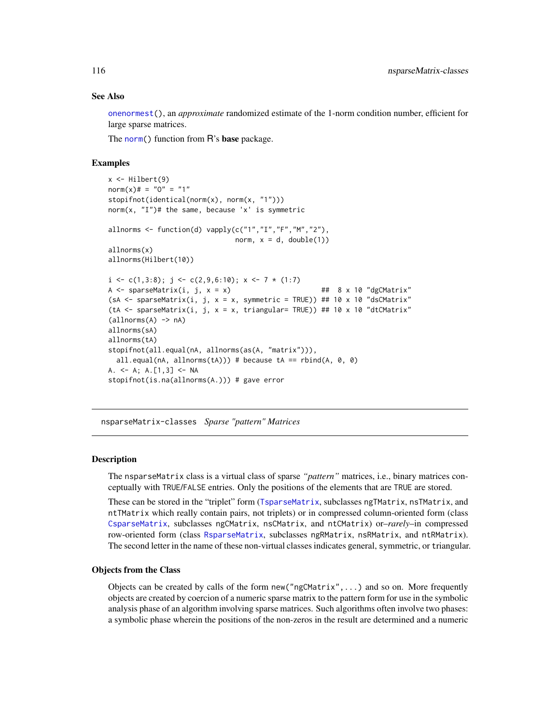## See Also

[onenormest\(](#page-29-0)), an *approximate* randomized estimate of the 1-norm condition number, efficient for large sparse matrices.

The [norm\(](#page-114-0)) function from R's base package.

## Examples

```
x \leftarrow \text{Hilbert}(9)norm(x)# = "0" = "1"
stopifnot(identical(norm(x), norm(x, "1")))
norm(x, 'I'')# the same, because 'x' is symmetric
allnorms \leq function(d) vapply(c("1","I","F","M","2"),
                                norm, x = d, double(1))
allnorms(x)
allnorms(Hilbert(10))
i \leq c(1,3:8); j \leq c(2,9,6:10); x \leq 7*(1:7)A \le sparseMatrix(i, j, x = x) \qquad ## 8 x 10 "dgCMatrix"
(sA <- sparseMatrix(i, j, x = x, symmetric = TRUE)) ## 10 x 10 "dsCMatrix"
(tA <- sparseMatrix(i, j, x = x, triangular= TRUE)) ## 10 x 10 "dtCMatrix"
(alInorms(A) \rightarrow nA)allnorms(sA)
allnorms(tA)
stopifnot(all.equal(nA, allnorms(as(A, "matrix"))),
 all.equal(nA, allnorms(tA))) # because tA == rbind(A, \theta, \theta)
A. <- A; A.[1,3] <- NA
stopifnot(is.na(allnorms(A.))) # gave error
```
nsparseMatrix-classes *Sparse "pattern" Matrices*

## <span id="page-115-0"></span>**Description**

The nsparseMatrix class is a virtual class of sparse *"pattern"* matrices, i.e., binary matrices conceptually with TRUE/FALSE entries. Only the positions of the elements that are TRUE are stored.

These can be stored in the "triplet" form ([TsparseMatrix](#page-164-0), subclasses ngTMatrix, nsTMatrix, and ntTMatrix which really contain pairs, not triplets) or in compressed column-oriented form (class [CsparseMatrix](#page-31-0), subclasses ngCMatrix, nsCMatrix, and ntCMatrix) or–*rarely*–in compressed row-oriented form (class [RsparseMatrix](#page-136-0), subclasses ngRMatrix, nsRMatrix, and ntRMatrix). The second letter in the name of these non-virtual classes indicates general, symmetric, or triangular.

## Objects from the Class

Objects can be created by calls of the form  $new("ngCMatrix", \ldots)$  and so on. More frequently objects are created by coercion of a numeric sparse matrix to the pattern form for use in the symbolic analysis phase of an algorithm involving sparse matrices. Such algorithms often involve two phases: a symbolic phase wherein the positions of the non-zeros in the result are determined and a numeric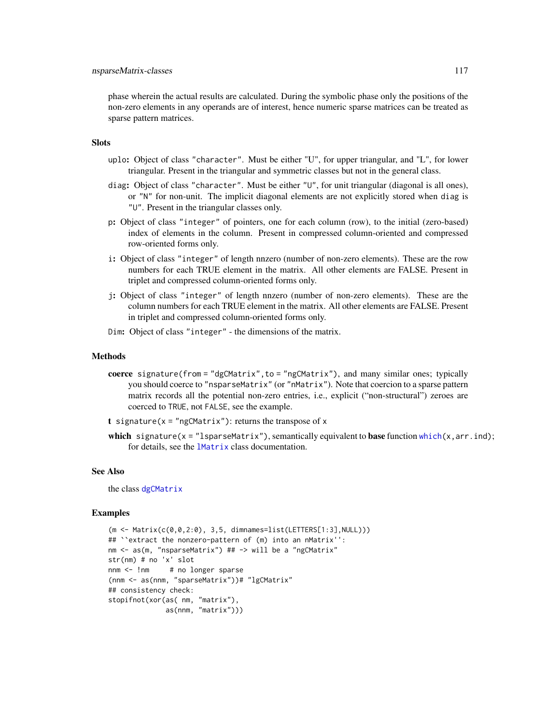## nsparseMatrix-classes 117

phase wherein the actual results are calculated. During the symbolic phase only the positions of the non-zero elements in any operands are of interest, hence numeric sparse matrices can be treated as sparse pattern matrices.

## **Slots**

- uplo: Object of class "character". Must be either "U", for upper triangular, and "L", for lower triangular. Present in the triangular and symmetric classes but not in the general class.
- diag: Object of class "character". Must be either "U", for unit triangular (diagonal is all ones), or "N" for non-unit. The implicit diagonal elements are not explicitly stored when diag is "U". Present in the triangular classes only.
- p: Object of class "integer" of pointers, one for each column (row), to the initial (zero-based) index of elements in the column. Present in compressed column-oriented and compressed row-oriented forms only.
- i: Object of class "integer" of length nnzero (number of non-zero elements). These are the row numbers for each TRUE element in the matrix. All other elements are FALSE. Present in triplet and compressed column-oriented forms only.
- j: Object of class "integer" of length nnzero (number of non-zero elements). These are the column numbers for each TRUE element in the matrix. All other elements are FALSE. Present in triplet and compressed column-oriented forms only.
- Dim: Object of class "integer" the dimensions of the matrix.

## Methods

- coerce signature(from = "dgCMatrix",to = "ngCMatrix"), and many similar ones; typically you should coerce to "nsparseMatrix" (or "nMatrix"). Note that coercion to a sparse pattern matrix records all the potential non-zero entries, i.e., explicit ("non-structural") zeroes are coerced to TRUE, not FALSE, see the example.
- t signature( $x = "ngCMatrix")$ : returns the transpose of x
- which signature(x = "lsparseMatrix"), semantically equivalent to base function [which\(](#page-0-0)x, arr.ind); for details, see the [lMatrix](#page-45-0) class documentation.

#### See Also

the class [dgCMatrix](#page-35-0)

```
(m <- Matrix(c(0,0,2:0), 3,5, dimnames=list(LETTERS[1:3],NULL)))
## ``extract the nonzero-pattern of (m) into an nMatrix'':
nm <- as(m, "nsparseMatrix") ## -> will be a "ngCMatrix"
str(nm) # no 'x' slot
nnm <- !nm # no longer sparse
(nnm <- as(nnm, "sparseMatrix"))# "lgCMatrix"
## consistency check:
stopifnot(xor(as( nm, "matrix"),
             as(nnm, "matrix")))
```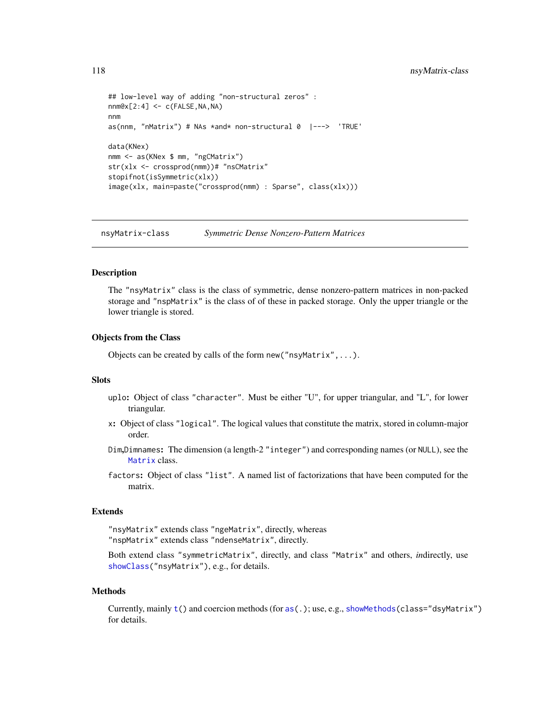```
## low-level way of adding "non-structural zeros" :
nnm@x[2:4] < -c(FALSE, NA, NA)nnm
as(nnm, "nMatrix") # NAs *and* non-structural 0 \vert---> 'TRUE'
data(KNex)
nmm <- as(KNex $ mm, "ngCMatrix")
str(xlx <- crossprod(nmm))# "nsCMatrix"
stopifnot(isSymmetric(xlx))
image(xlx, main=paste("crossprod(nmm) : Sparse", class(xlx)))
```
<span id="page-117-0"></span>nsyMatrix-class *Symmetric Dense Nonzero-Pattern Matrices*

#### Description

The "nsyMatrix" class is the class of symmetric, dense nonzero-pattern matrices in non-packed storage and "nspMatrix" is the class of of these in packed storage. Only the upper triangle or the lower triangle is stored.

## Objects from the Class

Objects can be created by calls of the form new("nsyMatrix",...).

### **Slots**

- uplo: Object of class "character". Must be either "U", for upper triangular, and "L", for lower triangular.
- x: Object of class "logical". The logical values that constitute the matrix, stored in column-major order.
- Dim,Dimnames: The dimension (a length-2 "integer") and corresponding names (or NULL), see the [Matrix](#page-100-0) class.
- factors: Object of class "list". A named list of factorizations that have been computed for the matrix.

## Extends

"nsyMatrix" extends class "ngeMatrix", directly, whereas "nspMatrix" extends class "ndenseMatrix", directly.

Both extend class "symmetricMatrix", directly, and class "Matrix" and others, *in*directly, use [showClass\(](#page-0-0)"nsyMatrix"), e.g., for details.

#### Methods

Currently, mainly [t\(](#page-0-0)) and coercion methods (for [as\(](#page-0-0).); use, e.g., [showMethods\(](#page-0-0)class="dsyMatrix") for details.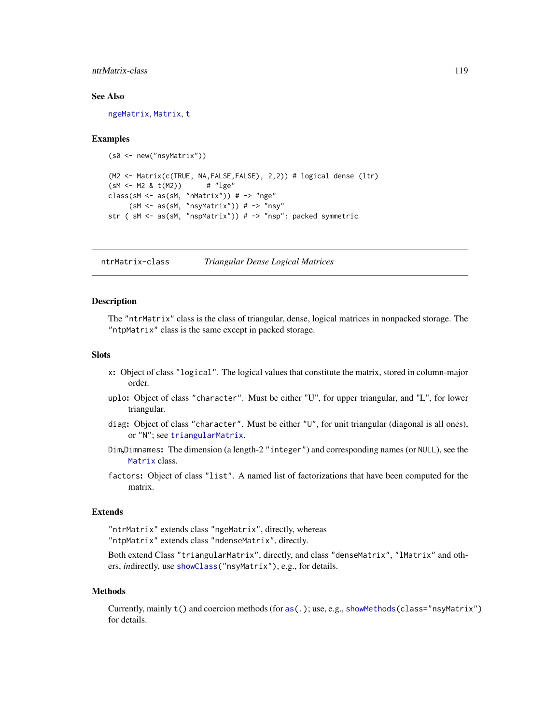# ntrMatrix-class 119

#### See Also

[ngeMatrix](#page-110-0), [Matrix](#page-100-0), [t](#page-0-0)

#### Examples

```
(s0 <- new("nsyMatrix"))
(M2 <- Matrix(c(TRUE, NA,FALSE,FALSE), 2,2)) # logical dense (ltr)
(sM < - M2 \& t(M2)) # "lge"
class(sM <- as(sM, "nMatrix")) # -> "nge"
     (SM < -as(SM, "nsyMatrix")) # -> "nsy"
str (sM \leq a s (sM, "nspMatrix")) # -> "nsp": packed symmetric
```
<span id="page-118-0"></span>ntrMatrix-class *Triangular Dense Logical Matrices*

# **Description**

The "ntrMatrix" class is the class of triangular, dense, logical matrices in nonpacked storage. The "ntpMatrix" class is the same except in packed storage.

# **Slots**

- x: Object of class "logical". The logical values that constitute the matrix, stored in column-major order.
- uplo: Object of class "character". Must be either "U", for upper triangular, and "L", for lower triangular.
- diag: Object of class "character". Must be either "U", for unit triangular (diagonal is all ones), or "N"; see [triangularMatrix](#page-163-0).
- Dim,Dimnames: The dimension (a length-2 "integer") and corresponding names (or NULL), see the [Matrix](#page-100-0) class.
- factors: Object of class "list". A named list of factorizations that have been computed for the matrix.

## Extends

"ntrMatrix" extends class "ngeMatrix", directly, whereas "ntpMatrix" extends class "ndenseMatrix", directly.

Both extend Class "triangularMatrix", directly, and class "denseMatrix", "lMatrix" and others, *in*directly, use [showClass\(](#page-0-0)"nsyMatrix"), e.g., for details.

#### Methods

Currently, mainly [t\(](#page-0-0)) and coercion methods (for [as\(](#page-0-0).); use, e.g., [showMethods\(](#page-0-0)class="nsyMatrix") for details.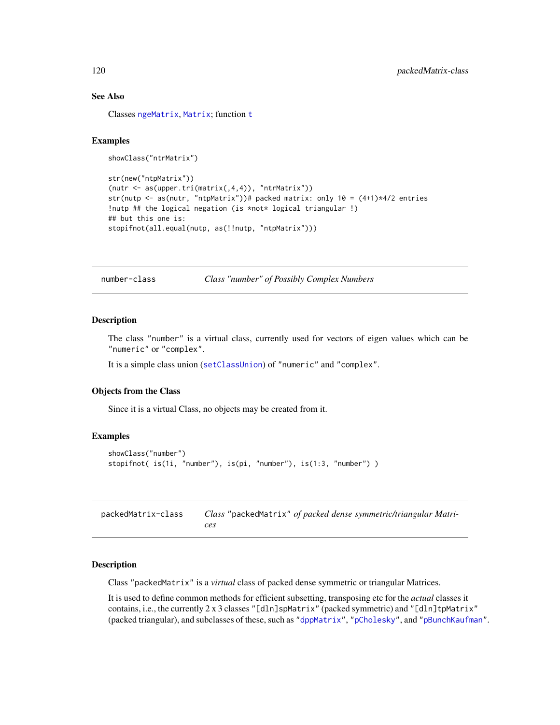## See Also

Classes [ngeMatrix](#page-110-0), [Matrix](#page-100-0); function [t](#page-0-0)

## Examples

```
showClass("ntrMatrix")
```

```
str(new("ntpMatrix"))
(nutr < -as(npper.tri(matrix(1,4,4)), "ntrMatrix"))str(nutp <- as(nutr, "ntpMatrix"))# packed matrix: only 10 = (4+1)*4/2 entries
!nutp ## the logical negation (is *not* logical triangular !)
## but this one is:
stopifnot(all.equal(nutp, as(!!nutp, "ntpMatrix")))
```
number-class *Class "number" of Possibly Complex Numbers*

## Description

The class "number" is a virtual class, currently used for vectors of eigen values which can be "numeric" or "complex".

It is a simple class union ([setClassUnion](#page-0-0)) of "numeric" and "complex".

### Objects from the Class

Since it is a virtual Class, no objects may be created from it.

## Examples

```
showClass("number")
stopifnot( is(1i, "number"), is(pi, "number"), is(1:3, "number") )
```
packedMatrix-class *Class* "packedMatrix" *of packed dense symmetric/triangular Matrices*

## Description

Class "packedMatrix" is a *virtual* class of packed dense symmetric or triangular Matrices.

It is used to define common methods for efficient subsetting, transposing etc for the *actual* classes it contains, i.e., the currently 2 x 3 classes "[dln]spMatrix" (packed symmetric) and "[dln]tpMatrix" (packed triangular), and subclasses of these, such as ["dppMatrix"](#page-48-1), ["pCholesky"](#page-25-0), and ["pBunchKaufman"](#page-25-0).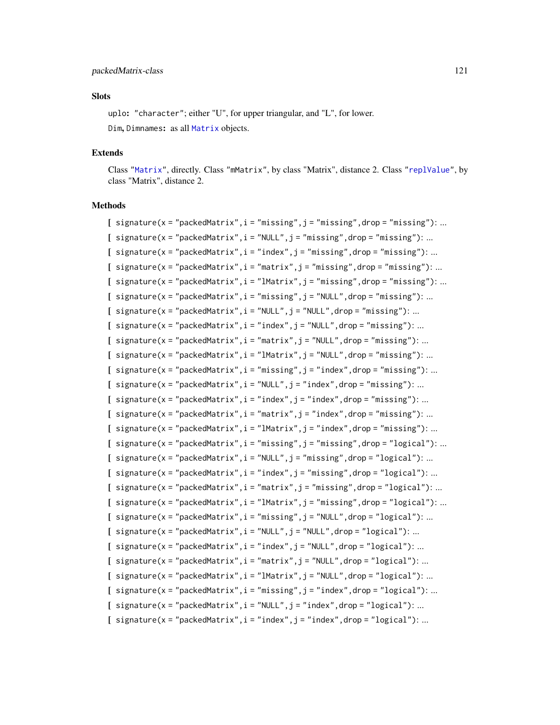#### packedMatrix-class 121

# **Slots**

uplo: "character"; either "U", for upper triangular, and "L", for lower. Dim, Dimnames: as all [Matrix](#page-100-0) objects.

#### Extends

Class ["Matrix"](#page-100-0), directly. Class "mMatrix", by class "Matrix", distance 2. Class ["replValue"](#page-134-0), by class "Matrix", distance 2.

## Methods

[  $signature(x = "packetMatrix", i = "missing", j = "missing", drop = "missing"). ...$  $[$  signature(x = "packedMatrix",  $i =$  "NULL",  $j =$  "missing", drop = "missing"): ... [  $signature(x = "packetMatrix", i = "index", j = "missing", drop = "missing"). ...$  $[$  signature(x = "packedMatrix",  $i$  = "matrix",  $j$  = "missing", drop = "missing"): ... [  $signature(x = "packetMatrix", i = "Matrix", j = "missing", drop = "missing"). ...$  $[$  signature(x = "packedMatrix",  $i$  = "missing",  $j$  = "NULL", drop = "missing"): ...  $[$  signature(x = "packedMatrix",  $i =$  "NULL",  $j =$  "NULL", drop = "missing"): ...  $[$  signature(x = "packedMatrix",i = "index",j = "NULL",drop = "missing"): ...  $[$  signature(x = "packedMatrix",  $i =$  "matrix",  $j =$  "NULL", drop = "missing"): ...  $[$  signature(x = "packedMatrix",  $i =$  "lMatrix",  $j =$  "NULL", drop = "missing"): ...  $[$  signature(x = "packedMatrix",  $i =$  "missing",  $j =$  "index", drop = "missing"): ...  $[$  signature(x = "packedMatrix",i = "NULL",j = "index",drop = "missing"): ...  $[$  signature(x = "packedMatrix",  $i =$  "index",  $j =$  "index", drop = "missing"): ...  $[$  signature(x = "packedMatrix",  $i =$  "matrix",  $j =$  "index", drop = "missing"): ...  $[$  signature(x = "packedMatrix", i = "lMatrix", j = "index", drop = "missing"): ... [ signature( $x = "packetMatrix", i = "missing", j = "missing", drop = "logical"); ...$  $[$  signature(x = "packedMatrix",  $i =$  "NULL",  $j =$  "missing", drop = "logical"): ...  $[$  signature(x = "packedMatrix",  $i =$  "index",  $j =$  "missing", drop = "logical"): ...  $[$  signature(x = "packedMatrix",  $i =$  "matrix",  $j =$  "missing", drop = "logical"): ...  $[$  signature(x = "packedMatrix", i = "lMatrix", j = "missing", drop = "logical"): ...  $[$  signature(x = "packedMatrix",  $i$  = "missing",  $j$  = "NULL", drop = "logical"): ...  $[$  signature(x = "packedMatrix",  $i =$  "NULL",  $j =$  "NULL", drop = "logical"): ...  $[$  signature(x = "packedMatrix",  $i =$  "index",  $j =$  "NULL", drop = "logical"): ...  $[$  signature(x = "packedMatrix",  $i =$  "matrix",  $j =$  "NULL", drop = "logical"): ...  $[$  signature(x = "packedMatrix",  $i =$  "lMatrix",  $j =$  "NULL", drop = "logical"): ...  $[$  signature(x = "packedMatrix", i = "missing", j = "index", drop = "logical"): ...  $[$  signature(x = "packedMatrix",  $i =$  "NULL",  $j =$  "index", drop = "logical"): ...  $[$  signature(x = "packedMatrix",  $i =$  "index",  $j =$  "index", drop = "logical"): ...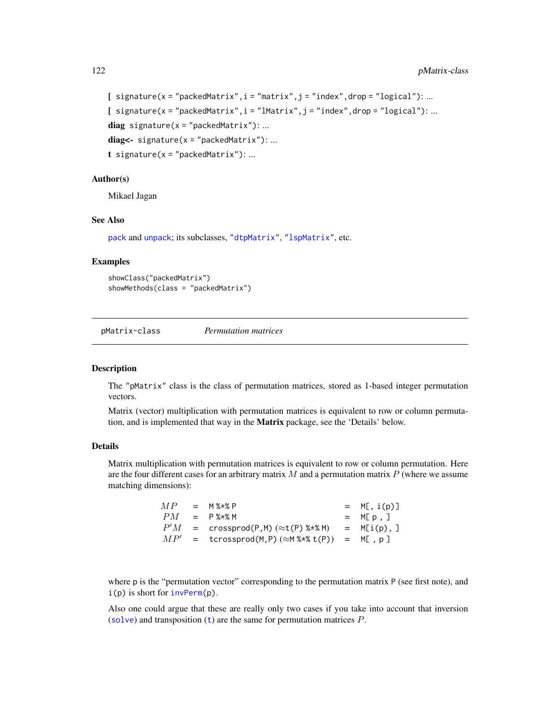```
[ signature(x = "packedMatrix", i = "matrix", j = "index", drop = "logical"): ...
[ signature(x = "packedMatrix", i = "lMatrix", j = "index", drop = "logical"): ...
diag signature(x = "packetMatrix"): ...
diag < - signature(x ="packedMatrix"): ...
t signature(x = "packetMatrix"): ...
```
# Author(s)

Mikael Jagan

#### See Also

[pack](#page-167-0) and [unpack](#page-167-1); its subclasses, ["dtpMatrix"](#page-58-0), ["lspMatrix"](#page-91-0), etc.

# Examples

```
showClass("packedMatrix")
showMethods(class = "packedMatrix")
```
pMatrix-class *Permutation matrices*

## **Description**

The "pMatrix" class is the class of permutation matrices, stored as 1-based integer permutation vectors.

Matrix (vector) multiplication with permutation matrices is equivalent to row or column permutation, and is implemented that way in the Matrix package, see the 'Details' below.

#### Details

Matrix multiplication with permutation matrices is equivalent to row or column permutation. Here are the four different cases for an arbitrary matrix  $M$  and a permutation matrix  $P$  (where we assume matching dimensions):

| MP  | $=$ M % $\times$ 8 P                                      | $= M[, i(p)]$ |
|-----|-----------------------------------------------------------|---------------|
| PM  | $=$ P % $\star$ % M                                       | $= M[p, ]$    |
| P'M | $= \crossprod(P,M) (\approx t(P) \text{ %} \text{ % } M)$ | $= M[i(p),]$  |
|     | $MP'$ = tcrossprod(M,P) ( $\approx$ M%*% t(P)) = M[, p]   |               |

where p is the "permutation vector" corresponding to the permutation matrix P (see first note), and i(p) is short for [invPerm\(](#page-78-0)p).

Also one could argue that these are really only two cases if you take into account that inversion ([solve](#page-140-0)) and [t](#page-0-0)ransposition  $(t)$  are the same for permutation matrices  $P$ .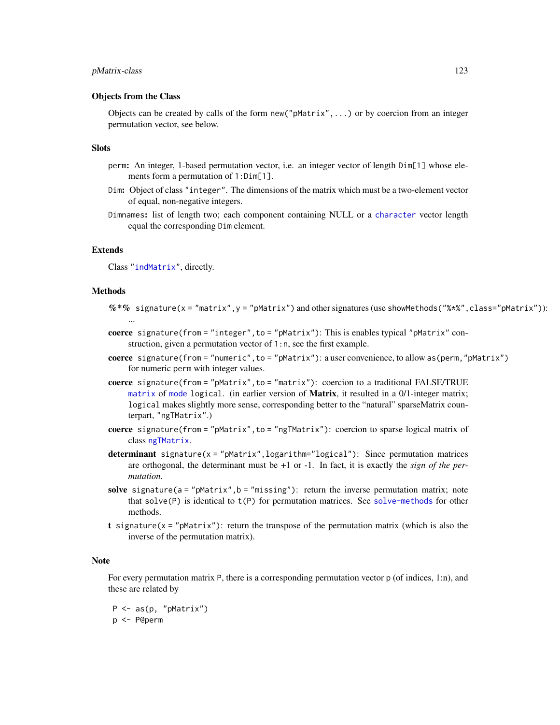## pMatrix-class 123

## Objects from the Class

Objects can be created by calls of the form  $new("pMatrix", \ldots)$  or by coercion from an integer permutation vector, see below.

### **Slots**

- perm: An integer, 1-based permutation vector, i.e. an integer vector of length Dim[1] whose elements form a permutation of 1:Dim[1].
- Dim: Object of class "integer". The dimensions of the matrix which must be a two-element vector of equal, non-negative integers.
- Dimnames: list of length two; each component containing NULL or a [character](#page-0-0) vector length equal the corresponding Dim element.

### Extends

Class ["indMatrix"](#page-76-0), directly.

## **Methods**

- $\%*\%$  signature(x = "matrix",y = "pMatrix") and other signatures (use showMethods("%\*%", class="pMatrix")): ...
- coerce signature(from = "integer", to = "pMatrix"): This is enables typical "pMatrix" construction, given a permutation vector of 1:n, see the first example.
- coerce signature(from = "numeric",to = "pMatrix"): a user convenience, to allow as(perm,"pMatrix") for numeric perm with integer values.

coerce signature(from = "pMatrix", to = "matrix"): coercion to a traditional FALSE/TRUE [matrix](#page-0-0) of [mode](#page-0-0) logical. (in earlier version of **Matrix**, it resulted in a 0/1-integer matrix; logical makes slightly more sense, corresponding better to the "natural" sparseMatrix counterpart, "ngTMatrix".)

- coerce signature(from = "pMatrix",to = "ngTMatrix"): coercion to sparse logical matrix of class [ngTMatrix](#page-115-0).
- determinant signature( $x = "pMatrix", logarithm="logical")$ : Since permutation matrices are orthogonal, the determinant must be +1 or -1. In fact, it is exactly the *sign of the permutation*.
- solve signature( $a = "pMatrix", b = "missing"$ ): return the inverse permutation matrix; note that solve $(P)$  is identical to  $t(P)$  for permutation matrices. See [solve-methods](#page-140-1) for other methods.
- t signature( $x =$ "pMatrix"): return the transpose of the permutation matrix (which is also the inverse of the permutation matrix).

#### Note

For every permutation matrix P, there is a corresponding permutation vector  $p$  (of indices, 1:n), and these are related by

P <- as(p, "pMatrix") p <- P@perm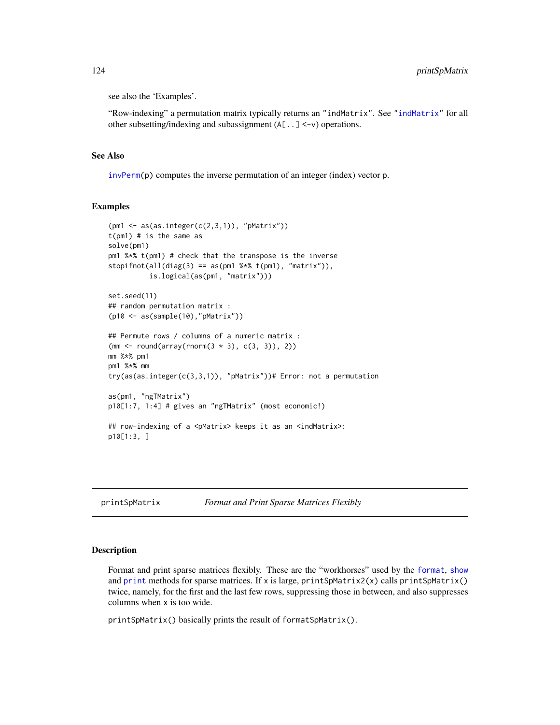see also the 'Examples'.

"Row-indexing" a permutation matrix typically returns an "indMatrix". See ["indMatrix"](#page-76-0) for all other subsetting/indexing and subassignment (A[..] <-v) operations.

# See Also

[invPerm\(](#page-78-0)p) computes the inverse permutation of an integer (index) vector p.

# Examples

```
(pm1 \leq -as(as.integer(c(2,3,1)), "pMatrix")t(pm1) # is the same as
solve(pm1)
pm1 %*% t(pm1) # check that the transpose is the inverse
stopifnot(all(diag(3) == as(pm1 %*% t(pm1), "matrix"),is.logical(as(pm1, "matrix")))
set.seed(11)
## random permutation matrix :
(p10 <- as(sample(10),"pMatrix"))
## Permute rows / columns of a numeric matrix :
(mm <- round(array(rnorm(3 * 3), c(3, 3)), 2))
mm %*% pm1
pm1 %*% mm
try(as(as.integer(c(3,3,1)), "pMatrix"))# Error: not a permutation
as(pm1, "ngTMatrix")
p10[1:7, 1:4] # gives an "ngTMatrix" (most economic!)
## row-indexing of a <pMatrix> keeps it as an <indMatrix>:
p10[1:3, ]
```

| printSpMatrix | <b>Format and Print Sparse Matrices Flexibly</b> |  |
|---------------|--------------------------------------------------|--|
|               |                                                  |  |

#### **Description**

Format and print sparse matrices flexibly. These are the "workhorses" used by the [format](#page-0-0), [show](#page-0-0) and [print](#page-0-0) methods for sparse matrices. If x is large, printSpMatrix2(x) calls printSpMatrix() twice, namely, for the first and the last few rows, suppressing those in between, and also suppresses columns when x is too wide.

printSpMatrix() basically prints the result of formatSpMatrix().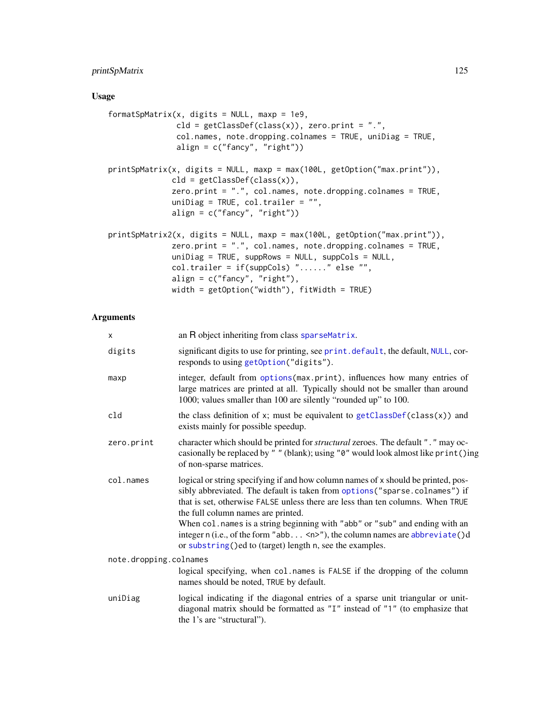# printSpMatrix 125

# Usage

```
formatSpMatrix(x, digits = NULL, maxp = 1e9,
               cld = getClassDef(class(x)), zero.print = "."col.names, note.dropping.colnames = TRUE, uniDiag = TRUE,
              align = c("fancy", "right")printSpMatrix(x, digits = NULL, maxp = max(100L, getOption("max.print")),
              cld = getClassDef(class(x)),zero.print = ".", col.names, note.dropping.colnames = TRUE,
              uniDiag = TRUE, col.trailer = "",
              align = c("fancy", "right"))
printSpMatrix2(x, digits = NULL, maxp = max(100L, getOption("max.print")),
              zero.print = ".", col.names, note.dropping.colnames = TRUE,
              uniDiag = TRUE, suppRows = NULL, suppCols = NULL,
              col.trailer = if(suppCols) "......" else "",
              align = c("fancy", "right"),
              width = getOption("width"), fitWidth = TRUE)
```
# Arguments

| X.                     | an R object inheriting from class sparseMatrix.                                                                                                                                                                                                                                                                                                                                                                                                                                                                                       |
|------------------------|---------------------------------------------------------------------------------------------------------------------------------------------------------------------------------------------------------------------------------------------------------------------------------------------------------------------------------------------------------------------------------------------------------------------------------------------------------------------------------------------------------------------------------------|
| digits                 | significant digits to use for printing, see print. default, the default, NULL, cor-<br>responds to using getOption("digits").                                                                                                                                                                                                                                                                                                                                                                                                         |
| maxp                   | integer, default from options(max.print), influences how many entries of<br>large matrices are printed at all. Typically should not be smaller than around<br>1000; values smaller than 100 are silently "rounded up" to 100.                                                                                                                                                                                                                                                                                                         |
| cld                    | the class definition of $x$ ; must be equivalent to $getClassDef(class(x))$ and<br>exists mainly for possible speedup.                                                                                                                                                                                                                                                                                                                                                                                                                |
| zero.print             | character which should be printed for <i>structural</i> zeroes. The default ". " may oc-<br>casionally be replaced by "" (blank); using "0" would look almost like print ()ing<br>of non-sparse matrices.                                                                                                                                                                                                                                                                                                                             |
| col.names              | logical or string specifying if and how column names of x should be printed, pos-<br>sibly abbreviated. The default is taken from options ("sparse.colnames") if<br>that is set, otherwise FALSE unless there are less than ten columns. When TRUE<br>the full column names are printed.<br>When col.names is a string beginning with "abb" or "sub" and ending with an<br>integer $n$ (i.e., of the form "abb $\langle n \rangle$ "), the column names are abbreviate()d<br>or substring()ed to (target) length n, see the examples. |
| note.dropping.colnames |                                                                                                                                                                                                                                                                                                                                                                                                                                                                                                                                       |
|                        | logical specifying, when col.names is FALSE if the dropping of the column<br>names should be noted, TRUE by default.                                                                                                                                                                                                                                                                                                                                                                                                                  |
| uniDiag                | logical indicating if the diagonal entries of a sparse unit triangular or unit-<br>diagonal matrix should be formatted as "I" instead of "1" (to emphasize that<br>the 1's are "structural").                                                                                                                                                                                                                                                                                                                                         |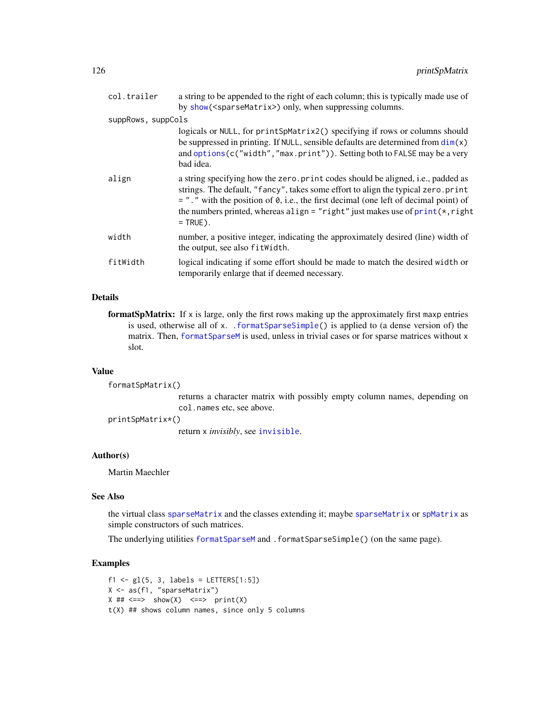| col.trailer        | a string to be appended to the right of each column; this is typically made use of<br>by show( <sparsematrix>) only, when suppressing columns.</sparsematrix>                                                                                                                                                                                                  |
|--------------------|----------------------------------------------------------------------------------------------------------------------------------------------------------------------------------------------------------------------------------------------------------------------------------------------------------------------------------------------------------------|
| suppRows, suppCols |                                                                                                                                                                                                                                                                                                                                                                |
|                    | logicals or NULL, for printSpMatrix2() specifying if rows or columns should<br>be suppressed in printing. If NULL, sensible defaults are determined from $dim(x)$<br>and options (c("width","max.print")). Setting both to FALSE may be a very<br>bad idea.                                                                                                    |
| align              | a string specifying how the zero. print codes should be aligned, i.e., padded as<br>strings. The default, "fancy", takes some effort to align the typical zero.print<br>$=$ ". " with the position of 0, i.e., the first decimal (one left of decimal point) of<br>the numbers printed, whereas align = "right" just makes use of print(*, right<br>$=$ TRUE). |
| width              | number, a positive integer, indicating the approximately desired (line) width of<br>the output, see also fit Width.                                                                                                                                                                                                                                            |
| fitWidth           | logical indicating if some effort should be made to match the desired width or<br>temporarily enlarge that if deemed necessary.                                                                                                                                                                                                                                |

# Details

formatSpMatrix: If  $x$  is large, only the first rows making up the approximately first maxp entries is used, otherwise all of x. [.formatSparseSimple\(](#page-68-0)) is applied to (a dense version of) the matrix. Then, [formatSparseM](#page-68-1) is used, unless in trivial cases or for sparse matrices without x slot.

#### Value

```
formatSpMatrix()
```
returns a character matrix with possibly empty column names, depending on col.names etc, see above.

printSpMatrix\*()

return x *invisibly*, see [invisible](#page-0-0).

# Author(s)

Martin Maechler

# See Also

the virtual class [sparseMatrix](#page-151-0) and the classes extending it; maybe [sparseMatrix](#page-147-0) or [spMatrix](#page-159-0) as simple constructors of such matrices.

The underlying utilities [formatSparseM](#page-68-1) and .formatSparseSimple() (on the same page).

```
f1 <- gl(5, 3, labels = LETTERS[1:5])X <- as(f1, "sparseMatrix")
X ## \leq => show(X) \leq => print(X)t(X) ## shows column names, since only 5 columns
```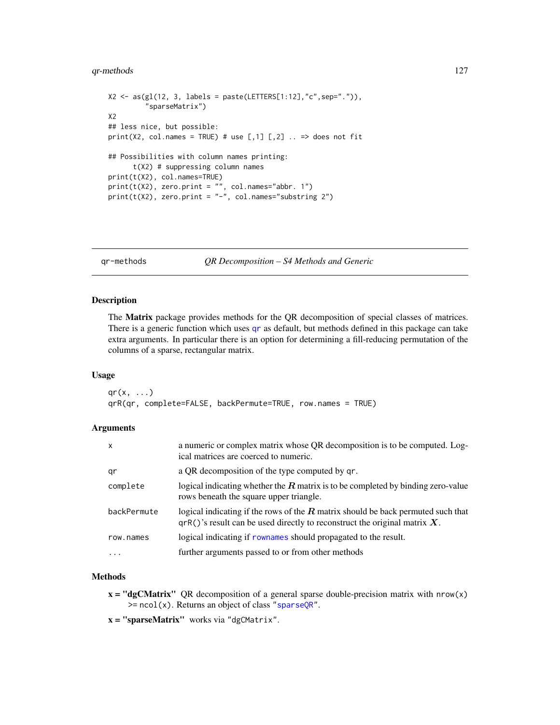# qr-methods 127

```
X2 \leq -as(g1(12, 3, labels = paste(LETTERS[1:12], "c", sep='.")),"sparseMatrix")
X2
## less nice, but possible:
print(X2, col.names = TRUE) # use [,1] [,2] .. => does not fit
## Possibilities with column names printing:
      t(X2) # suppressing column names
print(t(X2), col.names=TRUE)
print(t(X2), zero.print = "", col.name = "abbr. 1")print(t(X2), zero.print = "-'", col.name="substring 2")
```
<span id="page-126-1"></span>qr-methods *QR Decomposition – S4 Methods and Generic*

## <span id="page-126-0"></span>Description

The Matrix package provides methods for the QR decomposition of special classes of matrices. There is a generic function which uses [qr](#page-126-0) as default, but methods defined in this package can take extra arguments. In particular there is an option for determining a fill-reducing permutation of the columns of a sparse, rectangular matrix.

## Usage

```
qr(x, \ldots)qrR(qr, complete=FALSE, backPermute=TRUE, row.names = TRUE)
```
# Arguments

| $\mathsf{x}$ | a numeric or complex matrix whose QR decomposition is to be computed. Log-<br>ical matrices are coerced to numeric.                                                    |
|--------------|------------------------------------------------------------------------------------------------------------------------------------------------------------------------|
| qr           | a QR decomposition of the type computed by qr.                                                                                                                         |
| complete     | logical indicating whether the $R$ matrix is to be completed by binding zero-value<br>rows beneath the square upper triangle.                                          |
| backPermute  | logical indicating if the rows of the $R$ matrix should be back permuted such that<br>$q \in R()$ 's result can be used directly to reconstruct the original matrix X. |
| row.names    | logical indicating if rownames should propagated to the result.                                                                                                        |
| $\ddotsc$    | further arguments passed to or from other methods                                                                                                                      |

## Methods

- $x = "dgCMatrix"$  QR decomposition of a general sparse double-precision matrix with nrow(x)  $\ge$  ncol(x). Returns an object of class ["sparseQR"](#page-153-0).
- x = "sparseMatrix" works via "dgCMatrix".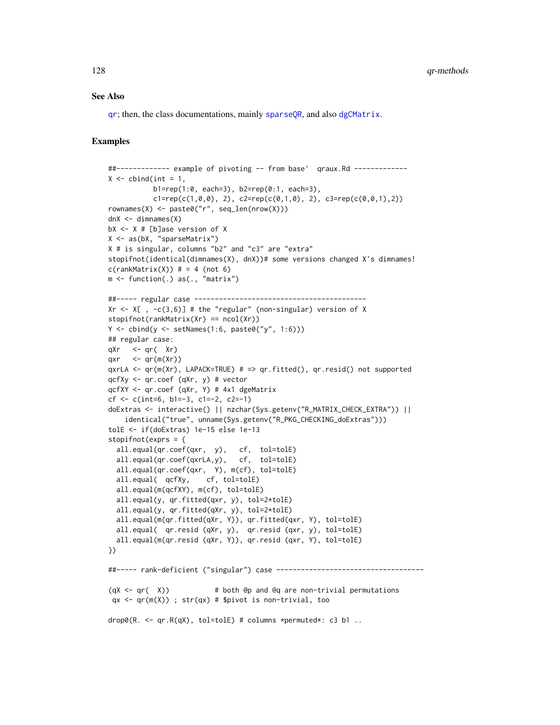#### See Also

[qr](#page-126-0); then, the class documentations, mainly [sparseQR](#page-153-0), and also [dgCMatrix](#page-35-0).

```
##------------- example of pivoting -- from base' qraux.Rd -------------
X \le - cbind(int = 1,
           b1=rep(1:0, each=3), b2=rep(0:1, each=3),
           c1 = rep(c(1,0,0), 2), c2 = rep(c(0,1,0), 2), c3 = rep(c(0,0,1), 2))rownames(X) <- paste0("r", seq_len(nrow(X)))
dnX < - dimnames(X)bX \leq X \neq [b]ase version of X
X \leftarrow as(bX, "sparseMatrix")X # is singular, columns "b2" and "c3" are "extra"
stopifnot(identical(dimnames(X), dnX))# some versions changed X's dimnames!
c(rankMatrix(X)) # = 4 (not 6)
m <- function(.) as(., "matrix")
##----- regular case ------------------------------------------
Xr \leq X[, -c(3,6)] # the "regular" (non-singular) version of X
stopifnot(rankMatrix(Xr) == ncol(Xr))
Y \leftarrow \text{cbind}(y \leftarrow \text{setNames}(1:6, \text{ paste0}("y", 1:6)))## regular case:
qXr \leq qr( Xr)qxr \leq qr(m(Xr))
qxrLA \leq qr(m(Xr), LAPACK=TRUE) # => qr.fitted(), qr.resid() not supported
qcfXy <- qr.coef (qXr, y) # vector
qcfXY <- qr.coef (qXr, Y) # 4x1 dgeMatrix
cf \leq c(int=6, b1=-3, c1=-2, c2=-1)doExtras <- interactive() || nzchar(Sys.getenv("R_MATRIX_CHECK_EXTRA")) ||
    identical("true", unname(Sys.getenv("R_PKG_CHECKING_doExtras")))
tolE <- if(doExtras) 1e-15 else 1e-13
stopifnot(exprs = {
  all.equal(qr.coef(qxr, y), cf, tol=tolE)
  all.equal(qr.coef(qxrLA,y), cf, tol=tolE)
  all.equal(qr.coef(qxr, Y), m(cf), tol=tolE)
  all.equal( qcfXy, cf, tol=tolE)
  all.equal(m(qcfXY), m(cf), tol=tolE)
  all.equal(y, qr.fitted(qxr, y), tol=2*tolE)
  all.equal(y, qr.fitted(qXr, y), tol=2*tolE)
  all.equal(m(qr.fitted(qXr, Y)), qr.fitted(qxr, Y), tol=tolE)
  all.equal( qr.resid (qXr, y), qr.resid (qxr, y), tol=tolE)
  all.equal(m(qr.resid (qXr, Y)), qr.resid (qxr, Y), tol=tolE)
})
##----- rank-deficient ("singular") case ------------------------------------
(qX < -qr( X)) # both @p and @q are non-trivial permutations
 qx \leftarrow qr(m(X)); str(qx) \# $pivot is non-trivial, too
drop0(R. <- qr.R(qX), tol=tolE) # columns *permuted*: c3 b1 ..
```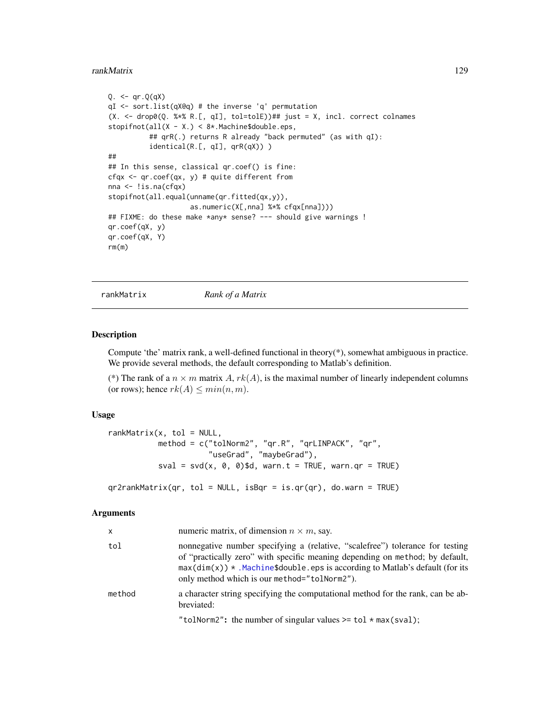#### rankMatrix 129

```
Q. \leq -qr.Q(qX)qI <- sort.list(qX@q) # the inverse 'q' permutation
(X. <- drop0(Q. %*% R.[, qI], tol=tolE))## just = X, incl. correct colnames
stopifnot(all(X - X.) < 8*.Machine$double.eps,
          ## qrR(.) returns R already "back permuted" (as with qI):
          identical(R.[, qI], qrR(qX)) )
##
## In this sense, classical qr.coef() is fine:
cfqx <- qr.coef(qx, y) # quite different from
nna <- !is.na(cfqx)
stopifnot(all.equal(unname(qr.fitted(qx,y)),
                    as.numeric(X[,nna] %*% cfqx[nna])))
## FIXME: do these make *any* sense? --- should give warnings !
qr.coef(qX, y)
qr.coef(qX, Y)
rm(m)
```
rankMatrix *Rank of a Matrix*

## Description

Compute 'the' matrix rank, a well-defined functional in theory $(*)$ , somewhat ambiguous in practice. We provide several methods, the default corresponding to Matlab's definition.

(\*) The rank of a  $n \times m$  matrix A,  $rk(A)$ , is the maximal number of linearly independent columns (or rows); hence  $rk(A) \leq min(n, m)$ .

## Usage

```
rankMatrix(x, tol = NULL,method = c("tolNorm2", "qr.R", "qrLINPACK", "qr",
                      "useGrad", "maybeGrad"),
          sval = svd(x, 0, 0)$d, warn.t = TRUE, warn.qr = TRUE)
```
qr2rankMatrix(qr, tol = NULL, isBqr = is.qr(qr), do.warn = TRUE)

# Arguments

| $\mathsf{x}$ | numeric matrix, of dimension $n \times m$ , say.                                                                                                                                                                                                                                                |
|--------------|-------------------------------------------------------------------------------------------------------------------------------------------------------------------------------------------------------------------------------------------------------------------------------------------------|
| tol          | nonnegative number specifying a (relative, "scalefree") tolerance for testing<br>of "practically zero" with specific meaning depending on method; by default,<br>$max(dim(x))$ * .Machine\$double.eps is according to Matlab's default (for its<br>only method which is our method="tolNorm2"). |
| method       | a character string specifying the computational method for the rank, can be ab-<br>breviated:                                                                                                                                                                                                   |
|              | "tolNorm2": the number of singular values $>=$ tol $*$ max(sval);                                                                                                                                                                                                                               |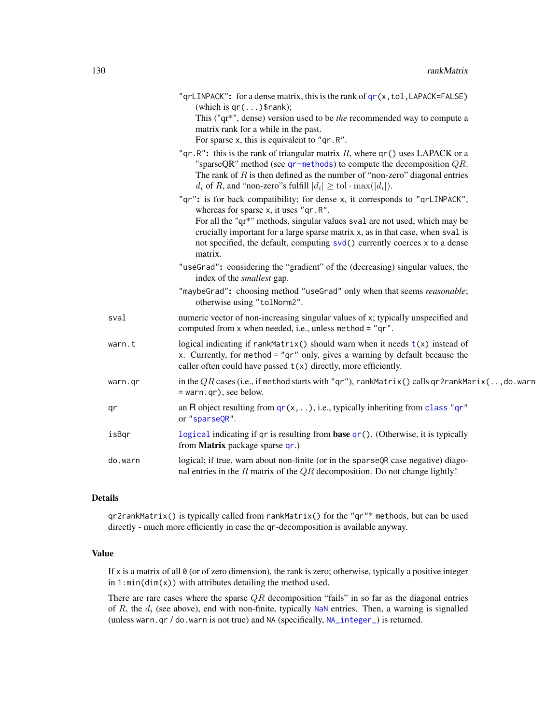|         | " $q$ rLINPACK": for a dense matrix, this is the rank of $qr(x, tol, LAPACK=False)$<br>(which is $qr()$ \$rank);<br>This ("qr*", dense) version used to be the recommended way to compute a<br>matrix rank for a while in the past.<br>For sparse x, this is equivalent to " $qr.R$ ".                                                                                         |
|---------|--------------------------------------------------------------------------------------------------------------------------------------------------------------------------------------------------------------------------------------------------------------------------------------------------------------------------------------------------------------------------------|
|         | "qr.R": this is the rank of triangular matrix $R$ , where qr() uses LAPACK or a<br>"sparseQR" method (see $qr$ -methods) to compute the decomposition $QR$ .<br>The rank of $R$ is then defined as the number of "non-zero" diagonal entries<br>$d_i$ of R, and "non-zero"s fulfill $ d_i  \geq \text{tol} \cdot \max( d_i )$ .                                                |
|         | "qr": is for back compatibility; for dense x, it corresponds to "qrLINPACK",<br>whereas for sparse x, it uses "qr.R".<br>For all the "qr*" methods, singular values sval are not used, which may be<br>crucially important for a large sparse matrix x, as in that case, when sval is<br>not specified, the default, computing svd() currently coerces x to a dense<br>matrix. |
|         | "useGrad": considering the "gradient" of the (decreasing) singular values, the<br>index of the <i>smallest</i> gap.                                                                                                                                                                                                                                                            |
|         | "maybeGrad": choosing method "useGrad" only when that seems reasonable;<br>otherwise using "tolNorm2".                                                                                                                                                                                                                                                                         |
| sval    | numeric vector of non-increasing singular values of x; typically unspecified and<br>computed from x when needed, i.e., unless method = "qr".                                                                                                                                                                                                                                   |
| warn.t  | logical indicating if $rankMatrix()$ should warn when it needs $t(x)$ instead of<br>x. Currently, for method = " $qr$ " only, gives a warning by default because the<br>caller often could have passed $t(x)$ directly, more efficiently.                                                                                                                                      |
| warn.qr | in the $QR$ cases (i.e., if method starts with "qr"), rankMatrix() calls qr2rankMarix(, do. warn<br>= warn.qr), see below.                                                                                                                                                                                                                                                     |
| qr      | an R object resulting from $qr(x, )$ , i.e., typically inheriting from class "qr"<br>or "sparseQR".                                                                                                                                                                                                                                                                            |
| isBqr   | logical indicating if qr is resulting from base qr(). (Otherwise, it is typically<br>from Matrix package sparse qr.)                                                                                                                                                                                                                                                           |
| do.warn | logical; if true, warn about non-finite (or in the sparseQR case negative) diago-<br>nal entries in the $R$ matrix of the $QR$ decomposition. Do not change lightly!                                                                                                                                                                                                           |

# Details

qr2rankMatrix() is typically called from rankMatrix() for the "qr"\* methods, but can be used directly - much more efficiently in case the qr-decomposition is available anyway.

# Value

If x is a matrix of all  $\theta$  (or of zero dimension), the rank is zero; otherwise, typically a positive integer in  $1:min(dim(x))$  with attributes detailing the method used.

There are rare cases where the sparse  $QR$  decomposition "fails" in so far as the diagonal entries of  $R$ , the  $d_i$  (see above), end with non-finite, typically [NaN](#page-0-0) entries. Then, a warning is signalled (unless warn.qr / do.warn is not true) and NA (specifically, [NA\\_integer\\_](#page-0-0)) is returned.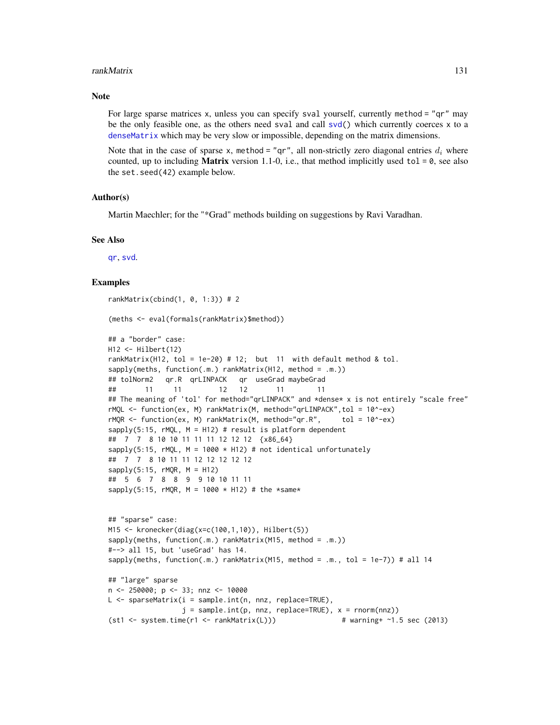#### rankMatrix 131

## **Note**

For large sparse matrices x, unless you can specify sval yourself, currently method = "qr" may be the only feasible one, as the others need sval and call [svd\(](#page-0-0)) which currently coerces x to a [denseMatrix](#page-35-1) which may be very slow or impossible, depending on the matrix dimensions.

Note that in the case of sparse x, method = "qr", all non-strictly zero diagonal entries  $d_i$  where counted, up to including **Matrix** version 1.1-0, i.e., that method implicitly used tol =  $\theta$ , see also the set.seed(42) example below.

#### Author(s)

Martin Maechler; for the "\*Grad" methods building on suggestions by Ravi Varadhan.

## See Also

[qr](#page-126-0), [svd](#page-0-0).

```
rankMatrix(cbind(1, 0, 1:3)) # 2
(meths <- eval(formals(rankMatrix)$method))
## a "border" case:
H12 <- Hilbert(12)
rankMatrix(H12, tol = 1e-20) # 12; but 11 with default method & tol.
sapply(meths, function(.m.) rankMatrix(H12, method = .m.))
## tolNorm2 qr.R qrLINPACK qr useGrad maybeGrad
## 11 11 12 12 11 11
## The meaning of 'tol' for method="qrLINPACK" and *dense* x is not entirely "scale free"
rMQL <- function(ex, M) rankMatrix(M, method="qrLINPACK",tol = 10^-ex)
rMQR \le function(ex, M) rankMatrix(M, method="qr.R", tol = 10^-ex)
sapply(5:15, rMQL, M = H12) # result is platform dependent## 7 7 8 10 10 11 11 11 12 12 12 {x86_64}
sapply(5:15, rMQL, M = 1000 \times H12) # not identical unfortunately
## 7 7 8 10 11 11 12 12 12 12 12
sapply(5:15, rMQR, M = H12)## 5 6 7 8 8 9 9 10 10 11 11
sapply(5:15, rMQR, M = 1000 \times H12) # the *same*
## "sparse" case:
M15 <- kronecker(diag(x=c(100,1,10)), Hilbert(5))
sapply(meths, function(.m.) rankMatrix(M15, method = .m.))
#--> all 15, but 'useGrad' has 14.
sapply(meths, function(.m.) rankMatrix(M15, method = .m., tol = 1e-7)) # all 14
## "large" sparse
n <- 250000; p <- 33; nnz <- 10000
L <- sparseMatrix(i = sample.int(n, nnz, replace=TRUE),
                 j = sample.int(p, nnz, replace=TRUE), x = norm(nnz))(st1 \leq -system.time(r1 \leq -rankMatrix(L))) # warning+ ~1.5 sec (2013)
```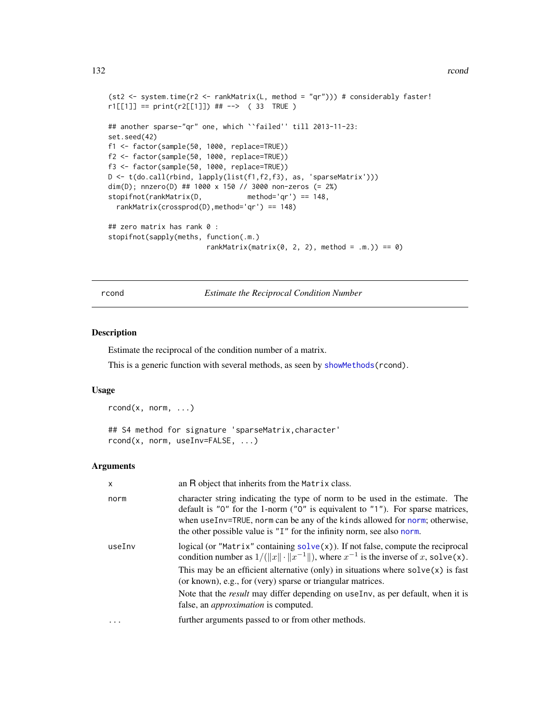#### 132 rcond

```
(st2 <- system.time(r2 <- rankMatrix(L, method = "qr"))) # considerably faster!
r1[[1]] == print(r2[[1]]) # ---> (33 TRUE))## another sparse-"qr" one, which ``failed'' till 2013-11-23:
set.seed(42)
f1 <- factor(sample(50, 1000, replace=TRUE))
f2 <- factor(sample(50, 1000, replace=TRUE))
f3 <- factor(sample(50, 1000, replace=TRUE))
D <- t(do.call(rbind, lapply(list(f1,f2,f3), as, 'sparseMatrix')))
dim(D); nnzero(D) ## 1000 x 150 // 3000 non-zeros (= 2%)
stopifnot(rankMatrix(D, method='qr') == 148,
 rankMatrix(crossprod(D),method='qr') == 148)
## zero matrix has rank 0 :
stopifnot(sapply(meths, function(.m.)
                       rankMatrix(matrix(0, 2, 2), method = .m.)) == 0)
```
rcond *Estimate the Reciprocal Condition Number*

## Description

Estimate the reciprocal of the condition number of a matrix.

This is a generic function with several methods, as seen by [showMethods\(](#page-0-0)rcond).

## Usage

rcond(x, norm, ...)

```
## S4 method for signature 'sparseMatrix, character'
rcond(x, norm, useInv=FALSE, ...)
```
## Arguments

| X      | an R object that inherits from the Matrix class.                                                                                                                                                                                                                                                                                   |
|--------|------------------------------------------------------------------------------------------------------------------------------------------------------------------------------------------------------------------------------------------------------------------------------------------------------------------------------------|
| norm   | character string indicating the type of norm to be used in the estimate. The<br>default is " $0$ " for the 1-norm (" $0$ " is equivalent to " $1$ "). For sparse matrices,<br>when useInv=TRUE, norm can be any of the kinds allowed for norm; otherwise,<br>the other possible value is "I" for the infinity norm, see also norm. |
| useInv | logical (or "Matrix" containing $solve(x)$ ). If not false, compute the reciprocal<br>condition number as $1/(\Vert x \Vert \cdot \Vert x^{-1} \Vert)$ , where $x^{-1}$ is the inverse of x, solve(x).                                                                                                                             |
|        | This may be an efficient alternative (only) in situations where $solve(x)$ is fast<br>(or known), e.g., for (very) sparse or triangular matrices.                                                                                                                                                                                  |
|        | Note that the <i>result</i> may differ depending on useInv, as per default, when it is<br>false, an <i>approximation</i> is computed.                                                                                                                                                                                              |
|        | further arguments passed to or from other methods.                                                                                                                                                                                                                                                                                 |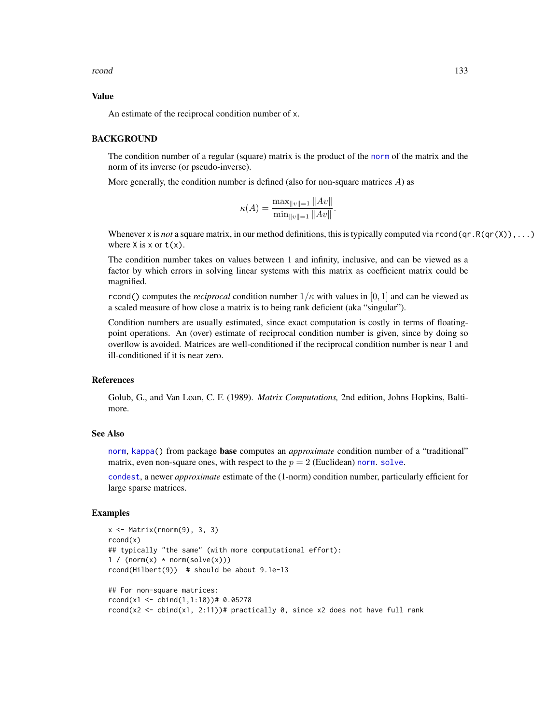rcond and 133

## Value

An estimate of the reciprocal condition number of x.

## **BACKGROUND**

The condition number of a regular (square) matrix is the product of the [norm](#page-114-0) of the matrix and the norm of its inverse (or pseudo-inverse).

More generally, the condition number is defined (also for non-square matrices  $A$ ) as

$$
\kappa(A) = \frac{\max_{\|v\|=1} \|Av\|}{\min_{\|v\|=1} \|Av\|}.
$$

Whenever x is *not* a square matrix, in our method definitions, this is typically computed via rcond(qr.R(qr(X)),...) where  $X$  is  $x$  or  $t(x)$ .

The condition number takes on values between 1 and infinity, inclusive, and can be viewed as a factor by which errors in solving linear systems with this matrix as coefficient matrix could be magnified.

rcond() computes the *reciprocal* condition number  $1/\kappa$  with values in [0, 1] and can be viewed as a scaled measure of how close a matrix is to being rank deficient (aka "singular").

Condition numbers are usually estimated, since exact computation is costly in terms of floatingpoint operations. An (over) estimate of reciprocal condition number is given, since by doing so overflow is avoided. Matrices are well-conditioned if the reciprocal condition number is near 1 and ill-conditioned if it is near zero.

## **References**

Golub, G., and Van Loan, C. F. (1989). *Matrix Computations,* 2nd edition, Johns Hopkins, Baltimore.

# See Also

[norm](#page-114-0), [kappa\(](#page-0-0)) from package base computes an *approximate* condition number of a "traditional" matrix, even non-square ones, with respect to the  $p = 2$  (Euclidean) [norm](#page-114-0). [solve](#page-140-0).

[condest](#page-29-1), a newer *approximate* estimate of the (1-norm) condition number, particularly efficient for large sparse matrices.

```
x \leftarrow Matrix(rnorm(9), 3, 3)
rcond(x)
## typically "the same" (with more computational effort):
1 / (norm(x) * norm(solve(x)))rcond(Hilbert(9)) # should be about 9.1e-13
## For non-square matrices:
rcond(x1 \leq - \text{cbind}(1,1:10)) # 0.05278rcond(x2 <- cbind(x1, 2:11))# practically 0, since x2 does not have full rank
```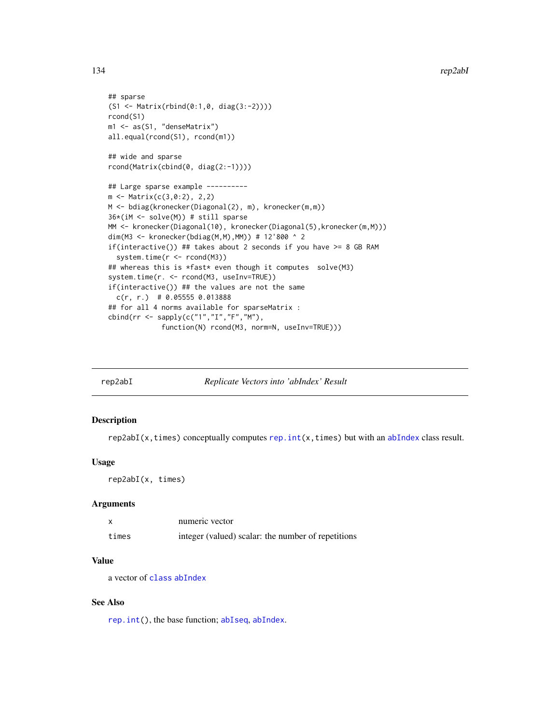```
## sparse
(S1 <- Matrix(rbind(0:1,0, diag(3:-2))))
rcond(S1)
m1 <- as(S1, "denseMatrix")
all.equal(rcond(S1), rcond(m1))
## wide and sparse
rcond(Matrix(cbind(0, diag(2:-1))))
## Large sparse example ----------
m <- Matrix(c(3,0:2), 2,2)
M <- bdiag(kronecker(Diagonal(2), m), kronecker(m,m))
36*(iM <- solve(M)) # still sparse
MM <- kronecker(Diagonal(10), kronecker(Diagonal(5), kronecker(m, M)))
dim(M3 <- kronecker(bdiag(M,M),MM)) # 12'800 ^ 2
if(interactive()) ## takes about 2 seconds if you have >= 8 GB RAM
  system.time(r <- rcond(M3))
## whereas this is *fast* even though it computes solve(M3)
system.time(r. <- rcond(M3, useInv=TRUE))
if(interactive()) ## the values are not the same
  c(r, r.) # 0.05555 0.013888
## for all 4 norms available for sparseMatrix :
cbind(rr <- sapply(c("1","I","F","M"),
             function(N) rcond(M3, norm=N, useInv=TRUE)))
```

| rep2abI | Replicate Vectors into 'abIndex' Result |
|---------|-----------------------------------------|
|         |                                         |

#### **Description**

 $rep2abI(x, times)$  conceptually computes  $rep.int(x, times)$  $rep.int(x, times)$  but with an [abIndex](#page-4-0) class result.

## Usage

rep2abI(x, times)

## **Arguments**

|       | numeric vector                                     |
|-------|----------------------------------------------------|
| times | integer (valued) scalar: the number of repetitions |

#### Value

a vector of [class](#page-0-0) [abIndex](#page-4-0)

#### See Also

[rep.int\(](#page-0-0)), the base function; [abIseq](#page-5-0), [abIndex](#page-4-0).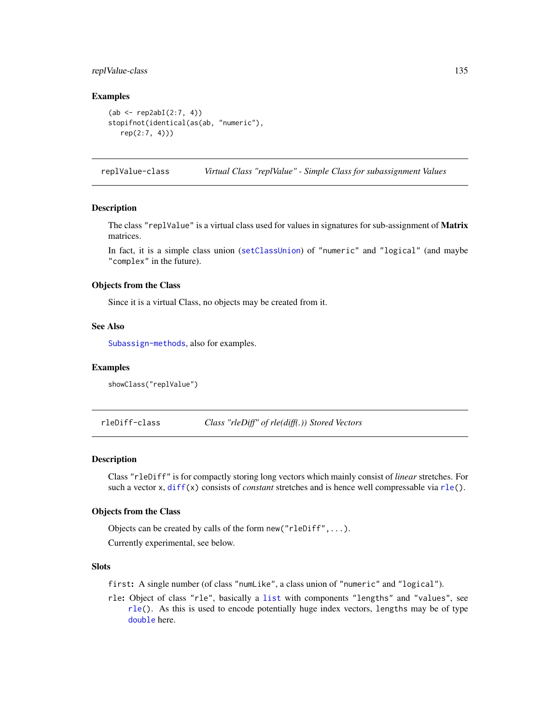# replValue-class 135

## Examples

```
(ab \le rep2abI(2:7, 4))stopifnot(identical(as(ab, "numeric"),
  rep(2:7, 4)))
```
<span id="page-134-0"></span>replValue-class *Virtual Class "replValue" - Simple Class for subassignment Values*

#### **Description**

The class "replValue" is a virtual class used for values in signatures for sub-assignment of **Matrix** matrices.

In fact, it is a simple class union ([setClassUnion](#page-0-0)) of "numeric" and "logical" (and maybe "complex" in the future).

## Objects from the Class

Since it is a virtual Class, no objects may be created from it.

# See Also

[Subassign-methods](#page-173-0), also for examples.

## Examples

showClass("replValue")

rleDiff-class *Class "rleDiff" of rle(diff(.)) Stored Vectors*

### **Description**

Class "rleDiff" is for compactly storing long vectors which mainly consist of *linear* stretches. For such a vector x, [diff\(](#page-0-0)x) consists of *constant* stretches and is hence well compressable via [rle\(](#page-0-0)).

## Objects from the Class

Objects can be created by calls of the form new("rleDiff",...).

Currently experimental, see below.

# **Slots**

first: A single number (of class "numLike", a class union of "numeric" and "logical").

rle: Object of class "rle", basically a [list](#page-0-0) with components "lengths" and "values", see [rle\(](#page-0-0)). As this is used to encode potentially huge index vectors, lengths may be of type [double](#page-0-0) here.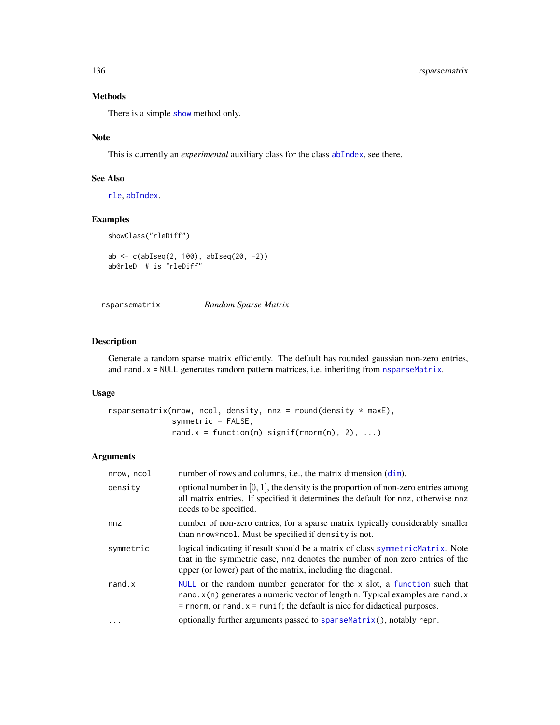# Methods

There is a simple [show](#page-0-0) method only.

# Note

This is currently an *experimental* auxiliary class for the class [abIndex](#page-4-0), see there.

# See Also

[rle](#page-0-0), [abIndex](#page-4-0).

# Examples

```
showClass("rleDiff")
```

```
ab <- c(abIseq(2, 100), abIseq(20, -2))
ab@rleD # is "rleDiff"
```
rsparsematrix *Random Sparse Matrix*

## Description

Generate a random sparse matrix efficiently. The default has rounded gaussian non-zero entries, and rand.x = NULL generates random pattern matrices, i.e. inheriting from [nsparseMatrix](#page-115-0).

## Usage

```
rsparsematrix(nrow, ncol, density, nnz = round(density * maxE),
              symmetric = FALSE,
              rand.x = function(n) signif(rnorm(n), 2), ...)
```
#### Arguments

| nrow, ncol        | number of rows and columns, i.e., the matrix dimension $(dim)$ .                                                                                                                                                                               |
|-------------------|------------------------------------------------------------------------------------------------------------------------------------------------------------------------------------------------------------------------------------------------|
| density           | optional number in $[0, 1]$ , the density is the proportion of non-zero entries among<br>all matrix entries. If specified it determines the default for nnz, otherwise nnz<br>needs to be specified.                                           |
| nnz               | number of non-zero entries, for a sparse matrix typically considerably smaller<br>than nrow*ncol. Must be specified if density is not.                                                                                                         |
| symmetric         | logical indicating if result should be a matrix of class symmetric Matrix. Note<br>that in the symmetric case, nnz denotes the number of non zero entries of the<br>upper (or lower) part of the matrix, including the diagonal.               |
| rand.x            | NULL or the random number generator for the $x$ slot, a function such that<br>rand. x(n) generates a numeric vector of length n. Typical examples are rand. x<br>$=$ rnorm, or rand. $x =$ runif; the default is nice for didactical purposes. |
| $\cdot\cdot\cdot$ | optionally further arguments passed to sparseMatrix(), notably repr.                                                                                                                                                                           |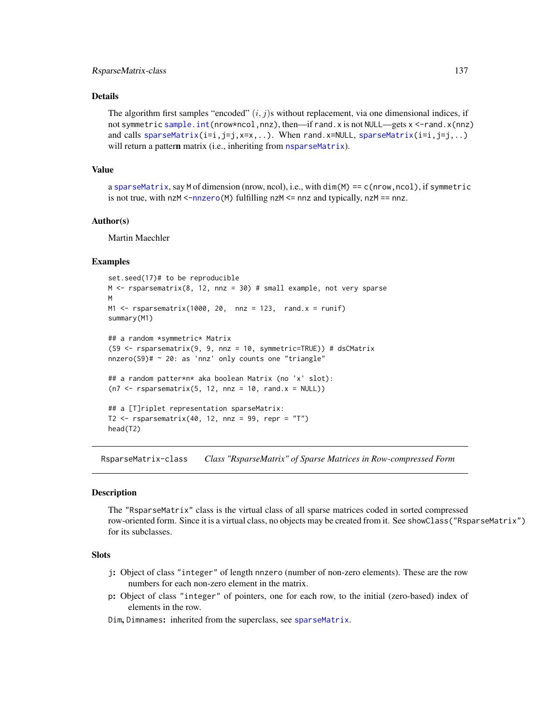## RsparseMatrix-class 137

## Details

The algorithm first samples "encoded"  $(i, j)$ s without replacement, via one dimensional indices, if not symmetric [sample.int\(](#page-0-0)nrow\*ncol,nnz), then—if rand.x is not NULL—gets x <-rand.x(nnz) and calls [sparseMatrix\(](#page-147-0) $i=i,j=j,x=x,...$ ). When rand.x=NULL, sparseMatrix( $i=i,j=j,...$ ) will return a pattern matrix (i.e., inheriting from [nsparseMatrix](#page-115-0)).

## Value

a [sparseMatrix](#page-151-0), say M of dimension (nrow, ncol), i.e., with dim(M) == c(nrow,ncol), if symmetric is not true, with  $nzM < -n$ nzero(M) fulfilling nzM  $\le$  nnz and typically, nzM == nnz.

# Author(s)

Martin Maechler

## Examples

```
set.seed(17)# to be reproducible
M \leq r rsparsematrix(8, 12, nnz = 30) # small example, not very sparse
M
M1 \leq rsparsematrix(1000, 20, nnz = 123, rand.x = runif)
summary(M1)
## a random *symmetric* Matrix
(S9 <- rsparsematrix(9, 9, nnz = 10, symmetric=TRUE)) # dsCMatrix
nnzero(S9)# ~ 20: as 'nnz' only counts one "triangle"
## a random patter*n* aka boolean Matrix (no 'x' slot):
(n7 < - rsparsematrix(5, 12, nnz = 10, rand.x = NULL))
## a [T]riplet representation sparseMatrix:
T2 \leq r sparsematrix(40, 12, nnz = 99, repr = "T")
head(T2)
```
<span id="page-136-0"></span>RsparseMatrix-class *Class "RsparseMatrix" of Sparse Matrices in Row-compressed Form*

#### **Description**

The "RsparseMatrix" class is the virtual class of all sparse matrices coded in sorted compressed row-oriented form. Since it is a virtual class, no objects may be created from it. See showClass("RsparseMatrix") for its subclasses.

#### Slots

- j: Object of class "integer" of length nnzero (number of non-zero elements). These are the row numbers for each non-zero element in the matrix.
- p: Object of class "integer" of pointers, one for each row, to the initial (zero-based) index of elements in the row.

Dim, Dimnames: inherited from the superclass, see [sparseMatrix](#page-151-0).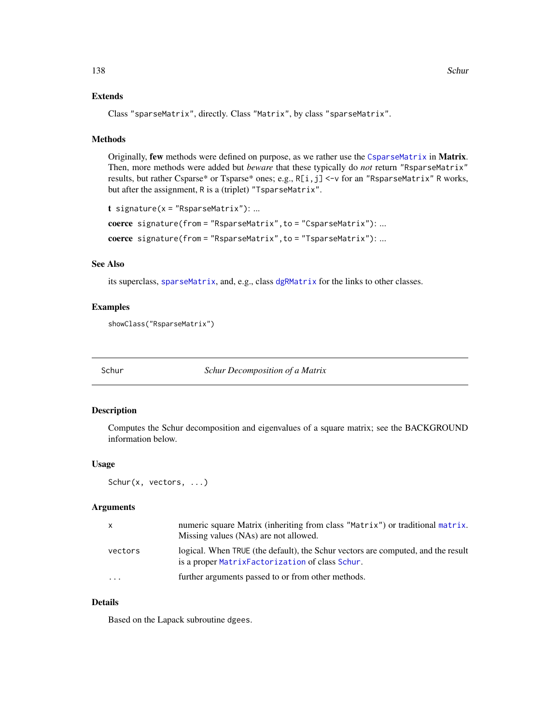## Extends

Class "sparseMatrix", directly. Class "Matrix", by class "sparseMatrix".

#### Methods

Originally, few methods were defined on purpose, as we rather use the [CsparseMatrix](#page-31-0) in Matrix. Then, more methods were added but *beware* that these typically do *not* return "RsparseMatrix" results, but rather Csparse\* or Tsparse\* ones; e.g., R[i,j] <-v for an "RsparseMatrix" R works, but after the assignment, R is a (triplet) "TsparseMatrix".

```
t signature(x = "RsparseMatrix"): ...
coerce signature(from = "RsparseMatrix", to = "CsparseMatrix"): ...
coerce signature(from = "RsparseMatrix",to = "TsparseMatrix"): ...
```
## See Also

its superclass, [sparseMatrix](#page-151-0), and, e.g., class [dgRMatrix](#page-38-0) for the links to other classes.

## Examples

showClass("RsparseMatrix")

<span id="page-137-0"></span>

Schur *Schur Decomposition of a Matrix*

#### Description

Computes the Schur decomposition and eigenvalues of a square matrix; see the BACKGROUND information below.

## Usage

Schur(x, vectors, ...)

## Arguments

| X        | numeric square Matrix (inheriting from class "Matrix") or traditional matrix.<br>Missing values (NAs) are not allowed.               |
|----------|--------------------------------------------------------------------------------------------------------------------------------------|
| vectors  | logical. When TRUE (the default), the Schur vectors are computed, and the result<br>is a proper Matrix Factorization of class Schur. |
| $\cdots$ | further arguments passed to or from other methods.                                                                                   |

# Details

Based on the Lapack subroutine dgees.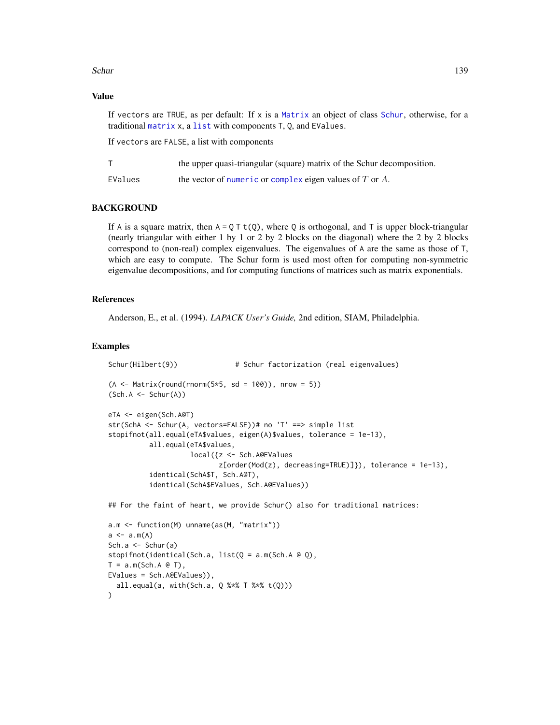## Schur and the set of the set of the set of the set of the set of the set of the set of the set of the set of the set of the set of the set of the set of the set of the set of the set of the set of the set of the set of the

## Value

If vectors are TRUE, as per default: If  $x$  is a [Matrix](#page-100-0) an object of class [Schur](#page-139-0), otherwise, for a traditional [matrix](#page-0-0) x, a [list](#page-0-0) with components T, Q, and EValues.

If vectors are FALSE, a list with components

|         | the upper quasi-triangular (square) matrix of the Schur decomposition. |
|---------|------------------------------------------------------------------------|
| EValues | the vector of numeric or complex eigen values of $T$ or $A$ .          |

## BACKGROUND

If A is a square matrix, then  $A = Q T t(Q)$ , where Q is orthogonal, and T is upper block-triangular (nearly triangular with either 1 by 1 or 2 by 2 blocks on the diagonal) where the 2 by 2 blocks correspond to (non-real) complex eigenvalues. The eigenvalues of A are the same as those of T, which are easy to compute. The Schur form is used most often for computing non-symmetric eigenvalue decompositions, and for computing functions of matrices such as matrix exponentials.

## References

Anderson, E., et al. (1994). *LAPACK User's Guide,* 2nd edition, SIAM, Philadelphia.

## Examples

)

```
Schur(Hilbert(9)) \qquad \qquad \qquad \qquad \text{# Schur factorial} (real eigenvalues)
(A \leq Matrix(round(rnorm(5*5, sd = 100)), nrow = 5))
(Sch.A \leftarrow Schur(A))eTA <- eigen(Sch.A@T)
str(SchA <- Schur(A, vectors=FALSE))# no 'T' ==> simple list
stopifnot(all.equal(eTA$values, eigen(A)$values, tolerance = 1e-13),
          all.equal(eTA$values,
                     local({z <- Sch.A@EValues
                            z[order(Mod(z), decreasing=TRUE)]}), tolerance = 1e-13),
          identical(SchA$T, Sch.A@T),
          identical(SchA$EValues, Sch.A@EValues))
## For the faint of heart, we provide Schur() also for traditional matrices:
a.m <- function(M) unname(as(M, "matrix"))
a \leftarrow a.m(A)Sch.a <- Schur(a)
stopifnot(identical(Sch.a, list(Q = a.m(Sch.A @ Q),T = a.m(Sch.A @ T),EValues = Sch.A@EValues)),
  all.equal(a, with(Sch.a, Q %*% T %*% t(Q)))
```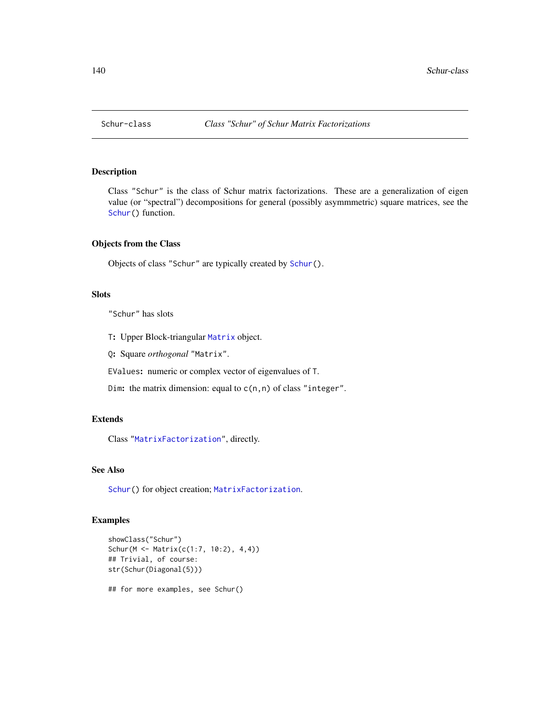<span id="page-139-0"></span>

# Description

Class "Schur" is the class of Schur matrix factorizations. These are a generalization of eigen value (or "spectral") decompositions for general (possibly asymmmetric) square matrices, see the [Schur\(](#page-137-0)) function.

#### Objects from the Class

Objects of class "Schur" are typically created by [Schur\(](#page-137-0)).

## **Slots**

"Schur" has slots

- T: Upper Block-triangular [Matrix](#page-100-0) object.
- Q: Square *orthogonal* "Matrix".

EValues: numeric or complex vector of eigenvalues of T.

Dim: the matrix dimension: equal to  $c(n,n)$  of class "integer".

## Extends

Class ["MatrixFactorization"](#page-105-0), directly.

# See Also

[Schur\(](#page-137-0)) for object creation; [MatrixFactorization](#page-105-0).

```
showClass("Schur")
Schur(M <- Matrix(c(1:7, 10:2), 4,4))
## Trivial, of course:
str(Schur(Diagonal(5)))
## for more examples, see Schur()
```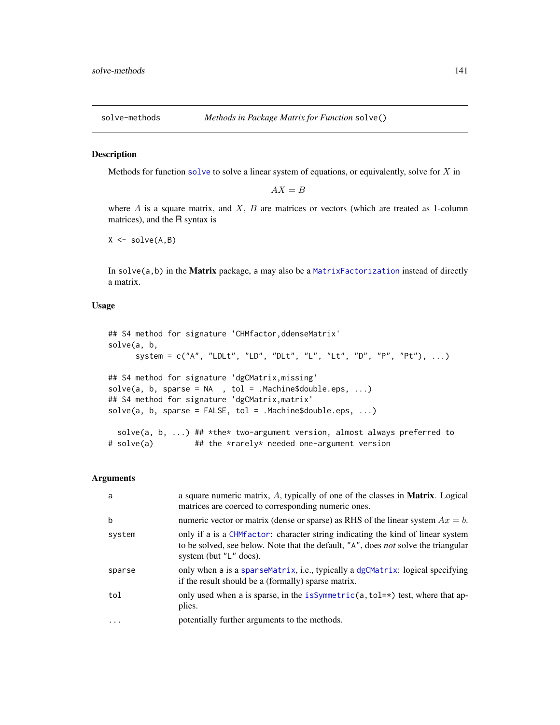<span id="page-140-1"></span>

## <span id="page-140-0"></span>Description

Methods for function [solve](#page-140-0) to solve a linear system of equations, or equivalently, solve for  $X$  in

 $AX = B$ 

where  $A$  is a square matrix, and  $X$ ,  $B$  are matrices or vectors (which are treated as 1-column matrices), and the R syntax is

 $X \leftarrow solve(A, B)$ 

In solve $(a,b)$  in the Matrix package, a may also be a Matrix Factorization instead of directly a matrix.

# Usage

```
## S4 method for signature 'CHMfactor,ddenseMatrix'
solve(a, b,
     system = c("A", "LDLt", "LD", "DLt", "L", "Lt", "D", "P", "Pt"), ...## S4 method for signature 'dgCMatrix,missing'
solve(a, b, sparse = NA, tol = .Machine$double.eps, ...)## S4 method for signature 'dgCMatrix,matrix'
solve(a, b, sparse = FALSE, tol = .Machine$double.eps, ...)solve(a, b, ...) ## *the* two-argument version, almost always preferred to
# solve(a) ## the *rarely* needed one-argument version
```
#### Arguments

| a      | a square numeric matrix, A, typically of one of the classes in Matrix. Logical<br>matrices are coerced to corresponding numeric ones.                                                            |
|--------|--------------------------------------------------------------------------------------------------------------------------------------------------------------------------------------------------|
| b      | numeric vector or matrix (dense or sparse) as RHS of the linear system $Ax = b$ .                                                                                                                |
| system | only if a is a CHM factor: character string indicating the kind of linear system<br>to be solved, see below. Note that the default, "A", does not solve the triangular<br>system (but "L" does). |
| sparse | only when a is a sparseMatrix, i.e., typically a dgCMatrix: logical specifying<br>if the result should be a (formally) sparse matrix.                                                            |
| tol    | only used when a is sparse, in the is Symmetric(a, tol= $\star$ ) test, where that ap-<br>plies.                                                                                                 |
| .      | potentially further arguments to the methods.                                                                                                                                                    |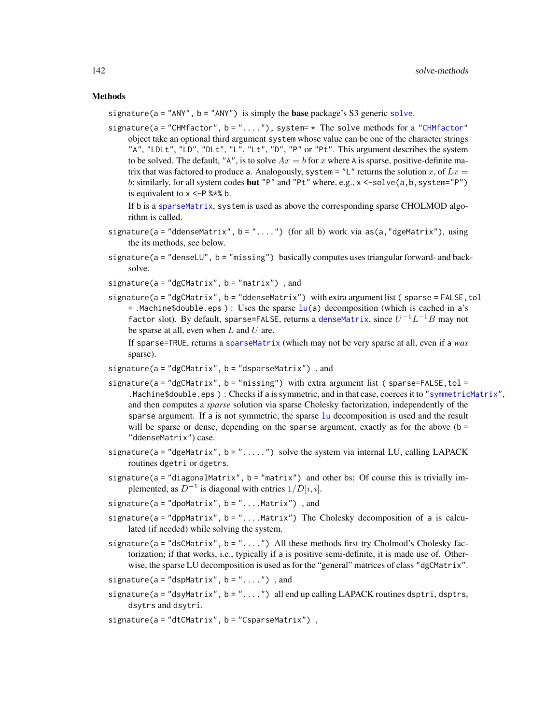#### Methods

signature( $a = "ANY"$ ,  $b = "ANY"$ ) is simply the **base** package's S3 generic [solve](#page-140-0).

signature(a = ["CHMfactor"](#page-17-0), b = " $\dots$ "), system=  $*$  The solve methods for a "CHMfactor" object take an optional third argument system whose value can be one of the character strings "A", "LDLt", "LD", "DLt", "L", "Lt", "D", "P" or "Pt". This argument describes the system to be solved. The default, "A", is to solve  $Ax = b$  for x where A is sparse, positive-definite matrix that was factored to produce a. Analogously, system = "L" returns the solution x, of  $Lx =$ b; similarly, for all system codes but "P" and "Pt" where, e.g., x <-solve(a,b, system="P") is equivalent to  $x < -P$  %\*% b.

```
If b is a sparseMatrix, system is used as above the corresponding sparse CHOLMOD algo-
rithm is called.
```
- signature(a = "ddenseMatrix", b = " $\dots$ ") (for all b) work via as(a, "dgeMatrix"), using the its methods, see below.
- signature(a = "denseLU", b = "missing") basically computes uses triangular forward- and backsolve.

signature( $a = "dgCMatrix", b = "matrix")$ , and

signature(a = "dgCMatrix", b = "ddenseMatrix") with extra argument list (sparse = FALSE, tol  $=$ .Machine\$double.eps ) : Uses the sparse  $\ln(a)$  decomposition (which is cached in a's factor slot). By default, sparse=FALSE, returns a [denseMatrix](#page-35-1), since  $U^{-1} L^{-1} B$  may not be sparse at all, even when  $L$  and  $U$  are.

If sparse=TRUE, returns a [sparseMatrix](#page-151-0) (which may not be very sparse at all, even if a *was* sparse).

signature( $a = "dgCMatrix", b = "dsparseMatrix")$ , and

- $signature(a = "dgCMatrix", b = "missing")$  with extra argument list (sparse=FALSE, tol = .Machine\$double.eps ) : Checks if a is symmetric, and in that case, coerces it to ["symmetricMatrix"](#page-160-0), and then computes a *sparse* solution via sparse Cholesky factorization, independently of the sparse argument. If a is not symmetric, the sparse [lu](#page-93-0) decomposition is used and the result will be sparse or dense, depending on the sparse argument, exactly as for the above  $(b =$ "ddenseMatrix") case.
- signature( $a = "degMatrix", b = "...".$ ) solve the system via internal LU, calling LAPACK routines dgetri or dgetrs.
- signature( $a = "diagonalMatrix", b = "matrix")$  and other bs: Of course this is trivially implemented, as  $D^{-1}$  is diagonal with entries  $1/D[i, i]$ .

signature(a = "dpoMatrix", b = "....Matrix"), and

- $signature(a = "dppMatrix", b = "...Matrix")$  The Cholesky decomposition of a is calculated (if needed) while solving the system.
- signature( $a = "dsCMatrix", b = "....")$  All these methods first try Cholmod's Cholesky factorization; if that works, i.e., typically if a is positive semi-definite, it is made use of. Otherwise, the sparse LU decomposition is used as for the "general" matrices of class "dgCMatrix".

signature( $a = "dspMatrix", b = "...")$ , and

- $signature(a = "dsyMatrix", b = "...")$  all end up calling LAPACK routines dsptri, dsptrs, dsytrs and dsytri.
- signature(a = "dtCMatrix", b = "CsparseMatrix"),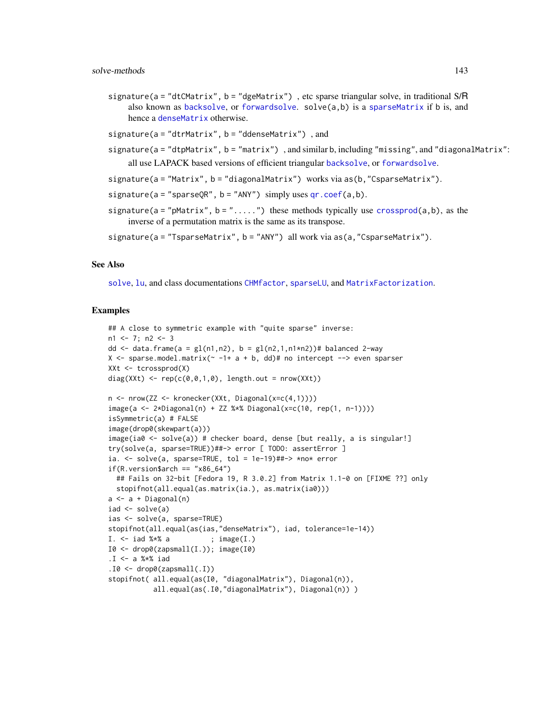- signature(a = "dtCMatrix", b = "dgeMatrix"), etc sparse triangular solve, in traditional S/R also known as [backsolve](#page-0-0), or [forwardsolve](#page-0-0). solve(a,b) is a [sparseMatrix](#page-151-0) if b is, and hence a [denseMatrix](#page-35-1) otherwise.
- signature( $a = "dtrMatrix"$ ,  $b = "ddenseMatrix")$ , and
- signature(a = "dtpMatrix", b = "matrix") , and similar b, including "missing", and "diagonalMatrix": all use LAPACK based versions of efficient triangular [backsolve](#page-0-0), or [forwardsolve](#page-0-0).
- signature(a = "Matrix", b = "diagonalMatrix") works via as(b,"CsparseMatrix").
- signature( $a = "sparseQR", b = "ANY")$  simply uses  $qr.coeff(a, b)$ .
- signature(a = "pMatrix", b = ".....") these methods typically use [crossprod\(](#page-102-0)a,b), as the inverse of a permutation matrix is the same as its transpose.
- signature(a = "TsparseMatrix", b = "ANY") all work via as(a,"CsparseMatrix").

#### See Also

[solve](#page-140-0), [lu](#page-93-0), and class documentations [CHMfactor](#page-17-0), [sparseLU](#page-145-0), and [MatrixFactorization](#page-105-0).

```
## A close to symmetric example with "quite sparse" inverse:
n1 <- 7; n2 <- 3
dd \le data.frame(a = gl(n1,n2), b = gl(n2,1,n1*n2))# balanced 2-way
X <- sparse.model.matrix(\sim -1+ a + b, dd)# no intercept --> even sparser
XXt <- tcrossprod(X)
diag(XXt) <- rep(c(\emptyset, \emptyset, 1, \emptyset)), length.out = nrow(XXt))n <- nrow(ZZ <- kronecker(XXt, Diagonal(x=c(4,1))))
image(a <- 2*Diagonal(n) + ZZ %*% Diagonal(x=c(10, rep(1, n-1))))
isSymmetric(a) # FALSE
image(drop0(skewpart(a)))
image(ia0 <- solve(a)) # checker board, dense [but really, a is singular!]
try(solve(a, sparse=TRUE))##-> error [ TODO: assertError ]
ia. <- solve(a, sparse=TRUE, tol = 1e-19)##-> *no* error
if(R.version$arch == "x86_64")## Fails on 32-bit [Fedora 19, R 3.0.2] from Matrix 1.1-0 on [FIXME ??] only
 stopifnot(all.equal(as.matrix(ia.), as.matrix(ia0)))
a \leftarrow a + Diagonal(n)iad \leq solve(a)
ias <- solve(a, sparse=TRUE)
stopifnot(all.equal(as(ias,"denseMatrix"), iad, tolerance=1e-14))
I. \le iad %*% a ; image(I.)
I0 \leftarrow drop0(zapsmall(I.)); image(I0).I \leq a %*% iad
.10 \leq drop0(zapsmall(.I))
stopifnot( all.equal(as(I0, "diagonalMatrix"), Diagonal(n)),
           all.equal(as(.I0,"diagonalMatrix"), Diagonal(n)) )
```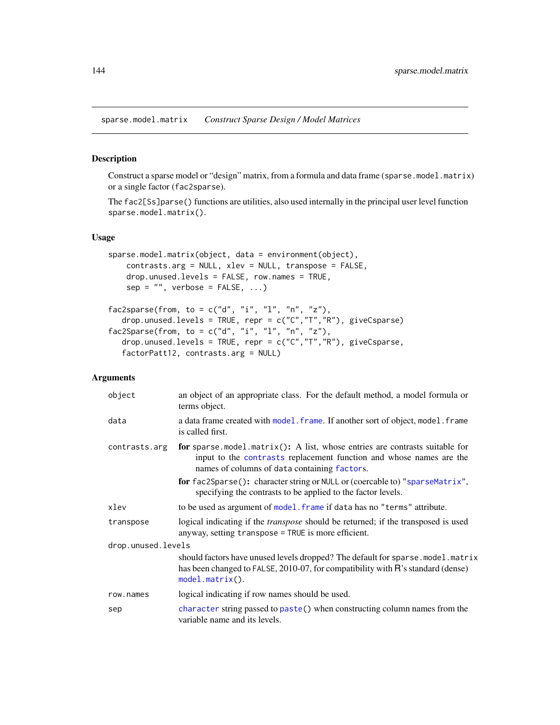sparse.model.matrix *Construct Sparse Design / Model Matrices*

## Description

Construct a sparse model or "design" matrix, from a formula and data frame (sparse.model.matrix) or a single factor (fac2sparse).

The fac2[Ss]parse() functions are utilities, also used internally in the principal user level function sparse.model.matrix().

# Usage

```
sparse.model.matrix(object, data = environment(object),
    contrasts.arg = NULL, xlev = NULL, transpose = FALSE,
   drop.unused.levels = FALSE, row.names = TRUE,
   sep = "", verbose = FALSE, ...)fac2sparse(from, to = c("d", "i", "l", "n", "z"),
```

```
drop.unused.levels = TRUE, repr = c("C","T","R"), giveCsparse)
fac2Sparse(from, to = c("d", "i", "l", "n", "z"),drop.unused.levels = TRUE, repr = c("C","T","R"), giveCsparse,
   factorPatt12, contrasts.arg = NULL)
```
# Arguments

| object             | an object of an appropriate class. For the default method, a model formula or<br>terms object.                                                                                                     |
|--------------------|----------------------------------------------------------------------------------------------------------------------------------------------------------------------------------------------------|
| data               | a data frame created with model. frame. If another sort of object, model. frame<br>is called first.                                                                                                |
| contrasts.arg      | for sparse model matrix(): A list, whose entries are contrasts suitable for<br>input to the contrasts replacement function and whose names are the<br>names of columns of data containing factors. |
|                    | for fac2Sparse(): character string or NULL or (coercable to) "sparseMatrix",<br>specifying the contrasts to be applied to the factor levels.                                                       |
| xlev               | to be used as argument of model. frame if data has no "terms" attribute.                                                                                                                           |
| transpose          | logical indicating if the <i>transpose</i> should be returned; if the transposed is used<br>anyway, setting transpose = TRUE is more efficient.                                                    |
| drop.unused.levels |                                                                                                                                                                                                    |
|                    | should factors have unused levels dropped? The default for sparse. model. matrix<br>has been changed to FALSE, 2010-07, for compatibility with R's standard (dense)<br>$model.matrix()$ .          |
| row.names          | logical indicating if row names should be used.                                                                                                                                                    |
| sep                | character string passed to paste() when constructing column names from the<br>variable name and its levels.                                                                                        |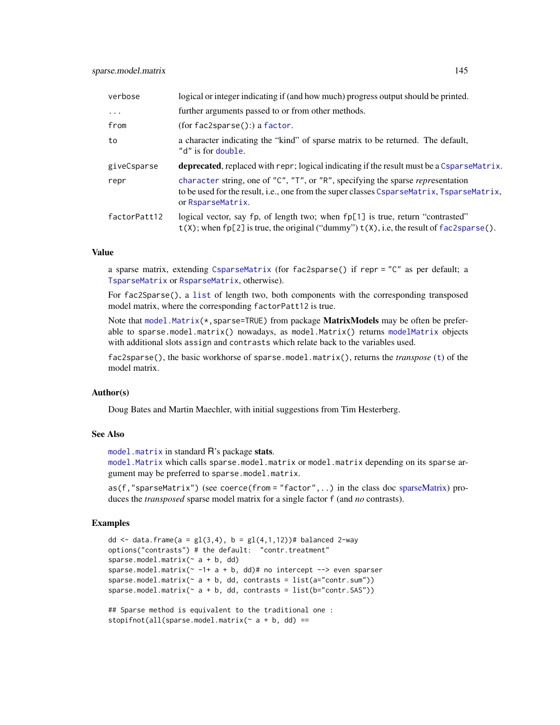| verbose      | logical or integer indicating if (and how much) progress output should be printed.                                                                                                                |
|--------------|---------------------------------------------------------------------------------------------------------------------------------------------------------------------------------------------------|
| $\cdots$     | further arguments passed to or from other methods.                                                                                                                                                |
| from         | (for fac2sparse():) a factor.                                                                                                                                                                     |
| to           | a character indicating the "kind" of sparse matrix to be returned. The default,<br>"d" is for double.                                                                                             |
| giveCsparse  | <b>deprecated</b> , replaced with repr; logical indicating if the result must be a CsparseMatrix.                                                                                                 |
| repr         | character string, one of "C", "T", or "R", specifying the sparse representation<br>to be used for the result, i.e., one from the super classes CsparseMatrix, TsparseMatrix,<br>or RsparseMatrix. |
| factorPatt12 | logical vector, say fp, of length two; when fp[1] is true, return "contrasted"<br>$t(X)$ ; when fp[2] is true, the original ("dummy") $t(X)$ , i.e, the result of fac2sparse().                   |

# Value

a sparse matrix, extending [CsparseMatrix](#page-31-0) (for fac2sparse() if repr = "C" as per default; a [TsparseMatrix](#page-164-0) or [RsparseMatrix](#page-136-0), otherwise).

For fac2Sparse(), a [list](#page-0-0) of length two, both components with the corresponding transposed model matrix, where the corresponding factorPatt12 is true.

Note that [model.Matrix\(](#page-0-0) $\star$ , sparse=TRUE) from package **MatrixModels** may be often be preferable to sparse.model.matrix() nowadays, as model.Matrix() returns [modelMatrix](#page-0-0) objects with additional slots assign and contrasts which relate back to the variables used.

fac2sparse(), the basic workhorse of sparse.model.matrix(), returns the *transpose* ([t](#page-0-0)) of the model matrix.

# Author(s)

Doug Bates and Martin Maechler, with initial suggestions from Tim Hesterberg.

# See Also

[model.matrix](#page-0-0) in standard R's package stats.

[model.Matrix](#page-0-0) which calls sparse.model.matrix or model.matrix depending on its sparse argument may be preferred to sparse.model.matrix.

as(f,"sparseMatrix") (see coerce(from = "factor", ..) in the class doc [sparseMatrix\)](#page-151-0) produces the *transposed* sparse model matrix for a single factor f (and *no* contrasts).

```
dd <- data.frame(a = gl(3,4), b = gl(4,1,12))# balanced 2-way
options("contrasts") # the default: "contr.treatment"
sparse.model.matrix(\sim a + b, dd)
sparse.model.matrix(\sim -1+ a + b, dd)# no intercept --> even sparser
sparse.model.matrix (~ a + b, dd, contrasts = list(a="contr.sum"))sparse.model.matrix(\sim a + b, dd, contrasts = list(b="contr.SAS"))
## Sparse method is equivalent to the traditional one :
```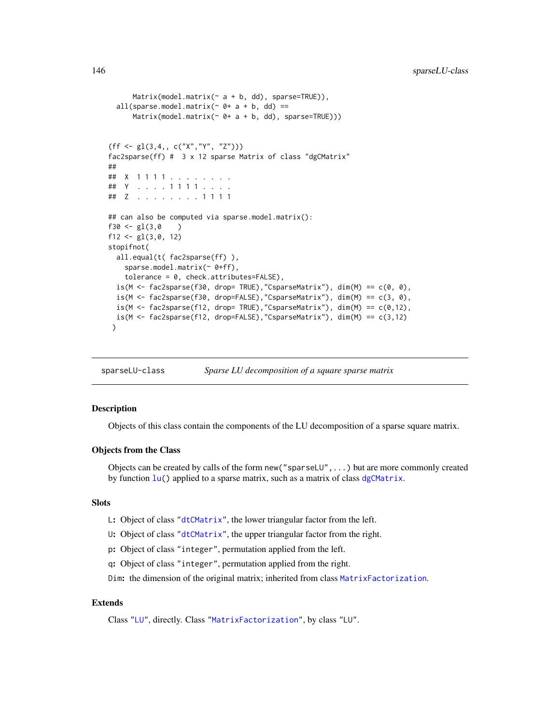```
Matrix(model.matrix(\sim a + b, dd), sparse=TRUE)),
 all(sparse.model.matrix(\sim 0+ a + b, dd) ==
      Matrix(model.matrix(~ 0+ a + b, dd), sparse=TRUE)))
(ff \leftarrow gl(3, 4, , c("X", "Y", "Z"))fac2sparse(ff) # 3 x 12 sparse Matrix of class "dgCMatrix"
##
## X 1 1 1 1 . . . . . . . .
## Y . . . . 1 1 1 1 . . . .
## Z . . . . . . . . 1 1 1 1
## can also be computed via sparse.model.matrix():
f30 \leftarrow gl(3,0)f12 <- gl(3,0, 12)stopifnot(
 all.equal(t( fac2sparse(ff) ),
    sparse.model.matrix(~ 0+ff),
    tolerance = 0, check.attributes=FALSE),
 is(M <- fac2sparse(f30, drop= TRUE),"CsparseMatrix"), dim(M) == c(0, 0),
 is(M <- fac2sparse(f30, drop=FALSE),"CsparseMatrix"), dim(M) == c(3, 0),
 is(M \leftarrow fac2sparse(f12, drop= TRUE), "CsparseMatrix"), dim(M) == c(0,12),is(M <- fac2sparse(f12, drop=FALSE),"CsparseMatrix"), dim(M) == c(3,12)
 )
```
sparseLU-class *Sparse LU decomposition of a square sparse matrix*

# Description

Objects of this class contain the components of the LU decomposition of a sparse square matrix.

#### Objects from the Class

Objects can be created by calls of the form new("sparseLU",...) but are more commonly created by function [lu\(](#page-93-0)) applied to a sparse matrix, such as a matrix of class [dgCMatrix](#page-35-0).

#### **Slots**

- L: Object of class ["dtCMatrix"](#page-56-0), the lower triangular factor from the left.
- U: Object of class ["dtCMatrix"](#page-56-0), the upper triangular factor from the right.
- p: Object of class "integer", permutation applied from the left.
- q: Object of class "integer", permutation applied from the right.

Dim: the dimension of the original matrix; inherited from class [MatrixFactorization](#page-105-0).

# Extends

Class ["LU"](#page-96-0), directly. Class ["MatrixFactorization"](#page-105-0), by class "LU".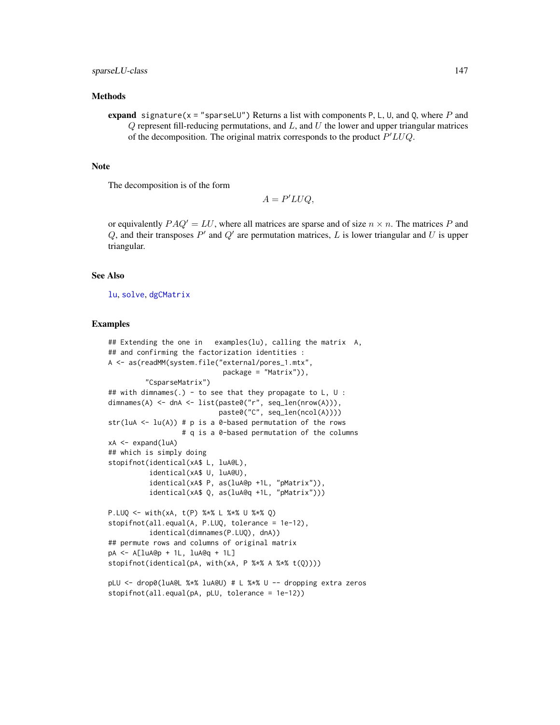#### Methods

expand signature( $x =$ "sparseLU") Returns a list with components P, L, U, and Q, where P and  $Q$  represent fill-reducing permutations, and  $L$ , and  $U$  the lower and upper triangular matrices of the decomposition. The original matrix corresponds to the product  $P'LUQ$ .

#### Note

The decomposition is of the form

$$
A = P'LUQ,
$$

or equivalently  $PAQ' = LU$ , where all matrices are sparse and of size  $n \times n$ . The matrices P and  $Q$ , and their transposes  $P'$  and  $Q'$  are permutation matrices,  $L$  is lower triangular and  $U$  is upper triangular.

#### See Also

[lu](#page-93-0), [solve](#page-140-0), [dgCMatrix](#page-35-0)

```
## Extending the one in examples(lu), calling the matrix A,
## and confirming the factorization identities :
A <- as(readMM(system.file("external/pores_1.mtx",
                            package = "Matrix")),
         "CsparseMatrix")
## with dimnames(.) - to see that they propagate to L, U :
dimnames(A) <- dnA <- list(paste0("r", seq_len(nrow(A))),
                           paste0("C", seq_len(ncol(A))))
str(luA <- lu(A)) # p is a 0-based permutation of the rows
                  # q is a 0-based permutation of the columns
xA < - expand(luA)
## which is simply doing
stopifnot(identical(xA$ L, luA@L),
          identical(xA$ U, luA@U),
          identical(xA$ P, as(luA@p +1L, "pMatrix")),
          identical(xA$ Q, as(luA@q +1L, "pMatrix")))
P.LUQ <- with(xA, t(P) %*% L %*% U %*% Q)
stopifnot(all.equal(A, P.LUQ, tolerance = 1e-12),
          identical(dimnames(P.LUQ), dnA))
## permute rows and columns of original matrix
pA <- A[luA@p + 1L, luA@q + 1L]
stopifnot(identical(pA, with(xA, P %*% A %*% t(Q))))
pLU <- drop0(luA@L %*% luA@U) # L %*% U -- dropping extra zeros
stopifnot(all.equal(pA, pLU, tolerance = 1e-12))
```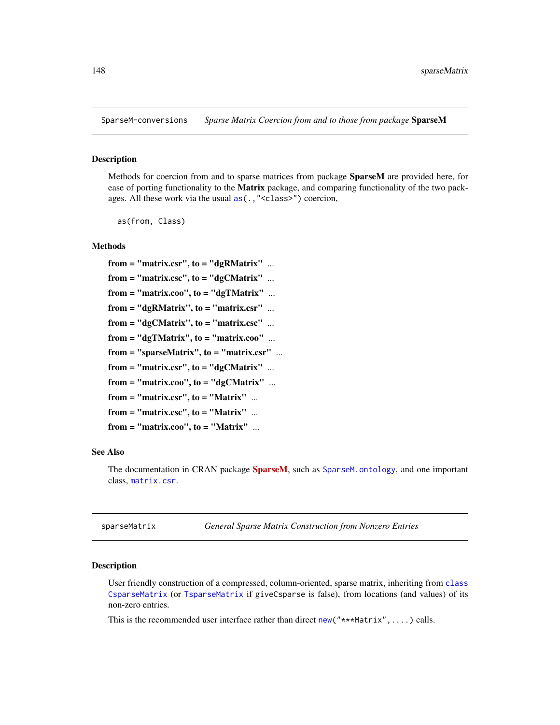<span id="page-147-1"></span>SparseM-conversions *Sparse Matrix Coercion from and to those from package* SparseM

#### Description

Methods for coercion from and to sparse matrices from package **SparseM** are provided here, for ease of porting functionality to the **Matrix** package, and comparing functionality of the two packages. All these work via the usual [as\(](#page-0-0).,"<class>") coercion,

as(from, Class)

#### Methods

```
from = "matrix.csr", to = "dgRMatrix" ...from = "matrix.csc", to = "dgCMatrix" ...
from = "matrix.coo", to = "dgTMatrix" ...
from = "dgRMatrix", to = "matrix.csr" ...
from = "dgCMatrix", to = "matrix.csc" ...from = "dgTMatrix", to = "matrix.coo" ...
from = "sparseMatrix", to = "matrix.csr" ...from = "matrix.csr", to = "dgCMatrix" ...
from = "matrix.coo", to = "dgCMatrix" ...from = "matrix.csr", to = "Matrix" ...
from = "matrix.csc", to = "Matrix" ...
from = "matrix.coo", to = "Matrix" ...
```
# See Also

The documentation in CRAN package **[SparseM](https://CRAN.R-project.org/package=SparseM)**, such as SparseM. ontology, and one important class, [matrix.csr](#page-0-0).

<span id="page-147-0"></span>sparseMatrix *General Sparse Matrix Construction from Nonzero Entries*

#### **Description**

User friendly construction of a compressed, column-oriented, sparse matrix, inheriting from [class](#page-0-0) [CsparseMatrix](#page-31-0) (or [TsparseMatrix](#page-164-0) if giveCsparse is false), from locations (and values) of its non-zero entries.

This is the recommended user interface rather than direct [new\(](#page-0-0)"\*\*\*Matrix",....) calls.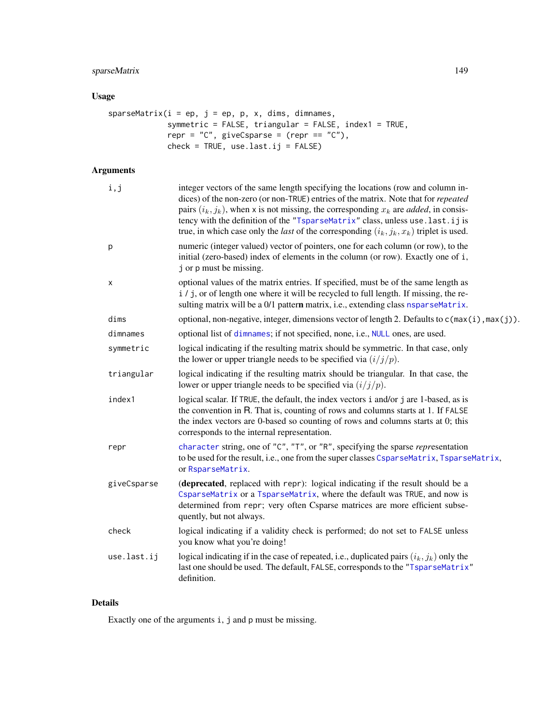# sparseMatrix 149

# Usage

```
sparseMatrix(i = ep, j = ep, p, x, dims, dimnames,symmetric = FALSE, triangular = FALSE, index1 = TRUE,
            repr = "C", giveCsparse = (repr == "C"),
            check = TRUE, use last.ij = FALSE)
```
# Arguments

| i,j         | integer vectors of the same length specifying the locations (row and column in-<br>dices) of the non-zero (or non-TRUE) entries of the matrix. Note that for <i>repeated</i><br>pairs $(i_k, j_k)$ , when x is not missing, the corresponding $x_k$ are <i>added</i> , in consis-<br>tency with the definition of the "TsparseMatrix" class, unless use. last. ij is<br>true, in which case only the <i>last</i> of the corresponding $(i_k, j_k, x_k)$ triplet is used. |
|-------------|--------------------------------------------------------------------------------------------------------------------------------------------------------------------------------------------------------------------------------------------------------------------------------------------------------------------------------------------------------------------------------------------------------------------------------------------------------------------------|
| р           | numeric (integer valued) vector of pointers, one for each column (or row), to the<br>initial (zero-based) index of elements in the column (or row). Exactly one of i,<br>j or p must be missing.                                                                                                                                                                                                                                                                         |
| х           | optional values of the matrix entries. If specified, must be of the same length as<br>i / j, or of length one where it will be recycled to full length. If missing, the re-<br>sulting matrix will be a 0/1 pattern matrix, i.e., extending class nsparseMatrix.                                                                                                                                                                                                         |
| dims        | optional, non-negative, integer, dimensions vector of length 2. Defaults to $c$ ( $max(i)$ , $max(j)$ ).                                                                                                                                                                                                                                                                                                                                                                 |
| dimnames    | optional list of dimnames; if not specified, none, i.e., NULL ones, are used.                                                                                                                                                                                                                                                                                                                                                                                            |
| symmetric   | logical indicating if the resulting matrix should be symmetric. In that case, only<br>the lower or upper triangle needs to be specified via $(i/j/p)$ .                                                                                                                                                                                                                                                                                                                  |
| triangular  | logical indicating if the resulting matrix should be triangular. In that case, the<br>lower or upper triangle needs to be specified via $(i/j/p)$ .                                                                                                                                                                                                                                                                                                                      |
| index1      | logical scalar. If TRUE, the default, the index vectors i and/or j are 1-based, as is<br>the convention in R. That is, counting of rows and columns starts at 1. If FALSE<br>the index vectors are 0-based so counting of rows and columns starts at 0; this<br>corresponds to the internal representation.                                                                                                                                                              |
| repr        | character string, one of "C", "T", or "R", specifying the sparse representation<br>to be used for the result, i.e., one from the super classes CsparseMatrix, TsparseMatrix,<br>or RsparseMatrix.                                                                                                                                                                                                                                                                        |
| giveCsparse | (deprecated, replaced with repr): logical indicating if the result should be a<br>CsparseMatrix or a TsparseMatrix, where the default was TRUE, and now is<br>determined from repr; very often Csparse matrices are more efficient subse-<br>quently, but not always.                                                                                                                                                                                                    |
| check       | logical indicating if a validity check is performed; do not set to FALSE unless<br>you know what you're doing!                                                                                                                                                                                                                                                                                                                                                           |
| use.last.ij | logical indicating if in the case of repeated, i.e., duplicated pairs $(i_k, j_k)$ only the<br>last one should be used. The default, FALSE, corresponds to the "TsparseMatrix"<br>definition.                                                                                                                                                                                                                                                                            |
|             |                                                                                                                                                                                                                                                                                                                                                                                                                                                                          |

# Details

Exactly one of the arguments i, j and p must be missing.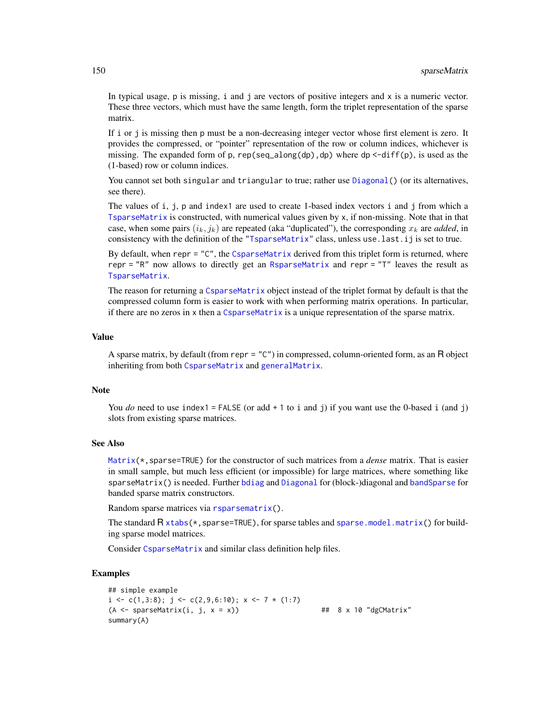In typical usage,  $p$  is missing,  $i$  and  $j$  are vectors of positive integers and  $x$  is a numeric vector. These three vectors, which must have the same length, form the triplet representation of the sparse matrix.

If i or j is missing then p must be a non-decreasing integer vector whose first element is zero. It provides the compressed, or "pointer" representation of the row or column indices, whichever is missing. The expanded form of p,  $rep(seq\_along(dp)$ ,dp) where dp <-diff(p), is used as the (1-based) row or column indices.

You cannot set both singular and triangular to true; rather use [Diagonal\(](#page-40-0)) (or its alternatives, see there).

The values of i, j, p and index1 are used to create 1-based index vectors i and j from which a [TsparseMatrix](#page-164-0) is constructed, with numerical values given by x, if non-missing. Note that in that case, when some pairs  $(i_k, j_k)$  are repeated (aka "duplicated"), the corresponding  $x_k$  are *added*, in consistency with the definition of the ["TsparseMatrix"](#page-164-0) class, unless use.last.ij is set to true.

By default, when repr = "C", the [CsparseMatrix](#page-31-0) derived from this triplet form is returned, where repr = "R" now allows to directly get an [RsparseMatrix](#page-136-0) and repr = "T" leaves the result as [TsparseMatrix](#page-164-0).

The reason for returning a [CsparseMatrix](#page-31-0) object instead of the triplet format by default is that the compressed column form is easier to work with when performing matrix operations. In particular, if there are no zeros in x then a [CsparseMatrix](#page-31-0) is a unique representation of the sparse matrix.

# Value

A sparse matrix, by default (from repr = "C") in compressed, column-oriented form, as an R object inheriting from both [CsparseMatrix](#page-31-0) and [generalMatrix](#page-70-0).

#### Note

You *do* need to use index1 = FALSE (or add  $+1$  to i and j) if you want use the 0-based i (and j) slots from existing sparse matrices.

# See Also

[Matrix\(](#page-98-0)\*,sparse=TRUE) for the constructor of such matrices from a *dense* matrix. That is easier in small sample, but much less efficient (or impossible) for large matrices, where something like sparseMatrix() is needed. Further [bdiag](#page-11-0) and [Diagonal](#page-40-0) for (block-)diagonal and [bandSparse](#page-9-0) for banded sparse matrix constructors.

Random sparse matrices via [rsparsematrix\(](#page-135-0)).

The standard  $R \times tabs(*,sparse=TRUE)$ , for sparse tables and [sparse.model.matrix\(](#page-143-1)) for building sparse model matrices.

Consider [CsparseMatrix](#page-31-0) and similar class definition help files.

```
## simple example
i \leq c(1,3:8); j \leq c(2,9,6:10); x \leq 7*(1:7)(A \leq sparseMatrix(i, j, x = x)) \qquad \qquad \qquad \text{#} \quad 8 \times 10 \text{ "dgCMatrix"}summary(A)
```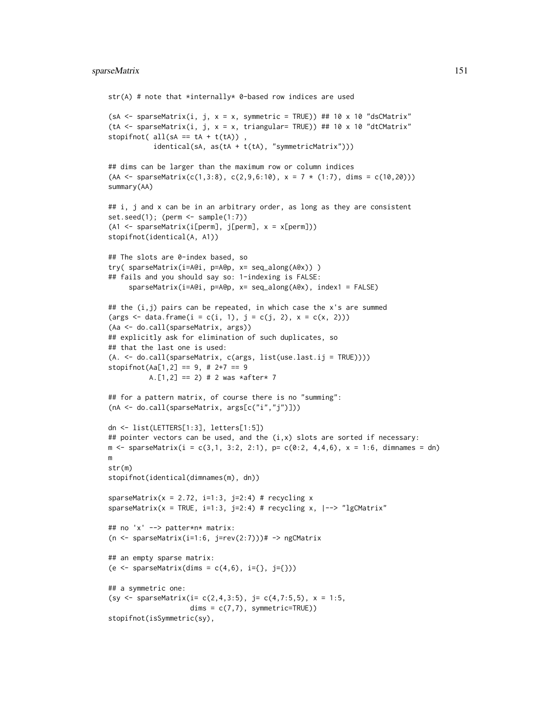```
str(A) # note that *internally* 0-based row indices are used
(sA <- sparseMatrix(i, j, x = x, symmetric = TRUE)) ## 10 x 10 "dsCMatrix"
(tA <- sparseMatrix(i, j, x = x, triangular= TRUE)) ## 10 x 10 "dtCMatrix"
stopifnot( all(sA == tA + t(tA)),
           identical(sA, as(tA + t(tA), "symmetricMatrix"))## dims can be larger than the maximum row or column indices
(AA \leq sparseMatrix(c(1,3:8), c(2,9,6:10), x = 7 * (1:7), \text{dims } = c(10,20)))summary(AA)
## i, j and x can be in an arbitrary order, as long as they are consistent
set.seed(1); (perm <- sample(1:7))
(A1 <- sparseMatrix(i[perm], j[perm], x = x[perm]))
stopifnot(identical(A, A1))
## The slots are 0-index based, so
try( sparseMatrix(i=A@i, p=A@p, x= seq_along(A@x)) )
## fails and you should say so: 1-indexing is FALSE:
     sparseMatrix(i=A@i, p=A@p, x= seq_along(A@x), index1 = FALSE)
## the (i, j) pairs can be repeated, in which case the x's are summed
(args < - data frame(i = c(i, 1), j = c(j, 2), x = c(x, 2)))(Aa <- do.call(sparseMatrix, args))
## explicitly ask for elimination of such duplicates, so
## that the last one is used:
(A. <- do.call(sparseMatrix, c(args, list(use.last.ij = TRUE))))
stopifnot(Aa[1,2] == 9, # 2+7 == 9A.[1,2] == 2 # 2 was *after* 7
## for a pattern matrix, of course there is no "summing":
(nA <- do.call(sparseMatrix, args[c("i","j")]))
dn <- list(LETTERS[1:3], letters[1:5])
## pointer vectors can be used, and the (i,x) slots are sorted if necessary:
m \leq - sparseMatrix(i = c(3,1, 3:2, 2:1), p= c(0:2, 4,4,6), x = 1:6, dimnames = dn)
m
str(m)
stopifnot(identical(dimnames(m), dn))
sparseMatrix(x = 2.72, i=1:3, j=2:4) # recycling x
sparseMatrix(x = TRUE, i=1:3, j=2:4) # recycling x, |--> "lgCMatrix"
## no 'x' --> patter*n* matrix:
(n \leq -sparseMatrix(i=1:6, j=rev(2:7)))# -> ngCMatrix
## an empty sparse matrix:
(e \leq sparseMatrix(dims = c(4,6), i={}, j={}))
## a symmetric one:
(sy <- sparseMatrix(i= c(2,4,3:5), j= c(4,7:5,5), x = 1:5,
                    dims = c(7,7), symmetric=TRUE))
stopifnot(isSymmetric(sy),
```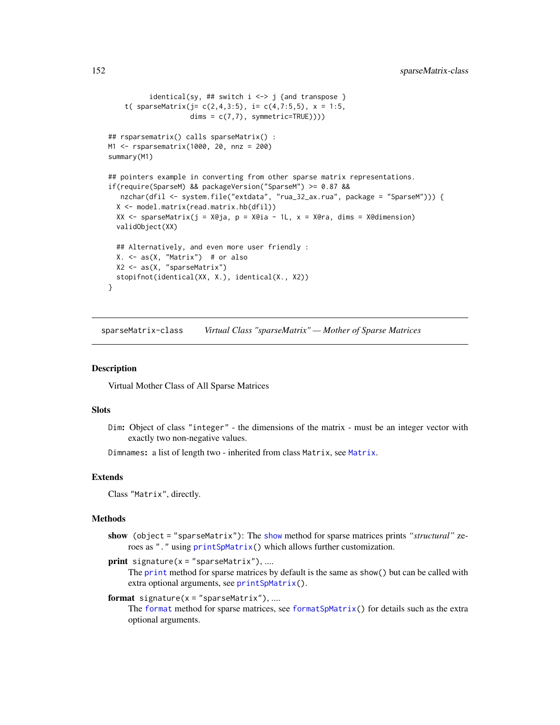```
identical(sy, ## switch i \leq j {and transpose }
    t( sparseMatrix(j= c(2,4,3:5), i= c(4,7:5,5), x = 1:5,
                    dims = c(7,7), symmetric=TRUE))))
## rsparsematrix() calls sparseMatrix() :
M1 <- rsparsematrix(1000, 20, nnz = 200)
summary(M1)
## pointers example in converting from other sparse matrix representations.
if(require(SparseM) && packageVersion("SparseM") >= 0.87 &&
  nzchar(dfil <- system.file("extdata", "rua_32_ax.rua", package = "SparseM"))) {
 X <- model.matrix(read.matrix.hb(dfil))
 XX \leq sparseMatrix(j = X@ja, p = X@ia - 1L, x = X@ra, dims = X@dimension)
 validObject(XX)
 ## Alternatively, and even more user friendly :
 X. <- as(X, "Matrix") # or also
 X2 <- as(X, "sparseMatrix")
 stopifnot(identical(XX, X.), identical(X., X2))
}
```
<span id="page-151-0"></span>sparseMatrix-class *Virtual Class "sparseMatrix" — Mother of Sparse Matrices*

### Description

Virtual Mother Class of All Sparse Matrices

#### Slots

Dim: Object of class "integer" - the dimensions of the matrix - must be an integer vector with exactly two non-negative values.

Dimnames: a list of length two - inherited from class [Matrix](#page-100-0), see Matrix.

#### Extends

Class "Matrix", directly.

#### Methods

show (object = "sparseMatrix"): The [show](#page-0-0) method for sparse matrices prints *"structural"* zeroes as "." using [printSpMatrix\(](#page-123-0)) which allows further customization.

```
print signature(x = "sparseMatrix"), ...
```
The [print](#page-0-0) method for sparse matrices by default is the same as show() but can be called with extra optional arguments, see [printSpMatrix\(](#page-123-0)).

```
format signature(x ="sparseMatrix"), ....
```
The [format](#page-0-0) method for sparse matrices, see format SpMatrix() for details such as the extra optional arguments.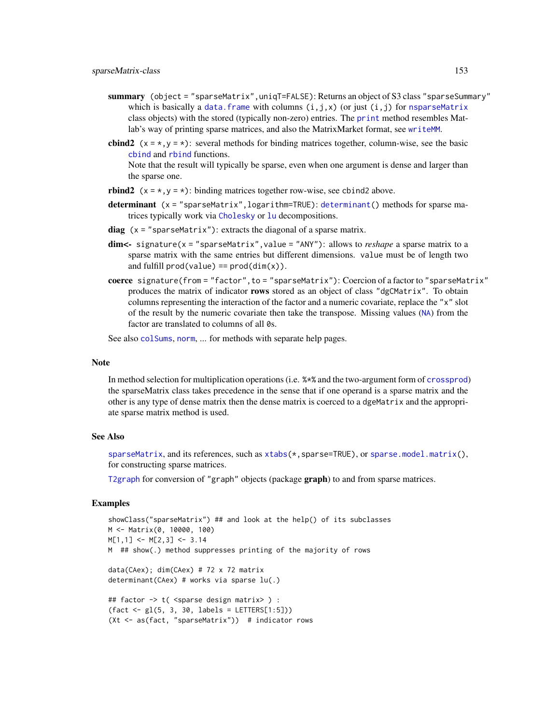- summary (object = "sparseMatrix", uniqT=FALSE): Returns an object of S3 class "sparseSummary" which is basically a data. frame with columns  $(i,j,x)$  (or just  $(i,j)$  for [nsparseMatrix](#page-115-0) class objects) with the stored (typically non-zero) entries. The [print](#page-0-0) method resembles Matlab's way of printing sparse matrices, and also the MatrixMarket format, see [writeMM](#page-64-0).
- **cbind2** ( $x = x, y = x$ ): several methods for binding matrices together, column-wise, see the basic [cbind](#page-0-0) and [rbind](#page-0-0) functions.

Note that the result will typically be sparse, even when one argument is dense and larger than the sparse one.

- **rbind2**  $(x = *, y = *)$ : binding matrices together row-wise, see cbind2 above.
- determinant (x = "sparseMatrix", logarithm=TRUE): [determinant\(](#page-0-0)) methods for sparse matrices typically work via [Cholesky](#page-22-0) or [lu](#page-93-0) decompositions.
- diag  $(x = "sparsematrix")$ : extracts the diagonal of a sparse matrix.
- dim<- signature(x = "sparseMatrix", value = "ANY"): allows to *reshape* a sparse matrix to a sparse matrix with the same entries but different dimensions. value must be of length two and fulfill  $prod(value) == prod(dim(x))$ .
- coerce signature(from = "factor", to = "sparseMatrix"): Coercion of a factor to "sparseMatrix" produces the matrix of indicator rows stored as an object of class "dgCMatrix". To obtain columns representing the interaction of the factor and a numeric covariate, replace the "x" slot of the result by the numeric covariate then take the transpose. Missing values ([NA](#page-0-0)) from the factor are translated to columns of all 0s.

See also [colSums](#page-27-0), [norm](#page-114-0), ... for methods with separate help pages.

#### Note

In method selection for multiplication operations (i.e. %\*% and the two-argument form of [crossprod](#page-102-0)) the sparseMatrix class takes precedence in the sense that if one operand is a sparse matrix and the other is any type of dense matrix then the dense matrix is coerced to a dgeMatrix and the appropriate sparse matrix method is used.

### See Also

[sparseMatrix](#page-147-0), and its references, such as [xtabs\(](#page-0-0)\*, sparse=TRUE), or [sparse.model.matrix\(](#page-143-1)), for constructing sparse matrices.

[T2graph](#page-70-1) for conversion of "graph" objects (package graph) to and from sparse matrices.

```
showClass("sparseMatrix") ## and look at the help() of its subclasses
M <- Matrix(0, 10000, 100)
M[1,1] <- M[2,3] <- 3.14
M ## show(.) method suppresses printing of the majority of rows
data(CAex); dim(CAex) # 72 x 72 matrix
determinant(CAex) # works via sparse lu(.)
## factor -> t( <sparse design matrix> ) :
(fact \leftarrow gl(5, 3, 30, labels = LETTERS[1:5]))(Xt <- as(fact, "sparseMatrix")) # indicator rows
```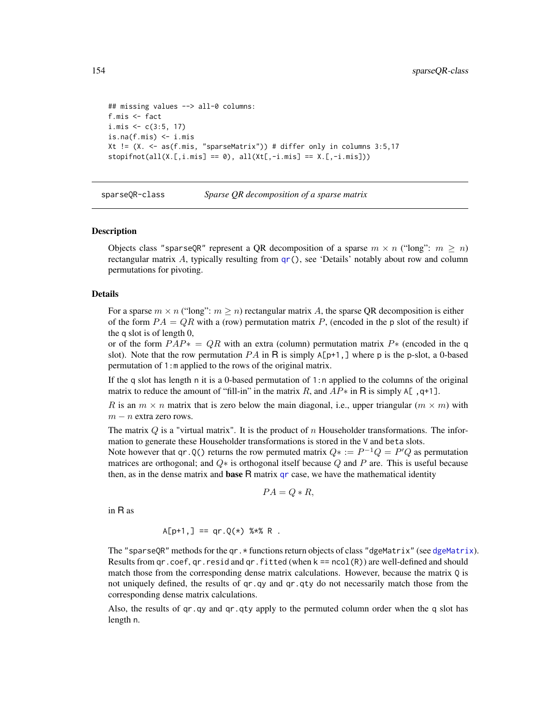```
## missing values --> all-0 columns:
f.mis <- fact
i.mis \leq c(3:5, 17)is.na(f.mis) < -i.misXt != (X. <- as(f.mis, "sparseMatrix")) # differ only in columns 3:5,17
stopifnot(all(X.[,i.mis] == 0), all(Xt[, -i.mis] == X.[, -i.mis]))
```
sparseQR-class *Sparse QR decomposition of a sparse matrix*

#### <span id="page-153-0"></span>Description

Objects class "sparseQR" represent a QR decomposition of a sparse  $m \times n$  ("long":  $m \ge n$ ) rectangular matrix A, typically resulting from  $qr()$  $qr()$ , see 'Details' notably about row and column permutations for pivoting.

#### Details

For a sparse  $m \times n$  ("long":  $m \ge n$ ) rectangular matrix A, the sparse QR decomposition is either of the form  $PA = QR$  with a (row) permutation matrix P, (encoded in the p slot of the result) if the q slot is of length 0,

or of the form  $PAP* = QR$  with an extra (column) permutation matrix  $P*$  (encoded in the q slot). Note that the row permutation  $PA$  in R is simply  $A[p+1]$ , where p is the p-slot, a 0-based permutation of 1:m applied to the rows of the original matrix.

If the q slot has length n it is a 0-based permutation of 1:n applied to the columns of the original matrix to reduce the amount of "fill-in" in the matrix R, and  $AP*$  in R is simply A[, q+1].

R is an  $m \times n$  matrix that is zero below the main diagonal, i.e., upper triangular  $(m \times m)$  with  $m - n$  extra zero rows.

The matrix  $Q$  is a "virtual matrix". It is the product of n Householder transformations. The information to generate these Householder transformations is stored in the V and beta slots.

Note however that qr.Q() returns the row permuted matrix  $Q^* := P^{-1}Q = P'Q$  as permutation matrices are orthogonal; and  $Q*$  is orthogonal itself because  $Q$  and  $P$  are. This is useful because then, as in the dense matrix and **base**  $R$  matrix  $qr$  case, we have the mathematical identity

$$
PA = Q * R,
$$

in R as

$$
A[p+1, ] == qr.Q(*) %*% R .
$$

The "sparseQR" methods for the qr. \* functions return objects of class "[dgeMatrix](#page-36-0)" (see dgeMatrix). Results from  $qr.coef, qr.resid and qr. fitted (when  $k == ncol(R)$ ) are well-defined and should$ match those from the corresponding dense matrix calculations. However, because the matrix Q is not uniquely defined, the results of qr.qy and qr.qty do not necessarily match those from the corresponding dense matrix calculations.

Also, the results of qr.qy and qr.qty apply to the permuted column order when the q slot has length n.

<span id="page-153-1"></span>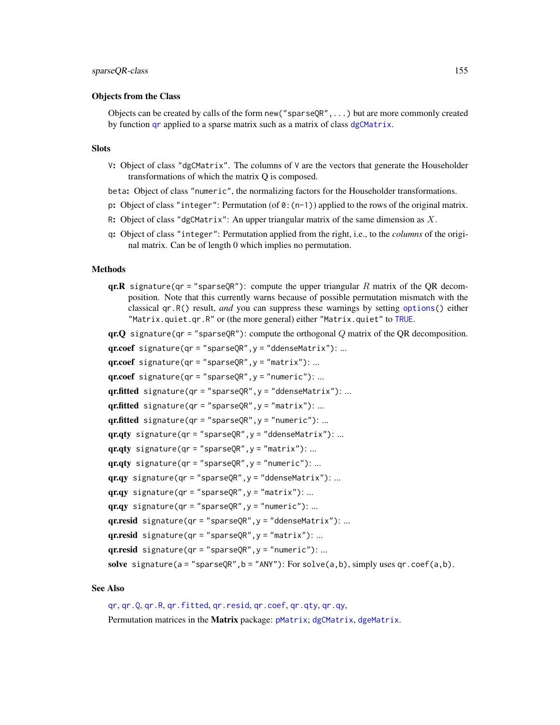#### Objects from the Class

Objects can be created by calls of the form new (" $space$ R);...) but are more commonly created by function [qr](#page-126-0) applied to a sparse matrix such as a matrix of class [dgCMatrix](#page-35-0).

#### Slots

V: Object of class "dgCMatrix". The columns of  $V$  are the vectors that generate the Householder transformations of which the matrix Q is composed.

beta: Object of class "numeric", the normalizing factors for the Householder transformations.

p: Object of class "integer": Permutation (of  $\theta$ : (n-1)) applied to the rows of the original matrix.

- R: Object of class "dgCMatrix": An upper triangular matrix of the same dimension as  $X$ .
- q: Object of class "integer": Permutation applied from the right, i.e., to the *columns* of the original matrix. Can be of length 0 which implies no permutation.

#### Methods

**qr.R** signature(qr = "sparseQR"): compute the upper triangular R matrix of the QR decomposition. Note that this currently warns because of possible permutation mismatch with the classical qr.R() result, *and* you can suppress these warnings by setting [options\(](#page-0-0)) either "Matrix.quiet.qr.R" or (the more general) either "Matrix.quiet" to [TRUE](#page-0-0).

qr.Q signature(qr = "sparse $QR$ "): compute the orthogonal Q matrix of the QR decomposition.

 $qr.coef$  signature( $qr = "sparseQR", y = "ddenseMatrix")$ : ...  $qr.coef$  signature( $qr = "sparseQR", y = "matrix"$ ): ...  $qr.coef$  signature( $qr = "sparseQR", y = "numeric")$ : ...  $gr.fitted$  signature(qr = "sparseQR",  $y =$  "ddenseMatrix"): ... qr.fitted signature(qr = "sparseQR",  $y =$  "matrix"): ... qr.fitted signature(qr = "sparse $QR''$ ,  $y$  = "numeric"): ...  $qr,qty$  signature( $qr = "sparseQR", y = "ddenseMatrix")$ : ...  $q$ r.qty signature( $qr = "sparseQR", y = "matrix"$ ): ...  $qr.qty$  signature( $qr = "sparseQR", y = "numeric")$ : ...  $qr,qy$  signature( $qr = "sparseQR", y = "ddenseMatrix")$ : ...  $q$ r.qy signature(qr = "sparseQR",  $y$  = "matrix"): ...  $qrqy$  signature(qr = "sparseQR",  $y$  = "numeric"): ...  $qrresid$  signature(qr = "sparseQR",  $y$  = "ddenseMatrix"): ...

qr.resid signature(qr = "sparse $QR''$ ,  $y$  = "matrix"): ...

 $qr.read$  signature(qr = "sparse $QR$ ",  $y$  = "numeric"): ...

solve signature( $a = "sparseQR", b = "ANY")$ : For solve( $a, b$ ), simply uses qr.coef( $a, b$ ).

# See Also

[qr](#page-126-0), [qr.Q](#page-153-0), [qr.R](#page-0-0), [qr.fitted](#page-0-0), [qr.resid](#page-0-0), [qr.coef](#page-0-0), [qr.qty](#page-0-0), [qr.qy](#page-0-0), Permutation matrices in the Matrix package: [pMatrix](#page-121-0); [dgCMatrix](#page-35-0), [dgeMatrix](#page-36-0).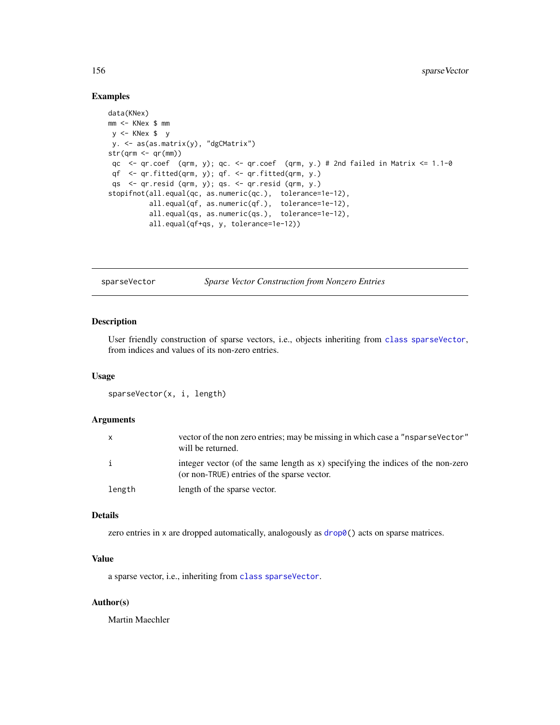#### <span id="page-155-1"></span>Examples

```
data(KNex)
mm <- KNex $ mm
y <- KNex $ y
y. <- as(as.matrix(y), "dgCMatrix")
str(qrm < -qr(mm))qc \leq qr.coef (qrm, y); qc. \leq qr.coef (qrm, y.) # 2nd failed in Matrix \leq 1.1-0
 qf <- qr.fitted(qrm, y); qf. <- qr.fitted(qrm, y.)
 qs <- qr.resid (qrm, y); qs. <- qr.resid (qrm, y.)
stopifnot(all.equal(qc, as.numeric(qc.), tolerance=1e-12),
          all.equal(qf, as.numeric(qf.), tolerance=1e-12),
          all.equal(qs, as.numeric(qs.), tolerance=1e-12),
          all.equal(qf+qs, y, tolerance=1e-12))
```
<span id="page-155-0"></span>sparseVector *Sparse Vector Construction from Nonzero Entries*

# Description

User friendly construction of sparse vectors, i.e., objects inheriting from [class](#page-0-0) [sparseVector](#page-156-0), from indices and values of its non-zero entries.

#### Usage

sparseVector(x, i, length)

#### **Arguments**

|        | vector of the non zero entries; may be missing in which case a "nsparse Vector"<br>will be returned.                           |
|--------|--------------------------------------------------------------------------------------------------------------------------------|
| i      | integer vector (of the same length as x) specifying the indices of the non-zero<br>(or non-TRUE) entries of the sparse vector. |
| length | length of the sparse vector.                                                                                                   |

### Details

zero entries in x are dropped automatically, analogously as  $drop@()$  acts on sparse matrices.

# Value

a sparse vector, i.e., inheriting from [class](#page-0-0) [sparseVector](#page-156-0).

# Author(s)

Martin Maechler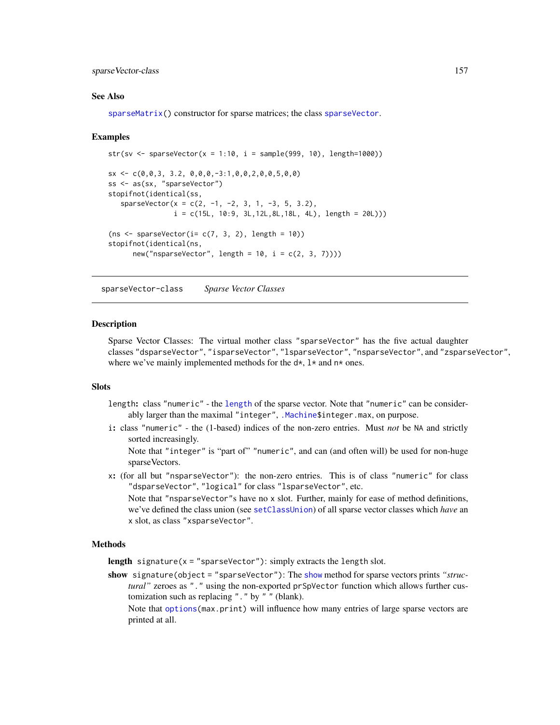#### <span id="page-156-1"></span>sparseVector-class 157

#### See Also

[sparseMatrix\(](#page-147-0)) constructor for sparse matrices; the class [sparseVector](#page-156-0).

#### Examples

```
str(sv <- sparseVector(x = 1:10, i = sample(999, 10), length=1000))
sx \leftarrow c(0,0,3, 3.2, 0,0,0,-3:1,0,0,2,0,0,5,0,0)ss <- as(sx, "sparseVector")
stopifnot(identical(ss,
   sparseVector(x = c(2, -1, -2, 3, 1, -3, 5, 3.2),i = c(15L, 10:9, 3L, 12L, 8L, 18L, 4L), length = 20L))(ns < - sparseVector(i = c(7, 3, 2), length = 10))stopifnot(identical(ns,
      new("nsparseVector", length = 10, i = c(2, 3, 7))))
```
<span id="page-156-0"></span>sparseVector-class *Sparse Vector Classes*

#### **Description**

Sparse Vector Classes: The virtual mother class "sparseVector" has the five actual daughter classes "dsparseVector", "isparseVector", "lsparseVector", "nsparseVector", and "zsparseVector", where we've mainly implemented methods for the  $d*$ ,  $l*$  and  $n*$  ones.

#### **Slots**

- length: class "numeric" the [length](#page-0-0) of the sparse vector. Note that "numeric" can be consider-ably larger than the maximal "integer", [.Machine\\$](#page-0-0)integer.max, on purpose.
- i: class "numeric" the (1-based) indices of the non-zero entries. Must *not* be NA and strictly sorted increasingly.

Note that "integer" is "part of" "numeric", and can (and often will) be used for non-huge sparseVectors.

x: (for all but "nsparseVector"): the non-zero entries. This is of class "numeric" for class "dsparseVector", "logical" for class "lsparseVector", etc.

Note that "nsparseVector"s have no x slot. Further, mainly for ease of method definitions, we've defined the class union (see [setClassUnion](#page-0-0)) of all sparse vector classes which *have* an x slot, as class "xsparseVector".

# Methods

length signature( $x =$ "sparseVector"): simply extracts the length slot.

show signature(object = "sparseVector"): The [show](#page-0-0) method for sparse vectors prints *"structural"* zeroes as "." using the non-exported prSpVector function which allows further customization such as replacing "." by " " (blank).

Note that [options\(](#page-0-0)max.print) will influence how many entries of large sparse vectors are printed at all.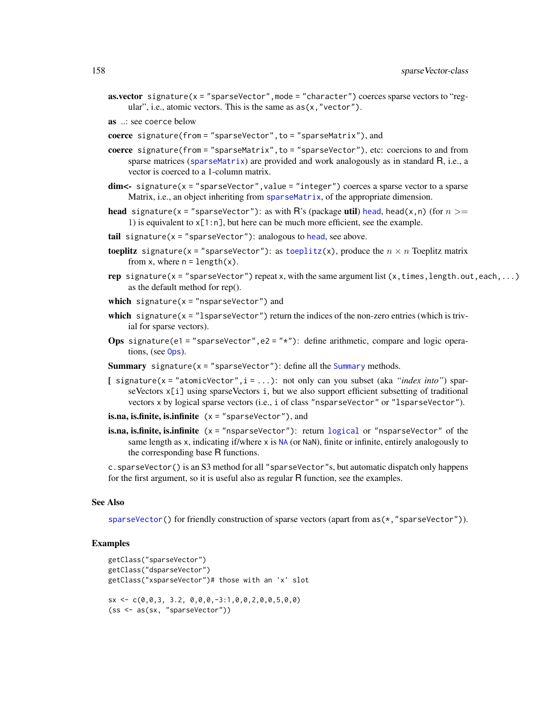- **as.vector** signature( $x =$ "sparseVector", mode = "character") coerces sparse vectors to "regular", i.e., atomic vectors. This is the same as  $as(x, "vector").$
- as ..: see coerce below
- coerce signature(from = "sparseVector",to = "sparseMatrix"), and
- coerce signature(from = "sparseMatrix",to = "sparseVector"), etc: coercions to and from sparse matrices ([sparseMatrix](#page-151-0)) are provided and work analogously as in standard  $R$ , i.e., a vector is coerced to a 1-column matrix.
- $dim < -$  signature(x = "sparseVector", value = "integer") coerces a sparse vector to a sparse Matrix, i.e., an object inheriting from [sparseMatrix](#page-151-0), of the appropriate dimension.
- **[head](#page-0-0)** signature(x = "sparseVector"): as with R's (package **util**) head, head(x, n) (for  $n >=$ 1) is equivalent to  $x[1:n]$ , but here can be much more efficient, see the example.
- tail signature( $x = "sparseVector")$ : analogous to [head](#page-0-0), see above.
- **toeplitz** signature(x = "sparseVector"): as [toeplitz\(](#page-0-0)x), produce the  $n \times n$  Toeplitz matrix from x, where  $n = length(x)$ .
- rep signature(x = "sparseVector") repeat x, with the same argument list (x, times, length.out, each,...) as the default method for rep().
- which signature( $x =$ "nsparseVector") and
- which signature( $x =$  "lsparseVector") return the indices of the non-zero entries (which is trivial for sparse vectors).
- Ops signature(e1 = "sparseVector", e2 = " $*$ "): define arithmetic, compare and logic operations, (see [Ops](#page-0-0)).
- **[Summary](#page-0-0)** signature( $x =$ "sparseVector"): define all the Summary methods.
- [ signature(x = "atomicVector",i = ...): not only can you subset (aka *"index into"*) sparseVectors  $x[i]$  using sparseVectors i, but we also support efficient subsetting of traditional vectors x by logical sparse vectors (i.e., i of class "nsparseVector" or "lsparseVector").
- is.na, is.finite, is.infinite  $(x = "sparseVector")$ , and
- is.na, is.finite, is.infinite (x = "nsparseVector"): return [logical](#page-0-0) or "nsparseVector" of the same length as x, indicating if/where x is [NA](#page-0-0) (or NaN), finite or infinite, entirely analogously to the corresponding base R functions.

c.sparseVector() is an S3 method for all "sparseVector"s, but automatic dispatch only happens for the first argument, so it is useful also as regular R function, see the examples.

#### See Also

[sparseVector\(](#page-155-0)) for friendly construction of sparse vectors (apart from  $as(*," sparseVector'')$ ).

```
getClass("sparseVector")
getClass("dsparseVector")
getClass("xsparseVector")# those with an 'x' slot
sx \leftarrow c(0,0,3, 3.2, 0,0,0,-3:1,0,0,2,0,0,5,0,0)(ss <- as(sx, "sparseVector"))
```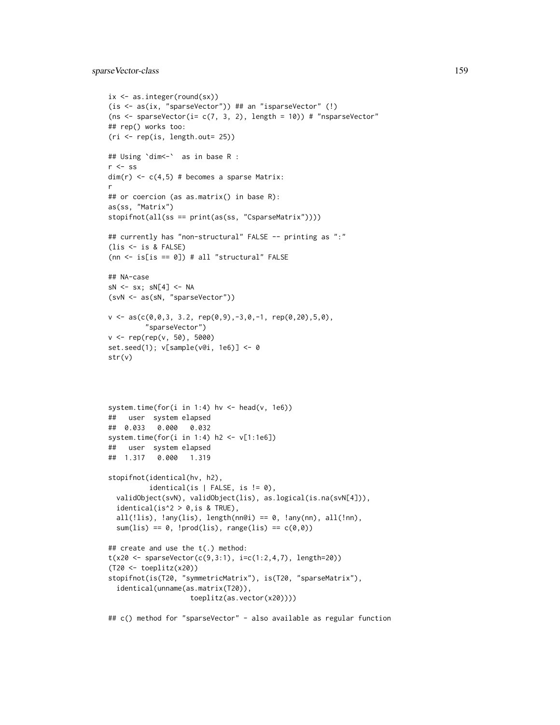# sparseVector-class 159

```
ix <- as.integer(round(sx))
(is <- as(ix, "sparseVector")) ## an "isparseVector" (!)
(ns <- sparseVector(i= c(7, 3, 2), length = 10)) # "nsparseVector"
## rep() works too:
(ri \leq rep(is, length.out= 25))## Using `dim<-` as in base R :
r \leftarrow ss
dim(r) \leq c(4,5) # becomes a sparse Matrix:
r
## or coercion (as as.matrix() in base R):
as(ss, "Matrix")
stopifnot(all(ss == print(as(ss, "CsparseMatrix"))))
## currently has "non-structural" FALSE -- printing as ":"
(lis <- is & FALSE)
(nn \leftarrow is[i s == 0]) # all "structural" FALSE
## NA-case
sN \leftarrow sx; sN[4] \leftarrow NA(svN <- as(sN, "sparseVector"))
v \leq -as(c(\emptyset, \emptyset, 3, 3.2, rep(\emptyset, 9), -3, \emptyset, -1, rep(\emptyset, 2\emptyset), 5, \emptyset),"sparseVector")
v <- rep(rep(v, 50), 5000)
set.seed(1); v[sample(v@i, 1e6)] <- 0
str(v)
system.time(for(i in 1:4) hv <- head(v, 1e6))
## user system elapsed
## 0.033 0.000 0.032
system.time(for(i in 1:4) h2 <- v[1:1e6])
## user system elapsed
## 1.317 0.000 1.319
stopifnot(identical(hv, h2),
          identical(is | FALSE, is != 0),
  validObject(svN), validObject(lis), as.logical(is.na(svN[4])),
  identical(is^2 > 0,is & TRUE),
  all(!lis), !any(lis), length(nn@i) == 0, !any(nn), all(!nn),
  sum(lis) == 0, !prod(lis), range(lis) == c(0,0))
## create and use the t(.) method:
t(x20 \leq spaceVector(c(9,3:1), i=c(1:2,4,7), length=20))(T20 <- toeplitz(x20))
stopifnot(is(T20, "symmetricMatrix"), is(T20, "sparseMatrix"),
  identical(unname(as.matrix(T20)),
                     toeplitz(as.vector(x20))))
## c() method for "sparseVector" - also available as regular function
```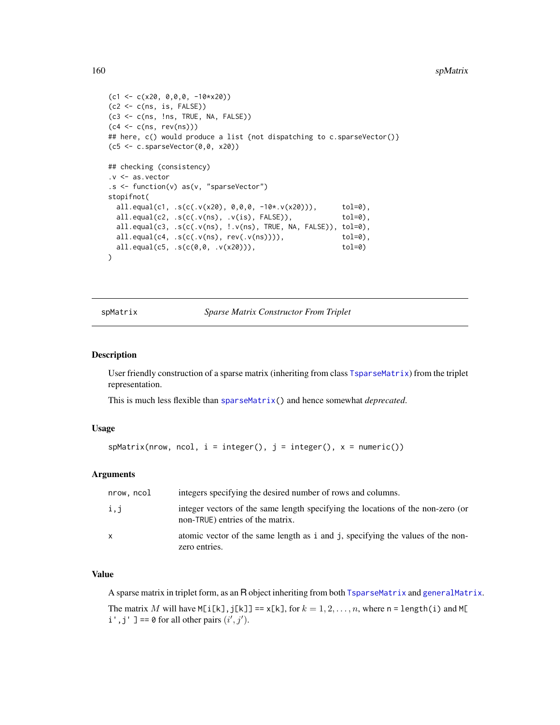#### <span id="page-159-1"></span>160 spMatrix and the space of the space of the space of the space of the space of the space of the space of the space of the space of the space of the space of the space of the space of the space of the space of the space

```
(c1 \leq c(x20, 0, 0, 0, -10*x20))(c2 < -c(ns, is, FALSE))(c3 <- c(ns, !ns, TRUE, NA, FALSE))
(c4 \le c(ns, rev(ns)))## here, c() would produce a list {not dispatching to c.sparseVector()}
(c5 < -c.sparseVector(0, 0, x20))## checking (consistency)
.v <- as.vector
.s <- function(v) as(v, "sparseVector")
stopifnot(
 all.equal(c1, .s(c(.v(x20), 0,0,0, -10*.v(x20))), tol=0),
 all.equal(c2, .s(c(.v(ns), .v(is), FALSE)), tol=0),
 all.equal(c3, .s(c(.v(ns), !.v(ns), TRUE, NA, FALSE)), tol=0),
 all.equal(c4, .s(c(.v(ns), rev(.v(ns)))), tol=0),
 all.equal(c5, .s(c(0,0, .v(x20))), tol=0)
)
```
<span id="page-159-0"></span>spMatrix *Sparse Matrix Constructor From Triplet*

#### **Description**

User friendly construction of a sparse matrix (inheriting from class [TsparseMatrix](#page-164-0)) from the triplet representation.

This is much less flexible than [sparseMatrix\(](#page-147-0)) and hence somewhat *deprecated*.

# Usage

```
sphatrix(nrow, ncol, i = integer(), j = integer(), x = numeric())
```
# **Arguments**

| nrow, ncol | integers specifying the desired number of rows and columns.                                                         |
|------------|---------------------------------------------------------------------------------------------------------------------|
| i,j        | integer vectors of the same length specifying the locations of the non-zero (or<br>non-TRUE) entries of the matrix. |
| X.         | atomic vector of the same length as i and j, specifying the values of the non-<br>zero entries.                     |

# Value

A sparse matrix in triplet form, as an R object inheriting from both [TsparseMatrix](#page-164-0) and [generalMatrix](#page-70-0).

The matrix M will have  $M[i[k], j[k]] == x[k],$  for  $k = 1, 2, ..., n$ , where n = length(i) and  $M[i]$  $i', j'$ ] == 0 for all other pairs  $(i', j')$ .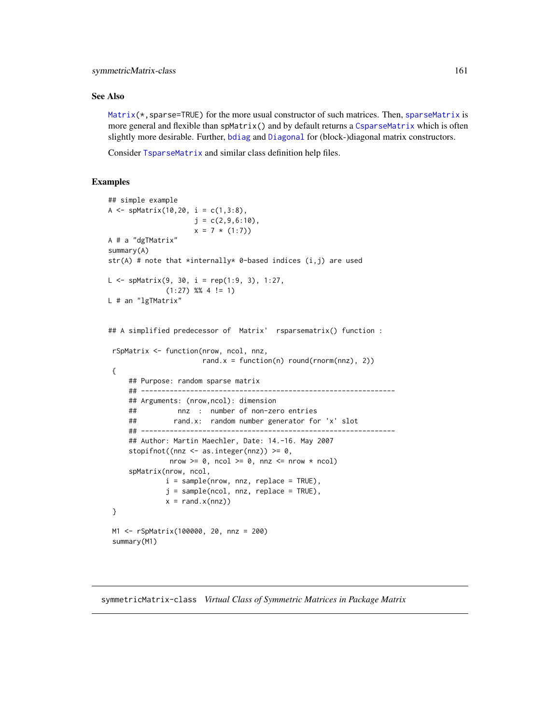# <span id="page-160-1"></span>symmetricMatrix-class 161

#### See Also

 $Matrix(*, sparse=TRUE)$  $Matrix(*, sparse=TRUE)$  for the more usual constructor of such matrices. Then, [sparseMatrix](#page-147-0) is more general and flexible than spMatrix() and by default returns a [CsparseMatrix](#page-31-0) which is often slightly more desirable. Further, [bdiag](#page-11-0) and [Diagonal](#page-40-0) for (block-)diagonal matrix constructors.

Consider [TsparseMatrix](#page-164-0) and similar class definition help files.

# Examples

```
## simple example
A <- spMatrix(10,20, i = c(1, 3:8),
                    j = c(2, 9, 6:10),
                    x = 7 * (1:7)A # a "dgTMatrix"
summary(A)
str(A) # note that *internally* 0-based indices (i,j) are used
L \leq - spMatrix(9, 30, i = rep(1:9, 3), 1:27,
              (1:27) %% 4 != 1)
L # an "lgTMatrix"
## A simplified predecessor of Matrix' rsparsematrix() function :
rSpMatrix <- function(nrow, ncol, nnz,
                      rand.x = function(n) round(rnorm(nnz), 2))
{
     ## Purpose: random sparse matrix
     ## --------------------------------------------------------------
     ## Arguments: (nrow,ncol): dimension
     ## nnz : number of non-zero entries
     ## rand.x: random number generator for 'x' slot
     ## --------------------------------------------------------------
     ## Author: Martin Maechler, Date: 14.-16. May 2007
     stopifnot((nnz <- as.integer(nnz)) >= 0,
              nrow >= 0, ncol >= 0, nnz <= nrow * ncol)
     spMatrix(nrow, ncol,
             i = sample(nrow, nnz, replace = TRUE),
             j = sample(ncol, nnz, replace = TRUE),x = rand.x(nnz))}
M1 <- rSpMatrix(100000, 20, nnz = 200)
 summary(M1)
```
<span id="page-160-0"></span>symmetricMatrix-class *Virtual Class of Symmetric Matrices in Package Matrix*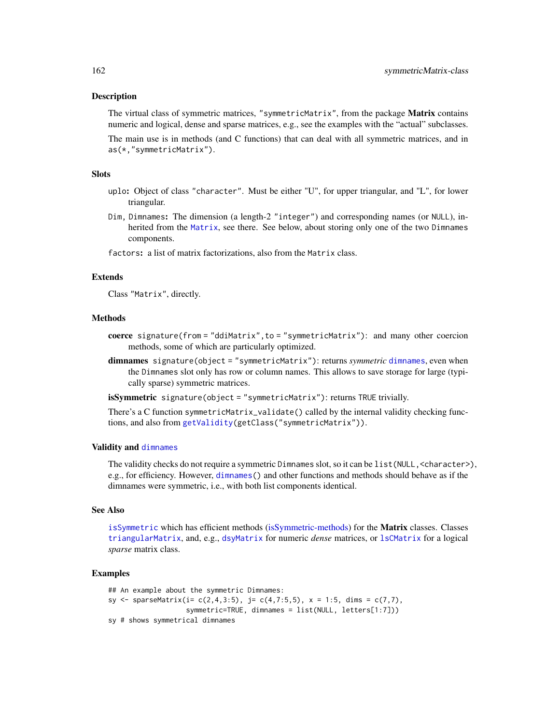#### **Description**

The virtual class of symmetric matrices, "symmetricMatrix", from the package **Matrix** contains numeric and logical, dense and sparse matrices, e.g., see the examples with the "actual" subclasses.

The main use is in methods (and C functions) that can deal with all symmetric matrices, and in as(\*,"symmetricMatrix").

## Slots

- uplo: Object of class "character". Must be either "U", for upper triangular, and "L", for lower triangular.
- Dim, Dimnames: The dimension (a length-2 "integer") and corresponding names (or NULL), inherited from the [Matrix](#page-100-0), see there. See below, about storing only one of the two Dimnames components.

factors: a list of matrix factorizations, also from the Matrix class.

# Extends

Class "Matrix", directly.

#### Methods

- coerce signature(from = "ddiMatrix",to = "symmetricMatrix"): and many other coercion methods, some of which are particularly optimized.
- dimnames signature(object = "symmetricMatrix"): returns *symmetric* [dimnames](#page-0-0), even when the Dimnames slot only has row or column names. This allows to save storage for large (typically sparse) symmetric matrices.

isSymmetric signature(object = "symmetricMatrix"): returns TRUE trivially.

There's a C function symmetricMatrix\_validate() called by the internal validity checking functions, and also from [getValidity\(](#page-0-0)getClass("symmetricMatrix")).

# Validity and [dimnames](#page-0-0)

The validity checks do not require a symmetric Dimnames slot, so it can be list (NULL, <character>), e.g., for efficiency. However, [dimnames\(](#page-0-0)) and other functions and methods should behave as if the dimnames were symmetric, i.e., with both list components identical.

# See Also

[isSymmetric](#page-0-0) which has efficient methods [\(isSymmetric-methods\)](#page-82-0) for the Matrix classes. Classes [triangularMatrix](#page-163-0), and, e.g., [dsyMatrix](#page-55-0) for numeric *dense* matrices, or [lsCMatrix](#page-89-0) for a logical *sparse* matrix class.

```
## An example about the symmetric Dimnames:
sy <- sparseMatrix(i= c(2,4,3:5), j= c(4,7:5,5), x = 1:5, dims = c(7,7),
                   symmetric=TRUE, dimnames = list(NULL, letters[1:7]))
sy # shows symmetrical dimnames
```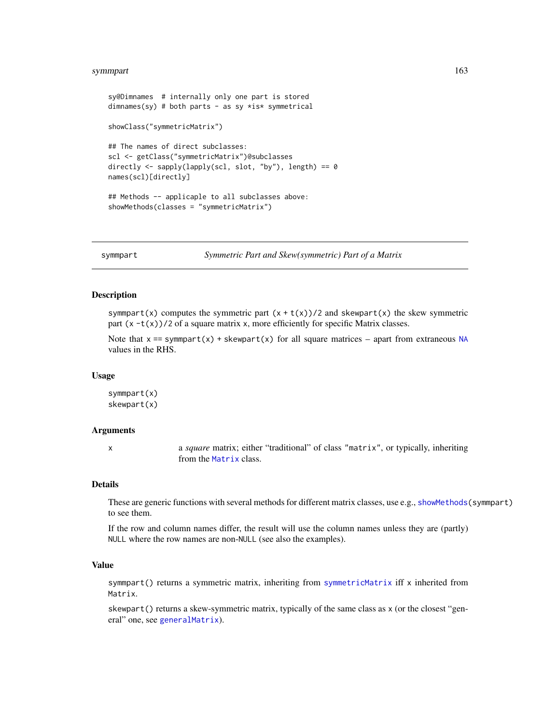#### <span id="page-162-0"></span>symmpart 163

```
sy@Dimnames # internally only one part is stored
dimnames(sy) # both parts - as sy *is* symmetrical
showClass("symmetricMatrix")
## The names of direct subclasses:
scl <- getClass("symmetricMatrix")@subclasses
directly <- sapply(lapply(scl, slot, "by"), length) == 0
names(scl)[directly]
## Methods -- applicaple to all subclasses above:
showMethods(classes = "symmetricMatrix")
```
symmpart *Symmetric Part and Skew(symmetric) Part of a Matrix*

### Description

symmpart(x) computes the symmetric part  $(x + t(x))/2$  and skewpart(x) the skew symmetric part  $(x -t(x))/2$  of a square matrix x, more efficiently for specific Matrix classes.

Note that  $x = \text{symmpart}(x) + \text{skewpart}(x)$  for all square matrices – apart from extraneous [NA](#page-0-0) values in the RHS.

#### Usage

symmpart(x) skewpart(x)

#### Arguments

x a *square* matrix; either "traditional" of class "matrix", or typically, inheriting from the [Matrix](#page-100-0) class.

# Details

These are generic functions with several methods for different matrix classes, use e.g., [showMethods\(](#page-0-0)symmpart) to see them.

If the row and column names differ, the result will use the column names unless they are (partly) NULL where the row names are non-NULL (see also the examples).

# Value

symmpart() returns a symmetric matrix, inheriting from [symmetricMatrix](#page-160-0) iff x inherited from Matrix.

skewpart() returns a skew-symmetric matrix, typically of the same class as x (or the closest "general" one, see [generalMatrix](#page-70-0)).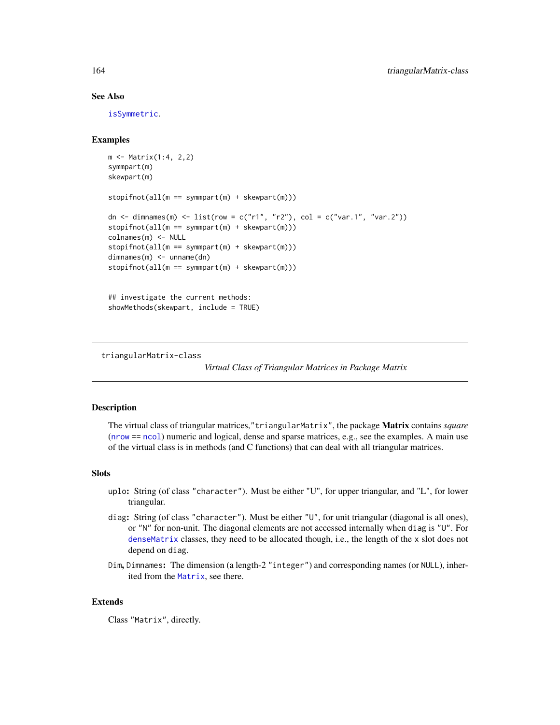# See Also

[isSymmetric](#page-0-0).

# Examples

```
m <- Matrix(1:4, 2,2)
symmpart(m)
skewpart(m)
stopifnot(all(m == symmpart(m) + skewpart(m)))
dn \le dimnames(m) \le list(row = c("r1", "r2"), col = c("var.1", "var.2"))
stopifnot(all(m == symmpart(m) + skewpart(m)))
colnames(m) <- NULL
stopifnot(all(m == symmpart(m) + skewpart(m)))
dimnames(m) <- unname(dn)
stopifnot(all(m == symmpart(m) + skewpart(m)))
## investigate the current methods:
showMethods(skewpart, include = TRUE)
```
<span id="page-163-0"></span>triangularMatrix-class

*Virtual Class of Triangular Matrices in Package Matrix*

#### **Description**

The virtual class of triangular matrices,"triangularMatrix", the package Matrix contains *square* ([nrow](#page-0-0) == [ncol](#page-0-0)) numeric and logical, dense and sparse matrices, e.g., see the examples. A main use of the virtual class is in methods (and C functions) that can deal with all triangular matrices.

# Slots

- uplo: String (of class "character"). Must be either "U", for upper triangular, and "L", for lower triangular.
- diag: String (of class "character"). Must be either "U", for unit triangular (diagonal is all ones), or "N" for non-unit. The diagonal elements are not accessed internally when diag is "U". For [denseMatrix](#page-35-1) classes, they need to be allocated though, i.e., the length of the x slot does not depend on diag.
- Dim, Dimnames: The dimension (a length-2 "integer") and corresponding names (or NULL), inherited from the [Matrix](#page-100-0), see there.

#### Extends

Class "Matrix", directly.

<span id="page-163-1"></span>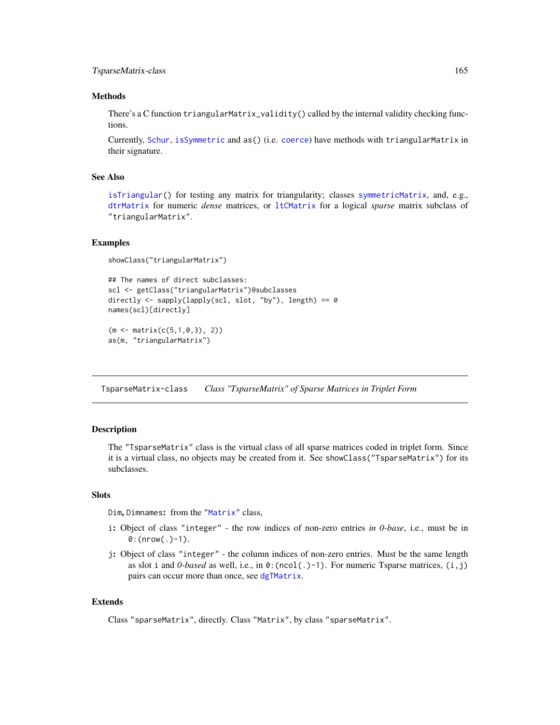# <span id="page-164-1"></span>TsparseMatrix-class 165

#### Methods

There's a C function triangularMatrix\_validity() called by the internal validity checking functions.

Currently, [Schur](#page-137-0), [isSymmetric](#page-0-0) and as() (i.e. [coerce](#page-0-0)) have methods with triangularMatrix in their signature.

# See Also

[isTriangular\(](#page-82-1)) for testing any matrix for triangularity; classes [symmetricMatrix](#page-160-0), and, e.g., [dtrMatrix](#page-61-0) for numeric *dense* matrices, or [ltCMatrix](#page-89-0) for a logical *sparse* matrix subclass of "triangularMatrix".

#### Examples

```
showClass("triangularMatrix")
```

```
## The names of direct subclasses:
scl <- getClass("triangularMatrix")@subclasses
directly \leq sapply(lapply(scl, slot, "by"), length) == 0
names(scl)[directly]
(m <- matrix(c(5,1,0,3), 2))
```

```
as(m, "triangularMatrix")
```
<span id="page-164-0"></span>TsparseMatrix-class *Class "TsparseMatrix" of Sparse Matrices in Triplet Form*

# Description

The "TsparseMatrix" class is the virtual class of all sparse matrices coded in triplet form. Since it is a virtual class, no objects may be created from it. See showClass("TsparseMatrix") for its subclasses.

#### **Slots**

Dim, Dimnames: from the ["Matrix"](#page-100-0) class,

- i: Object of class "integer" the row indices of non-zero entries *in 0-base*, i.e., must be in  $0:$  (nrow(.)-1).
- j: Object of class "integer" the column indices of non-zero entries. Must be the same length as slot i and  $0$ -based as well, i.e., in  $\theta$ : (ncol(.)-1). For numeric Tsparse matrices, (i,j) pairs can occur more than once, see [dgTMatrix](#page-39-0).

# Extends

Class "sparseMatrix", directly. Class "Matrix", by class "sparseMatrix".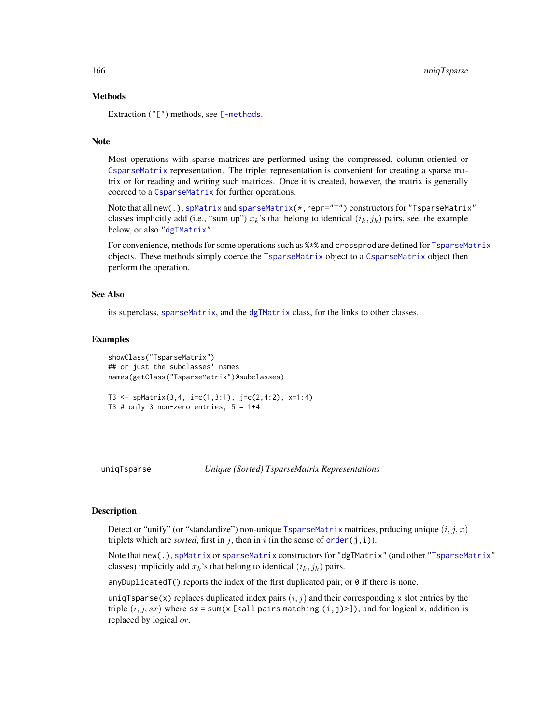#### Methods

Extraction  $("["")$  methods, see  $[-methods.$  $[-methods.$ 

# Note

Most operations with sparse matrices are performed using the compressed, column-oriented or [CsparseMatrix](#page-31-0) representation. The triplet representation is convenient for creating a sparse matrix or for reading and writing such matrices. Once it is created, however, the matrix is generally coerced to a [CsparseMatrix](#page-31-0) for further operations.

Note that all new(.), [spMatrix](#page-159-0) and [sparseMatrix\(](#page-147-0)\*,repr="T") constructors for "TsparseMatrix" classes implicitly add (i.e., "sum up")  $x_k$ 's that belong to identical  $(i_k, j_k)$  pairs, see, the example below, or also ["dgTMatrix"](#page-39-0).

For convenience, methods for some operations such as  $***$  and crossprod are defined for [TsparseMatrix](#page-164-0) objects. These methods simply coerce the [TsparseMatrix](#page-164-0) object to a [CsparseMatrix](#page-31-0) object then perform the operation.

#### See Also

its superclass, [sparseMatrix](#page-151-0), and the [dgTMatrix](#page-39-0) class, for the links to other classes.

#### Examples

```
showClass("TsparseMatrix")
## or just the subclasses' names
names(getClass("TsparseMatrix")@subclasses)
T3 \leq spMatrix(3,4, i=c(1,3:1), j=c(2,4:2), x=1:4)
```

```
T3 # only 3 non-zero entries, 5 = 1+4 !
```
uniqTsparse *Unique (Sorted) TsparseMatrix Representations*

#### **Description**

Detect or "unify" (or "standardize") non-unique [TsparseMatrix](#page-164-0) matrices, prducing unique  $(i, j, x)$ triplets which are *sorted*, first in j, then in i (in the sense of  $order(j, i)$  $order(j, i)$ ).

Note that new(.), [spMatrix](#page-159-0) or [sparseMatrix](#page-147-0) constructors for "dgTMatrix" (and other ["TsparseMatrix"](#page-164-0) classes) implicitly add  $x_k$ 's that belong to identical  $(i_k, j_k)$  pairs.

anyDuplicatedT() reports the index of the first duplicated pair, or  $\theta$  if there is none.

uniqTsparse(x) replaces duplicated index pairs  $(i, j)$  and their corresponding x slot entries by the triple  $(i, j, sx)$  where sx = sum(x [<all pairs matching (i,j)>]), and for logical x, addition is replaced by logical or.

<span id="page-165-0"></span>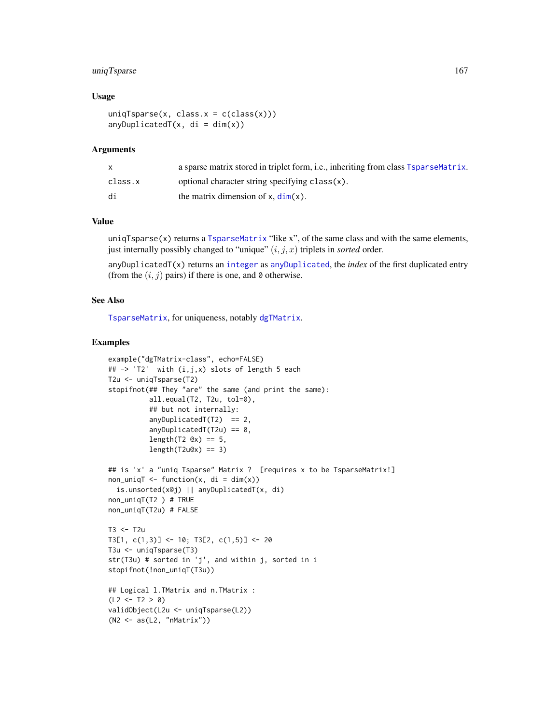# uniqTsparse 167

# Usage

```
uniqTsparse(x, class.x = c(class(x)))anyDuplicatedT(x, di = dim(x))
```
#### Arguments

|         | a sparse matrix stored in triplet form, i.e., inheriting from class TsparseMatrix. |
|---------|------------------------------------------------------------------------------------|
| class.x | optional character string specifying class(x).                                     |
| di      | the matrix dimension of $x$ , $dim(x)$ .                                           |

# Value

uniq $T$ sparse $(x)$  returns a  $T$ sparseMatrix "like x", of the same class and with the same elements, just internally possibly changed to "unique"  $(i, j, x)$  triplets in *sorted* order.

anyDuplicatedT(x) returns an [integer](#page-0-0) as [anyDuplicated](#page-0-0), the *index* of the first duplicated entry (from the  $(i, j)$  pairs) if there is one, and 0 otherwise.

# See Also

[TsparseMatrix](#page-164-0), for uniqueness, notably [dgTMatrix](#page-39-0).

```
example("dgTMatrix-class", echo=FALSE)
## \rightarrow 'T2' with (i,j,x) slots of length 5 each
T2u <- uniqTsparse(T2)
stopifnot(## They "are" the same (and print the same):
          all.equal(T2, T2u, tol=0),
          ## but not internally:
          anyDuplicatedT(T2) == 2,
          anyDuplicatedT(T2u) == 0,length(T2 \, \text{Qx}) == 5,
          length(T2u@x) == 3)## is 'x' a "uniq Tsparse" Matrix ? [requires x to be TsparseMatrix!]
non\_unique <- function(x, di = dim(x))
  is.unsorted(x@j) || anyDuplicatedT(x, di)
non_uniqT(T2 ) # TRUE
non_uniqT(T2u) # FALSE
T3 < -T2uT3[1, c(1,3)] <- 10; T3[2, c(1,5)] <- 20
T3u <- uniqTsparse(T3)
str(T3u) # sorted in 'j', and within j, sorted in i
stopifnot(!non_uniqT(T3u))
## Logical l.TMatrix and n.TMatrix :
(L2 < -T2 > 0)validObject(L2u <- uniqTsparse(L2))
(N2 <- as(L2, "nMatrix"))
```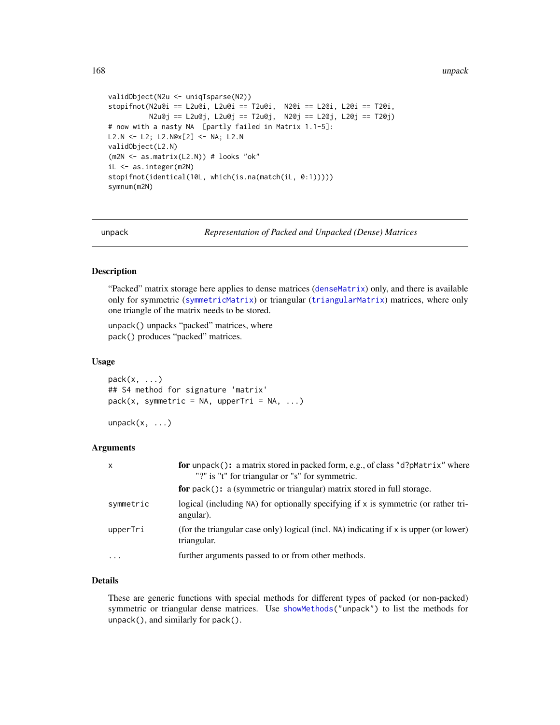<span id="page-167-0"></span>168 unpack

```
validObject(N2u <- uniqTsparse(N2))
stopifnot(N2u@i == L2u@i, L2u@i == T2u@i, N2@i == L2@i, L2@i == T2@i,
         N2u@j == L2u@j, L2u@j == T2u@j, N2@j == L2@j, L2@j == T2@j)
# now with a nasty NA [partly failed in Matrix 1.1-5]:
L2.N <- L2; L2.N@x[2] <- NA; L2.N
validObject(L2.N)
(m2N <- as.matrix(L2.N)) # looks "ok"
iL <- as.integer(m2N)
stopifnot(identical(10L, which(is.na(match(iL, 0:1)))))
symnum(m2N)
```
unpack *Representation of Packed and Unpacked (Dense) Matrices*

### Description

"Packed" matrix storage here applies to dense matrices ([denseMatrix](#page-35-1)) only, and there is available only for symmetric ([symmetricMatrix](#page-160-0)) or triangular ([triangularMatrix](#page-163-0)) matrices, where only one triangle of the matrix needs to be stored.

unpack() unpacks "packed" matrices, where pack() produces "packed" matrices.

#### Usage

 $pack(x, \ldots)$ ## S4 method for signature 'matrix'  $pack(x, symmetric = NA, upperTri = NA, ...)$ 

 $unpack(x, \ldots)$ 

# Arguments

| $\mathsf{x}$ | for unpack(): a matrix stored in packed form, e.g., of class "d?pMatrix" where<br>"?" is "t" for triangular or "s" for symmetric. |
|--------------|-----------------------------------------------------------------------------------------------------------------------------------|
|              | for pack(): a (symmetric or triangular) matrix stored in full storage.                                                            |
| symmetric    | logical (including NA) for optionally specifying if x is symmetric (or rather tri-<br>angular).                                   |
| upperTri     | (for the triangular case only) logical (incl. NA) indicating if x is upper (or lower)<br>triangular.                              |
| $\cdots$     | further arguments passed to or from other methods.                                                                                |

# Details

These are generic functions with special methods for different types of packed (or non-packed) symmetric or triangular dense matrices. Use [showMethods\(](#page-0-0)"unpack") to list the methods for unpack(), and similarly for pack().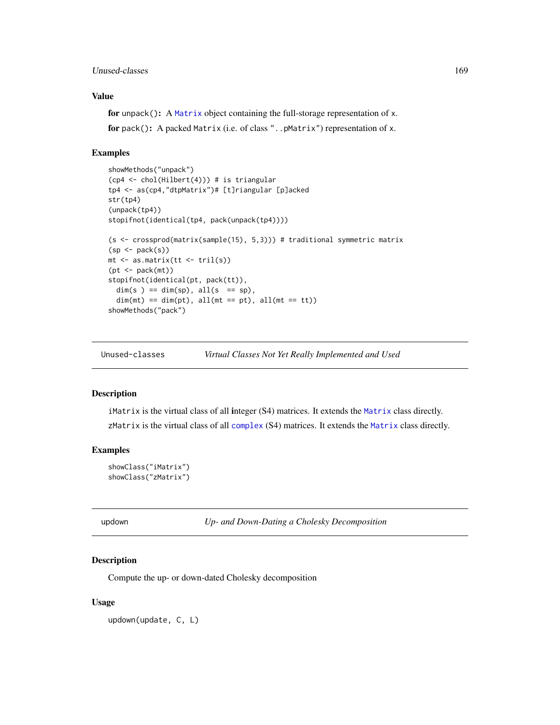# <span id="page-168-0"></span>Unused-classes 169

# Value

```
for unpack(): A Matrix object containing the full-storage representation of x.
for pack(): A packed Matrix (i.e. of class "..pMatrix") representation of x.
```
#### Examples

```
showMethods("unpack")
(cp4 <- chol(Hilbert(4))) # is triangular
tp4 <- as(cp4,"dtpMatrix")# [t]riangular [p]acked
str(tp4)
(unpack(tp4))
stopifnot(identical(tp4, pack(unpack(tp4))))
(s <- crossprod(matrix(sample(15), 5,3))) # traditional symmetric matrix
(sp < - pack(s))mt <- as.matrix(tt <- tril(s))
(pt < -pack(mt))stopifnot(identical(pt, pack(tt)),
 dim(s) == dim(sp), all(s == sp),dim(mt) == dim(pt), all(mt == pt), all(mt == tt)showMethods("pack")
```
Unused-classes *Virtual Classes Not Yet Really Implemented and Used*

#### Description

iMatrix is the virtual class of all integer (S4) matrices. It extends the [Matrix](#page-100-0) class directly. zMatrix is the virtual class of all [complex](#page-0-0) (S4) matrices. It extends the [Matrix](#page-100-0) class directly.

#### Examples

```
showClass("iMatrix")
showClass("zMatrix")
```
updown *Up- and Down-Dating a Cholesky Decomposition*

#### Description

Compute the up- or down-dated Cholesky decomposition

#### Usage

updown(update, C, L)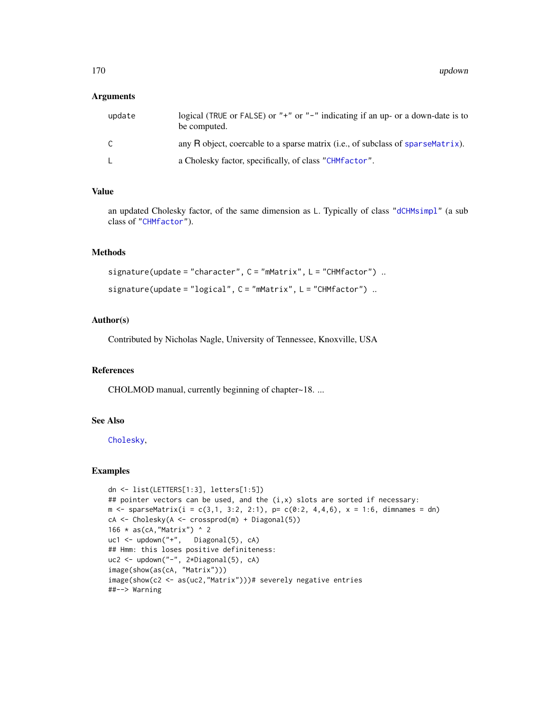#### **Arguments**

| update | logical (TRUE or FALSE) or "+" or "-" indicating if an up- or a down-date is to<br>be computed. |
|--------|-------------------------------------------------------------------------------------------------|
| C      | any R object, coercable to a sparse matrix (i.e., of subclass of sparseMatrix).                 |
|        | a Cholesky factor, specifically, of class "CHM factor".                                         |

# Value

an updated Cholesky factor, of the same dimension as L. Typically of class ["dCHMsimpl"](#page-17-1) (a sub class of ["CHMfactor"](#page-17-0)).

# Methods

```
signature(update = "character", C = "mMatrix", L = "CHMfactor") ..
signature(update = "logical", C = "mMatrix", L = "CHMfactor") ..
```
# Author(s)

Contributed by Nicholas Nagle, University of Tennessee, Knoxville, USA

# References

CHOLMOD manual, currently beginning of chapter~18. ...

# See Also

[Cholesky](#page-22-0),

```
dn <- list(LETTERS[1:3], letters[1:5])
## pointer vectors can be used, and the (i,x) slots are sorted if necessary:
m \leq - sparseMatrix(i = c(3,1, 3:2, 2:1), p= c(0:2, 4,4,6), x = 1:6, dimnames = dn)
cA <- Cholesky(A <- crossprod(m) + Diagonal(5))
166 * as(cA, "Matrix") * 2uc1 <- updown("+", Diagonal(5), cA)
## Hmm: this loses positive definiteness:
uc2 <- updown("-", 2*Diagonal(5), cA)
image(show(as(cA, "Matrix")))
image(show(c2 <- as(uc2,"Matrix")))# severely negative entries
##--> Warning
```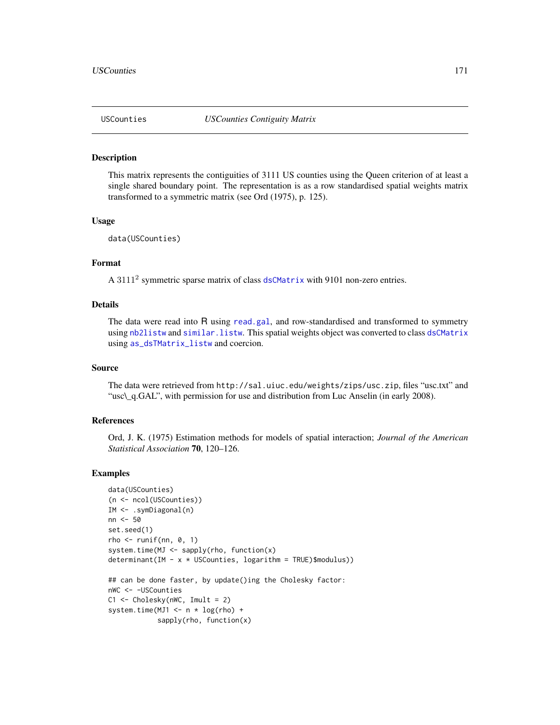<span id="page-170-0"></span>

#### Description

This matrix represents the contiguities of 3111 US counties using the Queen criterion of at least a single shared boundary point. The representation is as a row standardised spatial weights matrix transformed to a symmetric matrix (see Ord (1975), p. 125).

# Usage

```
data(USCounties)
```
# Format

A 3111<sup>2</sup> symmetric sparse matrix of class [dsCMatrix](#page-51-0) with 9101 non-zero entries.

### Details

The data were read into R using [read.gal](#page-0-0), and row-standardised and transformed to symmetry using [nb2listw](#page-0-0) and [similar.listw](#page-0-0). This spatial weights object was converted to class [dsCMatrix](#page-51-0) using [as\\_dsTMatrix\\_listw](#page-0-0) and coercion.

# Source

The data were retrieved from http://sal.uiuc.edu/weights/zips/usc.zip, files "usc.txt" and "usc\\_q.GAL", with permission for use and distribution from Luc Anselin (in early 2008).

# References

Ord, J. K. (1975) Estimation methods for models of spatial interaction; *Journal of the American Statistical Association* 70, 120–126.

```
data(USCounties)
(n <- ncol(USCounties))
IM <- .symDiagonal(n)
nn <- 50
set.seed(1)
rho \le- runif(nn, 0, 1)
system.time(MJ <- sapply(rho, function(x)
determinant(IM - x * USCounties, logarithm = TRUE)$modulus))
## can be done faster, by update()ing the Cholesky factor:
nWC <- -USCounties
C1 <- Cholesky(nWC, Imult = 2)
system.time(MJ1 <- n * log(rho) +
            sapply(rho, function(x)
```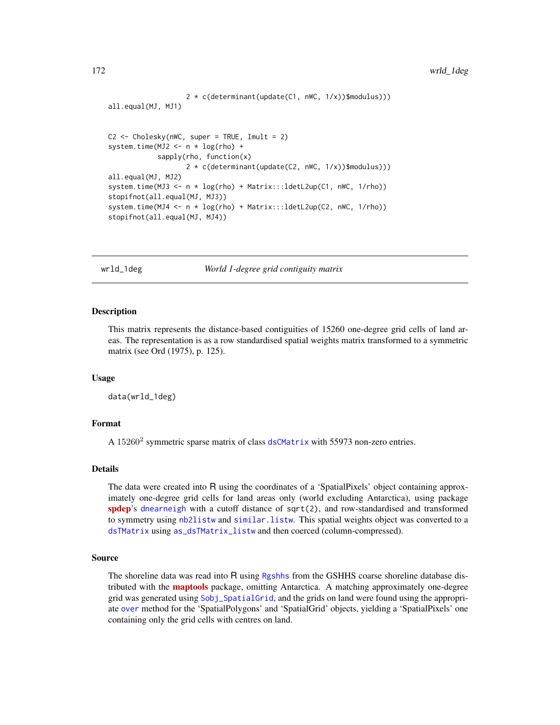```
2 * c(determinant(update(C1, nWC, 1/x))$modulus)))
all.equal(MJ, MJ1)
C2 <- Cholesky(nWC, super = TRUE, Imult = 2)
system.time(MJ2 <- n * log(rho) +
            sapply(rho, function(x)
                   2 * c(determinant(update(C2, nWC, 1/x))$modulus)))
all.equal(MJ, MJ2)
system.time(MJ3 <- n * log(rho) + Matrix:::ldetL2up(C1, nWC, 1/rho))
stopifnot(all.equal(MJ, MJ3))
system.time(MJ4 <- n * log(rho) + Matrix:::ldetL2up(C2, nWC, 1/rho))
stopifnot(all.equal(MJ, MJ4))
```
wrld\_1deg *World 1-degree grid contiguity matrix*

#### Description

This matrix represents the distance-based contiguities of 15260 one-degree grid cells of land areas. The representation is as a row standardised spatial weights matrix transformed to a symmetric matrix (see Ord (1975), p. 125).

### Usage

data(wrld\_1deg)

# Format

A 15260<sup>2</sup> symmetric sparse matrix of class [dsCMatrix](#page-51-0) with 55973 non-zero entries.

### Details

The data were created into R using the coordinates of a 'SpatialPixels' object containing approximately one-degree grid cells for land areas only (world excluding Antarctica), using package [spdep](https://CRAN.R-project.org/package=spdep)'s [dnearneigh](#page-0-0) with a cutoff distance of sqrt(2), and row-standardised and transformed to symmetry using [nb2listw](#page-0-0) and [similar.listw](#page-0-0). This spatial weights object was converted to a [dsTMatrix](#page-51-1) using [as\\_dsTMatrix\\_listw](#page-0-0) and then coerced (column-compressed).

#### Source

The shoreline data was read into R using [Rgshhs](#page-0-0) from the GSHHS coarse shoreline database distributed with the **[maptools](https://CRAN.R-project.org/package=maptools)** package, omitting Antarctica. A matching approximately one-degree grid was generated using [Sobj\\_SpatialGrid](#page-0-0), and the grids on land were found using the appropriate [over](#page-0-0) method for the 'SpatialPolygons' and 'SpatialGrid' objects, yielding a 'SpatialPixels' one containing only the grid cells with centres on land.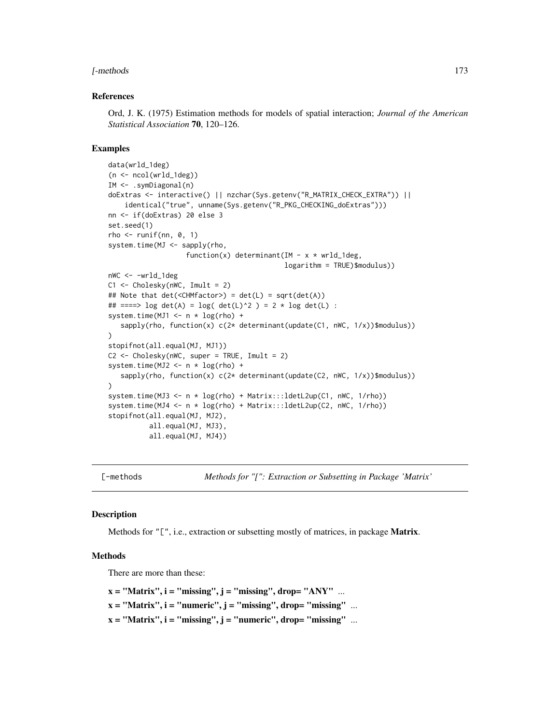#### <span id="page-172-1"></span>[-methods 173

#### References

Ord, J. K. (1975) Estimation methods for models of spatial interaction; *Journal of the American Statistical Association* 70, 120–126.

#### Examples

```
data(wrld_1deg)
(n <- ncol(wrld_1deg))
IM <- .symDiagonal(n)
doExtras <- interactive() || nzchar(Sys.getenv("R_MATRIX_CHECK_EXTRA")) ||
    identical("true", unname(Sys.getenv("R_PKG_CHECKING_doExtras")))
nn <- if(doExtras) 20 else 3
set.seed(1)
rho \leftarrow runif(nn, 0, 1)system.time(MJ <- sapply(rho,
                   function(x) determinant(IM - x * wrd\_1deg,
                                            logarithm = TRUE)$modulus))
nWC <- -wrld_1deg
C1 \leq Cholesky(nWC, Imult = 2)
## Note that det(<CHMfactor>) = det(L) = sqrt(det(A))
## ====> \log \det(A) = \log(\det(L)^2) = 2 * \log \det(L) :
system.time(MJ1 <- n * log(rho) +
   sapply(rho, function(x) c(2* determinant(update(C1, nWC, 1/x))$modulus))
)
stopifnot(all.equal(MJ, MJ1))
C2 \leq Cholesky(nWC, super = TRUE, Imult = 2)
system.time(MJ2 <- n * log(rho) +
   sapply(rho, function(x) c(2* determinant(update(C2, nWC, 1/x))$modulus))
)
system.time(MJ3 <- n * log(rho) + Matrix:::ldetL2up(C1, nWC, 1/rho))
system.time(MJ4 <- n * log(rho) + Matrix:::ldetL2up(C2, nWC, 1/rho))
stopifnot(all.equal(MJ, MJ2),
          all.equal(MJ, MJ3),
          all.equal(MJ, MJ4))
```
[-methods *Methods for "[": Extraction or Subsetting in Package 'Matrix'*

### **Description**

Methods for "[", i.e., extraction or subsetting mostly of matrices, in package **Matrix**.

#### Methods

There are more than these:

```
x = "Matrix", i = "missing", j = "missing", drop= "ANY" ...
x = "Matrix", i = "numeric", j = "missing", drop = "missing" ...x = "Matrix", i = "missing", j = "numeric", drop = "missing" ...
```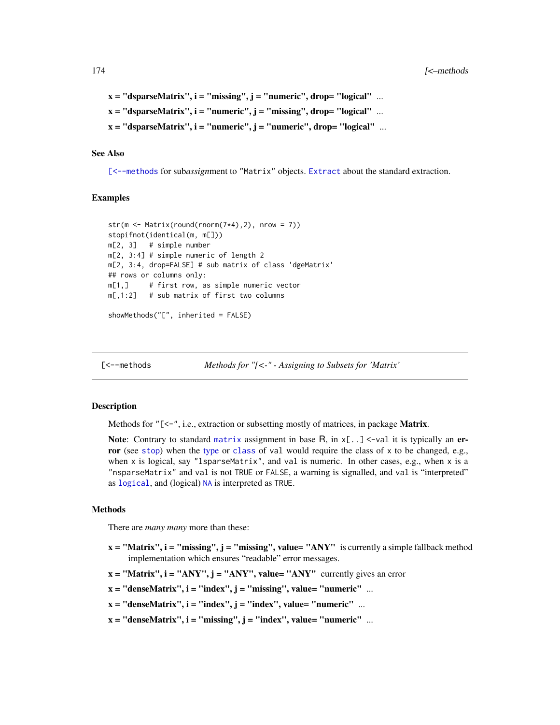```
x = "dsparseMatrix", i = "missing", j = "numeric", drop = "logical" ...x = "dsparseMatrix", i = "numeric", j = "missing", drop = "logical" ...x = "dsparseMatrix", i = "numeric", j = "numeric", drop= "logical" ...
```
# See Also

[\[<--methods](#page-173-0) for sub*assign*ment to "Matrix" objects. [Extract](#page-0-0) about the standard extraction.

#### Examples

```
str(m <- Matrix(round(rnorm(7*4),2), nrow = 7))
stopifnot(identical(m, m[]))
m[2, 3] # simple number
m[2, 3:4] # simple numeric of length 2
m[2, 3:4, drop=FALSE] # sub matrix of class 'dgeMatrix'
## rows or columns only:
m[1,] # first row, as simple numeric vector
m[, 1:2] # sub matrix of first two columns
```

```
showMethods("[", inherited = FALSE)
```
<span id="page-173-0"></span>[<--methods *Methods for "[<-" - Assigning to Subsets for 'Matrix'*

#### **Description**

Methods for "[<-", i.e., extraction or subsetting mostly of matrices, in package **Matrix**.

Note: Contrary to standard [matrix](#page-0-0) assignment in base R, in  $x$ [...] <-val it is typically an error (see [stop](#page-0-0)) when the [type](#page-0-0) or [class](#page-0-0) of val would require the class of x to be changed, e.g., when x is logical, say "lsparseMatrix", and val is numeric. In other cases, e.g., when x is a "nsparseMatrix" and val is not TRUE or FALSE, a warning is signalled, and val is "interpreted" as [logical](#page-0-0), and (logical) [NA](#page-0-0) is interpreted as TRUE.

#### Methods

There are *many many* more than these:

- $x = "Matrix", i = "missing", j = "missing", value = "ANY" is currently a simple fallback method$ implementation which ensures "readable" error messages.
- $x = "Matrix", i = "ANY", j = "ANY", value = "ANY"$  currently gives an error
- $x = "denseMatrix", i = "index", j = "missing", value = "numeric" ...$
- $x = "denseMatrix", i = "index", j = "index", value = "numeric" ...$
- $x = "denseMatrix", i = "missing", j = "index", value = "numeric" ...$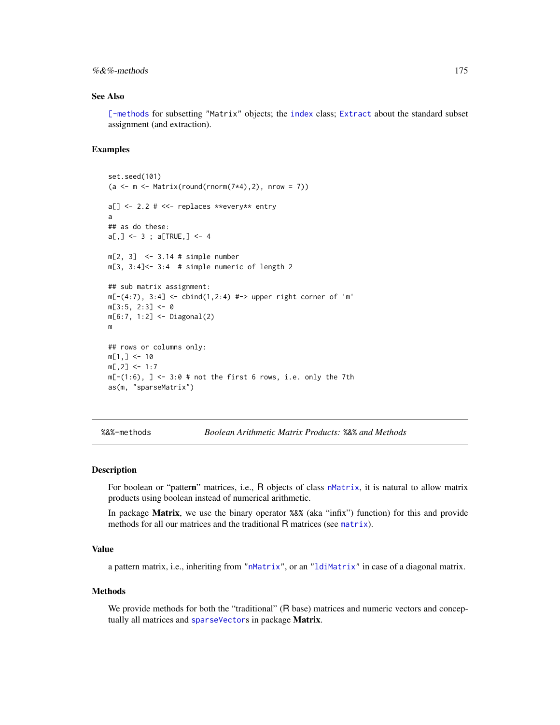# <span id="page-174-0"></span> $%$  & %-methods 175

# See Also

[\[-methods](#page-172-0) for subsetting "Matrix" objects; the [index](#page-75-0) class; [Extract](#page-0-0) about the standard subset assignment (and extraction).

#### Examples

```
set.seed(101)
(a \leq m \leq Maxarix(round(rnorm(7*4), 2), nrow = 7))a[] <- 2.2 # <<- replaces **every** entry
a
## as do these:
a[,] \leq -3; a[TRUE,] \leq -4m[2, 3] <- 3.14 # simple number
m[3, 3:4]<-3:4 # simple numeric of length 2
## sub matrix assignment:
m[-(4:7), 3:4] <- cbind(1,2:4) #-> upper right corner of 'm'
m[3:5, 2:3] < -0m[6:7, 1:2] <- Diagonal(2)
m
## rows or columns only:
m[1, ] \le -10m[, 2] <- 1:7
m[-(1:6), ] \le -3:0 # not the first 6 rows, i.e. only the 7th
as(m, "sparseMatrix")
```
%&%-methods *Boolean Arithmetic Matrix Products:* %&% *and Methods*

### Description

For boolean or "pattern" matrices, i.e., R objects of class [nMatrix](#page-111-0), it is natural to allow matrix products using boolean instead of numerical arithmetic.

In package Matrix, we use the binary operator %&% (aka "infix") function) for this and provide methods for all our matrices and the traditional R matrices (see [matrix](#page-0-0)).

# Value

a pattern matrix, i.e., inheriting from ["nMatrix"](#page-111-0), or an ["ldiMatrix"](#page-88-0) in case of a diagonal matrix.

#### Methods

We provide methods for both the "traditional" (R base) matrices and numeric vectors and conceptually all matrices and [sparseVector](#page-156-0)s in package Matrix.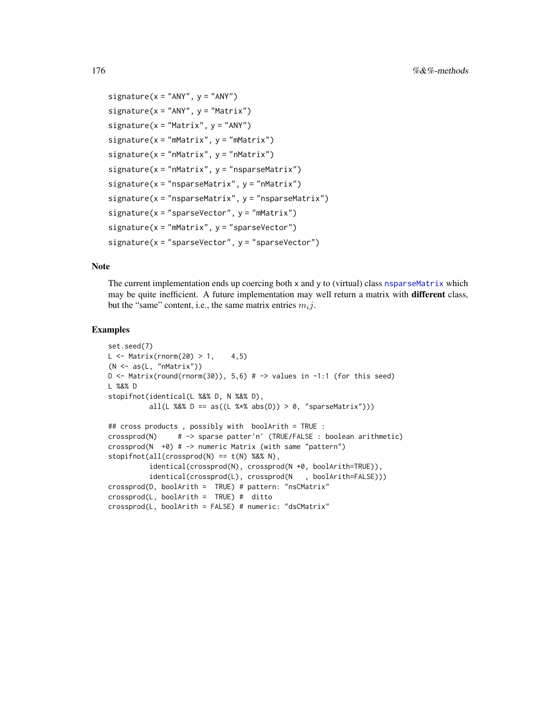```
signature(x = "ANY", y = "ANY")signature(x = "ANY", y = "Matrix")signature(x = "Matrix", y = "ANY")signature(x = "mMatrix", y = "mMatrix")signature(x = "nMatrix", y = "nMatrix")signature(x = "mMatrix", y = "nsparseMatrix")signature(x = "nsparseMatrix", y = "nMatrix")signature(x = "nsparseMatrix", y = "nsparseMatrix")signature(x = "sparseVector", y = "mMatrix")signature(x = "mMatrix", y = "sparseVector")signature(x = "sparseVector", y = "sparseVector")
```
# Note

The current implementation ends up coercing both x and y to (virtual) class [nsparseMatrix](#page-115-0) which may be quite inefficient. A future implementation may well return a matrix with different class, but the "same" content, i.e., the same matrix entries  $m_i j$ .

```
set.seed(7)
L \leftarrow Matrix(rnorm(20) > 1, 4,5)
(N \leq a s(L, "nMatrix"))D \leq Matrix(round(rnorm(30)), 5,6) # \Rightarrow values in -1:1 (for this seed)
L %&% D
stopifnot(identical(L %&% D, N %&% D),
          all(L %&% D == as((L %*% abs(D)) > 0, "sparseMatrix")))
## cross products , possibly with boolArith = TRUE :
crossprod(N) # -> sparse patter'n' (TRUE/FALSE : boolean arithmetic)
crossprod(N +0) # -> numeric Matrix (with same "pattern")
stopifnot(all(crossprod(N) == t(N) % 0.8% N),identical(crossprod(N), crossprod(N +0, boolArith=TRUE)),
          identical(crossprod(L), crossprod(N , boolArith=FALSE)))
crossprod(D, boolArith = TRUE) # pattern: "nsCMatrix"
crossprod(L, boolArith = TRUE) # ditto
crossprod(L, boolArith = FALSE) # numeric: "dsCMatrix"
```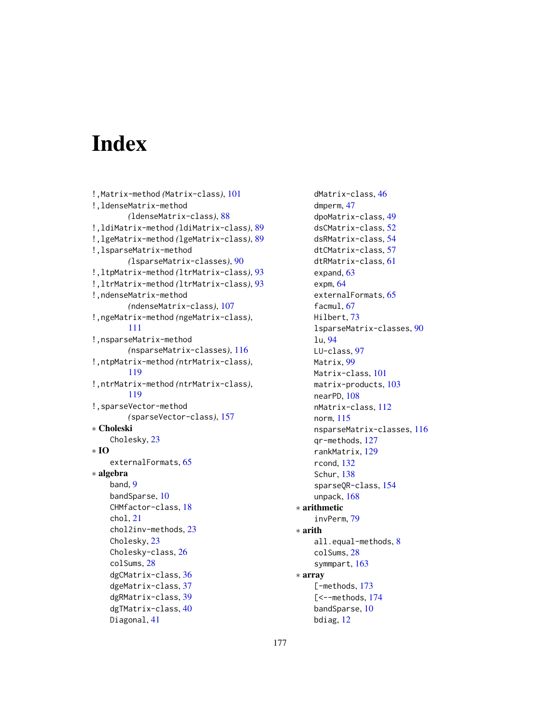# **Index**

```
!,Matrix-method (Matrix-class), 101
!,ldenseMatrix-method
        (ldenseMatrix-class), 88
!,ldiMatrix-method (ldiMatrix-class), 89
!,lgeMatrix-method (lgeMatrix-class), 89
!,lsparseMatrix-method
        (lsparseMatrix-classes), 90
!,ltpMatrix-method (ltrMatrix-class), 93
!,ltrMatrix-method (ltrMatrix-class), 93
!,ndenseMatrix-method
        (ndenseMatrix-class), 107
!,ngeMatrix-method (ngeMatrix-class),
        111
!,nsparseMatrix-method
        (nsparseMatrix-classes), 116
!,ntpMatrix-method (ntrMatrix-class),
        119
!,ntrMatrix-method (ntrMatrix-class),
        119
!,sparseVector-method
        (sparseVector-class), 157
∗ Choleski
    Cholesky, 23
∗ IO
    externalFormats, 65
∗ algebra
    band, 9
    bandSparse, 10
    CHMfactor-class, 18
    chol, 21
    chol2inv-methods, 23
    Cholesky, 23
    Cholesky-class, 26
    colSums, 28
    dgCMatrix-class, 36
    dgeMatrix-class, 37
    dgRMatrix-class, 39
    dgTMatrix-class, 40
    Diagonal, 41
```
dMatrix-class, [46](#page-45-0) dmperm, [47](#page-46-0) dpoMatrix-class, [49](#page-48-0) dsCMatrix-class, [52](#page-51-2) dsRMatrix-class, [54](#page-53-0) dtCMatrix-class, [57](#page-56-1) dtRMatrix-class, [61](#page-60-0) expand, [63](#page-62-0) expm, [64](#page-63-0) externalFormats, [65](#page-64-1) facmul, [67](#page-66-0) Hilbert, [73](#page-72-0) lsparseMatrix-classes, [90](#page-89-1) lu, [94](#page-93-1) LU-class, [97](#page-96-1) Matrix, [99](#page-98-1) Matrix-class, [101](#page-100-1) matrix-products, [103](#page-102-1) nearPD, [108](#page-107-0) nMatrix-class, [112](#page-111-1) norm, [115](#page-114-1) nsparseMatrix-classes, [116](#page-115-1) qr-methods, [127](#page-126-1) rankMatrix, [129](#page-128-0) rcond, [132](#page-131-0) Schur, [138](#page-137-1) sparseQR-class, [154](#page-153-1) unpack, [168](#page-167-0) ∗ arithmetic invPerm, [79](#page-78-0) ∗ arith all.equal-methods, [8](#page-7-0) colSums, [28](#page-27-1) symmpart, [163](#page-162-0) ∗ array [-methods, [173](#page-172-1) [<--methods, [174](#page-173-1) bandSparse, [10](#page-9-1) bdiag, [12](#page-11-1)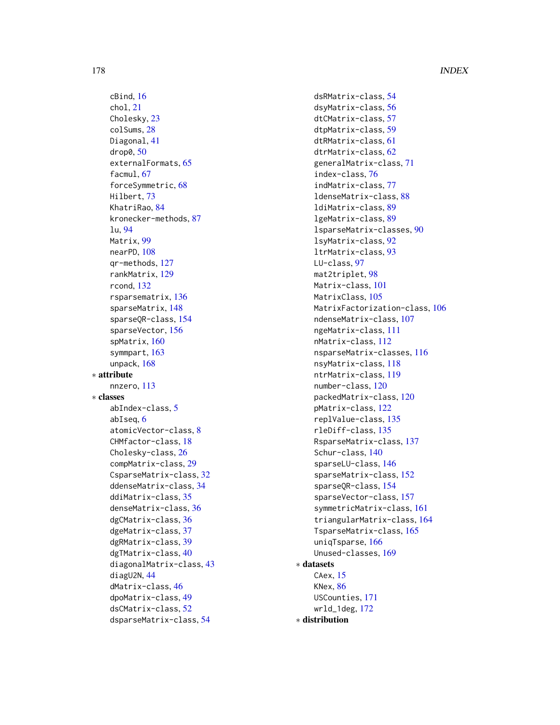cBind, [16](#page-15-0) chol, [21](#page-20-0) Cholesky, [23](#page-22-1) colSums, [28](#page-27-1) Diagonal, [41](#page-40-1) drop0, [50](#page-49-1) externalFormats, [65](#page-64-1) facmul, [67](#page-66-0) forceSymmetric, [68](#page-67-0) Hilbert, [73](#page-72-0) KhatriRao, [84](#page-83-0) kronecker-methods, [87](#page-86-0) lu, [94](#page-93-1) Matrix, [99](#page-98-1) nearPD, [108](#page-107-0) qr-methods, [127](#page-126-1) rankMatrix, [129](#page-128-0) rcond, [132](#page-131-0) rsparsematrix, [136](#page-135-1) sparseMatrix, [148](#page-147-1) sparseQR-class, [154](#page-153-1) sparseVector, [156](#page-155-1) spMatrix, [160](#page-159-1) symmpart, [163](#page-162-0) unpack, [168](#page-167-0) ∗ attribute nnzero, [113](#page-112-0) ∗ classes abIndex-class, [5](#page-4-0) abIseq, [6](#page-5-0) atomicVector-class, [8](#page-7-0) CHMfactor-class, [18](#page-17-2) Cholesky-class, [26](#page-25-0) compMatrix-class, [29](#page-28-0) CsparseMatrix-class, [32](#page-31-1) ddenseMatrix-class, [34](#page-33-0) ddiMatrix-class, [35](#page-34-0) denseMatrix-class, [36](#page-35-2) dgCMatrix-class, [36](#page-35-2) dgeMatrix-class, [37](#page-36-1) dgRMatrix-class, [39](#page-38-0) dgTMatrix-class, [40](#page-39-1) diagonalMatrix-class, [43](#page-42-0) diagU2N, [44](#page-43-0) dMatrix-class, [46](#page-45-0) dpoMatrix-class, [49](#page-48-0) dsCMatrix-class, [52](#page-51-2) dsparseMatrix-class, [54](#page-53-0)

dsRMatrix-class, [54](#page-53-0) dsyMatrix-class, [56](#page-55-1) dtCMatrix-class, [57](#page-56-1) dtpMatrix-class, [59](#page-58-0) dtRMatrix-class, [61](#page-60-0) dtrMatrix-class, [62](#page-61-1) generalMatrix-class, [71](#page-70-2) index-class, [76](#page-75-1) indMatrix-class, [77](#page-76-0) ldenseMatrix-class, [88](#page-87-0) ldiMatrix-class, [89](#page-88-1) lgeMatrix-class, [89](#page-88-1) lsparseMatrix-classes, [90](#page-89-1) lsyMatrix-class, [92](#page-91-0) ltrMatrix-class, [93](#page-92-0) LU-class, [97](#page-96-1) mat2triplet, [98](#page-97-0) Matrix-class, [101](#page-100-1) MatrixClass, [105](#page-104-0) MatrixFactorization-class, [106](#page-105-1) ndenseMatrix-class, [107](#page-106-0) ngeMatrix-class, [111](#page-110-0) nMatrix-class, [112](#page-111-1) nsparseMatrix-classes, [116](#page-115-1) nsyMatrix-class, [118](#page-117-0) ntrMatrix-class, [119](#page-118-0) number-class, [120](#page-119-0) packedMatrix-class, [120](#page-119-0) pMatrix-class, [122](#page-121-1) replValue-class, [135](#page-134-0) rleDiff-class, [135](#page-134-0) RsparseMatrix-class, [137](#page-136-1) Schur-class, [140](#page-139-0) sparseLU-class, [146](#page-145-0) sparseMatrix-class, [152](#page-151-1) sparseQR-class, [154](#page-153-1) sparseVector-class, [157](#page-156-1) symmetricMatrix-class, [161](#page-160-1) triangularMatrix-class, [164](#page-163-1) TsparseMatrix-class, [165](#page-164-1) uniqTsparse, [166](#page-165-0) Unused-classes, [169](#page-168-0) ∗ datasets CAex, [15](#page-14-0) KNex, [86](#page-85-0) USCounties, [171](#page-170-0) wrld\_1deg, [172](#page-171-0) ∗ distribution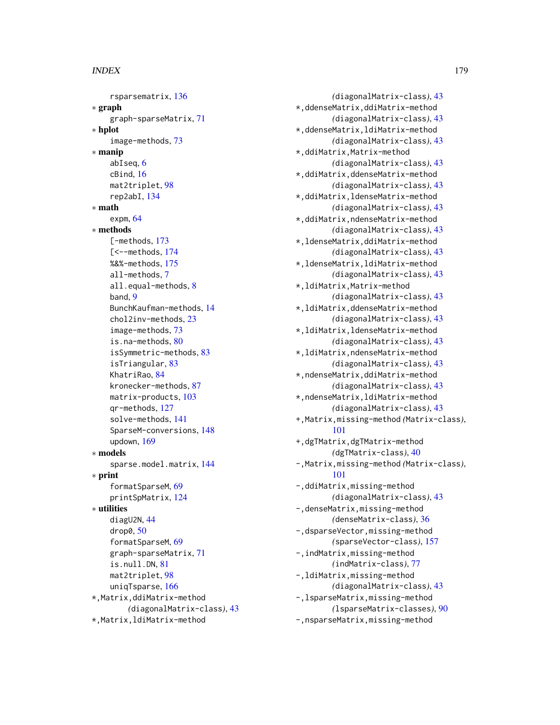### INDEX 279

rsparsematrix, [136](#page-135-1) ∗ graph graph-sparseMatrix, [71](#page-70-2) ∗ hplot image-methods, [73](#page-72-0) ∗ manip abIseq, [6](#page-5-0) cBind, [16](#page-15-0) mat2triplet, [98](#page-97-0) rep2abI, [134](#page-133-0) ∗ math expm,  $64$ ∗ methods [-methods, [173](#page-172-1) [<--methods, [174](#page-173-1) %&%-methods, [175](#page-174-0) all-methods, [7](#page-6-0) all.equal-methods, [8](#page-7-0) band, [9](#page-8-0) BunchKaufman-methods, [14](#page-13-0) chol2inv-methods, [23](#page-22-1) image-methods, [73](#page-72-0) is.na-methods, [80](#page-79-0) isSymmetric-methods, [83](#page-82-2) isTriangular, [83](#page-82-2) KhatriRao, [84](#page-83-0) kronecker-methods, [87](#page-86-0) matrix-products, [103](#page-102-1) qr-methods, [127](#page-126-1) solve-methods, [141](#page-140-1) SparseM-conversions, [148](#page-147-1) updown, [169](#page-168-0) ∗ models sparse.model.matrix, [144](#page-143-2) ∗ print formatSparseM, [69](#page-68-0) printSpMatrix, [124](#page-123-2) ∗ utilities diagU2N, [44](#page-43-0) drop0, [50](#page-49-1) formatSparseM, [69](#page-68-0) graph-sparseMatrix, [71](#page-70-2) is.null.DN, [81](#page-80-0) mat2triplet, [98](#page-97-0) uniqTsparse, [166](#page-165-0) \*,Matrix,ddiMatrix-method *(*diagonalMatrix-class*)*, [43](#page-42-0) \*,Matrix,ldiMatrix-method

*(*diagonalMatrix-class*)*, [43](#page-42-0) \*,ddenseMatrix,ddiMatrix-method *(*diagonalMatrix-class*)*, [43](#page-42-0) \*,ddenseMatrix,ldiMatrix-method *(*diagonalMatrix-class*)*, [43](#page-42-0) \*,ddiMatrix,Matrix-method *(*diagonalMatrix-class*)*, [43](#page-42-0) \*,ddiMatrix,ddenseMatrix-method *(*diagonalMatrix-class*)*, [43](#page-42-0) \*,ddiMatrix,ldenseMatrix-method *(*diagonalMatrix-class*)*, [43](#page-42-0) \*,ddiMatrix,ndenseMatrix-method *(*diagonalMatrix-class*)*, [43](#page-42-0) \*,ldenseMatrix,ddiMatrix-method *(*diagonalMatrix-class*)*, [43](#page-42-0) \*,ldenseMatrix,ldiMatrix-method *(*diagonalMatrix-class*)*, [43](#page-42-0) \*,ldiMatrix,Matrix-method *(*diagonalMatrix-class*)*, [43](#page-42-0) \*,ldiMatrix,ddenseMatrix-method *(*diagonalMatrix-class*)*, [43](#page-42-0) \*,ldiMatrix,ldenseMatrix-method *(*diagonalMatrix-class*)*, [43](#page-42-0) \*,ldiMatrix,ndenseMatrix-method *(*diagonalMatrix-class*)*, [43](#page-42-0) \*,ndenseMatrix,ddiMatrix-method *(*diagonalMatrix-class*)*, [43](#page-42-0) \*,ndenseMatrix,ldiMatrix-method *(*diagonalMatrix-class*)*, [43](#page-42-0) +,Matrix,missing-method *(*Matrix-class*)*, [101](#page-100-1) +,dgTMatrix,dgTMatrix-method *(*dgTMatrix-class*)*, [40](#page-39-1) -,Matrix,missing-method *(*Matrix-class*)*, [101](#page-100-1) -,ddiMatrix,missing-method *(*diagonalMatrix-class*)*, [43](#page-42-0) -,denseMatrix,missing-method *(*denseMatrix-class*)*, [36](#page-35-2) -,dsparseVector,missing-method *(*sparseVector-class*)*, [157](#page-156-1) -,indMatrix,missing-method *(*indMatrix-class*)*, [77](#page-76-0) -,ldiMatrix,missing-method *(*diagonalMatrix-class*)*, [43](#page-42-0) -,lsparseMatrix,missing-method *(*lsparseMatrix-classes*)*, [90](#page-89-1) -,nsparseMatrix,missing-method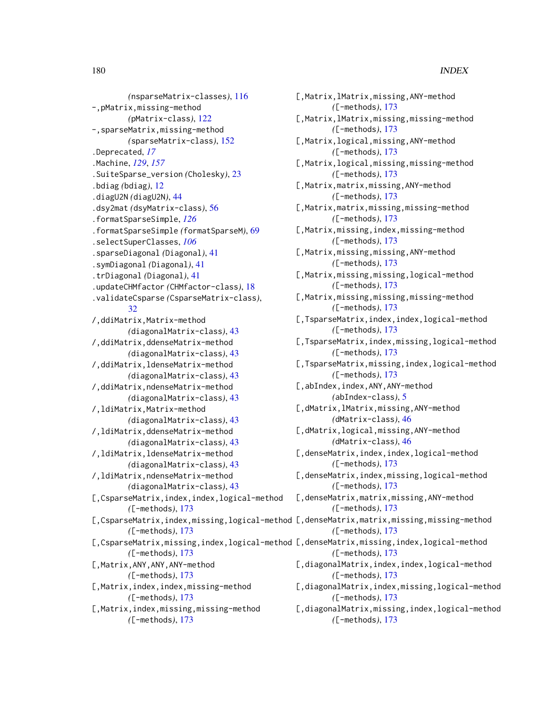*(*nsparseMatrix-classes*)*, [116](#page-115-1) -,pMatrix,missing-method *(*pMatrix-class*)*, [122](#page-121-1) -,sparseMatrix,missing-method *(*sparseMatrix-class*)*, [152](#page-151-1) .Deprecated, *[17](#page-16-0)* .Machine, *[129](#page-128-0)*, *[157](#page-156-1)* .SuiteSparse\_version *(*Cholesky*)*, [23](#page-22-1) .bdiag *(*bdiag*)*, [12](#page-11-1) .diagU2N *(*diagU2N*)*, [44](#page-43-0) .dsy2mat *(*dsyMatrix-class*)*, [56](#page-55-1) .formatSparseSimple, *[126](#page-125-0)* .formatSparseSimple *(*formatSparseM*)*, [69](#page-68-0) .selectSuperClasses, *[106](#page-105-1)* .sparseDiagonal *(*Diagonal*)*, [41](#page-40-1) .symDiagonal *(*Diagonal*)*, [41](#page-40-1) .trDiagonal *(*Diagonal*)*, [41](#page-40-1) .updateCHMfactor *(*CHMfactor-class*)*, [18](#page-17-2) .validateCsparse *(*CsparseMatrix-class*)*, [32](#page-31-1) /,ddiMatrix,Matrix-method *(*diagonalMatrix-class*)*, [43](#page-42-0) /,ddiMatrix,ddenseMatrix-method *(*diagonalMatrix-class*)*, [43](#page-42-0) /,ddiMatrix,ldenseMatrix-method *(*diagonalMatrix-class*)*, [43](#page-42-0) /,ddiMatrix,ndenseMatrix-method *(*diagonalMatrix-class*)*, [43](#page-42-0) /,ldiMatrix,Matrix-method *(*diagonalMatrix-class*)*, [43](#page-42-0) /,ldiMatrix,ddenseMatrix-method *(*diagonalMatrix-class*)*, [43](#page-42-0) /,ldiMatrix,ldenseMatrix-method *(*diagonalMatrix-class*)*, [43](#page-42-0) /,ldiMatrix,ndenseMatrix-method *(*diagonalMatrix-class*)*, [43](#page-42-0) [,CsparseMatrix,index,index,logical-method *(*[-methods*)*, [173](#page-172-1)

*(*[-methods*)*, [173](#page-172-1)

*(*[-methods*)*, [173](#page-172-1) [,Matrix,ANY,ANY,ANY-method *(*[-methods*)*, [173](#page-172-1) [, Matrix, index, index, missing-method *(*[-methods*)*, [173](#page-172-1)

*(*[-methods*)*, [173](#page-172-1)

[, Matrix, index, missing, missing-method

[,CsparseMatrix,index,missing,logical-method [,denseMatrix,matrix,missing,missing-method [, CsparseMatrix, missing, index, logical-method [, denseMatrix, missing, index, logical-method [, Matrix, 1Matrix, missing, ANY-method *(*[-methods*)*, [173](#page-172-1) [,Matrix,lMatrix,missing,missing-method *(*[-methods*)*, [173](#page-172-1) [,Matrix,logical,missing,ANY-method *(*[-methods*)*, [173](#page-172-1) [,Matrix,logical,missing,missing-method *(*[-methods*)*, [173](#page-172-1) [,Matrix,matrix,missing,ANY-method *(*[-methods*)*, [173](#page-172-1) [, Matrix, matrix, missing, missing-method *(*[-methods*)*, [173](#page-172-1) [,Matrix,missing,index,missing-method *(*[-methods*)*, [173](#page-172-1) [,Matrix,missing,missing,ANY-method *(*[-methods*)*, [173](#page-172-1) [,Matrix,missing,missing,logical-method *(*[-methods*)*, [173](#page-172-1) [,Matrix,missing,missing,missing-method *(*[-methods*)*, [173](#page-172-1) [,TsparseMatrix,index,index,logical-method *(*[-methods*)*, [173](#page-172-1) [,TsparseMatrix,index,missing,logical-method *(*[-methods*)*, [173](#page-172-1) [,TsparseMatrix,missing,index,logical-method *(*[-methods*)*, [173](#page-172-1) [,abIndex,index,ANY,ANY-method *(*abIndex-class*)*, [5](#page-4-0) [,dMatrix,lMatrix,missing,ANY-method *(*dMatrix-class*)*, [46](#page-45-0) [,dMatrix,logical,missing,ANY-method *(*dMatrix-class*)*, [46](#page-45-0) [,denseMatrix,index,index,logical-method *(*[-methods*)*, [173](#page-172-1) [, denseMatrix, index, missing, logical-method *(*[-methods*)*, [173](#page-172-1) [,denseMatrix,matrix,missing,ANY-method *(*[-methods*)*, [173](#page-172-1) *(*[-methods*)*, [173](#page-172-1) *(*[-methods*)*, [173](#page-172-1) [,diagonalMatrix,index,index,logical-method *(*[-methods*)*, [173](#page-172-1) [,diagonalMatrix,index,missing,logical-method *(*[-methods*)*, [173](#page-172-1) [,diagonalMatrix,missing,index,logical-method *(*[-methods*)*, [173](#page-172-1)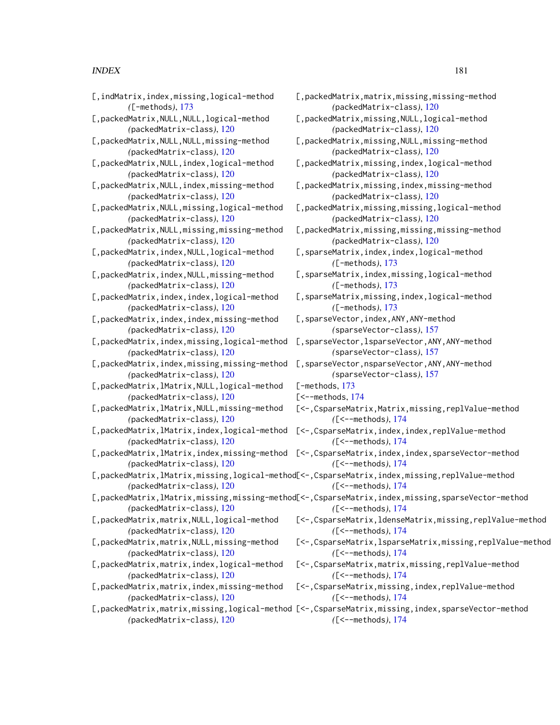# $INDEX$  and the set of the set of the set of the set of the set of the set of the set of the set of the set of the set of the set of the set of the set of the set of the set of the set of the set of the set of the set of th

| [, indMatrix, index, missing, logical-method    | [,packedMatrix,matrix,missing,missing-method                                                                         |
|-------------------------------------------------|----------------------------------------------------------------------------------------------------------------------|
| $([-methods), 173]$                             | (packedMatrix-class), 120                                                                                            |
| [, packedMatrix, NULL, NULL, logical-method     | [, packedMatrix, missing, NULL, logical-method                                                                       |
| (packedMatrix-class), 120                       | (packedMatrix-class), 120                                                                                            |
| [, packedMatrix, NULL, NULL, missing-method     | [, packedMatrix, missing, NULL, missing-method                                                                       |
| (packedMatrix-class), 120                       | (packedMatrix-class), 120                                                                                            |
| [, packedMatrix, NULL, index, logical-method    | [, packedMatrix, missing, index, logical-method                                                                      |
| (packedMatrix-class), 120                       | (packedMatrix-class), 120                                                                                            |
| [, packedMatrix, NULL, index, missing-method    | [,packedMatrix,missing,index,missing-method                                                                          |
| (packedMatrix-class), 120                       | (packedMatrix-class), 120                                                                                            |
| [, packedMatrix, NULL, missing, logical-method  | [, packedMatrix, missing, missing, logical-method                                                                    |
| (packedMatrix-class), 120                       | (packedMatrix-class), 120                                                                                            |
| [, packedMatrix, NULL, missing, missing-method  | [, packedMatrix, missing, missing, missing-methoo                                                                    |
| (packedMatrix-class), 120                       | (packedMatrix-class), 120                                                                                            |
| [, packedMatrix, index, NULL, logical-method    | [, sparseMatrix, index, index, logical-method                                                                        |
| (packedMatrix-class), 120                       | $([-methods), 173]$                                                                                                  |
| [, packedMatrix, index, NULL, missing-method    | [, sparseMatrix, index, missing, logical-method                                                                      |
| (packedMatrix-class), 120                       | $([-methods), 173]$                                                                                                  |
| [, packedMatrix, index, index, logical-method   | [, sparseMatrix, missing, index, logical-method                                                                      |
| (packedMatrix-class), 120                       | $([-methods), 173]$                                                                                                  |
| [, packedMatrix, index, index, missing-method   | [, sparseVector, index, ANY, ANY-method                                                                              |
| (packedMatrix-class), 120                       | (sparseVector-class), 157                                                                                            |
| [, packedMatrix, index, missing, logical-method | [, sparseVector, lsparseVector, ANY, ANY-method                                                                      |
| (packedMatrix-class), 120                       | (sparseVector-class), 157                                                                                            |
| [, packedMatrix, index, missing, missing-method | [, sparseVector, nsparseVector, ANY, ANY-method                                                                      |
| (packedMatrix-class), 120                       | (sparseVector-class), 157                                                                                            |
| [, packedMatrix, lMatrix, NULL, logical-method  | $\mathsf{[-methods, 173]}$                                                                                           |
| (packedMatrix-class), 120                       | $\mathsf{K}$ --methods, 174                                                                                          |
| [, packedMatrix, lMatrix, NULL, missing-method  | [<-, CsparseMatrix, Matrix, missing, replValue-mo                                                                    |
| (packedMatrix-class), 120                       | $(L<-methods), 174$                                                                                                  |
| [, packedMatrix, lMatrix, index, logical-method | [<-, CsparseMatrix, index, index, replValue-meth                                                                     |
| (packedMatrix-class), 120                       | $(L<-methods), 174$                                                                                                  |
| [,packedMatrix,lMatrix,index,missing-method     | [<-, CsparseMatrix, index, index, sparseVector-mo                                                                    |
| (packedMatrix-class), 120                       | $(L<-methods), 174$                                                                                                  |
| (packedMatrix-class), 120                       | [,packedMatrix,lMatrix,missing,logical-method[<-,CsparseMatrix,index,missing,replValue-me]<br>$(L<-methods), 174$    |
| (packedMatrix-class), 120                       | [,packedMatrix,lMatrix,missing,missing-method[<-,CsparseMatrix,index,missing,sparseVector<br>$($ [<--methods), $174$ |
| [, packedMatrix, matrix, NULL, logical-method   | [<-, CsparseMatrix, ldenseMatrix, missing, replVa                                                                    |
| (packedMatrix-class), 120                       | $($ [<--methods), $174$                                                                                              |
| [, packedMatrix, matrix, NULL, missing-method   | [<-, CsparseMatrix, lsparseMatrix, missing, repl'                                                                    |
| (packedMatrix-class), 120                       | $($ [ < - - methods), $174$                                                                                          |
| [, packedMatrix, matrix, index, logical-method  | [<-, CsparseMatrix, matrix, missing, replValue-mo                                                                    |
| (packedMatrix-class), 120                       | $($ [<--methods), $174$                                                                                              |
| [, packedMatrix, matrix, index, missing-method  | [<-, CsparseMatrix, missing, index, replValue-me                                                                     |
| (packedMatrix-class), 120                       | $($ [<--methods), $174$                                                                                              |
| (packedMatrix-class), 120                       | [,packedMatrix,matrix,missing,logical-method [<-,CsparseMatrix,missing,index,sparseVector<br>$(L<-methods), 174$     |

Matrix,missing,NULL,logical-method *(*packedMatrix-class*)*, [120](#page-119-0) Matrix,missing,NULL,missing-method *(*packedMatrix-class*)*, [120](#page-119-0) Matrix,missing,index,logical-method *(*packedMatrix-class*)*, [120](#page-119-0) Matrix,missing,index,missing-method *(*packedMatrix-class*)*, [120](#page-119-0) Matrix,missing,missing,logical-method *(*packedMatrix-class*)*, [120](#page-119-0) Matrix,missing,missing,missing-method *(*packedMatrix-class*)*, [120](#page-119-0) Matrix,index,index,logical-method *(*[-methods*)*, [173](#page-172-0) Matrix,index,missing,logical-method *(*[-methods*)*, [173](#page-172-0) Matrix,missing,index,logical-method *(*[-methods*)*, [173](#page-172-0) Vector, index, ANY, ANY-method *(*sparseVector-class*)*, [157](#page-156-0) Vector, lsparseVector, ANY, ANY-method *(*sparseVector-class*)*, [157](#page-156-0) Vector,nsparseVector,ANY,ANY-method *(*sparseVector-class*)*, [157](#page-156-0) s, [173](#page-172-0) ods, [174](#page-173-0) rseMatrix,Matrix,missing,replValue-method *(*[<--methods*)*, [174](#page-173-0)

rseMatrix, index, index, sparseVector-method *(*[<--methods*)*, [174](#page-173-0)

rseMatrix,index,missing,replValue-method *(*[<--methods*)*, [174](#page-173-0)

rseMatrix, index, missing, sparseVector-method *(*[<--methods*)*, [174](#page-173-0)

- rseMatrix,ldenseMatrix,missing,replValue-method *(*[<--methods*)*, [174](#page-173-0)
- rseMatrix, lsparseMatrix, missing, replValue-method *(*[<--methods*)*, [174](#page-173-0)
- rseMatrix,matrix,missing,replValue-method *(*[<--methods*)*, [174](#page-173-0)
- rseMatrix,missing,index,replValue-method *(*[<--methods*)*, [174](#page-173-0)

rseMatrix, missing, index, sparseVector-method *(*[<--methods*)*, [174](#page-173-0)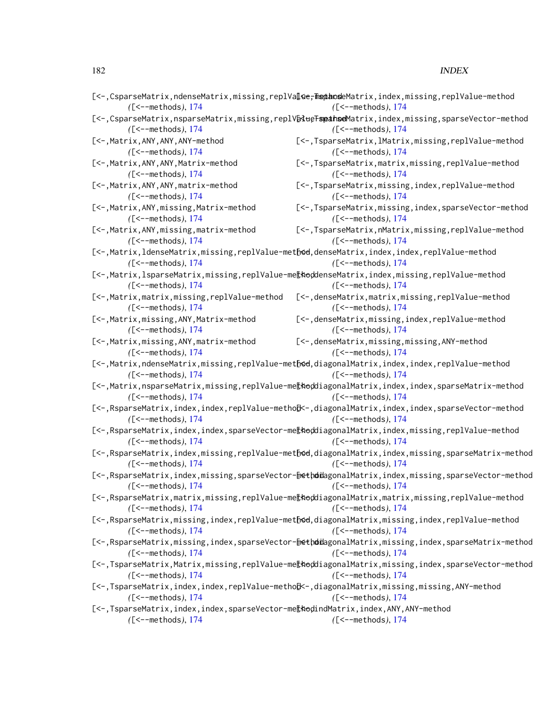|                                                                                 | [<-,CsparseMatrix,ndenseMatrix,missing,replValce <del>,mspthoseMatrix,index,missing,replValue-method</del>                 |
|---------------------------------------------------------------------------------|----------------------------------------------------------------------------------------------------------------------------|
| $($ [<--methods), $174$                                                         | $(\text{K--methods}), 174$                                                                                                 |
|                                                                                 | [<-, CsparseMatrix, nsparseMatrix, missing, replV@dteFspathseMatrix, index, missing, sparseVector-method                   |
| $($ [<--methods), $174$                                                         | $(L<-methods), 174$                                                                                                        |
| [<-, Matrix, ANY, ANY, ANY-method                                               | [<-, TsparseMatrix, lMatrix, missing, replValue-method                                                                     |
| $($ [<--methods), $174$                                                         | $($ [<--methods), $174$                                                                                                    |
| [<-, Matrix, ANY, ANY, Matrix-method                                            | [<-,TsparseMatrix,matrix,missing,replValue-method                                                                          |
| $($ [<--methods), $174$                                                         | $(L<-methods), 174$                                                                                                        |
| [<-, Matrix, ANY, ANY, matrix-method<br>$(L<-methods), 174$                     | [<-, TsparseMatrix, missing, index, replValue-method<br>$(L<-methods), 174$                                                |
| [<-, Matrix, ANY, missing, Matrix-method<br>$(L<-methods), 174$                 | [<-, TsparseMatrix, missing, index, sparseVector-method<br>$(L<-methods), 174$                                             |
| [<-, Matrix, ANY, missing, matrix-method<br>$(L<-methods), 174$                 | [<-,TsparseMatrix,nMatrix,missing,replValue-method<br>$(L<-methods), 174$                                                  |
|                                                                                 | [<-,Matrix,ldenseMatrix,missing,replValue-method,denseMatrix,index,index,replValue-method                                  |
| $(\text{K--methods}), 174$                                                      | $(\text{K--methods})$ , 174                                                                                                |
|                                                                                 | [<-,Matrix,lsparseMatrix,missing,replValue-me[koddenseMatrix,index,missing,replValue-method                                |
| $(\text{K--methods})$ , 174                                                     | $($ [ < - - methods), $174$                                                                                                |
| [<-, Matrix, matrix, missing, replValue-method                                  | [<-, denseMatrix, matrix, missing, replValue-method                                                                        |
| $($ [<--methods), $174$                                                         | $($ [<--methods), $174$                                                                                                    |
| [<-, Matrix, missing, ANY, Matrix-method<br>$($ [<--methods), $174$             | [<-, denseMatrix, missing, index, replValue-method<br>$($ [<--methods), $174$                                              |
| [<-, Matrix, missing, ANY, matrix-method                                        | [<-, denseMatrix, missing, missing, ANY-method                                                                             |
| $($ [<--methods), $174$                                                         | $(L<-methods), 174$                                                                                                        |
| $($ [<--methods), $174$                                                         | [<-,Matrix,ndenseMatrix,missing,replValue-method,diagonalMatrix,index,index,replValue-method<br>$(\text{K--methods}), 174$ |
| $($ [<--methods), 174                                                           | [<-,Matrix,nsparseMatrix,missing,replValue-me[koddiagonalMatrix,index,index,sparseMatrix-method<br>$(L<-methods), 174$     |
| $($ [<--methods), 174                                                           | [<-,RsparseMatrix,index,index,replValue-metho[k-,diagonalMatrix,index,index,sparseVector-method<br>$(L<-methods), 174$     |
|                                                                                 | [<-,RsparseMatrix,index,index,sparseVector-me[koddiagonalMatrix,index,missing,replValue-method                             |
| $($ [<--methods), $174$                                                         | $(\text{K--methods})$ , 174                                                                                                |
|                                                                                 | [<-,RsparseMatrix,index,missing,replValue-method,diagonalMatrix,index,missing,sparseMatrix-method                          |
| $($ [<--methods), $174$                                                         | $(\text{K--methods}), 174$                                                                                                 |
|                                                                                 | [<-,RsparseMatrix,index,missing,sparseVector-[methoidagonalMatrix,index,missing,sparseVector-method                        |
| $($ [<--methods), $174$                                                         | $(L<-methods), 174$                                                                                                        |
|                                                                                 | [<-,RsparseMatrix,matrix,missing,replValue-me[koddiagonalMatrix,matrix,missing,replValue-method                            |
| $(\text{K--methods})$ , 174                                                     | $($ [<--methods), 174                                                                                                      |
|                                                                                 | [<-, RsparseMatrix, missing, index, replValue-method, diagonalMatrix, missing, index, replValue-method                     |
| $(\text{K--methods})$ , 174                                                     | $($ [<--methods), $174$                                                                                                    |
|                                                                                 | [<-, RsparseMatrix, missing, index, sparseVector-[methoidagonalMatrix, missing, index, sparseMatrix-method                 |
| $(I<-\text{methods})$ , 174                                                     | $($ [<--methods), $174$                                                                                                    |
|                                                                                 | [<-,TsparseMatrix,Matrix,missing,replValue-me[thoddiagonalMatrix,missing,index,sparseVector-method                         |
| $($ [<--methods), $174$                                                         | $($ [<--methods), $174$                                                                                                    |
|                                                                                 | [<-,TsparseMatrix,index,index,replValue-metho[k-,diagonalMatrix,missing,missing,ANY-method                                 |
| $($ [<--methods), $174$                                                         | $(\text{K--methods})$ , 174                                                                                                |
| [<-,TsparseMatrix,index,index,sparseVector-me[kodindMatrix,index,ANY,ANY-method |                                                                                                                            |

*(*[<--methods*)*, [174](#page-173-0) *(*[<--methods*)*, [174](#page-173-0)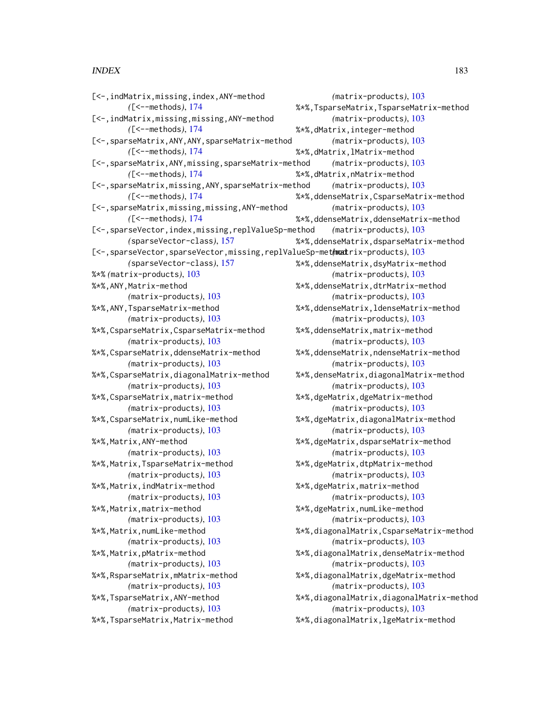### $I\ N$ DEX 183

[<-,indMatrix,missing,index,ANY-method *(*[<--methods*)*, [174](#page-173-0) [<-,indMatrix,missing,missing,ANY-method *(*[<--methods*)*, [174](#page-173-0) [<-,sparseMatrix,ANY,ANY,sparseMatrix-method *(*[<--methods*)*, [174](#page-173-0) [<-,sparseMatrix,ANY,missing,sparseMatrix-method *(*[<--methods*)*, [174](#page-173-0) [<-,sparseMatrix,missing,ANY,sparseMatrix-method *(*[<--methods*)*, [174](#page-173-0) [<-,sparseMatrix,missing,missing,ANY-method *(*[<--methods*)*, [174](#page-173-0) [<-,sparseVector,index,missing,replValueSp-method *(*sparseVector-class*)*, [157](#page-156-0) [<-,sparseVector,sparseVector,missing,replValueSp-methmatrix-products), [103](#page-102-0) *(*sparseVector-class*)*, [157](#page-156-0) %\*% *(*matrix-products*)*, [103](#page-102-0) %\*%,ANY,Matrix-method *(*matrix-products*)*, [103](#page-102-0) %\*%,ANY,TsparseMatrix-method *(*matrix-products*)*, [103](#page-102-0) %\*%,CsparseMatrix,CsparseMatrix-method *(*matrix-products*)*, [103](#page-102-0) %\*%,CsparseMatrix,ddenseMatrix-method *(*matrix-products*)*, [103](#page-102-0) %\*%,CsparseMatrix,diagonalMatrix-method *(*matrix-products*)*, [103](#page-102-0) %\*%,CsparseMatrix,matrix-method *(*matrix-products*)*, [103](#page-102-0) %\*%,CsparseMatrix,numLike-method *(*matrix-products*)*, [103](#page-102-0) %\*%,Matrix,ANY-method *(*matrix-products*)*, [103](#page-102-0) %\*%,Matrix,TsparseMatrix-method *(*matrix-products*)*, [103](#page-102-0) %\*%,Matrix,indMatrix-method *(*matrix-products*)*, [103](#page-102-0) %\*%,Matrix,matrix-method *(*matrix-products*)*, [103](#page-102-0) %\*%,Matrix,numLike-method *(*matrix-products*)*, [103](#page-102-0) %\*%,Matrix,pMatrix-method *(*matrix-products*)*, [103](#page-102-0) %\*%,RsparseMatrix,mMatrix-method *(*matrix-products*)*, [103](#page-102-0) %\*%,TsparseMatrix,ANY-method *(*matrix-products*)*, [103](#page-102-0) %\*%,TsparseMatrix,Matrix-method

*(*matrix-products*)*, [103](#page-102-0) %\*%,TsparseMatrix,TsparseMatrix-method *(*matrix-products*)*, [103](#page-102-0) %\*%,dMatrix,integer-method *(*matrix-products*)*, [103](#page-102-0) %\*%,dMatrix,lMatrix-method *(*matrix-products*)*, [103](#page-102-0) %\*%,dMatrix,nMatrix-method *(*matrix-products*)*, [103](#page-102-0) %\*%,ddenseMatrix,CsparseMatrix-method *(*matrix-products*)*, [103](#page-102-0) %\*%,ddenseMatrix,ddenseMatrix-method *(*matrix-products*)*, [103](#page-102-0) %\*%,ddenseMatrix,dsparseMatrix-method %\*%,ddenseMatrix,dsyMatrix-method *(*matrix-products*)*, [103](#page-102-0) %\*%,ddenseMatrix,dtrMatrix-method *(*matrix-products*)*, [103](#page-102-0) %\*%,ddenseMatrix,ldenseMatrix-method *(*matrix-products*)*, [103](#page-102-0) %\*%,ddenseMatrix,matrix-method *(*matrix-products*)*, [103](#page-102-0) %\*%,ddenseMatrix,ndenseMatrix-method *(*matrix-products*)*, [103](#page-102-0) %\*%,denseMatrix,diagonalMatrix-method *(*matrix-products*)*, [103](#page-102-0) %\*%,dgeMatrix,dgeMatrix-method *(*matrix-products*)*, [103](#page-102-0) %\*%,dgeMatrix,diagonalMatrix-method *(*matrix-products*)*, [103](#page-102-0) %\*%,dgeMatrix,dsparseMatrix-method *(*matrix-products*)*, [103](#page-102-0) %\*%,dgeMatrix,dtpMatrix-method *(*matrix-products*)*, [103](#page-102-0) %\*%,dgeMatrix,matrix-method *(*matrix-products*)*, [103](#page-102-0) %\*%,dgeMatrix,numLike-method *(*matrix-products*)*, [103](#page-102-0) %\*%,diagonalMatrix,CsparseMatrix-method *(*matrix-products*)*, [103](#page-102-0) %\*%,diagonalMatrix,denseMatrix-method *(*matrix-products*)*, [103](#page-102-0) %\*%,diagonalMatrix,dgeMatrix-method *(*matrix-products*)*, [103](#page-102-0) %\*%,diagonalMatrix,diagonalMatrix-method *(*matrix-products*)*, [103](#page-102-0) %\*%,diagonalMatrix,lgeMatrix-method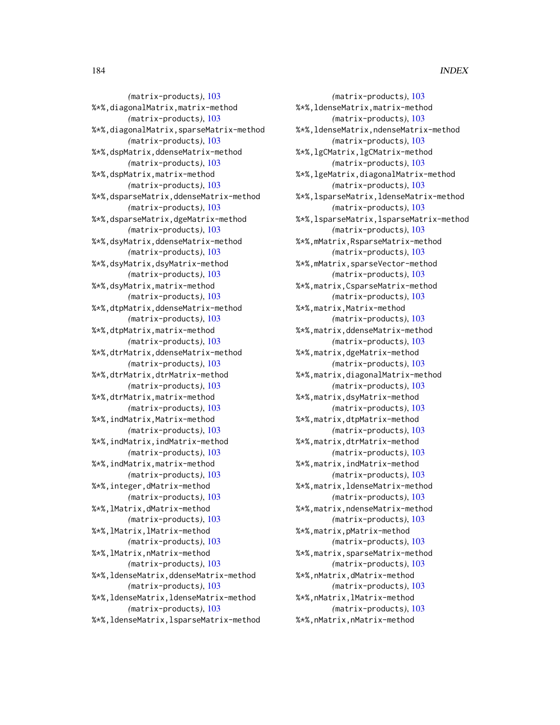*(*matrix-products*)*, [103](#page-102-0) %\*%,ldenseMatrix,matrix-method *(*matrix-products*)*, [103](#page-102-0) %\*%,ldenseMatrix,ndenseMatrix-method *(*matrix-products*)*, [103](#page-102-0) %\*%,lgCMatrix,lgCMatrix-method *(*matrix-products*)*, [103](#page-102-0) %\*%,lgeMatrix,diagonalMatrix-method *(*matrix-products*)*, [103](#page-102-0) %\*%,lsparseMatrix,ldenseMatrix-method *(*matrix-products*)*, [103](#page-102-0) %\*%,lsparseMatrix,lsparseMatrix-method *(*matrix-products*)*, [103](#page-102-0) %\*%,mMatrix,RsparseMatrix-method *(*matrix-products*)*, [103](#page-102-0) %\*%,mMatrix,sparseVector-method *(*matrix-products*)*, [103](#page-102-0) %\*%,matrix,CsparseMatrix-method *(*matrix-products*)*, [103](#page-102-0) %\*%,matrix,Matrix-method *(*matrix-products*)*, [103](#page-102-0) %\*%,matrix,ddenseMatrix-method *(*matrix-products*)*, [103](#page-102-0) %\*%,matrix,dgeMatrix-method *(*matrix-products*)*, [103](#page-102-0) %\*%,matrix,diagonalMatrix-method *(*matrix-products*)*, [103](#page-102-0) %\*%,matrix,dsyMatrix-method *(*matrix-products*)*, [103](#page-102-0) %\*%,matrix,dtpMatrix-method *(*matrix-products*)*, [103](#page-102-0) %\*%,matrix,dtrMatrix-method *(*matrix-products*)*, [103](#page-102-0) %\*%,matrix,indMatrix-method *(*matrix-products*)*, [103](#page-102-0) %\*%,matrix,ldenseMatrix-method *(*matrix-products*)*, [103](#page-102-0) %\*%,matrix,ndenseMatrix-method *(*matrix-products*)*, [103](#page-102-0) %\*%,matrix,pMatrix-method *(*matrix-products*)*, [103](#page-102-0) %\*%,matrix,sparseMatrix-method *(*matrix-products*)*, [103](#page-102-0) %\*%,nMatrix,dMatrix-method *(*matrix-products*)*, [103](#page-102-0) %\*%,nMatrix,lMatrix-method *(*matrix-products*)*, [103](#page-102-0) %\*%,nMatrix,nMatrix-method

*(*matrix-products*)*, [103](#page-102-0) %\*%,diagonalMatrix,matrix-method *(*matrix-products*)*, [103](#page-102-0) %\*%,diagonalMatrix,sparseMatrix-method *(*matrix-products*)*, [103](#page-102-0) %\*%,dspMatrix,ddenseMatrix-method *(*matrix-products*)*, [103](#page-102-0) %\*%,dspMatrix,matrix-method *(*matrix-products*)*, [103](#page-102-0) %\*%,dsparseMatrix,ddenseMatrix-method *(*matrix-products*)*, [103](#page-102-0) %\*%,dsparseMatrix,dgeMatrix-method *(*matrix-products*)*, [103](#page-102-0) %\*%,dsyMatrix,ddenseMatrix-method *(*matrix-products*)*, [103](#page-102-0) %\*%,dsyMatrix,dsyMatrix-method *(*matrix-products*)*, [103](#page-102-0) %\*%,dsyMatrix,matrix-method *(*matrix-products*)*, [103](#page-102-0) %\*%,dtpMatrix,ddenseMatrix-method *(*matrix-products*)*, [103](#page-102-0) %\*%,dtpMatrix,matrix-method *(*matrix-products*)*, [103](#page-102-0) %\*%,dtrMatrix,ddenseMatrix-method *(*matrix-products*)*, [103](#page-102-0) %\*%,dtrMatrix,dtrMatrix-method *(*matrix-products*)*, [103](#page-102-0) %\*%,dtrMatrix,matrix-method *(*matrix-products*)*, [103](#page-102-0) %\*%,indMatrix,Matrix-method *(*matrix-products*)*, [103](#page-102-0) %\*%,indMatrix,indMatrix-method *(*matrix-products*)*, [103](#page-102-0) %\*%,indMatrix,matrix-method *(*matrix-products*)*, [103](#page-102-0) %\*%,integer,dMatrix-method *(*matrix-products*)*, [103](#page-102-0) %\*%,lMatrix,dMatrix-method *(*matrix-products*)*, [103](#page-102-0) %\*%,lMatrix,lMatrix-method *(*matrix-products*)*, [103](#page-102-0) %\*%,lMatrix,nMatrix-method *(*matrix-products*)*, [103](#page-102-0) %\*%,ldenseMatrix,ddenseMatrix-method *(*matrix-products*)*, [103](#page-102-0) %\*%,ldenseMatrix,ldenseMatrix-method *(*matrix-products*)*, [103](#page-102-0) %\*%,ldenseMatrix,lsparseMatrix-method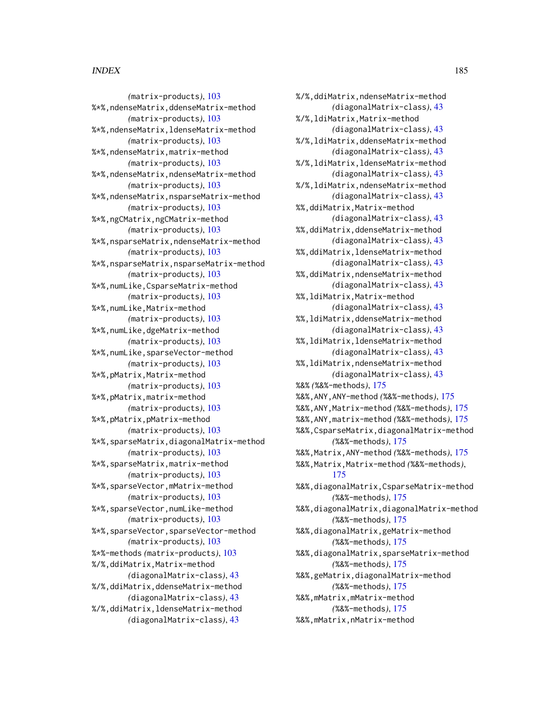*(*matrix-products*)*, [103](#page-102-0) %\*%,ndenseMatrix,ddenseMatrix-method *(*matrix-products*)*, [103](#page-102-0) %\*%,ndenseMatrix,ldenseMatrix-method *(*matrix-products*)*, [103](#page-102-0) %\*%,ndenseMatrix,matrix-method *(*matrix-products*)*, [103](#page-102-0) %\*%,ndenseMatrix,ndenseMatrix-method *(*matrix-products*)*, [103](#page-102-0) %\*%,ndenseMatrix,nsparseMatrix-method *(*matrix-products*)*, [103](#page-102-0) %\*%,ngCMatrix,ngCMatrix-method *(*matrix-products*)*, [103](#page-102-0) %\*%,nsparseMatrix,ndenseMatrix-method *(*matrix-products*)*, [103](#page-102-0) %\*%,nsparseMatrix,nsparseMatrix-method *(*matrix-products*)*, [103](#page-102-0) %\*%,numLike,CsparseMatrix-method *(*matrix-products*)*, [103](#page-102-0) %\*%,numLike,Matrix-method *(*matrix-products*)*, [103](#page-102-0) %\*%,numLike,dgeMatrix-method *(*matrix-products*)*, [103](#page-102-0) %\*%,numLike,sparseVector-method *(*matrix-products*)*, [103](#page-102-0) %\*%,pMatrix,Matrix-method *(*matrix-products*)*, [103](#page-102-0) %\*%,pMatrix,matrix-method *(*matrix-products*)*, [103](#page-102-0) %\*%,pMatrix,pMatrix-method *(*matrix-products*)*, [103](#page-102-0) %\*%,sparseMatrix,diagonalMatrix-method *(*matrix-products*)*, [103](#page-102-0) %\*%,sparseMatrix,matrix-method *(*matrix-products*)*, [103](#page-102-0) %\*%,sparseVector,mMatrix-method *(*matrix-products*)*, [103](#page-102-0) %\*%,sparseVector,numLike-method *(*matrix-products*)*, [103](#page-102-0) %\*%,sparseVector,sparseVector-method *(*matrix-products*)*, [103](#page-102-0) %\*%-methods *(*matrix-products*)*, [103](#page-102-0) %/%,ddiMatrix,Matrix-method *(*diagonalMatrix-class*)*, [43](#page-42-0) %/%,ddiMatrix,ddenseMatrix-method *(*diagonalMatrix-class*)*, [43](#page-42-0) %/%,ddiMatrix,ldenseMatrix-method *(*diagonalMatrix-class*)*, [43](#page-42-0)

%/%,ddiMatrix,ndenseMatrix-method *(*diagonalMatrix-class*)*, [43](#page-42-0) %/%,ldiMatrix,Matrix-method *(*diagonalMatrix-class*)*, [43](#page-42-0) %/%,ldiMatrix,ddenseMatrix-method *(*diagonalMatrix-class*)*, [43](#page-42-0) %/%,ldiMatrix,ldenseMatrix-method *(*diagonalMatrix-class*)*, [43](#page-42-0) %/%,ldiMatrix,ndenseMatrix-method *(*diagonalMatrix-class*)*, [43](#page-42-0) %%,ddiMatrix,Matrix-method *(*diagonalMatrix-class*)*, [43](#page-42-0) %%,ddiMatrix,ddenseMatrix-method *(*diagonalMatrix-class*)*, [43](#page-42-0) %%,ddiMatrix,ldenseMatrix-method *(*diagonalMatrix-class*)*, [43](#page-42-0) %%,ddiMatrix,ndenseMatrix-method *(*diagonalMatrix-class*)*, [43](#page-42-0) %%,ldiMatrix,Matrix-method *(*diagonalMatrix-class*)*, [43](#page-42-0) %%,ldiMatrix,ddenseMatrix-method *(*diagonalMatrix-class*)*, [43](#page-42-0) %%,ldiMatrix,ldenseMatrix-method *(*diagonalMatrix-class*)*, [43](#page-42-0) %%,ldiMatrix,ndenseMatrix-method *(*diagonalMatrix-class*)*, [43](#page-42-0) %&% *(*%&%-methods*)*, [175](#page-174-0) %&%,ANY,ANY-method *(*%&%-methods*)*, [175](#page-174-0) %&%,ANY,Matrix-method *(*%&%-methods*)*, [175](#page-174-0) %&%,ANY,matrix-method *(*%&%-methods*)*, [175](#page-174-0) %&%,CsparseMatrix,diagonalMatrix-method *(*%&%-methods*)*, [175](#page-174-0) %&%,Matrix,ANY-method *(*%&%-methods*)*, [175](#page-174-0) %&%,Matrix,Matrix-method *(*%&%-methods*)*, [175](#page-174-0) %&%,diagonalMatrix,CsparseMatrix-method *(*%&%-methods*)*, [175](#page-174-0) %&%,diagonalMatrix,diagonalMatrix-method *(*%&%-methods*)*, [175](#page-174-0) %&%,diagonalMatrix,geMatrix-method *(*%&%-methods*)*, [175](#page-174-0) %&%,diagonalMatrix,sparseMatrix-method *(*%&%-methods*)*, [175](#page-174-0) %&%,geMatrix,diagonalMatrix-method *(*%&%-methods*)*, [175](#page-174-0) %&%,mMatrix,mMatrix-method *(*%&%-methods*)*, [175](#page-174-0) %&%,mMatrix,nMatrix-method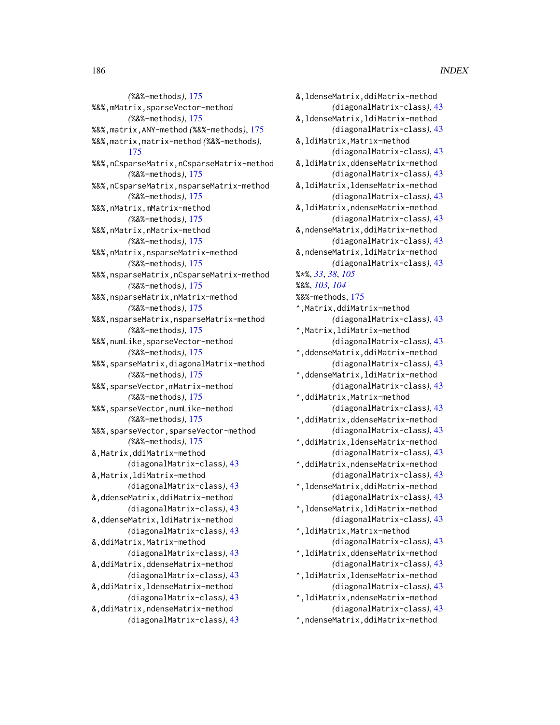*(*%&%-methods*)*, [175](#page-174-0) %&%,mMatrix,sparseVector-method *(*%&%-methods*)*, [175](#page-174-0) %&%,matrix,ANY-method *(*%&%-methods*)*, [175](#page-174-0) %&%,matrix,matrix-method *(*%&%-methods*)*, [175](#page-174-0) %&%,nCsparseMatrix,nCsparseMatrix-method *(*%&%-methods*)*, [175](#page-174-0) %&%,nCsparseMatrix,nsparseMatrix-method *(*%&%-methods*)*, [175](#page-174-0) %&%,nMatrix,mMatrix-method *(*%&%-methods*)*, [175](#page-174-0) %&%,nMatrix,nMatrix-method *(*%&%-methods*)*, [175](#page-174-0) %&%,nMatrix,nsparseMatrix-method *(*%&%-methods*)*, [175](#page-174-0) %&%,nsparseMatrix,nCsparseMatrix-method *(*%&%-methods*)*, [175](#page-174-0) %&%,nsparseMatrix,nMatrix-method *(*%&%-methods*)*, [175](#page-174-0) %&%,nsparseMatrix,nsparseMatrix-method *(*%&%-methods*)*, [175](#page-174-0) %&%,numLike,sparseVector-method *(*%&%-methods*)*, [175](#page-174-0) %&%,sparseMatrix,diagonalMatrix-method *(*%&%-methods*)*, [175](#page-174-0) %&%,sparseVector,mMatrix-method *(*%&%-methods*)*, [175](#page-174-0) %&%,sparseVector,numLike-method *(*%&%-methods*)*, [175](#page-174-0) %&%,sparseVector,sparseVector-method *(*%&%-methods*)*, [175](#page-174-0) &,Matrix,ddiMatrix-method *(*diagonalMatrix-class*)*, [43](#page-42-0) &,Matrix,ldiMatrix-method *(*diagonalMatrix-class*)*, [43](#page-42-0) &,ddenseMatrix,ddiMatrix-method *(*diagonalMatrix-class*)*, [43](#page-42-0) &,ddenseMatrix,ldiMatrix-method *(*diagonalMatrix-class*)*, [43](#page-42-0) &,ddiMatrix,Matrix-method *(*diagonalMatrix-class*)*, [43](#page-42-0) &,ddiMatrix,ddenseMatrix-method *(*diagonalMatrix-class*)*, [43](#page-42-0) &,ddiMatrix,ldenseMatrix-method *(*diagonalMatrix-class*)*, [43](#page-42-0) &,ddiMatrix,ndenseMatrix-method *(*diagonalMatrix-class*)*, [43](#page-42-0)

&,ldenseMatrix,ddiMatrix-method *(*diagonalMatrix-class*)*, [43](#page-42-0) &,ldenseMatrix,ldiMatrix-method *(*diagonalMatrix-class*)*, [43](#page-42-0) &,ldiMatrix,Matrix-method *(*diagonalMatrix-class*)*, [43](#page-42-0) &,ldiMatrix,ddenseMatrix-method *(*diagonalMatrix-class*)*, [43](#page-42-0) &,ldiMatrix,ldenseMatrix-method *(*diagonalMatrix-class*)*, [43](#page-42-0) &,ldiMatrix,ndenseMatrix-method *(*diagonalMatrix-class*)*, [43](#page-42-0) &,ndenseMatrix,ddiMatrix-method *(*diagonalMatrix-class*)*, [43](#page-42-0) &,ndenseMatrix,ldiMatrix-method *(*diagonalMatrix-class*)*, [43](#page-42-0) %\*%, *[33](#page-32-0)*, *[38](#page-37-0)*, *[105](#page-104-0)* %&%, *[103,](#page-102-0) [104](#page-103-0)* %&%-methods, [175](#page-174-0) ^,Matrix,ddiMatrix-method *(*diagonalMatrix-class*)*, [43](#page-42-0) ^,Matrix,ldiMatrix-method *(*diagonalMatrix-class*)*, [43](#page-42-0) ^,ddenseMatrix,ddiMatrix-method *(*diagonalMatrix-class*)*, [43](#page-42-0) ^,ddenseMatrix,ldiMatrix-method *(*diagonalMatrix-class*)*, [43](#page-42-0) ^,ddiMatrix,Matrix-method *(*diagonalMatrix-class*)*, [43](#page-42-0) ^,ddiMatrix,ddenseMatrix-method *(*diagonalMatrix-class*)*, [43](#page-42-0) ^,ddiMatrix,ldenseMatrix-method *(*diagonalMatrix-class*)*, [43](#page-42-0) ^,ddiMatrix,ndenseMatrix-method *(*diagonalMatrix-class*)*, [43](#page-42-0) ^,ldenseMatrix,ddiMatrix-method *(*diagonalMatrix-class*)*, [43](#page-42-0) ^,ldenseMatrix,ldiMatrix-method *(*diagonalMatrix-class*)*, [43](#page-42-0) ^,ldiMatrix,Matrix-method *(*diagonalMatrix-class*)*, [43](#page-42-0) ^,ldiMatrix,ddenseMatrix-method *(*diagonalMatrix-class*)*, [43](#page-42-0) ^,ldiMatrix,ldenseMatrix-method *(*diagonalMatrix-class*)*, [43](#page-42-0) ^,ldiMatrix,ndenseMatrix-method *(*diagonalMatrix-class*)*, [43](#page-42-0) ^,ndenseMatrix,ddiMatrix-method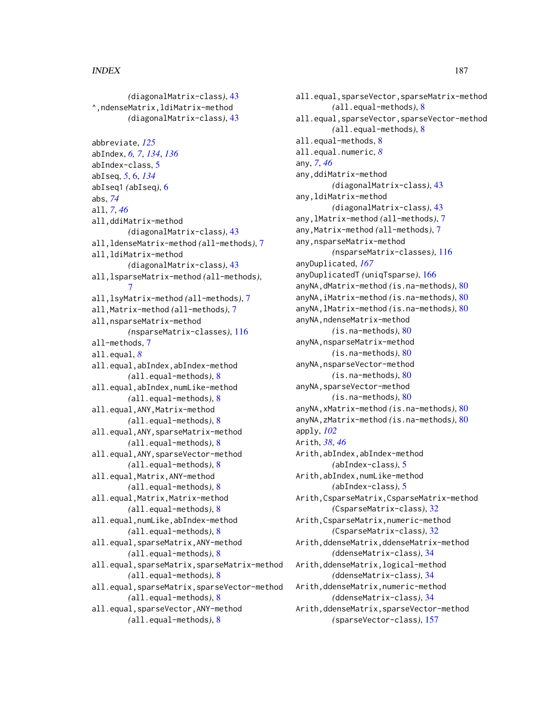*(*diagonalMatrix-class*)*, [43](#page-42-0) ^,ndenseMatrix,ldiMatrix-method *(*diagonalMatrix-class*)*, [43](#page-42-0) abbreviate, *[125](#page-124-0)* abIndex, *[6,](#page-5-0) [7](#page-6-0)*, *[134](#page-133-0)*, *[136](#page-135-0)* abIndex-class, [5](#page-4-0) abIseq, *[5](#page-4-0)*, [6,](#page-5-0) *[134](#page-133-0)* abIseq1 *(*abIseq*)*, [6](#page-5-0) abs, *[74](#page-73-0)* all, *[7](#page-6-0)*, *[46](#page-45-0)* all,ddiMatrix-method *(*diagonalMatrix-class*)*, [43](#page-42-0) all,ldenseMatrix-method *(*all-methods*)*, [7](#page-6-0) all,ldiMatrix-method *(*diagonalMatrix-class*)*, [43](#page-42-0) all,lsparseMatrix-method *(*all-methods*)*, [7](#page-6-0) all,lsyMatrix-method *(*all-methods*)*, [7](#page-6-0) all,Matrix-method *(*all-methods*)*, [7](#page-6-0) all,nsparseMatrix-method *(*nsparseMatrix-classes*)*, [116](#page-115-0) all-methods, [7](#page-6-0) all.equal, *[8](#page-7-0)* all.equal,abIndex,abIndex-method *(*all.equal-methods*)*, [8](#page-7-0) all.equal,abIndex,numLike-method *(*all.equal-methods*)*, [8](#page-7-0) all.equal,ANY,Matrix-method *(*all.equal-methods*)*, [8](#page-7-0) all.equal,ANY,sparseMatrix-method *(*all.equal-methods*)*, [8](#page-7-0) all.equal,ANY,sparseVector-method *(*all.equal-methods*)*, [8](#page-7-0) all.equal,Matrix,ANY-method *(*all.equal-methods*)*, [8](#page-7-0) all.equal,Matrix,Matrix-method *(*all.equal-methods*)*, [8](#page-7-0) all.equal,numLike,abIndex-method *(*all.equal-methods*)*, [8](#page-7-0) all.equal,sparseMatrix,ANY-method *(*all.equal-methods*)*, [8](#page-7-0) all.equal,sparseMatrix,sparseMatrix-method *(*all.equal-methods*)*, [8](#page-7-0) all.equal,sparseMatrix,sparseVector-method *(*all.equal-methods*)*, [8](#page-7-0) all.equal,sparseVector,ANY-method *(*all.equal-methods*)*, [8](#page-7-0)

all.equal,sparseVector,sparseMatrix-method *(*all.equal-methods*)*, [8](#page-7-0) all.equal,sparseVector,sparseVector-method *(*all.equal-methods*)*, [8](#page-7-0) all.equal-methods, [8](#page-7-0) all.equal.numeric, *[8](#page-7-0)* any, *[7](#page-6-0)*, *[46](#page-45-0)* any,ddiMatrix-method *(*diagonalMatrix-class*)*, [43](#page-42-0) any,ldiMatrix-method *(*diagonalMatrix-class*)*, [43](#page-42-0) any,lMatrix-method *(*all-methods*)*, [7](#page-6-0) any,Matrix-method *(*all-methods*)*, [7](#page-6-0) any,nsparseMatrix-method *(*nsparseMatrix-classes*)*, [116](#page-115-0) anyDuplicated, *[167](#page-166-0)* anyDuplicatedT *(*uniqTsparse*)*, [166](#page-165-0) anyNA,dMatrix-method *(*is.na-methods*)*, [80](#page-79-0) anyNA,iMatrix-method *(*is.na-methods*)*, [80](#page-79-0) anyNA,lMatrix-method *(*is.na-methods*)*, [80](#page-79-0) anyNA, ndenseMatrix-method *(*is.na-methods*)*, [80](#page-79-0) anyNA, nsparseMatrix-method *(*is.na-methods*)*, [80](#page-79-0) anyNA,nsparseVector-method *(*is.na-methods*)*, [80](#page-79-0) anyNA,sparseVector-method *(*is.na-methods*)*, [80](#page-79-0) anyNA,xMatrix-method *(*is.na-methods*)*, [80](#page-79-0) anyNA,zMatrix-method *(*is.na-methods*)*, [80](#page-79-0) apply, *[102](#page-101-0)* Arith, *[38](#page-37-0)*, *[46](#page-45-0)* Arith,abIndex,abIndex-method *(*abIndex-class*)*, [5](#page-4-0) Arith,abIndex,numLike-method *(*abIndex-class*)*, [5](#page-4-0) Arith,CsparseMatrix,CsparseMatrix-method *(*CsparseMatrix-class*)*, [32](#page-31-0) Arith,CsparseMatrix,numeric-method *(*CsparseMatrix-class*)*, [32](#page-31-0) Arith,ddenseMatrix,ddenseMatrix-method *(*ddenseMatrix-class*)*, [34](#page-33-0) Arith,ddenseMatrix,logical-method *(*ddenseMatrix-class*)*, [34](#page-33-0) Arith,ddenseMatrix,numeric-method *(*ddenseMatrix-class*)*, [34](#page-33-0) Arith,ddenseMatrix,sparseVector-method *(*sparseVector-class*)*, [157](#page-156-0)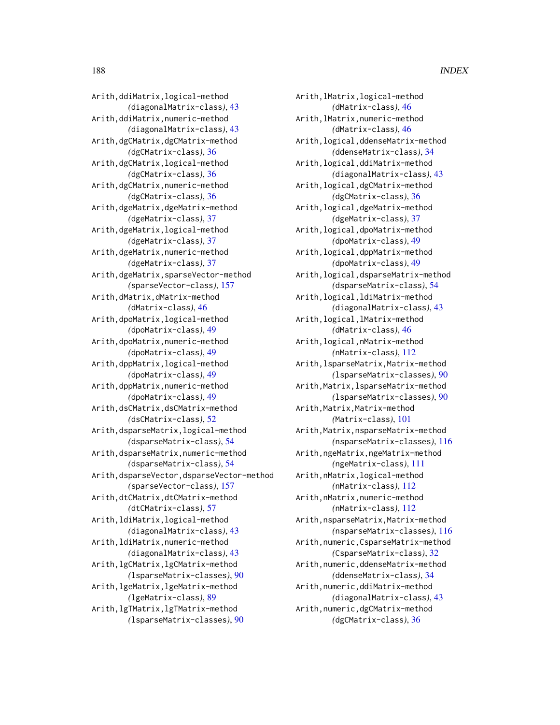Arith,lMatrix,logical-method *(*dMatrix-class*)*, [46](#page-45-0) Arith,lMatrix,numeric-method *(*dMatrix-class*)*, [46](#page-45-0) Arith,logical,ddenseMatrix-method *(*ddenseMatrix-class*)*, [34](#page-33-0) Arith,logical,ddiMatrix-method *(*diagonalMatrix-class*)*, [43](#page-42-0) Arith,logical,dgCMatrix-method *(*dgCMatrix-class*)*, [36](#page-35-0) Arith,logical,dgeMatrix-method *(*dgeMatrix-class*)*, [37](#page-36-0) Arith,logical,dpoMatrix-method *(*dpoMatrix-class*)*, [49](#page-48-0) Arith,logical,dppMatrix-method *(*dpoMatrix-class*)*, [49](#page-48-0) Arith,logical,dsparseMatrix-method *(*dsparseMatrix-class*)*, [54](#page-53-0) Arith,logical,ldiMatrix-method *(*diagonalMatrix-class*)*, [43](#page-42-0) Arith,logical,lMatrix-method *(*dMatrix-class*)*, [46](#page-45-0) Arith,logical,nMatrix-method *(*nMatrix-class*)*, [112](#page-111-0) Arith,lsparseMatrix,Matrix-method *(*lsparseMatrix-classes*)*, [90](#page-89-0) Arith,Matrix,lsparseMatrix-method *(*lsparseMatrix-classes*)*, [90](#page-89-0) Arith, Matrix, Matrix-method *(*Matrix-class*)*, [101](#page-100-0) Arith,Matrix,nsparseMatrix-method *(*nsparseMatrix-classes*)*, [116](#page-115-0) Arith,ngeMatrix,ngeMatrix-method *(*ngeMatrix-class*)*, [111](#page-110-0) Arith,nMatrix,logical-method *(*nMatrix-class*)*, [112](#page-111-0) Arith,nMatrix,numeric-method *(*nMatrix-class*)*, [112](#page-111-0) Arith,nsparseMatrix,Matrix-method *(*nsparseMatrix-classes*)*, [116](#page-115-0) Arith,numeric,CsparseMatrix-method *(*CsparseMatrix-class*)*, [32](#page-31-0) Arith,numeric,ddenseMatrix-method *(*ddenseMatrix-class*)*, [34](#page-33-0) Arith,numeric,ddiMatrix-method *(*diagonalMatrix-class*)*, [43](#page-42-0) Arith,numeric,dgCMatrix-method *(*dgCMatrix-class*)*, [36](#page-35-0)

Arith,ddiMatrix,logical-method *(*diagonalMatrix-class*)*, [43](#page-42-0) Arith,ddiMatrix,numeric-method *(*diagonalMatrix-class*)*, [43](#page-42-0) Arith,dgCMatrix,dgCMatrix-method *(*dgCMatrix-class*)*, [36](#page-35-0) Arith,dgCMatrix,logical-method *(*dgCMatrix-class*)*, [36](#page-35-0) Arith,dgCMatrix,numeric-method *(*dgCMatrix-class*)*, [36](#page-35-0) Arith,dgeMatrix,dgeMatrix-method *(*dgeMatrix-class*)*, [37](#page-36-0) Arith,dgeMatrix,logical-method *(*dgeMatrix-class*)*, [37](#page-36-0) Arith,dgeMatrix,numeric-method *(*dgeMatrix-class*)*, [37](#page-36-0) Arith,dgeMatrix,sparseVector-method *(*sparseVector-class*)*, [157](#page-156-0) Arith,dMatrix,dMatrix-method *(*dMatrix-class*)*, [46](#page-45-0) Arith,dpoMatrix,logical-method *(*dpoMatrix-class*)*, [49](#page-48-0) Arith,dpoMatrix,numeric-method *(*dpoMatrix-class*)*, [49](#page-48-0) Arith,dppMatrix,logical-method *(*dpoMatrix-class*)*, [49](#page-48-0) Arith,dppMatrix,numeric-method *(*dpoMatrix-class*)*, [49](#page-48-0) Arith,dsCMatrix,dsCMatrix-method *(*dsCMatrix-class*)*, [52](#page-51-0) Arith,dsparseMatrix,logical-method *(*dsparseMatrix-class*)*, [54](#page-53-0) Arith,dsparseMatrix,numeric-method *(*dsparseMatrix-class*)*, [54](#page-53-0) Arith,dsparseVector,dsparseVector-method *(*sparseVector-class*)*, [157](#page-156-0) Arith,dtCMatrix,dtCMatrix-method *(*dtCMatrix-class*)*, [57](#page-56-0) Arith,ldiMatrix,logical-method *(*diagonalMatrix-class*)*, [43](#page-42-0) Arith,ldiMatrix,numeric-method *(*diagonalMatrix-class*)*, [43](#page-42-0) Arith,lgCMatrix,lgCMatrix-method *(*lsparseMatrix-classes*)*, [90](#page-89-0) Arith,lgeMatrix,lgeMatrix-method *(*lgeMatrix-class*)*, [89](#page-88-0) Arith,lgTMatrix,lgTMatrix-method *(*lsparseMatrix-classes*)*, [90](#page-89-0)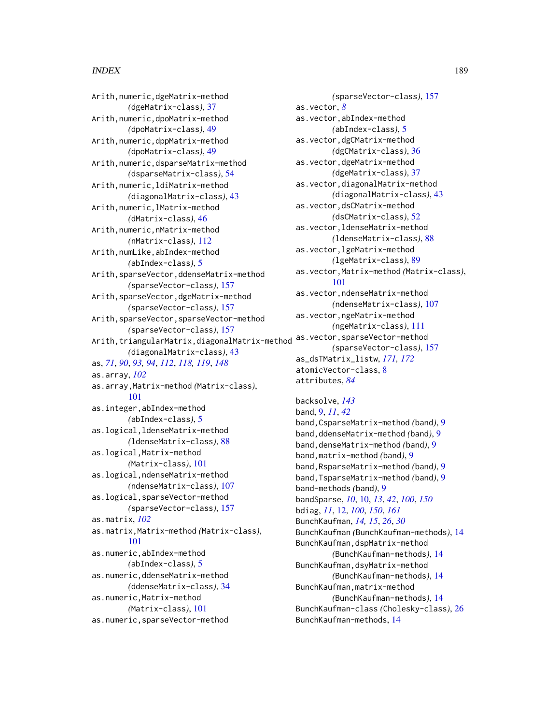Arith,numeric,dgeMatrix-method *(*dgeMatrix-class*)*, [37](#page-36-0) Arith,numeric,dpoMatrix-method *(*dpoMatrix-class*)*, [49](#page-48-0) Arith,numeric,dppMatrix-method *(*dpoMatrix-class*)*, [49](#page-48-0) Arith,numeric,dsparseMatrix-method *(*dsparseMatrix-class*)*, [54](#page-53-0) Arith,numeric,ldiMatrix-method *(*diagonalMatrix-class*)*, [43](#page-42-0) Arith,numeric,lMatrix-method *(*dMatrix-class*)*, [46](#page-45-0) Arith,numeric,nMatrix-method *(*nMatrix-class*)*, [112](#page-111-0) Arith,numLike,abIndex-method *(*abIndex-class*)*, [5](#page-4-0) Arith,sparseVector,ddenseMatrix-method *(*sparseVector-class*)*, [157](#page-156-0) Arith,sparseVector,dgeMatrix-method *(*sparseVector-class*)*, [157](#page-156-0) Arith,sparseVector,sparseVector-method *(*sparseVector-class*)*, [157](#page-156-0) Arith,triangularMatrix,diagonalMatrix-method *(*diagonalMatrix-class*)*, [43](#page-42-0) as, *[71](#page-70-0)*, *[90](#page-89-0)*, *[93,](#page-92-0) [94](#page-93-0)*, *[112](#page-111-0)*, *[118,](#page-117-0) [119](#page-118-0)*, *[148](#page-147-0)* as.array, *[102](#page-101-0)* as.array,Matrix-method *(*Matrix-class*)*, [101](#page-100-0) as.integer,abIndex-method *(*abIndex-class*)*, [5](#page-4-0) as.logical,ldenseMatrix-method *(*ldenseMatrix-class*)*, [88](#page-87-0) as.logical,Matrix-method *(*Matrix-class*)*, [101](#page-100-0) as.logical,ndenseMatrix-method *(*ndenseMatrix-class*)*, [107](#page-106-0) as.logical,sparseVector-method *(*sparseVector-class*)*, [157](#page-156-0) as.matrix, *[102](#page-101-0)* as.matrix,Matrix-method *(*Matrix-class*)*, [101](#page-100-0) as.numeric,abIndex-method *(*abIndex-class*)*, [5](#page-4-0) as.numeric,ddenseMatrix-method *(*ddenseMatrix-class*)*, [34](#page-33-0) as.numeric,Matrix-method *(*Matrix-class*)*, [101](#page-100-0) as.numeric,sparseVector-method

*(*sparseVector-class*)*, [157](#page-156-0) as.vector, *[8](#page-7-0)* as.vector,abIndex-method *(*abIndex-class*)*, [5](#page-4-0) as.vector,dgCMatrix-method *(*dgCMatrix-class*)*, [36](#page-35-0) as.vector,dgeMatrix-method *(*dgeMatrix-class*)*, [37](#page-36-0) as.vector,diagonalMatrix-method *(*diagonalMatrix-class*)*, [43](#page-42-0) as.vector,dsCMatrix-method *(*dsCMatrix-class*)*, [52](#page-51-0) as.vector,ldenseMatrix-method *(*ldenseMatrix-class*)*, [88](#page-87-0) as.vector,lgeMatrix-method *(*lgeMatrix-class*)*, [89](#page-88-0) as.vector,Matrix-method *(*Matrix-class*)*, [101](#page-100-0) as.vector,ndenseMatrix-method *(*ndenseMatrix-class*)*, [107](#page-106-0) as.vector,ngeMatrix-method *(*ngeMatrix-class*)*, [111](#page-110-0) as.vector,sparseVector-method *(*sparseVector-class*)*, [157](#page-156-0) as\_dsTMatrix\_listw, *[171,](#page-170-0) [172](#page-171-0)* atomicVector-class, [8](#page-7-0) attributes, *[84](#page-83-0)*

backsolve, *[143](#page-142-0)* band, [9,](#page-8-0) *[11](#page-10-0)*, *[42](#page-41-0)* band,CsparseMatrix-method *(*band*)*, [9](#page-8-0) band,ddenseMatrix-method *(*band*)*, [9](#page-8-0) band,denseMatrix-method *(*band*)*, [9](#page-8-0) band,matrix-method *(*band*)*, [9](#page-8-0) band,RsparseMatrix-method *(*band*)*, [9](#page-8-0) band,TsparseMatrix-method *(*band*)*, [9](#page-8-0) band-methods *(*band*)*, [9](#page-8-0) bandSparse, *[10](#page-9-0)*, [10,](#page-9-0) *[13](#page-12-0)*, *[42](#page-41-0)*, *[100](#page-99-0)*, *[150](#page-149-0)* bdiag, *[11](#page-10-0)*, [12,](#page-11-0) *[100](#page-99-0)*, *[150](#page-149-0)*, *[161](#page-160-0)* BunchKaufman, *[14,](#page-13-0) [15](#page-14-0)*, *[26](#page-25-0)*, *[30](#page-29-0)* BunchKaufman *(*BunchKaufman-methods*)*, [14](#page-13-0) BunchKaufman,dspMatrix-method *(*BunchKaufman-methods*)*, [14](#page-13-0) BunchKaufman,dsyMatrix-method *(*BunchKaufman-methods*)*, [14](#page-13-0) BunchKaufman,matrix-method *(*BunchKaufman-methods*)*, [14](#page-13-0) BunchKaufman-class *(*Cholesky-class*)*, [26](#page-25-0) BunchKaufman-methods, [14](#page-13-0)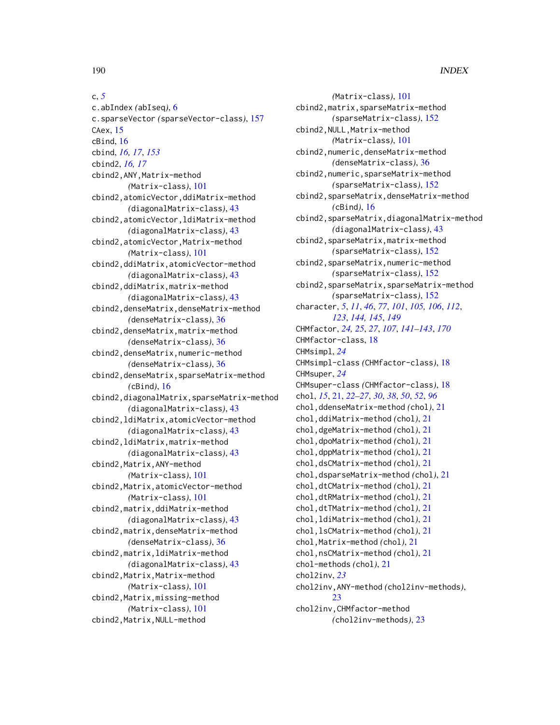c, *[5](#page-4-0)* c.abIndex *(*abIseq*)*, [6](#page-5-0) c.sparseVector *(*sparseVector-class*)*, [157](#page-156-0) CAex, [15](#page-14-0) cBind, [16](#page-15-0) cbind, *[16,](#page-15-0) [17](#page-16-0)*, *[153](#page-152-0)* cbind2, *[16,](#page-15-0) [17](#page-16-0)* cbind2,ANY,Matrix-method *(*Matrix-class*)*, [101](#page-100-0) cbind2,atomicVector,ddiMatrix-method *(*diagonalMatrix-class*)*, [43](#page-42-0) cbind2,atomicVector,ldiMatrix-method *(*diagonalMatrix-class*)*, [43](#page-42-0) cbind2,atomicVector,Matrix-method *(*Matrix-class*)*, [101](#page-100-0) cbind2,ddiMatrix,atomicVector-method *(*diagonalMatrix-class*)*, [43](#page-42-0) cbind2,ddiMatrix,matrix-method *(*diagonalMatrix-class*)*, [43](#page-42-0) cbind2,denseMatrix,denseMatrix-method *(*denseMatrix-class*)*, [36](#page-35-0) cbind2,denseMatrix,matrix-method *(*denseMatrix-class*)*, [36](#page-35-0) cbind2,denseMatrix,numeric-method *(*denseMatrix-class*)*, [36](#page-35-0) cbind2,denseMatrix,sparseMatrix-method *(*cBind*)*, [16](#page-15-0) cbind2,diagonalMatrix,sparseMatrix-method *(*diagonalMatrix-class*)*, [43](#page-42-0) cbind2,ldiMatrix,atomicVector-method *(*diagonalMatrix-class*)*, [43](#page-42-0) cbind2,ldiMatrix,matrix-method *(*diagonalMatrix-class*)*, [43](#page-42-0) cbind2,Matrix,ANY-method *(*Matrix-class*)*, [101](#page-100-0) cbind2,Matrix,atomicVector-method *(*Matrix-class*)*, [101](#page-100-0) cbind2,matrix,ddiMatrix-method *(*diagonalMatrix-class*)*, [43](#page-42-0) cbind2,matrix,denseMatrix-method *(*denseMatrix-class*)*, [36](#page-35-0) cbind2,matrix,ldiMatrix-method *(*diagonalMatrix-class*)*, [43](#page-42-0) cbind2,Matrix,Matrix-method *(*Matrix-class*)*, [101](#page-100-0) cbind2,Matrix,missing-method *(*Matrix-class*)*, [101](#page-100-0) cbind2,Matrix,NULL-method

*(*Matrix-class*)*, [101](#page-100-0) cbind2,matrix,sparseMatrix-method *(*sparseMatrix-class*)*, [152](#page-151-0) cbind2,NULL,Matrix-method *(*Matrix-class*)*, [101](#page-100-0) cbind2,numeric,denseMatrix-method *(*denseMatrix-class*)*, [36](#page-35-0) cbind2,numeric,sparseMatrix-method *(*sparseMatrix-class*)*, [152](#page-151-0) cbind2,sparseMatrix,denseMatrix-method *(*cBind*)*, [16](#page-15-0) cbind2,sparseMatrix,diagonalMatrix-method *(*diagonalMatrix-class*)*, [43](#page-42-0) cbind2,sparseMatrix,matrix-method *(*sparseMatrix-class*)*, [152](#page-151-0) cbind2,sparseMatrix,numeric-method *(*sparseMatrix-class*)*, [152](#page-151-0) cbind2,sparseMatrix,sparseMatrix-method *(*sparseMatrix-class*)*, [152](#page-151-0) character, *[5](#page-4-0)*, *[11](#page-10-0)*, *[46](#page-45-0)*, *[77](#page-76-0)*, *[101](#page-100-0)*, *[105,](#page-104-0) [106](#page-105-0)*, *[112](#page-111-0)*, *[123](#page-122-0)*, *[144,](#page-143-0) [145](#page-144-0)*, *[149](#page-148-0)* CHMfactor, *[24,](#page-23-0) [25](#page-24-0)*, *[27](#page-26-0)*, *[107](#page-106-0)*, *[141](#page-140-0)[–143](#page-142-0)*, *[170](#page-169-0)* CHMfactor-class, [18](#page-17-0) CHMsimpl, *[24](#page-23-0)* CHMsimpl-class *(*CHMfactor-class*)*, [18](#page-17-0) CHMsuper, *[24](#page-23-0)* CHMsuper-class *(*CHMfactor-class*)*, [18](#page-17-0) chol, *[15](#page-14-0)*, [21,](#page-20-0) *[22](#page-21-0)[–27](#page-26-0)*, *[30](#page-29-0)*, *[38](#page-37-0)*, *[50](#page-49-0)*, *[52](#page-51-0)*, *[96](#page-95-0)* chol,ddenseMatrix-method *(*chol*)*, [21](#page-20-0) chol,ddiMatrix-method *(*chol*)*, [21](#page-20-0) chol,dgeMatrix-method *(*chol*)*, [21](#page-20-0) chol,dpoMatrix-method *(*chol*)*, [21](#page-20-0) chol,dppMatrix-method *(*chol*)*, [21](#page-20-0) chol,dsCMatrix-method *(*chol*)*, [21](#page-20-0) chol,dsparseMatrix-method *(*chol*)*, [21](#page-20-0) chol,dtCMatrix-method *(*chol*)*, [21](#page-20-0) chol,dtRMatrix-method *(*chol*)*, [21](#page-20-0) chol,dtTMatrix-method *(*chol*)*, [21](#page-20-0) chol,ldiMatrix-method *(*chol*)*, [21](#page-20-0) chol,lsCMatrix-method *(*chol*)*, [21](#page-20-0) chol,Matrix-method *(*chol*)*, [21](#page-20-0) chol,nsCMatrix-method *(*chol*)*, [21](#page-20-0) chol-methods *(*chol*)*, [21](#page-20-0) chol2inv, *[23](#page-22-0)* chol2inv,ANY-method *(*chol2inv-methods*)*,  $23$ chol2inv,CHMfactor-method *(*chol2inv-methods*)*, [23](#page-22-0)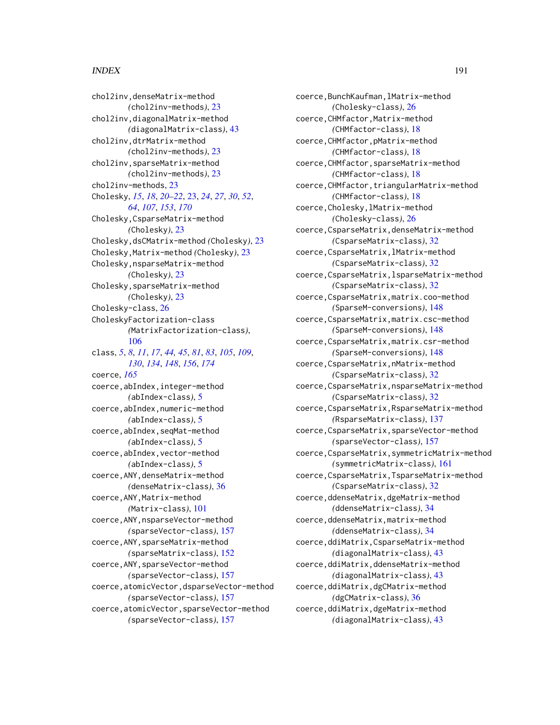### $I<sub>ND</sub>E<sub>X</sub>$  191

chol2inv,denseMatrix-method *(*chol2inv-methods*)*, [23](#page-22-0) chol2inv,diagonalMatrix-method *(*diagonalMatrix-class*)*, [43](#page-42-0) chol2inv,dtrMatrix-method *(*chol2inv-methods*)*, [23](#page-22-0) chol2inv,sparseMatrix-method *(*chol2inv-methods*)*, [23](#page-22-0) chol2inv-methods, [23](#page-22-0) Cholesky, *[15](#page-14-0)*, *[18](#page-17-0)*, *[20](#page-19-0)[–22](#page-21-0)*, [23,](#page-22-0) *[24](#page-23-0)*, *[27](#page-26-0)*, *[30](#page-29-0)*, *[52](#page-51-0)*, *[64](#page-63-0)*, *[107](#page-106-0)*, *[153](#page-152-0)*, *[170](#page-169-0)* Cholesky,CsparseMatrix-method *(*Cholesky*)*, [23](#page-22-0) Cholesky,dsCMatrix-method *(*Cholesky*)*, [23](#page-22-0) Cholesky,Matrix-method *(*Cholesky*)*, [23](#page-22-0) Cholesky,nsparseMatrix-method *(*Cholesky*)*, [23](#page-22-0) Cholesky, sparseMatrix-method *(*Cholesky*)*, [23](#page-22-0) Cholesky-class, [26](#page-25-0) CholeskyFactorization-class *(*MatrixFactorization-class*)*, [106](#page-105-0) class, *[5](#page-4-0)*, *[8](#page-7-0)*, *[11](#page-10-0)*, *[17](#page-16-0)*, *[44,](#page-43-0) [45](#page-44-0)*, *[81](#page-80-0)*, *[83](#page-82-0)*, *[105](#page-104-0)*, *[109](#page-108-0)*, *[130](#page-129-0)*, *[134](#page-133-0)*, *[148](#page-147-0)*, *[156](#page-155-0)*, *[174](#page-173-0)* coerce, *[165](#page-164-0)* coerce,abIndex,integer-method *(*abIndex-class*)*, [5](#page-4-0) coerce,abIndex,numeric-method *(*abIndex-class*)*, [5](#page-4-0) coerce,abIndex,seqMat-method *(*abIndex-class*)*, [5](#page-4-0) coerce,abIndex,vector-method *(*abIndex-class*)*, [5](#page-4-0) coerce,ANY,denseMatrix-method *(*denseMatrix-class*)*, [36](#page-35-0) coerce,ANY,Matrix-method *(*Matrix-class*)*, [101](#page-100-0) coerce,ANY,nsparseVector-method *(*sparseVector-class*)*, [157](#page-156-0) coerce,ANY,sparseMatrix-method *(*sparseMatrix-class*)*, [152](#page-151-0) coerce,ANY,sparseVector-method *(*sparseVector-class*)*, [157](#page-156-0) coerce,atomicVector,dsparseVector-method *(*sparseVector-class*)*, [157](#page-156-0) coerce,atomicVector,sparseVector-method *(*sparseVector-class*)*, [157](#page-156-0)

coerce,BunchKaufman,lMatrix-method *(*Cholesky-class*)*, [26](#page-25-0) coerce,CHMfactor,Matrix-method *(*CHMfactor-class*)*, [18](#page-17-0) coerce,CHMfactor,pMatrix-method *(*CHMfactor-class*)*, [18](#page-17-0) coerce,CHMfactor,sparseMatrix-method *(*CHMfactor-class*)*, [18](#page-17-0) coerce,CHMfactor,triangularMatrix-method *(*CHMfactor-class*)*, [18](#page-17-0) coerce,Cholesky,lMatrix-method *(*Cholesky-class*)*, [26](#page-25-0) coerce,CsparseMatrix,denseMatrix-method *(*CsparseMatrix-class*)*, [32](#page-31-0) coerce,CsparseMatrix,lMatrix-method *(*CsparseMatrix-class*)*, [32](#page-31-0) coerce,CsparseMatrix,lsparseMatrix-method *(*CsparseMatrix-class*)*, [32](#page-31-0) coerce,CsparseMatrix,matrix.coo-method *(*SparseM-conversions*)*, [148](#page-147-0) coerce,CsparseMatrix,matrix.csc-method *(*SparseM-conversions*)*, [148](#page-147-0) coerce,CsparseMatrix,matrix.csr-method *(*SparseM-conversions*)*, [148](#page-147-0) coerce,CsparseMatrix,nMatrix-method *(*CsparseMatrix-class*)*, [32](#page-31-0) coerce,CsparseMatrix,nsparseMatrix-method *(*CsparseMatrix-class*)*, [32](#page-31-0) coerce,CsparseMatrix,RsparseMatrix-method *(*RsparseMatrix-class*)*, [137](#page-136-0) coerce,CsparseMatrix,sparseVector-method *(*sparseVector-class*)*, [157](#page-156-0) coerce,CsparseMatrix,symmetricMatrix-method *(*symmetricMatrix-class*)*, [161](#page-160-0) coerce,CsparseMatrix,TsparseMatrix-method *(*CsparseMatrix-class*)*, [32](#page-31-0) coerce,ddenseMatrix,dgeMatrix-method *(*ddenseMatrix-class*)*, [34](#page-33-0) coerce,ddenseMatrix,matrix-method *(*ddenseMatrix-class*)*, [34](#page-33-0) coerce,ddiMatrix,CsparseMatrix-method *(*diagonalMatrix-class*)*, [43](#page-42-0) coerce,ddiMatrix,ddenseMatrix-method *(*diagonalMatrix-class*)*, [43](#page-42-0) coerce,ddiMatrix,dgCMatrix-method *(*dgCMatrix-class*)*, [36](#page-35-0) coerce,ddiMatrix,dgeMatrix-method *(*diagonalMatrix-class*)*, [43](#page-42-0)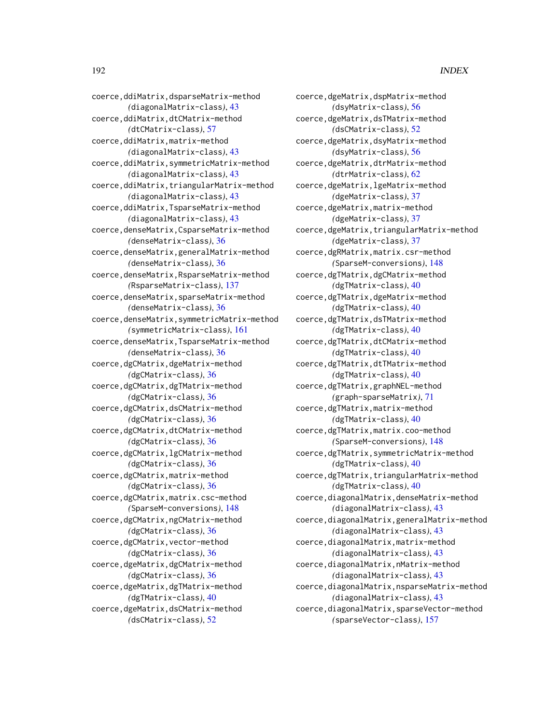coerce,ddiMatrix,dsparseMatrix-method *(*diagonalMatrix-class*)*, [43](#page-42-0) coerce,ddiMatrix,dtCMatrix-method *(*dtCMatrix-class*)*, [57](#page-56-0) coerce,ddiMatrix,matrix-method *(*diagonalMatrix-class*)*, [43](#page-42-0) coerce,ddiMatrix,symmetricMatrix-method *(*diagonalMatrix-class*)*, [43](#page-42-0) coerce,ddiMatrix,triangularMatrix-method *(*diagonalMatrix-class*)*, [43](#page-42-0) coerce,ddiMatrix,TsparseMatrix-method *(*diagonalMatrix-class*)*, [43](#page-42-0) coerce,denseMatrix,CsparseMatrix-method *(*denseMatrix-class*)*, [36](#page-35-0) coerce,denseMatrix,generalMatrix-method *(*denseMatrix-class*)*, [36](#page-35-0) coerce,denseMatrix,RsparseMatrix-method *(*RsparseMatrix-class*)*, [137](#page-136-0) coerce,denseMatrix,sparseMatrix-method *(*denseMatrix-class*)*, [36](#page-35-0) coerce,denseMatrix,symmetricMatrix-method *(*symmetricMatrix-class*)*, [161](#page-160-0) coerce,denseMatrix,TsparseMatrix-method *(*denseMatrix-class*)*, [36](#page-35-0) coerce,dgCMatrix,dgeMatrix-method *(*dgCMatrix-class*)*, [36](#page-35-0) coerce,dgCMatrix,dgTMatrix-method *(*dgCMatrix-class*)*, [36](#page-35-0) coerce,dgCMatrix,dsCMatrix-method *(*dgCMatrix-class*)*, [36](#page-35-0) coerce,dgCMatrix,dtCMatrix-method *(*dgCMatrix-class*)*, [36](#page-35-0) coerce,dgCMatrix,lgCMatrix-method *(*dgCMatrix-class*)*, [36](#page-35-0) coerce,dgCMatrix,matrix-method *(*dgCMatrix-class*)*, [36](#page-35-0) coerce,dgCMatrix,matrix.csc-method *(*SparseM-conversions*)*, [148](#page-147-0) coerce,dgCMatrix,ngCMatrix-method *(*dgCMatrix-class*)*, [36](#page-35-0) coerce,dgCMatrix,vector-method *(*dgCMatrix-class*)*, [36](#page-35-0) coerce,dgeMatrix,dgCMatrix-method *(*dgCMatrix-class*)*, [36](#page-35-0) coerce,dgeMatrix,dgTMatrix-method *(*dgTMatrix-class*)*, [40](#page-39-0) coerce,dgeMatrix,dsCMatrix-method *(*dsCMatrix-class*)*, [52](#page-51-0)

coerce,dgeMatrix,dspMatrix-method *(*dsyMatrix-class*)*, [56](#page-55-0) coerce,dgeMatrix,dsTMatrix-method *(*dsCMatrix-class*)*, [52](#page-51-0) coerce,dgeMatrix,dsyMatrix-method *(*dsyMatrix-class*)*, [56](#page-55-0) coerce,dgeMatrix,dtrMatrix-method *(*dtrMatrix-class*)*, [62](#page-61-0) coerce,dgeMatrix,lgeMatrix-method *(*dgeMatrix-class*)*, [37](#page-36-0) coerce,dgeMatrix,matrix-method *(*dgeMatrix-class*)*, [37](#page-36-0) coerce,dgeMatrix,triangularMatrix-method *(*dgeMatrix-class*)*, [37](#page-36-0) coerce,dgRMatrix,matrix.csr-method *(*SparseM-conversions*)*, [148](#page-147-0) coerce,dgTMatrix,dgCMatrix-method *(*dgTMatrix-class*)*, [40](#page-39-0) coerce,dgTMatrix,dgeMatrix-method *(*dgTMatrix-class*)*, [40](#page-39-0) coerce,dgTMatrix,dsTMatrix-method *(*dgTMatrix-class*)*, [40](#page-39-0) coerce,dgTMatrix,dtCMatrix-method *(*dgTMatrix-class*)*, [40](#page-39-0) coerce,dgTMatrix,dtTMatrix-method *(*dgTMatrix-class*)*, [40](#page-39-0) coerce,dgTMatrix,graphNEL-method *(*graph-sparseMatrix*)*, [71](#page-70-0) coerce,dgTMatrix,matrix-method *(*dgTMatrix-class*)*, [40](#page-39-0) coerce,dgTMatrix,matrix.coo-method *(*SparseM-conversions*)*, [148](#page-147-0) coerce,dgTMatrix,symmetricMatrix-method *(*dgTMatrix-class*)*, [40](#page-39-0) coerce,dgTMatrix,triangularMatrix-method *(*dgTMatrix-class*)*, [40](#page-39-0) coerce,diagonalMatrix,denseMatrix-method *(*diagonalMatrix-class*)*, [43](#page-42-0) coerce,diagonalMatrix,generalMatrix-method *(*diagonalMatrix-class*)*, [43](#page-42-0) coerce,diagonalMatrix,matrix-method *(*diagonalMatrix-class*)*, [43](#page-42-0) coerce,diagonalMatrix,nMatrix-method *(*diagonalMatrix-class*)*, [43](#page-42-0) coerce,diagonalMatrix,nsparseMatrix-method *(*diagonalMatrix-class*)*, [43](#page-42-0) coerce,diagonalMatrix,sparseVector-method *(*sparseVector-class*)*, [157](#page-156-0)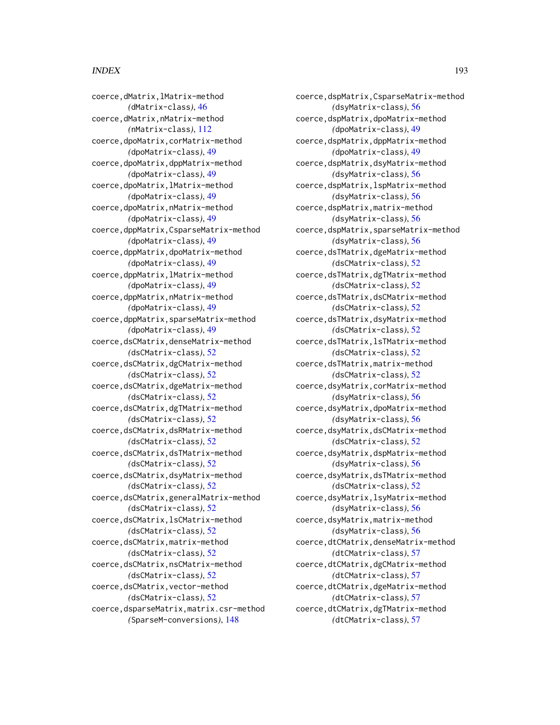coerce,dMatrix,lMatrix-method *(*dMatrix-class*)*, [46](#page-45-0) coerce,dMatrix,nMatrix-method *(*nMatrix-class*)*, [112](#page-111-0) coerce,dpoMatrix,corMatrix-method *(*dpoMatrix-class*)*, [49](#page-48-0) coerce,dpoMatrix,dppMatrix-method *(*dpoMatrix-class*)*, [49](#page-48-0) coerce,dpoMatrix,lMatrix-method *(*dpoMatrix-class*)*, [49](#page-48-0) coerce,dpoMatrix,nMatrix-method *(*dpoMatrix-class*)*, [49](#page-48-0) coerce,dppMatrix,CsparseMatrix-method *(*dpoMatrix-class*)*, [49](#page-48-0) coerce,dppMatrix,dpoMatrix-method *(*dpoMatrix-class*)*, [49](#page-48-0) coerce,dppMatrix,lMatrix-method *(*dpoMatrix-class*)*, [49](#page-48-0) coerce,dppMatrix,nMatrix-method *(*dpoMatrix-class*)*, [49](#page-48-0) coerce,dppMatrix,sparseMatrix-method *(*dpoMatrix-class*)*, [49](#page-48-0) coerce,dsCMatrix,denseMatrix-method *(*dsCMatrix-class*)*, [52](#page-51-0) coerce,dsCMatrix,dgCMatrix-method *(*dsCMatrix-class*)*, [52](#page-51-0) coerce,dsCMatrix,dgeMatrix-method *(*dsCMatrix-class*)*, [52](#page-51-0) coerce,dsCMatrix,dgTMatrix-method *(*dsCMatrix-class*)*, [52](#page-51-0) coerce,dsCMatrix,dsRMatrix-method *(*dsCMatrix-class*)*, [52](#page-51-0) coerce,dsCMatrix,dsTMatrix-method *(*dsCMatrix-class*)*, [52](#page-51-0) coerce,dsCMatrix,dsyMatrix-method *(*dsCMatrix-class*)*, [52](#page-51-0) coerce,dsCMatrix,generalMatrix-method *(*dsCMatrix-class*)*, [52](#page-51-0) coerce,dsCMatrix,lsCMatrix-method *(*dsCMatrix-class*)*, [52](#page-51-0) coerce,dsCMatrix,matrix-method *(*dsCMatrix-class*)*, [52](#page-51-0) coerce,dsCMatrix,nsCMatrix-method *(*dsCMatrix-class*)*, [52](#page-51-0) coerce,dsCMatrix,vector-method *(*dsCMatrix-class*)*, [52](#page-51-0) coerce,dsparseMatrix,matrix.csr-method *(*SparseM-conversions*)*, [148](#page-147-0)

coerce,dspMatrix,CsparseMatrix-method *(*dsyMatrix-class*)*, [56](#page-55-0) coerce,dspMatrix,dpoMatrix-method *(*dpoMatrix-class*)*, [49](#page-48-0) coerce,dspMatrix,dppMatrix-method *(*dpoMatrix-class*)*, [49](#page-48-0) coerce,dspMatrix,dsyMatrix-method *(*dsyMatrix-class*)*, [56](#page-55-0) coerce,dspMatrix,lspMatrix-method *(*dsyMatrix-class*)*, [56](#page-55-0) coerce,dspMatrix,matrix-method *(*dsyMatrix-class*)*, [56](#page-55-0) coerce,dspMatrix,sparseMatrix-method *(*dsyMatrix-class*)*, [56](#page-55-0) coerce,dsTMatrix,dgeMatrix-method *(*dsCMatrix-class*)*, [52](#page-51-0) coerce,dsTMatrix,dgTMatrix-method *(*dsCMatrix-class*)*, [52](#page-51-0) coerce,dsTMatrix,dsCMatrix-method *(*dsCMatrix-class*)*, [52](#page-51-0) coerce,dsTMatrix,dsyMatrix-method *(*dsCMatrix-class*)*, [52](#page-51-0) coerce,dsTMatrix,lsTMatrix-method *(*dsCMatrix-class*)*, [52](#page-51-0) coerce,dsTMatrix,matrix-method *(*dsCMatrix-class*)*, [52](#page-51-0) coerce,dsyMatrix,corMatrix-method *(*dsyMatrix-class*)*, [56](#page-55-0) coerce,dsyMatrix,dpoMatrix-method *(*dsyMatrix-class*)*, [56](#page-55-0) coerce,dsyMatrix,dsCMatrix-method *(*dsCMatrix-class*)*, [52](#page-51-0) coerce,dsyMatrix,dspMatrix-method *(*dsyMatrix-class*)*, [56](#page-55-0) coerce,dsyMatrix,dsTMatrix-method *(*dsCMatrix-class*)*, [52](#page-51-0) coerce,dsyMatrix,lsyMatrix-method *(*dsyMatrix-class*)*, [56](#page-55-0) coerce,dsyMatrix,matrix-method *(*dsyMatrix-class*)*, [56](#page-55-0) coerce,dtCMatrix,denseMatrix-method *(*dtCMatrix-class*)*, [57](#page-56-0) coerce,dtCMatrix,dgCMatrix-method *(*dtCMatrix-class*)*, [57](#page-56-0) coerce,dtCMatrix,dgeMatrix-method *(*dtCMatrix-class*)*, [57](#page-56-0) coerce,dtCMatrix,dgTMatrix-method *(*dtCMatrix-class*)*, [57](#page-56-0)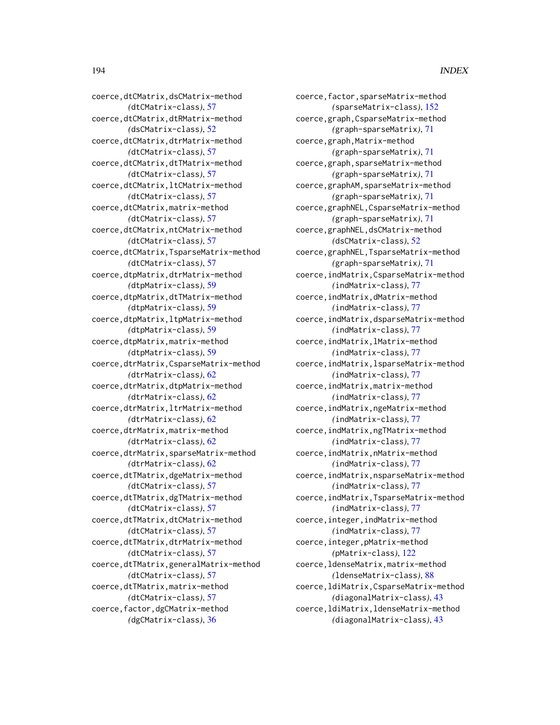coerce,dtCMatrix,dsCMatrix-method *(*dtCMatrix-class*)*, [57](#page-56-0) coerce,dtCMatrix,dtRMatrix-method *(*dsCMatrix-class*)*, [52](#page-51-0) coerce,dtCMatrix,dtrMatrix-method *(*dtCMatrix-class*)*, [57](#page-56-0) coerce,dtCMatrix,dtTMatrix-method *(*dtCMatrix-class*)*, [57](#page-56-0) coerce,dtCMatrix,ltCMatrix-method *(*dtCMatrix-class*)*, [57](#page-56-0) coerce,dtCMatrix,matrix-method *(*dtCMatrix-class*)*, [57](#page-56-0) coerce,dtCMatrix,ntCMatrix-method *(*dtCMatrix-class*)*, [57](#page-56-0) coerce,dtCMatrix,TsparseMatrix-method *(*dtCMatrix-class*)*, [57](#page-56-0) coerce,dtpMatrix,dtrMatrix-method *(*dtpMatrix-class*)*, [59](#page-58-0) coerce,dtpMatrix,dtTMatrix-method *(*dtpMatrix-class*)*, [59](#page-58-0) coerce,dtpMatrix,ltpMatrix-method *(*dtpMatrix-class*)*, [59](#page-58-0) coerce,dtpMatrix,matrix-method *(*dtpMatrix-class*)*, [59](#page-58-0) coerce,dtrMatrix,CsparseMatrix-method *(*dtrMatrix-class*)*, [62](#page-61-0) coerce,dtrMatrix,dtpMatrix-method *(*dtrMatrix-class*)*, [62](#page-61-0) coerce,dtrMatrix,ltrMatrix-method *(*dtrMatrix-class*)*, [62](#page-61-0) coerce,dtrMatrix,matrix-method *(*dtrMatrix-class*)*, [62](#page-61-0) coerce,dtrMatrix,sparseMatrix-method *(*dtrMatrix-class*)*, [62](#page-61-0) coerce,dtTMatrix,dgeMatrix-method *(*dtCMatrix-class*)*, [57](#page-56-0) coerce,dtTMatrix,dgTMatrix-method *(*dtCMatrix-class*)*, [57](#page-56-0) coerce,dtTMatrix,dtCMatrix-method *(*dtCMatrix-class*)*, [57](#page-56-0) coerce,dtTMatrix,dtrMatrix-method *(*dtCMatrix-class*)*, [57](#page-56-0) coerce,dtTMatrix,generalMatrix-method *(*dtCMatrix-class*)*, [57](#page-56-0) coerce,dtTMatrix,matrix-method *(*dtCMatrix-class*)*, [57](#page-56-0) coerce,factor,dgCMatrix-method *(*dgCMatrix-class*)*, [36](#page-35-0)

coerce,factor,sparseMatrix-method *(*sparseMatrix-class*)*, [152](#page-151-0) coerce,graph,CsparseMatrix-method *(*graph-sparseMatrix*)*, [71](#page-70-0) coerce,graph,Matrix-method *(*graph-sparseMatrix*)*, [71](#page-70-0) coerce,graph,sparseMatrix-method *(*graph-sparseMatrix*)*, [71](#page-70-0) coerce,graphAM,sparseMatrix-method *(*graph-sparseMatrix*)*, [71](#page-70-0) coerce,graphNEL,CsparseMatrix-method *(*graph-sparseMatrix*)*, [71](#page-70-0) coerce,graphNEL,dsCMatrix-method *(*dsCMatrix-class*)*, [52](#page-51-0) coerce,graphNEL,TsparseMatrix-method *(*graph-sparseMatrix*)*, [71](#page-70-0) coerce,indMatrix,CsparseMatrix-method *(*indMatrix-class*)*, [77](#page-76-0) coerce,indMatrix,dMatrix-method *(*indMatrix-class*)*, [77](#page-76-0) coerce,indMatrix,dsparseMatrix-method *(*indMatrix-class*)*, [77](#page-76-0) coerce,indMatrix,lMatrix-method *(*indMatrix-class*)*, [77](#page-76-0) coerce,indMatrix,lsparseMatrix-method *(*indMatrix-class*)*, [77](#page-76-0) coerce,indMatrix,matrix-method *(*indMatrix-class*)*, [77](#page-76-0) coerce,indMatrix,ngeMatrix-method *(*indMatrix-class*)*, [77](#page-76-0) coerce,indMatrix,ngTMatrix-method *(*indMatrix-class*)*, [77](#page-76-0) coerce,indMatrix,nMatrix-method *(*indMatrix-class*)*, [77](#page-76-0) coerce,indMatrix,nsparseMatrix-method *(*indMatrix-class*)*, [77](#page-76-0) coerce,indMatrix,TsparseMatrix-method *(*indMatrix-class*)*, [77](#page-76-0) coerce,integer,indMatrix-method *(*indMatrix-class*)*, [77](#page-76-0) coerce,integer,pMatrix-method *(*pMatrix-class*)*, [122](#page-121-0) coerce,ldenseMatrix,matrix-method *(*ldenseMatrix-class*)*, [88](#page-87-0) coerce,ldiMatrix,CsparseMatrix-method *(*diagonalMatrix-class*)*, [43](#page-42-0) coerce,ldiMatrix,ldenseMatrix-method *(*diagonalMatrix-class*)*, [43](#page-42-0)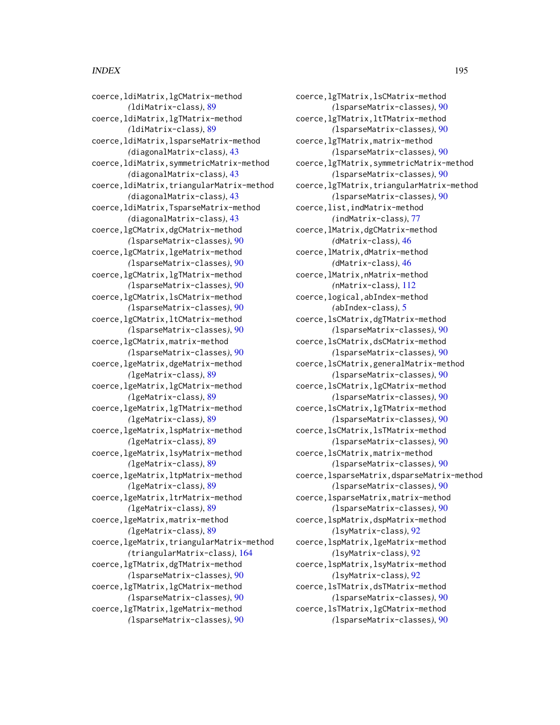coerce,ldiMatrix,lgCMatrix-method *(*ldiMatrix-class*)*, [89](#page-88-0) coerce,ldiMatrix,lgTMatrix-method *(*ldiMatrix-class*)*, [89](#page-88-0) coerce,ldiMatrix,lsparseMatrix-method *(*diagonalMatrix-class*)*, [43](#page-42-0) coerce,ldiMatrix,symmetricMatrix-method *(*diagonalMatrix-class*)*, [43](#page-42-0) coerce,ldiMatrix,triangularMatrix-method *(*diagonalMatrix-class*)*, [43](#page-42-0) coerce,ldiMatrix,TsparseMatrix-method *(*diagonalMatrix-class*)*, [43](#page-42-0) coerce,lgCMatrix,dgCMatrix-method *(*lsparseMatrix-classes*)*, [90](#page-89-0) coerce,lgCMatrix,lgeMatrix-method *(*lsparseMatrix-classes*)*, [90](#page-89-0) coerce,lgCMatrix,lgTMatrix-method *(*lsparseMatrix-classes*)*, [90](#page-89-0) coerce,lgCMatrix,lsCMatrix-method *(*lsparseMatrix-classes*)*, [90](#page-89-0) coerce,lgCMatrix,ltCMatrix-method *(*lsparseMatrix-classes*)*, [90](#page-89-0) coerce,lgCMatrix,matrix-method *(*lsparseMatrix-classes*)*, [90](#page-89-0) coerce,lgeMatrix,dgeMatrix-method *(*lgeMatrix-class*)*, [89](#page-88-0) coerce,lgeMatrix,lgCMatrix-method *(*lgeMatrix-class*)*, [89](#page-88-0) coerce,lgeMatrix,lgTMatrix-method *(*lgeMatrix-class*)*, [89](#page-88-0) coerce,lgeMatrix,lspMatrix-method *(*lgeMatrix-class*)*, [89](#page-88-0) coerce,lgeMatrix,lsyMatrix-method *(*lgeMatrix-class*)*, [89](#page-88-0) coerce,lgeMatrix,ltpMatrix-method *(*lgeMatrix-class*)*, [89](#page-88-0) coerce,lgeMatrix,ltrMatrix-method *(*lgeMatrix-class*)*, [89](#page-88-0) coerce,lgeMatrix,matrix-method *(*lgeMatrix-class*)*, [89](#page-88-0) coerce,lgeMatrix,triangularMatrix-method *(*triangularMatrix-class*)*, [164](#page-163-0) coerce,lgTMatrix,dgTMatrix-method *(*lsparseMatrix-classes*)*, [90](#page-89-0) coerce,lgTMatrix,lgCMatrix-method *(*lsparseMatrix-classes*)*, [90](#page-89-0) coerce,lgTMatrix,lgeMatrix-method *(*lsparseMatrix-classes*)*, [90](#page-89-0)

coerce,lgTMatrix,lsCMatrix-method *(*lsparseMatrix-classes*)*, [90](#page-89-0) coerce,lgTMatrix,ltTMatrix-method *(*lsparseMatrix-classes*)*, [90](#page-89-0) coerce,lgTMatrix,matrix-method *(*lsparseMatrix-classes*)*, [90](#page-89-0) coerce,lgTMatrix,symmetricMatrix-method *(*lsparseMatrix-classes*)*, [90](#page-89-0) coerce,lgTMatrix,triangularMatrix-method *(*lsparseMatrix-classes*)*, [90](#page-89-0) coerce,list,indMatrix-method *(*indMatrix-class*)*, [77](#page-76-0) coerce,lMatrix,dgCMatrix-method *(*dMatrix-class*)*, [46](#page-45-0) coerce,lMatrix,dMatrix-method *(*dMatrix-class*)*, [46](#page-45-0) coerce,lMatrix,nMatrix-method *(*nMatrix-class*)*, [112](#page-111-0) coerce,logical,abIndex-method *(*abIndex-class*)*, [5](#page-4-0) coerce,lsCMatrix,dgTMatrix-method *(*lsparseMatrix-classes*)*, [90](#page-89-0) coerce,lsCMatrix,dsCMatrix-method *(*lsparseMatrix-classes*)*, [90](#page-89-0) coerce,lsCMatrix,generalMatrix-method *(*lsparseMatrix-classes*)*, [90](#page-89-0) coerce,lsCMatrix,lgCMatrix-method *(*lsparseMatrix-classes*)*, [90](#page-89-0) coerce,lsCMatrix,lgTMatrix-method *(*lsparseMatrix-classes*)*, [90](#page-89-0) coerce,lsCMatrix,lsTMatrix-method *(*lsparseMatrix-classes*)*, [90](#page-89-0) coerce,lsCMatrix,matrix-method *(*lsparseMatrix-classes*)*, [90](#page-89-0) coerce,lsparseMatrix,dsparseMatrix-method *(*lsparseMatrix-classes*)*, [90](#page-89-0) coerce,lsparseMatrix,matrix-method *(*lsparseMatrix-classes*)*, [90](#page-89-0) coerce,lspMatrix,dspMatrix-method *(*lsyMatrix-class*)*, [92](#page-91-0) coerce,lspMatrix,lgeMatrix-method *(*lsyMatrix-class*)*, [92](#page-91-0) coerce,lspMatrix,lsyMatrix-method *(*lsyMatrix-class*)*, [92](#page-91-0) coerce,lsTMatrix,dsTMatrix-method *(*lsparseMatrix-classes*)*, [90](#page-89-0) coerce,lsTMatrix,lgCMatrix-method *(*lsparseMatrix-classes*)*, [90](#page-89-0)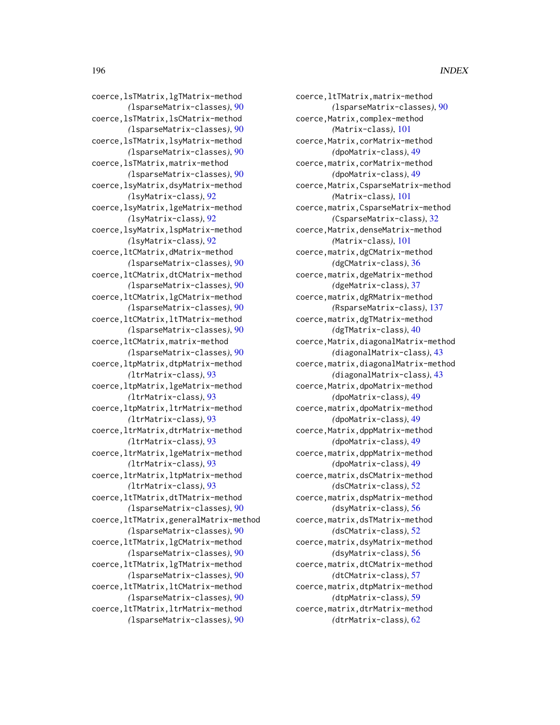coerce,ltTMatrix,matrix-method *(*lsparseMatrix-classes*)*, [90](#page-89-0) coerce,Matrix,complex-method *(*Matrix-class*)*, [101](#page-100-0) coerce,Matrix,corMatrix-method *(*dpoMatrix-class*)*, [49](#page-48-0) coerce,matrix,corMatrix-method *(*dpoMatrix-class*)*, [49](#page-48-0) coerce,Matrix,CsparseMatrix-method *(*Matrix-class*)*, [101](#page-100-0) coerce,matrix,CsparseMatrix-method *(*CsparseMatrix-class*)*, [32](#page-31-0) coerce,Matrix,denseMatrix-method *(*Matrix-class*)*, [101](#page-100-0) coerce,matrix,dgCMatrix-method *(*dgCMatrix-class*)*, [36](#page-35-0) coerce,matrix,dgeMatrix-method *(*dgeMatrix-class*)*, [37](#page-36-0) coerce,matrix,dgRMatrix-method *(*RsparseMatrix-class*)*, [137](#page-136-0) coerce,matrix,dgTMatrix-method *(*dgTMatrix-class*)*, [40](#page-39-0) coerce,Matrix,diagonalMatrix-method *(*diagonalMatrix-class*)*, [43](#page-42-0) coerce,matrix,diagonalMatrix-method *(*diagonalMatrix-class*)*, [43](#page-42-0) coerce,Matrix,dpoMatrix-method *(*dpoMatrix-class*)*, [49](#page-48-0) coerce,matrix,dpoMatrix-method *(*dpoMatrix-class*)*, [49](#page-48-0) coerce,Matrix,dppMatrix-method *(*dpoMatrix-class*)*, [49](#page-48-0) coerce,matrix,dppMatrix-method *(*dpoMatrix-class*)*, [49](#page-48-0) coerce,matrix,dsCMatrix-method *(*dsCMatrix-class*)*, [52](#page-51-0) coerce,matrix,dspMatrix-method *(*dsyMatrix-class*)*, [56](#page-55-0) coerce,matrix,dsTMatrix-method *(*dsCMatrix-class*)*, [52](#page-51-0) coerce,matrix,dsyMatrix-method *(*dsyMatrix-class*)*, [56](#page-55-0) coerce,matrix,dtCMatrix-method *(*dtCMatrix-class*)*, [57](#page-56-0) coerce,matrix,dtpMatrix-method *(*dtpMatrix-class*)*, [59](#page-58-0) coerce,matrix,dtrMatrix-method *(*dtrMatrix-class*)*, [62](#page-61-0)

coerce,lsTMatrix,lgTMatrix-method *(*lsparseMatrix-classes*)*, [90](#page-89-0) coerce,lsTMatrix,lsCMatrix-method *(*lsparseMatrix-classes*)*, [90](#page-89-0) coerce,lsTMatrix,lsyMatrix-method *(*lsparseMatrix-classes*)*, [90](#page-89-0) coerce,lsTMatrix,matrix-method *(*lsparseMatrix-classes*)*, [90](#page-89-0) coerce,lsyMatrix,dsyMatrix-method *(*lsyMatrix-class*)*, [92](#page-91-0) coerce,lsyMatrix,lgeMatrix-method *(*lsyMatrix-class*)*, [92](#page-91-0) coerce,lsyMatrix,lspMatrix-method *(*lsyMatrix-class*)*, [92](#page-91-0) coerce,ltCMatrix,dMatrix-method *(*lsparseMatrix-classes*)*, [90](#page-89-0) coerce,ltCMatrix,dtCMatrix-method *(*lsparseMatrix-classes*)*, [90](#page-89-0) coerce,ltCMatrix,lgCMatrix-method *(*lsparseMatrix-classes*)*, [90](#page-89-0) coerce,ltCMatrix,ltTMatrix-method *(*lsparseMatrix-classes*)*, [90](#page-89-0) coerce,ltCMatrix,matrix-method *(*lsparseMatrix-classes*)*, [90](#page-89-0) coerce,ltpMatrix,dtpMatrix-method *(*ltrMatrix-class*)*, [93](#page-92-0) coerce,ltpMatrix,lgeMatrix-method *(*ltrMatrix-class*)*, [93](#page-92-0) coerce,ltpMatrix,ltrMatrix-method *(*ltrMatrix-class*)*, [93](#page-92-0) coerce,ltrMatrix,dtrMatrix-method *(*ltrMatrix-class*)*, [93](#page-92-0) coerce,ltrMatrix,lgeMatrix-method *(*ltrMatrix-class*)*, [93](#page-92-0) coerce,ltrMatrix,ltpMatrix-method *(*ltrMatrix-class*)*, [93](#page-92-0) coerce,ltTMatrix,dtTMatrix-method *(*lsparseMatrix-classes*)*, [90](#page-89-0) coerce,ltTMatrix,generalMatrix-method *(*lsparseMatrix-classes*)*, [90](#page-89-0) coerce,ltTMatrix,lgCMatrix-method *(*lsparseMatrix-classes*)*, [90](#page-89-0) coerce,ltTMatrix,lgTMatrix-method *(*lsparseMatrix-classes*)*, [90](#page-89-0) coerce,ltTMatrix,ltCMatrix-method *(*lsparseMatrix-classes*)*, [90](#page-89-0) coerce,ltTMatrix,ltrMatrix-method *(*lsparseMatrix-classes*)*, [90](#page-89-0)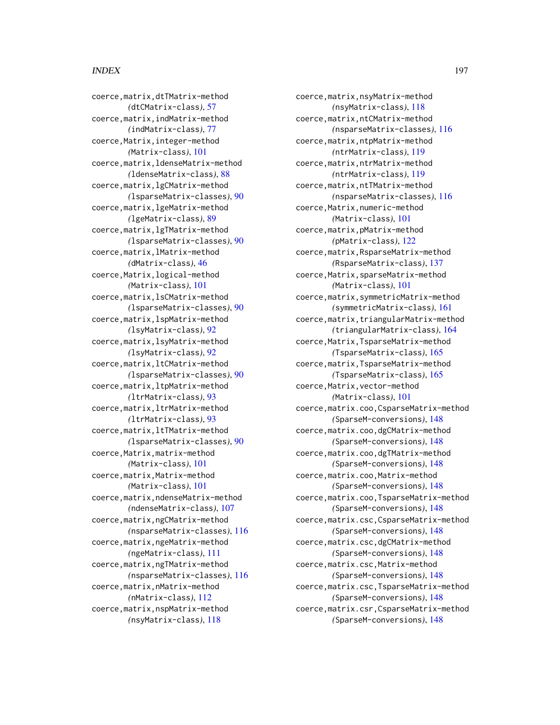coerce,matrix,dtTMatrix-method *(*dtCMatrix-class*)*, [57](#page-56-0) coerce,matrix,indMatrix-method *(*indMatrix-class*)*, [77](#page-76-0) coerce,Matrix,integer-method *(*Matrix-class*)*, [101](#page-100-0) coerce,matrix,ldenseMatrix-method *(*ldenseMatrix-class*)*, [88](#page-87-0) coerce,matrix,lgCMatrix-method *(*lsparseMatrix-classes*)*, [90](#page-89-0) coerce,matrix,lgeMatrix-method *(*lgeMatrix-class*)*, [89](#page-88-0) coerce,matrix,lgTMatrix-method *(*lsparseMatrix-classes*)*, [90](#page-89-0) coerce,matrix,lMatrix-method *(*dMatrix-class*)*, [46](#page-45-0) coerce,Matrix,logical-method *(*Matrix-class*)*, [101](#page-100-0) coerce,matrix,lsCMatrix-method *(*lsparseMatrix-classes*)*, [90](#page-89-0) coerce,matrix,lspMatrix-method *(*lsyMatrix-class*)*, [92](#page-91-0) coerce,matrix,lsyMatrix-method *(*lsyMatrix-class*)*, [92](#page-91-0) coerce,matrix,ltCMatrix-method *(*lsparseMatrix-classes*)*, [90](#page-89-0) coerce,matrix,ltpMatrix-method *(*ltrMatrix-class*)*, [93](#page-92-0) coerce,matrix,ltrMatrix-method *(*ltrMatrix-class*)*, [93](#page-92-0) coerce,matrix,ltTMatrix-method *(*lsparseMatrix-classes*)*, [90](#page-89-0) coerce,Matrix,matrix-method *(*Matrix-class*)*, [101](#page-100-0) coerce,matrix,Matrix-method *(*Matrix-class*)*, [101](#page-100-0) coerce,matrix,ndenseMatrix-method *(*ndenseMatrix-class*)*, [107](#page-106-0) coerce,matrix,ngCMatrix-method *(*nsparseMatrix-classes*)*, [116](#page-115-0) coerce,matrix,ngeMatrix-method *(*ngeMatrix-class*)*, [111](#page-110-0) coerce,matrix,ngTMatrix-method *(*nsparseMatrix-classes*)*, [116](#page-115-0) coerce,matrix,nMatrix-method *(*nMatrix-class*)*, [112](#page-111-0) coerce,matrix,nspMatrix-method *(*nsyMatrix-class*)*, [118](#page-117-0)

coerce,matrix,nsyMatrix-method *(*nsyMatrix-class*)*, [118](#page-117-0) coerce,matrix,ntCMatrix-method *(*nsparseMatrix-classes*)*, [116](#page-115-0) coerce,matrix,ntpMatrix-method *(*ntrMatrix-class*)*, [119](#page-118-0) coerce,matrix,ntrMatrix-method *(*ntrMatrix-class*)*, [119](#page-118-0) coerce,matrix,ntTMatrix-method *(*nsparseMatrix-classes*)*, [116](#page-115-0) coerce,Matrix,numeric-method *(*Matrix-class*)*, [101](#page-100-0) coerce,matrix,pMatrix-method *(*pMatrix-class*)*, [122](#page-121-0) coerce,matrix,RsparseMatrix-method *(*RsparseMatrix-class*)*, [137](#page-136-0) coerce,Matrix,sparseMatrix-method *(*Matrix-class*)*, [101](#page-100-0) coerce,matrix,symmetricMatrix-method *(*symmetricMatrix-class*)*, [161](#page-160-0) coerce,matrix,triangularMatrix-method *(*triangularMatrix-class*)*, [164](#page-163-0) coerce,Matrix,TsparseMatrix-method *(*TsparseMatrix-class*)*, [165](#page-164-0) coerce,matrix,TsparseMatrix-method *(*TsparseMatrix-class*)*, [165](#page-164-0) coerce,Matrix,vector-method *(*Matrix-class*)*, [101](#page-100-0) coerce,matrix.coo,CsparseMatrix-method *(*SparseM-conversions*)*, [148](#page-147-0) coerce,matrix.coo,dgCMatrix-method *(*SparseM-conversions*)*, [148](#page-147-0) coerce,matrix.coo,dgTMatrix-method *(*SparseM-conversions*)*, [148](#page-147-0) coerce,matrix.coo,Matrix-method *(*SparseM-conversions*)*, [148](#page-147-0) coerce,matrix.coo,TsparseMatrix-method *(*SparseM-conversions*)*, [148](#page-147-0) coerce,matrix.csc,CsparseMatrix-method *(*SparseM-conversions*)*, [148](#page-147-0) coerce,matrix.csc,dgCMatrix-method *(*SparseM-conversions*)*, [148](#page-147-0) coerce,matrix.csc,Matrix-method *(*SparseM-conversions*)*, [148](#page-147-0) coerce,matrix.csc,TsparseMatrix-method *(*SparseM-conversions*)*, [148](#page-147-0) coerce,matrix.csr,CsparseMatrix-method *(*SparseM-conversions*)*, [148](#page-147-0)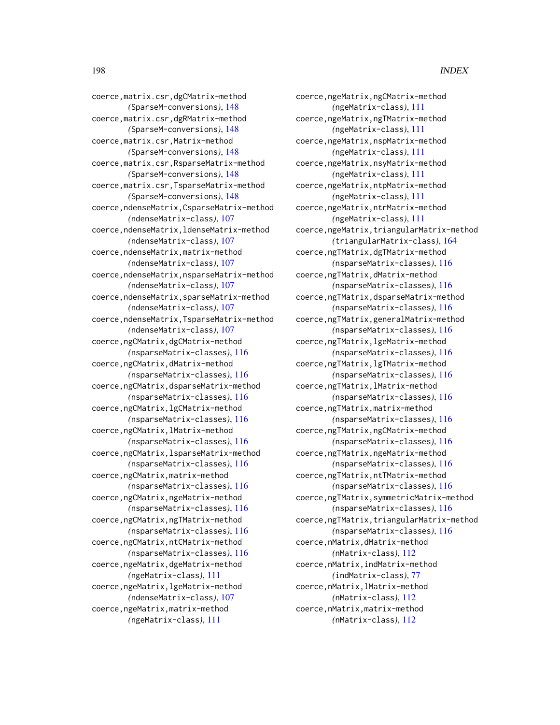coerce,ngeMatrix,ngCMatrix-method *(*ngeMatrix-class*)*, [111](#page-110-0) coerce,ngeMatrix,ngTMatrix-method *(*ngeMatrix-class*)*, [111](#page-110-0) coerce,ngeMatrix,nspMatrix-method *(*ngeMatrix-class*)*, [111](#page-110-0) coerce,ngeMatrix,nsyMatrix-method *(*ngeMatrix-class*)*, [111](#page-110-0) coerce,ngeMatrix,ntpMatrix-method *(*ngeMatrix-class*)*, [111](#page-110-0) coerce,ngeMatrix,ntrMatrix-method *(*ngeMatrix-class*)*, [111](#page-110-0) coerce,ngeMatrix,triangularMatrix-method *(*triangularMatrix-class*)*, [164](#page-163-0) coerce,ngTMatrix,dgTMatrix-method *(*nsparseMatrix-classes*)*, [116](#page-115-0) coerce,ngTMatrix,dMatrix-method *(*nsparseMatrix-classes*)*, [116](#page-115-0) coerce,ngTMatrix,dsparseMatrix-method *(*nsparseMatrix-classes*)*, [116](#page-115-0) coerce,ngTMatrix,generalMatrix-method *(*nsparseMatrix-classes*)*, [116](#page-115-0) coerce,ngTMatrix,lgeMatrix-method *(*nsparseMatrix-classes*)*, [116](#page-115-0) coerce,ngTMatrix,lgTMatrix-method *(*nsparseMatrix-classes*)*, [116](#page-115-0) coerce,ngTMatrix,lMatrix-method *(*nsparseMatrix-classes*)*, [116](#page-115-0) coerce,ngTMatrix,matrix-method *(*nsparseMatrix-classes*)*, [116](#page-115-0) coerce,ngTMatrix,ngCMatrix-method *(*nsparseMatrix-classes*)*, [116](#page-115-0) coerce,ngTMatrix,ngeMatrix-method *(*nsparseMatrix-classes*)*, [116](#page-115-0) coerce,ngTMatrix,ntTMatrix-method *(*nsparseMatrix-classes*)*, [116](#page-115-0) coerce,ngTMatrix,symmetricMatrix-method *(*nsparseMatrix-classes*)*, [116](#page-115-0) coerce,ngTMatrix,triangularMatrix-method *(*nsparseMatrix-classes*)*, [116](#page-115-0) coerce,nMatrix,dMatrix-method *(*nMatrix-class*)*, [112](#page-111-0) coerce,nMatrix,indMatrix-method *(*indMatrix-class*)*, [77](#page-76-0) coerce,nMatrix,lMatrix-method *(*nMatrix-class*)*, [112](#page-111-0) coerce,nMatrix,matrix-method *(*nMatrix-class*)*, [112](#page-111-0)

coerce,matrix.csr,dgCMatrix-method *(*SparseM-conversions*)*, [148](#page-147-0) coerce,matrix.csr,dgRMatrix-method *(*SparseM-conversions*)*, [148](#page-147-0) coerce,matrix.csr,Matrix-method *(*SparseM-conversions*)*, [148](#page-147-0) coerce,matrix.csr,RsparseMatrix-method *(*SparseM-conversions*)*, [148](#page-147-0) coerce,matrix.csr,TsparseMatrix-method *(*SparseM-conversions*)*, [148](#page-147-0) coerce,ndenseMatrix,CsparseMatrix-method *(*ndenseMatrix-class*)*, [107](#page-106-0) coerce,ndenseMatrix,ldenseMatrix-method *(*ndenseMatrix-class*)*, [107](#page-106-0) coerce,ndenseMatrix,matrix-method *(*ndenseMatrix-class*)*, [107](#page-106-0) coerce,ndenseMatrix,nsparseMatrix-method *(*ndenseMatrix-class*)*, [107](#page-106-0) coerce,ndenseMatrix,sparseMatrix-method *(*ndenseMatrix-class*)*, [107](#page-106-0) coerce,ndenseMatrix,TsparseMatrix-method *(*ndenseMatrix-class*)*, [107](#page-106-0) coerce,ngCMatrix,dgCMatrix-method *(*nsparseMatrix-classes*)*, [116](#page-115-0) coerce,ngCMatrix,dMatrix-method *(*nsparseMatrix-classes*)*, [116](#page-115-0) coerce,ngCMatrix,dsparseMatrix-method *(*nsparseMatrix-classes*)*, [116](#page-115-0) coerce,ngCMatrix,lgCMatrix-method *(*nsparseMatrix-classes*)*, [116](#page-115-0) coerce,ngCMatrix,lMatrix-method *(*nsparseMatrix-classes*)*, [116](#page-115-0) coerce,ngCMatrix,lsparseMatrix-method *(*nsparseMatrix-classes*)*, [116](#page-115-0) coerce,ngCMatrix,matrix-method *(*nsparseMatrix-classes*)*, [116](#page-115-0) coerce,ngCMatrix,ngeMatrix-method *(*nsparseMatrix-classes*)*, [116](#page-115-0) coerce,ngCMatrix,ngTMatrix-method *(*nsparseMatrix-classes*)*, [116](#page-115-0) coerce,ngCMatrix,ntCMatrix-method *(*nsparseMatrix-classes*)*, [116](#page-115-0) coerce,ngeMatrix,dgeMatrix-method *(*ngeMatrix-class*)*, [111](#page-110-0) coerce,ngeMatrix,lgeMatrix-method *(*ndenseMatrix-class*)*, [107](#page-106-0) coerce,ngeMatrix,matrix-method *(*ngeMatrix-class*)*, [111](#page-110-0)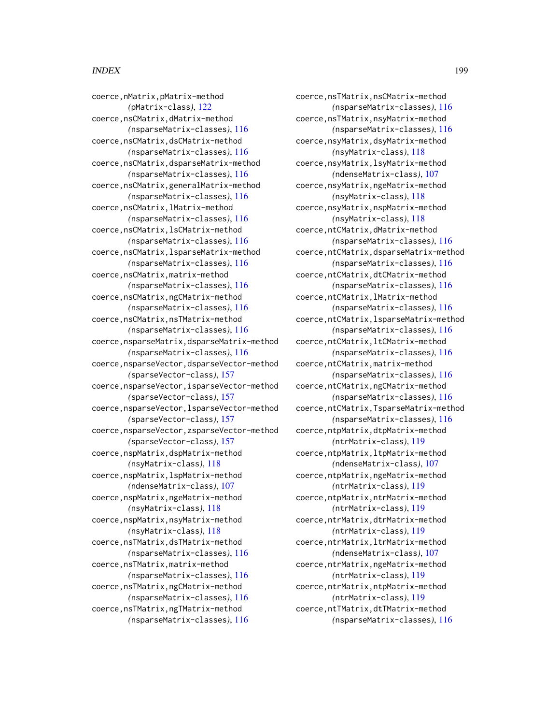coerce,nsTMatrix,nsCMatrix-method *(*nsparseMatrix-classes*)*, [116](#page-115-0) coerce,nsTMatrix,nsyMatrix-method *(*nsparseMatrix-classes*)*, [116](#page-115-0) coerce,nsyMatrix,dsyMatrix-method *(*nsyMatrix-class*)*, [118](#page-117-0) coerce,nsyMatrix,lsyMatrix-method *(*ndenseMatrix-class*)*, [107](#page-106-0) coerce,nsyMatrix,ngeMatrix-method *(*nsyMatrix-class*)*, [118](#page-117-0) coerce,nsyMatrix,nspMatrix-method *(*nsyMatrix-class*)*, [118](#page-117-0) coerce,ntCMatrix,dMatrix-method *(*nsparseMatrix-classes*)*, [116](#page-115-0) coerce,ntCMatrix,dsparseMatrix-method *(*nsparseMatrix-classes*)*, [116](#page-115-0) coerce,ntCMatrix,dtCMatrix-method *(*nsparseMatrix-classes*)*, [116](#page-115-0) coerce,ntCMatrix,lMatrix-method *(*nsparseMatrix-classes*)*, [116](#page-115-0) coerce,ntCMatrix,lsparseMatrix-method *(*nsparseMatrix-classes*)*, [116](#page-115-0) coerce,ntCMatrix,ltCMatrix-method *(*nsparseMatrix-classes*)*, [116](#page-115-0) coerce,ntCMatrix,matrix-method *(*nsparseMatrix-classes*)*, [116](#page-115-0) coerce,ntCMatrix,ngCMatrix-method *(*nsparseMatrix-classes*)*, [116](#page-115-0) coerce,ntCMatrix,TsparseMatrix-method *(*nsparseMatrix-classes*)*, [116](#page-115-0) coerce,ntpMatrix,dtpMatrix-method *(*ntrMatrix-class*)*, [119](#page-118-0) coerce,ntpMatrix,ltpMatrix-method *(*ndenseMatrix-class*)*, [107](#page-106-0) coerce,ntpMatrix,ngeMatrix-method *(*ntrMatrix-class*)*, [119](#page-118-0) coerce,ntpMatrix,ntrMatrix-method *(*ntrMatrix-class*)*, [119](#page-118-0) coerce,ntrMatrix,dtrMatrix-method *(*ntrMatrix-class*)*, [119](#page-118-0) coerce,ntrMatrix,ltrMatrix-method *(*ndenseMatrix-class*)*, [107](#page-106-0) coerce,ntrMatrix,ngeMatrix-method *(*ntrMatrix-class*)*, [119](#page-118-0) coerce,ntrMatrix,ntpMatrix-method *(*ntrMatrix-class*)*, [119](#page-118-0) coerce,ntTMatrix,dtTMatrix-method *(*nsparseMatrix-classes*)*, [116](#page-115-0)

coerce,nMatrix,pMatrix-method *(*pMatrix-class*)*, [122](#page-121-0) coerce,nsCMatrix,dMatrix-method *(*nsparseMatrix-classes*)*, [116](#page-115-0) coerce,nsCMatrix,dsCMatrix-method *(*nsparseMatrix-classes*)*, [116](#page-115-0) coerce,nsCMatrix,dsparseMatrix-method *(*nsparseMatrix-classes*)*, [116](#page-115-0) coerce,nsCMatrix,generalMatrix-method *(*nsparseMatrix-classes*)*, [116](#page-115-0) coerce,nsCMatrix,lMatrix-method *(*nsparseMatrix-classes*)*, [116](#page-115-0) coerce,nsCMatrix,lsCMatrix-method *(*nsparseMatrix-classes*)*, [116](#page-115-0) coerce,nsCMatrix,lsparseMatrix-method *(*nsparseMatrix-classes*)*, [116](#page-115-0) coerce,nsCMatrix,matrix-method *(*nsparseMatrix-classes*)*, [116](#page-115-0) coerce,nsCMatrix,ngCMatrix-method *(*nsparseMatrix-classes*)*, [116](#page-115-0) coerce,nsCMatrix,nsTMatrix-method *(*nsparseMatrix-classes*)*, [116](#page-115-0) coerce,nsparseMatrix,dsparseMatrix-method *(*nsparseMatrix-classes*)*, [116](#page-115-0) coerce,nsparseVector,dsparseVector-method *(*sparseVector-class*)*, [157](#page-156-0) coerce,nsparseVector,isparseVector-method *(*sparseVector-class*)*, [157](#page-156-0) coerce,nsparseVector,lsparseVector-method *(*sparseVector-class*)*, [157](#page-156-0) coerce,nsparseVector,zsparseVector-method *(*sparseVector-class*)*, [157](#page-156-0) coerce,nspMatrix,dspMatrix-method *(*nsyMatrix-class*)*, [118](#page-117-0) coerce,nspMatrix,lspMatrix-method *(*ndenseMatrix-class*)*, [107](#page-106-0) coerce,nspMatrix,ngeMatrix-method *(*nsyMatrix-class*)*, [118](#page-117-0) coerce,nspMatrix,nsyMatrix-method *(*nsyMatrix-class*)*, [118](#page-117-0) coerce,nsTMatrix,dsTMatrix-method *(*nsparseMatrix-classes*)*, [116](#page-115-0) coerce,nsTMatrix,matrix-method *(*nsparseMatrix-classes*)*, [116](#page-115-0) coerce,nsTMatrix,ngCMatrix-method *(*nsparseMatrix-classes*)*, [116](#page-115-0) coerce,nsTMatrix,ngTMatrix-method

*(*nsparseMatrix-classes*)*, [116](#page-115-0)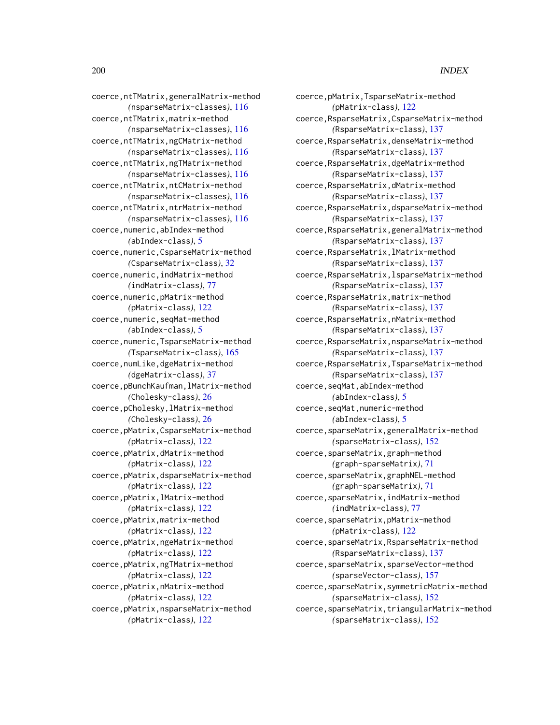coerce,ntTMatrix,generalMatrix-method *(*nsparseMatrix-classes*)*, [116](#page-115-0) coerce,ntTMatrix,matrix-method *(*nsparseMatrix-classes*)*, [116](#page-115-0) coerce,ntTMatrix,ngCMatrix-method *(*nsparseMatrix-classes*)*, [116](#page-115-0) coerce,ntTMatrix,ngTMatrix-method *(*nsparseMatrix-classes*)*, [116](#page-115-0) coerce,ntTMatrix,ntCMatrix-method *(*nsparseMatrix-classes*)*, [116](#page-115-0) coerce,ntTMatrix,ntrMatrix-method *(*nsparseMatrix-classes*)*, [116](#page-115-0) coerce,numeric,abIndex-method *(*abIndex-class*)*, [5](#page-4-0) coerce,numeric,CsparseMatrix-method *(*CsparseMatrix-class*)*, [32](#page-31-0) coerce,numeric,indMatrix-method *(*indMatrix-class*)*, [77](#page-76-0) coerce,numeric,pMatrix-method *(*pMatrix-class*)*, [122](#page-121-0) coerce,numeric,seqMat-method *(*abIndex-class*)*, [5](#page-4-0) coerce,numeric,TsparseMatrix-method *(*TsparseMatrix-class*)*, [165](#page-164-0) coerce,numLike,dgeMatrix-method *(*dgeMatrix-class*)*, [37](#page-36-0) coerce,pBunchKaufman,lMatrix-method *(*Cholesky-class*)*, [26](#page-25-0) coerce,pCholesky,lMatrix-method *(*Cholesky-class*)*, [26](#page-25-0) coerce,pMatrix,CsparseMatrix-method *(*pMatrix-class*)*, [122](#page-121-0) coerce,pMatrix,dMatrix-method *(*pMatrix-class*)*, [122](#page-121-0) coerce,pMatrix,dsparseMatrix-method *(*pMatrix-class*)*, [122](#page-121-0) coerce,pMatrix,lMatrix-method *(*pMatrix-class*)*, [122](#page-121-0) coerce,pMatrix,matrix-method *(*pMatrix-class*)*, [122](#page-121-0) coerce,pMatrix,ngeMatrix-method *(*pMatrix-class*)*, [122](#page-121-0) coerce,pMatrix,ngTMatrix-method *(*pMatrix-class*)*, [122](#page-121-0) coerce,pMatrix,nMatrix-method *(*pMatrix-class*)*, [122](#page-121-0) coerce,pMatrix,nsparseMatrix-method *(*pMatrix-class*)*, [122](#page-121-0)

coerce,pMatrix,TsparseMatrix-method *(*pMatrix-class*)*, [122](#page-121-0) coerce,RsparseMatrix,CsparseMatrix-method *(*RsparseMatrix-class*)*, [137](#page-136-0) coerce,RsparseMatrix,denseMatrix-method *(*RsparseMatrix-class*)*, [137](#page-136-0) coerce,RsparseMatrix,dgeMatrix-method *(*RsparseMatrix-class*)*, [137](#page-136-0) coerce,RsparseMatrix,dMatrix-method *(*RsparseMatrix-class*)*, [137](#page-136-0) coerce,RsparseMatrix,dsparseMatrix-method *(*RsparseMatrix-class*)*, [137](#page-136-0) coerce,RsparseMatrix,generalMatrix-method *(*RsparseMatrix-class*)*, [137](#page-136-0) coerce,RsparseMatrix,lMatrix-method *(*RsparseMatrix-class*)*, [137](#page-136-0) coerce,RsparseMatrix,lsparseMatrix-method *(*RsparseMatrix-class*)*, [137](#page-136-0) coerce,RsparseMatrix,matrix-method *(*RsparseMatrix-class*)*, [137](#page-136-0) coerce,RsparseMatrix,nMatrix-method *(*RsparseMatrix-class*)*, [137](#page-136-0) coerce,RsparseMatrix,nsparseMatrix-method *(*RsparseMatrix-class*)*, [137](#page-136-0) coerce,RsparseMatrix,TsparseMatrix-method *(*RsparseMatrix-class*)*, [137](#page-136-0) coerce,seqMat,abIndex-method *(*abIndex-class*)*, [5](#page-4-0) coerce,seqMat,numeric-method *(*abIndex-class*)*, [5](#page-4-0) coerce,sparseMatrix,generalMatrix-method *(*sparseMatrix-class*)*, [152](#page-151-0) coerce,sparseMatrix,graph-method *(*graph-sparseMatrix*)*, [71](#page-70-0) coerce,sparseMatrix,graphNEL-method *(*graph-sparseMatrix*)*, [71](#page-70-0) coerce,sparseMatrix,indMatrix-method *(*indMatrix-class*)*, [77](#page-76-0) coerce,sparseMatrix,pMatrix-method *(*pMatrix-class*)*, [122](#page-121-0) coerce, sparseMatrix, RsparseMatrix-method *(*RsparseMatrix-class*)*, [137](#page-136-0) coerce,sparseMatrix,sparseVector-method *(*sparseVector-class*)*, [157](#page-156-0) coerce,sparseMatrix,symmetricMatrix-method *(*sparseMatrix-class*)*, [152](#page-151-0) coerce,sparseMatrix,triangularMatrix-method *(*sparseMatrix-class*)*, [152](#page-151-0)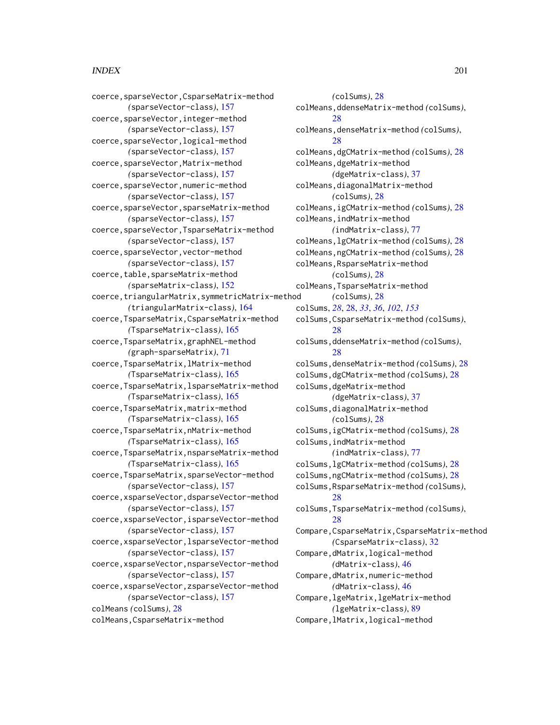coerce,sparseVector,CsparseMatrix-method *(*sparseVector-class*)*, [157](#page-156-0) coerce,sparseVector,integer-method *(*sparseVector-class*)*, [157](#page-156-0) coerce,sparseVector,logical-method *(*sparseVector-class*)*, [157](#page-156-0) coerce,sparseVector,Matrix-method *(*sparseVector-class*)*, [157](#page-156-0) coerce,sparseVector,numeric-method *(*sparseVector-class*)*, [157](#page-156-0) coerce,sparseVector,sparseMatrix-method *(*sparseVector-class*)*, [157](#page-156-0) coerce,sparseVector,TsparseMatrix-method *(*sparseVector-class*)*, [157](#page-156-0) coerce,sparseVector,vector-method *(*sparseVector-class*)*, [157](#page-156-0) coerce,table,sparseMatrix-method *(*sparseMatrix-class*)*, [152](#page-151-0) coerce,triangularMatrix,symmetricMatrix-method *(*triangularMatrix-class*)*, [164](#page-163-0) coerce,TsparseMatrix,CsparseMatrix-method *(*TsparseMatrix-class*)*, [165](#page-164-0) coerce,TsparseMatrix,graphNEL-method *(*graph-sparseMatrix*)*, [71](#page-70-0) coerce,TsparseMatrix,lMatrix-method *(*TsparseMatrix-class*)*, [165](#page-164-0) coerce,TsparseMatrix,lsparseMatrix-method *(*TsparseMatrix-class*)*, [165](#page-164-0) coerce,TsparseMatrix,matrix-method *(*TsparseMatrix-class*)*, [165](#page-164-0) coerce,TsparseMatrix,nMatrix-method *(*TsparseMatrix-class*)*, [165](#page-164-0) coerce,TsparseMatrix,nsparseMatrix-method *(*TsparseMatrix-class*)*, [165](#page-164-0) coerce,TsparseMatrix,sparseVector-method *(*sparseVector-class*)*, [157](#page-156-0) coerce,xsparseVector,dsparseVector-method *(*sparseVector-class*)*, [157](#page-156-0) coerce,xsparseVector,isparseVector-method *(*sparseVector-class*)*, [157](#page-156-0) coerce,xsparseVector,lsparseVector-method *(*sparseVector-class*)*, [157](#page-156-0) coerce,xsparseVector,nsparseVector-method *(*sparseVector-class*)*, [157](#page-156-0) coerce,xsparseVector,zsparseVector-method *(*sparseVector-class*)*, [157](#page-156-0) colMeans *(*colSums*)*, [28](#page-27-0) colMeans,CsparseMatrix-method

*(*colSums*)*, [28](#page-27-0) colMeans,ddenseMatrix-method *(*colSums*)*, [28](#page-27-0) colMeans,denseMatrix-method *(*colSums*)*, [28](#page-27-0) colMeans,dgCMatrix-method *(*colSums*)*, [28](#page-27-0) colMeans,dgeMatrix-method *(*dgeMatrix-class*)*, [37](#page-36-0) colMeans,diagonalMatrix-method *(*colSums*)*, [28](#page-27-0) colMeans,igCMatrix-method *(*colSums*)*, [28](#page-27-0) colMeans,indMatrix-method *(*indMatrix-class*)*, [77](#page-76-0) colMeans,lgCMatrix-method *(*colSums*)*, [28](#page-27-0) colMeans,ngCMatrix-method *(*colSums*)*, [28](#page-27-0) colMeans,RsparseMatrix-method *(*colSums*)*, [28](#page-27-0) colMeans,TsparseMatrix-method *(*colSums*)*, [28](#page-27-0) colSums, *[28](#page-27-0)*, [28,](#page-27-0) *[33](#page-32-0)*, *[36](#page-35-0)*, *[102](#page-101-0)*, *[153](#page-152-0)* colSums,CsparseMatrix-method *(*colSums*)*, [28](#page-27-0) colSums,ddenseMatrix-method *(*colSums*)*, [28](#page-27-0) colSums,denseMatrix-method *(*colSums*)*, [28](#page-27-0) colSums,dgCMatrix-method *(*colSums*)*, [28](#page-27-0) colSums,dgeMatrix-method *(*dgeMatrix-class*)*, [37](#page-36-0) colSums,diagonalMatrix-method *(*colSums*)*, [28](#page-27-0) colSums,igCMatrix-method *(*colSums*)*, [28](#page-27-0) colSums,indMatrix-method *(*indMatrix-class*)*, [77](#page-76-0) colSums,lgCMatrix-method *(*colSums*)*, [28](#page-27-0) colSums,ngCMatrix-method *(*colSums*)*, [28](#page-27-0) colSums,RsparseMatrix-method *(*colSums*)*, [28](#page-27-0) colSums,TsparseMatrix-method *(*colSums*)*, [28](#page-27-0) Compare,CsparseMatrix,CsparseMatrix-method *(*CsparseMatrix-class*)*, [32](#page-31-0) Compare,dMatrix,logical-method *(*dMatrix-class*)*, [46](#page-45-0) Compare,dMatrix,numeric-method *(*dMatrix-class*)*, [46](#page-45-0) Compare,lgeMatrix,lgeMatrix-method *(*lgeMatrix-class*)*, [89](#page-88-0) Compare,lMatrix,logical-method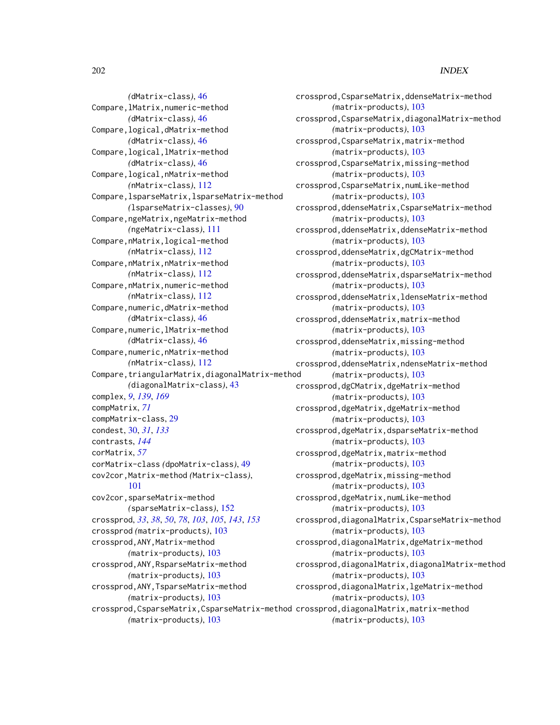*(*dMatrix-class*)*, [46](#page-45-0) Compare,lMatrix,numeric-method *(*dMatrix-class*)*, [46](#page-45-0) Compare,logical,dMatrix-method *(*dMatrix-class*)*, [46](#page-45-0) Compare,logical,lMatrix-method *(*dMatrix-class*)*, [46](#page-45-0) Compare,logical,nMatrix-method *(*nMatrix-class*)*, [112](#page-111-0) Compare,lsparseMatrix,lsparseMatrix-method *(*lsparseMatrix-classes*)*, [90](#page-89-0) Compare, ngeMatrix, ngeMatrix-method *(*ngeMatrix-class*)*, [111](#page-110-0) Compare,nMatrix,logical-method *(*nMatrix-class*)*, [112](#page-111-0) Compare,nMatrix,nMatrix-method *(*nMatrix-class*)*, [112](#page-111-0) Compare,nMatrix,numeric-method *(*nMatrix-class*)*, [112](#page-111-0) Compare, numeric, dMatrix-method *(*dMatrix-class*)*, [46](#page-45-0) Compare, numeric, lMatrix-method *(*dMatrix-class*)*, [46](#page-45-0) Compare, numeric, nMatrix-method *(*nMatrix-class*)*, [112](#page-111-0) Compare,triangularMatrix,diagonalMatrix-method *(*diagonalMatrix-class*)*, [43](#page-42-0) complex, *[9](#page-8-0)*, *[139](#page-138-0)*, *[169](#page-168-0)* compMatrix, *[71](#page-70-0)* compMatrix-class, [29](#page-28-0) condest, [30,](#page-29-0) *[31](#page-30-0)*, *[133](#page-132-0)* contrasts, *[144](#page-143-0)* corMatrix, *[57](#page-56-0)* corMatrix-class *(*dpoMatrix-class*)*, [49](#page-48-0) cov2cor,Matrix-method *(*Matrix-class*)*, [101](#page-100-0) cov2cor,sparseMatrix-method *(*sparseMatrix-class*)*, [152](#page-151-0) crossprod, *[33](#page-32-0)*, *[38](#page-37-0)*, *[50](#page-49-0)*, *[78](#page-77-0)*, *[103](#page-102-0)*, *[105](#page-104-0)*, *[143](#page-142-0)*, *[153](#page-152-0)* crossprod *(*matrix-products*)*, [103](#page-102-0) crossprod,ANY,Matrix-method *(*matrix-products*)*, [103](#page-102-0) crossprod,ANY,RsparseMatrix-method *(*matrix-products*)*, [103](#page-102-0) crossprod,ANY,TsparseMatrix-method *(*matrix-products*)*, [103](#page-102-0) *(*matrix-products*)*, [103](#page-102-0)

crossprod,CsparseMatrix,CsparseMatrix-method crossprod,diagonalMatrix,matrix-method crossprod,CsparseMatrix,ddenseMatrix-method *(*matrix-products*)*, [103](#page-102-0) crossprod,CsparseMatrix,diagonalMatrix-method *(*matrix-products*)*, [103](#page-102-0) crossprod,CsparseMatrix,matrix-method *(*matrix-products*)*, [103](#page-102-0) crossprod,CsparseMatrix,missing-method *(*matrix-products*)*, [103](#page-102-0) crossprod,CsparseMatrix,numLike-method *(*matrix-products*)*, [103](#page-102-0) crossprod,ddenseMatrix,CsparseMatrix-method *(*matrix-products*)*, [103](#page-102-0) crossprod,ddenseMatrix,ddenseMatrix-method *(*matrix-products*)*, [103](#page-102-0) crossprod,ddenseMatrix,dgCMatrix-method *(*matrix-products*)*, [103](#page-102-0) crossprod,ddenseMatrix,dsparseMatrix-method *(*matrix-products*)*, [103](#page-102-0) crossprod,ddenseMatrix,ldenseMatrix-method *(*matrix-products*)*, [103](#page-102-0) crossprod,ddenseMatrix,matrix-method *(*matrix-products*)*, [103](#page-102-0) crossprod,ddenseMatrix,missing-method *(*matrix-products*)*, [103](#page-102-0) crossprod,ddenseMatrix,ndenseMatrix-method *(*matrix-products*)*, [103](#page-102-0) crossprod,dgCMatrix,dgeMatrix-method *(*matrix-products*)*, [103](#page-102-0) crossprod,dgeMatrix,dgeMatrix-method *(*matrix-products*)*, [103](#page-102-0) crossprod,dgeMatrix,dsparseMatrix-method *(*matrix-products*)*, [103](#page-102-0) crossprod,dgeMatrix,matrix-method *(*matrix-products*)*, [103](#page-102-0) crossprod,dgeMatrix,missing-method *(*matrix-products*)*, [103](#page-102-0) crossprod,dgeMatrix,numLike-method *(*matrix-products*)*, [103](#page-102-0) crossprod,diagonalMatrix,CsparseMatrix-method *(*matrix-products*)*, [103](#page-102-0) crossprod,diagonalMatrix,dgeMatrix-method *(*matrix-products*)*, [103](#page-102-0) crossprod,diagonalMatrix,diagonalMatrix-method *(*matrix-products*)*, [103](#page-102-0) crossprod,diagonalMatrix,lgeMatrix-method *(*matrix-products*)*, [103](#page-102-0) *(*matrix-products*)*, [103](#page-102-0)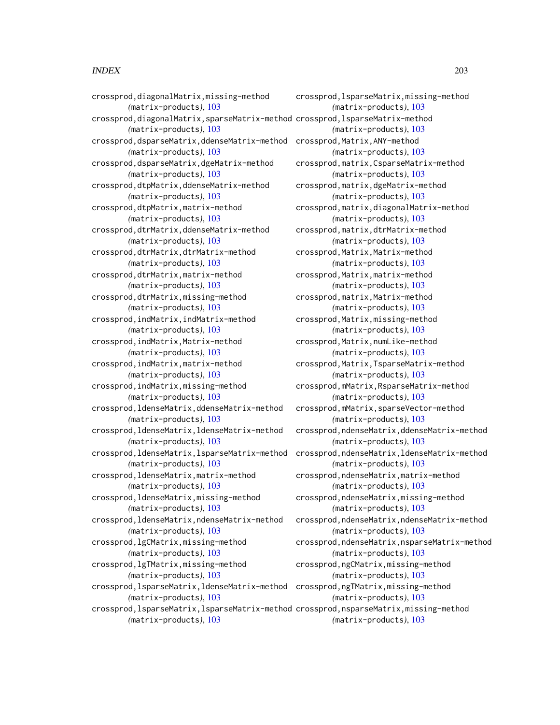crossprod,diagonalMatrix,missing-method *(*matrix-products*)*, [103](#page-102-0) crossprod,diagonalMatrix,sparseMatrix-method crossprod,lsparseMatrix-method *(*matrix-products*)*, [103](#page-102-0) crossprod,dsparseMatrix,ddenseMatrix-method crossprod,Matrix,ANY-method *(*matrix-products*)*, [103](#page-102-0) crossprod,dsparseMatrix,dgeMatrix-method *(*matrix-products*)*, [103](#page-102-0) crossprod,dtpMatrix,ddenseMatrix-method *(*matrix-products*)*, [103](#page-102-0) crossprod,dtpMatrix,matrix-method *(*matrix-products*)*, [103](#page-102-0) crossprod,dtrMatrix,ddenseMatrix-method *(*matrix-products*)*, [103](#page-102-0) crossprod,dtrMatrix,dtrMatrix-method *(*matrix-products*)*, [103](#page-102-0) crossprod,dtrMatrix,matrix-method *(*matrix-products*)*, [103](#page-102-0) crossprod,dtrMatrix,missing-method *(*matrix-products*)*, [103](#page-102-0) crossprod,indMatrix,indMatrix-method *(*matrix-products*)*, [103](#page-102-0) crossprod,indMatrix,Matrix-method *(*matrix-products*)*, [103](#page-102-0) crossprod,indMatrix,matrix-method *(*matrix-products*)*, [103](#page-102-0) crossprod,indMatrix,missing-method *(*matrix-products*)*, [103](#page-102-0) crossprod,ldenseMatrix,ddenseMatrix-method *(*matrix-products*)*, [103](#page-102-0) crossprod,ldenseMatrix,ldenseMatrix-method *(*matrix-products*)*, [103](#page-102-0) crossprod,ldenseMatrix,lsparseMatrix-method *(*matrix-products*)*, [103](#page-102-0) crossprod,ldenseMatrix,matrix-method *(*matrix-products*)*, [103](#page-102-0) crossprod,ldenseMatrix,missing-method *(*matrix-products*)*, [103](#page-102-0) crossprod,ldenseMatrix,ndenseMatrix-method *(*matrix-products*)*, [103](#page-102-0) crossprod,lgCMatrix,missing-method *(*matrix-products*)*, [103](#page-102-0) crossprod,lgTMatrix,missing-method *(*matrix-products*)*, [103](#page-102-0) crossprod,lsparseMatrix,ldenseMatrix-method crossprod,ngTMatrix,missing-method *(*matrix-products*)*, [103](#page-102-0) crossprod, lsparseMatrix, lsparseMatrix-method crossprod, nsparseMatrix, missing-method *(*matrix-products*)*, [103](#page-102-0)

crossprod,lsparseMatrix,missing-method *(*matrix-products*)*, [103](#page-102-0) *(*matrix-products*)*, [103](#page-102-0) *(*matrix-products*)*, [103](#page-102-0) crossprod,matrix,CsparseMatrix-method *(*matrix-products*)*, [103](#page-102-0) crossprod,matrix,dgeMatrix-method *(*matrix-products*)*, [103](#page-102-0) crossprod,matrix,diagonalMatrix-method *(*matrix-products*)*, [103](#page-102-0) crossprod,matrix,dtrMatrix-method *(*matrix-products*)*, [103](#page-102-0) crossprod,Matrix,Matrix-method *(*matrix-products*)*, [103](#page-102-0) crossprod,Matrix,matrix-method *(*matrix-products*)*, [103](#page-102-0) crossprod,matrix,Matrix-method *(*matrix-products*)*, [103](#page-102-0) crossprod,Matrix,missing-method *(*matrix-products*)*, [103](#page-102-0) crossprod,Matrix,numLike-method *(*matrix-products*)*, [103](#page-102-0) crossprod,Matrix,TsparseMatrix-method *(*matrix-products*)*, [103](#page-102-0) crossprod,mMatrix,RsparseMatrix-method *(*matrix-products*)*, [103](#page-102-0) crossprod,mMatrix,sparseVector-method *(*matrix-products*)*, [103](#page-102-0) crossprod,ndenseMatrix,ddenseMatrix-method *(*matrix-products*)*, [103](#page-102-0) crossprod,ndenseMatrix,ldenseMatrix-method *(*matrix-products*)*, [103](#page-102-0) crossprod,ndenseMatrix,matrix-method *(*matrix-products*)*, [103](#page-102-0) crossprod,ndenseMatrix,missing-method *(*matrix-products*)*, [103](#page-102-0) crossprod,ndenseMatrix,ndenseMatrix-method *(*matrix-products*)*, [103](#page-102-0) crossprod,ndenseMatrix,nsparseMatrix-method *(*matrix-products*)*, [103](#page-102-0) crossprod,ngCMatrix,missing-method *(*matrix-products*)*, [103](#page-102-0) *(*matrix-products*)*, [103](#page-102-0) *(*matrix-products*)*, [103](#page-102-0)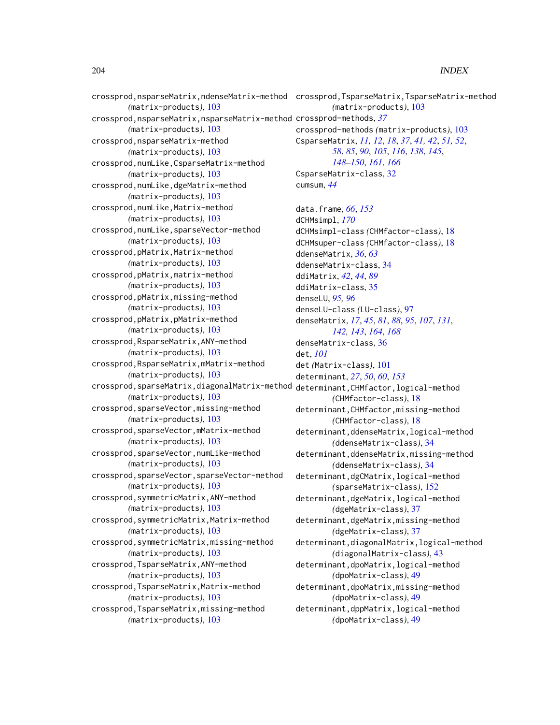```
crossprod,nsparseMatrix,ndenseMatrix-method
crossprod,TsparseMatrix,TsparseMatrix-method
        (matrix-products), 103
crossprod,nsparseMatrix,nsparseMatrix-method
crossprod-methods, 37
        (matrix-products), 103
crossprod,nsparseMatrix-method
        (matrix-products), 103
crossprod,numLike,CsparseMatrix-method
        (matrix-products), 103
crossprod,numLike,dgeMatrix-method
        (matrix-products), 103
crossprod,numLike,Matrix-method
        (matrix-products), 103
crossprod,numLike,sparseVector-method
        (matrix-products), 103
crossprod,pMatrix,Matrix-method
        (matrix-products), 103
crossprod,pMatrix,matrix-method
        (matrix-products), 103
crossprod,pMatrix,missing-method
        (matrix-products), 103
crossprod,pMatrix,pMatrix-method
        (matrix-products), 103
crossprod,RsparseMatrix,ANY-method
        (matrix-products), 103
crossprod,RsparseMatrix,mMatrix-method
        (matrix-products), 103
crossprod,sparseMatrix,diagonalMatrix-method
determinant,CHMfactor,logical-method
        (matrix-products), 103
crossprod,sparseVector,missing-method
        (matrix-products), 103
crossprod,sparseVector,mMatrix-method
        (matrix-products), 103
crossprod,sparseVector,numLike-method
        (matrix-products), 103
crossprod,sparseVector,sparseVector-method
        (matrix-products), 103
crossprod,symmetricMatrix,ANY-method
        (matrix-products), 103
crossprod,symmetricMatrix,Matrix-method
        (matrix-products), 103
crossprod,symmetricMatrix,missing-method
        (matrix-products), 103
crossprod,TsparseMatrix,ANY-method
        (matrix-products), 103
crossprod,TsparseMatrix,Matrix-method
        (matrix-products), 103
crossprod,TsparseMatrix,missing-method
        (matrix-products), 103
                                                       (matrix-products), 103
                                               crossprod-methods (matrix-products), 103
                                               CsparseMatrix, 11, 12, 18, 37, 41, 42, 51, 52,
                                                       58, 85, 90, 105, 116, 138, 145,
                                                       148–150, 161, 166
                                               CsparseMatrix-class, 32
                                               cumsum, 44
                                               data.frame, 66, 153
                                               dCHMsimpl, 170
                                               dCHMsimpl-class (CHMfactor-class), 18
                                               dCHMsuper-class (CHMfactor-class), 18
                                               ddenseMatrix, 36, 63
                                               ddenseMatrix-class, 34
                                               ddiMatrix, 42, 44, 89
                                               ddiMatrix-class, 35
                                               denseLU, 95, 96
                                               denseLU-class (LU-class), 97
                                               denseMatrix, 17, 45, 81, 88, 95, 107, 131,
                                                       142, 143, 164, 168
                                               denseMatrix-class, 36
                                               det, 101
                                               det (Matrix-class), 101
                                               determinant, 27, 50, 60, 153
                                                       (CHMfactor-class), 18
                                               determinant,CHMfactor,missing-method
                                                       (CHMfactor-class), 18
                                               determinant,ddenseMatrix,logical-method
                                                       (ddenseMatrix-class), 34
                                               determinant,ddenseMatrix,missing-method
                                                       (ddenseMatrix-class), 34
                                               determinant,dgCMatrix,logical-method
                                                       (sparseMatrix-class), 152
                                               determinant,dgeMatrix,logical-method
                                                       (dgeMatrix-class), 37
                                               determinant,dgeMatrix,missing-method
                                                       (dgeMatrix-class), 37
                                               determinant,diagonalMatrix,logical-method
                                                       (diagonalMatrix-class), 43
                                               determinant,dpoMatrix,logical-method
                                                       (dpoMatrix-class), 49
                                               determinant,dpoMatrix,missing-method
                                                       (dpoMatrix-class), 49
                                               determinant,dppMatrix,logical-method
                                                       (dpoMatrix-class), 49
```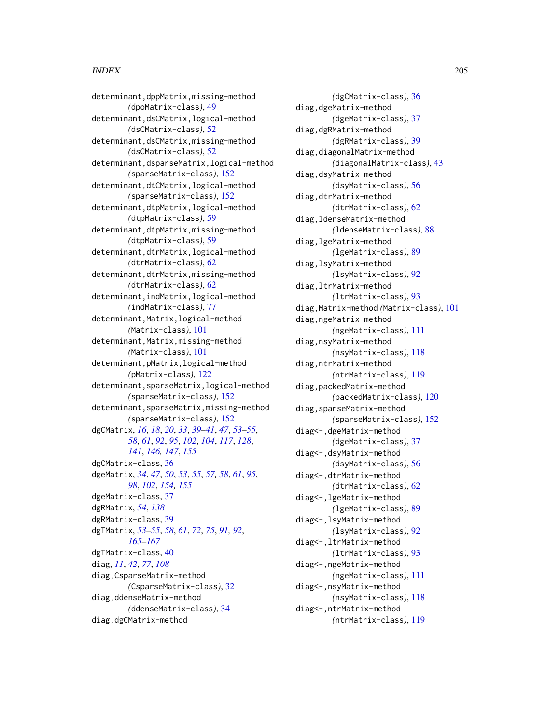determinant,dppMatrix,missing-method *(*dpoMatrix-class*)*, [49](#page-48-0) determinant,dsCMatrix,logical-method *(*dsCMatrix-class*)*, [52](#page-51-0) determinant,dsCMatrix,missing-method *(*dsCMatrix-class*)*, [52](#page-51-0) determinant,dsparseMatrix,logical-method *(*sparseMatrix-class*)*, [152](#page-151-0) determinant,dtCMatrix,logical-method *(*sparseMatrix-class*)*, [152](#page-151-0) determinant,dtpMatrix,logical-method *(*dtpMatrix-class*)*, [59](#page-58-0) determinant,dtpMatrix,missing-method *(*dtpMatrix-class*)*, [59](#page-58-0) determinant,dtrMatrix,logical-method *(*dtrMatrix-class*)*, [62](#page-61-0) determinant,dtrMatrix,missing-method *(*dtrMatrix-class*)*, [62](#page-61-0) determinant,indMatrix,logical-method *(*indMatrix-class*)*, [77](#page-76-0) determinant,Matrix,logical-method *(*Matrix-class*)*, [101](#page-100-0) determinant,Matrix,missing-method *(*Matrix-class*)*, [101](#page-100-0) determinant,pMatrix,logical-method *(*pMatrix-class*)*, [122](#page-121-0) determinant,sparseMatrix,logical-method *(*sparseMatrix-class*)*, [152](#page-151-0) determinant,sparseMatrix,missing-method *(*sparseMatrix-class*)*, [152](#page-151-0) dgCMatrix, *[16](#page-15-0)*, *[18](#page-17-0)*, *[20](#page-19-0)*, *[33](#page-32-0)*, *[39–](#page-38-0)[41](#page-40-0)*, *[47](#page-46-0)*, *[53–](#page-52-0)[55](#page-54-0)*, *[58](#page-57-0)*, *[61](#page-60-0)*, *[92](#page-91-0)*, *[95](#page-94-0)*, *[102](#page-101-0)*, *[104](#page-103-0)*, *[117](#page-116-0)*, *[128](#page-127-0)*, *[141](#page-140-0)*, *[146,](#page-145-0) [147](#page-146-0)*, *[155](#page-154-0)* dgCMatrix-class, [36](#page-35-0) dgeMatrix, *[34](#page-33-0)*, *[47](#page-46-0)*, *[50](#page-49-0)*, *[53](#page-52-0)*, *[55](#page-54-0)*, *[57,](#page-56-0) [58](#page-57-0)*, *[61](#page-60-0)*, *[95](#page-94-0)*, *[98](#page-97-0)*, *[102](#page-101-0)*, *[154,](#page-153-0) [155](#page-154-0)* dgeMatrix-class, [37](#page-36-0) dgRMatrix, *[54](#page-53-0)*, *[138](#page-137-0)* dgRMatrix-class, [39](#page-38-0) dgTMatrix, *[53](#page-52-0)[–55](#page-54-0)*, *[58](#page-57-0)*, *[61](#page-60-0)*, *[72](#page-71-0)*, *[75](#page-74-0)*, *[91,](#page-90-0) [92](#page-91-0)*, *[165](#page-164-0)[–167](#page-166-0)* dgTMatrix-class, [40](#page-39-0) diag, *[11](#page-10-0)*, *[42](#page-41-0)*, *[77](#page-76-0)*, *[108](#page-107-0)* diag,CsparseMatrix-method *(*CsparseMatrix-class*)*, [32](#page-31-0) diag,ddenseMatrix-method *(*ddenseMatrix-class*)*, [34](#page-33-0) diag,dgCMatrix-method

*(*dgCMatrix-class*)*, [36](#page-35-0) diag,dgeMatrix-method *(*dgeMatrix-class*)*, [37](#page-36-0) diag,dgRMatrix-method *(*dgRMatrix-class*)*, [39](#page-38-0) diag,diagonalMatrix-method *(*diagonalMatrix-class*)*, [43](#page-42-0) diag,dsyMatrix-method *(*dsyMatrix-class*)*, [56](#page-55-0) diag,dtrMatrix-method *(*dtrMatrix-class*)*, [62](#page-61-0) diag,ldenseMatrix-method *(*ldenseMatrix-class*)*, [88](#page-87-0) diag,lgeMatrix-method *(*lgeMatrix-class*)*, [89](#page-88-0) diag,lsyMatrix-method *(*lsyMatrix-class*)*, [92](#page-91-0) diag,ltrMatrix-method *(*ltrMatrix-class*)*, [93](#page-92-0) diag,Matrix-method *(*Matrix-class*)*, [101](#page-100-0) diag,ngeMatrix-method *(*ngeMatrix-class*)*, [111](#page-110-0) diag,nsyMatrix-method *(*nsyMatrix-class*)*, [118](#page-117-0) diag,ntrMatrix-method *(*ntrMatrix-class*)*, [119](#page-118-0) diag,packedMatrix-method *(*packedMatrix-class*)*, [120](#page-119-0) diag,sparseMatrix-method *(*sparseMatrix-class*)*, [152](#page-151-0) diag<-,dgeMatrix-method *(*dgeMatrix-class*)*, [37](#page-36-0) diag<-,dsyMatrix-method *(*dsyMatrix-class*)*, [56](#page-55-0) diag<-,dtrMatrix-method *(*dtrMatrix-class*)*, [62](#page-61-0) diag<-,lgeMatrix-method *(*lgeMatrix-class*)*, [89](#page-88-0) diag<-,lsyMatrix-method *(*lsyMatrix-class*)*, [92](#page-91-0) diag<-,ltrMatrix-method *(*ltrMatrix-class*)*, [93](#page-92-0) diag<-,ngeMatrix-method *(*ngeMatrix-class*)*, [111](#page-110-0) diag<-,nsyMatrix-method *(*nsyMatrix-class*)*, [118](#page-117-0) diag<-,ntrMatrix-method *(*ntrMatrix-class*)*, [119](#page-118-0)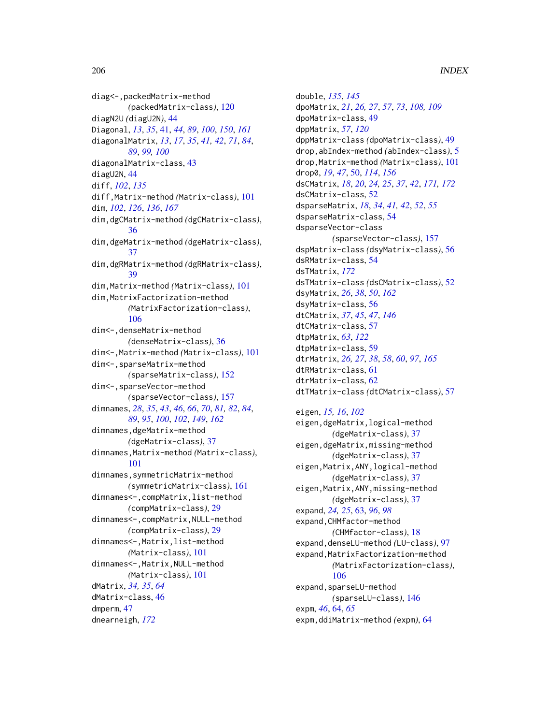diag<-,packedMatrix-method *(*packedMatrix-class*)*, [120](#page-119-0) diagN2U *(*diagU2N*)*, [44](#page-43-0) Diagonal, *[13](#page-12-0)*, *[35](#page-34-0)*, [41,](#page-40-0) *[44](#page-43-0)*, *[89](#page-88-0)*, *[100](#page-99-0)*, *[150](#page-149-0)*, *[161](#page-160-0)* diagonalMatrix, *[13](#page-12-0)*, *[17](#page-16-0)*, *[35](#page-34-0)*, *[41,](#page-40-0) [42](#page-41-0)*, *[71](#page-70-0)*, *[84](#page-83-0)*, *[89](#page-88-0)*, *[99,](#page-98-0) [100](#page-99-0)* diagonalMatrix-class, [43](#page-42-0) diagU2N, [44](#page-43-0) diff, *[102](#page-101-0)*, *[135](#page-134-0)* diff,Matrix-method *(*Matrix-class*)*, [101](#page-100-0) dim, *[102](#page-101-0)*, *[126](#page-125-0)*, *[136](#page-135-0)*, *[167](#page-166-0)* dim,dgCMatrix-method *(*dgCMatrix-class*)*, [36](#page-35-0) dim,dgeMatrix-method *(*dgeMatrix-class*)*, [37](#page-36-0) dim,dgRMatrix-method *(*dgRMatrix-class*)*, [39](#page-38-0) dim,Matrix-method *(*Matrix-class*)*, [101](#page-100-0) dim,MatrixFactorization-method *(*MatrixFactorization-class*)*, [106](#page-105-0) dim<-,denseMatrix-method *(*denseMatrix-class*)*, [36](#page-35-0) dim<-,Matrix-method *(*Matrix-class*)*, [101](#page-100-0) dim<-,sparseMatrix-method *(*sparseMatrix-class*)*, [152](#page-151-0) dim<-,sparseVector-method *(*sparseVector-class*)*, [157](#page-156-0) dimnames, *[28](#page-27-0)*, *[35](#page-34-0)*, *[43](#page-42-0)*, *[46](#page-45-0)*, *[66](#page-65-0)*, *[70](#page-69-0)*, *[81,](#page-80-0) [82](#page-81-0)*, *[84](#page-83-0)*, *[89](#page-88-0)*, *[95](#page-94-0)*, *[100](#page-99-0)*, *[102](#page-101-0)*, *[149](#page-148-0)*, *[162](#page-161-0)* dimnames,dgeMatrix-method *(*dgeMatrix-class*)*, [37](#page-36-0) dimnames,Matrix-method *(*Matrix-class*)*, [101](#page-100-0) dimnames,symmetricMatrix-method *(*symmetricMatrix-class*)*, [161](#page-160-0) dimnames<-,compMatrix,list-method *(*compMatrix-class*)*, [29](#page-28-0) dimnames<-,compMatrix,NULL-method *(*compMatrix-class*)*, [29](#page-28-0) dimnames<-,Matrix,list-method *(*Matrix-class*)*, [101](#page-100-0) dimnames<-,Matrix,NULL-method *(*Matrix-class*)*, [101](#page-100-0) dMatrix, *[34,](#page-33-0) [35](#page-34-0)*, *[64](#page-63-0)* dMatrix-class, [46](#page-45-0) dmperm, [47](#page-46-0) dnearneigh, *[172](#page-171-0)*

double, *[135](#page-134-0)*, *[145](#page-144-0)* dpoMatrix, *[21](#page-20-0)*, *[26,](#page-25-0) [27](#page-26-0)*, *[57](#page-56-0)*, *[73](#page-72-0)*, *[108,](#page-107-0) [109](#page-108-0)* dpoMatrix-class, [49](#page-48-0) dppMatrix, *[57](#page-56-0)*, *[120](#page-119-0)* dppMatrix-class *(*dpoMatrix-class*)*, [49](#page-48-0) drop,abIndex-method *(*abIndex-class*)*, [5](#page-4-0) drop,Matrix-method *(*Matrix-class*)*, [101](#page-100-0) drop0, *[19](#page-18-0)*, *[47](#page-46-0)*, [50,](#page-49-0) *[114](#page-113-0)*, *[156](#page-155-0)* dsCMatrix, *[18](#page-17-0)*, *[20](#page-19-0)*, *[24,](#page-23-0) [25](#page-24-0)*, *[37](#page-36-0)*, *[42](#page-41-0)*, *[171,](#page-170-0) [172](#page-171-0)* dsCMatrix-class, [52](#page-51-0) dsparseMatrix, *[18](#page-17-0)*, *[34](#page-33-0)*, *[41,](#page-40-0) [42](#page-41-0)*, *[52](#page-51-0)*, *[55](#page-54-0)* dsparseMatrix-class, [54](#page-53-0) dsparseVector-class *(*sparseVector-class*)*, [157](#page-156-0) dspMatrix-class *(*dsyMatrix-class*)*, [56](#page-55-0) dsRMatrix-class, [54](#page-53-0) dsTMatrix, *[172](#page-171-0)* dsTMatrix-class *(*dsCMatrix-class*)*, [52](#page-51-0) dsyMatrix, *[26](#page-25-0)*, *[38](#page-37-0)*, *[50](#page-49-0)*, *[162](#page-161-0)* dsyMatrix-class, [56](#page-55-0) dtCMatrix, *[37](#page-36-0)*, *[45](#page-44-0)*, *[47](#page-46-0)*, *[146](#page-145-0)* dtCMatrix-class, [57](#page-56-0) dtpMatrix, *[63](#page-62-0)*, *[122](#page-121-0)* dtpMatrix-class, [59](#page-58-0) dtrMatrix, *[26,](#page-25-0) [27](#page-26-0)*, *[38](#page-37-0)*, *[58](#page-57-0)*, *[60](#page-59-0)*, *[97](#page-96-0)*, *[165](#page-164-0)* dtRMatrix-class, [61](#page-60-0) dtrMatrix-class, [62](#page-61-0) dtTMatrix-class *(*dtCMatrix-class*)*, [57](#page-56-0) eigen, *[15,](#page-14-0) [16](#page-15-0)*, *[102](#page-101-0)*

eigen,dgeMatrix,logical-method *(*dgeMatrix-class*)*, [37](#page-36-0) eigen,dgeMatrix,missing-method *(*dgeMatrix-class*)*, [37](#page-36-0) eigen, Matrix, ANY, logical-method *(*dgeMatrix-class*)*, [37](#page-36-0) eigen, Matrix, ANY, missing-method *(*dgeMatrix-class*)*, [37](#page-36-0) expand, *[24,](#page-23-0) [25](#page-24-0)*, [63,](#page-62-0) *[96](#page-95-0)*, *[98](#page-97-0)* expand,CHMfactor-method *(*CHMfactor-class*)*, [18](#page-17-0) expand,denseLU-method *(*LU-class*)*, [97](#page-96-0) expand, MatrixFactorization-method *(*MatrixFactorization-class*)*, [106](#page-105-0) expand,sparseLU-method *(*sparseLU-class*)*, [146](#page-145-0) expm, *[46](#page-45-0)*, [64,](#page-63-0) *[65](#page-64-0)* expm,ddiMatrix-method *(*expm*)*, [64](#page-63-0)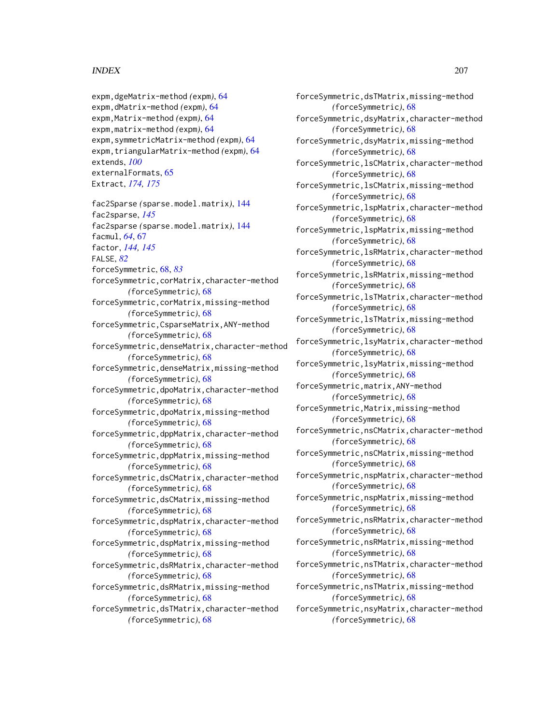```
expm,dgeMatrix-method (expm), 64
expm,dMatrix-method (expm), 64
expm,Matrix-method (expm), 64
expm,matrix-method (expm), 64
expm,symmetricMatrix-method (expm), 64
expm,triangularMatrix-method (expm), 64
extends, 100
externalFormats, 65
Extract, 174, 175
```
fac2Sparse *(*sparse.model.matrix*)*, [144](#page-143-0) fac2sparse, *[145](#page-144-0)* fac2sparse *(*sparse.model.matrix*)*, [144](#page-143-0) facmul, *[64](#page-63-0)*, [67](#page-66-0) factor, *[144,](#page-143-0) [145](#page-144-0)* FALSE, *[82](#page-81-0)*

- forceSymmetric, [68,](#page-67-0) *[83](#page-82-0)*
- forceSymmetric,corMatrix,character-method *(*forceSymmetric*)*, [68](#page-67-0)

forceSymmetric,corMatrix,missing-method *(*forceSymmetric*)*, [68](#page-67-0)

- forceSymmetric,CsparseMatrix,ANY-method *(*forceSymmetric*)*, [68](#page-67-0)
- forceSymmetric,denseMatrix,character-method *(*forceSymmetric*)*, [68](#page-67-0)
- forceSymmetric,denseMatrix,missing-method *(*forceSymmetric*)*, [68](#page-67-0)
- forceSymmetric,dpoMatrix,character-method *(*forceSymmetric*)*, [68](#page-67-0)
- forceSymmetric,dpoMatrix,missing-method *(*forceSymmetric*)*, [68](#page-67-0)
- forceSymmetric,dppMatrix,character-method *(*forceSymmetric*)*, [68](#page-67-0)
- forceSymmetric,dppMatrix,missing-method *(*forceSymmetric*)*, [68](#page-67-0)
- forceSymmetric,dsCMatrix,character-method *(*forceSymmetric*)*, [68](#page-67-0)
- forceSymmetric,dsCMatrix,missing-method *(*forceSymmetric*)*, [68](#page-67-0)
- forceSymmetric,dspMatrix,character-method *(*forceSymmetric*)*, [68](#page-67-0)
- forceSymmetric,dspMatrix,missing-method *(*forceSymmetric*)*, [68](#page-67-0)
- forceSymmetric,dsRMatrix,character-method *(*forceSymmetric*)*, [68](#page-67-0)
- forceSymmetric,dsRMatrix,missing-method *(*forceSymmetric*)*, [68](#page-67-0)
- forceSymmetric,dsTMatrix,character-method *(*forceSymmetric*)*, [68](#page-67-0)

forceSymmetric,dsTMatrix,missing-method *(*forceSymmetric*)*, [68](#page-67-0) forceSymmetric,dsyMatrix,character-method *(*forceSymmetric*)*, [68](#page-67-0) forceSymmetric,dsyMatrix,missing-method *(*forceSymmetric*)*, [68](#page-67-0) forceSymmetric,lsCMatrix,character-method *(*forceSymmetric*)*, [68](#page-67-0) forceSymmetric,lsCMatrix,missing-method *(*forceSymmetric*)*, [68](#page-67-0) forceSymmetric,lspMatrix,character-method *(*forceSymmetric*)*, [68](#page-67-0) forceSymmetric,lspMatrix,missing-method *(*forceSymmetric*)*, [68](#page-67-0) forceSymmetric,lsRMatrix,character-method *(*forceSymmetric*)*, [68](#page-67-0) forceSymmetric,lsRMatrix,missing-method *(*forceSymmetric*)*, [68](#page-67-0) forceSymmetric,lsTMatrix,character-method *(*forceSymmetric*)*, [68](#page-67-0) forceSymmetric,lsTMatrix,missing-method *(*forceSymmetric*)*, [68](#page-67-0) forceSymmetric,lsyMatrix,character-method *(*forceSymmetric*)*, [68](#page-67-0) forceSymmetric,lsyMatrix,missing-method *(*forceSymmetric*)*, [68](#page-67-0) forceSymmetric,matrix,ANY-method *(*forceSymmetric*)*, [68](#page-67-0) forceSymmetric,Matrix,missing-method *(*forceSymmetric*)*, [68](#page-67-0) forceSymmetric,nsCMatrix,character-method *(*forceSymmetric*)*, [68](#page-67-0) forceSymmetric,nsCMatrix,missing-method *(*forceSymmetric*)*, [68](#page-67-0) forceSymmetric,nspMatrix,character-method *(*forceSymmetric*)*, [68](#page-67-0) forceSymmetric,nspMatrix,missing-method *(*forceSymmetric*)*, [68](#page-67-0) forceSymmetric,nsRMatrix,character-method *(*forceSymmetric*)*, [68](#page-67-0) forceSymmetric,nsRMatrix,missing-method *(*forceSymmetric*)*, [68](#page-67-0)

- forceSymmetric,nsTMatrix,character-method *(*forceSymmetric*)*, [68](#page-67-0)
- forceSymmetric,nsTMatrix,missing-method *(*forceSymmetric*)*, [68](#page-67-0)
- forceSymmetric,nsyMatrix,character-method *(*forceSymmetric*)*, [68](#page-67-0)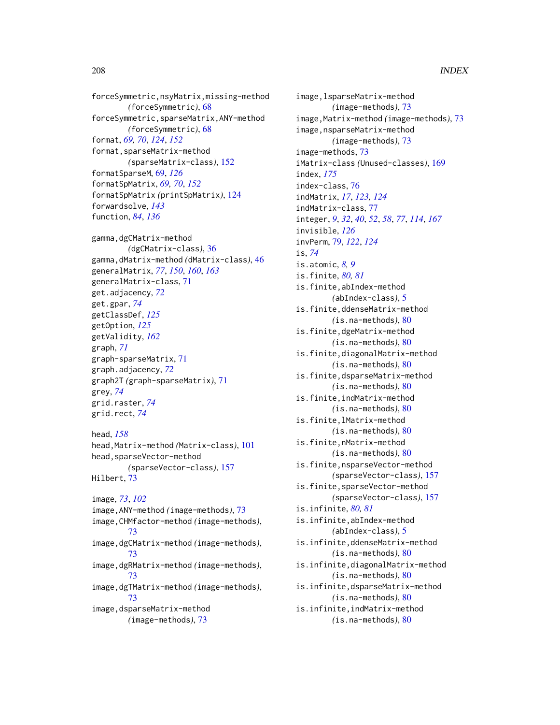forceSymmetric,nsyMatrix,missing-method *(*forceSymmetric*)*, [68](#page-67-0) forceSymmetric,sparseMatrix,ANY-method *(*forceSymmetric*)*, [68](#page-67-0) format, *[69,](#page-68-0) [70](#page-69-0)*, *[124](#page-123-0)*, *[152](#page-151-0)* format,sparseMatrix-method *(*sparseMatrix-class*)*, [152](#page-151-0) formatSparseM, [69,](#page-68-0) *[126](#page-125-0)* formatSpMatrix, *[69,](#page-68-0) [70](#page-69-0)*, *[152](#page-151-0)* formatSpMatrix *(*printSpMatrix*)*, [124](#page-123-0) forwardsolve, *[143](#page-142-0)* function, *[84](#page-83-0)*, *[136](#page-135-0)*

gamma,dgCMatrix-method *(*dgCMatrix-class*)*, [36](#page-35-0) gamma,dMatrix-method *(*dMatrix-class*)*, [46](#page-45-0) generalMatrix, *[77](#page-76-0)*, *[150](#page-149-0)*, *[160](#page-159-0)*, *[163](#page-162-0)* generalMatrix-class, [71](#page-70-0) get.adjacency, *[72](#page-71-0)* get.gpar, *[74](#page-73-0)* getClassDef, *[125](#page-124-0)* getOption, *[125](#page-124-0)* getValidity, *[162](#page-161-0)* graph, *[71](#page-70-0)* graph-sparseMatrix, [71](#page-70-0) graph.adjacency, *[72](#page-71-0)* graph2T *(*graph-sparseMatrix*)*, [71](#page-70-0) grey, *[74](#page-73-0)* grid.raster, *[74](#page-73-0)* grid.rect, *[74](#page-73-0)*

head, *[158](#page-157-0)* head,Matrix-method *(*Matrix-class*)*, [101](#page-100-0) head,sparseVector-method *(*sparseVector-class*)*, [157](#page-156-0) Hilbert, [73](#page-72-0)

image, *[73](#page-72-0)*, *[102](#page-101-0)* image,ANY-method *(*image-methods*)*, [73](#page-72-0) image,CHMfactor-method *(*image-methods*)*, [73](#page-72-0) image,dgCMatrix-method *(*image-methods*)*, [73](#page-72-0) image,dgRMatrix-method *(*image-methods*)*, [73](#page-72-0) image,dgTMatrix-method *(*image-methods*)*, [73](#page-72-0) image,dsparseMatrix-method *(*image-methods*)*, [73](#page-72-0)

image,lsparseMatrix-method *(*image-methods*)*, [73](#page-72-0) image,Matrix-method *(*image-methods*)*, [73](#page-72-0) image,nsparseMatrix-method *(*image-methods*)*, [73](#page-72-0) image-methods, [73](#page-72-0) iMatrix-class *(*Unused-classes*)*, [169](#page-168-0) index, *[175](#page-174-0)* index-class, [76](#page-75-0) indMatrix, *[17](#page-16-0)*, *[123,](#page-122-0) [124](#page-123-0)* indMatrix-class, [77](#page-76-0) integer, *[9](#page-8-0)*, *[32](#page-31-0)*, *[40](#page-39-0)*, *[52](#page-51-0)*, *[58](#page-57-0)*, *[77](#page-76-0)*, *[114](#page-113-0)*, *[167](#page-166-0)* invisible, *[126](#page-125-0)* invPerm, [79,](#page-78-0) *[122](#page-121-0)*, *[124](#page-123-0)* is, *[74](#page-73-0)* is.atomic, *[8,](#page-7-0) [9](#page-8-0)* is.finite, *[80,](#page-79-0) [81](#page-80-0)* is.finite,abIndex-method *(*abIndex-class*)*, [5](#page-4-0) is.finite,ddenseMatrix-method *(*is.na-methods*)*, [80](#page-79-0) is.finite,dgeMatrix-method *(*is.na-methods*)*, [80](#page-79-0) is.finite,diagonalMatrix-method *(*is.na-methods*)*, [80](#page-79-0) is.finite,dsparseMatrix-method *(*is.na-methods*)*, [80](#page-79-0) is.finite,indMatrix-method *(*is.na-methods*)*, [80](#page-79-0) is.finite,lMatrix-method *(*is.na-methods*)*, [80](#page-79-0) is.finite,nMatrix-method *(*is.na-methods*)*, [80](#page-79-0) is.finite,nsparseVector-method *(*sparseVector-class*)*, [157](#page-156-0) is.finite,sparseVector-method *(*sparseVector-class*)*, [157](#page-156-0) is.infinite, *[80,](#page-79-0) [81](#page-80-0)* is.infinite,abIndex-method *(*abIndex-class*)*, [5](#page-4-0) is.infinite,ddenseMatrix-method *(*is.na-methods*)*, [80](#page-79-0) is.infinite,diagonalMatrix-method *(*is.na-methods*)*, [80](#page-79-0) is.infinite,dsparseMatrix-method *(*is.na-methods*)*, [80](#page-79-0) is.infinite,indMatrix-method *(*is.na-methods*)*, [80](#page-79-0)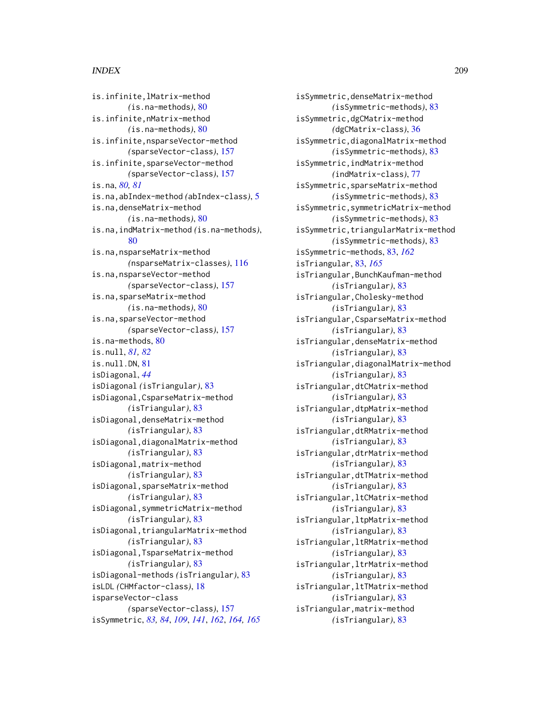is.infinite,lMatrix-method *(*is.na-methods*)*, [80](#page-79-0) is.infinite,nMatrix-method *(*is.na-methods*)*, [80](#page-79-0) is.infinite,nsparseVector-method *(*sparseVector-class*)*, [157](#page-156-0) is.infinite,sparseVector-method *(*sparseVector-class*)*, [157](#page-156-0) is.na, *[80,](#page-79-0) [81](#page-80-0)* is.na,abIndex-method *(*abIndex-class*)*, [5](#page-4-0) is.na,denseMatrix-method *(*is.na-methods*)*, [80](#page-79-0) is.na,indMatrix-method *(*is.na-methods*)*, [80](#page-79-0) is.na,nsparseMatrix-method *(*nsparseMatrix-classes*)*, [116](#page-115-0) is.na,nsparseVector-method *(*sparseVector-class*)*, [157](#page-156-0) is.na,sparseMatrix-method *(*is.na-methods*)*, [80](#page-79-0) is.na,sparseVector-method *(*sparseVector-class*)*, [157](#page-156-0) is.na-methods, [80](#page-79-0) is.null, *[81,](#page-80-0) [82](#page-81-0)* is.null.DN, [81](#page-80-0) isDiagonal, *[44](#page-43-0)* isDiagonal *(*isTriangular*)*, [83](#page-82-0) isDiagonal,CsparseMatrix-method *(*isTriangular*)*, [83](#page-82-0) isDiagonal,denseMatrix-method *(*isTriangular*)*, [83](#page-82-0) isDiagonal,diagonalMatrix-method *(*isTriangular*)*, [83](#page-82-0) isDiagonal,matrix-method *(*isTriangular*)*, [83](#page-82-0) isDiagonal,sparseMatrix-method *(*isTriangular*)*, [83](#page-82-0) isDiagonal,symmetricMatrix-method *(*isTriangular*)*, [83](#page-82-0) isDiagonal,triangularMatrix-method *(*isTriangular*)*, [83](#page-82-0) isDiagonal,TsparseMatrix-method *(*isTriangular*)*, [83](#page-82-0) isDiagonal-methods *(*isTriangular*)*, [83](#page-82-0) isLDL *(*CHMfactor-class*)*, [18](#page-17-0) isparseVector-class *(*sparseVector-class*)*, [157](#page-156-0) isSymmetric, *[83,](#page-82-0) [84](#page-83-0)*, *[109](#page-108-0)*, *[141](#page-140-0)*, *[162](#page-161-0)*, *[164,](#page-163-0) [165](#page-164-0)*

isSymmetric,denseMatrix-method *(*isSymmetric-methods*)*, [83](#page-82-0) isSymmetric,dgCMatrix-method *(*dgCMatrix-class*)*, [36](#page-35-0) isSymmetric,diagonalMatrix-method *(*isSymmetric-methods*)*, [83](#page-82-0) isSymmetric,indMatrix-method *(*indMatrix-class*)*, [77](#page-76-0) isSymmetric,sparseMatrix-method *(*isSymmetric-methods*)*, [83](#page-82-0) isSymmetric,symmetricMatrix-method *(*isSymmetric-methods*)*, [83](#page-82-0) isSymmetric,triangularMatrix-method *(*isSymmetric-methods*)*, [83](#page-82-0) isSymmetric-methods, [83,](#page-82-0) *[162](#page-161-0)* isTriangular, [83,](#page-82-0) *[165](#page-164-0)* isTriangular,BunchKaufman-method *(*isTriangular*)*, [83](#page-82-0) isTriangular,Cholesky-method *(*isTriangular*)*, [83](#page-82-0) isTriangular,CsparseMatrix-method *(*isTriangular*)*, [83](#page-82-0) isTriangular,denseMatrix-method *(*isTriangular*)*, [83](#page-82-0) isTriangular,diagonalMatrix-method *(*isTriangular*)*, [83](#page-82-0) isTriangular,dtCMatrix-method *(*isTriangular*)*, [83](#page-82-0) isTriangular,dtpMatrix-method *(*isTriangular*)*, [83](#page-82-0) isTriangular,dtRMatrix-method *(*isTriangular*)*, [83](#page-82-0) isTriangular,dtrMatrix-method *(*isTriangular*)*, [83](#page-82-0) isTriangular,dtTMatrix-method *(*isTriangular*)*, [83](#page-82-0) isTriangular,ltCMatrix-method *(*isTriangular*)*, [83](#page-82-0) isTriangular,ltpMatrix-method *(*isTriangular*)*, [83](#page-82-0) isTriangular,ltRMatrix-method *(*isTriangular*)*, [83](#page-82-0) isTriangular,ltrMatrix-method *(*isTriangular*)*, [83](#page-82-0) isTriangular,ltTMatrix-method *(*isTriangular*)*, [83](#page-82-0) isTriangular,matrix-method *(*isTriangular*)*, [83](#page-82-0)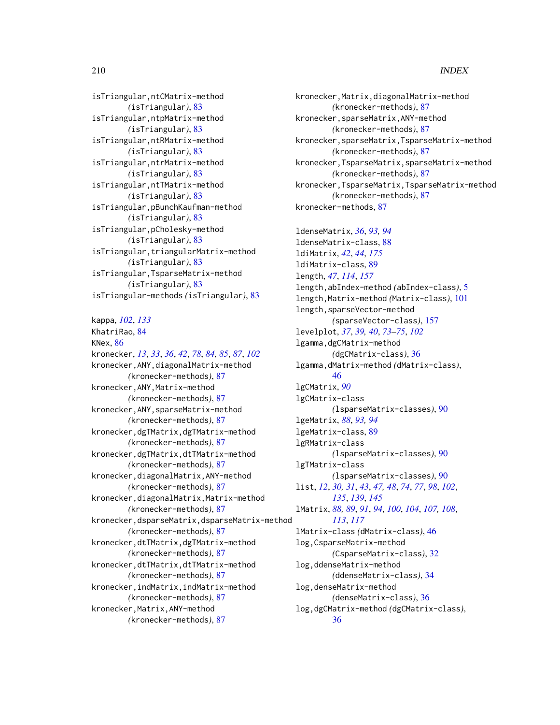isTriangular,ntCMatrix-method *(*isTriangular*)*, [83](#page-82-0) isTriangular,ntpMatrix-method *(*isTriangular*)*, [83](#page-82-0) isTriangular,ntRMatrix-method *(*isTriangular*)*, [83](#page-82-0) isTriangular,ntrMatrix-method *(*isTriangular*)*, [83](#page-82-0) isTriangular,ntTMatrix-method *(*isTriangular*)*, [83](#page-82-0) isTriangular,pBunchKaufman-method *(*isTriangular*)*, [83](#page-82-0) isTriangular,pCholesky-method *(*isTriangular*)*, [83](#page-82-0) isTriangular,triangularMatrix-method *(*isTriangular*)*, [83](#page-82-0) isTriangular,TsparseMatrix-method *(*isTriangular*)*, [83](#page-82-0) isTriangular-methods *(*isTriangular*)*, [83](#page-82-0)

kappa, *[102](#page-101-0)*, *[133](#page-132-0)* KhatriRao, [84](#page-83-0) KNex, [86](#page-85-0) kronecker, *[13](#page-12-0)*, *[33](#page-32-0)*, *[36](#page-35-0)*, *[42](#page-41-0)*, *[78](#page-77-0)*, *[84,](#page-83-0) [85](#page-84-0)*, *[87](#page-86-0)*, *[102](#page-101-0)* kronecker,ANY,diagonalMatrix-method *(*kronecker-methods*)*, [87](#page-86-0) kronecker,ANY,Matrix-method *(*kronecker-methods*)*, [87](#page-86-0) kronecker,ANY,sparseMatrix-method *(*kronecker-methods*)*, [87](#page-86-0) kronecker,dgTMatrix,dgTMatrix-method *(*kronecker-methods*)*, [87](#page-86-0) kronecker,dgTMatrix,dtTMatrix-method *(*kronecker-methods*)*, [87](#page-86-0) kronecker,diagonalMatrix,ANY-method *(*kronecker-methods*)*, [87](#page-86-0) kronecker,diagonalMatrix,Matrix-method *(*kronecker-methods*)*, [87](#page-86-0) kronecker,dsparseMatrix,dsparseMatrix-method *(*kronecker-methods*)*, [87](#page-86-0) kronecker,dtTMatrix,dgTMatrix-method *(*kronecker-methods*)*, [87](#page-86-0) kronecker,dtTMatrix,dtTMatrix-method *(*kronecker-methods*)*, [87](#page-86-0) kronecker,indMatrix,indMatrix-method *(*kronecker-methods*)*, [87](#page-86-0) kronecker,Matrix,ANY-method *(*kronecker-methods*)*, [87](#page-86-0)

kronecker,Matrix,diagonalMatrix-method *(*kronecker-methods*)*, [87](#page-86-0) kronecker,sparseMatrix,ANY-method *(*kronecker-methods*)*, [87](#page-86-0) kronecker,sparseMatrix,TsparseMatrix-method *(*kronecker-methods*)*, [87](#page-86-0) kronecker,TsparseMatrix,sparseMatrix-method *(*kronecker-methods*)*, [87](#page-86-0) kronecker,TsparseMatrix,TsparseMatrix-method *(*kronecker-methods*)*, [87](#page-86-0) kronecker-methods, [87](#page-86-0)

ldenseMatrix, *[36](#page-35-0)*, *[93,](#page-92-0) [94](#page-93-0)* ldenseMatrix-class, [88](#page-87-0) ldiMatrix, *[42](#page-41-0)*, *[44](#page-43-0)*, *[175](#page-174-0)* ldiMatrix-class, [89](#page-88-0) length, *[47](#page-46-0)*, *[114](#page-113-0)*, *[157](#page-156-0)* length,abIndex-method *(*abIndex-class*)*, [5](#page-4-0) length,Matrix-method *(*Matrix-class*)*, [101](#page-100-0) length, sparseVector-method *(*sparseVector-class*)*, [157](#page-156-0) levelplot, *[37](#page-36-0)*, *[39,](#page-38-0) [40](#page-39-0)*, *[73](#page-72-0)[–75](#page-74-0)*, *[102](#page-101-0)* lgamma,dgCMatrix-method *(*dgCMatrix-class*)*, [36](#page-35-0) lgamma,dMatrix-method *(*dMatrix-class*)*, [46](#page-45-0) lgCMatrix, *[90](#page-89-0)* lgCMatrix-class *(*lsparseMatrix-classes*)*, [90](#page-89-0) lgeMatrix, *[88](#page-87-0)*, *[93,](#page-92-0) [94](#page-93-0)* lgeMatrix-class, [89](#page-88-0) lgRMatrix-class *(*lsparseMatrix-classes*)*, [90](#page-89-0) lgTMatrix-class *(*lsparseMatrix-classes*)*, [90](#page-89-0) list, *[12](#page-11-0)*, *[30,](#page-29-0) [31](#page-30-0)*, *[43](#page-42-0)*, *[47,](#page-46-0) [48](#page-47-0)*, *[74](#page-73-0)*, *[77](#page-76-0)*, *[98](#page-97-0)*, *[102](#page-101-0)*, *[135](#page-134-0)*, *[139](#page-138-0)*, *[145](#page-144-0)* lMatrix, *[88,](#page-87-0) [89](#page-88-0)*, *[91](#page-90-0)*, *[94](#page-93-0)*, *[100](#page-99-0)*, *[104](#page-103-0)*, *[107,](#page-106-0) [108](#page-107-0)*, *[113](#page-112-0)*, *[117](#page-116-0)* lMatrix-class *(*dMatrix-class*)*, [46](#page-45-0) log,CsparseMatrix-method *(*CsparseMatrix-class*)*, [32](#page-31-0) log,ddenseMatrix-method *(*ddenseMatrix-class*)*, [34](#page-33-0) log,denseMatrix-method *(*denseMatrix-class*)*, [36](#page-35-0) log,dgCMatrix-method *(*dgCMatrix-class*)*, [36](#page-35-0)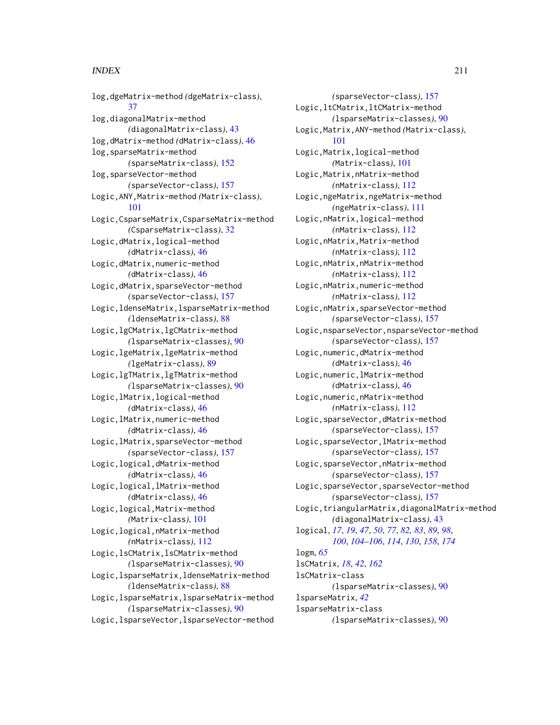log,dgeMatrix-method *(*dgeMatrix-class*)*, [37](#page-36-0) log,diagonalMatrix-method *(*diagonalMatrix-class*)*, [43](#page-42-0) log,dMatrix-method *(*dMatrix-class*)*, [46](#page-45-0) log,sparseMatrix-method *(*sparseMatrix-class*)*, [152](#page-151-0) log,sparseVector-method *(*sparseVector-class*)*, [157](#page-156-0) Logic,ANY,Matrix-method *(*Matrix-class*)*, [101](#page-100-0) Logic,CsparseMatrix,CsparseMatrix-method *(*CsparseMatrix-class*)*, [32](#page-31-0) Logic,dMatrix,logical-method *(*dMatrix-class*)*, [46](#page-45-0) Logic,dMatrix,numeric-method *(*dMatrix-class*)*, [46](#page-45-0) Logic,dMatrix,sparseVector-method *(*sparseVector-class*)*, [157](#page-156-0) Logic,ldenseMatrix,lsparseMatrix-method *(*ldenseMatrix-class*)*, [88](#page-87-0) Logic,lgCMatrix,lgCMatrix-method *(*lsparseMatrix-classes*)*, [90](#page-89-0) Logic,lgeMatrix,lgeMatrix-method *(*lgeMatrix-class*)*, [89](#page-88-0) Logic,lgTMatrix,lgTMatrix-method *(*lsparseMatrix-classes*)*, [90](#page-89-0) Logic,lMatrix,logical-method *(*dMatrix-class*)*, [46](#page-45-0) Logic,lMatrix,numeric-method *(*dMatrix-class*)*, [46](#page-45-0) Logic,lMatrix,sparseVector-method *(*sparseVector-class*)*, [157](#page-156-0) Logic,logical,dMatrix-method *(*dMatrix-class*)*, [46](#page-45-0) Logic,logical,lMatrix-method *(*dMatrix-class*)*, [46](#page-45-0) Logic,logical,Matrix-method *(*Matrix-class*)*, [101](#page-100-0) Logic,logical,nMatrix-method *(*nMatrix-class*)*, [112](#page-111-0) Logic,lsCMatrix,lsCMatrix-method *(*lsparseMatrix-classes*)*, [90](#page-89-0) Logic,lsparseMatrix,ldenseMatrix-method *(*ldenseMatrix-class*)*, [88](#page-87-0) Logic,lsparseMatrix,lsparseMatrix-method *(*lsparseMatrix-classes*)*, [90](#page-89-0) Logic,lsparseVector,lsparseVector-method

*(*sparseVector-class*)*, [157](#page-156-0) Logic,ltCMatrix,ltCMatrix-method *(*lsparseMatrix-classes*)*, [90](#page-89-0) Logic,Matrix,ANY-method *(*Matrix-class*)*, [101](#page-100-0) Logic,Matrix,logical-method *(*Matrix-class*)*, [101](#page-100-0) Logic,Matrix,nMatrix-method *(*nMatrix-class*)*, [112](#page-111-0) Logic,ngeMatrix,ngeMatrix-method *(*ngeMatrix-class*)*, [111](#page-110-0) Logic,nMatrix,logical-method *(*nMatrix-class*)*, [112](#page-111-0) Logic,nMatrix,Matrix-method *(*nMatrix-class*)*, [112](#page-111-0) Logic,nMatrix,nMatrix-method *(*nMatrix-class*)*, [112](#page-111-0) Logic,nMatrix,numeric-method *(*nMatrix-class*)*, [112](#page-111-0) Logic,nMatrix,sparseVector-method *(*sparseVector-class*)*, [157](#page-156-0) Logic,nsparseVector,nsparseVector-method *(*sparseVector-class*)*, [157](#page-156-0) Logic,numeric,dMatrix-method *(*dMatrix-class*)*, [46](#page-45-0) Logic,numeric,lMatrix-method *(*dMatrix-class*)*, [46](#page-45-0) Logic,numeric,nMatrix-method *(*nMatrix-class*)*, [112](#page-111-0) Logic,sparseVector,dMatrix-method *(*sparseVector-class*)*, [157](#page-156-0) Logic,sparseVector,lMatrix-method *(*sparseVector-class*)*, [157](#page-156-0) Logic,sparseVector,nMatrix-method *(*sparseVector-class*)*, [157](#page-156-0) Logic,sparseVector,sparseVector-method *(*sparseVector-class*)*, [157](#page-156-0) Logic,triangularMatrix,diagonalMatrix-method *(*diagonalMatrix-class*)*, [43](#page-42-0) logical, *[17](#page-16-0)*, *[19](#page-18-0)*, *[47](#page-46-0)*, *[50](#page-49-0)*, *[77](#page-76-0)*, *[82,](#page-81-0) [83](#page-82-0)*, *[89](#page-88-0)*, *[98](#page-97-0)*, *[100](#page-99-0)*, *[104](#page-103-0)[–106](#page-105-0)*, *[114](#page-113-0)*, *[130](#page-129-0)*, *[158](#page-157-0)*, *[174](#page-173-0)* logm, *[65](#page-64-0)* lsCMatrix, *[18](#page-17-0)*, *[42](#page-41-0)*, *[162](#page-161-0)* lsCMatrix-class *(*lsparseMatrix-classes*)*, [90](#page-89-0) lsparseMatrix, *[42](#page-41-0)* lsparseMatrix-class *(*lsparseMatrix-classes*)*, [90](#page-89-0)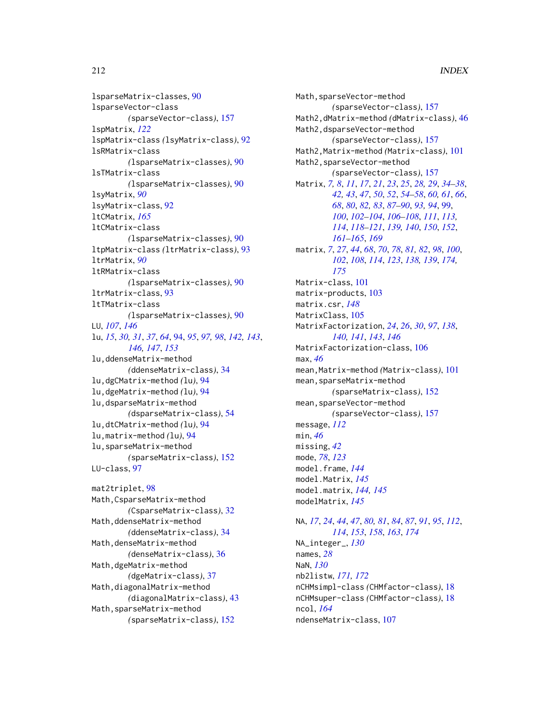lsparseMatrix-classes, [90](#page-89-0) lsparseVector-class *(*sparseVector-class*)*, [157](#page-156-0) lspMatrix, *[122](#page-121-0)* lspMatrix-class *(*lsyMatrix-class*)*, [92](#page-91-0) lsRMatrix-class *(*lsparseMatrix-classes*)*, [90](#page-89-0) lsTMatrix-class *(*lsparseMatrix-classes*)*, [90](#page-89-0) lsyMatrix, *[90](#page-89-0)* lsyMatrix-class, [92](#page-91-0) ltCMatrix, *[165](#page-164-0)* ltCMatrix-class *(*lsparseMatrix-classes*)*, [90](#page-89-0) ltpMatrix-class *(*ltrMatrix-class*)*, [93](#page-92-0) ltrMatrix, *[90](#page-89-0)* ltRMatrix-class *(*lsparseMatrix-classes*)*, [90](#page-89-0) ltrMatrix-class, [93](#page-92-0) ltTMatrix-class *(*lsparseMatrix-classes*)*, [90](#page-89-0) LU, *[107](#page-106-0)*, *[146](#page-145-0)* lu, *[15](#page-14-0)*, *[30,](#page-29-0) [31](#page-30-0)*, *[37](#page-36-0)*, *[64](#page-63-0)*, [94,](#page-93-0) *[95](#page-94-0)*, *[97,](#page-96-0) [98](#page-97-0)*, *[142,](#page-141-0) [143](#page-142-0)*, *[146,](#page-145-0) [147](#page-146-0)*, *[153](#page-152-0)* lu,ddenseMatrix-method *(*ddenseMatrix-class*)*, [34](#page-33-0) lu,dgCMatrix-method *(*lu*)*, [94](#page-93-0) lu,dgeMatrix-method *(*lu*)*, [94](#page-93-0) lu,dsparseMatrix-method *(*dsparseMatrix-class*)*, [54](#page-53-0) lu,dtCMatrix-method *(*lu*)*, [94](#page-93-0) lu,matrix-method *(*lu*)*, [94](#page-93-0) lu,sparseMatrix-method *(*sparseMatrix-class*)*, [152](#page-151-0) LU-class, [97](#page-96-0)

mat2triplet, [98](#page-97-0) Math,CsparseMatrix-method *(*CsparseMatrix-class*)*, [32](#page-31-0) Math,ddenseMatrix-method *(*ddenseMatrix-class*)*, [34](#page-33-0) Math,denseMatrix-method *(*denseMatrix-class*)*, [36](#page-35-0) Math,dgeMatrix-method *(*dgeMatrix-class*)*, [37](#page-36-0) Math,diagonalMatrix-method *(*diagonalMatrix-class*)*, [43](#page-42-0) Math,sparseMatrix-method *(*sparseMatrix-class*)*, [152](#page-151-0)

Math,sparseVector-method *(*sparseVector-class*)*, [157](#page-156-0) Math2,dMatrix-method *(*dMatrix-class*)*, [46](#page-45-0) Math2,dsparseVector-method *(*sparseVector-class*)*, [157](#page-156-0) Math2,Matrix-method *(*Matrix-class*)*, [101](#page-100-0) Math2,sparseVector-method *(*sparseVector-class*)*, [157](#page-156-0) Matrix, *[7,](#page-6-0) [8](#page-7-0)*, *[11](#page-10-0)*, *[17](#page-16-0)*, *[21](#page-20-0)*, *[23](#page-22-0)*, *[25](#page-24-0)*, *[28,](#page-27-0) [29](#page-28-0)*, *[34](#page-33-0)[–38](#page-37-0)*, *[42,](#page-41-0) [43](#page-42-0)*, *[47](#page-46-0)*, *[50](#page-49-0)*, *[52](#page-51-0)*, *[54](#page-53-0)[–58](#page-57-0)*, *[60,](#page-59-0) [61](#page-60-0)*, *[66](#page-65-0)*, *[68](#page-67-0)*, *[80](#page-79-0)*, *[82,](#page-81-0) [83](#page-82-0)*, *[87](#page-86-0)[–90](#page-89-0)*, *[93,](#page-92-0) [94](#page-93-0)*, [99,](#page-98-0) *[100](#page-99-0)*, *[102](#page-101-0)[–104](#page-103-0)*, *[106](#page-105-0)[–108](#page-107-0)*, *[111](#page-110-0)*, *[113,](#page-112-0) [114](#page-113-0)*, *[118](#page-117-0)[–121](#page-120-0)*, *[139,](#page-138-0) [140](#page-139-0)*, *[150](#page-149-0)*, *[152](#page-151-0)*, *[161](#page-160-0)[–165](#page-164-0)*, *[169](#page-168-0)* matrix, *[7](#page-6-0)*, *[27](#page-26-0)*, *[44](#page-43-0)*, *[68](#page-67-0)*, *[70](#page-69-0)*, *[78](#page-77-0)*, *[81,](#page-80-0) [82](#page-81-0)*, *[98](#page-97-0)*, *[100](#page-99-0)*, *[102](#page-101-0)*, *[108](#page-107-0)*, *[114](#page-113-0)*, *[123](#page-122-0)*, *[138,](#page-137-0) [139](#page-138-0)*, *[174,](#page-173-0) [175](#page-174-0)* Matrix-class, [101](#page-100-0) matrix-products, [103](#page-102-0) matrix.csr, *[148](#page-147-0)* MatrixClass, [105](#page-104-0) MatrixFactorization, *[24](#page-23-0)*, *[26](#page-25-0)*, *[30](#page-29-0)*, *[97](#page-96-0)*, *[138](#page-137-0)*, *[140,](#page-139-0) [141](#page-140-0)*, *[143](#page-142-0)*, *[146](#page-145-0)* MatrixFactorization-class, [106](#page-105-0) max, *[46](#page-45-0)* mean,Matrix-method *(*Matrix-class*)*, [101](#page-100-0) mean,sparseMatrix-method *(*sparseMatrix-class*)*, [152](#page-151-0) mean,sparseVector-method *(*sparseVector-class*)*, [157](#page-156-0) message, *[112](#page-111-0)* min, *[46](#page-45-0)* missing, *[42](#page-41-0)* mode, *[78](#page-77-0)*, *[123](#page-122-0)* model.frame, *[144](#page-143-0)* model.Matrix, *[145](#page-144-0)* model.matrix, *[144,](#page-143-0) [145](#page-144-0)* modelMatrix, *[145](#page-144-0)*

NA, *[17](#page-16-0)*, *[24](#page-23-0)*, *[44](#page-43-0)*, *[47](#page-46-0)*, *[80,](#page-79-0) [81](#page-80-0)*, *[84](#page-83-0)*, *[87](#page-86-0)*, *[91](#page-90-0)*, *[95](#page-94-0)*, *[112](#page-111-0)*, *[114](#page-113-0)*, *[153](#page-152-0)*, *[158](#page-157-0)*, *[163](#page-162-0)*, *[174](#page-173-0)* NA\_integer\_, *[130](#page-129-0)* names, *[28](#page-27-0)* NaN, *[130](#page-129-0)* nb2listw, *[171,](#page-170-0) [172](#page-171-0)* nCHMsimpl-class *(*CHMfactor-class*)*, [18](#page-17-0) nCHMsuper-class *(*CHMfactor-class*)*, [18](#page-17-0) ncol, *[164](#page-163-0)* ndenseMatrix-class, [107](#page-106-0)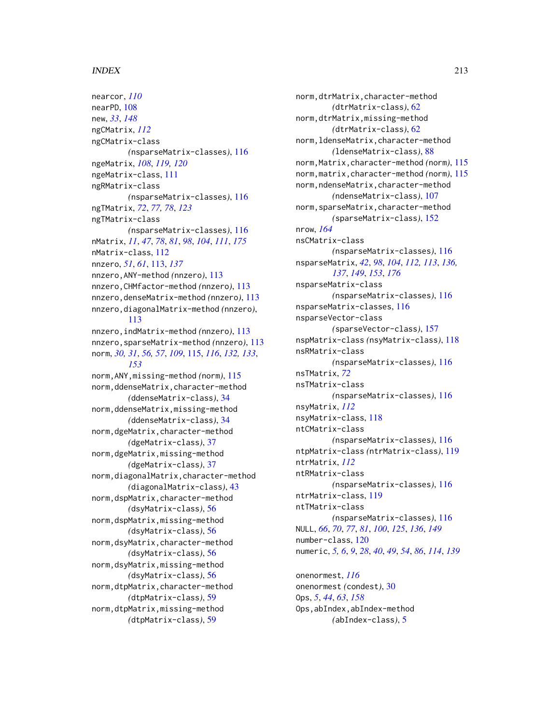nearcor, *[110](#page-109-0)* nearPD, [108](#page-107-0) new, *[33](#page-32-0)*, *[148](#page-147-0)* ngCMatrix, *[112](#page-111-0)* ngCMatrix-class *(*nsparseMatrix-classes*)*, [116](#page-115-0) ngeMatrix, *[108](#page-107-0)*, *[119,](#page-118-0) [120](#page-119-0)* ngeMatrix-class, [111](#page-110-0) ngRMatrix-class *(*nsparseMatrix-classes*)*, [116](#page-115-0) ngTMatrix, *[72](#page-71-0)*, *[77,](#page-76-0) [78](#page-77-0)*, *[123](#page-122-0)* ngTMatrix-class *(*nsparseMatrix-classes*)*, [116](#page-115-0) nMatrix, *[11](#page-10-0)*, *[47](#page-46-0)*, *[78](#page-77-0)*, *[81](#page-80-0)*, *[98](#page-97-0)*, *[104](#page-103-0)*, *[111](#page-110-0)*, *[175](#page-174-0)* nMatrix-class, [112](#page-111-0) nnzero, *[51](#page-50-0)*, *[61](#page-60-0)*, [113,](#page-112-0) *[137](#page-136-0)* nnzero,ANY-method *(*nnzero*)*, [113](#page-112-0) nnzero,CHMfactor-method *(*nnzero*)*, [113](#page-112-0) nnzero,denseMatrix-method *(*nnzero*)*, [113](#page-112-0) nnzero,diagonalMatrix-method *(*nnzero*)*, [113](#page-112-0) nnzero,indMatrix-method *(*nnzero*)*, [113](#page-112-0) nnzero,sparseMatrix-method *(*nnzero*)*, [113](#page-112-0) norm, *[30,](#page-29-0) [31](#page-30-0)*, *[56,](#page-55-0) [57](#page-56-0)*, *[109](#page-108-0)*, [115,](#page-114-0) *[116](#page-115-0)*, *[132,](#page-131-0) [133](#page-132-0)*, *[153](#page-152-0)* norm,ANY,missing-method *(*norm*)*, [115](#page-114-0) norm,ddenseMatrix,character-method *(*ddenseMatrix-class*)*, [34](#page-33-0) norm,ddenseMatrix,missing-method *(*ddenseMatrix-class*)*, [34](#page-33-0) norm,dgeMatrix,character-method *(*dgeMatrix-class*)*, [37](#page-36-0) norm,dgeMatrix,missing-method *(*dgeMatrix-class*)*, [37](#page-36-0) norm,diagonalMatrix,character-method *(*diagonalMatrix-class*)*, [43](#page-42-0) norm,dspMatrix,character-method *(*dsyMatrix-class*)*, [56](#page-55-0) norm,dspMatrix,missing-method *(*dsyMatrix-class*)*, [56](#page-55-0) norm,dsyMatrix,character-method *(*dsyMatrix-class*)*, [56](#page-55-0) norm,dsyMatrix,missing-method *(*dsyMatrix-class*)*, [56](#page-55-0) norm,dtpMatrix,character-method *(*dtpMatrix-class*)*, [59](#page-58-0) norm,dtpMatrix,missing-method *(*dtpMatrix-class*)*, [59](#page-58-0)

norm,dtrMatrix,character-method *(*dtrMatrix-class*)*, [62](#page-61-0) norm,dtrMatrix,missing-method *(*dtrMatrix-class*)*, [62](#page-61-0) norm,ldenseMatrix,character-method *(*ldenseMatrix-class*)*, [88](#page-87-0) norm,Matrix,character-method *(*norm*)*, [115](#page-114-0) norm,matrix,character-method *(*norm*)*, [115](#page-114-0) norm,ndenseMatrix,character-method *(*ndenseMatrix-class*)*, [107](#page-106-0) norm,sparseMatrix,character-method *(*sparseMatrix-class*)*, [152](#page-151-0) nrow, *[164](#page-163-0)* nsCMatrix-class *(*nsparseMatrix-classes*)*, [116](#page-115-0) nsparseMatrix, *[42](#page-41-0)*, *[98](#page-97-0)*, *[104](#page-103-0)*, *[112,](#page-111-0) [113](#page-112-0)*, *[136,](#page-135-0) [137](#page-136-0)*, *[149](#page-148-0)*, *[153](#page-152-0)*, *[176](#page-175-0)* nsparseMatrix-class *(*nsparseMatrix-classes*)*, [116](#page-115-0) nsparseMatrix-classes, [116](#page-115-0) nsparseVector-class *(*sparseVector-class*)*, [157](#page-156-0) nspMatrix-class *(*nsyMatrix-class*)*, [118](#page-117-0) nsRMatrix-class *(*nsparseMatrix-classes*)*, [116](#page-115-0) nsTMatrix, *[72](#page-71-0)* nsTMatrix-class *(*nsparseMatrix-classes*)*, [116](#page-115-0) nsyMatrix, *[112](#page-111-0)* nsyMatrix-class, [118](#page-117-0) ntCMatrix-class *(*nsparseMatrix-classes*)*, [116](#page-115-0) ntpMatrix-class *(*ntrMatrix-class*)*, [119](#page-118-0) ntrMatrix, *[112](#page-111-0)* ntRMatrix-class *(*nsparseMatrix-classes*)*, [116](#page-115-0) ntrMatrix-class, [119](#page-118-0) ntTMatrix-class *(*nsparseMatrix-classes*)*, [116](#page-115-0) NULL, *[66](#page-65-0)*, *[70](#page-69-0)*, *[77](#page-76-0)*, *[81](#page-80-0)*, *[100](#page-99-0)*, *[125](#page-124-0)*, *[136](#page-135-0)*, *[149](#page-148-0)* number-class, [120](#page-119-0) numeric, *[5,](#page-4-0) [6](#page-5-0)*, *[9](#page-8-0)*, *[28](#page-27-0)*, *[40](#page-39-0)*, *[49](#page-48-0)*, *[54](#page-53-0)*, *[86](#page-85-0)*, *[114](#page-113-0)*, *[139](#page-138-0)* onenormest, *[116](#page-115-0)* onenormest *(*condest*)*, [30](#page-29-0) Ops, *[5](#page-4-0)*, *[44](#page-43-0)*, *[63](#page-62-0)*, *[158](#page-157-0)*

Ops,abIndex,abIndex-method *(*abIndex-class*)*, [5](#page-4-0)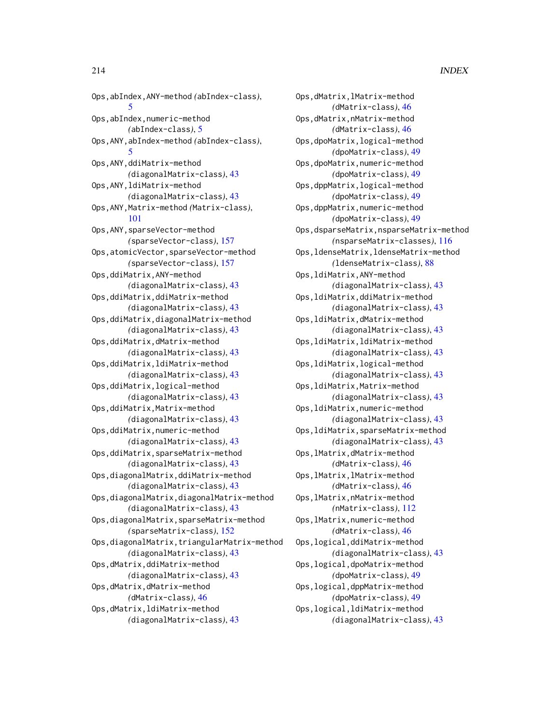Ops,abIndex,ANY-method *(*abIndex-class*)*, [5](#page-4-0) Ops,abIndex,numeric-method *(*abIndex-class*)*, [5](#page-4-0) Ops,ANY,abIndex-method *(*abIndex-class*)*, [5](#page-4-0) Ops,ANY,ddiMatrix-method *(*diagonalMatrix-class*)*, [43](#page-42-0) Ops,ANY,ldiMatrix-method *(*diagonalMatrix-class*)*, [43](#page-42-0) Ops,ANY,Matrix-method *(*Matrix-class*)*, [101](#page-100-0) Ops,ANY,sparseVector-method *(*sparseVector-class*)*, [157](#page-156-0) Ops,atomicVector,sparseVector-method *(*sparseVector-class*)*, [157](#page-156-0) Ops,ddiMatrix,ANY-method *(*diagonalMatrix-class*)*, [43](#page-42-0) Ops,ddiMatrix,ddiMatrix-method *(*diagonalMatrix-class*)*, [43](#page-42-0) Ops,ddiMatrix,diagonalMatrix-method *(*diagonalMatrix-class*)*, [43](#page-42-0) Ops,ddiMatrix,dMatrix-method *(*diagonalMatrix-class*)*, [43](#page-42-0) Ops,ddiMatrix,ldiMatrix-method *(*diagonalMatrix-class*)*, [43](#page-42-0) Ops,ddiMatrix,logical-method *(*diagonalMatrix-class*)*, [43](#page-42-0) Ops,ddiMatrix,Matrix-method *(*diagonalMatrix-class*)*, [43](#page-42-0) Ops,ddiMatrix,numeric-method *(*diagonalMatrix-class*)*, [43](#page-42-0) Ops,ddiMatrix,sparseMatrix-method *(*diagonalMatrix-class*)*, [43](#page-42-0) Ops,diagonalMatrix,ddiMatrix-method *(*diagonalMatrix-class*)*, [43](#page-42-0) Ops,diagonalMatrix,diagonalMatrix-method *(*diagonalMatrix-class*)*, [43](#page-42-0) Ops,diagonalMatrix,sparseMatrix-method *(*sparseMatrix-class*)*, [152](#page-151-0) Ops,diagonalMatrix,triangularMatrix-method *(*diagonalMatrix-class*)*, [43](#page-42-0) Ops,dMatrix,ddiMatrix-method *(*diagonalMatrix-class*)*, [43](#page-42-0) Ops,dMatrix,dMatrix-method *(*dMatrix-class*)*, [46](#page-45-0) Ops,dMatrix,ldiMatrix-method *(*diagonalMatrix-class*)*, [43](#page-42-0)

Ops,dMatrix,lMatrix-method *(*dMatrix-class*)*, [46](#page-45-0) Ops,dMatrix,nMatrix-method *(*dMatrix-class*)*, [46](#page-45-0) Ops,dpoMatrix,logical-method *(*dpoMatrix-class*)*, [49](#page-48-0) Ops,dpoMatrix,numeric-method *(*dpoMatrix-class*)*, [49](#page-48-0) Ops,dppMatrix,logical-method *(*dpoMatrix-class*)*, [49](#page-48-0) Ops,dppMatrix,numeric-method *(*dpoMatrix-class*)*, [49](#page-48-0) Ops,dsparseMatrix,nsparseMatrix-method *(*nsparseMatrix-classes*)*, [116](#page-115-0) Ops,ldenseMatrix,ldenseMatrix-method *(*ldenseMatrix-class*)*, [88](#page-87-0) Ops,ldiMatrix,ANY-method *(*diagonalMatrix-class*)*, [43](#page-42-0) Ops,ldiMatrix,ddiMatrix-method *(*diagonalMatrix-class*)*, [43](#page-42-0) Ops,ldiMatrix,dMatrix-method *(*diagonalMatrix-class*)*, [43](#page-42-0) Ops,ldiMatrix,ldiMatrix-method *(*diagonalMatrix-class*)*, [43](#page-42-0) Ops,ldiMatrix,logical-method *(*diagonalMatrix-class*)*, [43](#page-42-0) Ops,ldiMatrix,Matrix-method *(*diagonalMatrix-class*)*, [43](#page-42-0) Ops,ldiMatrix,numeric-method *(*diagonalMatrix-class*)*, [43](#page-42-0) Ops,ldiMatrix,sparseMatrix-method *(*diagonalMatrix-class*)*, [43](#page-42-0) Ops,lMatrix,dMatrix-method *(*dMatrix-class*)*, [46](#page-45-0) Ops,lMatrix,lMatrix-method *(*dMatrix-class*)*, [46](#page-45-0) Ops,lMatrix,nMatrix-method *(*nMatrix-class*)*, [112](#page-111-0) Ops,lMatrix,numeric-method *(*dMatrix-class*)*, [46](#page-45-0) Ops,logical,ddiMatrix-method *(*diagonalMatrix-class*)*, [43](#page-42-0) Ops,logical,dpoMatrix-method *(*dpoMatrix-class*)*, [49](#page-48-0) Ops,logical,dppMatrix-method *(*dpoMatrix-class*)*, [49](#page-48-0) Ops,logical,ldiMatrix-method *(*diagonalMatrix-class*)*, [43](#page-42-0)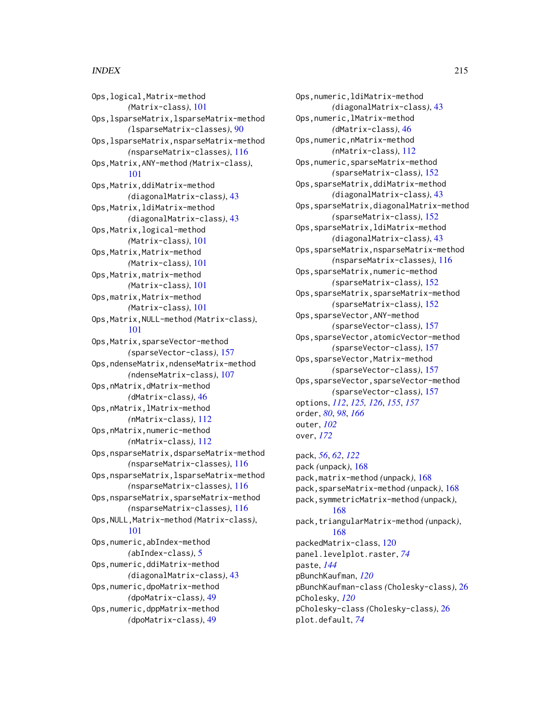Ops,logical,Matrix-method *(*Matrix-class*)*, [101](#page-100-0) Ops,lsparseMatrix,lsparseMatrix-method *(*lsparseMatrix-classes*)*, [90](#page-89-0) Ops,lsparseMatrix,nsparseMatrix-method *(*nsparseMatrix-classes*)*, [116](#page-115-0) Ops,Matrix,ANY-method *(*Matrix-class*)*, [101](#page-100-0) Ops,Matrix,ddiMatrix-method *(*diagonalMatrix-class*)*, [43](#page-42-0) Ops,Matrix,ldiMatrix-method *(*diagonalMatrix-class*)*, [43](#page-42-0) Ops,Matrix,logical-method *(*Matrix-class*)*, [101](#page-100-0) Ops,Matrix,Matrix-method *(*Matrix-class*)*, [101](#page-100-0) Ops,Matrix,matrix-method *(*Matrix-class*)*, [101](#page-100-0) Ops,matrix,Matrix-method *(*Matrix-class*)*, [101](#page-100-0) Ops,Matrix,NULL-method *(*Matrix-class*)*, [101](#page-100-0) Ops, Matrix, sparseVector-method *(*sparseVector-class*)*, [157](#page-156-0) Ops,ndenseMatrix,ndenseMatrix-method *(*ndenseMatrix-class*)*, [107](#page-106-0) Ops,nMatrix,dMatrix-method *(*dMatrix-class*)*, [46](#page-45-0) Ops,nMatrix,lMatrix-method *(*nMatrix-class*)*, [112](#page-111-0) Ops,nMatrix,numeric-method *(*nMatrix-class*)*, [112](#page-111-0) Ops,nsparseMatrix,dsparseMatrix-method *(*nsparseMatrix-classes*)*, [116](#page-115-0) Ops,nsparseMatrix,lsparseMatrix-method *(*nsparseMatrix-classes*)*, [116](#page-115-0) Ops,nsparseMatrix,sparseMatrix-method *(*nsparseMatrix-classes*)*, [116](#page-115-0) Ops,NULL,Matrix-method *(*Matrix-class*)*, [101](#page-100-0) Ops,numeric,abIndex-method *(*abIndex-class*)*, [5](#page-4-0) Ops,numeric,ddiMatrix-method *(*diagonalMatrix-class*)*, [43](#page-42-0) Ops,numeric,dpoMatrix-method *(*dpoMatrix-class*)*, [49](#page-48-0) Ops,numeric,dppMatrix-method *(*dpoMatrix-class*)*, [49](#page-48-0)

Ops,numeric,ldiMatrix-method *(*diagonalMatrix-class*)*, [43](#page-42-0) Ops,numeric,lMatrix-method *(*dMatrix-class*)*, [46](#page-45-0) Ops,numeric,nMatrix-method *(*nMatrix-class*)*, [112](#page-111-0) Ops,numeric,sparseMatrix-method *(*sparseMatrix-class*)*, [152](#page-151-0) Ops,sparseMatrix,ddiMatrix-method *(*diagonalMatrix-class*)*, [43](#page-42-0) Ops,sparseMatrix,diagonalMatrix-method *(*sparseMatrix-class*)*, [152](#page-151-0) Ops,sparseMatrix,ldiMatrix-method *(*diagonalMatrix-class*)*, [43](#page-42-0) Ops,sparseMatrix,nsparseMatrix-method *(*nsparseMatrix-classes*)*, [116](#page-115-0) Ops,sparseMatrix,numeric-method *(*sparseMatrix-class*)*, [152](#page-151-0) Ops,sparseMatrix,sparseMatrix-method *(*sparseMatrix-class*)*, [152](#page-151-0) Ops,sparseVector,ANY-method *(*sparseVector-class*)*, [157](#page-156-0) Ops,sparseVector,atomicVector-method *(*sparseVector-class*)*, [157](#page-156-0) Ops,sparseVector,Matrix-method *(*sparseVector-class*)*, [157](#page-156-0) Ops,sparseVector,sparseVector-method *(*sparseVector-class*)*, [157](#page-156-0) options, *[112](#page-111-0)*, *[125,](#page-124-0) [126](#page-125-0)*, *[155](#page-154-0)*, *[157](#page-156-0)* order, *[80](#page-79-0)*, *[98](#page-97-0)*, *[166](#page-165-0)* outer, *[102](#page-101-0)* over, *[172](#page-171-0)*

pack, *[56](#page-55-0)*, *[62](#page-61-0)*, *[122](#page-121-0)* pack *(*unpack*)*, [168](#page-167-0) pack,matrix-method *(*unpack*)*, [168](#page-167-0) pack,sparseMatrix-method *(*unpack*)*, [168](#page-167-0) pack,symmetricMatrix-method *(*unpack*)*, [168](#page-167-0) pack,triangularMatrix-method *(*unpack*)*, [168](#page-167-0) packedMatrix-class, [120](#page-119-0) panel.levelplot.raster, *[74](#page-73-0)* paste, *[144](#page-143-0)* pBunchKaufman, *[120](#page-119-0)* pBunchKaufman-class *(*Cholesky-class*)*, [26](#page-25-0) pCholesky, *[120](#page-119-0)* pCholesky-class *(*Cholesky-class*)*, [26](#page-25-0) plot.default, *[74](#page-73-0)*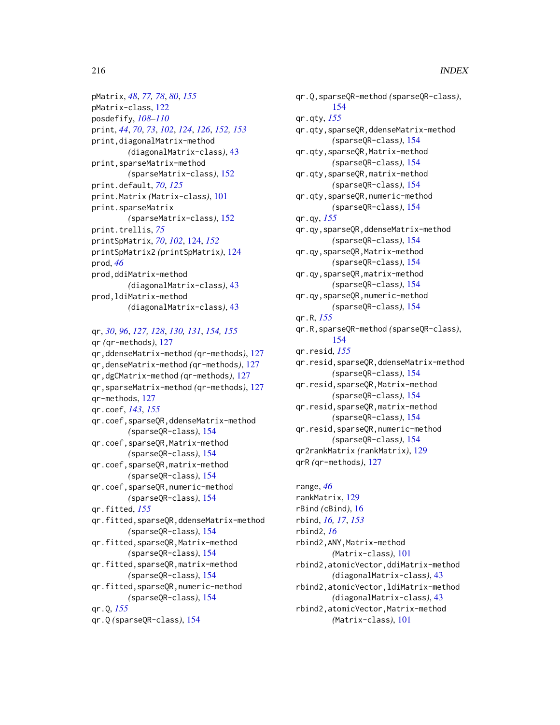pMatrix, *[48](#page-47-0)*, *[77,](#page-76-0) [78](#page-77-0)*, *[80](#page-79-0)*, *[155](#page-154-0)* pMatrix-class, [122](#page-121-0) posdefify, *[108](#page-107-0)[–110](#page-109-0)* print, *[44](#page-43-0)*, *[70](#page-69-0)*, *[73](#page-72-0)*, *[102](#page-101-0)*, *[124](#page-123-0)*, *[126](#page-125-0)*, *[152,](#page-151-0) [153](#page-152-0)* print,diagonalMatrix-method *(*diagonalMatrix-class*)*, [43](#page-42-0) print,sparseMatrix-method *(*sparseMatrix-class*)*, [152](#page-151-0) print.default, *[70](#page-69-0)*, *[125](#page-124-0)* print.Matrix *(*Matrix-class*)*, [101](#page-100-0) print.sparseMatrix *(*sparseMatrix-class*)*, [152](#page-151-0) print.trellis, *[75](#page-74-0)* printSpMatrix, *[70](#page-69-0)*, *[102](#page-101-0)*, [124,](#page-123-0) *[152](#page-151-0)* printSpMatrix2 *(*printSpMatrix*)*, [124](#page-123-0) prod, *[46](#page-45-0)* prod,ddiMatrix-method *(*diagonalMatrix-class*)*, [43](#page-42-0) prod,ldiMatrix-method *(*diagonalMatrix-class*)*, [43](#page-42-0)

# qr, *[30](#page-29-0)*, *[96](#page-95-0)*, *[127,](#page-126-0) [128](#page-127-0)*, *[130,](#page-129-0) [131](#page-130-0)*, *[154,](#page-153-0) [155](#page-154-0)*

```
qr (qr-methods), 127
qr,ddenseMatrix-method (qr-methods), 127
qr,denseMatrix-method (qr-methods), 127
qr,dgCMatrix-method (qr-methods), 127
qr,sparseMatrix-method (qr-methods), 127
qr-methods, 127
qr.coef, 143, 155
qr.coef,sparseQR,ddenseMatrix-method
        (sparseQR-class), 154
qr.coef,sparseQR,Matrix-method
        (sparseQR-class), 154
qr.coef,sparseQR,matrix-method
        (sparseQR-class), 154
qr.coef,sparseQR,numeric-method
        (sparseQR-class), 154
qr.fitted, 155
qr.fitted,sparseQR,ddenseMatrix-method
        (sparseQR-class), 154
qr.fitted,sparseQR,Matrix-method
        (sparseQR-class), 154
qr.fitted,sparseQR,matrix-method
        (sparseQR-class), 154
qr.fitted,sparseQR,numeric-method
        (sparseQR-class), 154
qr.Q, 155
qr.Q (sparseQR-class), 154
```
qr.Q,sparseQR-method *(*sparseQR-class*)*, [154](#page-153-0) qr.qty, *[155](#page-154-0)* qr.qty,sparseQR,ddenseMatrix-method *(*sparseQR-class*)*, [154](#page-153-0) qr.qty,sparseQR,Matrix-method *(*sparseQR-class*)*, [154](#page-153-0) qr.qty,sparseQR,matrix-method *(*sparseQR-class*)*, [154](#page-153-0) qr.qty,sparseQR,numeric-method *(*sparseQR-class*)*, [154](#page-153-0) qr.qy, *[155](#page-154-0)* qr.qy,sparseQR,ddenseMatrix-method *(*sparseQR-class*)*, [154](#page-153-0) qr.qy,sparseQR,Matrix-method *(*sparseQR-class*)*, [154](#page-153-0) qr.qy,sparseQR,matrix-method *(*sparseQR-class*)*, [154](#page-153-0) qr.qy,sparseQR,numeric-method *(*sparseQR-class*)*, [154](#page-153-0) qr.R, *[155](#page-154-0)* qr.R,sparseQR-method *(*sparseQR-class*)*, [154](#page-153-0) qr.resid, *[155](#page-154-0)* qr.resid,sparseQR,ddenseMatrix-method *(*sparseQR-class*)*, [154](#page-153-0) qr.resid,sparseQR,Matrix-method *(*sparseQR-class*)*, [154](#page-153-0) qr.resid,sparseQR,matrix-method *(*sparseQR-class*)*, [154](#page-153-0) qr.resid,sparseQR,numeric-method *(*sparseQR-class*)*, [154](#page-153-0) qr2rankMatrix *(*rankMatrix*)*, [129](#page-128-0) qrR *(*qr-methods*)*, [127](#page-126-0)

range, *[46](#page-45-0)* rankMatrix, [129](#page-128-0) rBind *(*cBind*)*, [16](#page-15-0) rbind, *[16,](#page-15-0) [17](#page-16-0)*, *[153](#page-152-0)* rbind2, *[16](#page-15-0)* rbind2,ANY,Matrix-method *(*Matrix-class*)*, [101](#page-100-0) rbind2,atomicVector,ddiMatrix-method *(*diagonalMatrix-class*)*, [43](#page-42-0) rbind2,atomicVector,ldiMatrix-method *(*diagonalMatrix-class*)*, [43](#page-42-0) rbind2,atomicVector,Matrix-method *(*Matrix-class*)*, [101](#page-100-0)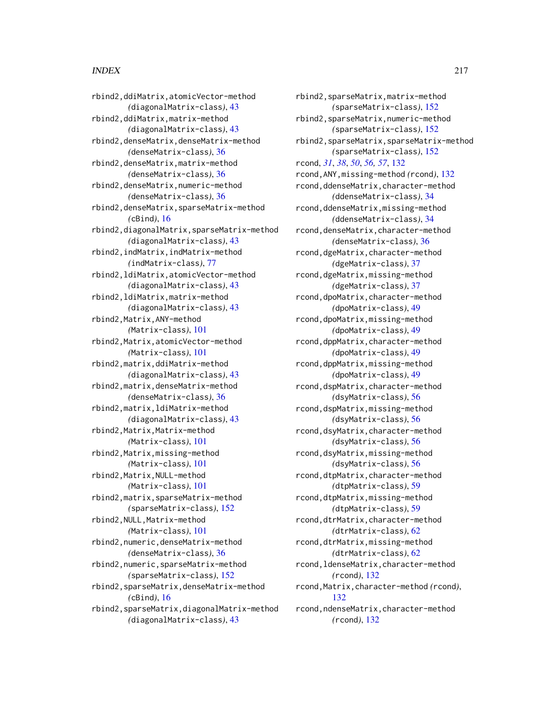rbind2,ddiMatrix,atomicVector-method *(*diagonalMatrix-class*)*, [43](#page-42-0) rbind2,ddiMatrix,matrix-method *(*diagonalMatrix-class*)*, [43](#page-42-0) rbind2,denseMatrix,denseMatrix-method *(*denseMatrix-class*)*, [36](#page-35-0) rbind2,denseMatrix,matrix-method *(*denseMatrix-class*)*, [36](#page-35-0) rbind2,denseMatrix,numeric-method *(*denseMatrix-class*)*, [36](#page-35-0) rbind2,denseMatrix,sparseMatrix-method *(*cBind*)*, [16](#page-15-0) rbind2,diagonalMatrix,sparseMatrix-method *(*diagonalMatrix-class*)*, [43](#page-42-0) rbind2,indMatrix,indMatrix-method *(*indMatrix-class*)*, [77](#page-76-0) rbind2,ldiMatrix,atomicVector-method *(*diagonalMatrix-class*)*, [43](#page-42-0) rbind2,ldiMatrix,matrix-method *(*diagonalMatrix-class*)*, [43](#page-42-0) rbind2,Matrix,ANY-method *(*Matrix-class*)*, [101](#page-100-0) rbind2,Matrix,atomicVector-method *(*Matrix-class*)*, [101](#page-100-0) rbind2,matrix,ddiMatrix-method *(*diagonalMatrix-class*)*, [43](#page-42-0) rbind2,matrix,denseMatrix-method *(*denseMatrix-class*)*, [36](#page-35-0) rbind2,matrix,ldiMatrix-method *(*diagonalMatrix-class*)*, [43](#page-42-0) rbind2,Matrix,Matrix-method *(*Matrix-class*)*, [101](#page-100-0) rbind2,Matrix,missing-method *(*Matrix-class*)*, [101](#page-100-0) rbind2,Matrix,NULL-method *(*Matrix-class*)*, [101](#page-100-0) rbind2,matrix,sparseMatrix-method *(*sparseMatrix-class*)*, [152](#page-151-0) rbind2,NULL,Matrix-method *(*Matrix-class*)*, [101](#page-100-0) rbind2,numeric,denseMatrix-method *(*denseMatrix-class*)*, [36](#page-35-0) rbind2,numeric,sparseMatrix-method *(*sparseMatrix-class*)*, [152](#page-151-0) rbind2,sparseMatrix,denseMatrix-method *(*cBind*)*, [16](#page-15-0) rbind2,sparseMatrix,diagonalMatrix-method *(*diagonalMatrix-class*)*, [43](#page-42-0)

rbind2,sparseMatrix,matrix-method *(*sparseMatrix-class*)*, [152](#page-151-0) rbind2,sparseMatrix,numeric-method *(*sparseMatrix-class*)*, [152](#page-151-0) rbind2,sparseMatrix,sparseMatrix-method *(*sparseMatrix-class*)*, [152](#page-151-0) rcond, *[31](#page-30-0)*, *[38](#page-37-0)*, *[50](#page-49-0)*, *[56,](#page-55-0) [57](#page-56-0)*, [132](#page-131-0) rcond,ANY,missing-method *(*rcond*)*, [132](#page-131-0) rcond,ddenseMatrix,character-method *(*ddenseMatrix-class*)*, [34](#page-33-0) rcond,ddenseMatrix,missing-method *(*ddenseMatrix-class*)*, [34](#page-33-0) rcond,denseMatrix,character-method *(*denseMatrix-class*)*, [36](#page-35-0) rcond,dgeMatrix,character-method *(*dgeMatrix-class*)*, [37](#page-36-0) rcond,dgeMatrix,missing-method *(*dgeMatrix-class*)*, [37](#page-36-0) rcond,dpoMatrix,character-method *(*dpoMatrix-class*)*, [49](#page-48-0) rcond,dpoMatrix,missing-method *(*dpoMatrix-class*)*, [49](#page-48-0) rcond,dppMatrix,character-method *(*dpoMatrix-class*)*, [49](#page-48-0) rcond,dppMatrix,missing-method *(*dpoMatrix-class*)*, [49](#page-48-0) rcond,dspMatrix,character-method *(*dsyMatrix-class*)*, [56](#page-55-0) rcond,dspMatrix,missing-method *(*dsyMatrix-class*)*, [56](#page-55-0) rcond,dsyMatrix,character-method *(*dsyMatrix-class*)*, [56](#page-55-0) rcond,dsyMatrix,missing-method *(*dsyMatrix-class*)*, [56](#page-55-0) rcond,dtpMatrix,character-method *(*dtpMatrix-class*)*, [59](#page-58-0) rcond,dtpMatrix,missing-method *(*dtpMatrix-class*)*, [59](#page-58-0) rcond,dtrMatrix,character-method *(*dtrMatrix-class*)*, [62](#page-61-0) rcond,dtrMatrix,missing-method *(*dtrMatrix-class*)*, [62](#page-61-0) rcond,ldenseMatrix,character-method *(*rcond*)*, [132](#page-131-0) rcond,Matrix,character-method *(*rcond*)*, [132](#page-131-0) rcond,ndenseMatrix,character-method *(*rcond*)*, [132](#page-131-0)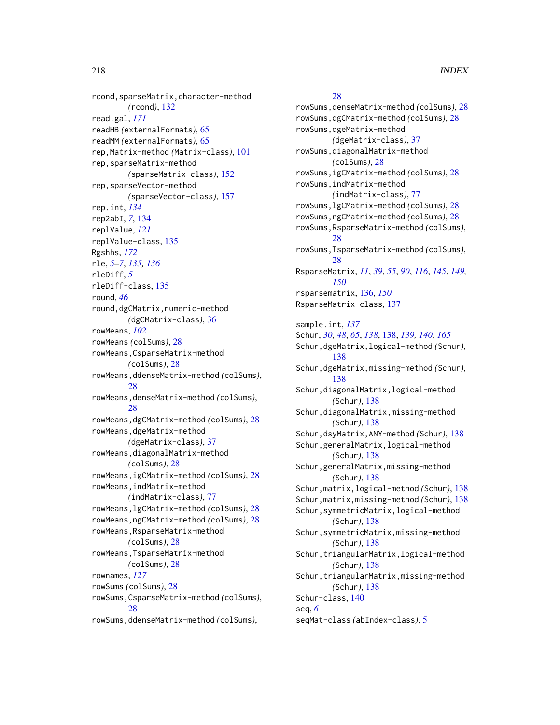rcond,sparseMatrix,character-method *(*rcond*)*, [132](#page-131-0) read.gal, *[171](#page-170-0)* readHB *(*externalFormats*)*, [65](#page-64-0) readMM *(*externalFormats*)*, [65](#page-64-0) rep,Matrix-method *(*Matrix-class*)*, [101](#page-100-0) rep,sparseMatrix-method *(*sparseMatrix-class*)*, [152](#page-151-0) rep,sparseVector-method *(*sparseVector-class*)*, [157](#page-156-0) rep.int, *[134](#page-133-0)* rep2abI, *[7](#page-6-0)*, [134](#page-133-0) replValue, *[121](#page-120-0)* replValue-class, [135](#page-134-0) Rgshhs, *[172](#page-171-0)* rle, *[5](#page-4-0)[–7](#page-6-0)*, *[135,](#page-134-0) [136](#page-135-0)* rleDiff, *[5](#page-4-0)* rleDiff-class, [135](#page-134-0) round, *[46](#page-45-0)* round,dgCMatrix,numeric-method *(*dgCMatrix-class*)*, [36](#page-35-0) rowMeans, *[102](#page-101-0)* rowMeans *(*colSums*)*, [28](#page-27-0) rowMeans,CsparseMatrix-method *(*colSums*)*, [28](#page-27-0) rowMeans,ddenseMatrix-method *(*colSums*)*, [28](#page-27-0) rowMeans,denseMatrix-method *(*colSums*)*, [28](#page-27-0) rowMeans,dgCMatrix-method *(*colSums*)*, [28](#page-27-0) rowMeans,dgeMatrix-method *(*dgeMatrix-class*)*, [37](#page-36-0) rowMeans,diagonalMatrix-method *(*colSums*)*, [28](#page-27-0) rowMeans,igCMatrix-method *(*colSums*)*, [28](#page-27-0) rowMeans,indMatrix-method *(*indMatrix-class*)*, [77](#page-76-0) rowMeans,lgCMatrix-method *(*colSums*)*, [28](#page-27-0) rowMeans,ngCMatrix-method *(*colSums*)*, [28](#page-27-0) rowMeans,RsparseMatrix-method *(*colSums*)*, [28](#page-27-0) rowMeans,TsparseMatrix-method *(*colSums*)*, [28](#page-27-0) rownames, *[127](#page-126-0)* rowSums *(*colSums*)*, [28](#page-27-0) rowSums,CsparseMatrix-method *(*colSums*)*, [28](#page-27-0) rowSums,ddenseMatrix-method *(*colSums*)*,

# [28](#page-27-0)

rowSums,denseMatrix-method *(*colSums*)*, [28](#page-27-0) rowSums,dgCMatrix-method *(*colSums*)*, [28](#page-27-0) rowSums,dgeMatrix-method *(*dgeMatrix-class*)*, [37](#page-36-0) rowSums,diagonalMatrix-method *(*colSums*)*, [28](#page-27-0) rowSums,igCMatrix-method *(*colSums*)*, [28](#page-27-0) rowSums,indMatrix-method *(*indMatrix-class*)*, [77](#page-76-0) rowSums,lgCMatrix-method *(*colSums*)*, [28](#page-27-0) rowSums,ngCMatrix-method *(*colSums*)*, [28](#page-27-0) rowSums,RsparseMatrix-method *(*colSums*)*, [28](#page-27-0) rowSums,TsparseMatrix-method *(*colSums*)*, [28](#page-27-0) RsparseMatrix, *[11](#page-10-0)*, *[39](#page-38-0)*, *[55](#page-54-0)*, *[90](#page-89-0)*, *[116](#page-115-0)*, *[145](#page-144-0)*, *[149,](#page-148-0) [150](#page-149-0)* rsparsematrix, [136,](#page-135-0) *[150](#page-149-0)* RsparseMatrix-class, [137](#page-136-0) sample.int, *[137](#page-136-0)* Schur, *[30](#page-29-0)*, *[48](#page-47-0)*, *[65](#page-64-0)*, *[138](#page-137-0)*, [138,](#page-137-0) *[139,](#page-138-0) [140](#page-139-0)*, *[165](#page-164-0)* Schur,dgeMatrix,logical-method *(*Schur*)*, [138](#page-137-0) Schur,dgeMatrix,missing-method *(*Schur*)*,

[138](#page-137-0) Schur,diagonalMatrix,logical-method *(*Schur*)*, [138](#page-137-0) Schur,diagonalMatrix,missing-method *(*Schur*)*, [138](#page-137-0) Schur,dsyMatrix,ANY-method *(*Schur*)*, [138](#page-137-0) Schur,generalMatrix,logical-method *(*Schur*)*, [138](#page-137-0) Schur,generalMatrix,missing-method *(*Schur*)*, [138](#page-137-0) Schur,matrix,logical-method *(*Schur*)*, [138](#page-137-0) Schur,matrix,missing-method *(*Schur*)*, [138](#page-137-0) Schur,symmetricMatrix,logical-method *(*Schur*)*, [138](#page-137-0) Schur, symmetricMatrix, missing-method *(*Schur*)*, [138](#page-137-0) Schur, triangularMatrix, logical-method *(*Schur*)*, [138](#page-137-0) Schur, triangularMatrix, missing-method *(*Schur*)*, [138](#page-137-0) Schur-class, [140](#page-139-0) seq, *[6](#page-5-0)*

seqMat-class *(*abIndex-class*)*, [5](#page-4-0)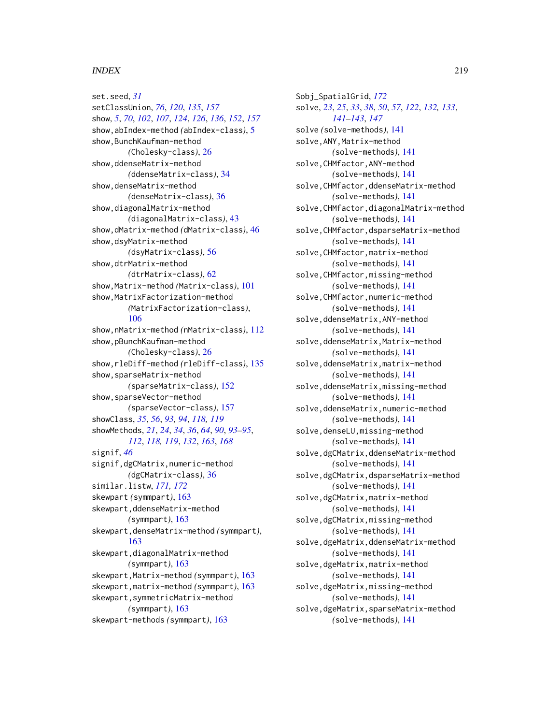set.seed, *[31](#page-30-0)* setClassUnion, *[76](#page-75-0)*, *[120](#page-119-0)*, *[135](#page-134-0)*, *[157](#page-156-0)* show, *[5](#page-4-0)*, *[70](#page-69-0)*, *[102](#page-101-0)*, *[107](#page-106-0)*, *[124](#page-123-0)*, *[126](#page-125-0)*, *[136](#page-135-0)*, *[152](#page-151-0)*, *[157](#page-156-0)* show,abIndex-method *(*abIndex-class*)*, [5](#page-4-0) show, BunchKaufman-method *(*Cholesky-class*)*, [26](#page-25-0) show,ddenseMatrix-method *(*ddenseMatrix-class*)*, [34](#page-33-0) show,denseMatrix-method *(*denseMatrix-class*)*, [36](#page-35-0) show,diagonalMatrix-method *(*diagonalMatrix-class*)*, [43](#page-42-0) show,dMatrix-method *(*dMatrix-class*)*, [46](#page-45-0) show,dsyMatrix-method *(*dsyMatrix-class*)*, [56](#page-55-0) show,dtrMatrix-method *(*dtrMatrix-class*)*, [62](#page-61-0) show,Matrix-method *(*Matrix-class*)*, [101](#page-100-0) show,MatrixFactorization-method *(*MatrixFactorization-class*)*, [106](#page-105-0) show,nMatrix-method *(*nMatrix-class*)*, [112](#page-111-0) show,pBunchKaufman-method *(*Cholesky-class*)*, [26](#page-25-0) show,rleDiff-method *(*rleDiff-class*)*, [135](#page-134-0) show,sparseMatrix-method *(*sparseMatrix-class*)*, [152](#page-151-0) show,sparseVector-method *(*sparseVector-class*)*, [157](#page-156-0) showClass, *[35](#page-34-0)*, *[56](#page-55-0)*, *[93,](#page-92-0) [94](#page-93-0)*, *[118,](#page-117-0) [119](#page-118-0)* showMethods, *[21](#page-20-0)*, *[24](#page-23-0)*, *[34](#page-33-0)*, *[36](#page-35-0)*, *[64](#page-63-0)*, *[90](#page-89-0)*, *[93–](#page-92-0)[95](#page-94-0)*, *[112](#page-111-0)*, *[118,](#page-117-0) [119](#page-118-0)*, *[132](#page-131-0)*, *[163](#page-162-0)*, *[168](#page-167-0)* signif, *[46](#page-45-0)* signif,dgCMatrix,numeric-method *(*dgCMatrix-class*)*, [36](#page-35-0) similar.listw, *[171,](#page-170-0) [172](#page-171-0)* skewpart *(*symmpart*)*, [163](#page-162-0) skewpart,ddenseMatrix-method *(*symmpart*)*, [163](#page-162-0) skewpart,denseMatrix-method *(*symmpart*)*, [163](#page-162-0) skewpart,diagonalMatrix-method *(*symmpart*)*, [163](#page-162-0) skewpart,Matrix-method *(*symmpart*)*, [163](#page-162-0) skewpart,matrix-method *(*symmpart*)*, [163](#page-162-0) skewpart,symmetricMatrix-method *(*symmpart*)*, [163](#page-162-0) skewpart-methods *(*symmpart*)*, [163](#page-162-0)

Sobj\_SpatialGrid, *[172](#page-171-0)* solve, *[23](#page-22-0)*, *[25](#page-24-0)*, *[33](#page-32-0)*, *[38](#page-37-0)*, *[50](#page-49-0)*, *[57](#page-56-0)*, *[122](#page-121-0)*, *[132,](#page-131-0) [133](#page-132-0)*, *[141](#page-140-0)[–143](#page-142-0)*, *[147](#page-146-0)* solve *(*solve-methods*)*, [141](#page-140-0) solve, ANY, Matrix-method *(*solve-methods*)*, [141](#page-140-0) solve,CHMfactor,ANY-method *(*solve-methods*)*, [141](#page-140-0) solve,CHMfactor,ddenseMatrix-method *(*solve-methods*)*, [141](#page-140-0) solve,CHMfactor,diagonalMatrix-method *(*solve-methods*)*, [141](#page-140-0) solve,CHMfactor,dsparseMatrix-method *(*solve-methods*)*, [141](#page-140-0) solve,CHMfactor,matrix-method *(*solve-methods*)*, [141](#page-140-0) solve,CHMfactor,missing-method *(*solve-methods*)*, [141](#page-140-0) solve,CHMfactor,numeric-method *(*solve-methods*)*, [141](#page-140-0) solve,ddenseMatrix,ANY-method *(*solve-methods*)*, [141](#page-140-0) solve,ddenseMatrix,Matrix-method *(*solve-methods*)*, [141](#page-140-0) solve,ddenseMatrix,matrix-method *(*solve-methods*)*, [141](#page-140-0) solve,ddenseMatrix,missing-method *(*solve-methods*)*, [141](#page-140-0) solve,ddenseMatrix,numeric-method *(*solve-methods*)*, [141](#page-140-0) solve,denseLU,missing-method *(*solve-methods*)*, [141](#page-140-0) solve,dgCMatrix,ddenseMatrix-method *(*solve-methods*)*, [141](#page-140-0) solve,dgCMatrix,dsparseMatrix-method *(*solve-methods*)*, [141](#page-140-0) solve,dgCMatrix,matrix-method *(*solve-methods*)*, [141](#page-140-0) solve,dgCMatrix,missing-method *(*solve-methods*)*, [141](#page-140-0) solve,dgeMatrix,ddenseMatrix-method *(*solve-methods*)*, [141](#page-140-0) solve,dgeMatrix,matrix-method *(*solve-methods*)*, [141](#page-140-0) solve,dgeMatrix,missing-method *(*solve-methods*)*, [141](#page-140-0) solve,dgeMatrix,sparseMatrix-method *(*solve-methods*)*, [141](#page-140-0)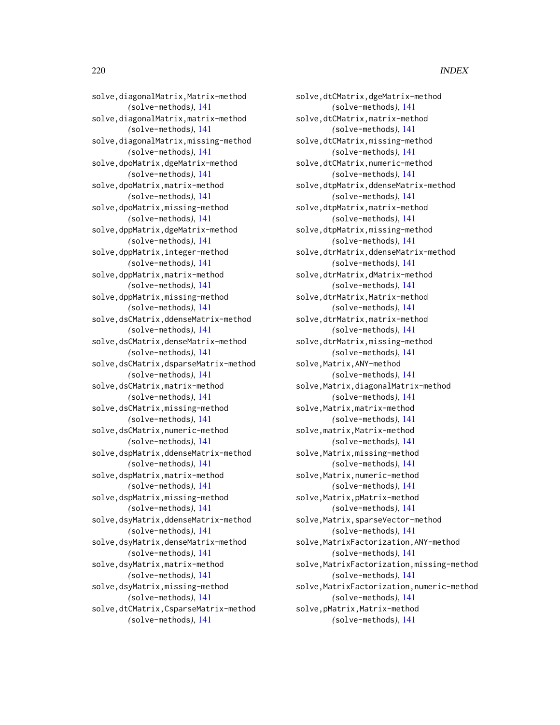solve,diagonalMatrix,Matrix-method *(*solve-methods*)*, [141](#page-140-0) solve,diagonalMatrix,matrix-method *(*solve-methods*)*, [141](#page-140-0) solve,diagonalMatrix,missing-method *(*solve-methods*)*, [141](#page-140-0) solve,dpoMatrix,dgeMatrix-method *(*solve-methods*)*, [141](#page-140-0) solve,dpoMatrix,matrix-method *(*solve-methods*)*, [141](#page-140-0) solve,dpoMatrix,missing-method *(*solve-methods*)*, [141](#page-140-0) solve,dppMatrix,dgeMatrix-method *(*solve-methods*)*, [141](#page-140-0) solve,dppMatrix,integer-method *(*solve-methods*)*, [141](#page-140-0) solve,dppMatrix,matrix-method *(*solve-methods*)*, [141](#page-140-0) solve,dppMatrix,missing-method *(*solve-methods*)*, [141](#page-140-0) solve,dsCMatrix,ddenseMatrix-method *(*solve-methods*)*, [141](#page-140-0) solve,dsCMatrix,denseMatrix-method *(*solve-methods*)*, [141](#page-140-0) solve,dsCMatrix,dsparseMatrix-method *(*solve-methods*)*, [141](#page-140-0) solve,dsCMatrix,matrix-method *(*solve-methods*)*, [141](#page-140-0) solve,dsCMatrix,missing-method *(*solve-methods*)*, [141](#page-140-0) solve,dsCMatrix,numeric-method *(*solve-methods*)*, [141](#page-140-0) solve,dspMatrix,ddenseMatrix-method *(*solve-methods*)*, [141](#page-140-0) solve,dspMatrix,matrix-method *(*solve-methods*)*, [141](#page-140-0) solve,dspMatrix,missing-method *(*solve-methods*)*, [141](#page-140-0) solve,dsyMatrix,ddenseMatrix-method *(*solve-methods*)*, [141](#page-140-0) solve,dsyMatrix,denseMatrix-method *(*solve-methods*)*, [141](#page-140-0) solve,dsyMatrix,matrix-method *(*solve-methods*)*, [141](#page-140-0) solve,dsyMatrix,missing-method *(*solve-methods*)*, [141](#page-140-0) solve,dtCMatrix,CsparseMatrix-method *(*solve-methods*)*, [141](#page-140-0)

solve,dtCMatrix,dgeMatrix-method *(*solve-methods*)*, [141](#page-140-0) solve,dtCMatrix,matrix-method *(*solve-methods*)*, [141](#page-140-0) solve,dtCMatrix,missing-method *(*solve-methods*)*, [141](#page-140-0) solve,dtCMatrix,numeric-method *(*solve-methods*)*, [141](#page-140-0) solve,dtpMatrix,ddenseMatrix-method *(*solve-methods*)*, [141](#page-140-0) solve,dtpMatrix,matrix-method *(*solve-methods*)*, [141](#page-140-0) solve,dtpMatrix,missing-method *(*solve-methods*)*, [141](#page-140-0) solve,dtrMatrix,ddenseMatrix-method *(*solve-methods*)*, [141](#page-140-0) solve,dtrMatrix,dMatrix-method *(*solve-methods*)*, [141](#page-140-0) solve,dtrMatrix,Matrix-method *(*solve-methods*)*, [141](#page-140-0) solve,dtrMatrix,matrix-method *(*solve-methods*)*, [141](#page-140-0) solve,dtrMatrix,missing-method *(*solve-methods*)*, [141](#page-140-0) solve, Matrix, ANY-method *(*solve-methods*)*, [141](#page-140-0) solve,Matrix,diagonalMatrix-method *(*solve-methods*)*, [141](#page-140-0) solve,Matrix,matrix-method *(*solve-methods*)*, [141](#page-140-0) solve,matrix,Matrix-method *(*solve-methods*)*, [141](#page-140-0) solve, Matrix, missing-method *(*solve-methods*)*, [141](#page-140-0) solve,Matrix,numeric-method *(*solve-methods*)*, [141](#page-140-0) solve, Matrix, pMatrix-method *(*solve-methods*)*, [141](#page-140-0) solve,Matrix,sparseVector-method *(*solve-methods*)*, [141](#page-140-0) solve, MatrixFactorization, ANY-method *(*solve-methods*)*, [141](#page-140-0) solve,MatrixFactorization,missing-method *(*solve-methods*)*, [141](#page-140-0) solve,MatrixFactorization,numeric-method *(*solve-methods*)*, [141](#page-140-0) solve,pMatrix,Matrix-method *(*solve-methods*)*, [141](#page-140-0)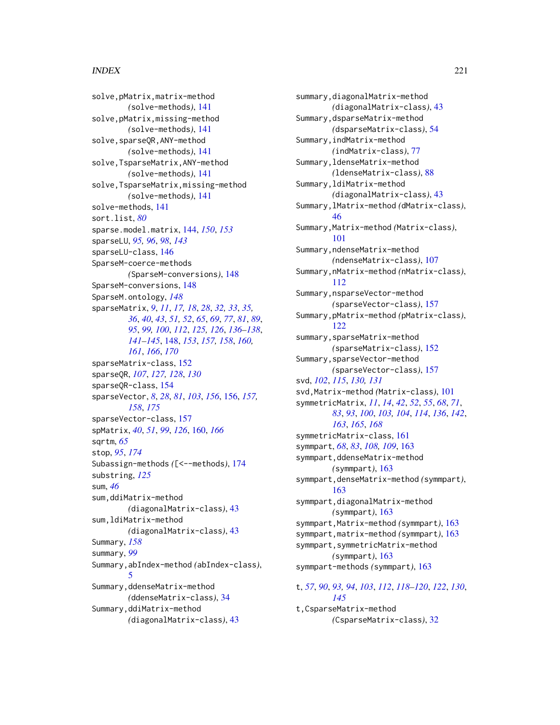solve,pMatrix,matrix-method *(*solve-methods*)*, [141](#page-140-0) solve,pMatrix,missing-method *(*solve-methods*)*, [141](#page-140-0) solve, sparseQR, ANY-method *(*solve-methods*)*, [141](#page-140-0) solve,TsparseMatrix,ANY-method *(*solve-methods*)*, [141](#page-140-0) solve,TsparseMatrix,missing-method *(*solve-methods*)*, [141](#page-140-0) solve-methods, [141](#page-140-0) sort.list, *[80](#page-79-0)* sparse.model.matrix, [144,](#page-143-0) *[150](#page-149-0)*, *[153](#page-152-0)* sparseLU, *[95,](#page-94-0) [96](#page-95-0)*, *[98](#page-97-0)*, *[143](#page-142-0)* sparseLU-class, [146](#page-145-0) SparseM-coerce-methods *(*SparseM-conversions*)*, [148](#page-147-0) SparseM-conversions, [148](#page-147-0) SparseM.ontology, *[148](#page-147-0)* sparseMatrix, *[9](#page-8-0)*, *[11](#page-10-0)*, *[17,](#page-16-0) [18](#page-17-0)*, *[28](#page-27-0)*, *[32,](#page-31-0) [33](#page-32-0)*, *[35,](#page-34-0) [36](#page-35-0)*, *[40](#page-39-0)*, *[43](#page-42-0)*, *[51,](#page-50-0) [52](#page-51-0)*, *[65](#page-64-0)*, *[69](#page-68-0)*, *[77](#page-76-0)*, *[81](#page-80-0)*, *[89](#page-88-0)*, *[95](#page-94-0)*, *[99,](#page-98-0) [100](#page-99-0)*, *[112](#page-111-0)*, *[125,](#page-124-0) [126](#page-125-0)*, *[136–](#page-135-0)[138](#page-137-0)*, *[141](#page-140-0)[–145](#page-144-0)*, [148,](#page-147-0) *[153](#page-152-0)*, *[157,](#page-156-0) [158](#page-157-0)*, *[160,](#page-159-0) [161](#page-160-0)*, *[166](#page-165-0)*, *[170](#page-169-0)* sparseMatrix-class, [152](#page-151-0) sparseQR, *[107](#page-106-0)*, *[127,](#page-126-0) [128](#page-127-0)*, *[130](#page-129-0)* sparseQR-class, [154](#page-153-0) sparseVector, *[8](#page-7-0)*, *[28](#page-27-0)*, *[81](#page-80-0)*, *[103](#page-102-0)*, *[156](#page-155-0)*, [156,](#page-155-0) *[157,](#page-156-0) [158](#page-157-0)*, *[175](#page-174-0)* sparseVector-class, [157](#page-156-0) spMatrix, *[40](#page-39-0)*, *[51](#page-50-0)*, *[99](#page-98-0)*, *[126](#page-125-0)*, [160,](#page-159-0) *[166](#page-165-0)* sqrtm, *[65](#page-64-0)* stop, *[95](#page-94-0)*, *[174](#page-173-0)* Subassign-methods *(*[<--methods*)*, [174](#page-173-0) substring, *[125](#page-124-0)* sum, *[46](#page-45-0)* sum,ddiMatrix-method *(*diagonalMatrix-class*)*, [43](#page-42-0) sum,ldiMatrix-method *(*diagonalMatrix-class*)*, [43](#page-42-0) Summary, *[158](#page-157-0)* summary, *[99](#page-98-0)* Summary,abIndex-method *(*abIndex-class*)*, [5](#page-4-0) Summary,ddenseMatrix-method *(*ddenseMatrix-class*)*, [34](#page-33-0) Summary,ddiMatrix-method *(*diagonalMatrix-class*)*, [43](#page-42-0)

summary,diagonalMatrix-method *(*diagonalMatrix-class*)*, [43](#page-42-0) Summary,dsparseMatrix-method *(*dsparseMatrix-class*)*, [54](#page-53-0) Summary,indMatrix-method *(*indMatrix-class*)*, [77](#page-76-0) Summary,ldenseMatrix-method *(*ldenseMatrix-class*)*, [88](#page-87-0) Summary,ldiMatrix-method *(*diagonalMatrix-class*)*, [43](#page-42-0) Summary,lMatrix-method *(*dMatrix-class*)*, [46](#page-45-0) Summary,Matrix-method *(*Matrix-class*)*, [101](#page-100-0) Summary,ndenseMatrix-method *(*ndenseMatrix-class*)*, [107](#page-106-0) Summary,nMatrix-method *(*nMatrix-class*)*, [112](#page-111-0) Summary,nsparseVector-method *(*sparseVector-class*)*, [157](#page-156-0) Summary,pMatrix-method *(*pMatrix-class*)*, [122](#page-121-0) summary,sparseMatrix-method *(*sparseMatrix-class*)*, [152](#page-151-0) Summary,sparseVector-method *(*sparseVector-class*)*, [157](#page-156-0) svd, *[102](#page-101-0)*, *[115](#page-114-0)*, *[130,](#page-129-0) [131](#page-130-0)* svd,Matrix-method *(*Matrix-class*)*, [101](#page-100-0) symmetricMatrix, *[11](#page-10-0)*, *[14](#page-13-0)*, *[42](#page-41-0)*, *[52](#page-51-0)*, *[55](#page-54-0)*, *[68](#page-67-0)*, *[71](#page-70-0)*, *[83](#page-82-0)*, *[93](#page-92-0)*, *[100](#page-99-0)*, *[103,](#page-102-0) [104](#page-103-0)*, *[114](#page-113-0)*, *[136](#page-135-0)*, *[142](#page-141-0)*, *[163](#page-162-0)*, *[165](#page-164-0)*, *[168](#page-167-0)* symmetricMatrix-class, [161](#page-160-0) symmpart, *[68](#page-67-0)*, *[83](#page-82-0)*, *[108,](#page-107-0) [109](#page-108-0)*, [163](#page-162-0) symmpart,ddenseMatrix-method *(*symmpart*)*, [163](#page-162-0) symmpart,denseMatrix-method *(*symmpart*)*, [163](#page-162-0) symmpart,diagonalMatrix-method *(*symmpart*)*, [163](#page-162-0) symmpart,Matrix-method *(*symmpart*)*, [163](#page-162-0) symmpart,matrix-method *(*symmpart*)*, [163](#page-162-0) symmpart,symmetricMatrix-method *(*symmpart*)*, [163](#page-162-0) symmpart-methods *(*symmpart*)*, [163](#page-162-0)

t, *[57](#page-56-0)*, *[90](#page-89-0)*, *[93,](#page-92-0) [94](#page-93-0)*, *[103](#page-102-0)*, *[112](#page-111-0)*, *[118](#page-117-0)[–120](#page-119-0)*, *[122](#page-121-0)*, *[130](#page-129-0)*, *[145](#page-144-0)* t,CsparseMatrix-method *(*CsparseMatrix-class*)*, [32](#page-31-0)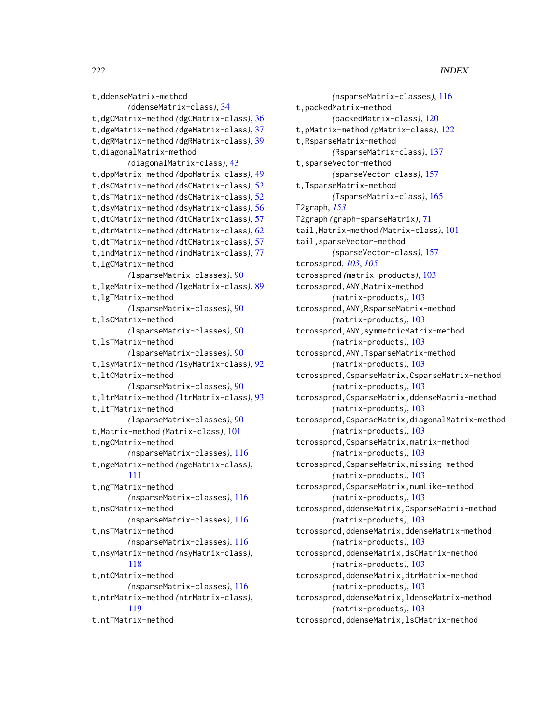```
t,ddenseMatrix-method
        (ddenseMatrix-class), 34
t,dgCMatrix-method (dgCMatrix-class), 36
t,dgeMatrix-method (dgeMatrix-class), 37
t,dgRMatrix-method (dgRMatrix-class), 39
t,diagonalMatrix-method
        (diagonalMatrix-class), 43
t,dppMatrix-method (dpoMatrix-class), 49
t,dsCMatrix-method (dsCMatrix-class), 52
t,dsTMatrix-method (dsCMatrix-class), 52
t,dsyMatrix-method (dsyMatrix-class), 56
t,dtCMatrix-method (dtCMatrix-class), 57
t,dtrMatrix-method (dtrMatrix-class), 62
t,dtTMatrix-method (dtCMatrix-class), 57
t,indMatrix-method (indMatrix-class), 77
t,lgCMatrix-method
        (lsparseMatrix-classes), 90
t,lgeMatrix-method (lgeMatrix-class), 89
t,lgTMatrix-method
        (lsparseMatrix-classes), 90
t,lsCMatrix-method
        (lsparseMatrix-classes), 90
t,lsTMatrix-method
        (lsparseMatrix-classes), 90
t,lsyMatrix-method (lsyMatrix-class), 92
t,ltCMatrix-method
        (lsparseMatrix-classes), 90
t,ltrMatrix-method (ltrMatrix-class), 93
t,ltTMatrix-method
        (lsparseMatrix-classes), 90
t,Matrix-method (Matrix-class), 101
t,ngCMatrix-method
        (nsparseMatrix-classes), 116
t,ngeMatrix-method (ngeMatrix-class),
        111
t,ngTMatrix-method
        (nsparseMatrix-classes), 116
t,nsCMatrix-method
        (nsparseMatrix-classes), 116
t,nsTMatrix-method
        (nsparseMatrix-classes), 116
t,nsyMatrix-method (nsyMatrix-class),
        118
t,ntCMatrix-method
        (nsparseMatrix-classes), 116
t,ntrMatrix-method (ntrMatrix-class),
        119
t,ntTMatrix-method
```

```
(nsparseMatrix-classes), 116
t,packedMatrix-method
        (packedMatrix-class), 120
t,pMatrix-method (pMatrix-class), 122
t,RsparseMatrix-method
        (RsparseMatrix-class), 137
t,sparseVector-method
        (sparseVector-class), 157
t,TsparseMatrix-method
        (TsparseMatrix-class), 165
T2graph, 153
T2graph (graph-sparseMatrix), 71
tail,Matrix-method (Matrix-class), 101
tail,sparseVector-method
        (sparseVector-class), 157
tcrossprod, 103, 105
tcrossprod (matrix-products), 103
tcrossprod,ANY,Matrix-method
        (matrix-products), 103
tcrossprod,ANY,RsparseMatrix-method
        (matrix-products), 103
tcrossprod,ANY,symmetricMatrix-method
        (matrix-products), 103
tcrossprod,ANY,TsparseMatrix-method
        (matrix-products), 103
tcrossprod,CsparseMatrix,CsparseMatrix-method
        (matrix-products), 103
tcrossprod,CsparseMatrix,ddenseMatrix-method
        (matrix-products), 103
tcrossprod,CsparseMatrix,diagonalMatrix-method
        (matrix-products), 103
tcrossprod,CsparseMatrix,matrix-method
        (matrix-products), 103
tcrossprod,CsparseMatrix,missing-method
        (matrix-products), 103
tcrossprod,CsparseMatrix,numLike-method
        (matrix-products), 103
tcrossprod,ddenseMatrix,CsparseMatrix-method
        (matrix-products), 103
tcrossprod,ddenseMatrix,ddenseMatrix-method
        (matrix-products), 103
tcrossprod,ddenseMatrix,dsCMatrix-method
        (matrix-products), 103
tcrossprod,ddenseMatrix,dtrMatrix-method
        (matrix-products), 103
tcrossprod,ddenseMatrix,ldenseMatrix-method
        (matrix-products), 103
tcrossprod,ddenseMatrix,lsCMatrix-method
```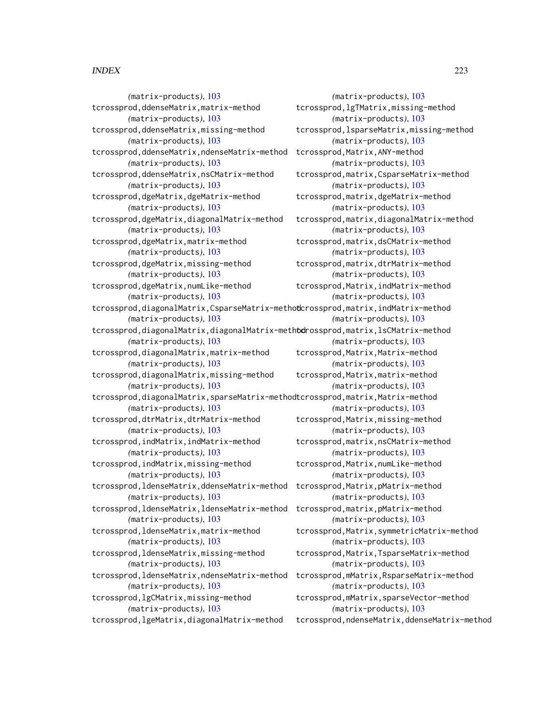*(*matrix-products*)*, [103](#page-102-0) tcrossprod,ddenseMatrix,matrix-method *(*matrix-products*)*, [103](#page-102-0) tcrossprod,ddenseMatrix,missing-method *(*matrix-products*)*, [103](#page-102-0) tcrossprod, ddenseMatrix, ndenseMatrix-method tcrossprod, Matrix, ANY-method *(*matrix-products*)*, [103](#page-102-0) tcrossprod,ddenseMatrix,nsCMatrix-method *(*matrix-products*)*, [103](#page-102-0) tcrossprod,dgeMatrix,dgeMatrix-method *(*matrix-products*)*, [103](#page-102-0) tcrossprod,dgeMatrix,diagonalMatrix-method *(*matrix-products*)*, [103](#page-102-0) tcrossprod,dgeMatrix,matrix-method *(*matrix-products*)*, [103](#page-102-0) tcrossprod,dgeMatrix,missing-method *(*matrix-products*)*, [103](#page-102-0) tcrossprod,dgeMatrix,numLike-method *(*matrix-products*)*, [103](#page-102-0) tcrossprod, diagonalMatrix, CsparseMatrix-methodcrossprod, matrix, indMatrix-method *(*matrix-products*)*, [103](#page-102-0) tcrossprod, diagonalMatrix, diagonalMatrix-methodrossprod, matrix, lsCMatrix-method *(*matrix-products*)*, [103](#page-102-0) tcrossprod,diagonalMatrix,matrix-method *(*matrix-products*)*, [103](#page-102-0) tcrossprod,diagonalMatrix,missing-method *(*matrix-products*)*, [103](#page-102-0) tcrossprod, diagonalMatrix, sparseMatrix-methodtcrossprod, matrix, Matrix-method *(*matrix-products*)*, [103](#page-102-0) tcrossprod,dtrMatrix,dtrMatrix-method *(*matrix-products*)*, [103](#page-102-0) tcrossprod,indMatrix,indMatrix-method *(*matrix-products*)*, [103](#page-102-0) tcrossprod,indMatrix,missing-method *(*matrix-products*)*, [103](#page-102-0) tcrossprod, ldenseMatrix, ddenseMatrix-method tcrossprod, Matrix, pMatrix-method *(*matrix-products*)*, [103](#page-102-0) tcrossprod,ldenseMatrix,ldenseMatrix-method tcrossprod,matrix,pMatrix-method *(*matrix-products*)*, [103](#page-102-0) tcrossprod,ldenseMatrix,matrix-method *(*matrix-products*)*, [103](#page-102-0) tcrossprod,ldenseMatrix,missing-method *(*matrix-products*)*, [103](#page-102-0) tcrossprod,ldenseMatrix,ndenseMatrix-method tcrossprod,mMatrix,RsparseMatrix-method *(*matrix-products*)*, [103](#page-102-0) tcrossprod,lgCMatrix,missing-method *(*matrix-products*)*, [103](#page-102-0) tcrossprod,lgeMatrix,diagonalMatrix-method

*(*matrix-products*)*, [103](#page-102-0) tcrossprod,lgTMatrix,missing-method *(*matrix-products*)*, [103](#page-102-0) tcrossprod,lsparseMatrix,missing-method *(*matrix-products*)*, [103](#page-102-0) *(*matrix-products*)*, [103](#page-102-0) tcrossprod,matrix,CsparseMatrix-method *(*matrix-products*)*, [103](#page-102-0) tcrossprod,matrix,dgeMatrix-method *(*matrix-products*)*, [103](#page-102-0) tcrossprod,matrix,diagonalMatrix-method *(*matrix-products*)*, [103](#page-102-0) tcrossprod,matrix,dsCMatrix-method *(*matrix-products*)*, [103](#page-102-0) tcrossprod,matrix,dtrMatrix-method *(*matrix-products*)*, [103](#page-102-0) tcrossprod,Matrix,indMatrix-method *(*matrix-products*)*, [103](#page-102-0) *(*matrix-products*)*, [103](#page-102-0) *(*matrix-products*)*, [103](#page-102-0) tcrossprod,Matrix,Matrix-method *(*matrix-products*)*, [103](#page-102-0) tcrossprod,Matrix,matrix-method *(*matrix-products*)*, [103](#page-102-0) *(*matrix-products*)*, [103](#page-102-0) tcrossprod,Matrix,missing-method *(*matrix-products*)*, [103](#page-102-0) tcrossprod,matrix,nsCMatrix-method *(*matrix-products*)*, [103](#page-102-0) tcrossprod,Matrix,numLike-method *(*matrix-products*)*, [103](#page-102-0) *(*matrix-products*)*, [103](#page-102-0) *(*matrix-products*)*, [103](#page-102-0) tcrossprod,Matrix,symmetricMatrix-method *(*matrix-products*)*, [103](#page-102-0) tcrossprod,Matrix,TsparseMatrix-method *(*matrix-products*)*, [103](#page-102-0) *(*matrix-products*)*, [103](#page-102-0) tcrossprod,mMatrix,sparseVector-method *(*matrix-products*)*, [103](#page-102-0) tcrossprod,ndenseMatrix,ddenseMatrix-method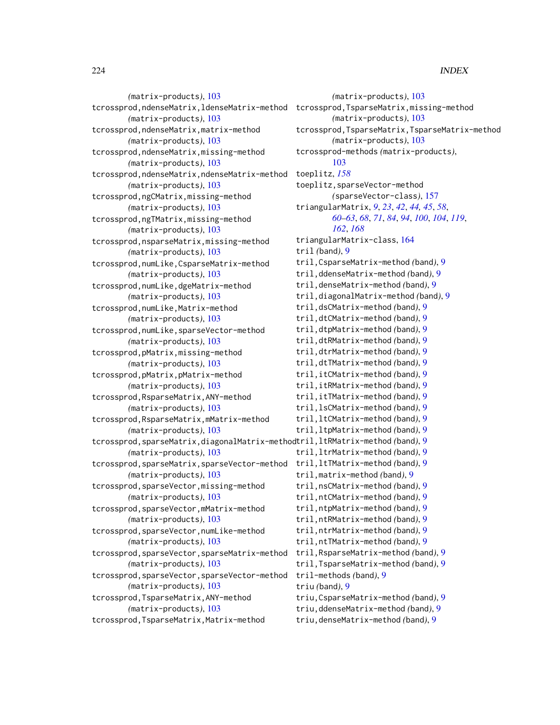*(*matrix-products*)*, [103](#page-102-0) tcrossprod,ndenseMatrix,ldenseMatrix-method tcrossprod,TsparseMatrix,missing-method *(*matrix-products*)*, [103](#page-102-0) tcrossprod,ndenseMatrix,matrix-method *(*matrix-products*)*, [103](#page-102-0) tcrossprod,ndenseMatrix,missing-method *(*matrix-products*)*, [103](#page-102-0) tcrossprod,ndenseMatrix,ndenseMatrix-method *(*matrix-products*)*, [103](#page-102-0) tcrossprod,ngCMatrix,missing-method *(*matrix-products*)*, [103](#page-102-0) tcrossprod,ngTMatrix,missing-method *(*matrix-products*)*, [103](#page-102-0) tcrossprod,nsparseMatrix,missing-method *(*matrix-products*)*, [103](#page-102-0) tcrossprod,numLike,CsparseMatrix-method *(*matrix-products*)*, [103](#page-102-0) tcrossprod,numLike,dgeMatrix-method *(*matrix-products*)*, [103](#page-102-0) tcrossprod,numLike,Matrix-method *(*matrix-products*)*, [103](#page-102-0) tcrossprod,numLike,sparseVector-method *(*matrix-products*)*, [103](#page-102-0) tcrossprod,pMatrix,missing-method *(*matrix-products*)*, [103](#page-102-0) tcrossprod,pMatrix,pMatrix-method *(*matrix-products*)*, [103](#page-102-0) tcrossprod,RsparseMatrix,ANY-method *(*matrix-products*)*, [103](#page-102-0) tcrossprod,RsparseMatrix,mMatrix-method *(*matrix-products*)*, [103](#page-102-0) tcrossprod,sparseMatrix,diagonalMatrix-method tril,ltRMatrix-method *(*band*)*, [9](#page-8-0) *(*matrix-products*)*, [103](#page-102-0) tcrossprod,sparseMatrix,sparseVector-method *(*matrix-products*)*, [103](#page-102-0) tcrossprod,sparseVector,missing-method *(*matrix-products*)*, [103](#page-102-0) tcrossprod,sparseVector,mMatrix-method *(*matrix-products*)*, [103](#page-102-0) tcrossprod,sparseVector,numLike-method *(*matrix-products*)*, [103](#page-102-0) tcrossprod,sparseVector,sparseMatrix-method *(*matrix-products*)*, [103](#page-102-0) tcrossprod,sparseVector,sparseVector-method *(*matrix-products*)*, [103](#page-102-0) tcrossprod,TsparseMatrix,ANY-method *(*matrix-products*)*, [103](#page-102-0) tcrossprod,TsparseMatrix,Matrix-method

*(*matrix-products*)*, [103](#page-102-0) *(*matrix-products*)*, [103](#page-102-0) tcrossprod,TsparseMatrix,TsparseMatrix-method *(*matrix-products*)*, [103](#page-102-0) tcrossprod-methods *(*matrix-products*)*, [103](#page-102-0) toeplitz, *[158](#page-157-0)* toeplitz,sparseVector-method *(*sparseVector-class*)*, [157](#page-156-0) triangularMatrix, *[9](#page-8-0)*, *[23](#page-22-0)*, *[42](#page-41-0)*, *[44,](#page-43-0) [45](#page-44-0)*, *[58](#page-57-0)*, *[60](#page-59-0)[–63](#page-62-0)*, *[68](#page-67-0)*, *[71](#page-70-0)*, *[84](#page-83-0)*, *[94](#page-93-0)*, *[100](#page-99-0)*, *[104](#page-103-0)*, *[119](#page-118-0)*, *[162](#page-161-0)*, *[168](#page-167-0)* triangularMatrix-class, [164](#page-163-0) tril *(*band*)*, [9](#page-8-0) tril,CsparseMatrix-method *(*band*)*, [9](#page-8-0) tril,ddenseMatrix-method *(*band*)*, [9](#page-8-0) tril,denseMatrix-method *(*band*)*, [9](#page-8-0) tril,diagonalMatrix-method *(*band*)*, [9](#page-8-0) tril,dsCMatrix-method *(*band*)*, [9](#page-8-0) tril,dtCMatrix-method *(*band*)*, [9](#page-8-0) tril,dtpMatrix-method *(*band*)*, [9](#page-8-0) tril,dtRMatrix-method *(*band*)*, [9](#page-8-0) tril,dtrMatrix-method *(*band*)*, [9](#page-8-0) tril,dtTMatrix-method *(*band*)*, [9](#page-8-0) tril,itCMatrix-method *(*band*)*, [9](#page-8-0) tril,itRMatrix-method *(*band*)*, [9](#page-8-0) tril,itTMatrix-method *(*band*)*, [9](#page-8-0) tril,lsCMatrix-method *(*band*)*, [9](#page-8-0) tril,ltCMatrix-method *(*band*)*, [9](#page-8-0) tril,ltpMatrix-method *(*band*)*, [9](#page-8-0) tril,ltrMatrix-method *(*band*)*, [9](#page-8-0) tril,ltTMatrix-method *(*band*)*, [9](#page-8-0) tril,matrix-method *(*band*)*, [9](#page-8-0) tril,nsCMatrix-method *(*band*)*, [9](#page-8-0) tril,ntCMatrix-method *(*band*)*, [9](#page-8-0) tril,ntpMatrix-method *(*band*)*, [9](#page-8-0) tril,ntRMatrix-method *(*band*)*, [9](#page-8-0) tril,ntrMatrix-method *(*band*)*, [9](#page-8-0) tril,ntTMatrix-method *(*band*)*, [9](#page-8-0) tril,RsparseMatrix-method *(*band*)*, [9](#page-8-0) tril,TsparseMatrix-method *(*band*)*, [9](#page-8-0) tril-methods *(*band*)*, [9](#page-8-0) triu *(*band*)*, [9](#page-8-0) triu,CsparseMatrix-method *(*band*)*, [9](#page-8-0) triu,ddenseMatrix-method *(*band*)*, [9](#page-8-0) triu,denseMatrix-method *(*band*)*, [9](#page-8-0)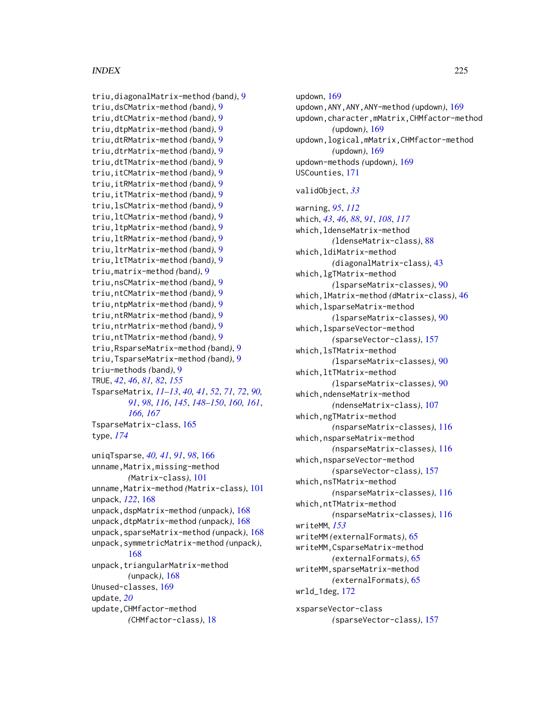```
triu,diagonalMatrix-method (band), 9
triu,dsCMatrix-method (band), 9
triu,dtCMatrix-method (band), 9
triu,dtpMatrix-method (band), 9
triu,dtRMatrix-method (band), 9
triu,dtrMatrix-method (band), 9
triu,dtTMatrix-method (band), 9
triu,itCMatrix-method (band), 9
triu,itRMatrix-method (band), 9
triu,itTMatrix-method (band), 9
triu,lsCMatrix-method (band), 9
triu,ltCMatrix-method (band), 9
triu,ltpMatrix-method (band), 9
triu,ltRMatrix-method (band), 9
triu,ltrMatrix-method (band), 9
triu,ltTMatrix-method (band), 9
triu,matrix-method (band), 9
triu,nsCMatrix-method (band), 9
triu,ntCMatrix-method (band), 9
triu,ntpMatrix-method (band), 9
triu,ntRMatrix-method (band), 9
triu,ntrMatrix-method (band), 9
triu,ntTMatrix-method (band), 9
triu,RsparseMatrix-method (band), 9
triu,TsparseMatrix-method (band), 9
triu-methods (band), 9
TRUE, 42, 46, 81, 82, 155
TsparseMatrix, 11–13, 40, 41, 52, 71, 72, 90,
        91, 98, 116, 145, 148–150, 160, 161,
        166, 167
TsparseMatrix-class, 165
type, 174
uniqTsparse, 40, 41, 91, 98, 166
unname, Matrix, missing-method
        (Matrix-class), 101
unname,Matrix-method (Matrix-class), 101
unpack, 122, 168
unpack,dspMatrix-method (unpack), 168
```
unpack,dtpMatrix-method *(*unpack*)*, [168](#page-167-0) unpack,sparseMatrix-method *(*unpack*)*, [168](#page-167-0) unpack,symmetricMatrix-method *(*unpack*)*, [168](#page-167-0) unpack,triangularMatrix-method *(*unpack*)*, [168](#page-167-0) Unused-classes, [169](#page-168-0) update, *[20](#page-19-0)* update,CHMfactor-method

*(*CHMfactor-class*)*, [18](#page-17-0)

updown, [169](#page-168-0) updown,ANY,ANY,ANY-method *(*updown*)*, [169](#page-168-0) updown,character,mMatrix,CHMfactor-method *(*updown*)*, [169](#page-168-0) updown,logical,mMatrix,CHMfactor-method *(*updown*)*, [169](#page-168-0) updown-methods *(*updown*)*, [169](#page-168-0) USCounties, [171](#page-170-0) validObject, *[33](#page-32-0)* warning, *[95](#page-94-0)*, *[112](#page-111-0)* which, *[43](#page-42-0)*, *[46](#page-45-0)*, *[88](#page-87-0)*, *[91](#page-90-0)*, *[108](#page-107-0)*, *[117](#page-116-0)* which,ldenseMatrix-method *(*ldenseMatrix-class*)*, [88](#page-87-0) which,ldiMatrix-method *(*diagonalMatrix-class*)*, [43](#page-42-0) which,lgTMatrix-method *(*lsparseMatrix-classes*)*, [90](#page-89-0) which,lMatrix-method *(*dMatrix-class*)*, [46](#page-45-0) which,lsparseMatrix-method *(*lsparseMatrix-classes*)*, [90](#page-89-0) which,lsparseVector-method *(*sparseVector-class*)*, [157](#page-156-0) which,lsTMatrix-method *(*lsparseMatrix-classes*)*, [90](#page-89-0) which,ltTMatrix-method *(*lsparseMatrix-classes*)*, [90](#page-89-0) which,ndenseMatrix-method *(*ndenseMatrix-class*)*, [107](#page-106-0) which,ngTMatrix-method *(*nsparseMatrix-classes*)*, [116](#page-115-0) which,nsparseMatrix-method *(*nsparseMatrix-classes*)*, [116](#page-115-0) which,nsparseVector-method *(*sparseVector-class*)*, [157](#page-156-0) which,nsTMatrix-method *(*nsparseMatrix-classes*)*, [116](#page-115-0) which,ntTMatrix-method *(*nsparseMatrix-classes*)*, [116](#page-115-0) writeMM, *[153](#page-152-0)* writeMM *(*externalFormats*)*, [65](#page-64-0) writeMM,CsparseMatrix-method *(*externalFormats*)*, [65](#page-64-0) writeMM,sparseMatrix-method *(*externalFormats*)*, [65](#page-64-0) wrld\_1deg, [172](#page-171-0) xsparseVector-class *(*sparseVector-class*)*, [157](#page-156-0)